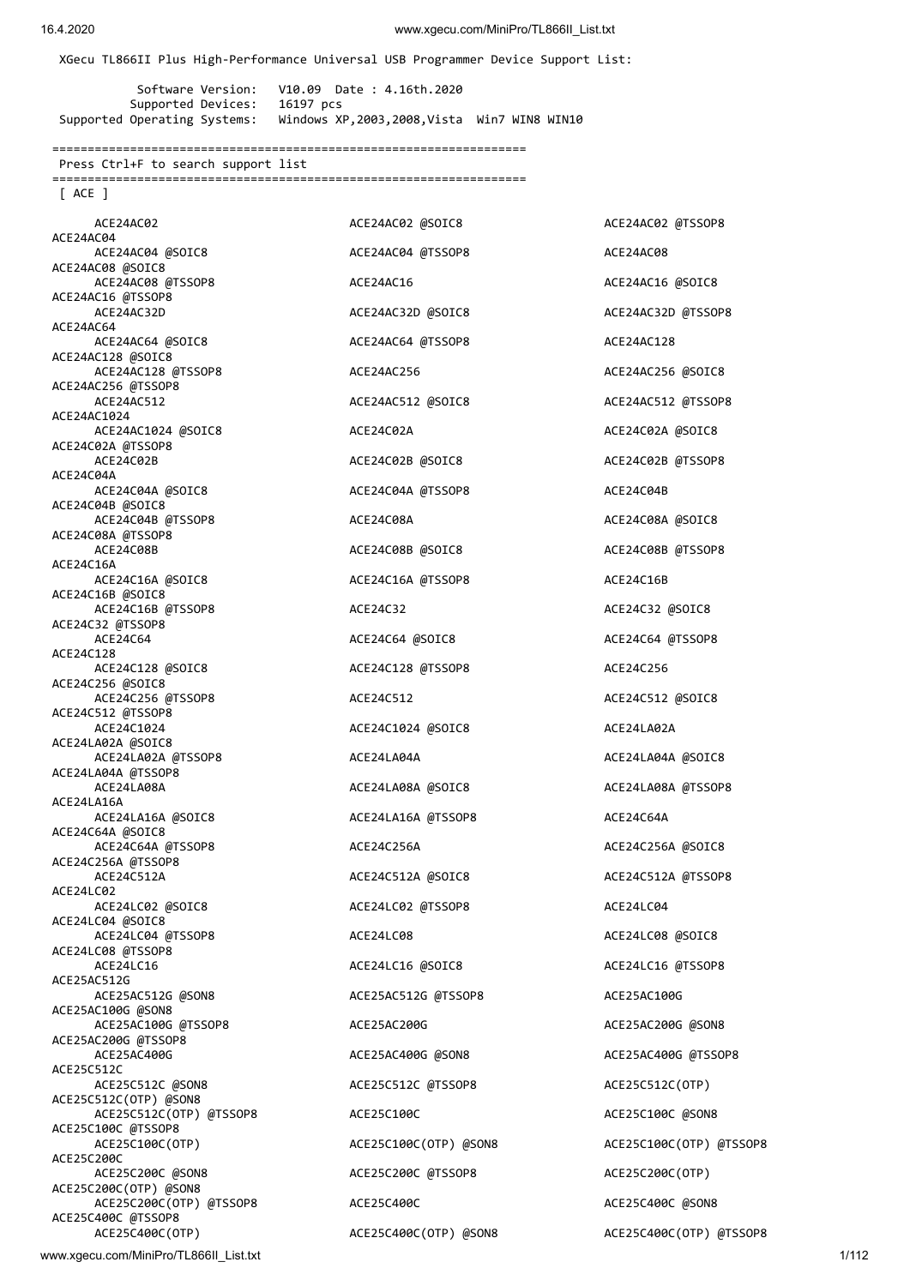XGecu TL866II Plus High-Performance Universal USB Programmer Device Support List:

 Software Version: V10.09 Date : 4.16th.2020 Supported Devices: 16197 pcs Supported Operating Systems: Windows XP,2003,2008,Vista Win7 WIN8 WIN10

===================================================================

Press Ctrl+F to search support list

===================================================================

[ ACE ]

ACE24AC02 ACE24AC02 ACE24AC02 @SOIC8 ACE24AC02 ACE24AC02 ACE24AC02 ACE24AC02 ACE24AC02 ACE24AC02 ATSSOP8 ACE24AC04 ACE24AC04 @SOIC8 ACE24AC04 @TSSOP8 ACE24AC08 ACE24AC08 @SOIC8 ACE24AC08 @TSSOP8 ACE24AC16 ACE24AC16 @SOIC8 ACE24AC16 @TSSOP8 ACE24AC32D ACE24AC32D @SOIC8 ACE24AC32D @TSSOP8 ACE24AC64 ACE24AC64 @SOIC8 ACE24AC64 @TSSOP8 ACE24AC128 ACE24AC128 @SOIC8 ACE24AC128 @TSSOP8 ACE24AC256 ACE24AC256 @SOIC8 ACE24AC256 @TSSOP8 ACE24AC512 ACE24AC512 @SOIC8 ACE24AC512 @TSSOP8 ACE24AC1024 ACE24AC1024 @SOIC8 ACE24C02A ACE24C02A ACE24C02A @TSSOP8 ACE24C02B ACE24C02B @SOIC8 ACE24C02B @TSSOP8 ACE24C04A ACE24C04A @SOIC8 ACE24C04A @TSSOP8 ACE24C04B ACE24C04B @SOIC8 ACE24C04B @TSSOP8 ACE24C08A ACE24C08A @SOIC8 ACE24C08A @TSSOP8 ACE24C08B ACE24C08B ACE24C08B @SOIC8 ACE24C08B ACE24C08B @TSSOP8 ACE24C16A ACE24C16A @SOIC8 ACE24C16A @TSSOP8 ACE24C16B ACE24C16B @SOIC8 ACE24C16B @TSSOP8 ACE24C32 ACE24C32 @SOIC8 ACE24C32 @TSSOP8 ACE24C64 ACE24C64 @SOIC8 ACE24C64 @TSSOP8 ACE24C128 ACE24C128 @SOIC8 ACE24C128 @TSSOP8 ACE24C256 ACE24C256 @SOIC8 ACE24C256 @TSSOP8 ACE24C512 ACE24C512 @SOIC8 ACE24C512 @TSSOP8 ACE24C1024 ACE24C1024 @SOIC8 ACE24LA02A ACE24LA02A @SOIC8 ACE24LA02A @TSSOP8 ACE24LA04A ACE24LA04A @SOIC8 ACE24LA04A @TSSOP8 ACE24LA08A ACE24LA08A @SOIC8 ACE24LA08A ACE24LA08A ACE24LA08A ATSSOP8 ACE24LA16A ACE24LA16A @SOIC8 ACE24LA16A @TSSOP8 ACE24C64A ACE24C64A @SOIC8 ACE24C64A @TSSOP8 ACE24C256A ACE24C256A @SOIC8 ACE24C256A @TSSOP8 ACE24C512A ACE24C512A @SOIC8 ACE24C512A @TSSOP8 ACE24LC02 ACE24LC02 @SOIC8 ACE24LC02 @TSSOP8 ACE24LC02 ACE24LC04 ACE24LC04 @SOIC8 ACE24LC04 @TSSOP8 ACE24LC08 ACE24LC08 @SOIC8 ACE24LC08 @TSSOP8 ACE24LC16 ACE24LC16 @SOIC8 ACE24LC16 ACE24LC16 ACE24LC16 ACE24LC16 ATSSOP8 ACE25AC512G ACE25AC512G @SON8 ACE25AC512G @TSSOP8 ACE25AC100G ACE25AC100G @SON8 ACE25AC100G @TSSOP8 ACE25AC200G ACE25AC200G @SON8 ACE25AC200G @TSSOP8 ACE25AC400G ACE25AC400G @SON8 ACE25AC400G @TSSOP8 ACE25C512C ACE25C512C @SON8 ACE25C512C @TSSOP8 ACE25C512C(OTP) ACE25C512C(OTP) @SON8 ACE25C512C(OTP) @TSSOP8 ACE25C100C ACE25C100C @SON8 ACE25C100C @TSSOP8<br>ACE25C100C(OTP) ACE25C100C(OTP) @SON8 ACE25C100C(OTP) @TSSOP8 ACE25C200C ACE25C200C @SON8 ACE25C200C @TSSOP8 ACE25C200C(OTP) ACE25C200C(OTP) @SON8 ACE25C200C(OTP) @TSSOP8 ACE25C400C ACE25C400C @SON8 ACE25C400C @TSSOP8 ACE25C400C(OTP) ACE25C400C(OTP) @SON8 ACE25C400C(OTP) @TSSOP8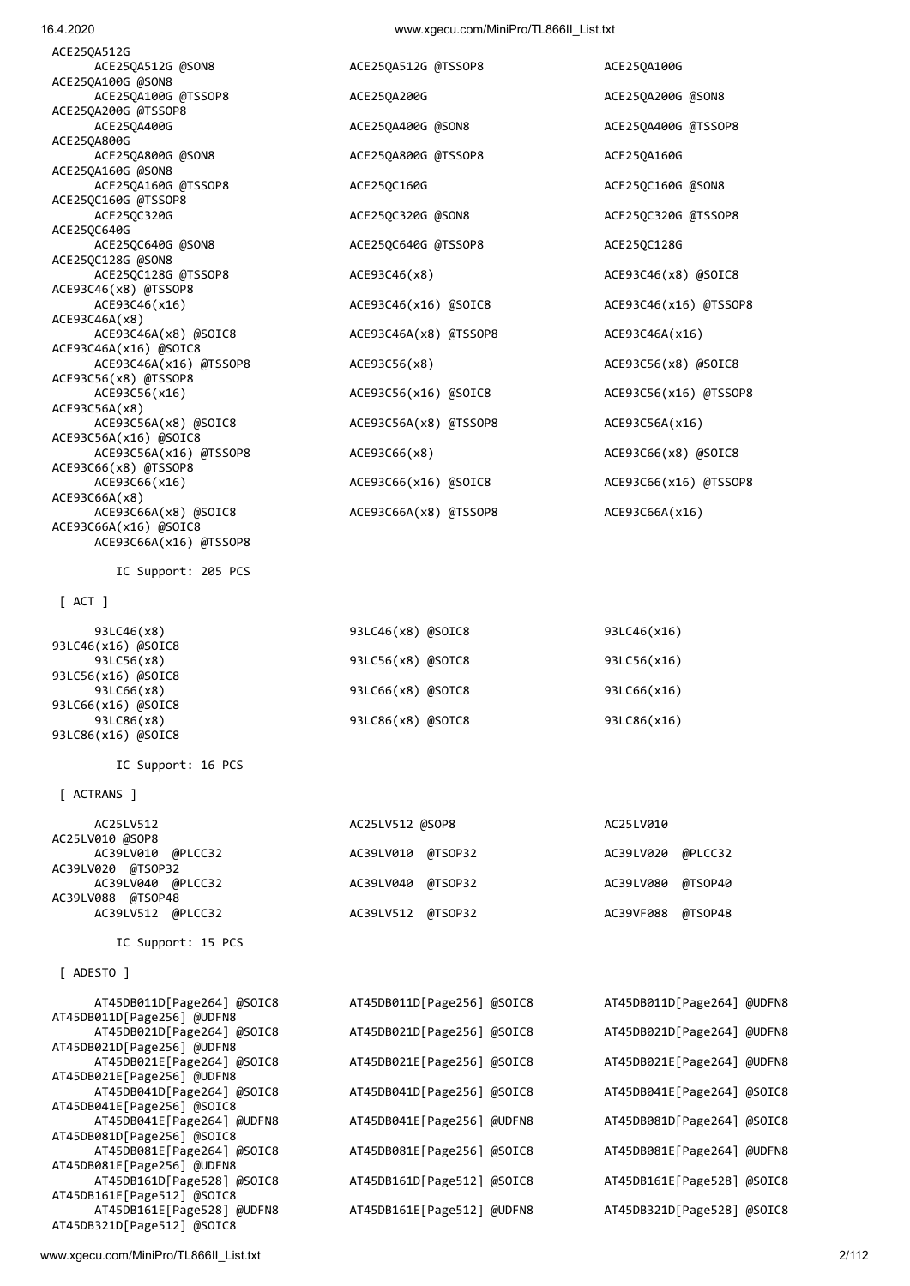| IC Support: 15 PCS         |                             |                            |  |
|----------------------------|-----------------------------|----------------------------|--|
|                            |                             |                            |  |
| $\lceil$ ADESTO $\rceil$   |                             |                            |  |
| AT45DB011D[Page264] @SOIC8 | AT45DB011D[Page256] @SOIC8  | AT45DB011D[Page264] @UDFN8 |  |
| AT45DB011D[Page256] @UDFN8 |                             |                            |  |
| AT45DB021D[Page264] @SOIC8 | AT45DB021D[Page256] @SOIC8  | AT45DB021D[Page264] @UDFN8 |  |
| AT45DB021D[Page256] @UDFN8 |                             |                            |  |
| AT45DB021E[Page264] @SOIC8 | AT45DB021E[Page256] @SOIC8  | AT45DB021E[Page264] @UDFN8 |  |
| AT45DB021E[Page256] @UDFN8 |                             |                            |  |
| AT45DB041D[Page264] @SOIC8 | AT45DB041D[Page256] @SOIC8  | AT45DB041E[Page264] @SOIC8 |  |
| AT45DB041E[Page256] @SOIC8 |                             |                            |  |
| AT45DB041E[Page264] @UDFN8 | AT45DB041E [Page256] @UDFN8 | AT45DB081D[Page264] @SOIC8 |  |
| AT45DB081D[Page256] @SOIC8 |                             |                            |  |
| AT45DB081E[Page264] @SOIC8 | AT45DB081E[Page256] @SOIC8  | AT45DB081E[Page264] @UDFN8 |  |
| AT45DB081E[Page256] @UDFN8 |                             |                            |  |
| AT45DB161D[Page528] @SOIC8 | AT45DB161D[Page512] @SOIC8  | AT45DB161E[Page528] @SOIC8 |  |
| AT45DB161E[Page512] @SOIC8 |                             |                            |  |
| AT45DB161E[Page528] @UDFN8 | AT45DB161E[Page512] @UDFN8  | AT45DB321D[Page528] @SOIC8 |  |
| AT45DB321D[Page512] @SOIC8 |                             |                            |  |

| [ ACTRANS ]                          |                   |                      |
|--------------------------------------|-------------------|----------------------|
| AC25LV512                            | AC25LV512 @SOP8   | AC25LV010            |
| AC25LV010 @SOP8<br>AC39LV010 @PLCC32 | AC39LV010 @TSOP32 | AC39LV020 @PLCC32    |
| AC39LV020 @TSOP32                    |                   |                      |
| AC39LV040 @PLCC32                    | AC39LV040 @TSOP32 | @TSOP40<br>AC39LV080 |
| AC39LV088 @TSOP48                    |                   |                      |
| AC39LV512 @PLCC32                    | AC39LV512 @TSOP32 | AC39VF088 @TSOP48    |

93LC86(x16) @SOIC8

| 93LC46(x8)         | 93LC46(x8) @SOIC8 | 93LC46(x16) |
|--------------------|-------------------|-------------|
| 93LC46(x16) @SOIC8 |                   |             |
| 93LC56(x8)         | 93LC56(x8) @SOIC8 | 93LC56(x16) |
| 93LC56(x16) @SOIC8 |                   |             |
| 93LC66(x8)         | 93LC66(x8) @SOIC8 | 93LC66(x16) |
| 93LC66(x16) @SOIC8 |                   |             |
| 93LC86(x8)         | 93LC86(x8) @SOIC8 | 93LC86(x16) |

[ ACT ]

IC Support: 205 PCS

IC Support: 16 PCS

ACE93C66A(x16) @TSSOP8

| ACE25QA512G @SON8      | ACE25QA512G @TSSOP8   | ACE250A100G           |
|------------------------|-----------------------|-----------------------|
| ACE25QA100G @SON8      |                       |                       |
| ACE25QA100G @TSSOP8    | ACE250A200G           | ACE25QA200G @SON8     |
| ACE25QA200G @TSSOP8    |                       |                       |
| ACE25QA400G            | ACE25QA400G @SON8     | ACE25QA400G @TSSOP8   |
| ACE250A800G            |                       |                       |
| ACE25QA800G @SON8      | ACE25QA800G @TSSOP8   | ACE250A160G           |
| ACE25QA160G @SON8      |                       |                       |
| ACE25QA160G @TSSOP8    | ACE250C160G           | ACE25QC160G @SON8     |
| ACE25QC160G @TSSOP8    |                       |                       |
| ACE25QC320G            | ACE25QC320G @SON8     | ACE25QC320G @TSSOP8   |
| ACE25QC640G            |                       |                       |
| ACE25QC640G @SON8      | ACE25QC640G @TSSOP8   | ACE25QC128G           |
| ACE25QC128G @SON8      |                       |                       |
| ACE25QC128G @TSSOP8    | ACE93C46(x8)          | ACE93C46(x8) @SOIC8   |
| ACE93C46(x8) @TSSOP8   |                       |                       |
| ACE93C46(x16)          | ACE93C46(x16) @SOIC8  | ACE93C46(x16) @TSSOP8 |
| ACE93C46A(x8)          |                       |                       |
| ACE93C46A(x8) @SOIC8   | ACE93C46A(x8) @TSSOP8 | ACE93C46A(x16)        |
| ACE93C46A(x16) @SOIC8  |                       |                       |
| ACE93C46A(x16) @TSSOP8 | ACE93C56(x8)          | ACE93C56(x8) @SOIC8   |
| ACE93C56(x8) @TSSOP8   |                       |                       |
| ACE93C56(x16)          | ACE93C56(x16) @SOIC8  | ACE93C56(x16) @TSSOP8 |
| ACE93C56A(x8)          |                       |                       |
| ACE93C56A(x8) @SOIC8   | ACE93C56A(x8) @TSSOP8 | ACE93C56A(x16)        |
| ACE93C56A(x16) @SOIC8  |                       |                       |
| ACE93C56A(x16) @TSSOP8 | ACE93C66(x8)          | ACE93C66(x8) @SOIC8   |
| ACE93C66(x8) @TSSOP8   |                       |                       |
| ACE93C66(x16)          | ACE93C66(x16) @SOIC8  | ACE93C66(x16) @TSS0P8 |
| ACE93C66A(x8)          |                       |                       |
| ACE93C66A(x8) @SOIC8   | ACE93C66A(x8) @TSSOP8 | ACE93C66A(x16)        |
| ACE93C66A(x16) @SOIC8  |                       |                       |

ACE25QA512G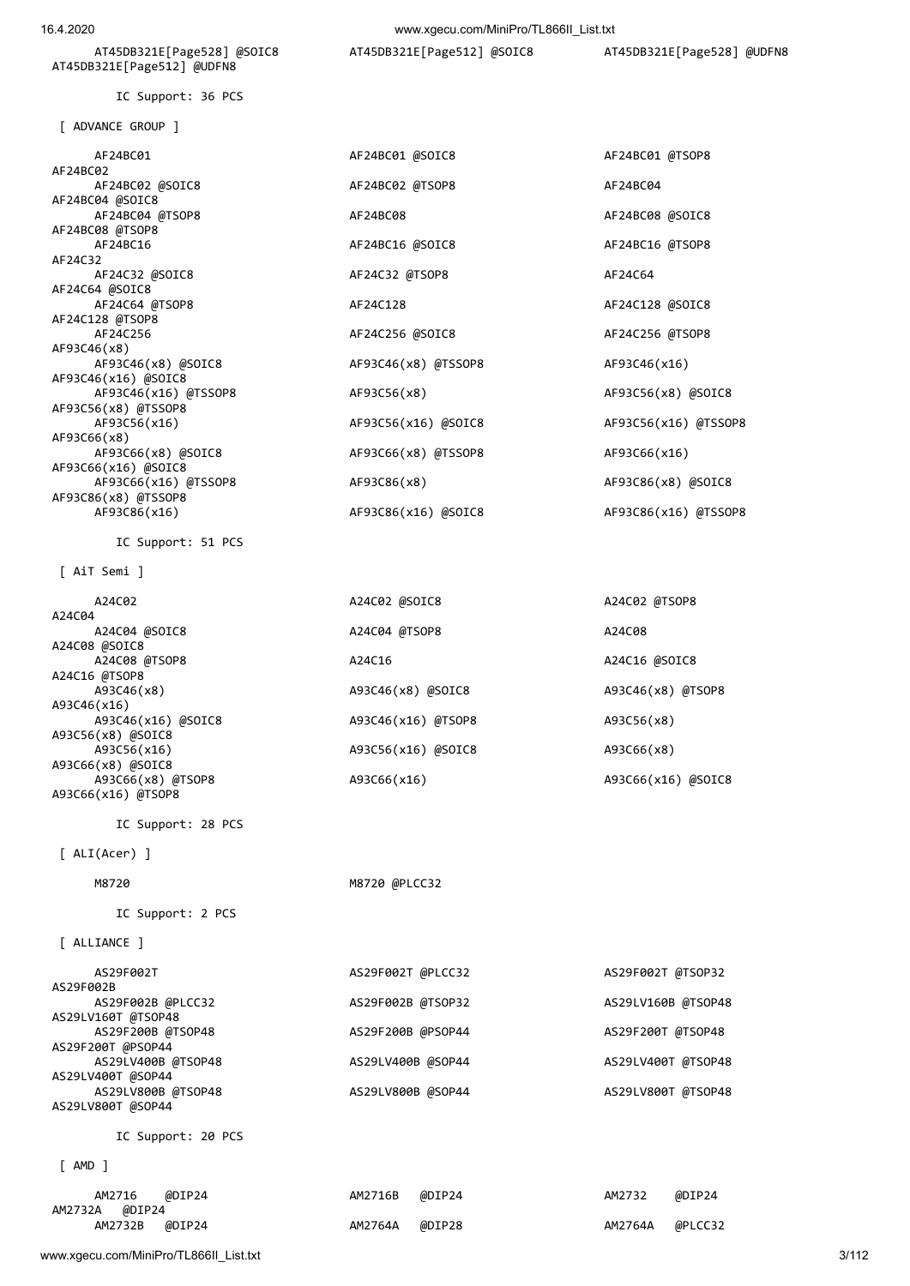www.xgecu.com/MiniPro/TL866II\_List.txt 3/112

| IC Support: 20 PCS                    |         |        |         |         |
|---------------------------------------|---------|--------|---------|---------|
| amd                                   |         |        |         |         |
| @DIP24<br>AM2716<br>@DIP24<br>AM2732A | AM2716B | @DIP24 | AM2732  | @DIP24  |
| @DIP24<br>AM2732B                     | AM2764A | @DIP28 | AM2764A | @PLCC32 |

# [ ALLIANCE ] AS29F002T AS29F002T @PLCC32 AS29F002T @TSOP32 AS29F002B AS29F002B @PLCC32 AS29F002B @TSOP32 AS29LV160B @TSOP48 AS29LV160T @TSOP48 AS29F200B @TSOP48 AS29F200B @PSOP44 AS29F200T @TSOP48 AS29F200T @PSOP44 AS29LV400B @TSOP48 AS29LV400B @SOP44 AS29LV400T @TSOP48 AS29LV400T @SOP44 AS29LV800B @TSOP48 AS29LV800B @SOP44 AS29LV800T @TSOP48 AS29LV800T @SOP44

IC Support: 2 PCS

IC Support: 28 PCS

A24C02 A24C02 @SOIC8

M8720 @PLCC32

| A24C02                                                  | A24C02 @SOIC8      | A24C02 @TSOP8      |
|---------------------------------------------------------|--------------------|--------------------|
|                                                         |                    |                    |
| A24C04 @SOIC8                                           | A24C04 @TSOP8      | A24C08             |
| 3 @SOIC8                                                |                    |                    |
| A24C08 @TSOP8                                           | A24C16             | A24C16 @SOIC8      |
| 5 @TSOP8                                                |                    |                    |
| A93C46(x8)                                              | A93C46(x8) @SOIC8  | A93C46(x8) @TSOP8  |
| 5(x16)                                                  |                    |                    |
| A93C46(x16) @SOIC8                                      | A93C46(x16) @TSOP8 | A93C56(x8)         |
| 5(x8) @SOIC8                                            |                    |                    |
| A93C56(x16)                                             | A93C56(x16) @SOIC8 | A93C66(x8)         |
| 5(x8) @SOIC8                                            |                    |                    |
| A93C66(x8) @TSOP8                                       | A93C66(x16)        | A93C66(x16) @SOIC8 |
| $\sim$ $\sim$ $\sim$ $\sim$ $\sim$ $\sim$ $\sim$ $\sim$ |                    |                    |

# [ AiT Semi ]

A24C08 @SOIC8

A93C46(x16)

A24C16 @TSOP8

A93C56(x8) @SOIC8<br>A93C56(x16)

A93C66(x8) @SOIC8

A93C66(x16) @TSOP8

[ ALI(Acer) ]

A24C04

| AF24BC02 @SOIC8      |
|----------------------|
| AF24BC04 @SOIC8      |
| AF24BC04 @TSOP8      |
| AF24BC08 @TSOP8      |
| AF24BC16             |
| AF24C32              |
| AF24C32 @SOIC8       |
| AF24C64 @SOIC8       |
| AF24C64 @TSOP8       |
| AF24C128 @TSOP8      |
| AF24C256             |
| AF93C46(x8)          |
| AF93C46(x8) @SOIC8   |
| AF93C46(x16) @SOIC8  |
| AF93C46(x16) @TSSOP8 |
| AF93C56(x8) @TSSOP8  |
| AF93C56(x16)         |
| AF93C66(x8)          |
| AF93C66(x8) @SOIC8   |
| AF93C66(x16) @SOIC8  |
| AF93C66(x16) @TSSOP8 |
| AF93C86(x8) @TSSOP8  |
| AF93C86(x16)         |
| IC Support: 51 PCS   |

[ ADVANCE GROUP ]

IC Support: 36 PCS

AT45DB321E[Page512] @UDFN8

AT45DB321E[Page528] @SOIC8 AT45DB321E[Page512] @SOIC8 AT45DB321E[Page528] @UDFN8

AF24BC01 AF24BC01 @SOIC8 AF24BC01 @TSOP8

AF24BC02 @TSOP8 AF24BC04

AF24C32 @TSOP8 AF24C64

AF24BC08 @TSOP\$ AF24BC08 AF24BC08 AF24BC08 AF24BC08 AF24BC08 @

AF24BC16 AF24BC16 @SOIC8 AF24BC16 @TSOP8

AF24C128 **AF24C128 AF24C128 @SOIC8** 

AF24C256 AF24C256 @SOIC8 AF24C256 @TSOP8

AF93C56(x8) <br>AF93C56(x8) <br>AF93C56(x8) <br>AF93C56(x8) <br>AF93C56(x8) <br>AF93C56(x8) <br>AF93C56(x8) <br>AF93C56(x8) <br>AF93C56(x8) <br>AF93C56(x8) <br>AF93C56(x8) <br>AF93C56(x8) <br>AF93C56(x8) <br>AF93C6 <br>AF93C6 <br>AF93C6 <br>AF93C6 <br>AF93C6 <br>AF93C6 <br>AF93C

AF93C86(x8) <br>AF93C86(x8) <br>AF93C86(x8) <br>AF93C86(x8) <br>AF93C86(x8) <br>AF93C86(x8) <br>AF93C86(x8) <br>AF93C86(x8) <br>AF93C86(x8) <br>AF93C86(x8) <br>AF93C86(x8) <br>AF93C86(x8) <br>AF93C86(x8) <br>AF93C86(x8) <br>AF93C86(x8) <br>AF93C86(x8) <br>AF93C86(x8) <br>A

AF93C86(x16) AF93C86(x16) @SOIC8 AF93C86(x16) @TSSOP8

AF93C56(x16) AF93C56(x16) @SOIC8 AF93C56(x16) @TSSOP8

AF93C46(x8) @TSSOP8 AF93C46(x16)

AF93C66(x8) @TSSOP8 AF93C66(x16)

AF24BC02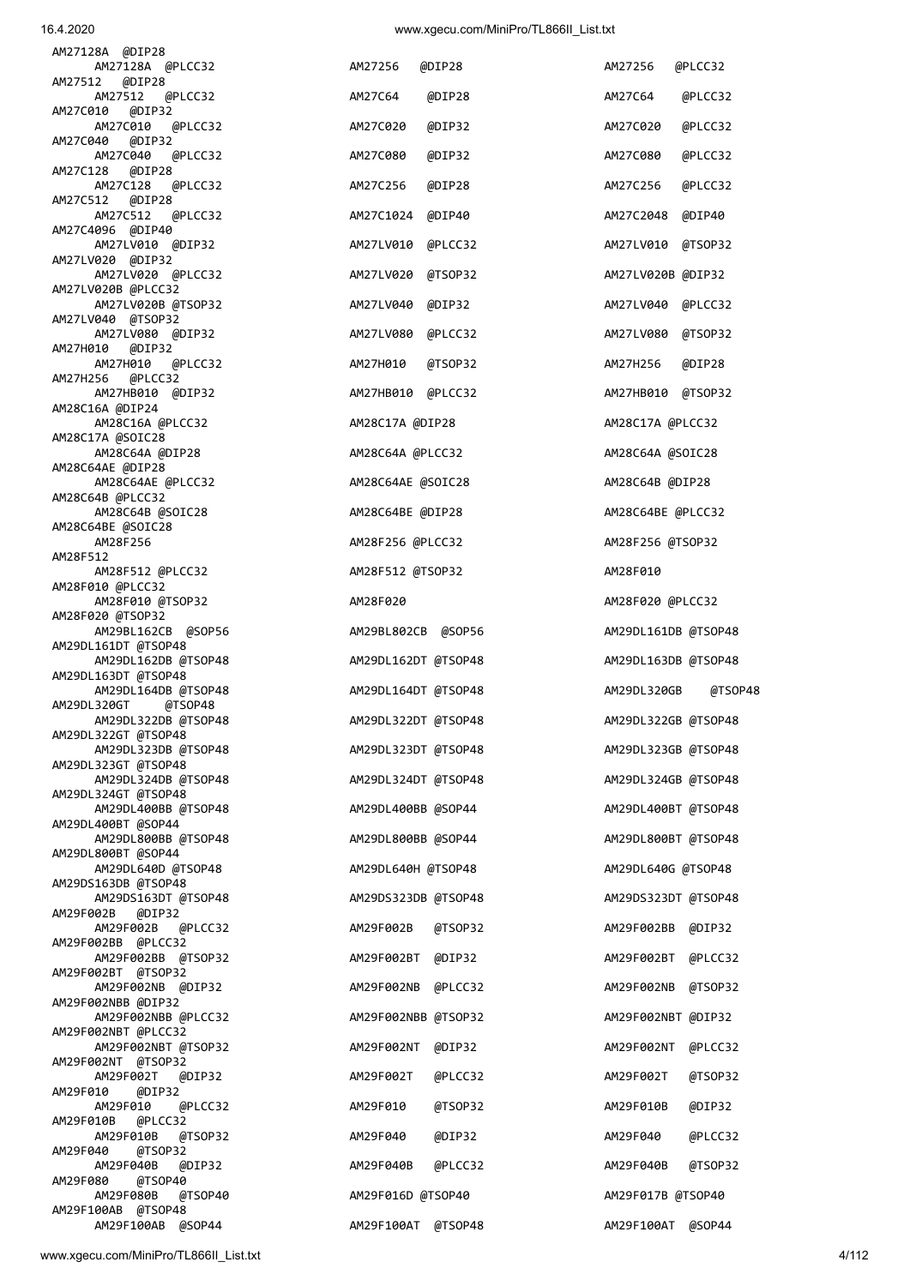| AM27128A @DIP28                               |                       |                        |
|-----------------------------------------------|-----------------------|------------------------|
| AM27128A @PLCC32<br>AM27512<br>@DIP28         | AM27256<br>@DIP28     | AM27256<br>@PLCC32     |
| AM27512<br>@PLCC32<br>AM27C010<br>@DIP32      | AM27C64<br>@DIP28     | AM27C64<br>@PLCC32     |
| AM27C010<br>@PLCC32<br>@DIP32<br>AM27C040     | AM27C020<br>@DIP32    | AM27C020<br>@PLCC32    |
| AM27C040<br>@PLCC32<br>AM27C128<br>@DIP28     | AM27C080<br>@DIP32    | AM27C080<br>@PLCC32    |
| AM27C128<br>@PLCC32<br>AM27C512<br>@DIP28     | AM27C256<br>@DIP28    | AM27C256<br>@PLCC32    |
| AM27C512<br>@PLCC32                           | AM27C1024<br>@DIP40   | @DIP40<br>AM27C2048    |
| AM27C4096 @DIP40<br>AM27LV010 @DIP32          | @PLCC32<br>AM27LV010  | AM27LV010<br>@TSOP32   |
| AM27LV020 @DIP32<br>AM27LV020 @PLCC32         | @TSOP32<br>AM27LV020  | AM27LV020B @DIP32      |
| AM27LV020B @PLCC32<br>AM27LV020B @TSOP32      | @DIP32<br>AM27LV040   | AM27LV040<br>@PLCC32   |
| AM27LV040 @TSOP32<br>AM27LV080 @DIP32         | @PLCC32<br>AM27LV080  | AM27LV080<br>@TSOP32   |
| AM27H010<br>@DIP32<br>AM27H010<br>@PLCC32     | AM27H010<br>@TSOP32   | AM27H256<br>@DIP28     |
| AM27H256<br>@PLCC32<br>AM27HB010 @DIP32       | @PLCC32<br>AM27HB010  | AM27HB010<br>@TSOP32   |
| AM28C16A @DIP24<br>AM28C16A @PLCC32           |                       |                        |
| AM28C17A @SOIC28                              | AM28C17A @DIP28       | AM28C17A @PLCC32       |
| AM28C64A @DIP28<br>AM28C64AE @DIP28           | AM28C64A @PLCC32      | AM28C64A @SOIC28       |
| AM28C64AE @PLCC32<br>AM28C64B @PLCC32         | AM28C64AE @SOIC28     | AM28C64B @DIP28        |
| AM28C64B @SOIC28<br>AM28C64BE @SOIC28         | AM28C64BE @DIP28      | AM28C64BE @PLCC32      |
| AM28F256<br>AM28F512                          | AM28F256 @PLCC32      | AM28F256 @TSOP32       |
| AM28F512 @PLCC32<br>AM28F010 @PLCC32          | AM28F512 @TSOP32      | AM28F010               |
| AM28F010 @TSOP32<br>AM28F020 @TSOP32          | AM28F020              | AM28F020 @PLCC32       |
| AM29BL162CB @SOP56                            | AM29BL802CB @SOP56    | AM29DL161DB @TSOP48    |
| AM29DL161DT @TSOP48<br>AM29DL162DB @TSOP48    | AM29DL162DT @TSOP48   | AM29DL163DB @TSOP48    |
| AM29DL163DT @TSOP48<br>AM29DL164DB @TSOP48    | AM29DL164DT @TSOP48   | @TSOP48<br>AM29DL320GB |
| AM29DL320GT<br>@TSOP48<br>AM29DL322DB @TSOP48 | AM29DL322DT @TSOP48   | AM29DL322GB @TSOP48    |
| AM29DL322GT @TSOP48<br>AM29DL323DB @TSOP48    | AM29DL323DT @TSOP48   | AM29DL323GB @TSOP48    |
| AM29DL323GT @TSOP48<br>AM29DL324DB @TSOP48    | AM29DL324DT @TSOP48   | AM29DL324GB @TSOP48    |
| AM29DL324GT @TSOP48<br>AM29DL400BB @TSOP48    | AM29DL400BB @SOP44    | AM29DL400BT @TSOP48    |
| AM29DL400BT @SOP44<br>AM29DL800BB @TSOP48     | AM29DL800BB @SOP44    | AM29DL800BT @TSOP48    |
| AM29DL800BT @SOP44<br>AM29DL640D @TSOP48      | AM29DL640H @TSOP48    | AM29DL640G @TSOP48     |
| AM29DS163DB @TSOP48                           |                       |                        |
| AM29DS163DT @TSOP48<br>AM29F002B<br>@DIP32    | AM29DS323DB @TSOP48   | AM29DS323DT @TSOP48    |
| AM29F002B @PLCC32<br>AM29F002BB @PLCC32       | AM29F002B<br>@TSOP32  | AM29F002BB @DIP32      |
| AM29F002BB @TSOP32<br>AM29F002BT @TSOP32      | AM29F002BT @DIP32     | AM29F002BT<br>@PLCC32  |
| AM29F002NB @DIP32<br>AM29F002NBB @DIP32       | AM29F002NB<br>@PLCC32 | AM29F002NB<br>@TSOP32  |
| AM29F002NBB @PLCC32<br>AM29F002NBT @PLCC32    | AM29F002NBB @TSOP32   | AM29F002NBT @DIP32     |
| AM29F002NBT @TSOP32<br>AM29F002NT @TSOP32     | AM29F002NT @DIP32     | AM29F002NT<br>@PLCC32  |
| AM29F002T<br>@DIP32                           | AM29F002T<br>@PLCC32  | AM29F002T<br>@TSOP32   |
| AM29F010<br>@DIP32<br>AM29F010<br>@PLCC32     | AM29F010<br>@TSOP32   | AM29F010B<br>@DIP32    |
| @PLCC32<br>AM29F010B<br>AM29F010B<br>@TSOP32  | AM29F040<br>@DIP32    | AM29F040<br>@PLCC32    |
| AM29F040<br>@TSOP32<br>AM29F040B<br>@DIP32    | AM29F040B<br>@PLCC32  | AM29F040B<br>@TSOP32   |
| AM29F080<br>@TSOP40<br>AM29F080B<br>@TSOP40   | AM29F016D @TSOP40     | AM29F017B @TSOP40      |
| AM29F100AB @TSOP48<br>AM29F100AB @SOP44       | AM29F100AT @TSOP48    | AM29F100AT @SOP44      |
|                                               |                       |                        |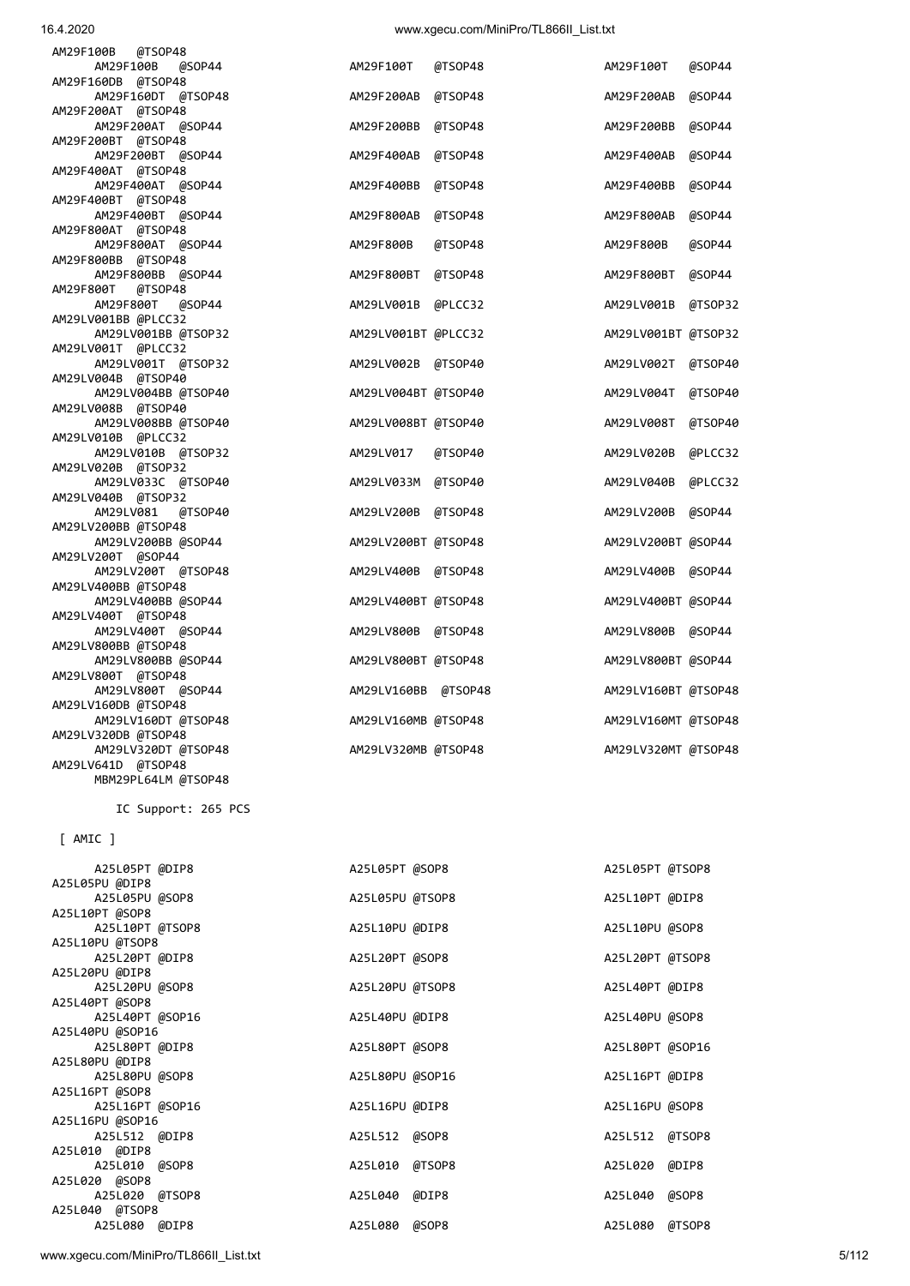www.xgecu.com/MiniPro/TL866II\_List.txt 5/112

|                 | IC SUPPOPT: 265 PCS |                 |                 |  |
|-----------------|---------------------|-----------------|-----------------|--|
| $[$ AMIC $]$    |                     |                 |                 |  |
| A25L05PT @DIP8  |                     | A25L05PT @SOP8  | A25L05PT @TSOP8 |  |
| A25L05PU @DIP8  |                     |                 |                 |  |
| A25L05PU @SOP8  |                     | A25L05PU @TSOP8 | A25L10PT @DIP8  |  |
| A25L10PT @SOP8  |                     |                 |                 |  |
| A25L10PT @TSOP8 |                     | A25L10PU @DIP8  | A25L10PU @SOP8  |  |
| A25L10PU @TSOP8 |                     |                 |                 |  |
| A25L20PT @DIP8  |                     | A25L20PT @SOP8  | A25L20PT @TSOP8 |  |
| A25L20PU @DIP8  |                     |                 |                 |  |
| A25L20PU @SOP8  |                     | A25L20PU @TSOP8 | A25L40PT @DIP8  |  |
| A25L40PT @SOP8  |                     |                 |                 |  |
| A25L40PT @SOP16 |                     | A25L40PU @DIP8  | A25L40PU @SOP8  |  |
| A25L40PU @SOP16 |                     |                 |                 |  |
| A25L80PT @DIP8  |                     | A25L80PT @SOP8  | A25L80PT @SOP16 |  |
| A25L80PU @DIP8  |                     |                 |                 |  |
| A25L80PU @SOP8  |                     | A25L80PU @SOP16 | A25L16PT @DIP8  |  |
| A25L16PT @SOP8  |                     |                 |                 |  |
| A25L16PT @SOP16 |                     | A25L16PU @DIP8  | A25L16PU @SOP8  |  |
| A25L16PU @SOP16 |                     |                 |                 |  |
| A25L512 @DIP8   |                     | A25L512 @SOP8   | A25L512 @TSOP8  |  |
| A25L010 @DIP8   |                     |                 |                 |  |
| A25L010 @SOP8   |                     | A25L010 @TSOP8  | A25L020 @DIP8   |  |
| A25L020 @SOP8   |                     |                 |                 |  |
| A25L020 @TSOP8  |                     | A25L040 @DIP8   | A25L040 @SOP8   |  |
| A25L040 @TSOP8  |                     |                 |                 |  |
| A25L080 @DIP8   |                     | A25L080 @SOP8   | A25L080 @TSOP8  |  |

IC Support: 265 PCS

| AM29F100B<br>@TSOP48<br>AM29F100B<br>@SOP44 | AM29F100T           | @TSOP48 | AM29F100T           | @SOP44  |
|---------------------------------------------|---------------------|---------|---------------------|---------|
| AM29F160DB @TSOP48                          |                     |         |                     |         |
| AM29F160DT @TSOP48                          | AM29F200AB          | @TSOP48 | AM29F200AB          | @SOP44  |
| AM29F200AT @TSOP48                          |                     |         |                     |         |
| AM29F200AT @SOP44                           | AM29F200BB          | @TSOP48 | AM29F200BB          | @SOP44  |
| AM29F200BT @TSOP48                          |                     |         |                     |         |
| AM29F200BT @SOP44                           | AM29F400AB          | @TSOP48 | AM29F400AB          | @SOP44  |
| AM29F400AT @TSOP48                          |                     |         |                     |         |
| AM29F400AT @SOP44                           | AM29F400BB          | @TSOP48 | AM29F400BB          | @SOP44  |
| AM29F400BT @TSOP48                          |                     |         |                     |         |
| AM29F400BT @SOP44                           | AM29F800AB          | @TSOP48 | AM29F800AB          | @SOP44  |
| AM29F800AT @TSOP48                          |                     |         |                     |         |
| AM29F800AT @SOP44                           | AM29F800B           | @TSOP48 | AM29F800B           | @SOP44  |
|                                             |                     |         |                     |         |
| AM29F800BB @TSOP48                          |                     |         |                     |         |
| AM29F800BB @SOP44                           | AM29F800BT          | @TSOP48 | AM29F800BT          | @SOP44  |
| AM29F800T<br>@TSOP48                        |                     |         |                     |         |
| AM29F800T<br>@SOP44                         | AM29LV001B          | @PLCC32 | AM29LV001B          | @TSOP32 |
| AM29LV001BB @PLCC32                         |                     |         |                     |         |
| AM29LV001BB @TSOP32                         | AM29LV001BT @PLCC32 |         | AM29LV001BT @TSOP32 |         |
| AM29LV001T @PLCC32                          |                     |         |                     |         |
| AM29LV001T @TSOP32                          | AM29LV002B          | @TSOP40 | AM29LV002T          | @TSOP40 |
| AM29LV004B @TSOP40                          |                     |         |                     |         |
| AM29LV004BB @TSOP40                         | AM29LV004BT @TSOP40 |         | AM29LV004T          |         |
|                                             |                     |         |                     | @TSOP40 |
| AM29LV008B @TSOP40                          |                     |         |                     |         |
| AM29LV008BB @TSOP40                         | AM29LV008BT @TSOP40 |         | AM29LV008T          | @TSOP40 |
| AM29LV010B @PLCC32                          |                     |         |                     |         |
| AM29LV010B @TSOP32                          | AM29LV017           | @TSOP40 | AM29LV020B          | @PLCC32 |
| AM29LV020B @TSOP32                          |                     |         |                     |         |
| AM29LV033C @TSOP40                          | AM29LV033M          | @TSOP40 | AM29LV040B          | @PLCC32 |
| AM29LV040B @TSOP32                          |                     |         |                     |         |
| AM29LV081<br>@TSOP40                        | AM29LV200B          | @TSOP48 | AM29LV200B          | @SOP44  |
| AM29LV200BB @TSOP48                         |                     |         |                     |         |
| AM29LV200BB @SOP44                          |                     |         |                     |         |
|                                             | AM29LV200BT @TSOP48 |         | AM29LV200BT @SOP44  |         |
| AM29LV200T @SOP44                           |                     |         |                     |         |
| AM29LV200T @TSOP48                          | AM29LV400B @TSOP48  |         | AM29LV400B @SOP44   |         |
| AM29LV400BB @TSOP48                         |                     |         |                     |         |
| AM29LV400BB @SOP44                          | AM29LV400BT @TSOP48 |         | AM29LV400BT @SOP44  |         |
| AM29LV400T @TSOP48                          |                     |         |                     |         |
| AM29LV400T @SOP44                           | AM29LV800B @TSOP48  |         | AM29LV800B @SOP44   |         |
| AM29LV800BB @TSOP48                         |                     |         |                     |         |
| AM29LV800BB @SOP44                          | AM29LV800BT @TSOP48 |         | AM29LV800BT @SOP44  |         |
| AM29LV800T @TSOP48                          |                     |         |                     |         |
| AM29LV800T @SOP44                           | AM29LV160BB @TSOP48 |         | AM29LV160BT @TSOP48 |         |
| AM29LV160DB @TSOP48                         |                     |         |                     |         |
|                                             |                     |         |                     |         |
| AM29LV160DT @TSOP48                         | AM29LV160MB @TSOP48 |         | AM29LV160MT @TSOP48 |         |
| AM29LV320DB @TSOP48                         |                     |         |                     |         |
| AM29LV320DT @TSOP48                         | AM29LV320MB @TSOP48 |         | AM29LV320MT @TSOP48 |         |
| AM29LV641D @TSOP48                          |                     |         |                     |         |
| MBM29PL64LM @TSOP48                         |                     |         |                     |         |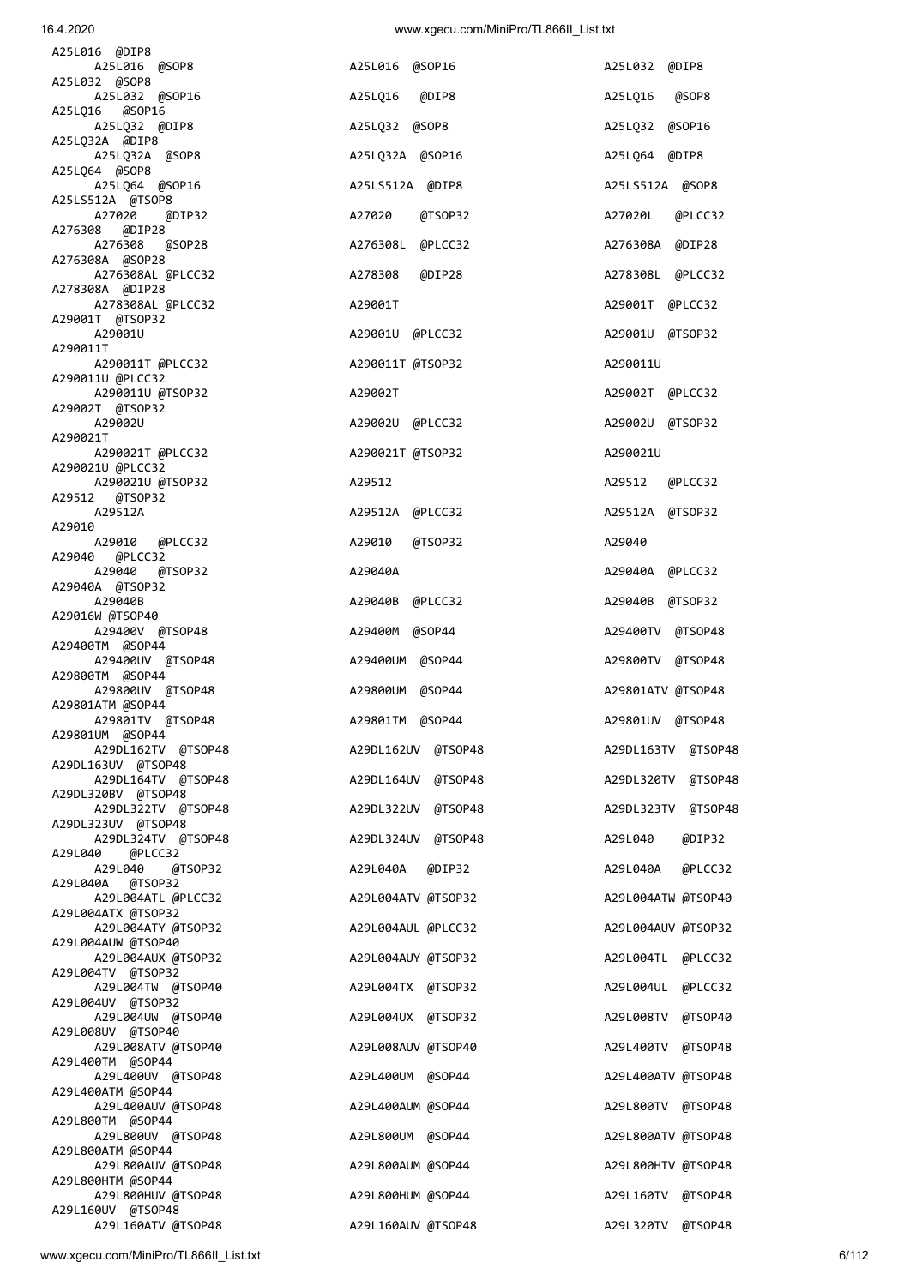| A29010<br>@TSOP32<br>A29040A<br>A29040B @PLCC32<br>A29400M @SOP44<br>A29400UM @SOP44 | A29040<br>A29040A @PLCC32<br>A29040B @TSOP32<br>A29400TV @TSOP48                                                                                                                                                                                             |                                                                                                                                                                                                                                                                                                         |
|--------------------------------------------------------------------------------------|--------------------------------------------------------------------------------------------------------------------------------------------------------------------------------------------------------------------------------------------------------------|---------------------------------------------------------------------------------------------------------------------------------------------------------------------------------------------------------------------------------------------------------------------------------------------------------|
|                                                                                      |                                                                                                                                                                                                                                                              |                                                                                                                                                                                                                                                                                                         |
|                                                                                      |                                                                                                                                                                                                                                                              |                                                                                                                                                                                                                                                                                                         |
|                                                                                      |                                                                                                                                                                                                                                                              |                                                                                                                                                                                                                                                                                                         |
|                                                                                      |                                                                                                                                                                                                                                                              |                                                                                                                                                                                                                                                                                                         |
|                                                                                      |                                                                                                                                                                                                                                                              |                                                                                                                                                                                                                                                                                                         |
|                                                                                      |                                                                                                                                                                                                                                                              |                                                                                                                                                                                                                                                                                                         |
|                                                                                      |                                                                                                                                                                                                                                                              |                                                                                                                                                                                                                                                                                                         |
|                                                                                      |                                                                                                                                                                                                                                                              |                                                                                                                                                                                                                                                                                                         |
|                                                                                      | A29800TV @TSOP48                                                                                                                                                                                                                                             |                                                                                                                                                                                                                                                                                                         |
|                                                                                      |                                                                                                                                                                                                                                                              |                                                                                                                                                                                                                                                                                                         |
| A29800UM @SOP44                                                                      | A29801ATV @TSOP48                                                                                                                                                                                                                                            |                                                                                                                                                                                                                                                                                                         |
|                                                                                      |                                                                                                                                                                                                                                                              |                                                                                                                                                                                                                                                                                                         |
|                                                                                      |                                                                                                                                                                                                                                                              |                                                                                                                                                                                                                                                                                                         |
|                                                                                      |                                                                                                                                                                                                                                                              |                                                                                                                                                                                                                                                                                                         |
|                                                                                      |                                                                                                                                                                                                                                                              |                                                                                                                                                                                                                                                                                                         |
|                                                                                      |                                                                                                                                                                                                                                                              |                                                                                                                                                                                                                                                                                                         |
|                                                                                      |                                                                                                                                                                                                                                                              |                                                                                                                                                                                                                                                                                                         |
|                                                                                      |                                                                                                                                                                                                                                                              |                                                                                                                                                                                                                                                                                                         |
|                                                                                      |                                                                                                                                                                                                                                                              |                                                                                                                                                                                                                                                                                                         |
|                                                                                      |                                                                                                                                                                                                                                                              |                                                                                                                                                                                                                                                                                                         |
|                                                                                      |                                                                                                                                                                                                                                                              |                                                                                                                                                                                                                                                                                                         |
|                                                                                      |                                                                                                                                                                                                                                                              |                                                                                                                                                                                                                                                                                                         |
|                                                                                      |                                                                                                                                                                                                                                                              |                                                                                                                                                                                                                                                                                                         |
|                                                                                      |                                                                                                                                                                                                                                                              |                                                                                                                                                                                                                                                                                                         |
|                                                                                      |                                                                                                                                                                                                                                                              |                                                                                                                                                                                                                                                                                                         |
|                                                                                      |                                                                                                                                                                                                                                                              |                                                                                                                                                                                                                                                                                                         |
|                                                                                      |                                                                                                                                                                                                                                                              |                                                                                                                                                                                                                                                                                                         |
|                                                                                      |                                                                                                                                                                                                                                                              |                                                                                                                                                                                                                                                                                                         |
|                                                                                      |                                                                                                                                                                                                                                                              |                                                                                                                                                                                                                                                                                                         |
|                                                                                      |                                                                                                                                                                                                                                                              |                                                                                                                                                                                                                                                                                                         |
|                                                                                      |                                                                                                                                                                                                                                                              |                                                                                                                                                                                                                                                                                                         |
|                                                                                      |                                                                                                                                                                                                                                                              |                                                                                                                                                                                                                                                                                                         |
|                                                                                      |                                                                                                                                                                                                                                                              |                                                                                                                                                                                                                                                                                                         |
|                                                                                      |                                                                                                                                                                                                                                                              |                                                                                                                                                                                                                                                                                                         |
|                                                                                      |                                                                                                                                                                                                                                                              |                                                                                                                                                                                                                                                                                                         |
| A29L400UM @SOP44                                                                     | A29L400ATV @TSOP48                                                                                                                                                                                                                                           |                                                                                                                                                                                                                                                                                                         |
|                                                                                      |                                                                                                                                                                                                                                                              |                                                                                                                                                                                                                                                                                                         |
| A29L400AUM @SOP44                                                                    | A29L800TV @TSOP48                                                                                                                                                                                                                                            |                                                                                                                                                                                                                                                                                                         |
|                                                                                      |                                                                                                                                                                                                                                                              |                                                                                                                                                                                                                                                                                                         |
| A29L800UM @SOP44                                                                     | A29L800ATV @TSOP48                                                                                                                                                                                                                                           |                                                                                                                                                                                                                                                                                                         |
|                                                                                      |                                                                                                                                                                                                                                                              |                                                                                                                                                                                                                                                                                                         |
| A29L800AUM @SOP44                                                                    | A29L800HTV @TSOP48                                                                                                                                                                                                                                           |                                                                                                                                                                                                                                                                                                         |
|                                                                                      |                                                                                                                                                                                                                                                              |                                                                                                                                                                                                                                                                                                         |
| A29L800HUM @SOP44                                                                    | A29L160TV @TSOP48                                                                                                                                                                                                                                            |                                                                                                                                                                                                                                                                                                         |
|                                                                                      |                                                                                                                                                                                                                                                              |                                                                                                                                                                                                                                                                                                         |
| A29L160AUV @TSOP48                                                                   | A29L320TV @TSOP48                                                                                                                                                                                                                                            |                                                                                                                                                                                                                                                                                                         |
|                                                                                      | A29801TM @SOP44<br>A29DL162UV @TSOP48<br>A29DL164UV @TSOP48<br>A29DL322UV @TSOP48<br>A29DL324UV @TSOP48<br>A29L040A @DIP32<br>A29L004ATL @PLCC32<br>A29L004ATY @TSOP32<br>A29L004AUY @TSOP32<br>A29L004TX @TSOP32<br>A29L004UX @TSOP32<br>A29L008AUV @TSOP40 | A29801UV @TSOP48<br>A29DL163TV @TSOP48<br>A29DL320TV @TSOP48<br>A29DL323TV @TSOP48<br>A29L040<br>@DIP32<br>A29L040A @PLCC32<br>A29L004ATV @TSOP32<br>A29L004ATW @TSOP40<br>A29L004AUL @PLCC32<br>A29L004AUV @TSOP32<br>A29L004TL @PLCC32<br>A29L004UL @PLCC32<br>A29L008TV @TSOP40<br>A29L400TV @TSOP48 |

A25LQ32 @SOP8 A25LQ32 @SOP16

A25LQ32A @SOP16 A25LQ64 @DIP8

A25LS512A @DIP8 A25LS512A @SOP8

A29512A A29512A @PLCC32 A29512A @TSOP32

A25L016 @SOP8 A25L016 @SOP16 A25L032 @DIP8

A25L032 @SOP16 A25LQ16 @DIP8 A25LQ16 @SOP8

A27020 @DIP32 A27020 @TSOP32 A27020L @PLCC32

A278308AL @PLCC32 A29001T A29001T @PLCC32

A290011T @PLCC32 A290011T @TSOP32 A290011U

A290021T @PLCC32 A290021T @TSOP32 A290021U

A276308 @SOP28 A276308L @PLCC32 A276308A @DIP28

A276308AL @PLCC32 A278308 @DIP28 A278308L @PLCC32

A29001U A29001U @PLCC32 A29001U @TSOP32

A290011U @TSOP32 A29002T A29002T @PLCC32

A29002U A29002U @PLCC32 A29002U @TSOP32

A290021U @TSOP32 A29512 A29512 @PLCC32

A25L016 @DIP8

A25L032 @SOP8

A25LQ16 @SOP16<br>A25LQ32 @DIP8

A25LQ32A @DIP8<br>A25LQ32A @SOP8

A25LQ64 @SOP8<br>A25LQ64 @SOP16

A25LS512A @TSOP8<br>A27020 @DIP32

A276308 @DIP28

A276308A @SOP28

A278308A @DIP28

A29001T @TSOP32

A290011U @PLCC32

A29002T @TSOP32

A290021U @PLCC32

A29512 @TSOP32<br>A29512A

A290011T

A290021T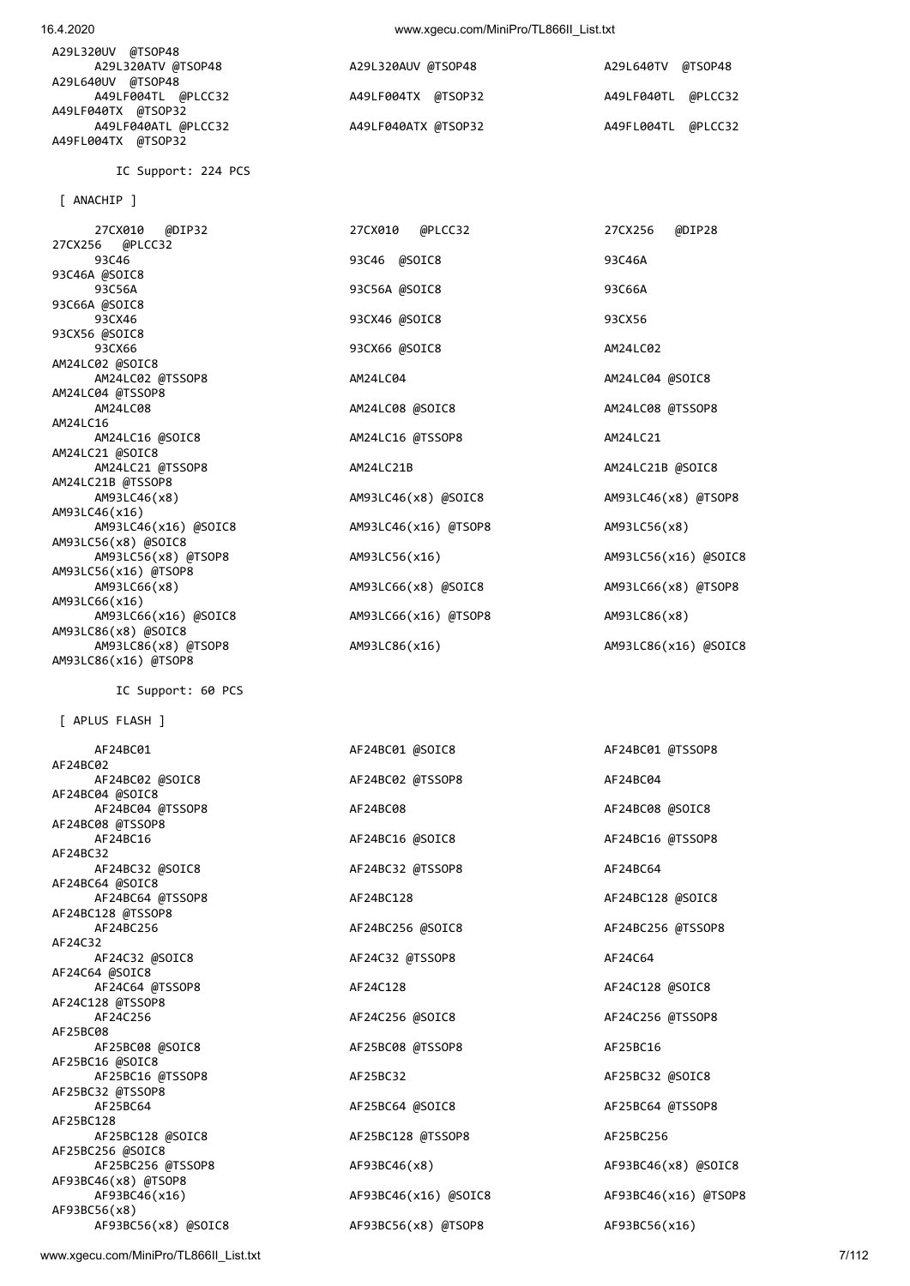| A29L320UV @TSOP48   |                     |                    |
|---------------------|---------------------|--------------------|
| A29L320ATV @TSOP48  | A29L320AUV @TSOP48  | A29L640TV @TSOP48  |
| A29L640UV @TSOP48   |                     |                    |
| A49LF004TL @PLCC32  | A49LF004TX @TSOP32  | A49LF040TL @PLCC32 |
| A49LF040TX @TSOP32  |                     |                    |
| A49LF040ATL @PLCC32 | A49LF040ATX @TSOP32 | A49FL004TL @PLCC32 |
| A49FL004TX @TSOP32  |                     |                    |

IC Support: 224 PCS

[ ANACHIP ]

 27CX010 @DIP32 27CX010 @PLCC32 27CX256 @DIP28 27CX256 @PLCC32 93C46 93C46 @SOIC8 93C46A 93C46A @SOIC8 93C56A 93C56A @SOIC8 93C66A 93C66A @SOIC8 93CX46 93CX46 @SOIC8 93CX56 93CX56 @SOIC8 93CX66 93CX66 @SOIC8 AM24LC02 AM24LC02 @SOIC8 AM24LC02 @TSSOP8 AM24LC04 AM24LC04 @SOIC8 AM24LC04 @TSSOP8<br>AM24LC08 AM24LC16 AM24LC16 @SOIC8 AM24LC16 @TSSOP8 AM24LC21 AM24LC21 @SOIC8 AM24LC21 @TSSOP8 AM24LC21B AM24LC21B AM24LC21B AM24LC21B AM24LC21B AM24LC21B @TSSOP8 AM93LC46(x8) AM93LC46(x8) @SOIC8 AM93LC46(x8) @TSOP8 AM93LC46(x16) AM93LC46(x16) @SOIC8 AM93LC46(x16) @TSOP8 AM93LC56(x8) AM93LC56(x8) @SOIC8 AM93LC56(x8) @TSOP8 AM93LC56(x16) AM93LC56(x16) @SOIC8 AM93LC56(x16) @TSOP8 AM93LC66(x8) AM93LC66(x8) @SOIC8 AM93LC66(x8) @TSOP8 AM93LC66(x16) AM93LC66(x16) @SOIC8 AM93LC66(x16) @TSOP8 AM93LC66(x8) AM93LC86(x8) @SOIC8 AM93LC86(x8) @TSOP8 AM93LC86(x16) AM93LC86(x16) @SOIC8 AM93LC86(x16) @TSOP8

IC Support: 60 PCS

[ APLUS FLASH ]

AF24BC02 AF24BC02 @SOIC8 AF24BC02 @TSSOP8 AF24BC04 AF24BC04 @SOIC8 AF24BC04 @TSSOP8 AF24BC08 AF24BC08 @SOIC8 AF24BC08 @TSSOP8 AF24BC16 AF24BC16 @SOIC8 AF24BC16 @TSSOP8 AF24BC32 AF24BC32 @SOIC8 AF24BC32 @TSSOP8 AF24BC64 AF24BC64 @SOIC8 AF24BC64 @TSSOP8 AF24BC128 AF24BC128 @SOIC8 AF24BC128 @TSSOP8 AF24BC256 AF24BC256 @SOIC8 AF24BC256 @TSSOP8 AF24C32 AF24C32 @SOIC8 AF24C32 @TSSOP8 AF24C64 AF24C64 @SOIC8 AF24C64 @TSSOP8 AF24C128 AF24C128 @SOIC8 AF24C128 @TSSOP8 AF24C256 AF24C256 @SOIC8 AF24C256 @TSSOP8 AF25BC08<br>AF25BC08 @SOIC8 AF25BC16 @SOIC8 AF25BC16 @TSSOP8 AF25BC32 AF25BC32 @SOIC8 AF25BC32 @TSSOP8 AF25BC64 AF25BC64 AF25BC64 ASOIC8 AF25BC64 AF25BC64 AF25BC64 AF25BC64 AF25BC64 AF25BC64 AF25BC64 AF25BC64 AF25BC64 AF25BC64 AF25BC64 AF25BC64 AF25BC64 AF25BC64 AF25BC64 AF25BC64 AF25BC64 AF25BC64 AF25BC64 AF25BC64 AF25BC64 AF25BC128 AF25BC128 @SOIC8 AF25BC128 @TSSOP8 AF25BC256 AF25BC256 @SOIC8 AF25BC256 @TSSOP8 AF93BC46(x8) AF93BC46(x8) AF93BC46(x8) @TSOP8<br>AF93BC46(x16) AF93BC56(x8) AF93BC56(x8) @SOIC8 AF93BC56(x8) @TSOP8 AF93BC56(x16)

AM24LC08 @SOIC8 AM24LC08 AM24LC08 AM24LC08 AM24LC08 AM24LC08 AM24LC08 AM24LC08 AM24LC08 AM24LC08 AM

 AF24BC01 AF24BC01 @SOIC8 AF24BC01 @TSSOP8 AF25BC08 @TSSOP8 AF25BC16

AF93BC46(x16) AF93BC46(x16) @SOIC8 AF93BC46(x16) @TSOP8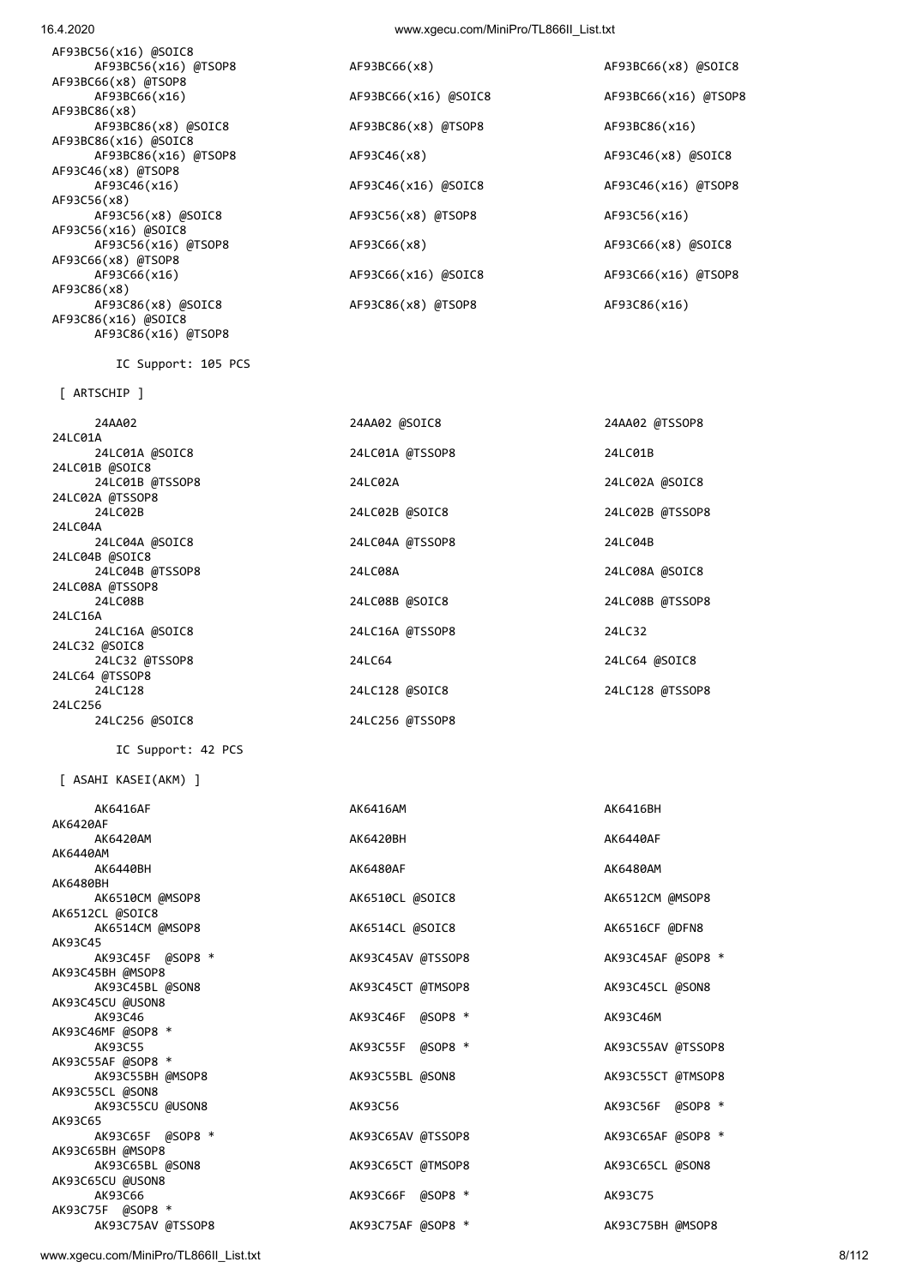www.xgecu.com/MiniPro/TL866II\_List.txt 8/112

| 24LC16A @SOIC8                     | 24LC16A @TSSOP8   | 24LC32         |
|------------------------------------|-------------------|----------------|
| 24LC32 @SOIC8                      |                   |                |
| 24LC32 @TSSOP8                     | 24LC64            | 24LC64 @SOIC8  |
| 24LC64 @TSSOP8                     |                   |                |
| 24LC128                            | 24LC128 @SOIC8    | 24LC128 @TSS0  |
| 24LC256                            |                   |                |
| 24LC256 @SOIC8                     | 24LC256 @TSSOP8   |                |
| IC Support: 42 PCS                 |                   |                |
| [ ASAHI KASEI(AKM) ]               |                   |                |
| AK6416AF                           | AK6416AM          | AK6416BH       |
| <b>AK6420AF</b>                    |                   |                |
| AK6420AM                           | AK6420BH          | AK6440AF       |
| AK6440AM                           |                   |                |
| AK6440BH                           | AK6480AF          | AK6480AM       |
| AK6480BH                           |                   | AK6512CM @MSO  |
| AK6510CM @MSOP8<br>AK6512CL @SOIC8 | AK6510CL @SOIC8   |                |
| AK6514CM @MSOP8                    | AK6514CL @SOIC8   | AK6516CF @DFN  |
| AK93C45                            |                   |                |
| AK93C45F @SOP8 *                   | AK93C45AV @TSSOP8 | AK93C45AF @SO  |
| AK93C45BH @MSOP8                   |                   |                |
| AK93C45BL @SON8                    | AK93C45CT @TMSOP8 | AK93C45CL @SOI |
| AK93C45CU @USON8                   |                   |                |
| AK93C46                            | AK93C46F @SOP8 *  | AK93C46M       |
| AK93C46MF @SOP8 *                  |                   |                |
| AK93C55                            | AK93C55F @SOP8 *  | AK93C55AV @TS: |
| AK93C55AF @SOP8 *                  |                   |                |
| AK93C55BH @MSOP8                   | AK93C55BL @SON8   | AK93C55CT @TM  |
| AK93C55CL @SON8                    |                   | AK93C56F       |
| AK93C55CU @USON8<br>AK93C65        | AK93C56           | @SO            |
| AK93C65F @SOP8 *                   | AK93C65AV @TSSOP8 | AK93C65AF @SO  |
| AK93C65BH @MSOP8                   |                   |                |
| AK93C65BL @SON8                    | AK93C65CT @TMSOP8 | AK93C65CL @SOI |
| AK93C65CU @USON8                   |                   |                |
| AK93C66                            | AK93C66F @SOP8 *  | AK93C75        |
| AK93C75F @SOP8 *                   |                   |                |
| AK93C75AV @TSSOP8                  | AK93C75AF @SOP8 * | AK93C75BH @MS  |
|                                    |                   |                |

| ן הגווטכוורה ן        |  |
|-----------------------|--|
| 24AA02                |  |
| 24LC01A               |  |
| 24LC01A @SOIC8        |  |
| 24LC01B @SOIC8        |  |
| 24LC01B @TSSOP8       |  |
| 24LC02A @TSSOP8       |  |
| 241 CO <sub>2</sub> B |  |
| 24LC04A               |  |
| 24LC04A @SOIC8        |  |
| 24LC04B @SOIC8        |  |
| 24LC04B @TSSOP8       |  |
| 24LC08A @TSSOP8       |  |
| 24LC08B               |  |
| 24LC16A               |  |
| 24LC16A @SOIC8        |  |
| 24LC32 @SOIC8         |  |
| 24LC32 @TSSOP8        |  |
| 24LC64 @TSSOP8        |  |
| 24LC128               |  |
| 211025c               |  |

IC Support: 105 PCS

[ ARTSCHIP ]

| AF93BC56(x16) @TSOP8                       |
|--------------------------------------------|
| AF93BC66(x8) @TSOP8<br>AF93BC66(x16)       |
| AF93BC86(x8)                               |
| AF93BC86(x8) @SOIC8                        |
| AF93BC86(x16) @SOIC8                       |
| AF93BC86(x16) @TSOP8<br>AF93C46(x8) @TSOP8 |
| AF93C46(x16)                               |
| AF93C56(x8)                                |
| AF93C56(x8) @SOIC8                         |
| AF93C56(x16) @SOIC8<br>AF93C56(x16) @TSOP8 |
| AF93C66(x8) @TSOP8                         |
| AF93C66(x16)                               |
| AF93C86(x8)                                |
| AF93C86(x8) @SOIC8                         |
| AF93C86(x16) @SOIC8<br>AF93C86(x16) @TSOP8 |
|                                            |

AF93BC86(x8) @TSOP8 AF93BC86(x16) AF93C56(x8) @TSOP8 AF93C56(x16) AF93C86(x8) @TSOP8 AF93C86(x16)

 24AA02 24AA02 @SOIC8 24AA02 @TSSOP8 24LC01A @TSSOP8 24LC01B 24LC02A 24LC02A 24LC02A 24LC02A 24LC02A 24LC02A 24LC02A 24LC02A 24LC02A 24LC02A 24LC02B 24LC02B @SOIC8 24LC02B @TSSOP8 24LC04A @TSSOP8 24LC04B 24LC08A 24LC08A 24LC08A 24LC08A 24LC08A 24LC08A 24LC08A 24LC08A 24LC08A 24LC08A 24LC08A 24LC08A 25 24LC08B 24LC08B @SOIC8 24LC08B @TSSOP8 24LC128 @TSSOP8

AF93BC66(x8) <br>AF93BC66(x8) <br>AF93BC66(x8) <br>AF93BC66(x8) <br>AF93BC66(x8) <br>AF93BC66(x8) <br>AF93BC66(x8) <br>AF93BC66(x8) <br>AF93BC66(x8) <br>AF93BC66(x8) <br>AF93BC66(x8) <br>AF93BC66(x8) <br>AF93BC66(x8) <br>AF93BC66(x8) <br>AF93BC66(x8) <br>AF93BC66(x8) AF93BC66(x16) AF93BC66(x16) @SOIC8 AF93BC66(x16) @TSOP8 AF93C46(x8) <br>AF93C46(x8) <br>AF93C46(x8) <br>AF93C46(x8) <br>AF93C46(x8) <br>AF93C46(x8) <br>AF93C46(x8) <br>AF93C46(x8) <br>AF93C46(x8) <br>AF93C46(x8) <br>AF93C46(x8) <br>AF93C46(x8) <br>AF93C46(x8) <br>AF93C46(x8) <br>AF93C46(x8) <br>AF93C46(x8) <br>AF93C46(x8) <br>A AF93C46(x16) AF93C46(x16) @SOIC8 AF93C46(x16) @TSOP8 AF93C66(x8) <br>AF93C66(x8) <br>AF93C66(x8) <br>AF93C66(x8) <br>AF93C66(x8) <br>AF93C66(x8) <br>AF93C66(x8) <br>AF93C66(x8) <br>AF93C66(x8) <br>AF93C66(x8) <br>AF93C64 AF93C66(x16) AF93C66(x16) @SOIC8 AF93C66(x16) @TSOP8

> AK6512CM @MSOP8 AK6516CF @DFN8 AK93C45AF @SOP8 \* AK93C45CL @SON8 AK93C55AV @TSSOP8 AK93C55CT @TMSOP8 AK93C56F @SOP8 \* AK93C65AF @SOP8 \* AK93C65CL @SON8 AK93C75BH @MSOP8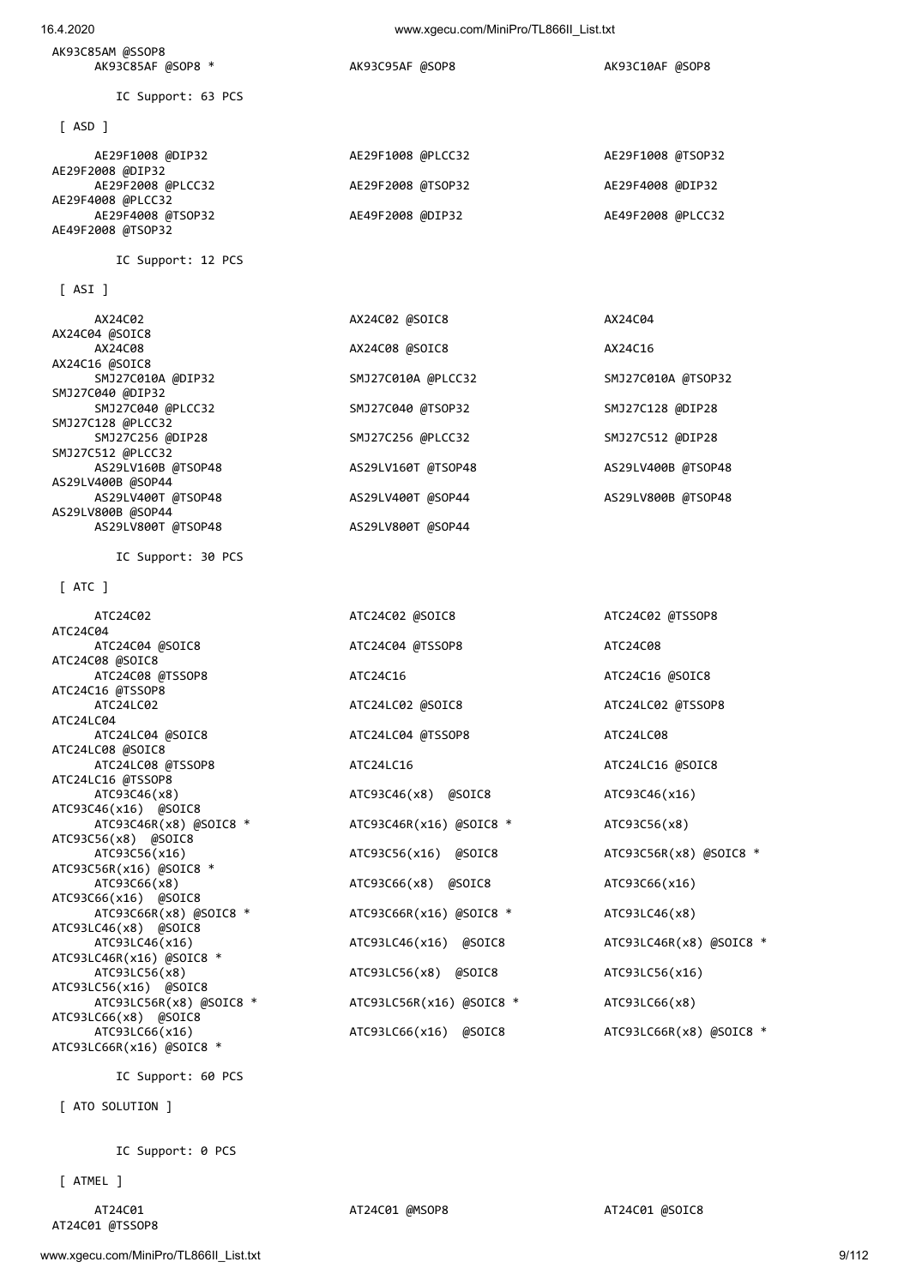#### AK93C85AM @SSOP8 AK93C85AF @SOP8 \* AK93C95AF @SOP8 AK93C10AF @SOP8

AE49F2008 @TSOP32

[ ASI ]

IC Support: 63 PCS

| [ ASD ]                                |                   |                   |
|----------------------------------------|-------------------|-------------------|
| AE29F1008 @DIP32<br>AE29F2008 @DIP32   | AE29F1008 @PLCC32 | AE29F1008 @TSOP32 |
| AE29F2008 @PLCC32<br>AE29F4008 @PLCC32 | AE29F2008 @TSOP32 | AE29F4008 @DIP32  |
| AE29F4008 @TSOP32                      | AE49F2008 @DIP32  | AE49F2008 @PLCC32 |

### IC Support: 12 PCS

| AX24C02                   | AX24C02 @SOIC8     | AX24C04            |
|---------------------------|--------------------|--------------------|
| AX24C04 @SOIC8<br>AX24C08 | AX24C08 @SOIC8     | AX24C16            |
| AX24C16 @SOIC8            |                    |                    |
| SMJ27C010A @DIP32         | SMJ27C010A @PLCC32 | SMJ27C010A @TSOP32 |
| SMJ27C040 @DIP32          |                    |                    |
| SMJ27C040 @PLCC32         | SMJ27C040 @TSOP32  | SMJ27C128 @DIP28   |
| SMJ27C128 @PLCC32         |                    |                    |
| SMJ27C256 @DIP28          | SMJ27C256 @PLCC32  | SMJ27C512 @DIP28   |
| SMJ27C512 @PLCC32         |                    |                    |
| AS29LV160B @TSOP48        | AS29LV160T @TSOP48 | AS29LV400B @TSOP48 |
| AS29LV400B @SOP44         |                    |                    |
| AS29LV400T @TSOP48        | AS29LV400T @SOP44  | AS29LV800B @TSOP48 |
| AS29LV800B @SOP44         |                    |                    |
| AS29LV800T @TSOP48        | AS29LV800T @SOP44  |                    |

IC Support: 30 PCS

#### [ ATC ]

 ATC24C02 ATC24C02 @SOIC8 ATC24C02 @TSSOP8 ATC24C04 ATC24C04 @SOIC8 ATC24C04 @TSSOP8 ATC24C08 ATC24C08 @SOIC8 ATC24C08 @TSSOP8 ATC24C16 ATC24C16 ATC24C16 ATC24C16 ATC24C16 ATC24C16 ATC24C16 ATC24C16 ATC24C16 ATC24C16 ATC24C16 ATC24C16 ATC24C16 ATC24C16 ATC24C16 ATC24C16 ATC24C16 ATC24C16 ATC24C16 ATC24C16 ATC24C16 ATC24C16 ATC24C1 ATC24C16 @TSSOP8 ATC24LC02 ATC24LC02 @SOIC8 ATC24LC02 @TSSOP8 ATC24LC04 ATC24LC04 @SOIC8 ATC24LC04 @TSSOP8 ATC24LC08 ATC24LC08 @SOIC8 ATC24LC08 @TSSOP8 ATC24LC16 ATC24LC16 @SOIC8 ATC24LC16 @TSSOP8 ATC93C46(x8) ATC93C46(x8) @SOIC8 ATC93C46(x16) ATC93C46(x16) @SOIC8 ATC93C46R(x8) @SOIC8 \* ATC93C46R(x16) @SOIC8 \* ATC93C56(x8) ATC93C56(x8) @SOIC8 ATC93C56R(x16) @SOIC8 \* ATC93C66(x16) @SOIC8<br>ATC93C66R(x8) @SOIC8 \* ATC93LC46(x8) @SOIC8 ATC93LC46R(x16) @SOIC8 \* ATC93LC56(x8) ATC93LC56(x8) @SOIC8 ATC93LC56(x16) ATC93LC56(x16) @SOIC8 ATC93LC56R(x8) @SOIC8 \* ATC93LC56R(x16) @SOIC8 \* ATC93LC66(x8) ATC93LC66(x8) @SOIC8 ATC93LC66(x16) ATC93LC66(x16)  $\alpha$ ATC93LC66R(x8)  $\alpha$ SOIC8 \* ATC93LC66R(x16) @SOIC8 \*

# IC Support: 60 PCS

[ ATO SOLUTION ]

IC Support: 0 PCS

[ ATMEL ]

AT24C01 @TSSOP8

ATC93C56(x16) @SOIC8 ATC93C56R(x8) @SOIC8 \* ATC93C66(x8) ATC93C66(x8) @SOIC8 ATC93C66(x16)  $ATC93C66R(x16)$   $@SOTC8$  \*  $ATC93LC46(x8)$ ATC93LC46(x16) @SOIC8 ATC93LC46R(x8) @SOIC8 \*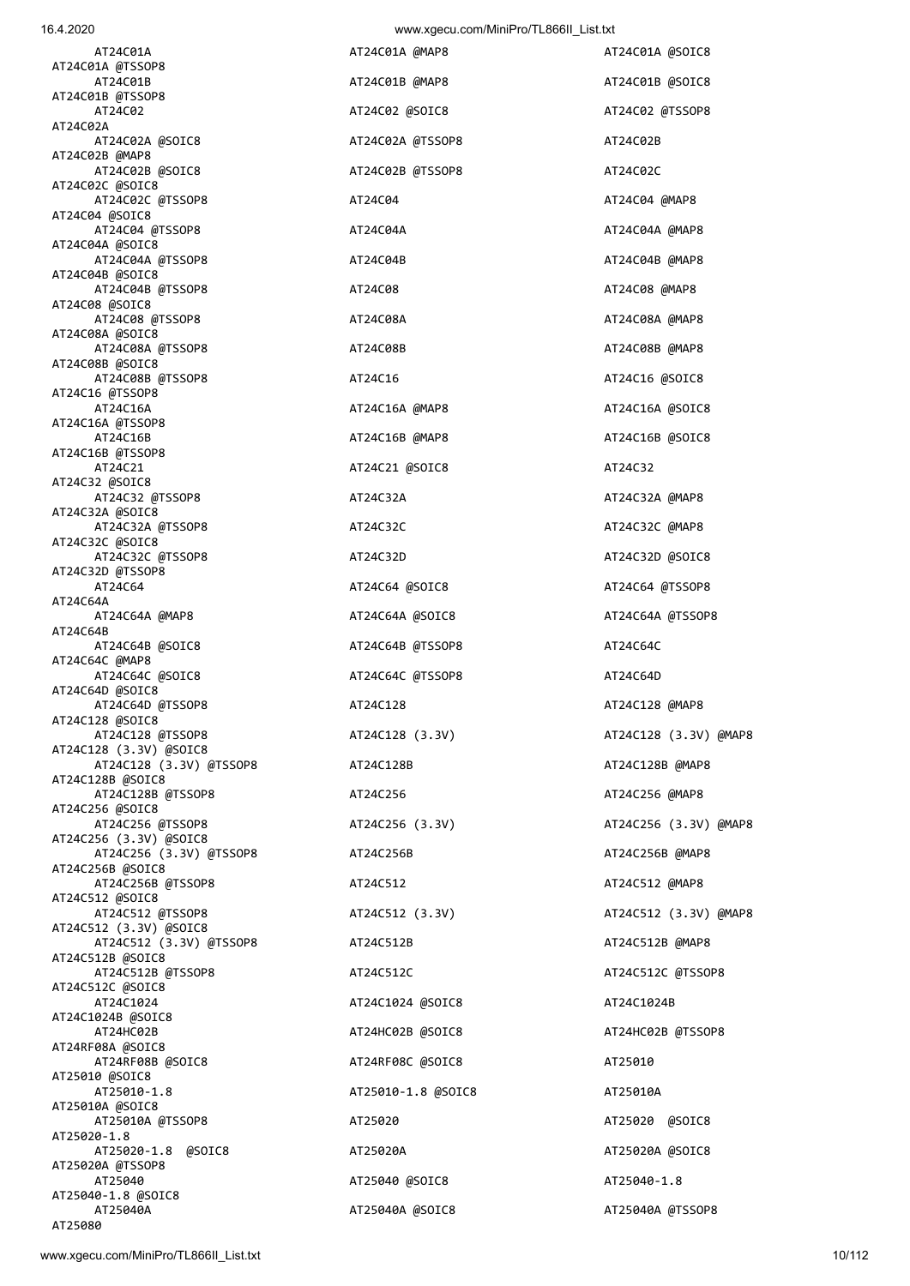| AT24C01A                                          | AT24C01A @MAP8     | AT24C01A @SOIC8       |
|---------------------------------------------------|--------------------|-----------------------|
| AT24C01A @TSSOP8<br>AT24C01B                      | AT24C01B @MAP8     | AT24C01B @SOIC8       |
| AT24C01B @TSSOP8<br>AT24C02                       | AT24C02 @SOIC8     | AT24C02 @TSSOP8       |
| AT24C02A<br>AT24C02A @SOIC8                       | AT24C02A @TSSOP8   | AT24C02B              |
| AT24C02B @MAP8<br>AT24C02B @SOIC8                 | AT24C02B @TSSOP8   | AT24C02C              |
| AT24C02C @SOIC8<br>AT24C02C @TSSOP8               |                    |                       |
| AT24C04 @SOIC8                                    | AT24C04            | AT24C04 @MAP8         |
| AT24C04 @TSSOP8<br>AT24C04A @SOIC8                | AT24C04A           | AT24C04A @MAP8        |
| AT24C04A @TSSOP8<br>AT24C04B @SOIC8               | AT24C04B           | AT24C04B @MAP8        |
| AT24C04B @TSSOP8<br>AT24C08 @SOIC8                | AT24C08            | AT24C08 @MAP8         |
| AT24C08 @TSSOP8<br>AT24C08A @SOIC8                | AT24C08A           | AT24C08A @MAP8        |
| AT24C08A @TSSOP8<br>AT24C08B @SOIC8               | AT24C08B           | AT24C08B @MAP8        |
| AT24C08B @TSSOP8                                  | AT24C16            | AT24C16 @SOIC8        |
| AT24C16 @TSSOP8<br>AT24C16A                       | AT24C16A @MAP8     | AT24C16A @SOIC8       |
| AT24C16A @TSSOP8<br>AT24C16B                      | AT24C16B @MAP8     | AT24C16B @SOIC8       |
| AT24C16B @TSSOP8<br>AT24C21                       | AT24C21 @SOIC8     | AT24C32               |
| AT24C32 @SOIC8<br>AT24C32 @TSSOP8                 | AT24C32A           | AT24C32A @MAP8        |
| AT24C32A @SOIC8<br>AT24C32A @TSSOP8               | AT24C32C           | AT24C32C @MAP8        |
| AT24C32C @SOIC8<br>AT24C32C @TSSOP8               | AT24C32D           | AT24C32D @SOIC8       |
| AT24C32D @TSSOP8                                  |                    |                       |
| AT24C64<br>AT24C64A                               | AT24C64 @SOIC8     | AT24C64 @TSSOP8       |
| AT24C64A @MAP8<br>AT24C64B                        | AT24C64A @SOIC8    | AT24C64A @TSSOP8      |
| AT24C64B @SOIC8<br>AT24C64C @MAP8                 | AT24C64B @TSSOP8   | AT24C64C              |
| AT24C64C @SOIC8<br>AT24C64D @SOIC8                | AT24C64C @TSSOP8   | AT24C64D              |
| AT24C64D @TSSOP8<br>AT24C128 @SOIC8               | AT24C128           | AT24C128 @MAP8        |
| AT24C128 @TSSOP8<br>AT24C128 (3.3V) @SOIC8        | AT24C128 (3.3V)    | AT24C128 (3.3V) @MAP8 |
| AT24C128 (3.3V) @TSSOP8                           | AT24C128B          | AT24C128B @MAP8       |
| AT24C128B @SOIC8<br>AT24C128B @TSSOP8             | AT24C256           | AT24C256 @MAP8        |
| AT24C256 @SOIC8<br>AT24C256 @TSSOP8               | AT24C256 (3.3V)    | AT24C256 (3.3V) @MAP8 |
| AT24C256 (3.3V) @SOIC8<br>AT24C256 (3.3V) @TSSOP8 | AT24C256B          | AT24C256B @MAP8       |
| AT24C256B @SOIC8<br>AT24C256B @TSSOP8             | AT24C512           | AT24C512 @MAP8        |
| AT24C512 @SOIC8<br>AT24C512 @TSSOP8               | AT24C512 (3.3V)    | AT24C512 (3.3V) @MAP8 |
| AT24C512 (3.3V) @SOIC8<br>AT24C512 (3.3V) @TSSOP8 | AT24C512B          | AT24C512B @MAP8       |
| AT24C512B @SOIC8<br>AT24C512B @TSSOP8             |                    |                       |
| AT24C512C @SOIC8                                  | AT24C512C          | AT24C512C @TSSOP8     |
| AT24C1024<br>AT24C1024B @SOIC8                    | AT24C1024 @SOIC8   | AT24C1024B            |
| AT24HC02B<br>AT24RF08A @SOIC8                     | AT24HC02B @SOIC8   | AT24HC02B @TSSOP8     |
| AT24RF08B @SOIC8<br>AT25010 @SOIC8                | AT24RF08C @SOIC8   | AT25010               |
| AT25010-1.8<br>AT25010A @SOIC8                    | AT25010-1.8 @SOIC8 | AT25010A              |
| AT25010A @TSSOP8<br>AT25020-1.8                   | AT25020            | AT25020 @SOIC8        |
| AT25020-1.8 @SOIC8<br>AT25020A @TSSOP8            | AT25020A           | AT25020A @SOIC8       |
| AT25040                                           | AT25040 @SOIC8     | AT25040-1.8           |
| AT25040-1.8 @SOIC8<br>AT25040A                    | AT25040A @SOIC8    | AT25040A @TSSOP8      |
| AT25080                                           |                    |                       |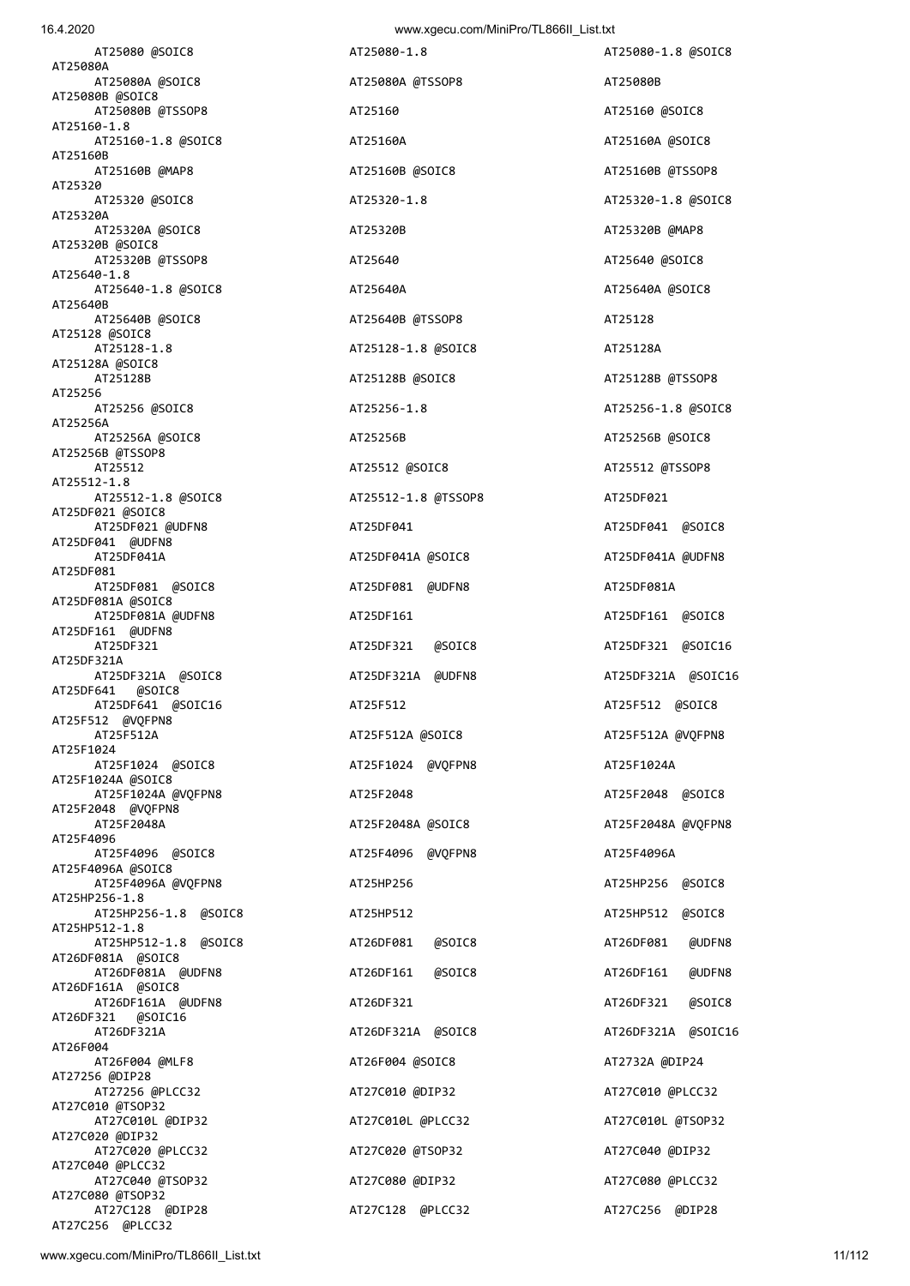AT25080 @SOIC8 AT25080-1.8 AT25080-1.8 @SOIC8 AT25080A AT25080A @SOIC8 AT25080A @TSSOP8 AT25080B AT25080B @SOIC8 AT25080B @TSSOP8 AT25160 AT25160 @SOIC8 AT25160-1.8 AT25160-1.8 @SOIC8 AT25160A AT25160A @SOIC8 AT25160B AT25160B @MAP8 AT25160B @SOIC8 AT25160B @TSSOP8 AT25320 AT25320 @SOIC8 AT25320-1.8 AT25320-1.8 @SOIC8 AT25320A AT25320A @SOIC8 AT25320B AT25320B @MAP8 AT25320B @SOIC8 AT25320B @TSSOP8 AT25640 AT25640 @SOIC8 AT25640-1.8 AT25640-1.8 @SOIC8 AT25640A AT25640A @SOIC8 AT25640B AT25640B @SOIC8 AT25640B @TSSOP8 AT25128 AT25128 @SOIC8 AT25128-1.8 AT25128-1.8 @SOIC8 AT25128A AT25128A @SOIC8 AT25256<br>AT25256 @SOIC8 AT25256A AT25256A @SOIC8 AT25256B AT25256B @SOIC8 AT25256B @TSSOP8 AT25512 AT25512 @SOIC8 AT25512 @TSSOP8 AT25512-1.8 AT25512-1.8 @SOIC8 AT25512-1.8 @TSSOP8 AT25DF021 AT25DF021 @SOIC8 AT25DF021 @UDFN8 AT25DF041 AT25DF041 @SOIC8 AT25DF041 @UDFN8 AT25DF041A AT25DF041A @SOIC8 AT25DF041A @UDFN8 AT25DF081 AT25DF081 @SOIC8 AT25DF081 @UDFN8 AT25DF081A AT25DF081A @SOIC8 AT25DF081A @UDFN8 AT25DF161 AT25DF161 @SOIC8 AT25DF161 @UDFN8 AT25DF321 AT25DF321 @SOIC8 AT25DF321 @SOIC16 AT25DF321A AT25DF321A @SOIC8 AT25DF321A @UDFN8 AT25DF321A @SOIC16 AT25DF641 @SOIC8 AT25DF641 @SOIC16 AT25F512 AT25F512 @SOIC8 AT25F512 @VQFPN8 AT25F512A AT25F512A @SOIC8 AT25F512A @VQFPN8 AT25F1024 AT25F1024 @SOIC8 AT25F1024 @VQFPN8 AT25F1024A AT25F1024A @SOIC8 AT25F1024A @VQFPN8 AT25F2048 AT25F2048 @SOIC8 AT25F2048 @VQFPN8 AT25F2048A AT25F2048A @SOIC8 AT25F2048A @VQFPN8 AT25F4096 AT25F4096 @SOIC8 AT25F4096 @VQFPN8 AT25F4096A AT25F4096A @SOIC8 AT25F4096A @VQFPN8 AT25HP256 AT25HP256 @SOIC8 AT25HP256-1.8 AT25HP256-1.8 @SOIC8 AT25HP512 AT25HP512 @SOIC8 AT25HP512-1.8 AT25HP512-1.8 @SOIC8 AT26DF081 @SOIC8 AT26DF081 @UDFN8 AT26DF081A @SOIC8 AT26DF081A @UDFN8 AT26DF161 @SOIC8 AT26DF161 @UDFN8 AT26DF161A @SOIC8 AT26DF161A @UDFN8 AT26DF321 AT26DF321 @SOIC8 AT26DF321 @SOIC16 AT26DF321A AT26DF321A @SOIC8 AT26DF321A @SOIC16 AT26F004 AT26F004 @MLF8 AT26F004 @SOIC8 AT2732A @DIP24 AT27256 @DIP28 AT27256 @PLCC32 AT27C010 @DIP32 AT27C010 @PLCC32 AT27C010 @TSOP32 AT27C010L @DIP32 AT27C010L @PLCC32 AT27C010L @TSOP32 AT27C020 @DIP32 AT27C020 @PLCC32 AT27C020 @TSOP32 AT27C040 @DIP32 AT27C040 @PLCC32 AT27C040 @TSOP32 AT27C080 @DIP32 AT27C080 @PLCC32 AT27C080 @TSOP32

16.4.2020 www.xgecu.com/MiniPro/TL866II\_List.txt

 AT25128B AT25128B @SOIC8 AT25128B @TSSOP8 AT25256 @SOIC8 AT25256-1.8 AT25256-1.8 @SOIC8 AT27C128 @DIP28 AT27C128 @PLCC32 AT27C256 @DIP28

AT27C256 @PLCC32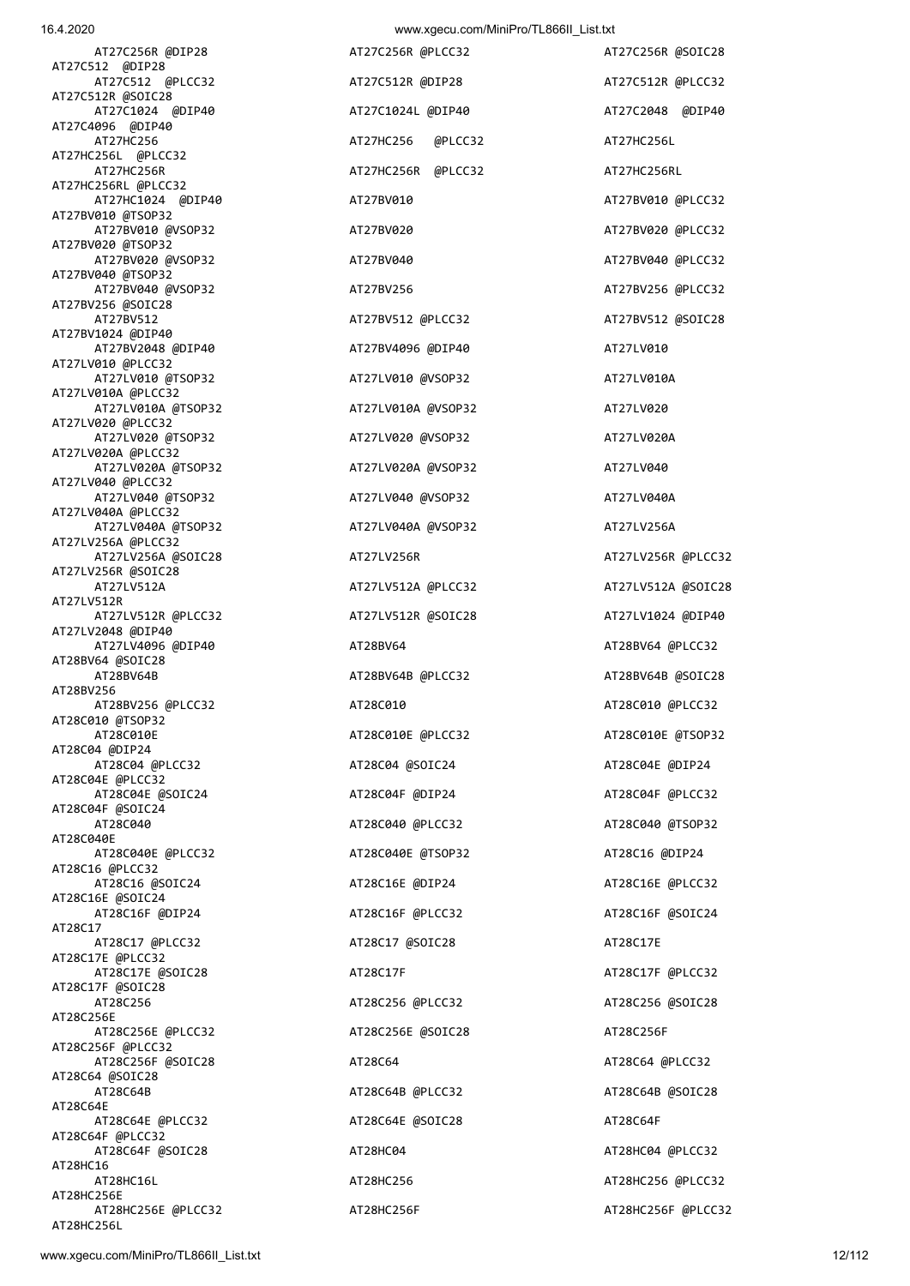| 10.4.ZUZU                                | www.xyccu.com/winifro/TL00011_List.ixt |                    |
|------------------------------------------|----------------------------------------|--------------------|
| AT27C256R @DIP28<br>AT27C512 @DIP28      | AT27C256R @PLCC32                      | AT27C256R @SOIC28  |
| AT27C512 @PLCC32                         | AT27C512R @DIP28                       | AT27C512R @PLCC32  |
| AT27C512R @SOIC28<br>AT27C1024 @DIP40    | AT27C1024L @DIP40                      | AT27C2048 @DIP40   |
| AT27C4096 @DIP40<br>AT27HC256            | AT27HC256<br>@PLCC32                   | AT27HC256L         |
| AT27HC256L @PLCC32                       | AT27HC256R @PLCC32                     |                    |
| AT27HC256R<br>AT27HC256RL @PLCC32        |                                        | AT27HC256RL        |
| AT27HC1024 @DIP40<br>AT27BV010 @TSOP32   | AT27BV010                              | AT27BV010 @PLCC32  |
| AT27BV010 @VSOP32<br>AT27BV020 @TSOP32   | AT27BV020                              | AT27BV020 @PLCC32  |
| AT27BV020 @VSOP32<br>AT27BV040 @TSOP32   | AT27BV040                              | AT27BV040 @PLCC32  |
| AT27BV040 @VSOP32                        | AT27BV256                              | AT27BV256 @PLCC32  |
| AT27BV256 @SOIC28<br>AT27BV512           | AT27BV512 @PLCC32                      | AT27BV512 @SOIC28  |
| AT27BV1024 @DIP40<br>AT27BV2048 @DIP40   | AT27BV4096 @DIP40                      | AT27LV010          |
| AT27LV010 @PLCC32<br>AT27LV010 @TSOP32   | AT27LV010 @VSOP32                      | AT27LV010A         |
| AT27LV010A @PLCC32                       |                                        |                    |
| AT27LV010A @TSOP32<br>AT27LV020 @PLCC32  | AT27LV010A @VSOP32                     | AT27LV020          |
| AT27LV020 @TSOP32<br>AT27LV020A @PLCC32  | AT27LV020 @VSOP32                      | AT27LV020A         |
| AT27LV020A @TSOP32<br>AT27LV040 @PLCC32  | AT27LV020A @VSOP32                     | AT27LV040          |
| AT27LV040 @TSOP32                        | AT27LV040 @VSOP32                      | AT27LV040A         |
| AT27LV040A @PLCC32<br>AT27LV040A @TSOP32 | AT27LV040A @VSOP32                     | AT27LV256A         |
| AT27LV256A @PLCC32<br>AT27LV256A @SOIC28 | AT27LV256R                             | AT27LV256R @PLCC32 |
| AT27LV256R @SOIC28<br>AT27LV512A         | AT27LV512A @PLCC32                     | AT27LV512A @SOIC28 |
| AT27LV512R                               |                                        |                    |
| AT27LV512R @PLCC32<br>AT27LV2048 @DIP40  | AT27LV512R @SOIC28                     | AT27LV1024 @DIP40  |
| AT27LV4096 @DIP40<br>AT28BV64 @SOIC28    | AT28BV64                               | AT28BV64 @PLCC32   |
| AT28BV64B<br>AT28BV256                   | AT28BV64B @PLCC32                      | AT28BV64B @SOIC28  |
| AT28BV256 @PLCC32<br>AT28C010 @TSOP32    | AT28C010                               | AT28C010 @PLCC32   |
| AT28C010E                                | AT28C010E @PLCC32                      | AT28C010E @TSOP32  |
| AT28C04 @DIP24<br>AT28C04 @PLCC32        | AT28C04 @SOIC24                        | AT28C04E @DIP24    |
| AT28C04E @PLCC32<br>AT28C04E @SOIC24     | AT28C04F @DIP24                        | AT28C04F @PLCC32   |
| AT28C04F @SOIC24<br>AT28C040             | AT28C040 @PLCC32                       | AT28C040 @TSOP32   |
| AT28C040E                                |                                        |                    |
| AT28C040E @PLCC32<br>AT28C16 @PLCC32     | AT28C040E @TSOP32                      | AT28C16 @DIP24     |
| AT28C16 @SOIC24<br>AT28C16E @SOIC24      | AT28C16E @DIP24                        | AT28C16E @PLCC32   |
| AT28C16F @DIP24<br>AT28C17               | AT28C16F @PLCC32                       | AT28C16F @SOIC24   |
| AT28C17 @PLCC32<br>AT28C17E @PLCC32      | AT28C17 @SOIC28                        | AT28C17E           |
| AT28C17E @SOIC28                         | AT28C17F                               | AT28C17F @PLCC32   |
| AT28C17F @SOIC28<br>AT28C256             | AT28C256 @PLCC32                       | AT28C256 @SOIC28   |
| AT28C256E<br>AT28C256E @PLCC32           | AT28C256E @SOIC28                      | AT28C256F          |
| AT28C256F @PLCC32<br>AT28C256F @SOIC28   | AT28C64                                | AT28C64 @PLCC32    |
| AT28C64 @SOIC28                          |                                        |                    |
| AT28C64B<br>AT28C64E                     | AT28C64B @PLCC32                       | AT28C64B @SOIC28   |
| AT28C64E @PLCC32<br>AT28C64F @PLCC32     | AT28C64E @SOIC28                       | AT28C64F           |
| AT28C64F @SOIC28<br>AT28HC16             | AT28HC04                               | AT28HC04 @PLCC32   |
| AT28HC16L<br>AT28HC256E                  | AT28HC256                              | AT28HC256 @PLCC32  |
| AT28HC256E @PLCC32                       | AT28HC256F                             | AT28HC256F @PLCC32 |

AT28HC256L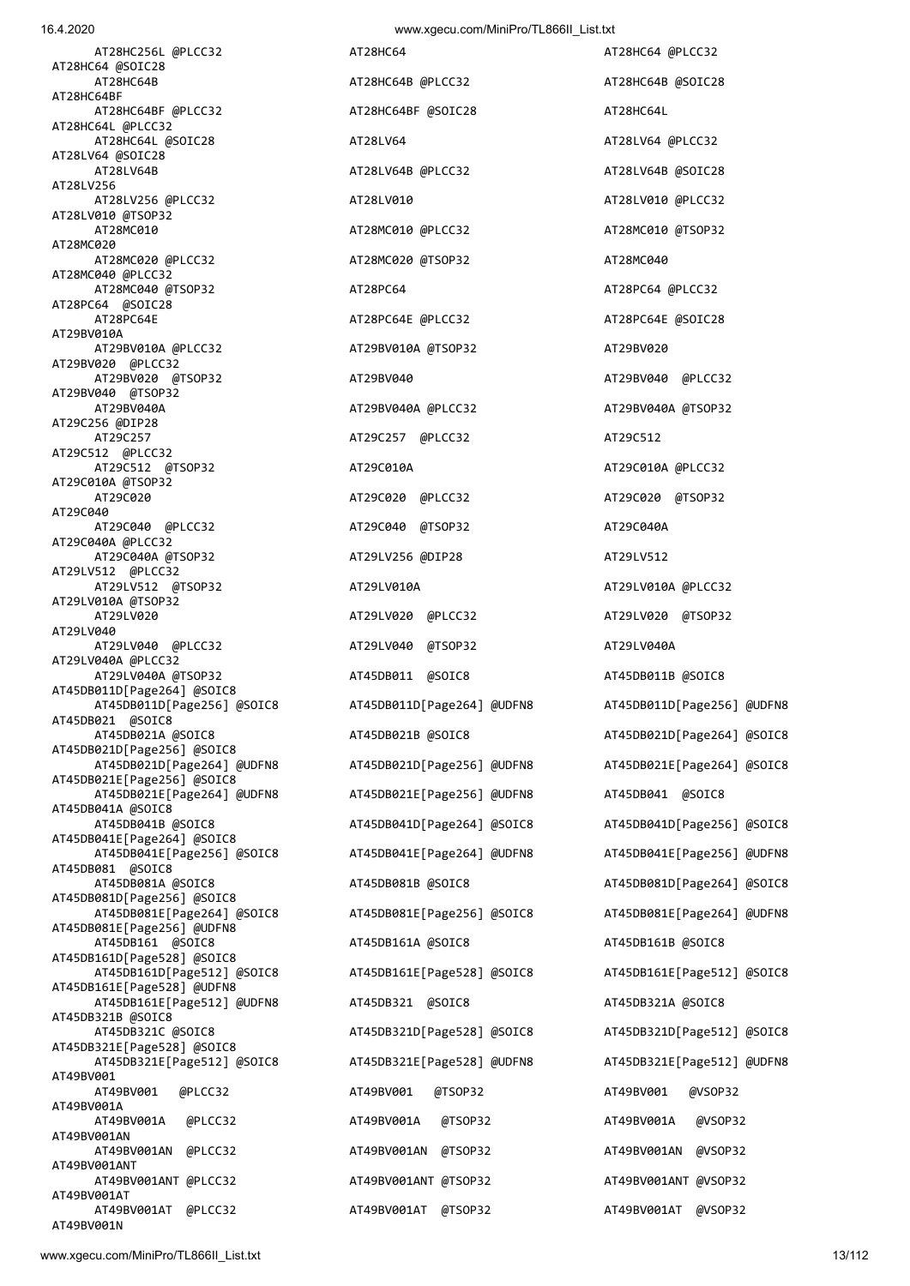AT28LV64 @SOIC28 AT28LV64B AT28LV64B @PLCC32 AT28LV64B @SOIC28 AT28LV256 AT28LV256 @PLCC32 AT28LV010 AT28LV010 AT28LV010 AT28LV010 AT28LV010 AT28LV010 @TSOP32 AT28MC010 AT28MC010 @PLCC32 AT28MC010 @TSOP32 AT28MC020 AT28MC020 @PLCC32 AT28MC020 @TSOP32 AT28MC040 AT28MC040 @PLCC32 AT28MC040 @TSOP32 AT28PC64 AT28PC64 @PLCC32 AT28PC64 @SOIC28 AT29BV010A AT29BV010A @PLCC32 AT29BV010A @TSOP32 AT29BV020 AT29BV020 @PLCC32 AT29BV020 @TSOP32 AT29BV040 AT29BV040 @PLCC32 AT29BV040 @TSOP32<br>AT29BV040A AT29C256 @DIP28 AT29C257 AT29C257 @PLCC32 AT29C512 AT29C512 @PLCC32 AT29C512 @TSOP32 AT29C010A AT29C010A @PLCC32 AT29C010A @TSOP32 AT29C020 AT29C020 @PLCC32 AT29C020 @TSOP32 AT29C040 AT29C040 @PLCC32 AT29C040 @TSOP32 AT29C040A AT29C040A @PLCC32 AT29C040A @TSOP32 AT29LV256 @DIP28 AT29LV512 AT29LV512 @PLCC32 AT29LV512 @TSOP32 AT29LV010A AT29LV010A @PLCC32 AT29LV010A @TSOP32 AT29LV020 AT29LV020 @PLCC32 AT29LV020 @TSOP32 **AT29LV040**  AT29LV040 @PLCC32 AT29LV040 @TSOP32 AT29LV040A AT29LV040A @PLCC32 AT29LV040A @TSOP32 AT45DB011 @SOIC8 AT45DB011B @SOIC8 AT45DB011D[Page264] @SOIC8 AT45DB011D[Page256] @SOIC8 AT45DB011D[Page264] @UDFN8 AT45DB011D[Page256] @UDFN8 AT45DB021 @SOIC8 AT45DB021D[Page256] @SOIC8 AT45DB021D[Page264] @UDFN8 AT45DB021D[Page256] @UDFN8 AT45DB021E[Page264] @SOIC8 AT45DB021E[Page256] @SOIC8 AT45DB021E[Page264] @UDFN8 AT45DB021E[Page256] @UDFN8 AT45DB041 @SOIC8 AT45DB041A @SOIC8<br>AT45DB041B @SOIC8 AT45DB041E[Page264] @SOIC8 AT45DB041E[Page256] @SOIC8 AT45DB041E[Page264] @UDFN8 AT45DB041E[Page256] @UDFN8 AT45DB081 @SOIC8 AT45DB081A @SOIC8 AT45DB081B @SOIC8 AT45DB081D[Page264] @SOIC8 AT45DB081D[Page256] @SOIC8 AT45DB081E[Page264] @SOIC8 AT45DB081E[Page256] @SOIC8 AT45DB081E[Page264] @UDFN8 AT45DB081E[Page256] @UDFN8 AT45DB161 @SOIC8 AT45DB161A @SOIC8 AT45DB161B @SOIC8 AT45DB161D[Page528] @SOIC8 AT45DB161D[Page512] @SOIC8 AT45DB161E[Page528] @SOIC8 AT45DB161E[Page512] @SOIC8 AT45DB161E[Page528] @UDFN8 AT45DB161E[Page512] @UDFN8 AT45DB321 @SOIC8 AT45DB321A @SOIC8 AT45DB321B @SOIC8 AT45DB321C @SOIC8 AT45DB321D[Page528] @SOIC8 AT45DB321D[Page512] @SOIC8 AT45DB321E[Page528] @SOIC8 AT45DB321E[Page512] @SOIC8 AT45DB321E[Page528] @UDFN8 AT45DB321E[Page512] @UDFN8 AT49BV001 AT49BV001 @PLCC32 AT49BV001 @TSOP32 AT49BV001 @VSOP32 AT49BV001A AT49BV001A @PLCC32 AT49BV001A @TSOP32 AT49BV001A @VSOP32 AT49BV001AN AT49BV001AN @PLCC32 AT49BV001AN @TSOP32 AT49BV001AN @VSOP32 AT49BV001ANT AT49BV001ANT @PLCC32 AT49BV001ANT @TSOP32 AT49BV001ANT @VSOP32 AT49BV001AT AT49BV001AT @PLCC32 AT49BV001AT @TSOP32 AT49BV001AT @VSOP32 AT49BV001N

 AT28HC256L @PLCC32 AT28HC64 AT28HC64 @PLCC32 AT28HC64B AT28HC64B AT28HC64B @PLCC32 AT28HC64B @SOIC28 AT28HC64BF @PLCC32 AT28HC64BF @SOIC28 AT28HC64L AT28HC64L @SOIC28 AT28LV64 AT28LV64 @PLCC32 AT28PC64E @PLCC32 AT28PC64E @SOIC28 AT29BV040A AT29BV040A @PLCC32 AT29BV040A @TSOP32

 AT45DB021A @SOIC8 AT45DB021B @SOIC8 AT45DB021D[Page264] @SOIC8 AT45DB041B @SOIC8 AT45DB041D[Page264] @SOIC8 AT45DB041D[Page256] @SOIC8

AT28HC64 @SOIC28

AT28HC64L @PLCC32

AT28HC64BF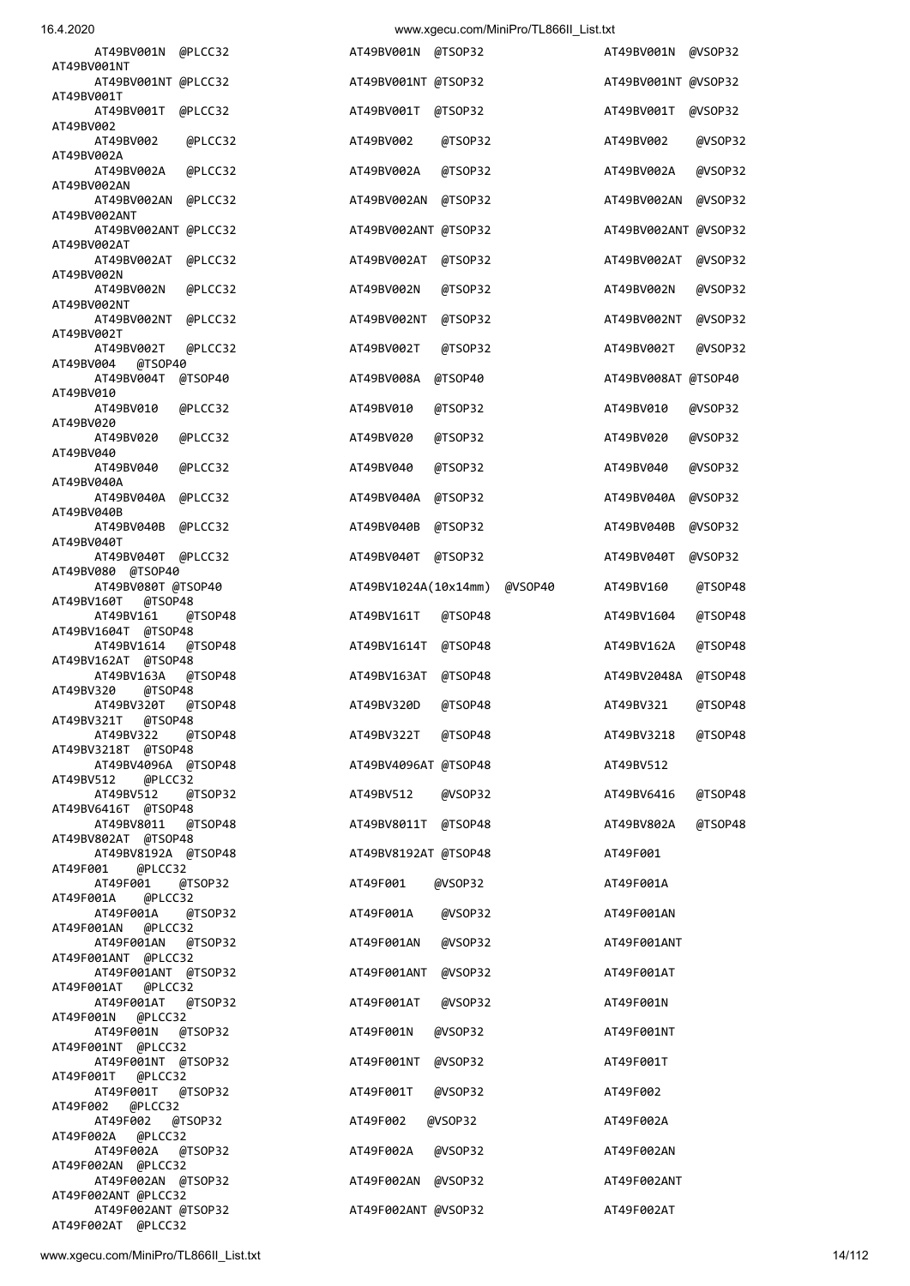|  | 16.4.2020 |  |
|--|-----------|--|
|  |           |  |

| AT49BV001N<br>@PLCC32                           | AT49BV001N<br>@TSOP32           | AT49BV001N<br>@VSOP32  |
|-------------------------------------------------|---------------------------------|------------------------|
| AT49BV001NT<br>AT49BV001NT @PLCC32              | AT49BV001NT @TSOP32             | AT49BV001NT @VSOP32    |
| AT49BV001T<br>AT49BV001T<br>@PLCC32             | AT49BV001T<br>@TSOP32           | AT49BV001T<br>@VSOP32  |
| AT49BV002<br>AT49BV002<br>@PLCC32               | AT49BV002<br>@TSOP32            | AT49BV002<br>@VSOP32   |
| AT49BV002A<br>AT49BV002A<br>@PLCC32             | AT49BV002A<br>@TSOP32           | AT49BV002A<br>@VSOP32  |
| AT49BV002AN<br>AT49BV002AN<br>@PLCC32           | @TSOP32<br>AT49BV002AN          | AT49BV002AN<br>@VSOP32 |
| AT49BV002ANT                                    |                                 | AT49BV002ANT @VSOP32   |
| AT49BV002ANT @PLCC32<br>AT49BV002AT             | AT49BV002ANT @TSOP32            |                        |
| AT49BV002AT<br>@PLCC32<br>AT49BV002N            | AT49BV002AT<br>@TSOP32          | AT49BV002AT<br>@VSOP32 |
| AT49BV002N<br>@PLCC32<br>AT49BV002NT            | AT49BV002N<br>@TSOP32           | AT49BV002N<br>@VSOP32  |
| AT49BV002NT<br>@PLCC32<br>AT49BV002T            | AT49BV002NT<br>@TSOP32          | AT49BV002NT<br>@VSOP32 |
| AT49BV002T<br>@PLCC32<br>@TSOP40<br>AT49BV004   | AT49BV002T<br>@TSOP32           | AT49BV002T<br>@VSOP32  |
| AT49BV004T<br>@TSOP40                           | AT49BV008A<br>@TSOP40           | AT49BV008AT @TSOP40    |
| AT49BV010<br>AT49BV010<br>@PLCC32               | AT49BV010<br>@TSOP32            | AT49BV010<br>@VSOP32   |
| AT49BV020<br>AT49BV020<br>@PLCC32               | AT49BV020<br>@TSOP32            | AT49BV020<br>@VSOP32   |
| AT49BV040<br>AT49BV040<br>@PLCC32               | AT49BV040<br>@TSOP32            | AT49BV040<br>@VSOP32   |
| AT49BV040A<br>AT49BV040A<br>@PLCC32             | @TSOP32<br>AT49BV040A           | @VSOP32<br>AT49BV040A  |
| AT49BV040B<br>AT49BV040B<br>@PLCC32             | AT49BV040B<br>@TSOP32           | AT49BV040B<br>@VSOP32  |
| AT49BV040T                                      |                                 |                        |
| AT49BV040T<br>@PLCC32<br>AT49BV080<br>@TSOP40   | AT49BV040T<br>@TSOP32           | AT49BV040T<br>@VSOP32  |
| AT49BV080T @TSOP40<br>AT49BV160T<br>@TSOP48     | AT49BV1024A(10x14mm)<br>@VSOP40 | AT49BV160<br>@TSOP48   |
| AT49BV161<br>@TSOP48<br>AT49BV1604T @TSOP48     | AT49BV161T<br>@TSOP48           | AT49BV1604<br>@TSOP48  |
| AT49BV1614<br>@TSOP48<br>AT49BV162AT<br>@TSOP48 | AT49BV1614T<br>@TSOP48          | AT49BV162A<br>@TSOP48  |
| AT49BV163A<br>@TSOP48<br>AT49BV320<br>@TSOP48   | AT49BV163AT<br>@TSOP48          | AT49BV2048A<br>@TSOP48 |
| AT49BV320T<br>@TSOP48                           | AT49BV320D<br>@TSOP48           | AT49BV321<br>@TSOP48   |
| AT49BV321T<br>@TSOP48<br>AT49BV322<br>@TSOP48   | AT49BV322T<br>@TSOP48           | AT49BV3218<br>@TSOP48  |
| AT49BV3218T @TSOP48<br>AT49BV4096A @TSOP48      | AT49BV4096AT @TSOP48            | AT49BV512              |
| AT49BV512<br>@PLCC32<br>AT49BV512<br>@TSOP32    | AT49BV512<br>@VSOP32            | AT49BV6416<br>@TSOP48  |
| AT49BV6416T @TSOP48<br>AT49BV8011<br>@TSOP48    | AT49BV8011T<br>@TSOP48          | AT49BV802A<br>@TSOP48  |
| AT49BV802AT @TSOP48<br>AT49BV8192A @TSOP48      | AT49BV8192AT @TSOP48            | AT49F001               |
| AT49F001<br>@PLCC32                             | @VSOP32                         |                        |
| AT49F001<br>@TSOP32<br>@PLCC32<br>AT49F001A     | AT49F001                        | AT49F001A              |
| AT49F001A<br>@TSOP32<br>AT49F001AN<br>@PLCC32   | AT49F001A<br>@VSOP32            | AT49F001AN             |
| AT49F001AN<br>@TSOP32<br>AT49F001ANT @PLCC32    | AT49F001AN<br>@VSOP32           | AT49F001ANT            |
| AT49F001ANT @TSOP32<br>AT49F001AT @PLCC32       | AT49F001ANT<br>@VSOP32          | AT49F001AT             |
| AT49F001AT<br>@TSOP32<br>AT49F001N<br>@PLCC32   | @VSOP32<br>AT49F001AT           | AT49F001N              |
| AT49F001N<br>@TSOP32                            | @VSOP32<br>AT49F001N            | AT49F001NT             |
| AT49F001NT @PLCC32<br>AT49F001NT @TSOP32        | AT49F001NT<br>@VSOP32           | AT49F001T              |
| AT49F001T<br>@PLCC32<br>AT49F001T<br>@TSOP32    | AT49F001T<br>@VSOP32            | AT49F002               |
| AT49F002<br>@PLCC32<br>AT49F002<br>@TSOP32      | @VSOP32<br>AT49F002             | AT49F002A              |
| @PLCC32<br>AT49F002A<br>AT49F002A<br>@TSOP32    | AT49F002A<br>@VSOP32            | AT49F002AN             |
| AT49F002AN @PLCC32<br>AT49F002AN @TSOP32        | AT49F002AN @VSOP32              | AT49F002ANT            |
| AT49F002ANT @PLCC32                             |                                 |                        |
| AT49F002ANT @TSOP32<br>AT49F002AT @PLCC32       | AT49F002ANT @VSOP32             | AT49F002AT             |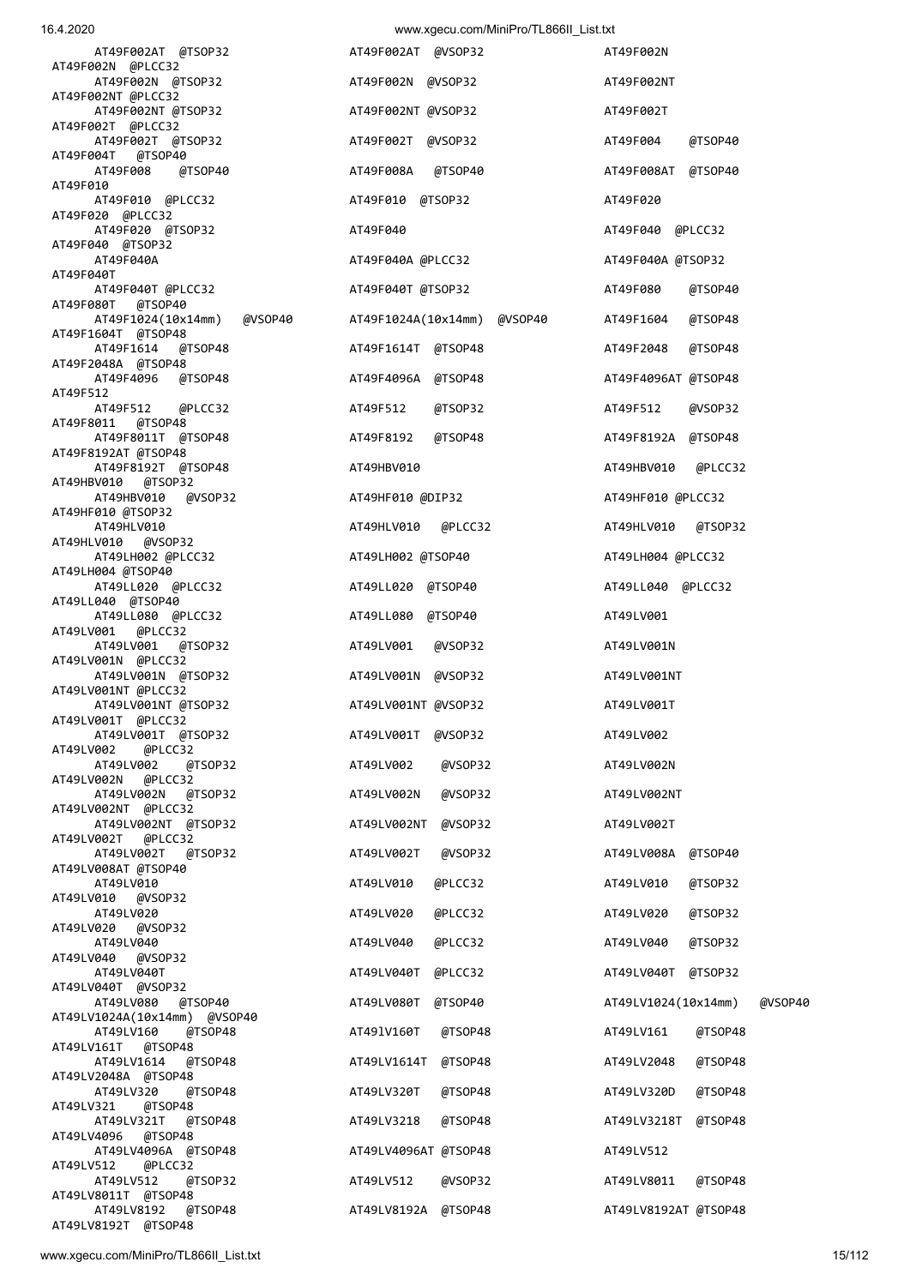| AT49F002AT @TSOP32                                   | AT49F002AT @VSOP32          | AT49F002N                      |
|------------------------------------------------------|-----------------------------|--------------------------------|
| AT49F002N @PLCC32<br>AT49F002N @TSOP32               | AT49F002N @VSOP32           | AT49F002NT                     |
| AT49F002NT @PLCC32<br>AT49F002NT @TSOP32             | AT49F002NT @VSOP32          | AT49F002T                      |
| AT49F002T @PLCC32<br>AT49F002T @TSOP32               | AT49F002T @VSOP32           | AT49F004<br>@TSOP40            |
| AT49F004T @TSOP40<br>@TSOP40<br>AT49F008             | AT49F008A<br>@TSOP40        | AT49F008AT @TSOP40             |
| AT49F010<br>AT49F010 @PLCC32                         | AT49F010 @TSOP32            | AT49F020                       |
| AT49F020 @PLCC32<br>AT49F020 @TSOP32                 | AT49F040                    | AT49F040 @PLCC32               |
| AT49F040 @TSOP32<br>AT49F040A                        | AT49F040A @PLCC32           | AT49F040A @TSOP32              |
| AT49F040T<br>AT49F040T @PLCC32                       | AT49F040T @TSOP32           | AT49F080<br>@TSOP40            |
| AT49F080T @TSOP40<br>AT49F1024(10x14mm)<br>@VSOP40   | AT49F1024A(10x14mm) @VSOP40 | AT49F1604<br>@TSOP48           |
| AT49F1604T @TSOP48<br>AT49F1614 @TSOP48              | AT49F1614T @TSOP48          | AT49F2048<br>@TSOP48           |
| AT49F2048A @TSOP48<br>AT49F4096 @TSOP48              | AT49F4096A @TSOP48          | AT49F4096AT @TSOP48            |
| AT49F512<br>AT49F512 @PLCC32                         | AT49F512<br>@TSOP32         | AT49F512<br>@VSOP32            |
| AT49F8011 @TSOP48<br>AT49F8011T @TSOP48              | AT49F8192<br>@TSOP48        | AT49F8192A @TSOP48             |
| AT49F8192AT @TSOP48<br>AT49F8192T @TSOP48            | AT49HBV010                  | AT49HBV010 @PLCC32             |
| AT49HBV010 @TSOP32<br>AT49HBV010 @VSOP32             | AT49HF010 @DIP32            | AT49HF010 @PLCC32              |
| AT49HF010 @TSOP32<br>AT49HLV010                      | AT49HLV010 @PLCC32          | AT49HLV010 @TSOP32             |
| AT49HLV010 @VSOP32<br>AT49LH002 @PLCC32              | AT49LH002 @TSOP40           | AT49LH004 @PLCC32              |
| AT49LH004 @TSOP40<br>AT49LL020 @PLCC32               | AT49LL020 @TSOP40           | AT49LL040 @PLCC32              |
| AT49LL040 @TSOP40<br>AT49LL080 @PLCC32               | AT49LL080 @TSOP40           | AT49LV001                      |
| AT49LV001 @PLCC32<br>AT49LV001 @TSOP32               | AT49LV001<br>@VSOP32        | AT49LV001N                     |
| AT49LV001N @PLCC32<br>AT49LV001N @TSOP32             | AT49LV001N @VSOP32          | AT49LV001NT                    |
| AT49LV001NT @PLCC32<br>AT49LV001NT @TSOP32           | AT49LV001NT @VSOP32         | AT49LV001T                     |
| AT49LV001T @PLCC32<br>AT49LV001T @TSOP32             | AT49LV001T<br>@VSOP32       | AT49LV002                      |
| AT49LV002<br>@PLCC32<br>AT49LV002<br>@TSOP32         | @VSOP32<br>AT49LV002        | AT49LV002N                     |
| AT49LV002N<br>@PLCC32<br>AT49LV002N<br>@TSOP32       | AT49LV002N<br>@VSOP32       | AT49LV002NT                    |
| AT49LV002NT @PLCC32<br>AT49LV002NT @TSOP32           | AT49LV002NT<br>@VSOP32      | AT49LV002T                     |
| AT49LV002T<br>@PLCC32<br>AT49LV002T<br>@TSOP32       | AT49LV002T<br>@VSOP32       | @TSOP40<br>AT49LV008A          |
| AT49LV008AT @TSOP40<br>AT49LV010                     | AT49LV010<br>@PLCC32        | AT49LV010<br>@TSOP32           |
| AT49LV010<br>@VSOP32<br>AT49LV020                    | AT49LV020<br>@PLCC32        | AT49LV020<br>@TSOP32           |
| AT49LV020<br>@VSOP32<br>AT49LV040                    | AT49LV040<br>@PLCC32        | AT49LV040<br>@TSOP32           |
| AT49LV040<br>@VSOP32<br>AT49LV040T                   | AT49LV040T<br>@PLCC32       | AT49LV040T<br>@TSOP32          |
| AT49LV040T @VSOP32<br>AT49LV080<br>@TSOP40           | @TSOP40<br>AT49LV080T       | AT49LV1024(10x14mm)<br>@VSOP40 |
| AT49LV1024A(10x14mm) @VSOP40<br>AT49LV160<br>@TSOP48 | @TSOP48<br>AT491V160T       | @TSOP48<br>AT49LV161           |
| AT49LV161T<br>@TSOP48<br>AT49LV1614<br>@TSOP48       | AT49LV1614T<br>@TSOP48      | AT49LV2048<br>@TSOP48          |
| AT49LV2048A @TSOP48<br>@TSOP48<br>AT49LV320          | @TSOP48<br>AT49LV320T       | @TSOP48<br>AT49LV320D          |
| AT49LV321<br>@TSOP48<br>@TSOP48<br>AT49LV321T        | @TSOP48<br>AT49LV3218       | AT49LV3218T<br>@TSOP48         |
| AT49LV4096<br>@TSOP48<br>AT49LV4096A @TSOP48         | AT49LV4096AT @TSOP48        | AT49LV512                      |
| AT49LV512<br>@PLCC32<br>AT49LV512<br>@TSOP32         | @VSOP32<br>AT49LV512        | @TSOP48<br>AT49LV8011          |
| AT49LV8011T @TSOP48<br>AT49LV8192<br>@TSOP48         | AT49LV8192A @TSOP48         | AT49LV8192AT @TSOP48           |
| AT49LV8192T @TSOP48                                  |                             |                                |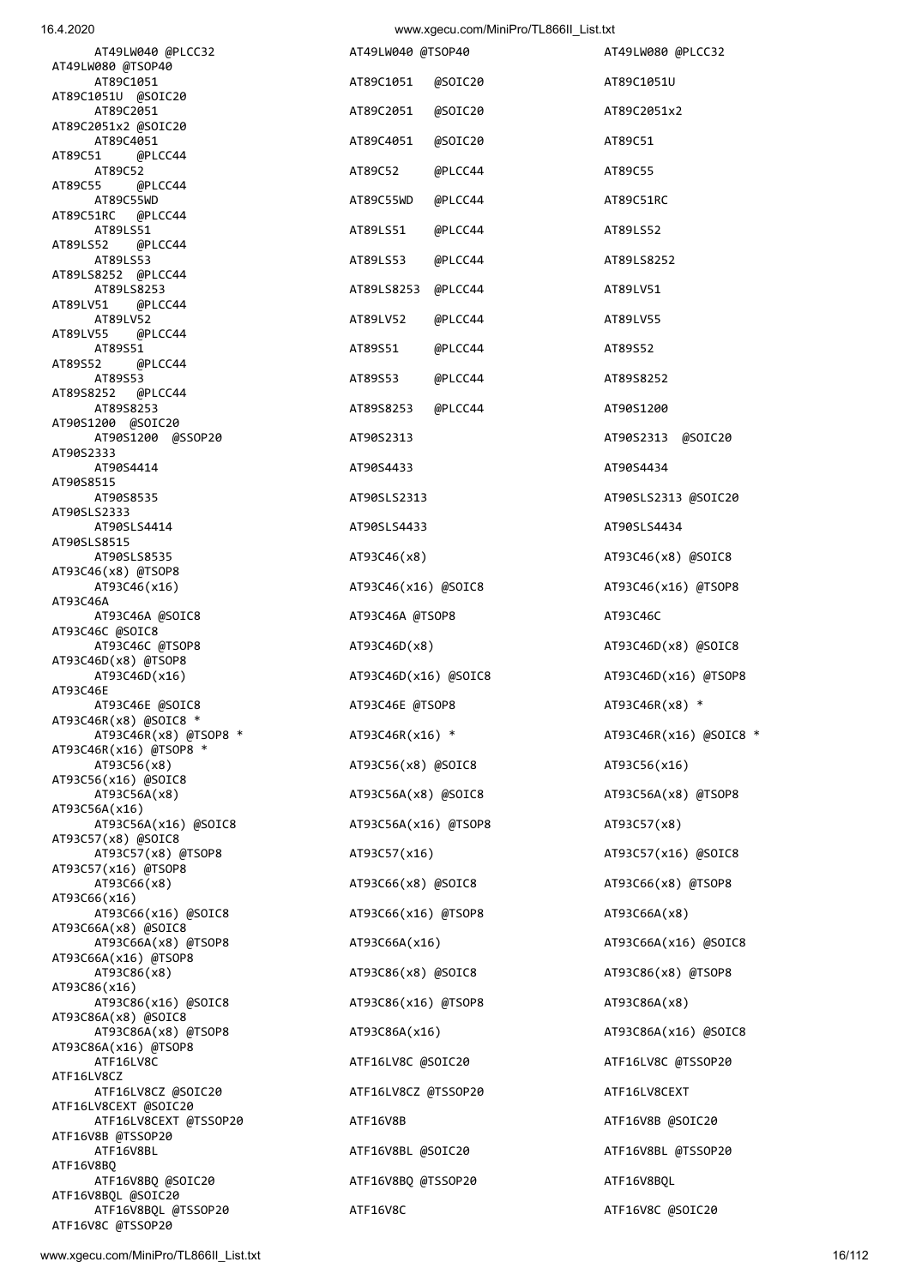| 1 U.T. CUZ.U                                   |                      | www.xyccu.com/winim-ro/TE000m_Elat.ixt |                        |
|------------------------------------------------|----------------------|----------------------------------------|------------------------|
| AT49LW040 @PLCC32<br>AT49LW080 @TSOP40         | AT49LW040 @TSOP40    |                                        | AT49LW080 @PLCC32      |
| AT89C1051<br>AT89C1051U @SOIC20                | AT89C1051            | @SOIC20                                | AT89C1051U             |
| AT89C2051<br>AT89C2051x2 @SOIC20               | AT89C2051            | @SOIC20                                | AT89C2051x2            |
| AT89C4051<br>AT89C51<br>@PLCC44                | AT89C4051            | @SOIC20                                | AT89C51                |
| AT89C52<br>AT89C55<br>@PLCC44                  | AT89C52              | @PLCC44                                | AT89C55                |
| AT89C55WD<br>AT89C51RC @PLCC44                 | AT89C55WD            | @PLCC44                                | AT89C51RC              |
| AT89LS51<br>AT89LS52<br>@PLCC44                | AT89LS51             | @PLCC44                                | AT89LS52               |
| AT89LS53<br>AT89LS8252 @PLCC44                 | AT89LS53             | @PLCC44                                | AT89LS8252             |
| AT89LS8253                                     | AT89LS8253           | @PLCC44                                | AT89LV51               |
| AT89LV51<br>@PLCC44<br>AT89LV52                | AT89LV52             | @PLCC44                                | AT89LV55               |
| AT89LV55<br>@PLCC44<br>AT89S51                 | AT89S51              | @PLCC44                                | AT89S52                |
| AT89S52<br>@PLCC44<br>AT89S53                  | AT89S53              | @PLCC44                                | AT89S8252              |
| AT89S8252<br>@PLCC44<br>AT89S8253              | AT89S8253            | @PLCC44                                | AT90S1200              |
| AT90S1200 @SOIC20<br>AT90S1200 @SSOP20         | AT90S2313            |                                        | AT90S2313 @SOIC20      |
| AT90S2333<br>AT90S4414                         | AT90S4433            |                                        | AT90S4434              |
| AT90S8515<br>AT90S8535                         | AT90SLS2313          |                                        | AT90SLS2313 @SOIC20    |
| AT90SLS2333<br>AT90SLS4414                     | AT90SLS4433          |                                        | AT90SLS4434            |
| AT90SLS8515<br>AT90SLS8535                     | AT93C46(x8)          |                                        | AT93C46(x8) @SOIC8     |
| AT93C46(x8) @TSOP8<br>AT93C46(x16)             | AT93C46(x16) @SOIC8  |                                        | AT93C46(x16) @TSOP8    |
| AT93C46A<br>AT93C46A @SOIC8                    | AT93C46A @TSOP8      |                                        | AT93C46C               |
| AT93C46C @SOIC8<br>AT93C46C @TSOP8             | AT93C46D(x8)         |                                        | AT93C46D(x8) @SOIC8    |
| AT93C46D(x8) @TSOP8<br>AT93C46D(x16)           | AT93C46D(x16) @SOIC8 |                                        | AT93C46D(x16) @TSOP8   |
| AT93C46E<br>AT93C46E @SOIC8                    | AT93C46E @TSOP8      |                                        | AT93C46R(x8) *         |
| AT93C46R(x8) @SOIC8 *<br>AT93C46R(x8) @TSOP8 * | AT93C46R(x16) *      |                                        | AT93C46R(x16) @SOIC8 * |
| AT93C46R(x16) @TSOP8 *<br>AT93C56(x8)          | AT93C56(x8) @SOIC8   |                                        | AT93C56(x16)           |
| AT93C56(x16) @SOIC8<br>AT93C56A(x8)            | AT93C56A(x8) @SOIC8  |                                        | AT93C56A(x8) @TSOP8    |
| AT93C56A(x16)<br>AT93C56A(x16) @SOIC8          | AT93C56A(x16) @TSOP8 |                                        | AT93C57(x8)            |
| AT93C57(x8) @SOIC8<br>AT93C57(x8) @TSOP8       | AT93C57(x16)         |                                        | AT93C57(x16) @SOIC8    |
| AT93C57(x16) @TSOP8<br>AT93C66(x8)             | AT93C66(x8) @SOIC8   |                                        | AT93C66(x8) @TSOP8     |
| AT93C66(x16)<br>AT93C66(x16) @SOIC8            | AT93C66(x16) @TSOP8  |                                        | AT93C66A(x8)           |
| AT93C66A(x8) @SOIC8<br>AT93C66A(x8) @TSOP8     | AT93C66A(x16)        |                                        | AT93C66A(x16) @SOIC8   |
| AT93C66A(x16) @TSOP8<br>AT93C86(x8)            | AT93C86(x8) @SOIC8   |                                        | AT93C86(x8) @TSOP8     |
| AT93C86(x16)<br>AT93C86(x16) @SOIC8            |                      |                                        |                        |
| AT93C86A(x8) @SOIC8                            | AT93C86(x16) @TSOP8  |                                        | AT93C86A(x8)           |
| AT93C86A(x8) @TSOP8<br>AT93C86A(x16) @TSOP8    | AT93C86A(x16)        |                                        | AT93C86A(x16) @SOIC8   |
| ATF16LV8C<br>ATF16LV8CZ                        | ATF16LV8C @SOIC20    |                                        | ATF16LV8C @TSSOP20     |
| ATF16LV8CZ @SOIC20<br>ATF16LV8CEXT @SOIC20     | ATF16LV8CZ @TSSOP20  |                                        | ATF16LV8CEXT           |
| ATF16LV8CEXT @TSSOP20<br>ATF16V8B @TSSOP20     | ATF16V8B             |                                        | ATF16V8B @SOIC20       |
| ATF16V8BL<br>ATF16V8BQ                         | ATF16V8BL @SOIC20    |                                        | ATF16V8BL @TSSOP20     |
| ATF16V8BQ @SOIC20<br>ATF16V8BQL @SOIC20        | ATF16V8BQ @TSSOP20   |                                        | ATF16V8BQL             |

ATF16V8BQL @TSSOP20 ATF16V8C ATF16V8C @SOIC20

ATF16V8C @TSSOP20

16.4.2020 www.xgecu.com/MiniPro/TL866II\_List.txt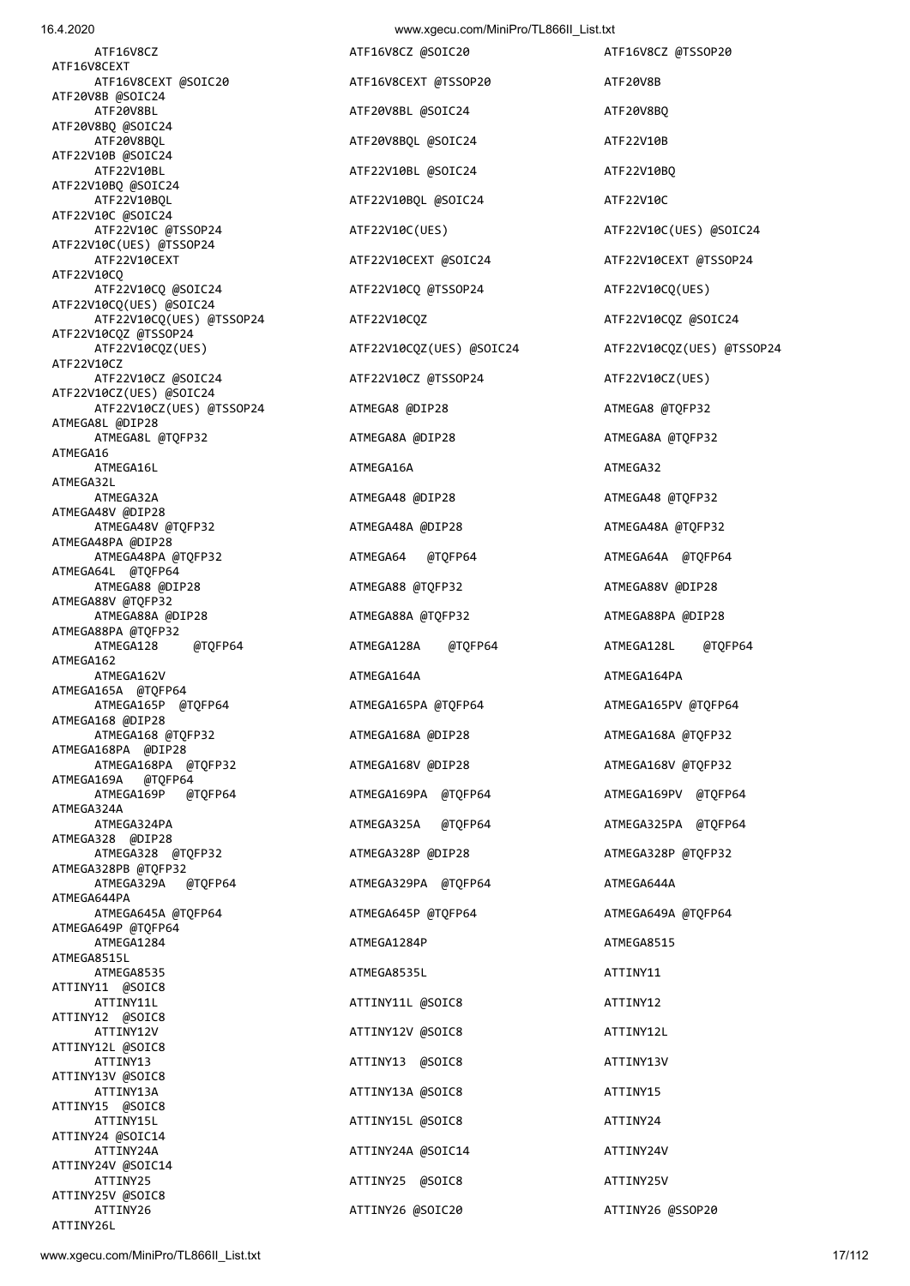16.4.2020 www.xgecu.com/MiniPro/TL866II\_List.txt ATF16V8CZ ATF16V8CZ @SOIC20 ATF16V8CZ @TSSOP20 ATF16V8CEXT ATF16V8CEXT @SOIC20 ATF16V8CEXT @TSSOP20 ATF20V8B ATF20V8B @SOIC24 ATF20V8BL ATF20V8BL @SOIC24 ATF20V8BQ ATF20V8BQ @SOIC24 ATF20V8BQL ATF20V8BQL ATF20V8BQL ATF20V8BQL ATF22V10B ATF22V10B @SOIC24 ATF22V10BL ATF22V10BL @SOIC24 ATF22V10BL ATF22V10BQ ATF22V10BQ @SOIC24 ATF22V10BQL ATF22V10BQL @SOIC24 ATF22V10C ATF22V10C @SOIC24 ATF22V10C @TSSOP24 ATF22V10C(UES) ATF22V10C(UES) @SOIC24 ATF22V10C(UES) @TSSOP24 ATF22V10CEXT ATF22V10CEXT @SOIC24 ATF22V10CEXT @TSSOP24 ATF22V10CQ ATF22V10CQ @SOIC24 ATF22V10CQ @TSSOP24 ATF22V10CQ(UES) ATF22V10CQ(UES) @SOIC24 ATF22V10CQ(UES) @TSSOP24 ATF22V10CQZ ATF22V10CQZ @SOIC24 ATF22V10CQZ @TSSOP24<br>ATF22V10CQZ(UES) ATF22V10CZ<br>ATF22V10CZ @SOIC24 ATF22V10CZ(UES) @SOIC24 ATF22V10CZ(UES) @TSSOP24 ATMEGA8 @DIP28 ATMEGA8 ATMEGA8 @TQFP32 ATMEGA8L @DIP28 ATMEGA8L @TOFP32 ATMEGA8A @DIP28 ATMEGA8A ATMEGA8A ATOFP32 ATMEGA16 ATMEGA16L ATMEGA16A ATMEGA32 ATMEGA32L ATMEGA32A ATMEGA48 @DIP28 ATMEGA48 @TOFP32 ATMEGA48V @DIP28 ATMEGA48V @TQFP32 ATMEGA48A @DIP28 ATMEGA48A @TQFP32 ATMEGA48PA @DIP28 ATMEGA48PA @TQFP32 ATMEGA64 @TQFP64 ATMEGA64A @TQFP64 ATMEGA64L @TQFP64 ATMEGA88 @DIP28 ATMEGA88 @TQFP32 ATMEGA88V @DIP28 ATMEGA88V @TQFP32 ATMEGA88A @DIP28 ATMEGA88A @TQFP32 ATMEGA88PA @DIP28 ATMEGA88PA @TQFP32 ATMEGA128 @TQFP64 ATMEGA128A @TQFP64 ATMEGA128L @TQFP64 ATMEGA162 ATMEGA162V ATMEGA164A ATMEGA164PA ATMEGA165A @TQFP64 ATMEGA165P @TQFP64 ATMEGA165PA @TQFP64 ATMEGA165PV @TQFP64 ATMEGA168 @DIP28 ATMEGA168 @TQFP32 ATMEGA168A @DIP28 ATMEGA168A ATMEGA168A ATMEGA168A ATMEGA168A ATMEGA168A ATMEGA168A ATQ ATMEGA168PA @DIP28 ATMEGA168PA @TQFP32 ATMEGA168V @DIP28 ATMEGA168V @TQFP32 ATMEGA169A @TQFP64 ATMEGA169P @TQFP64 ATMEGA169PA @TQFP64 ATMEGA169PV @TQFP64 ATMEGA324A ATMEGA324PA ATMEGA325A @TQFP64 ATMEGA325PA @TQFP64 ATMEGA328 @DIP28 ATMEGA328 @TOFP32 ATMEGA328P @DIP28 ATMEGA328P @TOFP32 ATMEGA328PB @TQFP32 ATMEGA329A @TQFP64 ATMEGA329PA @TQFP64 ATMEGA644A ATMEGA644PA ATMEGA645A @TOFP64 ATMEGA645P @TOFP64 ATMEGA649A @TOFP64 ATMEGA649P @TQFP64<br>ATMEGA1284 ATMEGA8515L ATMEGA8535 ATMEGA8535L ATMEGA8535L ATMEGA86351 ATTINY11 ATTINY11 @SOIC8 ATTINY11L ATTINY11L @SOIC8 ATTINY11L ATTINY11L ATTINY12 ATTINY12 @SOIC8 ATTINY12V ATTINY12V @SOIC8 ATTINY12L ATTINY12L @SOIC8 ATTINY13 ATTINY13 @SOIC8 ATTINY13V ATTINY13V ATTINY13V @SOIC8 ATTINY13A ATTINY13A @SOIC8 ATTINY13A ATTINY15 ATTINY15 @SOIC8 ATTINY15L ATTINY15L @SOIC8 ATTINY24 ATTINY24 @SOIC14 ATTINY24A ATTINY24A @SOIC14 ATTINY24V ATTINY24V @SOIC14 ATTINY25 ATTINY25 @SOIC8 ATTINY25V ATTINY25V @SOIC8

ATF22V10CZ @TSSOP24 ATF22V10CZ(UES) ATMEGA1284P ATMEGA8515 ATTINY26 ATTINY26 @SOIC20 ATTINY26 @SSOP20

ATF22V10CQZ(UES) @SOIC24 ATF22V10CQZ(UES) @TSSOP24

ATTINY26L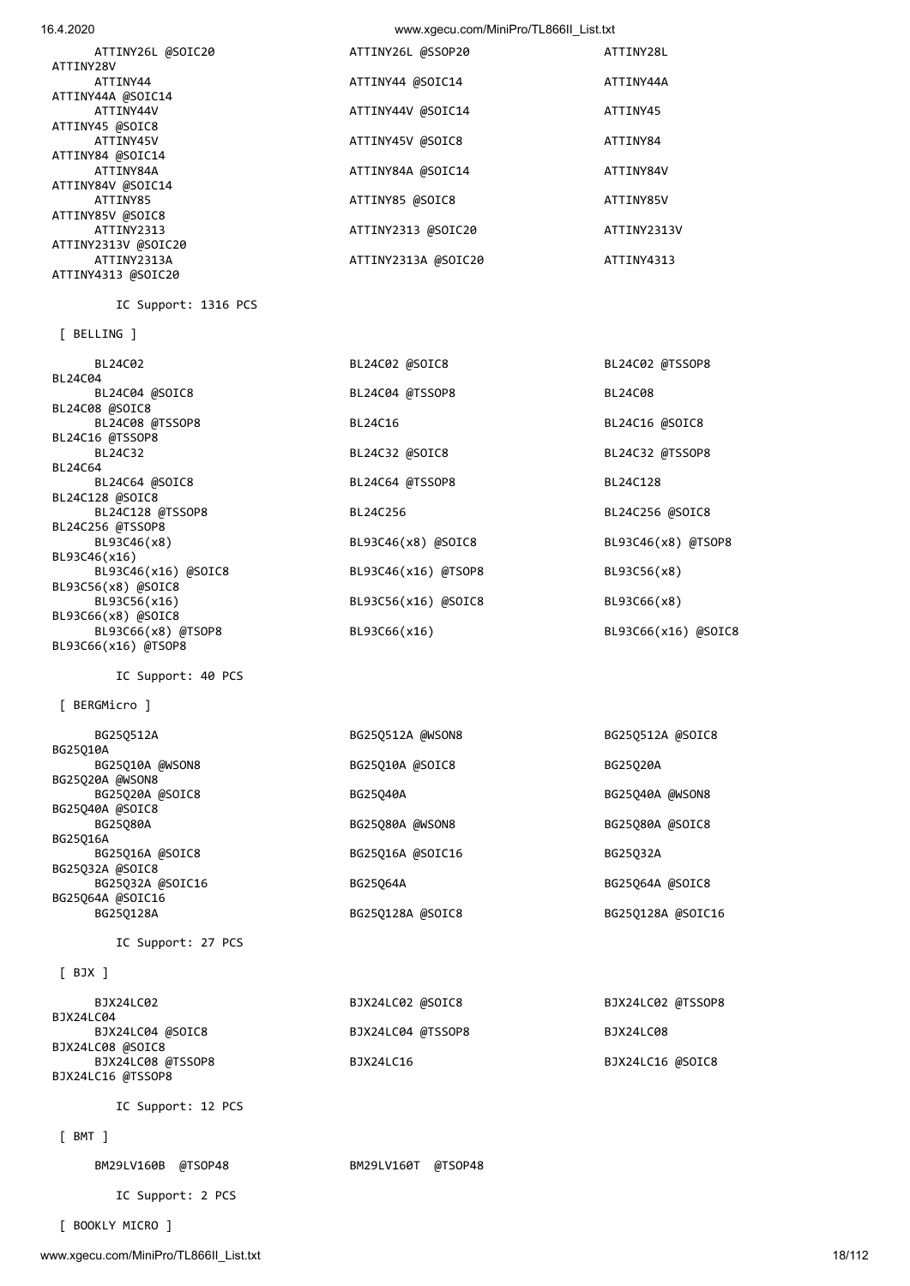| ATTINY26L @SOIC20   | ATTINY26L @SSOP20   | ATTINY28L   |
|---------------------|---------------------|-------------|
| ATTINY28V           |                     |             |
| ATTINY44            | ATTINY44 @SOIC14    | ATTINY44A   |
| ATTINY44A @SOIC14   |                     |             |
| ATTINY44V           | ATTINY44V @SOIC14   | ATTINY45    |
| ATTINY45 @SOIC8     |                     |             |
| ATTINY45V           | ATTINY45V @SOIC8    | ATTINY84    |
| ATTINY84 @SOIC14    |                     |             |
| ATTINY84A           | ATTINY84A @SOIC14   | ATTINY84V   |
| ATTINY84V @SOIC14   |                     |             |
| ATTINY85            | ATTINY85 @SOIC8     | ATTINY85V   |
| ATTINY85V @SOIC8    |                     |             |
| ATTINY2313          | ATTINY2313 @SOIC20  | ATTINY2313V |
| ATTINY2313V @SOIC20 |                     |             |
| ATTINY2313A         | ATTINY2313A @SOIC20 | ATTINY4313  |
| ATTINY4313 @SOIC20  |                     |             |
|                     |                     |             |

| BL24C02             | BL24C02 @SOIC8      | BL24C02 @TSSOP8     |
|---------------------|---------------------|---------------------|
| BL24C04             |                     |                     |
| BL24C04 @SOIC8      | BL24C04 @TSSOP8     | BL24C08             |
| BL24C08 @SOIC8      |                     |                     |
| BL24C08 @TSSOP8     | BL24C16             | BL24C16 @SOIC8      |
| BL24C16 @TSSOP8     |                     |                     |
| BL24C32             | BL24C32 @SOIC8      | BL24C32 @TSSOP8     |
| BL24C64             |                     |                     |
| BL24C64 @SOIC8      | BL24C64 @TSSOP8     | BL24C128            |
| BL24C128 @SOIC8     |                     |                     |
| BL24C128 @TSSOP8    | BL24C256            | BL24C256 @SOIC8     |
| BL24C256 @TSSOP8    |                     |                     |
| BL93C46(x8)         | BL93C46(x8) @SOIC8  | BL93C46(x8) @TSOP8  |
| BL93C46(x16)        |                     |                     |
| BL93C46(x16) @SOIC8 | BL93C46(x16) @TSOP8 | BL93C56(x8)         |
| BL93C56(x8) @SOIC8  |                     |                     |
| BL93C56(x16)        | BL93C56(x16) @SOIC8 | BL93C66(x8)         |
| BL93C66(x8) @SOIC8  |                     |                     |
| BL93C66(x8) @TSOP8  | BL93C66(x16)        | BL93C66(x16) @SOIC8 |
| BL93C66(x16) @TSOP8 |                     |                     |

IC Support: 40 PCS

IC Support: 1316 PCS

[ BERGMicro ]

[ BELLING ]

BL93C66(x16) @TSOP8

BL24C04

BL24C64

| BG250512A        | BG25Q512A @WSON8 | BG25Q512A @SOIC8  |
|------------------|------------------|-------------------|
| BG25010A         |                  |                   |
| BG25Q10A @WSON8  | BG25Q10A @SOIC8  | BG25020A          |
| BG25Q20A @WSON8  |                  |                   |
| BG25Q20A @SOIC8  | BG25040A         | BG25Q40A @WSON8   |
| BG25Q40A @SOIC8  |                  |                   |
| BG25080A         | BG25Q80A @WSON8  | BG25Q80A @SOIC8   |
| BG25016A         |                  |                   |
| BG25Q16A @SOIC8  | BG25Q16A @SOIC16 | BG25032A          |
| BG25Q32A @SOIC8  |                  |                   |
| BG25Q32A @SOIC16 | BG25064A         | BG25Q64A @SOIC8   |
| BG25Q64A @SOIC16 |                  |                   |
| BG250128A        | BG25Q128A @SOIC8 | BG25Q128A @SOIC16 |
|                  |                  |                   |

IC Support: 27 PCS

## [ BJX ]

| BJX24LC02         | BJX24LC02 @SOIC8  | BJX24LC02 @TSSOP8 |
|-------------------|-------------------|-------------------|
| BJX24LC04         |                   |                   |
| BJX24LC04 @SOIC8  | BJX24LC04 @TSSOP8 | BJX24LC08         |
| BJX24LC08 @SOIC8  |                   |                   |
| BJX24LC08 @TSSOP8 | BJX24LC16         | BJX24LC16 @SOIC8  |
| BJX24LC16 @TSSOP8 |                   |                   |

IC Support: 12 PCS

[ BMT ]

BM29LV160B @TSOP48 BM29LV160T @TSOP48

IC Support: 2 PCS

[ BOOKLY MICRO ]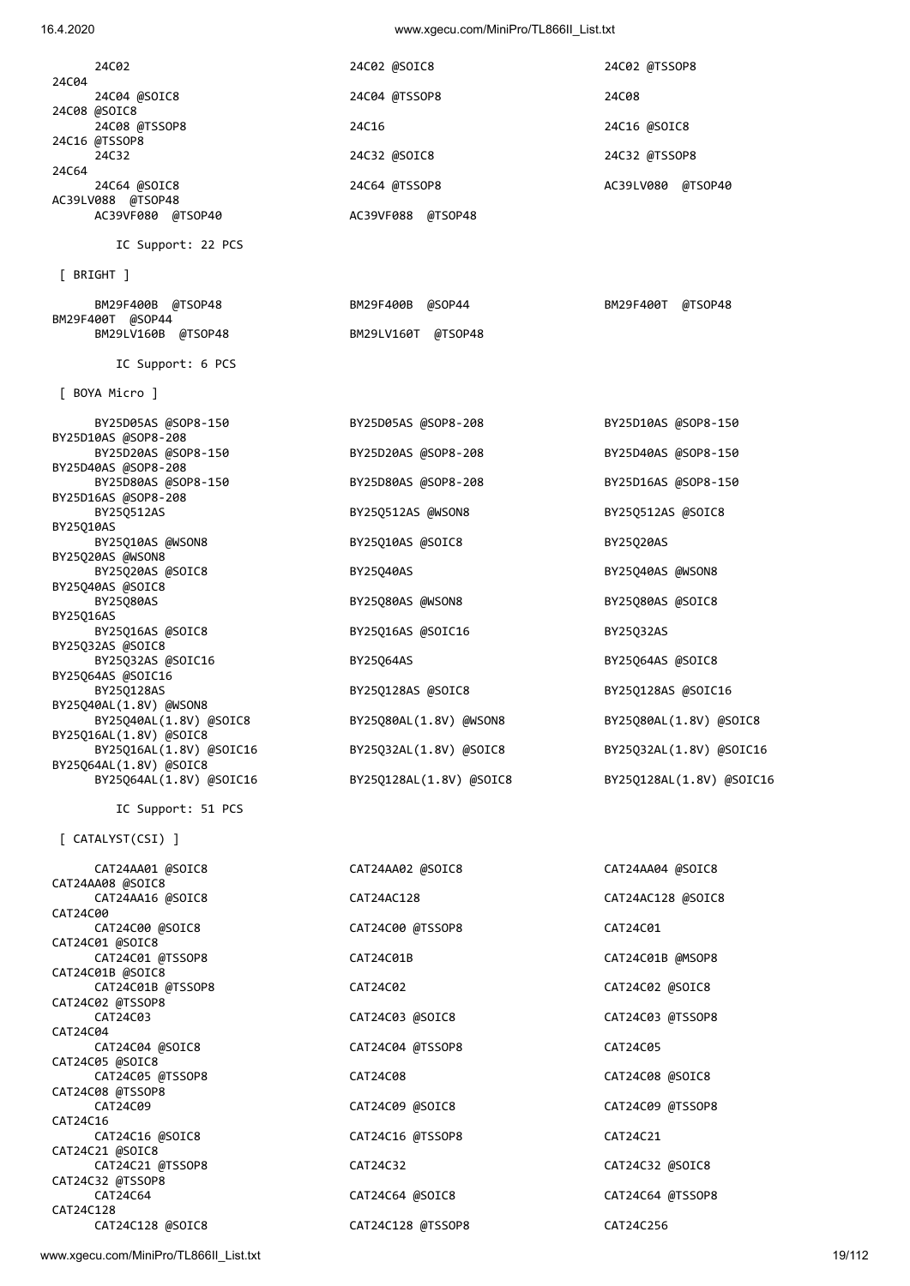|                                                   | $\ldots$                |                          |
|---------------------------------------------------|-------------------------|--------------------------|
| 24C02                                             | 24C02 @SOIC8            | 24C02 @TSSOP8            |
| 24C04<br>24C04 @SOIC8                             | 24C04 @TSSOP8           | 24C08                    |
| 24C08 @SOIC8<br>24C08 @TSSOP8                     | 24C16                   | 24C16 @SOIC8             |
| 24C16 @TSSOP8<br>24C32                            | 24C32 @SOIC8            | 24C32 @TSSOP8            |
| 24C64<br>24C64 @SOIC8                             | 24C64 @TSSOP8           | AC39LV080 @TSOP40        |
| AC39LV088 @TSOP48<br>AC39VF080 @TSOP40            | AC39VF088 @TSOP48       |                          |
| IC Support: 22 PCS                                |                         |                          |
| $[$ BRIGHT $]$                                    |                         |                          |
| BM29F400B @TSOP48                                 | BM29F400B @SOP44        | BM29F400T @TSOP48        |
| BM29F400T @SOP44<br>BM29LV160B @TSOP48            | BM29LV160T @TSOP48      |                          |
| IC Support: 6 PCS                                 |                         |                          |
| [ BOYA Micro ]                                    |                         |                          |
| BY25D05AS @SOP8-150<br>BY25D10AS @SOP8-208        | BY25D05AS @SOP8-208     | BY25D10AS @SOP8-150      |
| BY25D20AS @SOP8-150<br>BY25D40AS @SOP8-208        | BY25D20AS @SOP8-208     | BY25D40AS @SOP8-150      |
| BY25D80AS @SOP8-150<br>BY25D16AS @SOP8-208        | BY25D80AS @SOP8-208     | BY25D16AS @SOP8-150      |
| BY25Q512AS<br>BY25Q10AS                           | BY25Q512AS @WSON8       | BY25Q512AS @SOIC8        |
| BY25Q10AS @WSON8<br>BY25Q20AS @WSON8              | BY25Q10AS @SOIC8        | BY25Q20AS                |
| BY25Q20AS @SOIC8<br>BY25Q40AS @SOIC8              | BY25040AS               | BY25Q40AS @WSON8         |
| BY25Q80AS<br>BY25016AS                            | BY25Q80AS @WSON8        | BY25Q80AS @SOIC8         |
| BY25Q16AS @SOIC8<br>BY25Q32AS @SOIC8              | BY25Q16AS @SOIC16       | BY25Q32AS                |
| BY25Q32AS @SOIC16<br>BY25Q64AS @SOIC16            | BY25Q64AS               | BY25Q64AS @SOIC8         |
| BY25Q128AS<br>BY25Q40AL(1.8V) @WSON8              | BY25Q128AS @SOIC8       | BY25Q128AS @SOIC16       |
| BY25Q40AL(1.8V) @SOIC8<br>BY25Q16AL(1.8V) @SOIC8  | BY25Q80AL(1.8V) @WSON8  | BY25Q80AL(1.8V) @SOIC8   |
| BY25Q16AL(1.8V) @SOIC16<br>BY25Q64AL(1.8V) @SOIC8 | BY25Q32AL(1.8V) @SOIC8  | BY25Q32AL(1.8V) @SOIC16  |
| BY25Q64AL(1.8V) @SOIC16                           | BY25Q128AL(1.8V) @SOIC8 | BY25Q128AL(1.8V) @SOIC16 |
| IC Support: 51 PCS                                |                         |                          |
| [ CATALYST(CSI) ]                                 |                         |                          |
| CAT24AA01 @SOIC8<br>CAT24AA08 @SOIC8              | CAT24AA02 @SOIC8        | CAT24AA04 @SOIC8         |
| CAT24AA16 @SOIC8                                  | CAT24AC128              | CAT24AC128 @SOIC8        |

CAT24C00 CAT24C00 @SOIC8 CAT24C00 @TSSOP8 CAT24C01 CAT24C01 @SOIC8 CAT24C01 @TSSOP8 CAT24C01B CAT24C01B @MSOP8 CAT24C01B @SOIC8 CAT24C01B @TSSOP8 CAT24C02 CAT24C02 @SOIC8 CAT24C02 @TSSOP8 CAT24C04<br>CAT24C04 @SOIC8 CAT24C05 @SOIC8 CAT24C05 @TSSOP8 CAT24C08 CAT24C08 @SOIC8 CAT24C08 @TSSOP8 CAT24C16<br>CAT24C16 @SOIC8 CAT24C21 @SOIC8<br>CAT24C21 @TSSOP8 CAT24C32 @TSSOP8 CAT24C128 @SOIC8<br>CAT24C128 @SOIC8

 CAT24C03 CAT24C03 @SOIC8 CAT24C03 @TSSOP8 CAT24C04 @TSSOP8 CAT24C05 CAT24C09 CAT24C09 @SOIC8 CAT24C09 @TSSOP8 CAT24C16 @TSSOP8 CAT24C21 CAT24C32 **CAT24C32 CAT24C32 @SOIC8**  CAT24C64 CAT24C64 @SOIC8 CAT24C64 @TSSOP8 CAT24C128 @TSSOP8 CAT24C256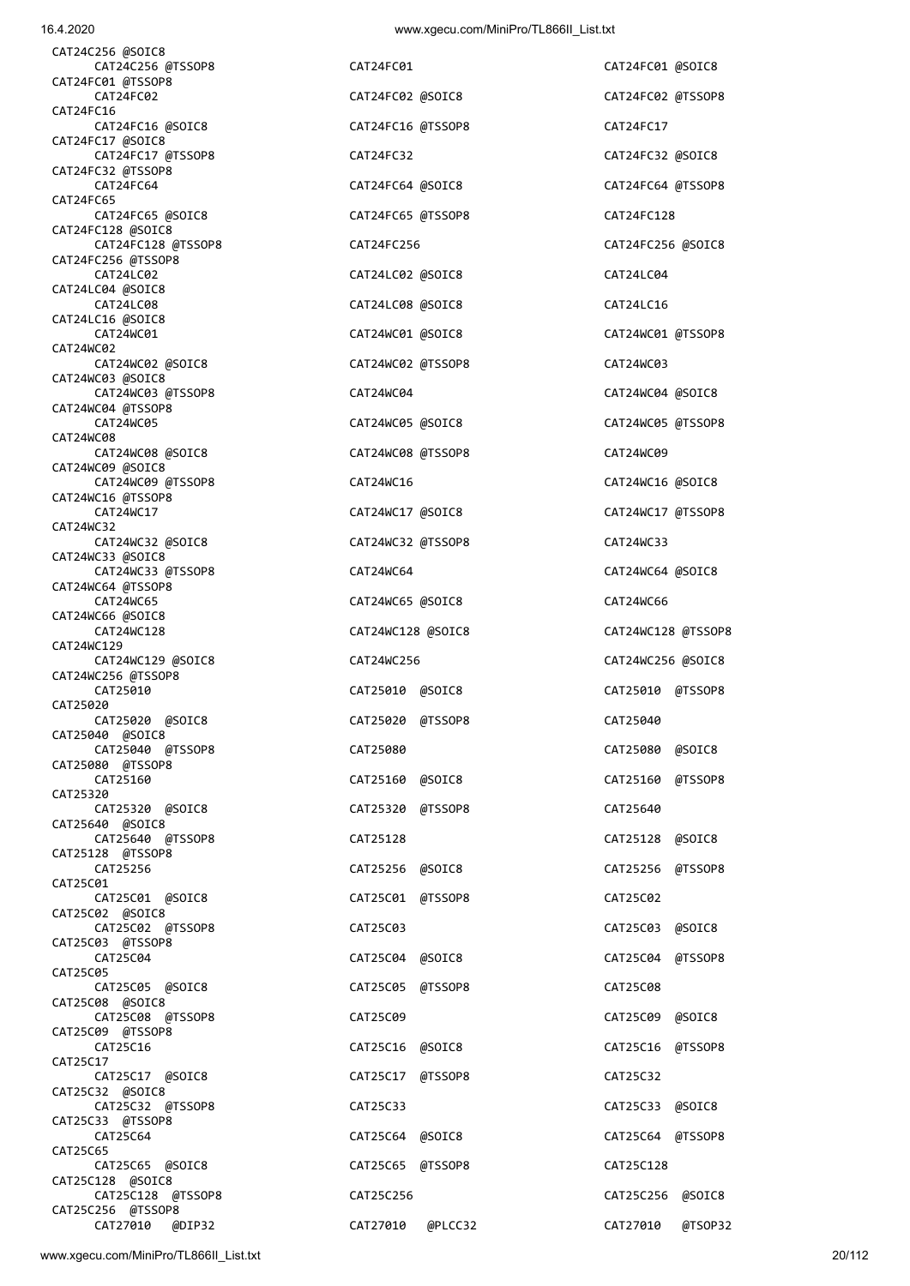| CAT24C256 @SOIC8<br>CAT24C256 @TSSOP8   |
|-----------------------------------------|
| CAT24FC01 @TSSOP8                       |
| CAT24FC02                               |
| CAT24FC16<br>CAT24FC16 @SOIC8           |
| CAT24FC17 @SOIC8                        |
| CAT24FC17 @TSSOP8                       |
| CAT24FC32 @TSSOP8<br>CAT24FC64          |
| CAT24FC65                               |
| CAT24FC65 @SOIC8                        |
| CAT24FC128 @SOIC8<br>CAT24FC128 @TSSOP8 |
| CAT24FC256 @TSSOP8                      |
| CAT24LC02                               |
| CAT24LC04 @SOIC8<br>CAT24LC08           |
| CAT24LC16 @SOIC8                        |
| CAT24WC01<br>CAT24WC02                  |
| CAT24WC02 @SOIC8                        |
| CAT24WC03 @SOIC8                        |
| CAT24WC03 @TSSOP8<br>CAT24WC04 @TSSOP8  |
| CAT24WC05                               |
| CAT24WC08                               |
| CAT24WC08 @SOIC8<br>CAT24WC09 @SOIC8    |
| CAT24WC09 @TSSOP8                       |
| CAT24WC16 @TSSOP8                       |
| CAT24WC17<br>CAT24WC32                  |
| CAT24WC32 @SOIC8                        |
| CAT24WC33 @SOIC8                        |
| CAT24WC33 @TSSOP8<br>CAT24WC64 @TSSOP8  |
| CAT24WC65                               |
| CAT24WC66 @SOIC8<br>CAT24WC128          |
| CAT24WC129                              |
| CAT24WC129 @SOIC8                       |
| CAT24WC256 @TSSOP8<br>CAT25010          |
| CAT25020                                |
| CAT25020 @SOIC8<br>CAT25040 @SOIC8      |
| CAT25040 @TSSOP8                        |
| CAT25080 @TSSOP8                        |
| CAT25160<br>CAT25320                    |
| CAT25320 @SOIC8                         |
|                                         |
| CAT25640 @SOIC8                         |
| CAT25640 @TSSOP8                        |
| CAT25128 @TSSOP8<br>CAT25256            |
| CAT25C01                                |
| CAT25C01 @SOIC8                         |
| CAT25C02 @SOIC8<br>CAT25C02 @TSSOP8     |
| CAT25C03 @TSSOP8                        |
| CAT25C04                                |
| CAT25C05<br>CAT25C05 @SOIC8             |
| CAT25C08 @SOIC8                         |
| CAT25C08 @TSSOP8<br>CAT25C09 @TSSOP8    |
| CAT25C16                                |
| CAT25C17                                |
| CAT25C17 @SOIC8<br>CAT25C32 @SOIC8      |
| CAT25C32 @TSSOP8                        |
| CAT25C33 @TSSOP8                        |
| CAT25C64<br>CAT25C65                    |
| CAT25C65 @SOIC8                         |
| CAT25C128 @SOIC8<br>CAT25C128 @TSSOP8   |

CAT24FC01 CAT24FC01 @SOIC8 CAT24FC02 CAT24FC02 @SOIC8 CAT24FC02 @TSSOP8 CAT24FC16 @TSSOP8 CAT24FC17 CAT24FC32 **CAT24FC32** @SOIC8 CAT24FC64 @SOIC8 CAT24FC64 @TSSOP8 CAT24FC65 @TSSOP8 CAT24FC128 CAT24FC256 **CAT24FC256 CAT24FC256 @SOIC8** CAT24LC02 @SOIC8 CAT24LC04 CAT24LC08 @SOIC8 CAT24LC16 CAT24WC01 CAT24WC01 @SOIC8 CAT24WC01 @TSSOP8 CAT24WC02 @TSSOP8 CAT24WC03 CAT24WC04 **CAT24WC04 CAT24WC04 @SOIC8**  CAT24WC05 CAT24WC05 @SOIC8 CAT24WC05 @TSSOP8 CAT24WC08 @TSSOP8 CAT24WC09 CAT24WC16 **CAT24WC16 CAT24WC16 @SOIC8** CAT24WC17 @SOIC8 CAT24WC17 @TSSOP8 CAT24WC32 @TSSOP8 CAT24WC33 CAT24WC64 **CAT24WC64 CAT24WC64**  $\omega$ CAT24WC65 @SOIC8 CAT24WC66 CAT24WC129 @SOIC8 CAT24WC256 CAT24WC256 @SOIC8 CAT25010 CAT25010 @SOIC8 CAT25010 @TSSOP8 CAT25020 @TSSOP8 CAT25040 CAT25080 **CAT25080 CAT25080 @SOIC8**  CAT25160 CAT25160 @SOIC8 CAT25160 @TSSOP8 CAT25320 @TSSOP8 CAT25640 CAT25128 **CAT25128 CAT25128 @SOIC8**  CAT25256 CAT25256 @SOIC8 CAT25256 @TSSOP8 CAT25C01 @TSSOP8 CAT25C02 CAT25C03 **CAT25C03 CAT25C03 @SOIC8**  CAT25C04 CAT25C04 @SOIC8 CAT25C04 @TSSOP8 CAT25C05 @TSSOP8 CAT25C08 CAT25C09 **CAT25C09 CAT25C09 @SOIC8**  CAT25C16 CAT25C16 @SOIC8 CAT25C16 @TSSOP8 CAT25C17 @TSSOP8 CAT25C32 CAT25C33 @SOIC8 CAT25C64 CAT25C64 @SOIC8 CAT25C64 @TSSOP8 CAT25C65 @TSSOP8 CAT25C128 CAT25C256 **CAT25C256 @SOIC8** 

CAT24WC128 @SOIC8 CAT24WC128 @TSSOP8 CAT27010 @DIP32 CAT27010 @PLCC32 CAT27010 @TSOP32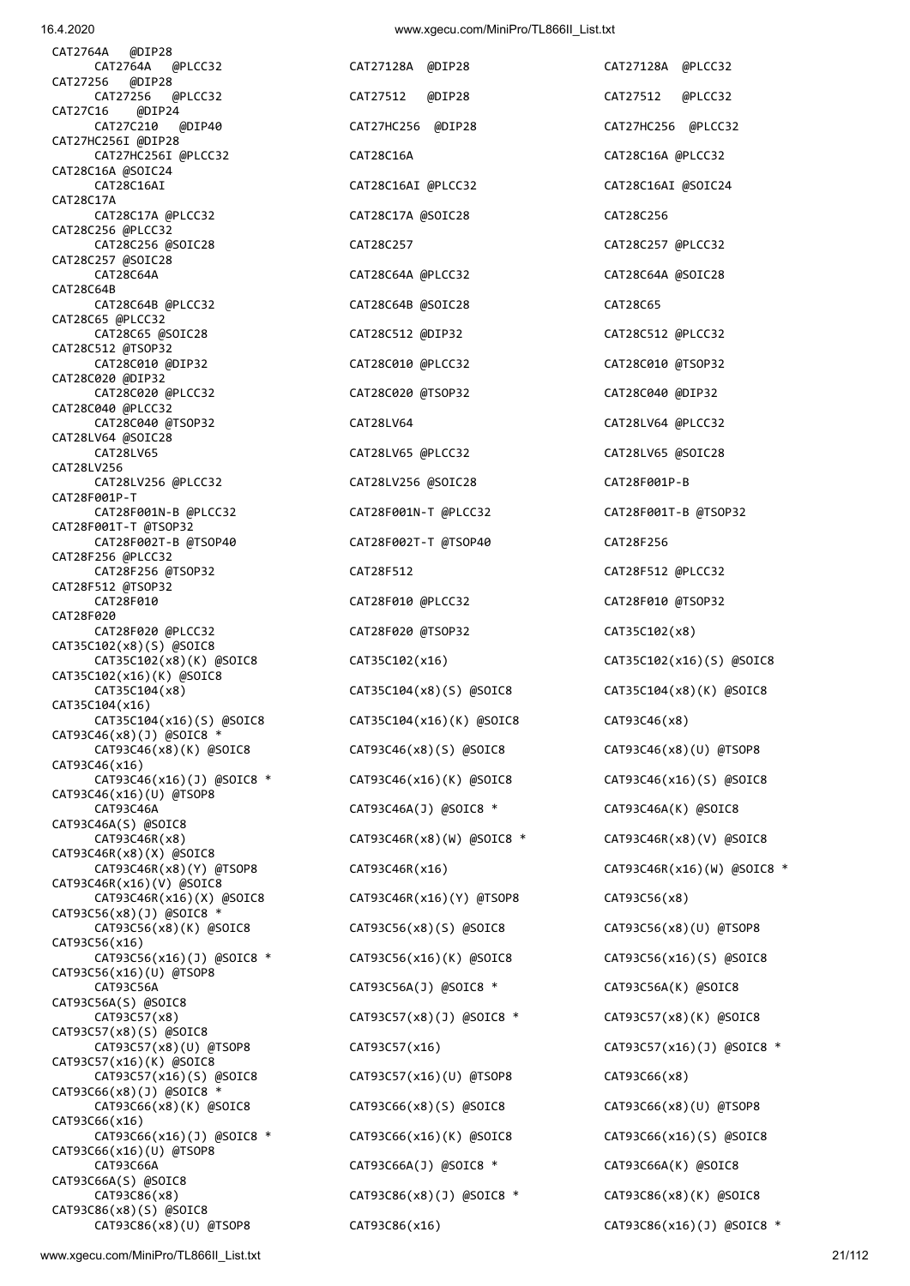CAT2764A @DIP28 CAT2764A @PLCC32 CAT27128A @DIP28 CAT27128A @PLCC32 CAT27256 @DIP28 CAT27C16 @DIP24 CAT27HC256I @DIP28 CAT28C16A @SOIC24 CAT28C17A CAT28C256 @PLCC32 CAT28C257 @SOIC28 CAT28C64B CAT28C65 @PLCC32 CAT28C512 @TSOP32 CAT28C020 @DIP32 CAT28C040 @PLCC32 CAT28LV64 @SOIC28 CAT28LV256 CAT28F001P-T CAT28F001T-T @TSOP32 CAT28F256 @PLCC32 CAT28F512 @TSOP32 CAT28F020 CAT35C102(x8)(S) @SOIC8 CAT35C102(x16)(K) @SOIC8 CAT35C104(x16) CAT93C46(x8)(J) @SOIC8 \* CAT93C46(x16) CAT93C46(x16)(U) @TSOP8 CAT93C46A(S) @SOIC8 CAT93C46R(x8)(X) @SOIC8 CAT93C46R(x16)(V) @SOIC8  $CAT93C56(x8)(J)$  @SOIC8<sup>\*</sup> CAT93C56(x16) CAT93C56(x16)(U) @TSOP8 CAT93C56A(S) @SOIC8 CAT93C57(x8)(S) @SOIC8 CAT93C57(x16)(K) @SOIC8 CAT93C66(x8)(J) @SOIC8 \* CAT93C66(x16) CAT93C66(x16)(U) @TSOP8 CAT93C66A(S) @SOIC8 CAT93C86(x8)(S) @SOIC8

 CAT27256 @PLCC32 CAT27512 @DIP28 CAT27512 @PLCC32 CAT27C210 @DIP40 CAT27HC256 @DIP28 CAT27HC256 @PLCC32 CAT27HC256I @PLCC32 CAT28C16A CAT28C16A @PLCC32 CAT28C16AI CAT28C16AI @PLCC32 CAT28C16AI @SOIC24 CAT28C17A @PLCC32 CAT28C17A @SOIC28 CAT28C256 CAT28C256 @SOIC28 CAT28C257 CAT28C257 @PLCC32 CAT28C64A CAT28C64A @PLCC32 CAT28C64A @SOIC28 CAT28C64B @PLCC32 CAT28C64B @SOIC28 CAT28C65 CAT28C65 @SOIC28 CAT28C512 @DIP32 CAT28C512 @PLCC32 CAT28C010 @DIP32 CAT28C010 @PLCC32 CAT28C010 @TSOP32 CAT28C020 @PLCC32 CAT28C020 @TSOP32 CAT28C040 @DIP32 CAT28C040 @TSOP32 CAT28LV64 CAT28LV64 @PLCC32 CAT28LV65 CAT28LV65 @PLCC32 CAT28LV65 @SOIC28 CAT28LV256 @PLCC32 CAT28LV256 @SOIC28 CAT28F001P-B CAT28F001N-B @PLCC32 CAT28F001N-T @PLCC32 CAT28F001T-B @TSOP32 CAT28F002T-B @TSOP40 CAT28F002T-T @TSOP40 CAT28F256 CAT28F256 @TSOP32 CAT28F512 CAT28F512 @PLCC32 CAT28F010 CAT28F010 @PLCC32 CAT28F010 @TSOP32 CAT28F020 @PLCC32 CAT28F020 @TSOP32 CAT35C102(x8) CAT35C102(x8)(K) @SOIC8 CAT35C102(x16) CAT35C102(x16)(S) @SOIC8 CAT35C104(x8) CAT35C104(x8)(S) @SOIC8 CAT35C104(x8)(K) @SOIC8 CAT35C104(x16)(S) @SOIC8 CAT35C104(x16)(K) @SOIC8 CAT93C46(x8) CAT93C46(x8)(K) @SOIC8 CAT93C46(x8)(S) @SOIC8 CAT93C46(x8)(U) @TSOP8 CAT93C46(x16)(J) @SOIC8 \* CAT93C46(x16)(K) @SOIC8 CAT93C46(x16)(S) @SOIC8 CAT93C46A CAT93C46A(J) @SOIC8 \* CAT93C46A(K) @SOIC8 CAT93C46R(x8) CAT93C46R(x8)(W) @SOIC8 \* CAT93C46R(x8)(V) @SOIC8 CAT93C46R(x16)(X) @SOIC8 CAT93C46R(x16)(Y) @TSOP8 CAT93C56(x8) CAT93C56(x8)(K) @SOIC8 CAT93C56(x8)(S) @SOIC8 CAT93C56(x8)(U) @TSOP8 CAT93C56(x16)(J) @SOIC8 \* CAT93C56(x16)(K) @SOIC8 CAT93C56(x16)(S) @SOIC8 CAT93C56A CAT93C56A(J) @SOIC8 \* CAT93C56A(K) @SOIC8 CAT93C57(x8) CAT93C57(x8)(J) @SOIC8 \* CAT93C57(x8)(K) @SOIC8 CAT93C57(x8)(U) @TSOP8 CAT93C57(x16) CAT93C57(x16)(J) @SOIC8 \* CAT93C57(x16)(S) @SOIC8 CAT93C57(x16)(U) @TSOP8 CAT93C66(x8) CAT93C66(x8)(K) @SOIC8 CAT93C66(x8)(S) @SOIC8 CAT93C66(x8)(U) @TSOP8 CAT93C66(x16)(J) @SOIC8 \* CAT93C66(x16)(K) @SOIC8 CAT93C66(x16)(S) @SOIC8 CAT93C66A CAT93C66A(J) @SOIC8 \* CAT93C66A(K) @SOIC8 CAT93C86(x8) CAT93C86(x8)(J) @SOIC8 \* CAT93C86(x8)(K) @SOIC8 CAT93C86(x8)(U) @TSOP8 CAT93C86(x16) CAT93C86(x16)(J) @SOIC8 \*

CAT93C46R(x8)(Y) @TSOP8 CAT93C46R(x16) CAT93C46R(x16)(W) @SOIC8 \*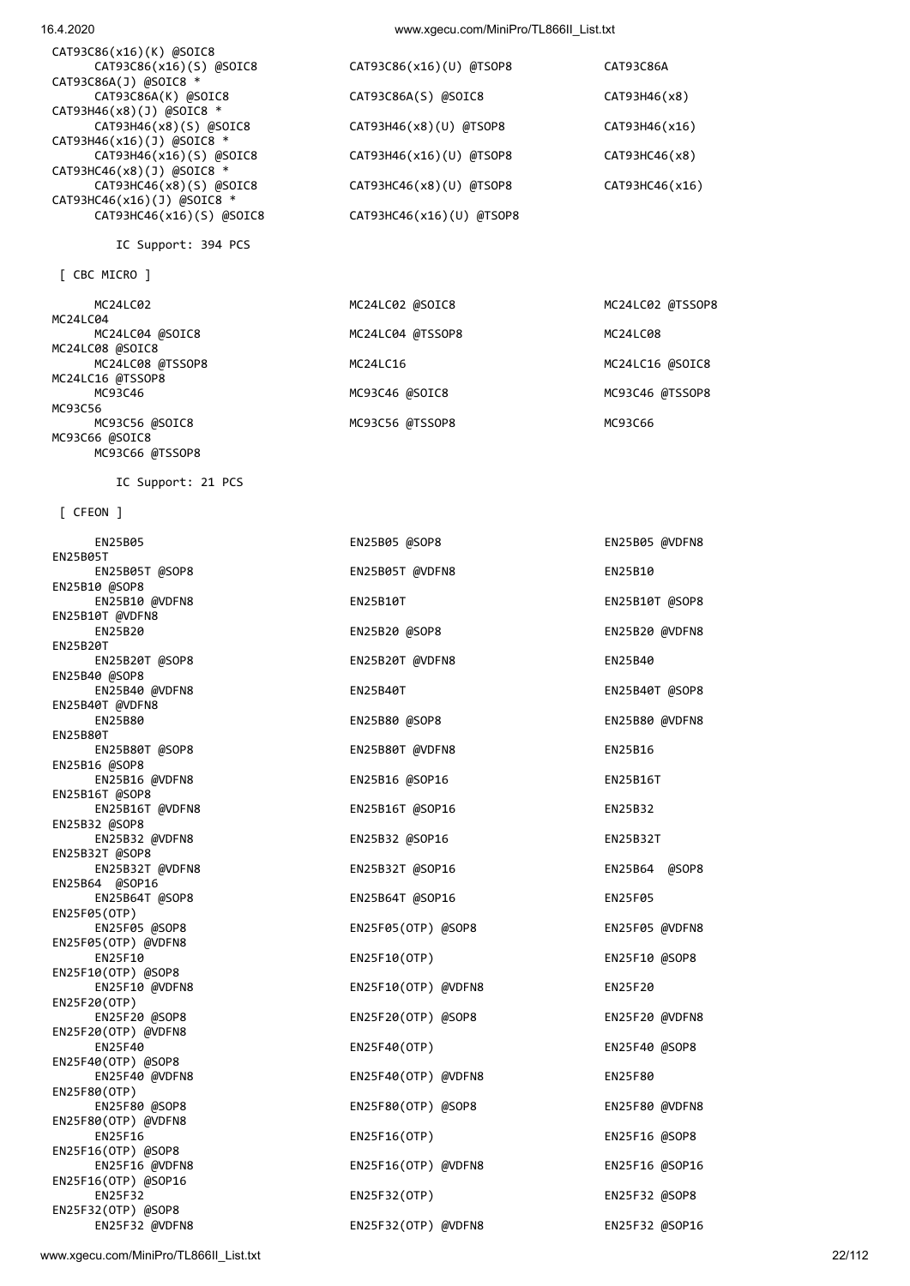| 16.4.2020 | www.xgecu.com/MiniPro/TL866II List.txt |
|-----------|----------------------------------------|
|           |                                        |

| CAT93C86(x16)(K) @SOIC8     |                            |                |
|-----------------------------|----------------------------|----------------|
| CAT93C86(x16)(S) @SOIC8     | CAT93C86(x16)(U) @TSOP8    | CAT93C86A      |
| CAT93C86A(J) @SOIC8 *       |                            |                |
| CAT93C86A(K) @SOIC8         | CAT93C86A(S) @SOIC8        | CAT93H46(x8)   |
| CAT93H46(x8)(J) @SOIC8 *    |                            |                |
| CAT93H46(x8)(S) @SOIC8      | CAT93H46(x8)(U) @TSOP8     | CAT93H46(x16)  |
| CAT93H46(x16)(J) @SOIC8 *   |                            |                |
| CAT93H46(x16)(S) @SOIC8     | CAT93H46(x16)(U) @TSOP8    | CAT93HC46(x8)  |
| CAT93HC46(x8)(J) @SOIC8 $*$ |                            |                |
| CAT93HC46(x8)(S) @SOIC8     | $CAT93HC46(x8)(U)$ @TSOP8  | CAT93HC46(x16) |
| CAT93HC46(x16)(J) @SOIC8 *  |                            |                |
| CAT93HC46(x16)(S) @SOIC8    | $CAT93HC46(x16)(U)$ @TSOP8 |                |

IC Support: 394 PCS

[ CBC MICRO ]

| MC24LC02 @SOIC8  | MC24LC02 @TSSOP8 |
|------------------|------------------|
|                  |                  |
| MC24LC04 @TSSOP8 | MC24LC08         |
|                  |                  |
| MC24LC16         | MC24LC16 @SOIC8  |
|                  |                  |
| MC93C46 @SOIC8   | MC93C46 @TSSOP8  |
|                  |                  |
| MC93C56 @TSSOP8  | MC93C66          |
|                  |                  |
|                  |                  |

IC Support: 21 PCS

MC93C66 @TSSOP8

[ CFEON ]

| EN25B05                                | EN25B05 @SOP8       | EN25B05 @VDFN8 |
|----------------------------------------|---------------------|----------------|
| <b>EN25B05T</b><br>EN25B05T @SOP8      | EN25B05T @VDFN8     | EN25B10        |
| EN25B10 @SOP8<br>EN25B10 @VDFN8        | EN25B10T            | EN25B10T @SOP8 |
| EN25B10T @VDFN8<br><b>EN25B20</b>      | EN25B20 @SOP8       | EN25B20 @VDFN8 |
| <b>EN25B20T</b><br>EN25B20T @SOP8      | EN25B20T @VDFN8     | EN25B40        |
| EN25B40 @SOP8<br>EN25B40 @VDFN8        | EN25B40T            | EN25B40T @SOP8 |
| EN25B40T @VDFN8                        |                     |                |
| EN25B80<br>EN25B80T                    | EN25B80 @SOP8       | EN25B80 @VDFN8 |
| EN25B80T @SOP8<br>EN25B16 @SOP8        | EN25B80T @VDFN8     | EN25B16        |
| EN25B16 @VDFN8                         | EN25B16 @SOP16      | EN25B16T       |
| EN25B16T @SOP8<br>EN25B16T @VDFN8      | EN25B16T @SOP16     | EN25B32        |
| EN25B32 @SOP8<br>EN25B32 @VDFN8        | EN25B32 @SOP16      | EN25B32T       |
| EN25B32T @SOP8<br>EN25B32T @VDFN8      | EN25B32T @SOP16     | EN25B64 @SOP8  |
| EN25B64 @SOP16<br>EN25B64T @SOP8       | EN25B64T @SOP16     | <b>EN25F05</b> |
| EN25F05(OTP)<br>EN25F05 @SOP8          | EN25F05(OTP) @SOP8  | EN25F05 @VDFN8 |
| EN25F05(OTP) @VDFN8                    |                     |                |
| EN25F10<br>$EN25F10(OTP)$ @SOP8        | EN25F10(OTP)        | EN25F10 @SOP8  |
| EN25F10 @VDFN8<br>EN25F20(OTP)         | EN25F10(OTP) @VDFN8 | EN25F20        |
| EN25F20 @SOP8<br>EN25F20(OTP) @VDFN8   | EN25F20(OTP) @SOP8  | EN25F20 @VDFN8 |
| EN25F40                                | EN25F40(OTP)        | EN25F40 @SOP8  |
| $EN25F40(OTP)$ @SOP8<br>EN25F40 @VDFN8 | EN25F40(OTP) @VDFN8 | EN25F80        |
| EN25F80(OTP)<br>EN25F80 @SOP8          | EN25F80(OTP) @SOP8  | EN25F80 @VDFN8 |
| EN25F80(OTP) @VDFN8<br><b>EN25F16</b>  | EN25F16(OTP)        | EN25F16 @SOP8  |
| EN25F16(OTP) @SOP8<br>EN25F16 @VDFN8   | EN25F16(OTP) @VDFN8 | EN25F16 @SOP16 |
| EN25F16(OTP) @SOP16                    |                     |                |
| EN25F32<br>EN25F32(OTP) @SOP8          | EN25F32(OTP)        | EN25F32 @SOP8  |
| EN25F32 @VDFN8                         | EN25F32(OTP) @VDFN8 | EN25F32 @SOP16 |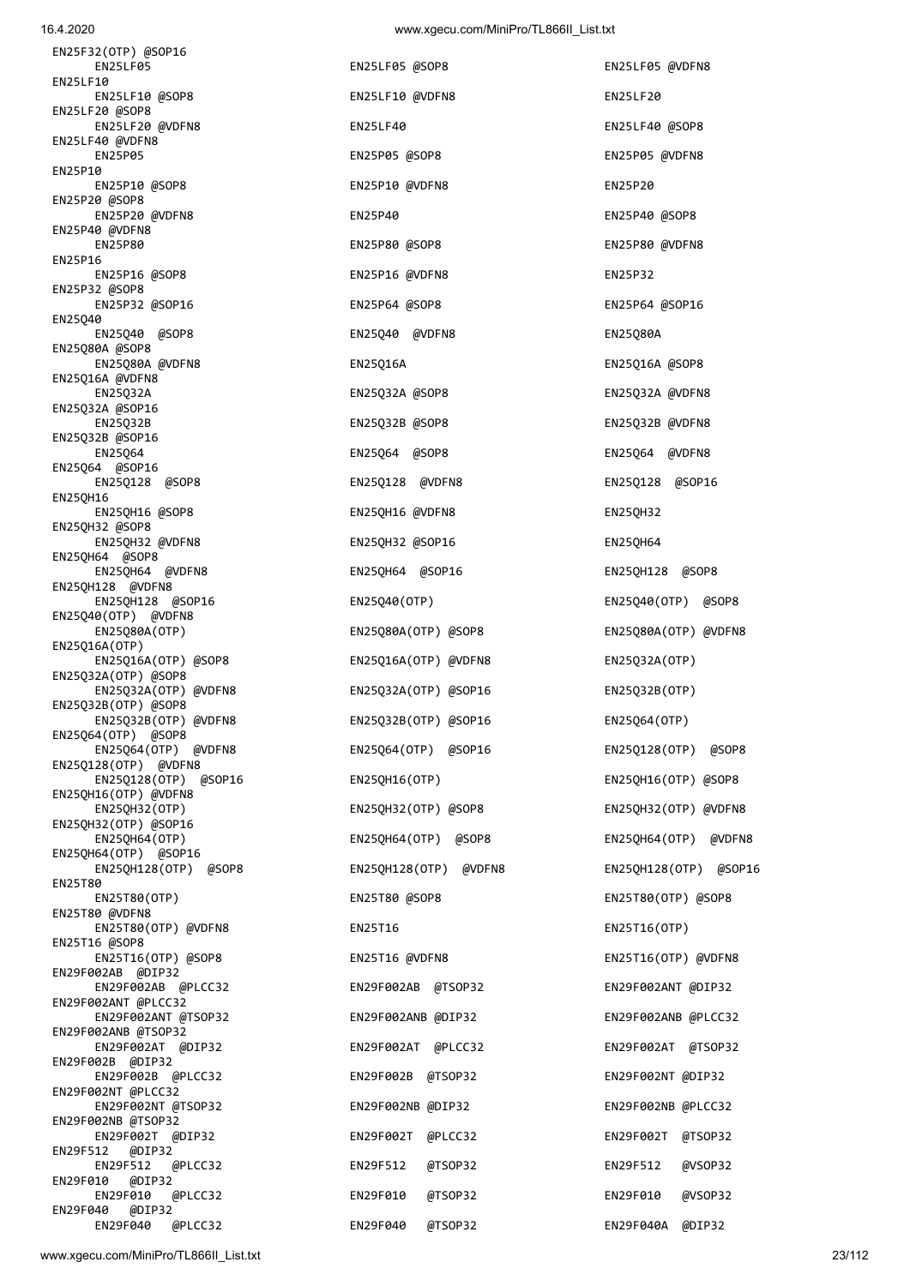EN29F040 @DIP32

| <b>ENZSP05</b>                               | ENZSP05 @SUP8         | <b>ENZSPOS @VDFN8</b> |
|----------------------------------------------|-----------------------|-----------------------|
| EN25P10<br>EN25P10 @SOP8                     | EN25P10 @VDFN8        | EN25P20               |
| EN25P20 @SOP8<br>EN25P20 @VDFN8              | EN25P40               | EN25P40 @SOP8         |
| EN25P40 @VDFN8<br>EN25P80                    | EN25P80 @SOP8         | EN25P80 @VDFN8        |
| EN25P16                                      |                       |                       |
| EN25P16 @SOP8<br>EN25P32 @SOP8               | EN25P16 @VDFN8        | EN25P32               |
| EN25P32 @SOP16<br>EN25Q40                    | EN25P64 @SOP8         | EN25P64 @SOP16        |
| EN25040 @SOP8<br>EN25Q80A @SOP8              | EN25Q40 @VDFN8        | EN25Q80A              |
| EN25Q80A @VDFN8                              | EN25Q16A              | EN25Q16A @SOP8        |
| EN25Q16A @VDFN8<br>EN25Q32A                  | EN25Q32A @SOP8        | EN25Q32A @VDFN8       |
| EN25Q32A @SOP16<br>EN25Q32B                  | EN25Q32B @SOP8        | EN25Q32B @VDFN8       |
| EN25Q32B @SOP16                              |                       |                       |
| EN25064<br>EN25Q64 @SOP16                    | EN25Q64 @SOP8         | EN25Q64 @VDFN8        |
| EN25Q128 @SOP8                               | EN25Q128 @VDFN8       | EN25Q128 @SOP16       |
| EN25QH16<br>EN25QH16 @SOP8                   | EN25QH16 @VDFN8       | EN25QH32              |
| EN25QH32 @SOP8                               |                       |                       |
| EN25QH32 @VDFN8<br>EN25QH64 @SOP8            | EN25QH32 @SOP16       | <b>EN25QH64</b>       |
| EN25QH64 @VDFN8                              | EN25QH64 @SOP16       | EN25QH128 @SOP8       |
| EN25QH128 @VDFN8<br>EN25QH128 @SOP16         | EN25Q40(OTP)          | EN25Q40(OTP) @SOP8    |
| EN25Q40(OTP) @VDFN8                          |                       |                       |
| EN25Q80A(OTP)<br>EN25Q16A(OTP)               | EN25Q80A(OTP) @SOP8   | EN25Q80A(OTP) @VDFN8  |
| EN25Q16A(OTP) @SOP8                          | EN25Q16A(OTP) @VDFN8  | EN25Q32A(OTP)         |
| EN25Q32A(OTP) @SOP8<br>EN25Q32A(OTP) @VDFN8  | EN25Q32A(OTP) @SOP16  | EN25Q32B(OTP)         |
| EN25Q32B(OTP) @SOP8<br>EN25Q32B(OTP) @VDFN8  | EN25Q32B(OTP) @SOP16  | EN25Q64(OTP)          |
| EN25Q64(OTP) @SOP8<br>EN25Q64(OTP) @VDFN8    | EN25Q64(OTP) @SOP16   | EN25Q128(OTP) @SOP8   |
| EN25Q128(OTP) @VDFN8<br>EN25Q128(OTP) @SOP16 | EN25QH16(OTP)         | EN25QH16(OTP) @SOP8   |
| EN25QH16(OTP) @VDFN8                         |                       |                       |
| EN25QH32(OTP)<br>EN25QH32(OTP) @SOP16        | EN25QH32(OTP) @SOP8   | EN25QH32(OTP) @VDFN8  |
| EN25QH64(OTP)                                | EN25QH64(OTP) @SOP8   | EN25QH64(OTP) @VDFM   |
| EN25QH64(OTP) @SOP16<br>EN25QH128(OTP) @SOP8 | EN25QH128(OTP) @VDFN8 | EN25QH128(OTP) @SOF   |
| EN25T80                                      |                       |                       |
| EN25T80(OTP)<br>EN25T80 @VDFN8               | EN25T80 @SOP8         | EN25T80(OTP) @SOP8    |
| EN25T80(OTP) @VDFN8<br>EN25T16 @SOP8         | EN25T16               | EN25T16(OTP)          |
| EN25T16(OTP) @SOP8                           | EN25T16 @VDFN8        | EN25T16(OTP) @VDFN8   |
| EN29F002AB @DIP32<br>EN29F002AB @PLCC32      | EN29F002AB @TSOP32    | EN29F002ANT @DIP32    |
| EN29F002ANT @PLCC32<br>EN29F002ANT @TSOP32   | EN29F002ANB @DIP32    | EN29F002ANB @PLCC32   |
| EN29F002ANB @TSOP32                          |                       |                       |
| EN29F002AT @DIP32<br>EN29F002B @DIP32        | EN29F002AT @PLCC32    | EN29F002AT @TSOP32    |
| EN29F002B @PLCC32<br>EN29F002NT @PLCC32      | EN29F002B @TSOP32     | EN29F002NT @DIP32     |
| EN29F002NT @TSOP32                           | EN29F002NB @DIP32     | EN29F002NB @PLCC32    |
| EN29F002NB @TSOP32<br>EN29F002T @DIP32       | EN29F002T @PLCC32     | EN29F002T @TSOP32     |
| EN29F512<br>@DIP32<br>EN29F512<br>@PLCC32    | EN29F512 @TSOP32      | EN29F512 @VSOP32      |
| EN29F010 @DIP32                              |                       |                       |

EN29F010 @PLCC32 EN29F010 @TSOP32 EN29F010 @VSOP32

EN29F040 @PLCC32 EN29F040 @TSOP32 EN29F040A @DIP32

EN25LF05 **EN25LF05** en25LF05 @SOP8 **EN25LF05** en25LF05 @VDFN8 EN25LF10 @VDFN8 EN25LF20 EN25LF20 @VDFN8 EN25LF40 EN25LF40 @SOP8 EN25P05 EN25P05 @SOP8 EN25P05 @VDFN8 EN25P40 @SOP8 EN25P80 @VDFN8 EN25P64 @SOP16 EN25Q32B @VDFN8 EN25Q128 @SOP16 EN25QH128 @SOP8 EN25Q40(OTP) @SOP8 EN25Q80A(OTP) @VDFN8 EN25Q32A(OTP) EN25Q32B(OTP) EN25Q64(OTP) EN25Q128(OTP) @SOP8 EN25Q128(OTP) @SOP16 EN25QH16(OTP) EN25QH16(OTP) @SOP8 EN25QH32(OTP) @VDFN8 EN25QH64(OTP) @VDFN8 EN25QH128(OTP) @SOP16 EN25T16(OTP) EN25T16(OTP) @VDFN8 EN29F002ANT @DIP32 EN29F002ANB @PLCC32 EN29F002AT @TSOP32 EN29F002NT @DIP32 EN29F002NB @PLCC32 EN29F002T @TSOP32

EN25F32(OTP) @SOP16

EN25LF10<br>EN25LF10 @SOP8

EN25LF20 @SOP8

EN25LF40 @VDFN8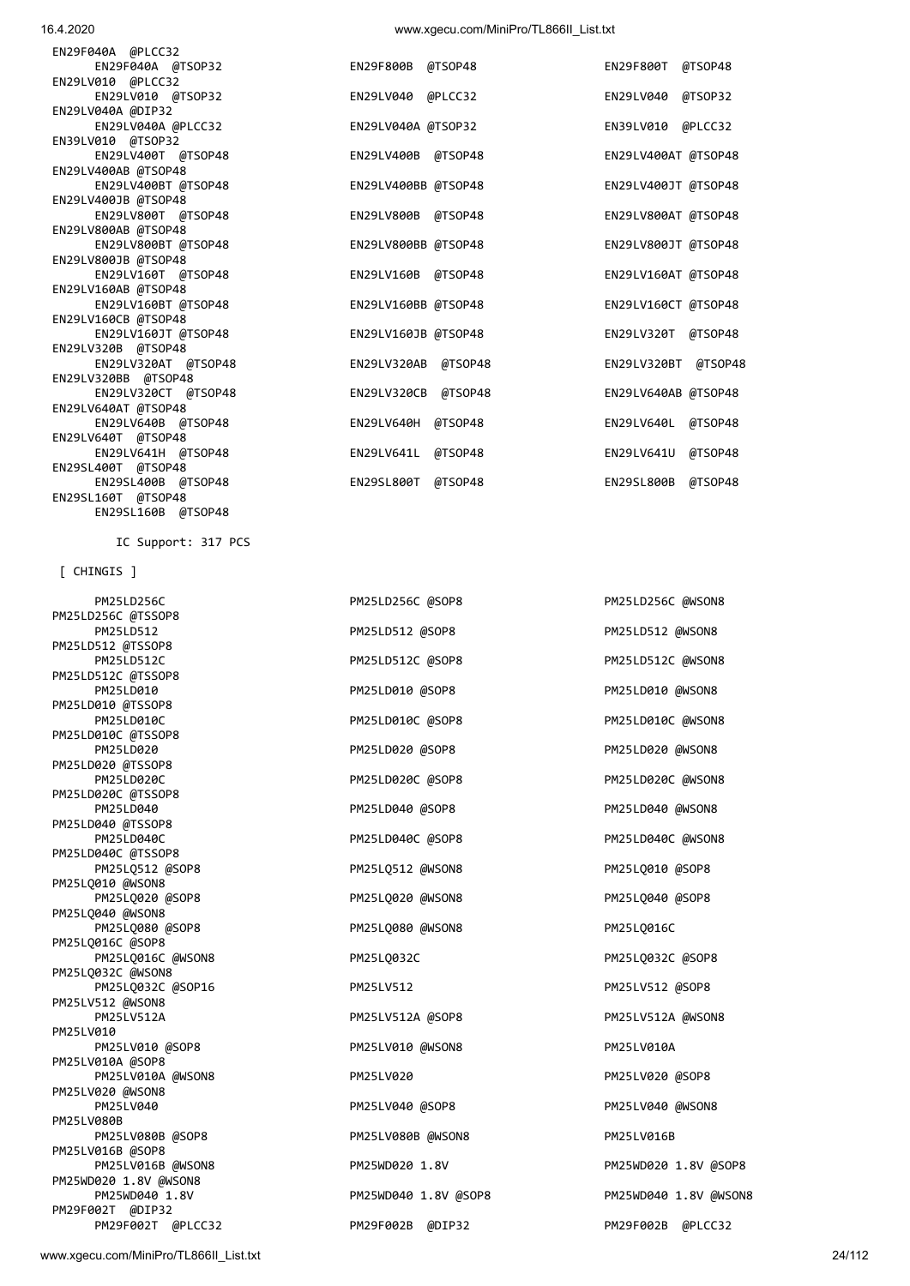PM25LD512 @TSSOP8 PM25LD512C @TSSOP8 PM25LD010 @TSSOP8 PM25LD010C PM25LD010C @SOP8 PM25LD010C @WSON8 PM25LD010C @TSSOP8 PM25LD020 **PM25LD020** PM25LD020 @SOP8 PM25LD020 **PM25LD020** @WSON8 PM25LD020 @TSSOP8 PM25LD020C PM25LD020C @SOP8 PM25LD020C @WSON8 PM25LD020C @TSSOP8 PM25LD040 **PM25LD040 PM25LD040 @SOP8** PM25LD040 **PM25LD040 eMSON8** PM25LD040 @TSSOP8 PM25LD040C PM25LD040C @SOP8 PM25LD040C @SOP8 PM25LD040C @WSON8 PM25LD040C @TSSOP8 PM25LQ512 @SOP8 PM25LQ512 @WSON8 PM25LQ010 @SOP8 PM25LQ010 @WSON8 PM25LQ020 @SOP8 PM25LQ020 @WSON8 PM25LQ040 @SOP8 PM25LQ040 @WSON8 PM25LQ080 @SOP8 PM25LQ080 @WSON8 PM25LQ016C PM25LQ016C @SOP8 PM25LQ016C @WSON8 PM25LQ032C PM25LQ032C PM25LQ032C @SOP8 PM25LQ032C @WSON8 PM25LQ032C @SOP16 PM25LV512 PM25LV512 @SOP8 PM25LV512 @WSON8 PM25LV010 PM25LV010 @SOP8 PM25LV010 @WSON8 PM25LV010 PM25LV010A PM25LV010A @SOP8 PM25LV010A @WSON8 PM25LV020 PM25LV020 PM25LV020 PM25LV020 @SOP8 PM25LV020 @WSON8 PM25LV040 **PM25LV040 @SOP8** PM25LV040 **PM25LV040 PM25LV040 PM25LV040 PM25LV040 PM25LV040 PM25LV040 @WSON8** PM25LV080B PM25LV080B @SOP8 PM25LV080B @WSON8 PM25LV016B PM25LV016B @SOP8 PM25LV016B @WSON8 PM25WD020 1.8V PM25WD020 1.8V @SOP8 PM25WD020 1.8V @WSON8 PM25WD040 1.8V PM25WD040 1.8V @SOP8 PM25WD040 1.8V @WSON8 PM29F002T @DIP32 PM29F002T @PLCC32 PM29F002B @DIP32 PM29F002B @PLCC32

 PM25LD512 PM25LD512 @SOP8 PM25LD512 @WSON8 PM25LD512C @SOP8 PM25LD512C @WSON8 PM25LD010 @SOP8 PM25LD010 @WSON8 PM25LV512A @SOP8 PM25LV512A @WSON8

PM25LD256C PM25LD256C @SOP8 PM25LD256C @SOP8 PM25LD256C @WSON8

[ CHINGIS ]

PM25LD256C @TSSOP8

IC Support: 317 PCS

EN29LV010 @PLCC32 EN29LV010 @TSOP32 EN29LV040 @PLCC32 EN29LV040 @TSOP32 EN29LV040A @DIP32 EN29LV040A @PLCC32 EN29LV040A @TSOP32 EN39LV010 @TSOP32 EN29LV400T @TSOP48 EN29LV400B @TSOP48 EN29LV400AT @TSOP48 EN29LV400AB @TSOP48 EN29LV400BT @TSOP48 EN29LV400BB @TSOP48 EN29LV400JB @TSOP48 EN29LV800T @TSOP48 EN29LV800B @TSOP48 EN29LV800AB @TSOP48 EN29LV800BT @TSOP48 EN29LV800BB @TSOP48 EN29LV800JT @TSOP48 EN29LV800JB @TSOP48 EN29LV160T @TSOP48 EN29LV160B @TSOP48 EN29LV160AB @TSOP48 EN29LV160BT @TSOP48 EN29LV160BB @TSOP48 EN29LV160CB @TSOP48 EN29LV160JT @TSOP48 EN29LV160JB @TSOP48 EN29LV320B @TSOP48 EN29LV320AT @TSOP48 EN29LV320AB @TSOP4 EN29LV320BB @TSOP48 EN29LV320CT @TSOP48 EN29LV320CB @TSOP4 EN29LV640AT @TSOP48 EN29LV640B @TSOP48 EN29LV640H @TSOP48 EN29LV640L @TSOP48 EN29LV640T @TSOP48 EN29LV641H @TSOP48 EN29LV641L @TSOP48 EN29LV641U @TSOP48 EN29SL400T @TSOP48 EN29SL400B @TSOP48 EN29SL800T @TSOP48 EN29SL800B @TSOP48 EN29SL160T @TSOP48 EN29SL160B @TSOP48

| EN29F040A @TSOP32                                                | EN29F800B @TSOP48   | EN29F800T @TSOP48   |  |
|------------------------------------------------------------------|---------------------|---------------------|--|
| /010 @PLCC32                                                     |                     |                     |  |
| EN29LV010 @TSOP32                                                | EN29LV040 @PLCC32   | EN29LV040 @TSOP32   |  |
| /040A @DIP32                                                     |                     |                     |  |
| EN29LV040A @PLCC32                                               | EN29LV040A @TSOP32  | EN39LV010 @PLCC32   |  |
| /010 @TSOP32                                                     |                     |                     |  |
| EN29LV400T @TSOP48                                               | EN29LV400B @TSOP48  | EN29LV400AT @TSOP48 |  |
| /400AB @TSOP48                                                   |                     |                     |  |
| EN29LV400BT @TSOP48                                              | EN29LV400BB @TSOP48 | EN29LV400JT @TSOP48 |  |
| /400JB @TSOP48                                                   |                     |                     |  |
| EN29LV800T @TSOP48                                               | EN29LV800B @TSOP48  | EN29LV800AT @TSOP48 |  |
| /800AB @TSOP48                                                   |                     |                     |  |
| EN29LV800BT @TSOP48                                              | EN29LV800BB @TSOP48 | EN29LV800JT @TSOP48 |  |
| /800JB @TSOP48                                                   |                     |                     |  |
| EN29LV160T @TSOP48                                               | EN29LV160B @TSOP48  | EN29LV160AT @TSOP48 |  |
| /160AB @TSOP48                                                   |                     |                     |  |
| EN29LV160BT @TSOP48                                              | EN29LV160BB @TSOP48 | EN29LV160CT @TSOP48 |  |
| /160CB @TSOP48                                                   |                     |                     |  |
| EN29LV160JT @TSOP48                                              | EN29LV160JB @TSOP48 | EN29LV320T @TSOP48  |  |
| /320B @TSOP48                                                    |                     |                     |  |
| EN29LV320AT @TSOP48                                              | EN29LV320AB @TSOP48 | EN29LV320BT @TSOP48 |  |
| /320BB @TSOP48                                                   |                     |                     |  |
| EN29LV320CT @TSOP48                                              | EN29LV320CB @TSOP48 | EN29LV640AB @TSOP48 |  |
| /640AT @TSOP48                                                   |                     |                     |  |
| EN29LV640B @TSOP48                                               | EN29LV640H @TSOP48  | EN29LV640L @TSOP48  |  |
| /640T @TSOP48                                                    |                     |                     |  |
| EN29LV641H @TSOP48                                               | EN29LV641L @TSOP48  | EN29LV641U @TSOP48  |  |
| .400T @TSOP48                                                    |                     |                     |  |
| EN29SL400B @TSOP48                                               | EN29SL800T @TSOP48  | EN29SL800B @TSOP48  |  |
| $1 \in \Omega$ T $\subset \Omega$ T $\subset \Omega$ D $1 \circ$ |                     |                     |  |

EN29F040A @PLCC32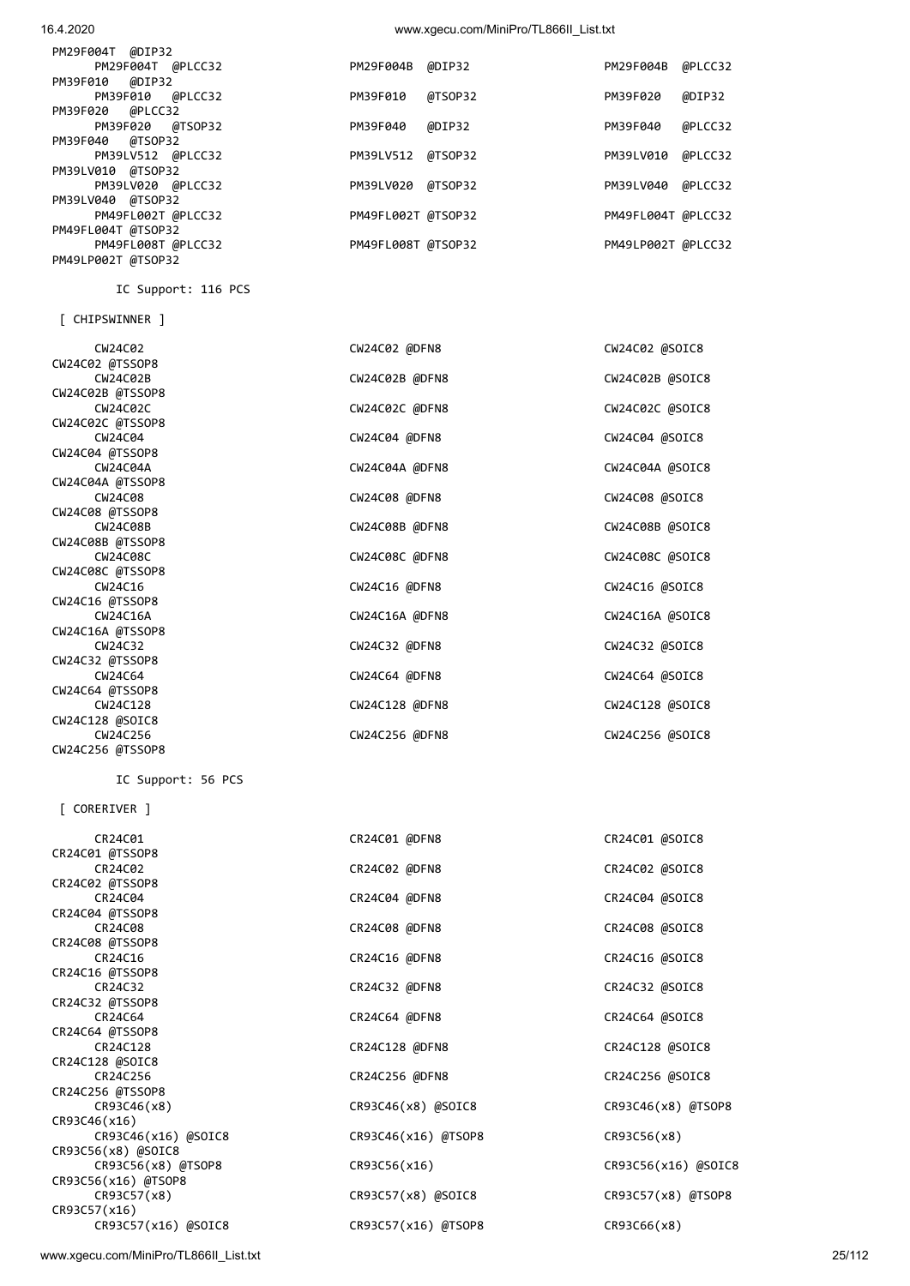| PM29F004T @DIP32   |                    |         |                    |         |
|--------------------|--------------------|---------|--------------------|---------|
| PM29F004T @PLCC32  | PM29F004B @DIP32   |         | PM29F004B          | @PLCC32 |
| PM39F010 @DIP32    |                    |         |                    |         |
| PM39F010 @PLCC32   | PM39F010           | @TSOP32 | PM39F020           | @DIP32  |
| PM39F020 @PLCC32   |                    |         |                    |         |
| PM39F020 @TSOP32   | PM39F040           | @DIP32  | PM39F040           | @PLCC32 |
| PM39F040 @TSOP32   |                    |         |                    |         |
| PM39LV512 @PLCC32  | PM39LV512 @TSOP32  |         | PM39LV010          | @PLCC32 |
| PM39LV010 @TSOP32  |                    |         |                    |         |
| PM39LV020 @PLCC32  | PM39LV020 @TSOP32  |         | PM39LV040          | @PLCC32 |
| PM39LV040 @TSOP32  |                    |         |                    |         |
| PM49FL002T @PLCC32 | PM49FL002T @TSOP32 |         | PM49FL004T @PLCC32 |         |
| PM49FL004T @TSOP32 |                    |         |                    |         |
| PM49FL008T @PLCC32 | PM49FL008T @TSOP32 |         | PM49LP002T @PLCC32 |         |
| PM49LP002T @TSOP32 |                    |         |                    |         |

| 1117721002100130132 |                |                 |
|---------------------|----------------|-----------------|
| IC Support: 116 PCS |                |                 |
| [ CHIPSWINNER ]     |                |                 |
| CW24C02             | CW24C02 @DFN8  | CW24C02 @SOIC8  |
| CW24C02 @TSSOP8     |                |                 |
| <b>CW24C02B</b>     | CW24C02B @DFN8 | CW24C02B @SOIC8 |
| CW24C02B @TSSOP8    |                |                 |
| <b>CW24C02C</b>     | CW24C02C @DFN8 | CW24C02C @SOIC8 |
| CW24C02C @TSSOP8    |                |                 |
| <b>CW24C04</b>      | CW24C04 @DFN8  | CW24C04 @SOIC8  |
| CW24C04 @TSSOP8     |                |                 |
| <b>CW24C04A</b>     | CW24C04A @DFN8 | CW24C04A @SOIC8 |
| CW24C04A @TSSOP8    |                |                 |
| CW24C08             | CW24C08 @DFN8  | CW24C08 @SOIC8  |
| CW24C08 @TSSOP8     |                |                 |
| <b>CW24C08B</b>     | CW24C08B @DFN8 | CW24C08B @SOIC8 |
| CW24C08B @TSSOP8    |                |                 |
| <b>CW24C08C</b>     | CW24C08C @DFN8 | CW24C08C @SOIC8 |
| CW24C08C @TSSOP8    |                |                 |
| CW24C16             | CW24C16 @DFN8  | CW24C16 @SOIC8  |
| CW24C16 @TSSOP8     |                |                 |
| CW24C16A            | CW24C16A @DFN8 | CW24C16A @SOIC8 |
| CW24C16A @TSSOP8    |                |                 |
| CW24C32             | CW24C32 @DFN8  | CW24C32 @SOIC8  |
| CW24C32 @TSSOP8     |                |                 |

| <b>CW24C02</b>   | CW24C02 @DFN8  | CW24C02 @SOIC8  |
|------------------|----------------|-----------------|
| CW24C02 @TSSOP8  |                |                 |
| <b>CW24C02B</b>  | CW24C02B @DFN8 | CW24C02B @SOIC8 |
| CW24C02B @TSSOP8 |                |                 |
| <b>CW24C02C</b>  | CW24C02C @DFN8 | CW24C02C @SOIC8 |
| CW24C02C @TSSOP8 |                |                 |
| <b>CW24C04</b>   | CW24C04 @DFN8  | CW24C04 @SOIC8  |
| CW24C04 @TSSOP8  |                |                 |
| <b>CW24C04A</b>  | CW24C04A @DFN8 | CW24C04A @SOIC8 |
| CW24C04A @TSSOP8 |                |                 |
| CW24C08          | CW24C08 @DFN8  | CW24C08 @SOIC8  |
| CW24C08 @TSSOP8  |                |                 |
| <b>CW24C08B</b>  | CW24C08B @DFN8 | CW24C08B @SOIC8 |
| CW24C08B @TSSOP8 |                |                 |
| <b>CW24C08C</b>  | CW24C08C @DFN8 | CW24C08C @SOIC8 |
| CW24C08C @TSSOP8 |                |                 |
| CW24C16          | CW24C16 @DFN8  | CW24C16 @SOIC8  |
| CW24C16 @TSSOP8  |                |                 |
| <b>CW24C16A</b>  | CW24C16A @DFN8 | CW24C16A @SOIC8 |
| CW24C16A @TSSOP8 |                |                 |
| CW24C32          | CW24C32 @DFN8  | CW24C32 @SOIC8  |
| CW24C32 @TSSOP8  |                |                 |
| <b>CW24C64</b>   | CW24C64 @DFN8  | CW24C64 @SOIC8  |
| CW24C64 @TSSOP8  |                |                 |
| CW24C128         | CW24C128 @DFN8 | CW24C128 @SOIC8 |
| CW24C128 @SOIC8  |                |                 |
| CW24C256         | CW24C256 @DFN8 | CW24C256 @SOIC8 |
| CW24C256 @TSSOP8 |                |                 |

IC Support: 56 PCS

[ CORERIVER ]

| CR24C01             | CR24C01 @DFN8       | CR24C01 @SOIC8       |
|---------------------|---------------------|----------------------|
| CR24C01 @TSSOP8     |                     |                      |
| CR24C02             | CR24C02 @DFN8       | CR24C02 @SOIC8       |
| CR24C02 @TSSOP8     |                     |                      |
| CR24C04             | CR24C04 @DFN8       | CR24C04 @SOIC8       |
| CR24C04 @TSSOP8     |                     |                      |
| CR24C08             | CR24C08 @DFN8       | CR24C08 @SOIC8       |
| CR24C08 @TSSOP8     |                     |                      |
| CR24C16             | CR24C16 @DFN8       | CR24C16 @SOIC8       |
| CR24C16 @TSSOP8     |                     |                      |
| CR24C32             | CR24C32 @DFN8       | CR24C32 @SOIC8       |
| CR24C32 @TSSOP8     |                     |                      |
| CR24C64             | CR24C64 @DFN8       | CR24C64 @SOIC8       |
| CR24C64 @TSSOP8     |                     |                      |
| CR24C128            | CR24C128 @DFN8      | CR24C128 @SOIC8      |
| CR24C128 @SOIC8     |                     |                      |
| CR24C256            | CR24C256 @DFN8      | CR24C256 @SOIC8      |
| CR24C256 @TSSOP8    |                     |                      |
| CR93C46(x8)         | CR93C46(x8) @SOIC8  | $CR93C46(x8)$ @TSOP8 |
| CR93C46(x16)        |                     |                      |
| CR93C46(x16) @SOIC8 | CR93C46(x16) @TSOP8 | CR93C56(x8)          |
| CR93C56(x8) @SOIC8  |                     |                      |
| CR93C56(x8) @TSOP8  | CR93C56(x16)        | CR93C56(x16) @SOIC8  |
| CR93C56(x16) @TSOP8 |                     |                      |
| CR93C57(x8)         | CR93C57(x8) @SOIC8  | $CR93C57(x8)$ @TSOP8 |
| CR93C57(x16)        |                     |                      |
| CR93C57(x16) @SOIC8 | CR93C57(x16) @TSOP8 | CR93C66(x8)          |
|                     |                     |                      |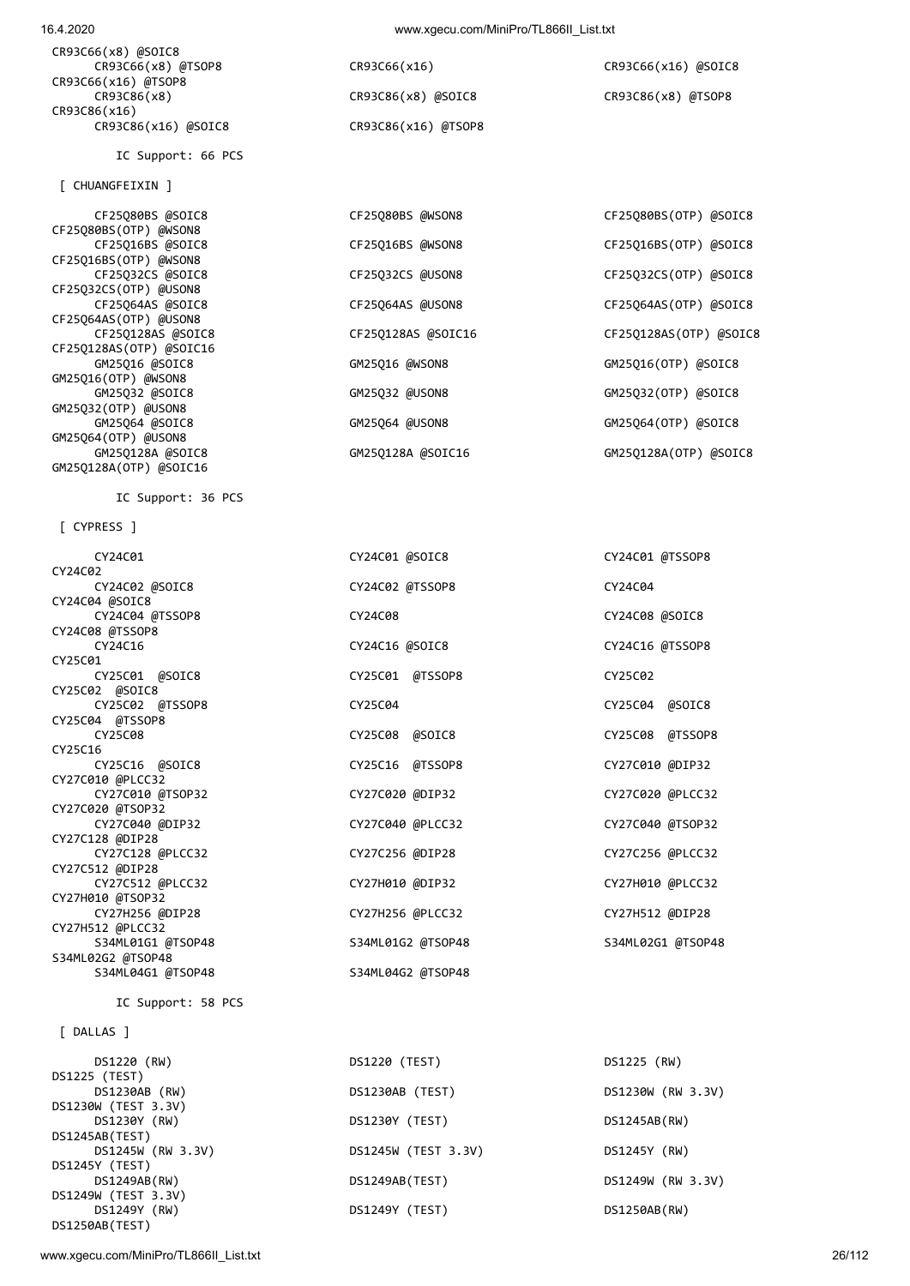CR93C66(x8) @SOIC8 CR93C66(x16) @TSOP8 CR93C86(x8) CR93C86(x8) @SOIC8 CR93C86(x8) @TSOP8 CR93C86(x16) CR93C86(x16) @SOIC8 CR93C86(x16) @TSOP8

IC Support: 66 PCS

[ CHUANGFEIXIN ]

 CF25Q80BS @SOIC8 CF25Q80BS @WSON8 CF25Q80BS(OTP) @SOIC8 CF25Q80BS(OTP) @WSON8 CF25Q16BS(OTP) @WSON8 CF25Q32CS(OTP) @USON8 CF25Q64AS @SOIC8 CF25Q64AS @USON8 CF25Q64AS(OTP) @SOIC8 CF25Q64AS(OTP) @USON8 CF25Q128AS @SOIC8 CF25Q128AS @SOIC16 CF25Q128AS(OTP) @SOIC8 CF25Q128AS(OTP) @SOIC16 GM25Q16 @SOIC8 GM25Q16 @WSON8 GM25Q16(OTP) @SOIC8 GM25Q16(OTP) @WSON8 GM25Q32 @SOIC8 GM25Q32 @USON8 GM25Q32(OTP) @SOIC8 GM25Q32(OTP) @USON8 GM25Q64 @SOIC8 GM25Q64 @USON8 GM25Q64(OTP) @SOIC8 GM25Q64(OTP) @USON8 GM25Q128A @SOIC8 GM25Q128A @SOIC16 GM25Q128A(OTP) @SOIC8 GM25Q128A(OTP) @SOIC16

IC Support: 36 PCS

[ CYPRESS ]

| CY24C01 @TSSOP8<br>CY24C08 @SOIC8<br>CY24C16 @TSSOP8<br>CY25C04 @SOIC8 |
|------------------------------------------------------------------------|
|                                                                        |
|                                                                        |
|                                                                        |
|                                                                        |
|                                                                        |
|                                                                        |
|                                                                        |
|                                                                        |
|                                                                        |
|                                                                        |
|                                                                        |
|                                                                        |
| CY25C08 @TSSOP8                                                        |
|                                                                        |
| CY27C010 @DIP32                                                        |
|                                                                        |
| CY27C020 @PLCC32                                                       |
|                                                                        |
| CY27C040 @TSOP32                                                       |
|                                                                        |
| CY27C256 @PLCC32                                                       |
|                                                                        |
| CY27H010 @PLCC32                                                       |
|                                                                        |
| CY27H512 @DIP28                                                        |
|                                                                        |
| S34ML02G1 @TSOP48                                                      |
|                                                                        |
|                                                                        |
|                                                                        |
|                                                                        |
|                                                                        |
|                                                                        |
| DS1230W (RW 3.3V)                                                      |
|                                                                        |
|                                                                        |
|                                                                        |

DS1245W (RW 3.3V) DS1245W (TEST 3.3V) DS1245Y (RW)

DS1249Y (TEST) DS1250AB(RW)

DS1249AB(TEST) DS1249W (RW 3.3V)

CR93C66(x8) @TSOP8 CR93C66(x16) CR93C66(x16) @SOIC8

CF25Q16BS @WSON8 CF25Q16BS(OTP) @SOIC8

CF25Q32CS @USON8 CF25Q32CS(OTP) @SOIC8

DS1245AB(TEST)

DS1250AB(TEST)

DS1245Y (TEST)

DS1249W (TEST 3.3V)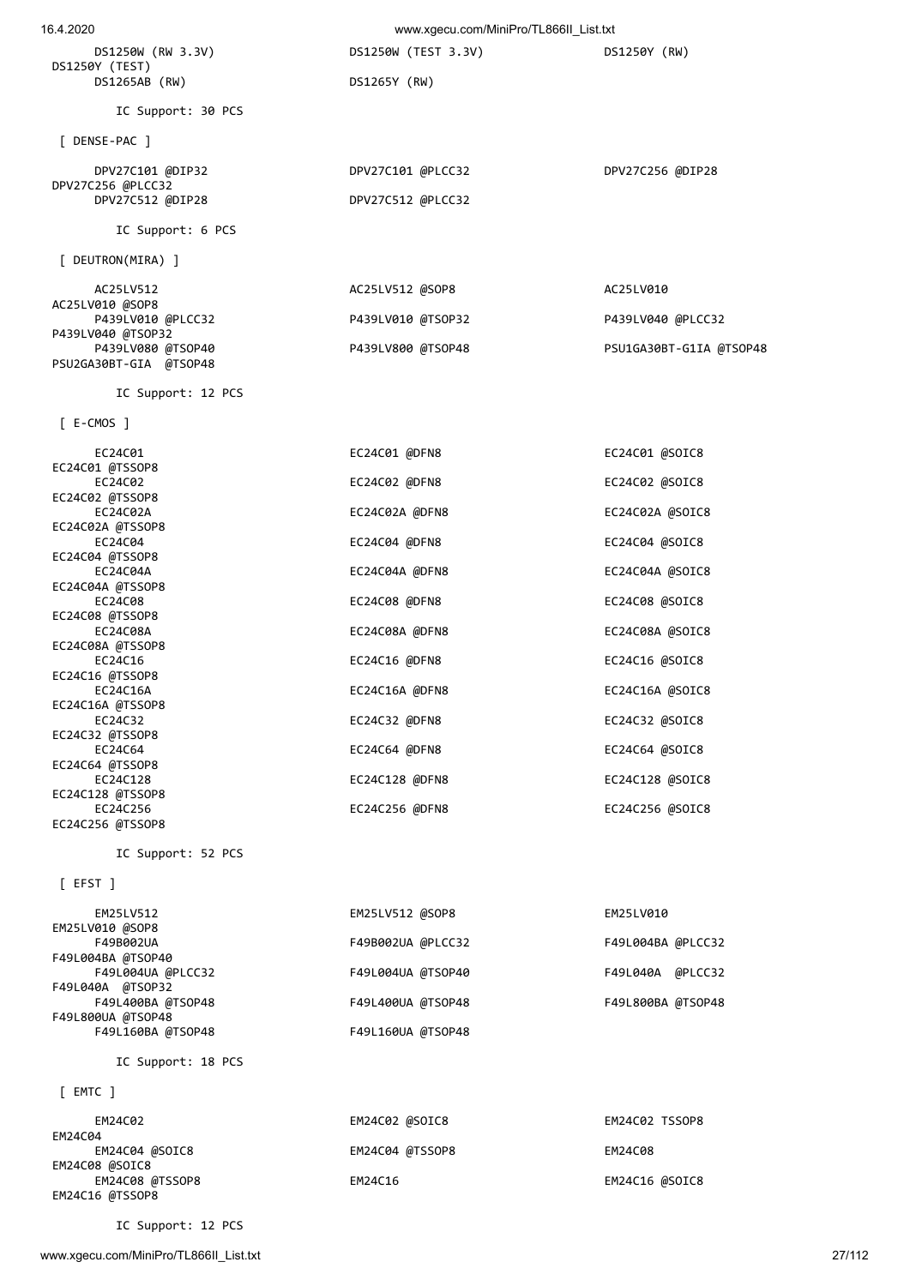DS1250W (RW 3.3V) DS1250W (TEST 3.3V) DS1250Y (RW) DS1250Y (TEST) DS1265AB (RW) DS1265Y (RW)

IC Support: 30 PCS

[ DENSE-PAC ]

 DPV27C101 @DIP32 DPV27C101 @PLCC32 DPV27C256 @DIP28 DPV27C256 @PLCC32<br>DPV27C512 @DIP28

IC Support: 6 PCS

[ DEUTRON(MIRA) ]

| AC25LV512              | AC25LV512 @SOP8   | AC25LV010               |
|------------------------|-------------------|-------------------------|
| AC25LV010 @SOP8        |                   |                         |
| P439LV010 @PLCC32      | P439LV010 @TSOP32 | P439LV040 @PLCC32       |
| P439LV040 @TSOP32      |                   |                         |
| P439LV080 @TSOP40      | P439LV800 @TSOP48 | PSU1GA30BT-G1IA @TSOP48 |
| PSU2GA30BT-GIA @TSOP48 |                   |                         |

DPV27C512 @PLCC32

IC Support: 12 PCS

[ E-CMOS ]

| EC24C01          | EC24C01 @DFN8  | EC24C01 @SOIC8  |
|------------------|----------------|-----------------|
| EC24C01 @TSSOP8  |                |                 |
| EC24C02          | EC24C02 @DFN8  | EC24C02 @SOIC8  |
| EC24C02 @TSSOP8  |                |                 |
| EC24C02A         | EC24C02A @DFN8 | EC24C02A @SOIC8 |
| EC24C02A @TSSOP8 |                |                 |
| EC24C04          | EC24C04 @DFN8  | EC24C04 @SOIC8  |
| EC24C04 @TSSOP8  |                |                 |
| EC24C04A         | EC24C04A @DFN8 | EC24C04A @SOIC8 |
| EC24C04A @TSSOP8 |                |                 |
| EC24C08          | EC24C08 @DFN8  | EC24C08 @SOIC8  |
| EC24C08 @TSSOP8  |                |                 |
| EC24C08A         | EC24C08A @DFN8 | EC24C08A @SOIC8 |
| EC24C08A @TSSOP8 |                |                 |
| EC24C16          | EC24C16 @DFN8  | EC24C16 @SOIC8  |
| EC24C16 @TSSOP8  |                |                 |
| EC24C16A         | EC24C16A @DFN8 | EC24C16A @SOIC8 |
| EC24C16A @TSSOP8 |                |                 |
| EC24C32          | EC24C32 @DFN8  | EC24C32 @SOIC8  |
| EC24C32 @TSSOP8  |                |                 |
| EC24C64          | EC24C64 @DFN8  | EC24C64 @SOIC8  |
| EC24C64 @TSSOP8  |                |                 |
| EC24C128         | EC24C128 @DFN8 | EC24C128 @SOIC8 |
| EC24C128 @TSSOP8 |                |                 |
| EC24C256         | EC24C256 @DFN8 | EC24C256 @SOIC8 |
| EC24C256 @TSSOP8 |                |                 |

IC Support: 52 PCS

[ EFST ]

| EM25LV512         | EM25LV512 @SOP8   | EM25LV010         |
|-------------------|-------------------|-------------------|
| EM25LV010 @SOP8   |                   |                   |
| F49B002UA         | F49B002UA @PLCC32 | F49L004BA @PLCC32 |
| F49L004BA @TSOP40 |                   |                   |
| F49L004UA @PLCC32 | F49L004UA @TSOP40 | F49L040A @PLCC32  |
| F49L040A @TSOP32  |                   |                   |
| F49L400BA @TSOP48 | F49L400UA @TSOP48 | F49L800BA @TSOP48 |
| F49L800UA @TSOP48 |                   |                   |
| F49L160BA @TSOP48 | F49L160UA @TSOP48 |                   |
|                   |                   |                   |

IC Support: 18 PCS

[ EMTC ]

| EM24C02         | EM24C02 @SOIC8  | EM24C02 TSSOP8 |
|-----------------|-----------------|----------------|
| EM24C04         |                 |                |
| EM24C04 @SOIC8  | EM24C04 @TSSOP8 | EM24C08        |
| EM24C08 @SOIC8  |                 |                |
| EM24C08 @TSSOP8 | EM24C16         | EM24C16 @SOIC8 |
| EM24C16 @TSSOP8 |                 |                |

IC Support: 12 PCS

www.xgecu.com/MiniPro/TL866II\_List.txt 27/112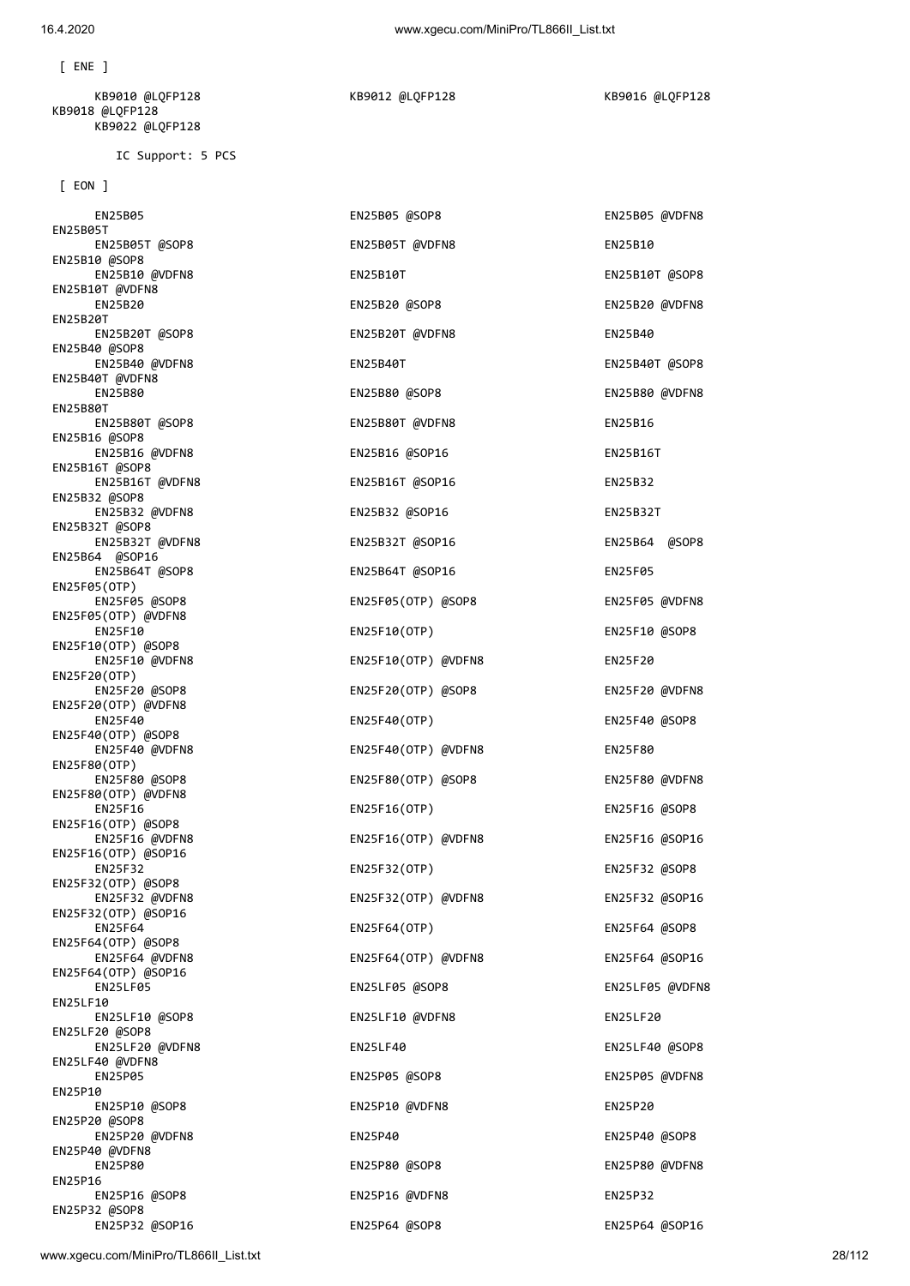| $[$ EON $]$                           |                     |                 |
|---------------------------------------|---------------------|-----------------|
| EN25B05                               | EN25B05 @SOP8       | EN25B05 @VDFN8  |
| EN25B05T<br>EN25B05T @SOP8            | EN25B05T @VDFN8     | EN25B10         |
| EN25B10 @SOP8<br>EN25B10 @VDFN8       | EN25B10T            | EN25B10T @SOP8  |
| EN25B10T @VDFN8<br>EN25B20            | EN25B20 @SOP8       | EN25B20 @VDFN8  |
| EN25B20T<br>EN25B20T @SOP8            | EN25B20T @VDFN8     | EN25B40         |
| EN25B40 @SOP8<br>EN25B40 @VDFN8       | EN25B40T            | EN25B40T @SOP8  |
| EN25B40T @VDFN8<br>EN25B80            | EN25B80 @SOP8       | EN25B80 @VDFN8  |
| EN25B80T                              |                     |                 |
| EN25B80T @SOP8<br>EN25B16 @SOP8       | EN25B80T @VDFN8     | EN25B16         |
| EN25B16 @VDFN8<br>EN25B16T @SOP8      | EN25B16 @SOP16      | <b>EN25B16T</b> |
| EN25B16T @VDFN8<br>EN25B32 @SOP8      | EN25B16T @SOP16     | EN25B32         |
| EN25B32 @VDFN8<br>EN25B32T @SOP8      | EN25B32 @SOP16      | EN25B32T        |
| EN25B32T @VDFN8<br>EN25B64 @SOP16     | EN25B32T @SOP16     | EN25B64 @SOP8   |
| EN25B64T @SOP8<br>EN25F05(OTP)        | EN25B64T @SOP16     | EN25F05         |
| EN25F05 @SOP8                         | EN25F05(OTP) @SOP8  | EN25F05 @VDFN8  |
| EN25F05(OTP) @VDFN8<br>EN25F10        | EN25F10(OTP)        | EN25F10 @SOP8   |
| EN25F10(OTP) @SOP8<br>EN25F10 @VDFN8  | EN25F10(OTP) @VDFN8 | EN25F20         |
| EN25F20(OTP)<br>EN25F20 @SOP8         | EN25F20(OTP) @SOP8  | EN25F20 @VDFN8  |
| EN25F20(OTP) @VDFN8<br>EN25F40        | EN25F40(OTP)        | EN25F40 @SOP8   |
| EN25F40(OTP) @SOP8<br>EN25F40 @VDFN8  | EN25F40(OTP) @VDFN8 | EN25F80         |
| EN25F80(OTP)<br>EN25F80 @SOP8         | EN25F80(OTP) @SOP8  | EN25F80 @VDFN8  |
| EN25F80(OTP) @VDFN8<br>EN25F16        | EN25F16(OTP)        | EN25F16 @SOP8   |
| EN25F16(OTP) @SOP8<br>EN25F16 @VDFN8  | EN25F16(OTP) @VDFN8 | EN25F16 @SOP16  |
| EN25F16(OTP) @SOP16                   |                     |                 |
| EN25F32<br>EN25F32(OTP) @SOP8         | EN25F32(OTP)        | EN25F32 @SOP8   |
| EN25F32 @VDFN8<br>EN25F32(OTP) @SOP16 | EN25F32(OTP) @VDFN8 | EN25F32 @SOP16  |
| <b>EN25F64</b><br>EN25F64(OTP) @SOP8  | EN25F64(OTP)        | EN25F64 @SOP8   |
| EN25F64 @VDFN8<br>EN25F64(OTP) @SOP16 | EN25F64(OTP) @VDFN8 | EN25F64 @SOP16  |
| <b>EN25LF05</b><br><b>EN25LF10</b>    | EN25LF05 @SOP8      | EN25LF05 @VDFN8 |
| EN25LF10 @SOP8<br>EN25LF20 @SOP8      | EN25LF10 @VDFN8     | EN25LF20        |
| EN25LF20 @VDFN8<br>EN25LF40 @VDFN8    | EN25LF40            | EN25LF40 @SOP8  |
| EN25P05                               | EN25P05 @SOP8       | EN25P05 @VDFN8  |
| EN25P10<br>EN25P10 @SOP8              | EN25P10 @VDFN8      | EN25P20         |
| EN25P20 @SOP8<br>EN25P20 @VDFN8       | EN25P40             | EN25P40 @SOP8   |
| EN25P40 @VDFN8<br>EN25P80             | EN25P80 @SOP8       | EN25P80 @VDFN8  |
| EN25P16<br>EN25P16 @SOP8              | EN25P16 @VDFN8      | EN25P32         |
| EN25P32 @SOP8<br>EN25P32 @SOP16       | EN25P64 @SOP8       | EN25P64 @SOP16  |

IC Support: 5 PCS

 KB9010 @LQFP128 KB9012 @LQFP128 KB9016 @LQFP128 KB9018 @LQFP128 KB9022 @LQFP128

[ ENE ]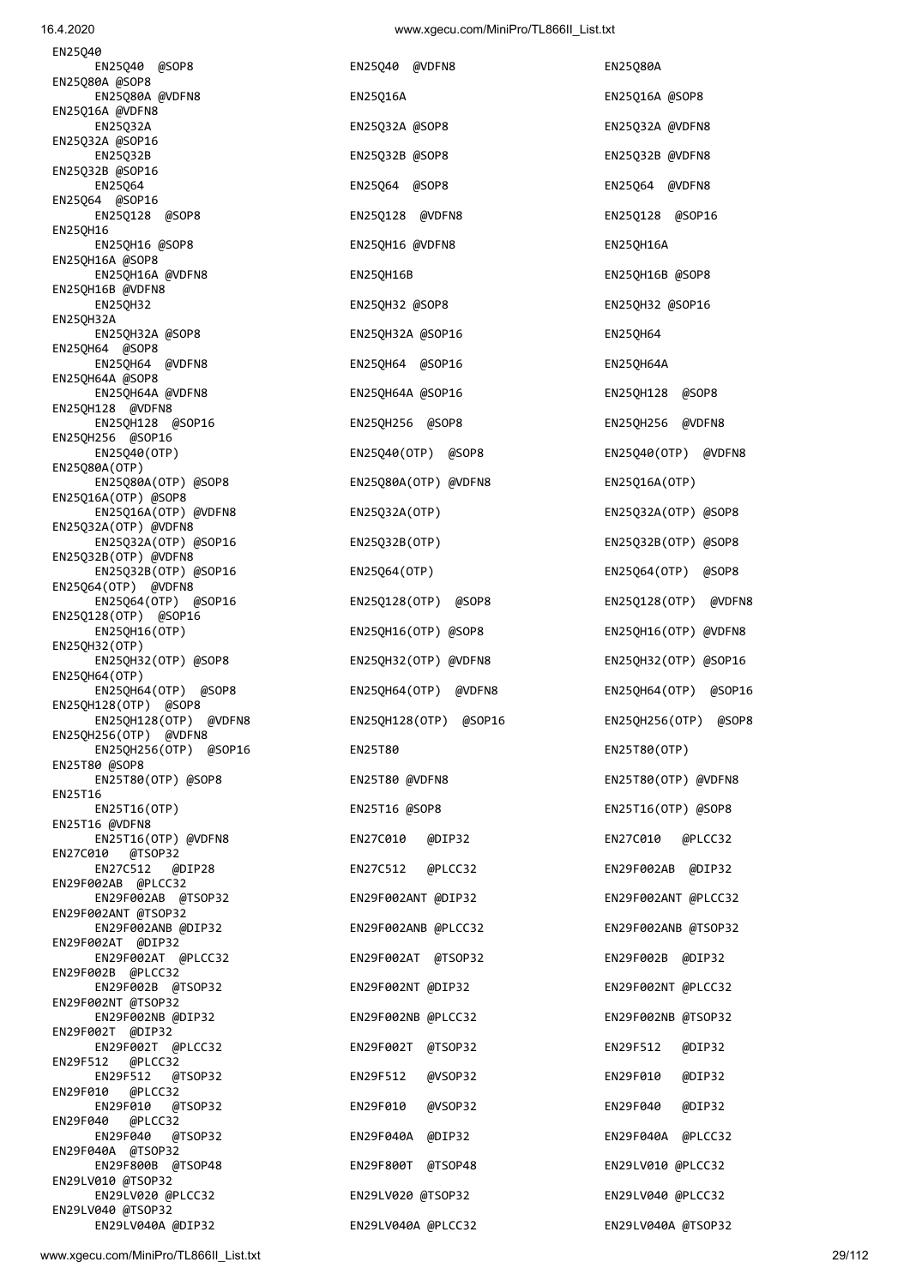| EN25Q40 @SOP8                                  |  |
|------------------------------------------------|--|
| EN25Q80A @SOP8<br>EN25Q80A @VDFN8              |  |
| EN25Q16A @VDFN8                                |  |
| EN25032A<br>EN25Q32A @SOP16                    |  |
| EN25Q32B<br>EN25Q32B @SOP16                    |  |
| EN25Q64                                        |  |
| EN25Q64 @SOP16<br>EN25Q128 @SOP8               |  |
| EN25QH16                                       |  |
| EN25QH16 @SOP8<br>EN25QH16A @SOP8              |  |
| EN25QH16A @VDFN8<br>EN25QH16B @VDFN8           |  |
| <b>EN25QH32</b>                                |  |
| <b>EN25QH32A</b><br>EN25QH32A @SOP8            |  |
| EN25QH64 @SOP8<br>EN25QH64 @VDFN8              |  |
| EN25QH64A @SOP8                                |  |
| EN25QH64A @VDFN8<br>EN25QH128 @VDFN8           |  |
| EN25QH128 @SOP16<br>EN25QH256 @SOP16           |  |
| EN25Q40(OTP)                                   |  |
| EN25Q80A(OTP)<br>EN25080A(OTP) @SOP8           |  |
| EN25Q16A(OTP) @SOP8<br>EN25Q16A(OTP) @VDFN8    |  |
| EN25Q32A(OTP) @VDFN8                           |  |
| EN25Q32A(OTP) @SOP16<br>EN25Q32B(OTP) @VDFN8   |  |
| EN25Q32B(OTP) @SOP16<br>EN25Q64(OTP) @VDFN8    |  |
| EN25Q64(OTP) @SOP16                            |  |
| EN25Q128(OTP) @SOP16<br>EN25QH16(OTP)          |  |
| EN25QH32(OTP)                                  |  |
| EN25QH32(OTP) @SOP8<br>EN25QH64(OTP)           |  |
| EN25QH64(OTP) @SOP8<br>EN25QH128(OTP) @SOP8    |  |
| EN25QH128(OTP) @VDFN8                          |  |
| EN25QH256(OTP) @VDFN8<br>EN25QH256(OTP) @SOP16 |  |
| EN25T80 @SOP8<br>EN25T80(OTP) @SOP8            |  |
| EN25T16                                        |  |
| EN25T16(OTP)<br>EN25T16 @VDFN8                 |  |
| EN25T16(OTP) @VDFN8<br>EN27C010 @TSOP32        |  |
| EN27C512 @DIP28                                |  |
| EN29F002AB @PLCC32<br>EN29F002AB @TSOP32       |  |
| EN29F002ANT @TSOP32<br>EN29F002ANB @DIP32      |  |
| EN29F002AT @DIP32                              |  |
| EN29F002AT @PLCC32<br>EN29F002B @PLCC32        |  |
| EN29F002B @TSOP32<br>EN29F002NT @TSOP32        |  |
| EN29F002NB @DIP32                              |  |
| EN29F002T @DIP32<br>EN29F002T @PLCC32          |  |
| EN29F512 @PLCC32<br>EN29F512 @TSOP32           |  |
| EN29F010 @PLCC32                               |  |
| EN29F010 @TSOP32<br>EN29F040 @PLCC32           |  |
| EN29F040 @TSOP32<br>EN29F040A @TSOP32          |  |
| EN29F800B @TSOP48<br>EN29LV010 @TSOP32         |  |
| EN29LV020 @PLCC32                              |  |
| EN29LV040 @TSOP32<br>EN29LV040A @DIP32         |  |

EN25Q40 @VDFN8 EN25Q80A EN25Q16A **EN25Q16A** energy EN25Q16A  $\omega$  EN25Q32A EN25Q32A @SOP8 EN25Q32A @VDFN8 EN25Q32B EN25Q32B @SOP8 EN25Q32B @VDFN8 EN25Q64 EN25Q64 @SOP8 EN25Q64 @VDFN8 EN25Q128 @SOP8 EN25Q128 @VDFN8 EN25Q128 @SOP16 EN25QH16 @VDFN8 EN25QH16A EN25QH16B EN25QH16B @SOP8 EN25QH32 EN25QH32 @SOP8 EN25QH32 @SOP16 EN25QH32A @SOP16 EN25QH64 EN250H64 @SOP16 EN250H64A EN25QH64A @SOP16 EN25QH128 @SOP8 EN25QH256 @SOP8 EN25QH256 @VDFN8 EN25Q40(OTP) EN25Q40(OTP) @SOP8 EN25Q40(OTP) @VDFN8 EN25Q80A(OTP) @VDFN8 EN25Q16A(OTP) EN25Q32A(OTP) VENDED EN25Q32A(OTP) @SOP8 EN25Q32A(OTP) @SOP16 EN25Q32B(OTP) EN25Q32B(OTP) @SOP8 EN25Q32B(OTP) @SOP16 EN25Q64(OTP) EN25Q64(OTP) @SOP8 EN25Q128(OTP) @SOP8 EN25Q128(OTP) @VDFN8 EN25QH16(OTP) EN25QH16(OTP) @SOP8 EN25QH16(OTP) @VDFN8 EN25QH32(OTP) @VDFN8 EN25QH32(OTP) @SOP16 EN25QH64(OTP) @VDFN8 EN25QH64(OTP) @SOP16 EN25QH128(OTP) @SOP16 EN25QH256(OTP) @SOP8 EN25T80 EN25T80 EN25T80 EN25T80 EN25T80 @VDFN8 EN25T80(OTP) @VDFN8 EN25T16(OTP) EN25T16 @SOP8 EN25T16(OTP) @SOP8 EN25T16(OTP) @VDFN8 EN27C010 @DIP32 EN27C010 @PLCC32 EN27C512 @DIP28 EN27C512 @PLCC32 EN29F002AB @DIP32 EN29F002ANT @DIP32 EN29F002ANT @PLCC32 EN29F002ANB @DIP32 EN29F002ANB @PLCC32 EN29F002ANB @TSOP32 EN29F002AT @TSOP32 EN29F002B @DIP32 EN29F002NT @DIP32 EN29F002NT @PLCC32 EN29F002NB @DIP32 EN29F002NB @PLCC32 EN29F002NB @TSOP32 EN29F002T @PLCC32 EN29F002T @TSOP32 EN29F512 @DIP32 EN29F512 @TSOP32 EN29F512 @VSOP32 EN29F010 @DIP32 EN29F010 @TSOP32 EN29F010 @VSOP32 EN29F040 @DIP32 EN29F040A @DIP32 EN29F040A @PLCC32 EN29F800T @TSOP48 EN29LV010 @PLCC32 EN29LV020 @PLCC32 EN29LV020 @TSOP32 EN29LV040 @PLCC32

EN29LV040A @DIP32 EN29LV040A @PLCC32 EN29LV040A @TSOP32

EN25Q40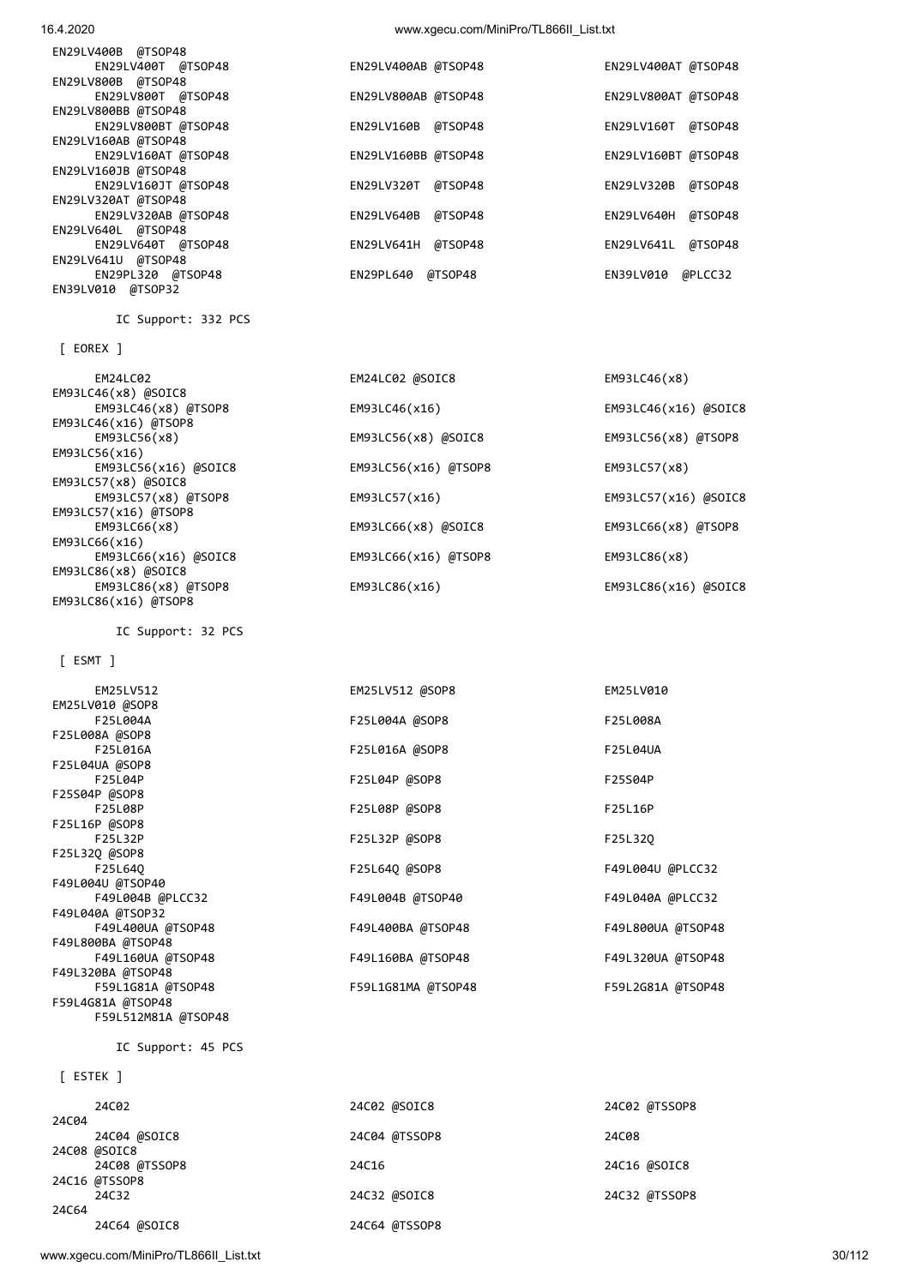www.xgecu.com/MiniPro/TL866II\_List.txt 30/112

IC Support: 45 PCS

|       | 24C02         | 24C02 @SOIC8  | 24C02 @TSSOP8 |
|-------|---------------|---------------|---------------|
| 24C04 |               |               |               |
|       | 24C04 @SOIC8  | 24C04 @TSSOP8 | 24C08         |
|       | 24C08 @SOIC8  |               |               |
|       | 24C08 @TSSOP8 | 24C16         | 24C16 @SOIC8  |
|       | 24C16 @TSSOP8 |               |               |
|       | 24C32         | 24C32 @SOIC8  | 24C32 @TSSOP8 |
| 24C64 |               |               |               |
|       | 24C64 @SOIC8  | 24C64 @TSSOP8 |               |

## [ ESTEK ]

F25L008A @SOP8 F25L016A F25L016A @SOP8 F25L04UA F25L04UA @SOP8 F25L04P F25L04P @SOP8 F25S04P F25S04P @SOP8 F25L08P F25L08P @SOP8 F25L16P F25L16P @SOP8 F25L32P F25L32P @SOP8 F25L32Q F25L32Q @SOP8 F25L64Q F25L64Q @SOP8 F49L004U @PLCC32 F49L004U @TSOP40 F49L004B @PLCC32 F49L004B @TSOP40 F49L040A @PLCC32 F49L040A @TSOP32 F49L400UA @TSOP48 F49L400BA @TSOP48 F49L800UA @TSOP48 F49L800BA @TSOP48 F49L160UA @TSOP48 F49L160BA @TSOP48 F49L320UA @TSOP48 F49L320BA @TSOP48 F59L1G81A @TSOP48 F59L1G81MA @TSOP48 F59L2G81A @TSOP48 F59L4G81A @TSOP48 F59L512M81A @TSOP48

EM25LV512 EM25LV512 @SOP8 EM25LV010

F25L004A F25L004A @SOP8 F25L008A

# [ ESMT ]

EM25LV010 @SOP8

IC Support: 32 PCS

 EM24LC02 EM24LC02 @SOIC8 EM93LC46(x8) EM93LC46(x8) @SOIC8<br>EM93LC46(x8) @TSOP8 EM93LC46(x16) @TSOP8<br>EM93LC56(x8) EM93LC56(x16) EM93LC56(x16) @SOIC8 EM93LC56(x16) @TSOP8 EM93LC57(x8) EM93LC57(x8) @SOIC8<br>EM93LC57(x8) @TSOP8 EM93LC57(x16) @TSOP8 EM93LC66(x16) EM93LC66(x16) @SOIC8 EM93LC66(x16) @TSOP8 EM93LC86(x8) EM93LC86(x8) @SOIC8 EM93LC86(x8) @TSOP8 EM93LC86(x16) EM93LC86(x16) @SOIC8 EM93LC86(x16) @TSOP8

# [ EOREX ]

IC Support: 332 PCS

| EN29LV400AB @TSOP48   | EN29LV400AT @TSOP48   |
|-----------------------|-----------------------|
|                       |                       |
| EN29LV800AB @TSOP48   | EN29LV800AT @TSOP48   |
|                       |                       |
| @TSOP48<br>EN29LV160B | EN29LV160T<br>@TSOP48 |
|                       |                       |
| EN29LV160BB @TSOP48   | EN29LV160BT @TSOP48   |
|                       |                       |
| @TSOP48<br>EN29LV320T | @TSOP48<br>EN29LV320B |
|                       |                       |
| EN29LV640B<br>@TSOP48 | @TSOP48<br>EN29LV640H |
|                       |                       |
| EN29LV641H<br>@TSOP48 | @TSOP48<br>EN29LV641L |
|                       |                       |
| @TSOP48<br>EN29PL640  | @PLCC32<br>EN39LV010  |
|                       |                       |
|                       |                       |

EM93LC46(x16) **EM93LC46(x16) EM93LC46(x16)** 

EM93LC56(x8) EM93LC56(x8) @SOIC8 EM93LC56(x8) @TSOP8

EM93LC57(x16) **EM93LC57(x16)** @SOIC8

EM93LC66(x8) EM93LC66(x8) @SOIC8 EM93LC66(x8) @TSOP8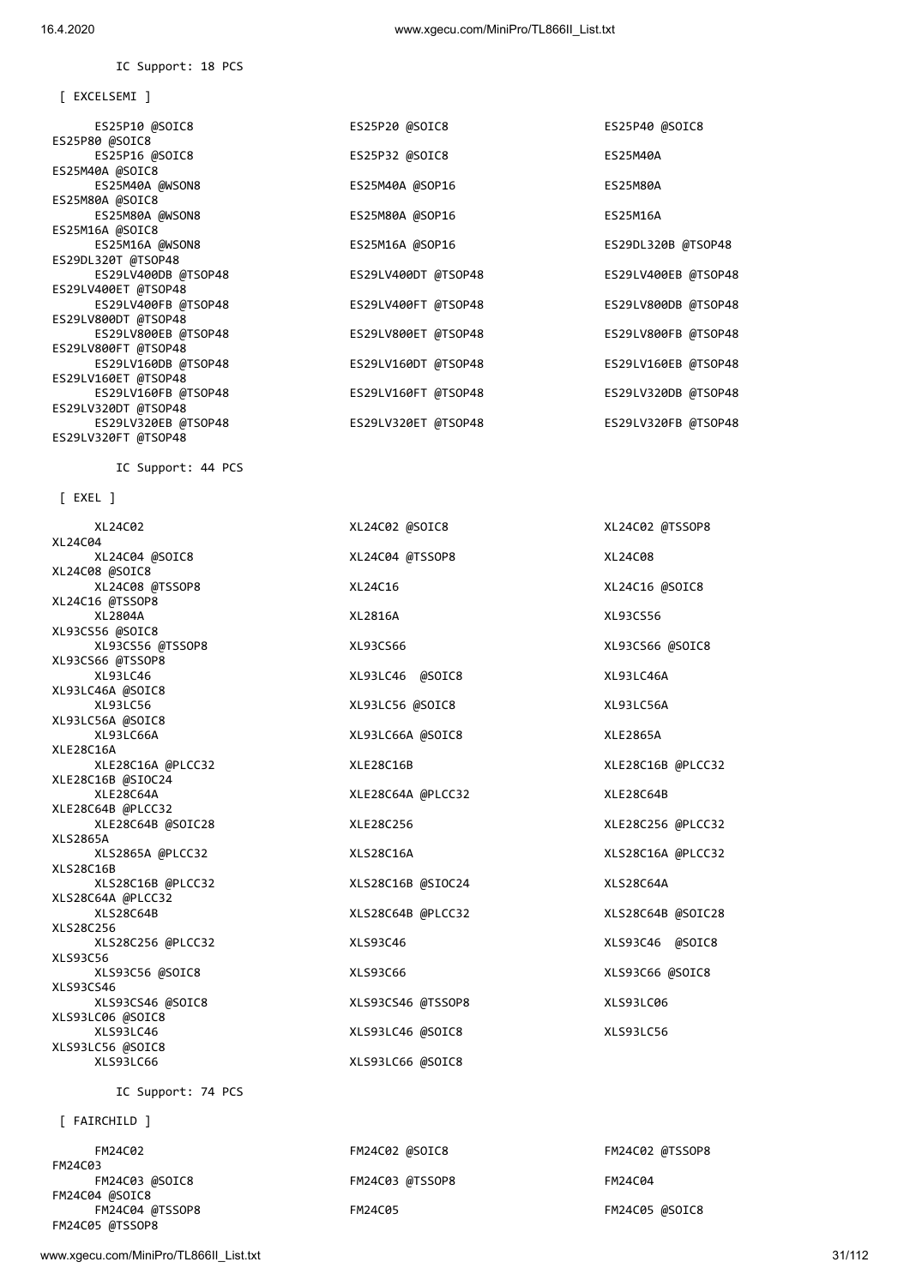[ EXCELSEMI ]

IC Support: 18 PCS

 ES25P10 @SOIC8 ES25P20 @SOIC8 ES25P40 @SOIC8 ES25P80 @SOIC8 ES25P16 @SOIC8 ES25P32 @SOIC8 ES25M40A ES25M40A @SOIC8 ES25M40A @WSON8 ES25M40A @SOP16 ES25M80A ES25M80A @SOIC8 ES25M80A @WSON8 ES25M80A @SOP16 ES25M16A ES25M16A @SOIC8<br>ES25M16A @WSON8 ES25M16A @SOP16 **ES29DL320B** @TSOP48 ES29DL320T @TSOP48 ES29LV400DB @TSOP48 ES29LV400DT @TSOP48 ES29LV400EB @TSOP48 ES29LV400ET @TSOP48<br>ES29LV400FB @TSOP48 ES29LV400FT @TSOP48 ES29LV800DB @TSOP48 ES29LV800DT @TSOP48 ES29LV800EB @TSOP48 ES29LV800ET @TSOP48 ES29LV800FB @TSOP48 ES29LV800FT @TSOP48 ES29LV160DB @TSOP48 ES29LV160DT @TSOP48 ES29LV160EB @TSOP48 ES29LV160ET @TSOP48 ES29LV160FB @TSOP48 ES29LV160FT @TSOP48 ES29LV320DB @TSOP48 ES29LV320DT @TSOP48 ES29LV320EB @TSOP48 ES29LV320ET @TSOP48 ES29LV320FB @TSOP48 ES29LV320FT @TSOP48

IC Support: 44 PCS

[ EXEL ]

| XL24C02            | XL24C02 @SOIC8    | XL24C02 @TSSOP8   |
|--------------------|-------------------|-------------------|
| XL24C04            |                   |                   |
| XL24C04 @SOIC8     | XL24C04 @TSSOP8   | XL24C08           |
| XL24C08 @SOIC8     |                   |                   |
| XL24C08 @TSSOP8    | XL24C16           | XL24C16 @SOIC8    |
| XL24C16 @TSSOP8    |                   |                   |
| XL2804A            | XL2816A           | XL93CS56          |
| XL93CS56 @SOIC8    |                   |                   |
| XL93CS56 @TSSOP8   | XL93CS66          | XL93CS66 @SOIC8   |
| XL93CS66 @TSSOP8   |                   |                   |
| XL93LC46           | XL93LC46 @SOIC8   | XL93LC46A         |
| XL93LC46A @SOIC8   |                   |                   |
| XL93LC56           | XL93LC56 @SOIC8   | XL93LC56A         |
| XL93LC56A @SOIC8   |                   |                   |
| XL93LC66A          | XL93LC66A @SOIC8  | XLE2865A          |
| XLE28C16A          |                   |                   |
| XLE28C16A @PLCC32  | XLE28C16B         | XLE28C16B @PLCC32 |
| XLE28C16B @SIOC24  |                   |                   |
| XLE28C64A          | XLE28C64A @PLCC32 | XLE28C64B         |
| XLE28C64B @PLCC32  |                   |                   |
| XLE28C64B @SOIC28  | XLE28C256         | XLE28C256 @PLCC32 |
| <b>XLS2865A</b>    |                   |                   |
| XLS2865A @PLCC32   | XLS28C16A         | XLS28C16A @PLCC32 |
| <b>XLS28C16B</b>   |                   |                   |
| XLS28C16B @PLCC32  | XLS28C16B @SIOC24 | XLS28C64A         |
| XLS28C64A @PLCC32  |                   |                   |
| <b>XLS28C64B</b>   | XLS28C64B @PLCC32 | XLS28C64B @SOIC28 |
| XLS28C256          |                   |                   |
| XLS28C256 @PLCC32  | XLS93C46          | XLS93C46 @SOIC8   |
| XLS93C56           |                   |                   |
| XLS93C56 @SOIC8    | XLS93C66          | XLS93C66 @SOIC8   |
| XLS93CS46          |                   |                   |
| XLS93CS46 @SOIC8   | XLS93CS46 @TSSOP8 | XLS93LC06         |
| XLS93LC06 @SOIC8   |                   |                   |
| XLS93LC46          | XLS93LC46 @SOIC8  | XLS93LC56         |
| XLS93LC56 @SOIC8   |                   |                   |
| XLS93LC66          | XLS93LC66 @SOIC8  |                   |
| IC Support: 74 PCS |                   |                   |
|                    |                   |                   |
| [ FAIRCHILD ]      |                   |                   |

| FM24C02         | FM24C02 @SOIC8  | FM24C02 @TSSOP8 |
|-----------------|-----------------|-----------------|
| FM24C03         |                 |                 |
| FM24C03 @SOIC8  | FM24C03 @TSSOP8 | FM24C04         |
| FM24C04 @SOIC8  |                 |                 |
| FM24C04 @TSSOP8 | FM24C05         | FM24C05 @SOIC8  |
| FM24C05 @TSSOP8 |                 |                 |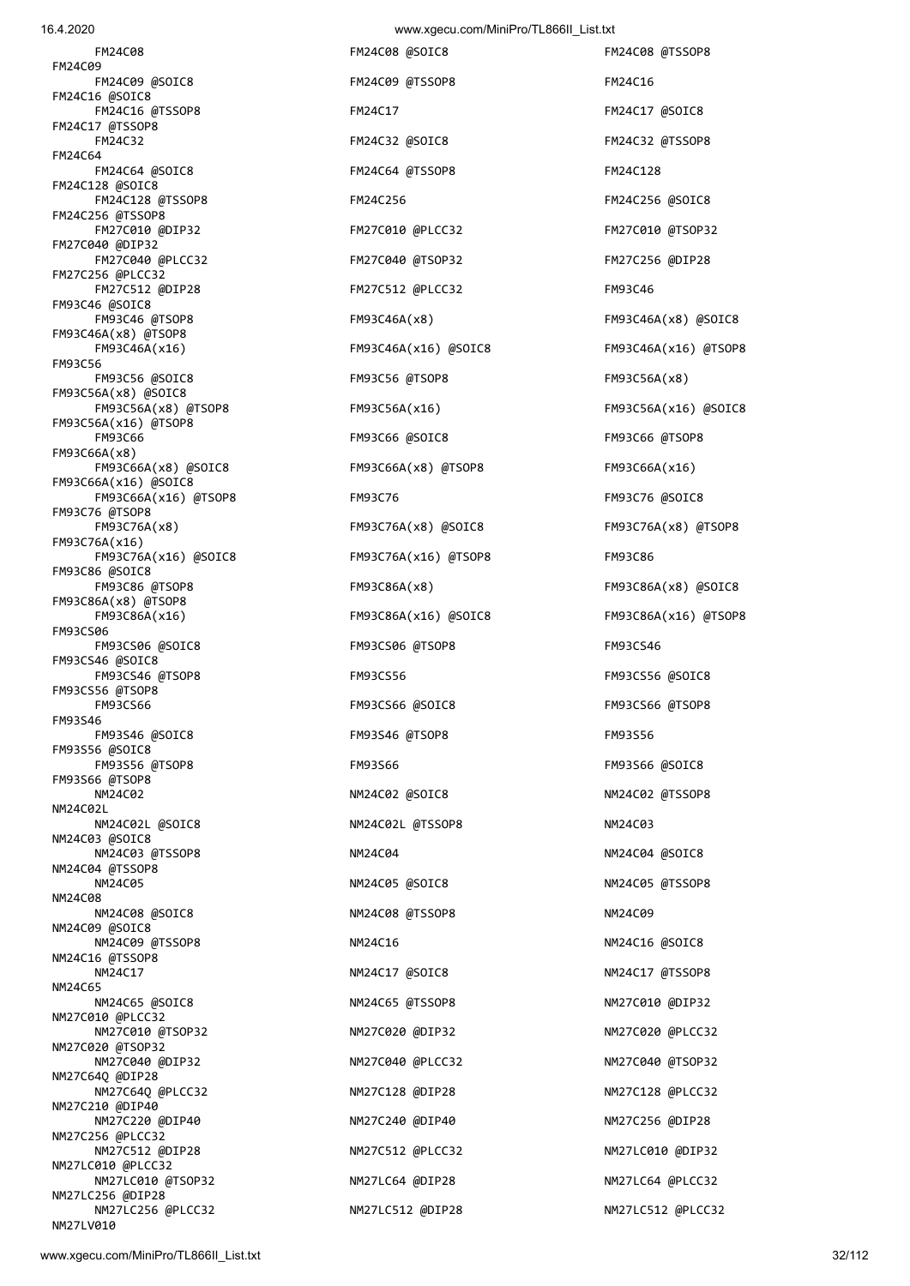FM24C08 FM24C08 @SOIC8 FM24C08 @TSSOP8 FM24C09 FM24C09 @SOIC8 FM24C09 @TSSOP8 FM24C16 FM24C16 @SOIC8 FM24C16 @TSSOP8 FM24C17 FM24C17 @SOIC8 FM24C17 @TSSOP8 FM24C32 FM24C32 @SOIC8 FM24C32 @TSSOP8 FM24C64 FM24C64 @SOIC8 FM24C64 @TSSOP8 FM24C128 FM24C128 @SOIC8 FM24C128 @TSSOP8 FM24C256 FM24C256 @SOIC8 FM24C256 @TSSOP8 FM27C010 @DIP32 FM27C010 @PLCC32 FM27C010 @TSOP32 FM27C040 @DIP32 FM27C040 @PLCC32 FM27C040 @TSOP32 FM27C256 @DIP28 FM27C256 @PLCC32 FM27C512 @DIP28 FM27C512 @PLCC32 FM93C46 FM93C46 @SOIC8 FM93C46 @TSOP8 FM93C46A(x8) FM93C46A(x8) @SOIC8 FM93C46A(x8) @TSOP8 FM93C46A(x16) FM93C46A(x16) @SOIC8 FM93C46A(x16) @TSOP8 FM93C56 FM93C56 @SOIC8 FM93C56 @TSOP8 FM93C56A(x8) FM93C56A(x8) @SOIC8 FM93C56A(x16) @TSOP8 FM93C66 FM93C66 @SOIC8 FM93C66 @TSOP8 FM93C66A(x8) FM93C66A(x8) @SOIC8 FM93C66A(x8) @TSOP8 FM93C66A(x16) FM93C66A(x16) @SOIC8 FM93C66A(x16) @TSOP8 FM93C76 FM93C76 @SOIC8 FM93C76 @TSOP8 FM93C76A(x8) FM93C76A(x8) @SOIC8 FM93C76A(x8) @TSOP8 FM93C76A(x16) FM93C76A(x16) @SOIC8 FM93C76A(x16) @TSOP8 FM93C86 FM93C86 @SOIC8 FM93C86 @TSOP8 FM93C86A(x8) FM93C86A(x8) @SOIC8 FM93C86A(x8) @TSOP8 FM93C86A(x16) FM93C86A(x16) @SOIC8 FM93C86A(x16) @TSOP8 FM93CS06 FM93CS06 @SOIC8 FM93CS06 @TSOP8 FM93CS46 FM93CS46 @SOIC8 FM93CS46 @TSOP8 FM93CS56 FM93CS56 @SOIC8 FM93CS56 @TSOP8 FM93CS66 FM93CS66 @SOIC8 FM93CS66 @TSOP8 FM93S46 FM93S46 @SOIC8 FM93S46 @TSOP8 FM93S56 FM93S56 @SOIC8 FM93S56 @TSOP8 FM93S66 FM93S66 @SOIC8 FM93S66 @TSOP8 NM24C02 NM24C02 @SOIC8 NM24C02 @TSSOP8 NM24C02L NM24C02L @SOIC8 NM24C02L @TSSOP8 NM24C02L @TSSOP8 NM24C03 @SOIC8 NM24C03 @TSSOP8 NM24C04 NM24C04 @SOIC8 NM24C04 @TSSOP8 NM24C05 NM24C05 NM24C05 ASOIC8 NM24C05 NM24C05 NM24C05 NM24C05 NM24C05 NM24C05 NM24C05 NM24C05 NM24C05 NM24C05 NM<sub>24</sub>C<sub>a</sub>g NM24C08 @SOIC8 NM24C08 @TSSOP8 NM24C09 NM24C09 NM24C09 @SOIC8 NM24C09 @TSSOP8 NM24C16 NM24C16 @SOIC8 NM24C16 @TSSOP8 NM24C17 NM24C17 @SOIC8 NM24C17 @TSSOP8 NM24C65 NM24C65 @SOIC8 NM24C65 @TSSOP8 NM27C010 @DIP32 NM27C010 @PLCC32 NM27C010 @TSOP32 NM27C020 @DIP32 NM27C020 @PLCC32 NM27C020 @TSOP32 NM27C040 @DIP32 NM27C040 @PLCC32 NM27C040 @TSOP32 NM27C64Q @DIP28 NM27C64Q @PLCC32 NM27C128 @DIP28 NM27C128 @PLCC32 NM27C210 @DIP40 NM27C220 @DIP40 NM27C240 @DIP40 NM27C256 @DIP28 NM27C256 @PLCC32 NM27C512 @DIP28 NM27C512 @PLCC32 NM27LC010 @DIP32 NM27LC010 @PLCC32 NM27LC010 @TSOP32 NM27LC64 @DIP28 NM27LC64 @PLCC32 NM27LC256 @DIP28

 FM93C56A(x8) @TSOP8 FM93C56A(x16) FM93C56A(x16) @SOIC8 NM27LC256 @PLCC32 NM27LC512 @DIP28 NM27LC512 @PLCC32

NM27LV010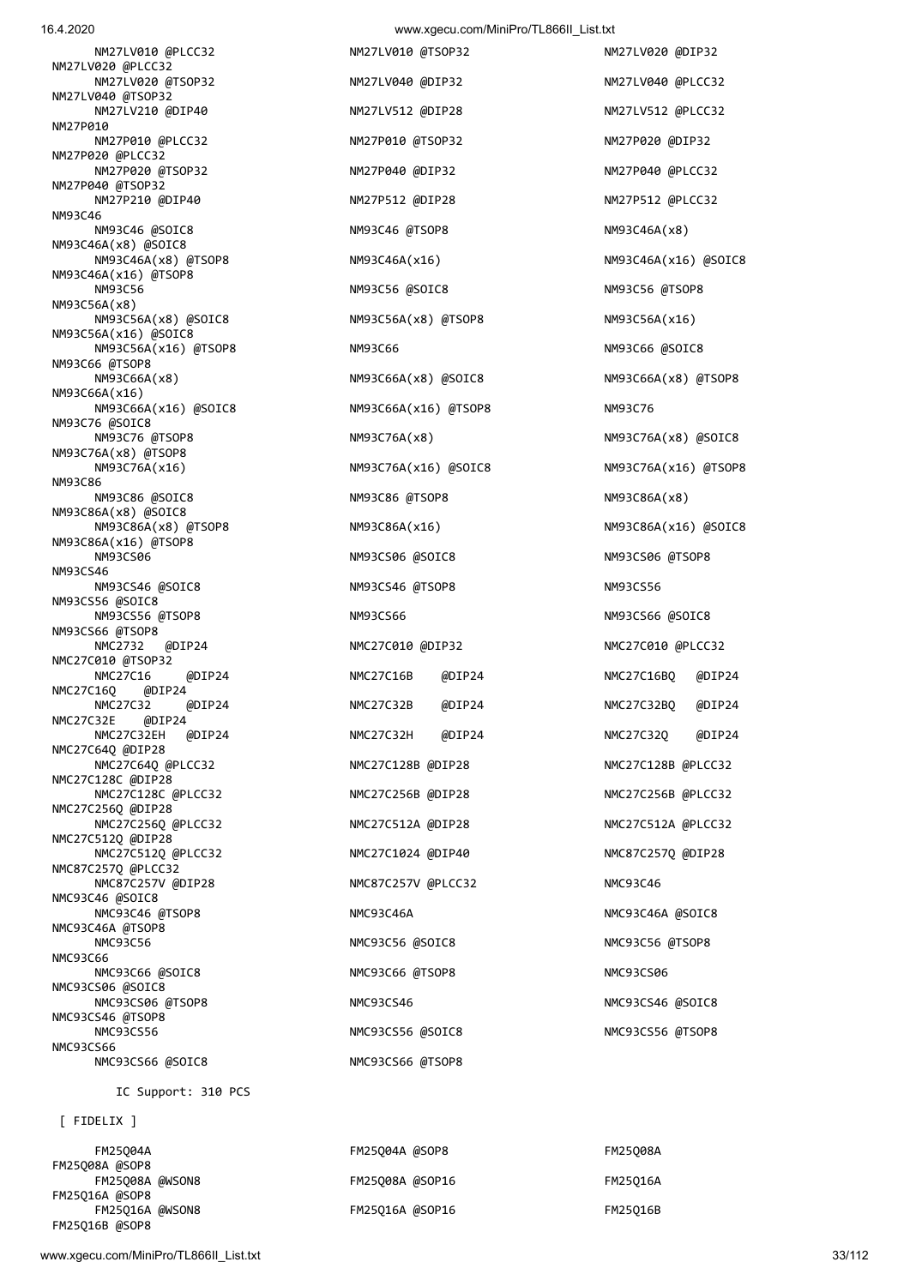IC Support: 310 PCS

| FM25004A        | FM25004A @SOP8  | FM25008A |
|-----------------|-----------------|----------|
| FM25008A @SOP8  |                 |          |
| FM25008A @WSON8 | FM25008A @SOP16 | FM25016A |
| FM25016A @SOP8  |                 |          |
| FM25016A @WSON8 | FM25016A @SOP16 | FM25016B |
| FM25Q16B @SOP8  |                 |          |

[ FIDELIX ]

NM27LV020 @PLCC32 NM27LV020 @TSOP32 NM27LV040 @DIP32 NM27LV040 @PLCC32 NM27LV040 @TSOP32 NM27LV210 @DIP40 NM27LV512 @DIP28 NM27LV512 @PLCC32 NM27P010 NM27P010 @PLCC32 NM27P010 @TSOP32 NM27P020 @DIP32 NM27P020 @PLCC32 NM27P020 @TSOP32 NM27P040 @DIP32 NM27P040 @PLCC32 NM27P040 @TSOP32 NM27P210 @DIP40 NM27P512 @DIP28 NM27P512 @PLCC32 NM93C46 NM93C46 @SOIC8 NM93C46 @TSOP8 NM93C46A(x8) NM93C46A(x8) @SOIC8 NM93C46A(x8) @TSOP8 NM93C46A(x16) NM93C46A(x16) @SOIC8 NM93C46A(x16) @TSOP8 NM93C56 NM93C56 @SOIC8 NM93C56 @TSOP8 NM93C56A(x8) NM93C56A(x8) @SOIC8 NM93C56A(x8) @TSOP8 NM93C56A(x16) NM93C56A(x16) @SOIC8 NM93C56A(x16) @TSOP8 NM93C66 NM93C66 NM93C66 NM93C66 @SOIC8 NM93C66 @TSOP8 NM93C66A(x8) NM93C66A(x8) @SOIC8 NM93C66A(x8) @TSOP8 NM93C66A(x16) NM93C66A(x16) @SOIC8 NM93C66A(x16) @TSOP8 NM93C76 NM93C76 @SOIC8 NM93C76 @TSOP8 NM93C76A(x8) NM93C76A(x8) @SOIC8 NM93C76A(x8) @TSOP8 NM93C76A(x16) NM93C76A(x16) @SOIC8 NM93C76A(x16) @TSOP8 NM93C86 NM93C86 @SOIC8 NM93C86 @TSOP8 NM93C86A(x8) NM93C86A(x8) @SOIC8 NM93C86A(x8) @TSOP8 NM93C86A(x16) NM93C86A(x16) @SOIC8 NM93C86A(x16) @TSOP8 NM93CS06 NM93CS06 @SOIC8 NM93CS06 @TSOP8 NM93CS46 NM93CS46 @SOIC8 NM93CS46 @TSOP8 NM93CS56 NM93CS56 @SOIC8 NM93CS56 @TSOP8 NM93CS66 NM93CS66 NM93CS66 NM93CS66 ASOIC8 NM93CS66 @TSOP8 NMC2732 @DIP24 NMC27C010 @DIP32 NMC27C010 @PLCC32 NMC27C010 @TSOP32 NMC27C16 @DIP24 NMC27C16B @DIP24 NMC27C16BQ @DIP24 NMC27C16Q @DIP24 NMC27C32 @DIP24 NMC27C32B @DIP24 NMC27C32BQ @DIP24 NMC27C32E @DIP24 NMC27C32EH @DIP24 NMC27C32H @DIP24 NMC27C32Q @DIP24 NMC27C64Q @DIP28 NMC27C64Q @PLCC32 NMC27C128B @DIP28 NMC27C128B @PLCC32 NMC27C128C @DIP28 NMC27C128C @PLCC32 NMC27C256B @DIP28 NMC27C256B @PLCC32 NMC27C256Q @DIP28 NMC27C256Q @PLCC32 NMC27C512A @DIP28 NMC27C512A @PLCC32 NMC27C512Q @DIP28 NMC27C512Q @PLCC32 NMC27C1024 @DIP40 NMC87C257Q @DIP28 NMC87C257Q @PLCC32 NMC87C257V @DIP28 NMC87C257V @PLCC32 NMC93C46 NMC93C46 @SOIC8 NMC93C46 @TSOP8 NMC93C46A NMC93C46A NMC93C46A NMC93C46A NMC93C46A NMC93C46A NMC93C46A NMC93C46A NMC93C46A NMC93C46A NMC93C46A NMC93C46A NMC93C46A NMC93C46A NMC93C46A NMC93C46A NMC93C46A NMC93C46A NMC93C46A NMC93C46A NMC93C NMC93C46A @TSOP8<br>NMC93C56 NMC93C66 NMC93C66 @SOIC8 NMC93C66 @TSOP8 NMC93CS06 NMC93CS06 @SOIC8 NMC93CS06 @TSOP8 NMC93CS46 NMC93CS46 NMC93CS46 NMC93CS46 NMC93CS46 NMC93CS46 NMC93CS46 NMC93CS46 NMC93CS46 NMC93CS46 NMC93CS46 @TSOP8 NMC93CS56 NMC93CS56 @SOIC8 NMC93CS56 @TSOP8 NMC93CS66 NMC93CS66 @SOIC8 NMC93CS66 @TSOP8

 NM27LV010 @PLCC32 NM27LV010 @TSOP32 NM27LV020 @DIP32 NMC93C56 NMC93C56 @SOIC8 NMC93C56 @TSOP8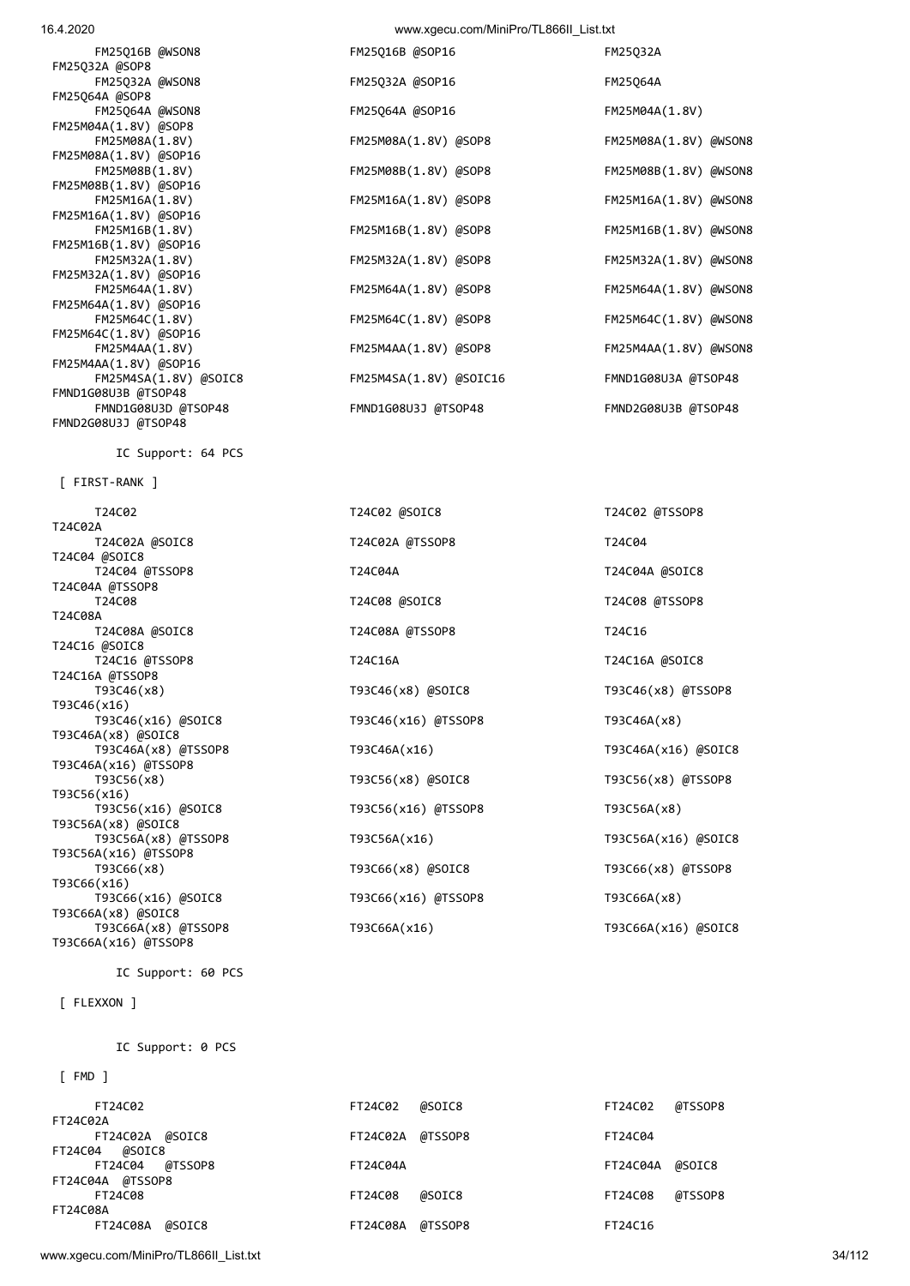FM25Q16B @WSON8 FM2 FM25Q32A @SOP8 FM25Q32A @WSON8 FM2 FM25Q64A @SOP8 FM25064A @WSON8 FM2 FM25M04A(1.8V) @SOP8 FM25M08A(1.8V) @SOP16 FM25M08B(1.8V) @SOP16 FM25M16A(1.8V) @SOP16 FM25M16B(1.8V) @SOP16 FM25M32A(1.8V) @SOP16 FM25M64A(1.8V) @SOP16 FM25M64C(1.8V) @SOP16 FM25M4AA(1.8V) @SOP16 FMND1G08U3B @TSOP48 FMND2G08U3J @TSOP48

IC Support: 64 PCS

[ FIRST-RANK ]

T24C02 T24C02 @SOIC8 T24C02A<br>T24C02A @SOIC8 T24C04 @SOIC8 T24C04 @TSSOP8 T24C04A T24C04A @TSSOP8 T24C08A<br>T24C08A @SOIC8 T24C16 @SOIC8 T24C16 @TSSOP8 T24C16A T24C16A @TSSOP8<br>T93C46(x8) T93C46(x16) T93C46(x16) @SOIC8 T93C46(x16) @TSSOP8 T93C46A(x8) @SOIC8 T93C46A(x16) @TSSOP8 T93C56(x16) T93C56(x16) @SOIC8 T93C56(x16) @TSSOP8 T93C56A(x8) @SOIC8 T93C56A(x16) @TSSOP8 T93C66(x8) T93C66(x8) @SOIC8 T93C66(x16) T93C66(x16) @SOIC8 T93C66(x16) @TSSOP8 T93C66A(x8) @SOIC8 T93C66A(x16) @TSSOP8

IC Support: 60 PCS

[ FLEXXON ]

IC Support: 0 PCS

[ FMD ]

| FT24C02          | FT24C02          | @SOIC8 | FT24C02  | @TSSOP8 |
|------------------|------------------|--------|----------|---------|
| FT24C02A         |                  |        |          |         |
| FT24C02A @SOIC8  | FT24C02A @TSSOP8 |        | FT24C04  |         |
| FT24C04 @SOIC8   |                  |        |          |         |
| FT24C04 @TSSOP8  | FT24C04A         |        | FT24C04A | @SOIC8  |
| FT24C04A @TSSOP8 |                  |        |          |         |
| FT24C08          | FT24C08          | @SOIC8 | FT24C08  | @TSSOP8 |
| FT24C08A         |                  |        |          |         |
| FT24C08A @SOIC8  | FT24C08A @TSSOP8 |        | FT24C16  |         |

www.xgecu.com/MiniPro/TL866II\_List.txt 34/112

| 16.4.2020 | www.xgecu.com/MiniPro/TL866II List.txt |  |
|-----------|----------------------------------------|--|
|           |                                        |  |

| FM25Q16B @WSON8       | FM25Q16B @SOP16        | FM25Q32A              |
|-----------------------|------------------------|-----------------------|
| 32A @SOP8             |                        |                       |
| FM25Q32A @WSON8       | FM25Q32A @SOP16        | FM25064A              |
| 64A @SOP8             |                        |                       |
| FM25Q64A @WSON8       | FM25064A @SOP16        | FM25M04A(1.8V)        |
| 04A(1.8V) @SOP8       |                        |                       |
| FM25M08A(1.8V)        | FM25M08A(1.8V) @SOP8   | FM25M08A(1.8V) @WSON8 |
| 08A(1.8V) @SOP16      |                        |                       |
| FM25M08B(1.8V)        | FM25M08B(1.8V) @SOP8   | FM25M08B(1.8V) @WSON8 |
|                       |                        |                       |
| FM25M16A(1.8V)        | FM25M16A(1.8V) @SOP8   | FM25M16A(1.8V) @WSON8 |
| 16A(1.8V) @SOP16      |                        |                       |
| FM25M16B(1.8V)        | FM25M16B(1.8V) @SOP8   | FM25M16B(1.8V) @WSON8 |
| 16B(1.8V) @SOP16      |                        |                       |
| FM25M32A(1.8V)        | FM25M32A(1.8V) @SOP8   | FM25M32A(1.8V) @WSON8 |
| 32A(1.8V) @SOP16      |                        |                       |
| FM25M64A(1.8V)        | FM25M64A(1.8V) @SOP8   | FM25M64A(1.8V) @WSON8 |
| 64A(1.8V) @SOP16      |                        |                       |
| FM25M64C(1.8V)        | FM25M64C(1.8V) @SOP8   | FM25M64C(1.8V) @WSON8 |
| 64C(1.8V) @SOP16      |                        |                       |
| FM25M4AA(1.8V)        | FM25M4AA(1.8V) @SOP8   | FM25M4AA(1.8V) @WSON8 |
| 4AA(1.8V) @SOP16      |                        |                       |
| FM25M4SA(1.8V) @SOIC8 | FM25M4SA(1.8V) @SOIC16 | FMND1G08U3A @TSOP48   |
| G08U3B @TSOP48        |                        |                       |
| FMND1G08U3D @TSOP48   | FMND1G08U3J @TSOP48    | FMND2G08U3B @TSOP48   |

| T24C02                                | T24C02 @SOIC8       | T24C02 @TSSOP8      |
|---------------------------------------|---------------------|---------------------|
| ۵A.                                   |                     |                     |
| T24C02A @SOIC8                        | T24C02A @TSSOP8     | T24C04              |
| ∣ @SOIC8<br>T24C04 @TSSOP8            | T24C04A             | T24C04A @SOIC8      |
| IA @TSSOP8                            |                     |                     |
| T24C08                                | T24C08 @SOIC8       | T24C08 @TSSOP8      |
| šА                                    |                     |                     |
| T24C08A @SOIC8<br><i>a</i> soic8      | T24C08A @TSSOP8     | T24C16              |
| T24C16 @TSSOP8                        | T24C16A             | T24C16A @SOIC8      |
| A @TSSOP8                             |                     |                     |
| T93C46(x8)                            | T93C46(x8) @SOIC8   | T93C46(x8) @TSSOP8  |
| 5(x16)                                |                     |                     |
| T93C46(x16) @SOIC8<br>GA(x8) @SOIC8   | T93C46(x16) @TSSOP8 | T93C46A(x8)         |
| T93C46A(x8) @TSSOP8                   | T93C46A(x16)        | T93C46A(x16) @SOIC8 |
| GA(x16) @TSSOP8                       |                     |                     |
| T93C56(x8)                            | T93C56(x8) @SOIC8   | T93C56(x8) @TSSOP8  |
| i(x16)                                |                     |                     |
| T93C56(x16) @SOIC8                    | T93C56(x16) @TSSOP8 | T93C56A(x8)         |
| GA(x8) @SOIC8                         |                     |                     |
| T93C56A(x8) @TSSOP8<br>A(x16) @TSSOP8 | T93C56A(x16)        | T93C56A(x16) @SOIC8 |
| T93C66(x8)                            | T93C66(x8) @SOIC8   | T93C66(x8) @TSSOP8  |
| 5(x16)                                |                     |                     |
| T93C66(x16) @SOIC8                    | T93C66(x16) @TSSOP8 | T93C66A(x8)         |
| GA(x8) @SOIC8                         |                     |                     |
| T93C66A(x8) @TSSOP8                   | T93C66A(x16)        | T93C66A(x16) @SOIC8 |
|                                       |                     |                     |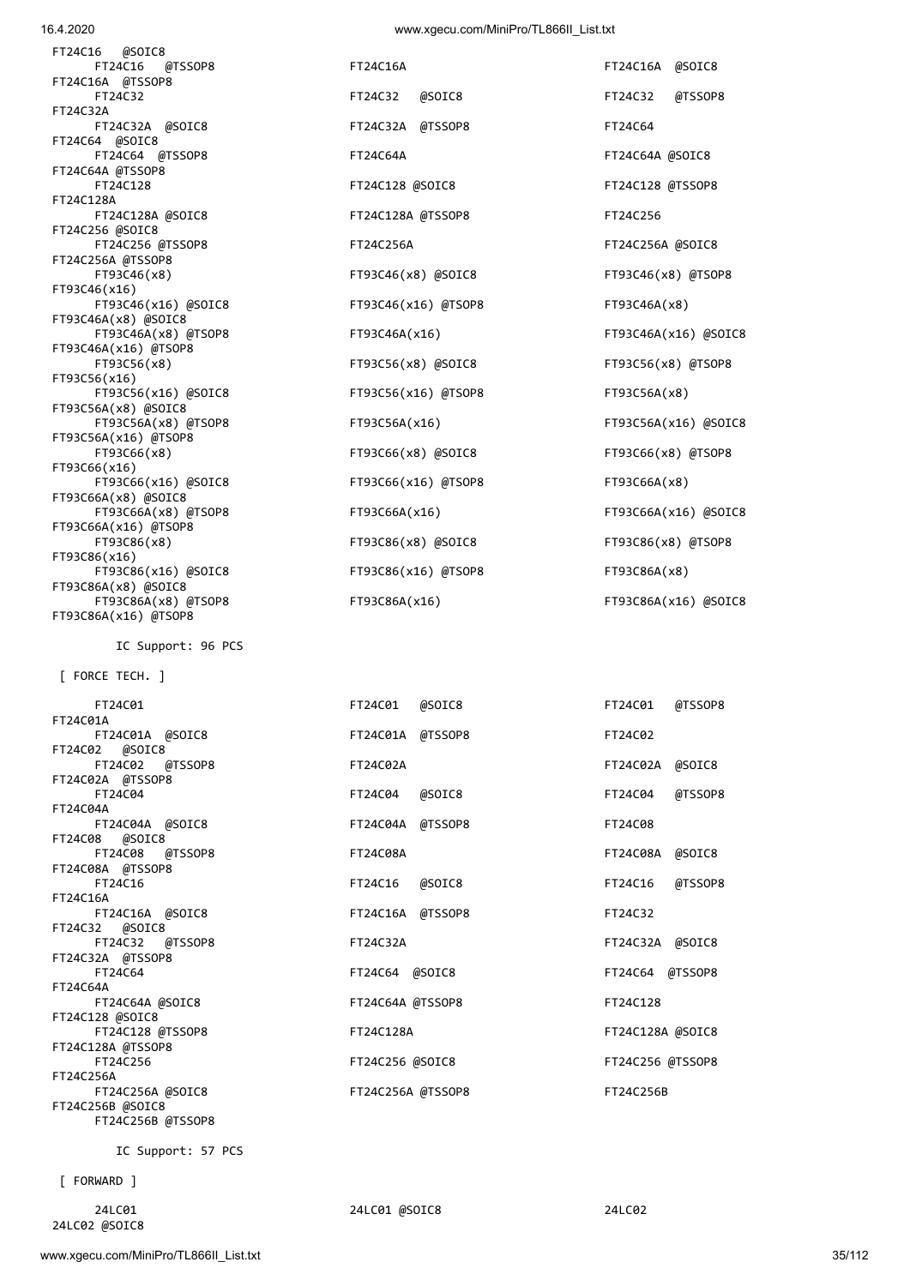| 16.4.2020 | www.xgecu.com/MiniPro/TL866II List.txt |  |
|-----------|----------------------------------------|--|
|           |                                        |  |

FT24C16 @TSSOP8 FT24C16A FT24C16A @SOIC8

| FT24C16 @SOIC8       |
|----------------------|
| FT24C16 @TSSOP8      |
| FT24C16A @TSSOP8     |
| FT24C32              |
| FT24C32A             |
| FT24C32A @SOIC8      |
| FT24C64 @SOIC8       |
| FT24C64 @TSSOP8      |
| FT24C64A @TSSOP8     |
| FT24C128             |
| FT24C128A            |
| FT24C128A @SOIC8     |
| FT24C256 @SOIC8      |
| FT24C256 @TSSOP8     |
| FT24C256A @TSSOP8    |
| FT93C46(x8)          |
| FT93C46(x16)         |
| FT93C46(x16) @SOIC8  |
| FT93C46A(x8) @SOIC8  |
| FT93C46A(x8) @TSOP8  |
| FT93C46A(x16) @TSOP8 |
| FT93C56(x8)          |
| FT93C56(x16)         |
| FT93C56(x16) @SOIC8  |
| FT93C56A(x8) @SOIC8  |
| FT93C56A(x8) @TSOP8  |
| FT93C56A(x16) @TSOP8 |
| FT93C66(x8)          |
| FT93C66(x16)         |
| FT93C66(x16) @SOIC8  |
| FT93C66A(x8) @SOIC8  |
| FT93C66A(x8) @TSOP8  |
| FT93C66A(x16) @TSOP8 |
| FT93C86(x8)          |
| FT93C86(x16)         |
| FT93C86(x16) @SOIC8  |
| FT93C86A(x8) @SOIC8  |
| FT93C86A(x8) @TSOP8  |
| FT93C86A(x16) @TSOP8 |
|                      |

IC Support: 96 PCS

[ FORCE TECH. ]

| <b>FIZ4CUL</b>    | LITTLAT MONTCO    | LITTACOT MISSOLO   |
|-------------------|-------------------|--------------------|
| FT24C01A          |                   |                    |
| FT24C01A @SOIC8   | FT24C01A @TSSOP8  | FT24C02            |
| FT24C02 @SOIC8    |                   |                    |
| FT24C02 @TSSOP8   | FT24C02A          | FT24C02A @SOIC8    |
| FT24C02A @TSSOP8  |                   |                    |
| FT24C04           | @SOIC8<br>FT24C04 | @TSSOP8<br>FT24C04 |
| FT24C04A          |                   |                    |
| FT24C04A @SOIC8   | FT24C04A @TSSOP8  | FT24C08            |
| FT24C08 @SOIC8    |                   |                    |
| FT24C08 @TSSOP8   | FT24C08A          | FT24C08A @SOIC8    |
| FT24C08A @TSSOP8  |                   |                    |
| FT24C16           |                   |                    |
|                   | FT24C16 @SOIC8    | @TSSOP8<br>FT24C16 |
| FT24C16A          |                   |                    |
| FT24C16A @SOIC8   | FT24C16A @TSSOP8  | FT24C32            |
| FT24C32 @SOIC8    |                   |                    |
| FT24C32 @TSSOP8   | FT24C32A          | FT24C32A @SOIC8    |
| FT24C32A @TSSOP8  |                   |                    |
| FT24C64           | FT24C64 @SOIC8    | FT24C64 @TSSOP8    |
| FT24C64A          |                   |                    |
| FT24C64A @SOIC8   | FT24C64A @TSSOP8  | FT24C128           |
| FT24C128 @SOIC8   |                   |                    |
| FT24C128 @TSSOP8  | FT24C128A         | FT24C128A @SOIC8   |
| FT24C128A @TSSOP8 |                   |                    |
| FT24C256          | FT24C256 @SOIC8   | FT24C256 @TSSOP8   |
| FT24C256A         |                   |                    |
|                   |                   | FT24C256B          |
| FT24C256A @SOIC8  | FT24C256A @TSSOP8 |                    |
| FT24C256B @SOIC8  |                   |                    |
| FT24C256B @TSSOP8 |                   |                    |

IC Support: 57 PCS

[ FORWARD ]

 24LC01 24LC01 @SOIC8 24LC02 24LC02 @SOIC8

| FT24C32                                    | FT24C32 @SOIC8      | FT24C32 @TSSOP8      |
|--------------------------------------------|---------------------|----------------------|
| FT24C32A                                   |                     |                      |
| FT24C32A @SOIC8                            | FT24C32A @TSSOP8    | FT24C64              |
| FT24C64 @SOIC8                             |                     |                      |
| FT24C64 @TSSOP8                            | FT24C64A            | FT24C64A @SOIC8      |
| FT24C64A @TSSOP8                           |                     |                      |
| FT24C128                                   | FT24C128 @SOIC8     | FT24C128 @TSSOP8     |
| FT24C128A                                  |                     |                      |
| FT24C128A @SOIC8                           | FT24C128A @TSSOP8   | FT24C256             |
| FT24C256 @SOIC8                            |                     |                      |
| FT24C256 @TSSOP8                           | FT24C256A           | FT24C256A @SOIC8     |
| FT24C256A @TSSOP8                          |                     |                      |
| FT93C46(x8)                                | FT93C46(x8) @SOIC8  | FT93C46(x8) @TSOP8   |
| FT93C46(x16)                               |                     |                      |
| FT93C46(x16) @SOIC8                        | FT93C46(x16) @TSOP8 | FT93C46A(x8)         |
| FT93C46A(x8) @SOIC8<br>FT93C46A(x8) @TSOP8 | FT93C46A(x16)       | FT93C46A(x16) @SOIC8 |
| FT93C46A(x16) @TSOP8                       |                     |                      |
| FT93C56(x8)                                | FT93C56(x8) @SOIC8  | FT93C56(x8) @TSOP8   |
| FT93C56(x16)                               |                     |                      |
| FT93C56(x16) @SOIC8                        | FT93C56(x16) @TSOP8 | FT93C56A(x8)         |
| FT93C56A(x8) @SOIC8                        |                     |                      |
| FT93C56A(x8) @TSOP8                        | FT93C56A(x16)       | FT93C56A(x16) @SOIC8 |
| FT93C56A(x16) @TSOP8                       |                     |                      |
| FT93C66(x8)                                | FT93C66(x8) @SOIC8  | FT93C66(x8) @TSOP8   |
| FT93C66(x16)                               |                     |                      |
| FT93C66(x16) @SOIC8                        | FT93C66(x16) @TSOP8 | FT93C66A(x8)         |
| FT93C66A(x8) @SOIC8                        |                     |                      |
| FT93C66A(x8) @TSOP8                        | FT93C66A(x16)       | FT93C66A(x16) @SOIC8 |
| FT93C66A(x16) @TSOP8                       |                     |                      |
| FT93C86(x8)                                | FT93C86(x8) @SOIC8  | FT93C86(x8) @TSOP8   |
| FT93C86(x16)                               |                     |                      |
| FT93C86(x16) @SOIC8                        | FT93C86(x16) @TSOP8 | FT93C86A(x8)         |
| FT93C86A(x8) @SOIC8                        |                     |                      |
| FT93C86A(x8) @TSOP8                        | FT93C86A(x16)       | FT93C86A(x16) @SOIC8 |
| ETORCOCA/JAC) ATCOBO                       |                     |                      |

| FT24C01           | FT24C01 @SOIC8    | FT24C01 @TSSOP8  |
|-------------------|-------------------|------------------|
| FT24C01A          |                   |                  |
| FT24C01A @SOIC8   | FT24C01A @TSSOP8  | FT24C02          |
| FT24C02 @SOIC8    |                   |                  |
| FT24C02 @TSSOP8   | FT24C02A          | FT24C02A @SOIC8  |
| FT24C02A @TSSOP8  |                   |                  |
| FT24C04           | FT24C04 @SOIC8    | FT24C04 @TSSOP8  |
| FT24C04A          |                   |                  |
| FT24C04A @SOIC8   | FT24C04A @TSSOP8  | FT24C08          |
| FT24C08 @SOIC8    |                   |                  |
| FT24C08 @TSSOP8   | FT24C08A          | FT24C08A @SOIC8  |
| FT24C08A @TSSOP8  |                   |                  |
| FT24C16           | FT24C16 @SOIC8    | FT24C16 @TSSOP8  |
| FT24C16A          |                   |                  |
| FT24C16A @SOIC8   | FT24C16A @TSSOP8  | FT24C32          |
| FT24C32 @SOIC8    |                   |                  |
| FT24C32 @TSSOP8   | FT24C32A          | FT24C32A @SOIC8  |
| FT24C32A @TSSOP8  |                   |                  |
| FT24C64           | FT24C64 @SOIC8    | FT24C64 @TSSOP8  |
| FT24C64A          |                   |                  |
| FT24C64A @SOIC8   | FT24C64A @TSSOP8  | FT24C128         |
| FT24C128 @SOIC8   |                   |                  |
| FT24C128 @TSSOP8  | FT24C128A         | FT24C128A @SOIC8 |
| FT24C128A @TSSOP8 |                   |                  |
| FT24C256          | FT24C256 @SOIC8   | FT24C256 @TSSOP8 |
| FT24C256A         |                   |                  |
| FT24C256A @SOIC8  | FT24C256A @TSSOP8 | FT24C256B        |
|                   |                   |                  |

| FT24C01          | @TSSOP8 |
|------------------|---------|
| FT24C02          |         |
| FT24C02A         | @SOIC8  |
| FT24C04          | @TSSOP8 |
| FT24C08          |         |
| FT24C08A         | @SOIC8  |
| FT24C16          | @TSSOP8 |
| FT24C32          |         |
| FT24C32A         | @SOIC8  |
| FT24C64 @TSSOP8  |         |
| FT24C128         |         |
| FT24C128A @SOIC8 |         |
| FT24C256 @TSSOP8 |         |
| FT24C256B        |         |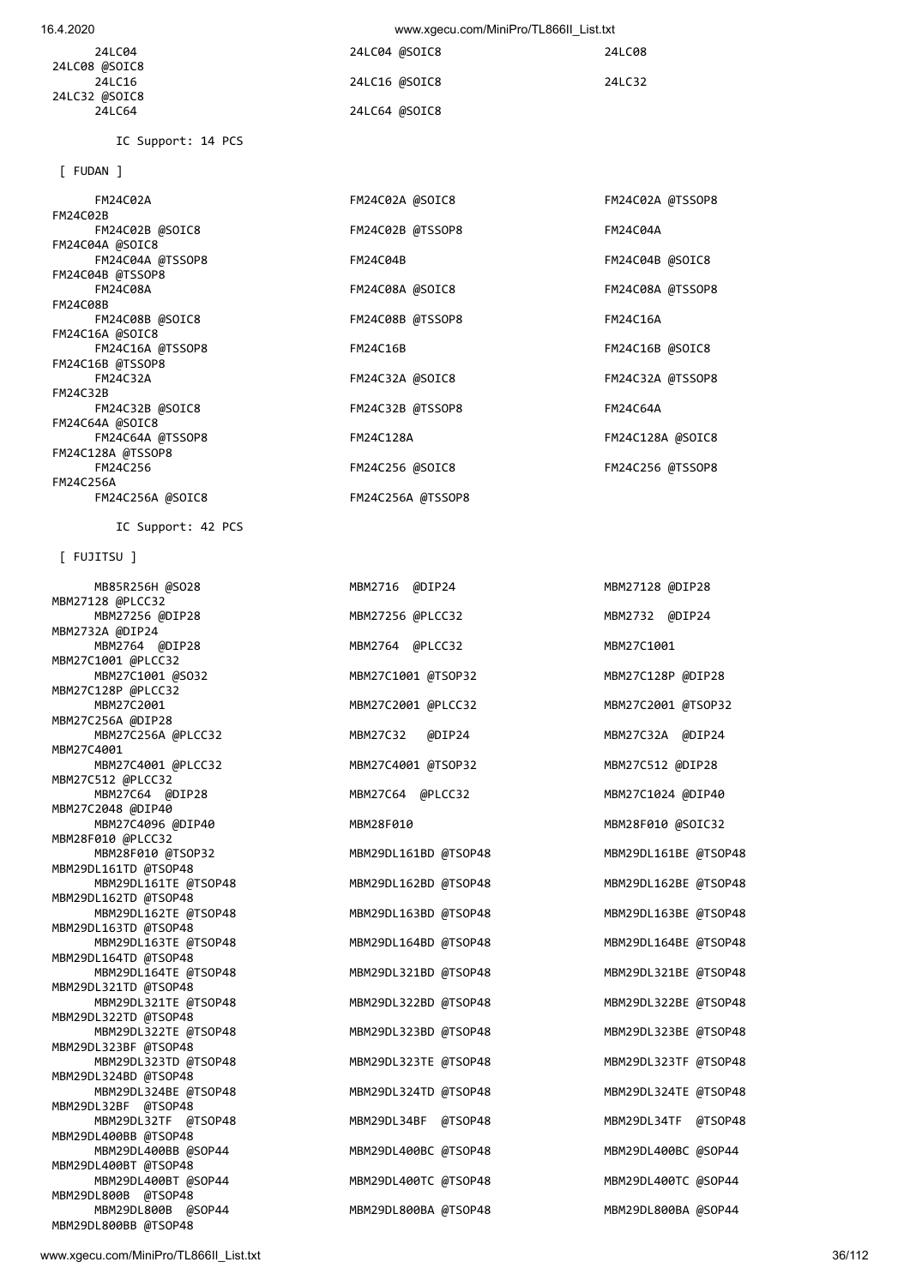| 24LC04<br>24LC08 @SOIC8 | 24LC04 @SOIC8 | 24LC08 |
|-------------------------|---------------|--------|
| 24LC16                  | 24LC16 @SOIC8 | 24LC32 |
| 24LC32 @SOIC8<br>24LC64 | 24LC64 @SOIC8 |        |

IC Support: 14 PCS

[ FUDAN ]

| <b>FM24C02A</b>   | FM24C02A @SOIC8   | FM24C02A @TSSOP8 |
|-------------------|-------------------|------------------|
| <b>FM24C02B</b>   |                   |                  |
| FM24C02B @SOIC8   | FM24C02B @TSSOP8  | <b>FM24C04A</b>  |
| FM24C04A @SOIC8   |                   |                  |
| FM24C04A @TSSOP8  | <b>FM24C04B</b>   | FM24C04B @SOIC8  |
| FM24C04B @TSSOP8  |                   |                  |
| <b>FM24C08A</b>   | FM24C08A @SOIC8   | FM24C08A @TSSOP8 |
| FM24C08B          |                   |                  |
| FM24C08B @SOIC8   | FM24C08B @TSSOP8  | <b>FM24C16A</b>  |
| FM24C16A @SOIC8   |                   |                  |
| FM24C16A @TSSOP8  | <b>FM24C16B</b>   | FM24C16B @SOIC8  |
| FM24C16B @TSSOP8  |                   |                  |
| <b>FM24C32A</b>   | FM24C32A @SOIC8   | FM24C32A @TSSOP8 |
| FM24C32B          |                   |                  |
| FM24C32B @SOIC8   | FM24C32B @TSSOP8  | <b>FM24C64A</b>  |
| FM24C64A @SOIC8   |                   |                  |
| FM24C64A @TSSOP8  | FM24C128A         | FM24C128A @SOIC8 |
| FM24C128A @TSSOP8 |                   |                  |
| FM24C256          | FM24C256 @SOIC8   | FM24C256 @TSSOP8 |
| <b>FM24C256A</b>  |                   |                  |
| FM24C256A @SOIC8  | FM24C256A @TSSOP8 |                  |
|                   |                   |                  |

IC Support: 42 PCS

### [ FUJITSU ]

MBM27128 @PLCC32 MBM27256 @DIP28 MBM27256 @PLCC32 MBM2732 @DIP24 MBM2732A @DIP24 MBM2764 @DIP28 MBM2764 @PLCC32 MBM27C1001 MBM27C1001 @PLCC32 MBM27C1001 @SO32 MBM27C1001 @TSOP32 MBM27C128P @DIP28 MBM27C128P @PLCC32 MBM27C2001 MBM27C2001 @PLCC32 MBM27C2001 @TSOP32 MBM27C256A @DIP28 MBM27C256A @PLCC32 MBM27C32 @DIP24 MBM27C32A @DIP24 MBM27C4001 MBM27C4001 @PLCC32 MBM27C4001 @TSOP32 MBM27C512 @DIP28 MBM27C512 @PLCC32 MBM27C64 @DIP28 MBM27C64 @PLCC32 MBM27C1024 @DIP40 MBM27C2048 @DIP40 MBM27C4096 @DIP40 MBM28F010 MBM28F010 @SOIC32 MBM28F010 @PLCC32 MBM28F010 @TSOP32 MBM29DL161BD @TSOP48 MBM29DL161BE @TSOP48 MBM29DL161TD @TSOP48 MBM29DL161TE @TSOP48 MBM29DL162BD @TSOP48 MBM29DL162BE @TSOP48 MBM29DL162TD @TSOP48 MBM29DL162TE @TSOP48 MBM29DL163BD @TSOP48 MBM29DL163BE @TSOP48 MBM29DL163TD @TSOP48 MBM29DL163TE @TSOP48 MBM29DL164BD @TSOP48 MBM29DL164BE @TSOP48 MBM29DL164TD @TSOP48 MBM29DL164TE @TSOP48 MBM29DL321BD @TSOP48 MBM29DL321BE @TSOP48 MBM29DL321TD @TSOP48 MBM29DL321TE @TSOP48 MBM29DL322BD @TSOP48 MBM29DL322BE @TSOP48 MBM29DL322TD @TSOP48 MBM29DL322TE @TSOP48 MBM29DL323BD @TSOP48 MBM29DL323BE @TSOP48 MBM29DL323BF @TSOP48 MBM29DL323TD @TSOP48 MBM29DL323TE @TSOP48 MBM29DL323TF @TSOP48 MBM29DL324BD @TSOP48 MBM29DL324BE @TSOP48 MBM29DL324TD @TSOP48 MBM29DL324TE @TSOP48 MBM29DL32BF @TSOP48 MBM29DL32TF @TSOP48 MBM29DL34BF @TSOP48 MBM29DL34TF @TSOP48 MBM29DL400BB @TSOP48 MBM29DL400BB @SOP44 MBM29DL400BC @TSOP48 MBM29DL400BC @SOP44 MBM29DL400BT @TSOP48 MBM29DL400BT @SOP44 MBM29DL400TC @TSOP48 MBM29DL400TC @SOP44 MBM29DL800B @TSOP48 MBM29DL800B @SOP44 MBM29DL800BA @TSOP48 MBM29DL800BA @SOP44 MBM29DL800BB @TSOP48

| MB85R256H @SO28                        | MBM2716 @DIP24       | MBM27128 @DIP28 |
|----------------------------------------|----------------------|-----------------|
| 28 @PLCC32                             |                      |                 |
| MBM27256 @DIP28                        | MBM27256 @PLCC32     | MBM2732 @DIP24  |
| 32A @DIP24                             |                      |                 |
| MBM2764 @DIP28                         | MBM2764 @PLCC32      | MBM27C1001      |
| 1001 @PLCC32:                          |                      |                 |
| MBM27C1001 @SO32                       | MBM27C1001 @TSOP32   | MBM27C128P @DIP |
| 128P @PLCC32:                          |                      |                 |
| MBM27C2001                             | MBM27C2001 @PLCC32   | MBM27C2001 @TSO |
| 256A @DIP28:                           |                      |                 |
| MBM27C256A @PLCC32                     | MBM27C32 @DIP24      | MBM27C32A @DIP  |
| 14001.                                 |                      |                 |
| MBM27C4001 @PLCC32                     | MBM27C4001 @TSOP32   | MBM27C512 @DIP2 |
| :512 @PLCC32                           |                      |                 |
| MBM27C64 @DIP28                        | MBM27C64 @PLCC32     | MBM27C1024 @DIP |
| 2048 @DIP40:                           |                      |                 |
| MBM27C4096 @DIP40                      | MBM28F010            | MBM28F010 @SOIC |
| 010 @PLCC32:                           |                      |                 |
| MBM28F010 @TSOP32                      | MBM29DL161BD @TSOP48 | MBM29DL161BE @T |
| L161TD @TSOP48                         |                      |                 |
| MBM29DL161TE @TSOP48                   | MBM29DL162BD @TSOP48 | MBM29DL162BE @T |
| DL162TD @TSOP48                        |                      |                 |
| MBM29DL162TE @TSOP48                   | MBM29DL163BD @TSOP48 | MBM29DL163BE @T |
| DL163TD @TSOP48                        |                      |                 |
| MBM29DL163TE @TSOP48                   | MBM29DL164BD @TSOP48 | MBM29DL164BE @T |
| DL164TD @TSOP48                        |                      |                 |
| MBM29DL164TE @TSOP48                   | MBM29DL321BD @TSOP48 | MBM29DL321BE @T |
| L321TD @TSOP48                         |                      |                 |
| MBM29DL321TE @TSOP48                   | MBM29DL322BD @TSOP48 | MBM29DL322BE @T |
| DL322TD @TSOP48                        |                      |                 |
| MBM29DL322TE @TSOP48                   | MBM29DL323BD @TSOP48 | MBM29DL323BE @T |
| DL323BF @TSOP48                        |                      |                 |
| MBM29DL323TD @TSOP48                   | MBM29DL323TE @TSOP48 | MBM29DL323TF @T |
| L324BD @TSOP48                         |                      |                 |
| MBM29DL324BE @TSOP48                   | MBM29DL324TD @TSOP48 | MBM29DL324TE @T |
| DL32BF @TSOP48                         |                      |                 |
| MBM29DL32TF @TSOP48                    | MBM29DL34BF @TSOP48  | MBM29DL34TF @T  |
| L400BB @TSOP48                         |                      |                 |
| MBM29DL400BB @SOP44                    | MBM29DL400BC @TSOP48 | MBM29DL400BC @S |
| DL400BT @TSOP48<br>MBM29DL400BT @SOP44 | MBM29DL400TC @TSOP48 | MBM29DL400TC @S |
| DL800B @TSOP48                         |                      |                 |
| MBM29DL800B @SOP44                     | MBM29DL800BA @TSOP48 | MBM29DL800BA @S |
|                                        |                      |                 |

|                 | FM24C02A @TSSOP8 |
|-----------------|------------------|
| FM24C04A        |                  |
| FM24C04B @SOIC8 |                  |
|                 | FM24C08A @TSSOP8 |
| <b>FM24C16A</b> |                  |
| FM24C16B @SOIC8 |                  |
|                 | FM24C32A @TSSOP8 |
| FM24C64A        |                  |
|                 | FM24C128A @SOIC8 |
|                 | FM24C256 @TSSOP8 |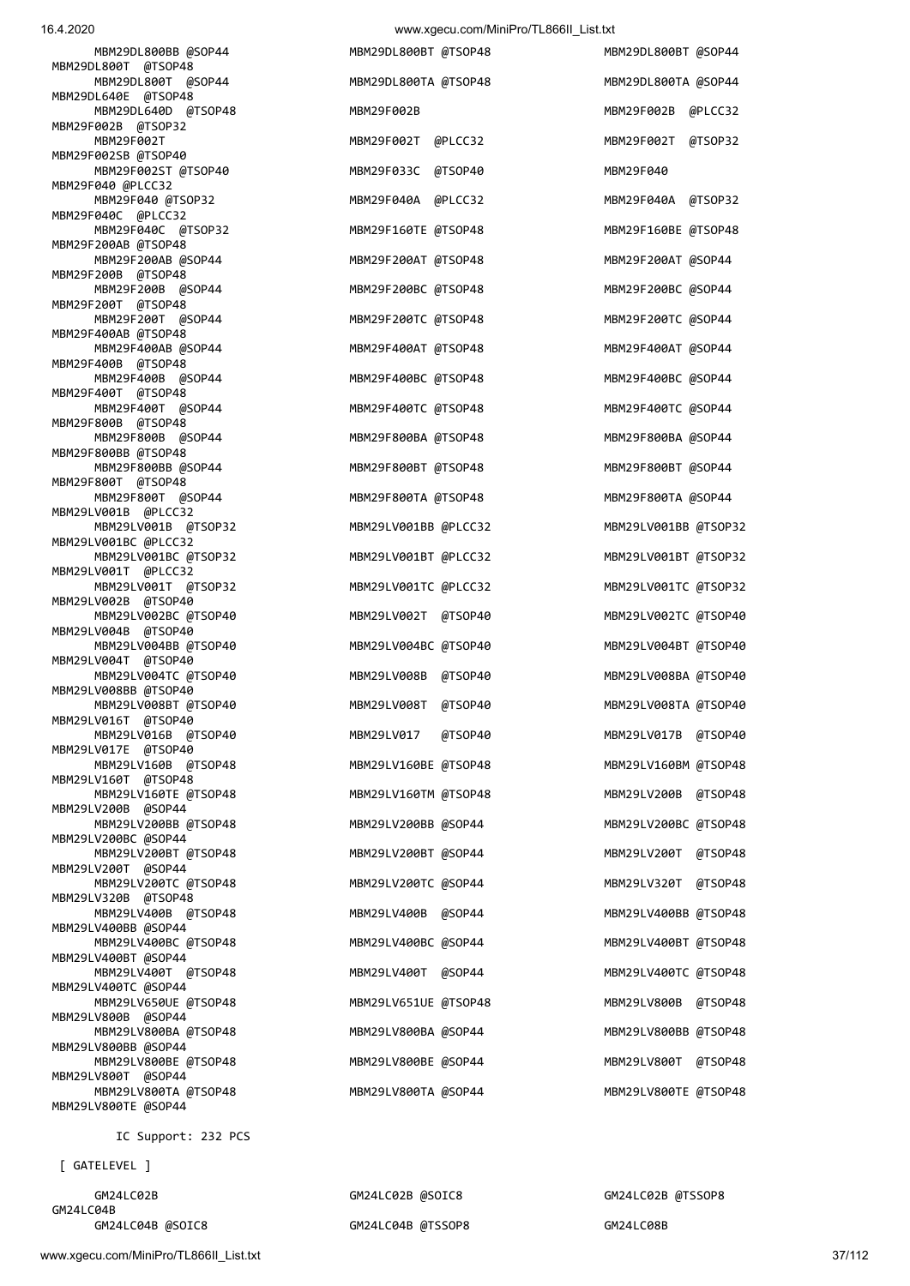| 16.4.2020                                    | www.xgecu.com/MiniPro/TL866II_List.txt |                      |
|----------------------------------------------|----------------------------------------|----------------------|
| MBM29DL800BB @SOP44<br>MBM29DL800T @TSOP48   | MBM29DL800BT @TSOP48                   | MBM29DL800BT @SOP44  |
| MBM29DL800T @SOP44                           | MBM29DL800TA @TSOP48                   | MBM29DL800TA @SOP44  |
| MBM29DL640E @TSOP48<br>MBM29DL640D @TSOP48   | MBM29F002B                             | MBM29F002B @PLCC32   |
| MBM29F002B @TSOP32<br>MBM29F002T             | MBM29F002T @PLCC32                     | MBM29F002T @TSOP32   |
| MBM29F002SB @TSOP40<br>MBM29F002ST @TSOP40   | MBM29F033C @TSOP40                     | MBM29F040            |
| MBM29F040 @PLCC32<br>MBM29F040 @TSOP32       | MBM29F040A @PLCC32                     | MBM29F040A @TSOP32   |
| MBM29F040C @PLCC32<br>MBM29F040C @TSOP32     | MBM29F160TE @TSOP48                    | MBM29F160BE @TSOP48  |
| MBM29F200AB @TSOP48<br>MBM29F200AB @SOP44    | MBM29F200AT @TSOP48                    | MBM29F200AT @SOP44   |
| MBM29F200B @TSOP48<br>MBM29F200B @SOP44      | MBM29F200BC @TSOP48                    | MBM29F200BC @SOP44   |
| MBM29F200T @TSOP48<br>MBM29F200T @SOP44      | MBM29F200TC @TSOP48                    | MBM29F200TC @SOP44   |
| MBM29F400AB @TSOP48<br>MBM29F400AB @SOP44    | MBM29F400AT @TSOP48                    | MBM29F400AT @SOP44   |
| MBM29F400B @TSOP48<br>MBM29F400B @SOP44      | MBM29F400BC @TSOP48                    | MBM29F400BC @SOP44   |
| MBM29F400T @TSOP48<br>MBM29F400T @SOP44      | MBM29F400TC @TSOP48                    | MBM29F400TC @SOP44   |
| MBM29F800B @TSOP48<br>MBM29F800B @SOP44      | MBM29F800BA @TSOP48                    | MBM29F800BA @SOP44   |
| MBM29F800BB @TSOP48<br>MBM29F800BB @SOP44    | MBM29F800BT @TSOP48                    | MBM29F800BT @SOP44   |
| MBM29F800T @TSOP48<br>MBM29F800T @SOP44      | MBM29F800TA @TSOP48                    | MBM29F800TA @SOP44   |
| MBM29LV001B @PLCC32<br>MBM29LV001B @TSOP32   | MBM29LV001BB @PLCC32                   | MBM29LV001BB @TSOP32 |
| MBM29LV001BC @PLCC32<br>MBM29LV001BC @TSOP32 | MBM29LV001BT @PLCC32                   | MBM29LV001BT @TSOP32 |
| MBM29LV001T @PLCC32<br>MBM29LV001T @TSOP32   | MBM29LV001TC @PLCC32                   | MBM29LV001TC @TSOP32 |
| MBM29LV002B @TSOP40<br>MBM29LV002BC @TSOP40  | MBM29LV002T @TSOP40                    | MBM29LV002TC @TSOP40 |
| MBM29LV004B @TSOP40<br>MBM29LV004BB @TSOP40  | MBM29LV004BC @TSOP40                   | MBM29LV004BT @TSOP40 |
| MBM29LV004T @TSOP40<br>MBM29LV004TC @TSOP40  | MBM29LV008B @TSOP40                    | MBM29LV008BA @TSOP40 |
| MBM29LV008BB @TSOP40<br>MBM29LV008BT @TSOP40 | MBM29LV008T @TSOP40                    | MBM29LV008TA @TSOP40 |
| MBM29LV016T @TSOP40<br>MBM29LV016B @TSOP40   | MBM29LV017 @TSOP40                     | MBM29LV017B @TSOP40  |
| MBM29LV017E @TSOP40<br>MBM29LV160B @TSOP48   | MBM29LV160BE @TSOP48                   | MBM29LV160BM @TSOP48 |
| MBM29LV160T @TSOP48<br>MBM29LV160TE @TSOP48  | MBM29LV160TM @TSOP48                   | MBM29LV200B @TSOP48  |
| MBM29LV200B @SOP44<br>MBM29LV200BB @TSOP48   | MBM29LV200BB @SOP44                    | MBM29LV200BC @TSOP48 |
| MBM29LV200BC @SOP44<br>MBM29LV200BT @TSOP48  | MBM29LV200BT @SOP44                    | MBM29LV200T @TSOP48  |
| MBM29LV200T @SOP44<br>MBM29LV200TC @TSOP48   | MBM29LV200TC @SOP44                    | MBM29LV320T @TSOP48  |
| MBM29LV320B @TSOP48<br>MBM29LV400B @TSOP48   | MBM29LV400B @SOP44                     | MBM29LV400BB @TSOP48 |
| MBM29LV400BB @SOP44<br>MBM29LV400BC @TSOP48  | MBM29LV400BC @SOP44                    | MBM29LV400BT @TSOP48 |
| MBM29LV400BT @SOP44<br>MBM29LV400T @TSOP48   | MBM29LV400T @SOP44                     | MBM29LV400TC @TSOP48 |
| MBM29LV400TC @SOP44<br>MBM29LV650UE @TSOP48  | MBM29LV651UE @TSOP48                   | MBM29LV800B @TSOP48  |
| MBM29LV800B @SOP44<br>MBM29LV800BA @TSOP48   | MBM29LV800BA @SOP44                    | MBM29LV800BB @TSOP48 |
| MBM29LV800BB @SOP44<br>MBM29LV800BE @TSOP48  | MBM29LV800BE @SOP44                    | MBM29LV800T @TSOP48  |
| MBM29LV800T @SOP44<br>MBM29LV800TA @TSOP48   | MBM29LV800TA @SOP44                    | MBM29LV800TE @TSOP48 |
| MBM29LV800TE @SOP44                          |                                        |                      |
|                                              |                                        |                      |

IC Support: 232 PCS

[ GATELEVEL ]

GM24LC04B<br>GM24LC04B @SOIC8

GM24LC02B GM24LC02B @SOIC8 GM24LC02B @TSSOP8

GM24LC04B @TSSOP8 GM24LC08B

www.xgecu.com/MiniPro/TL866II\_List.txt 37/112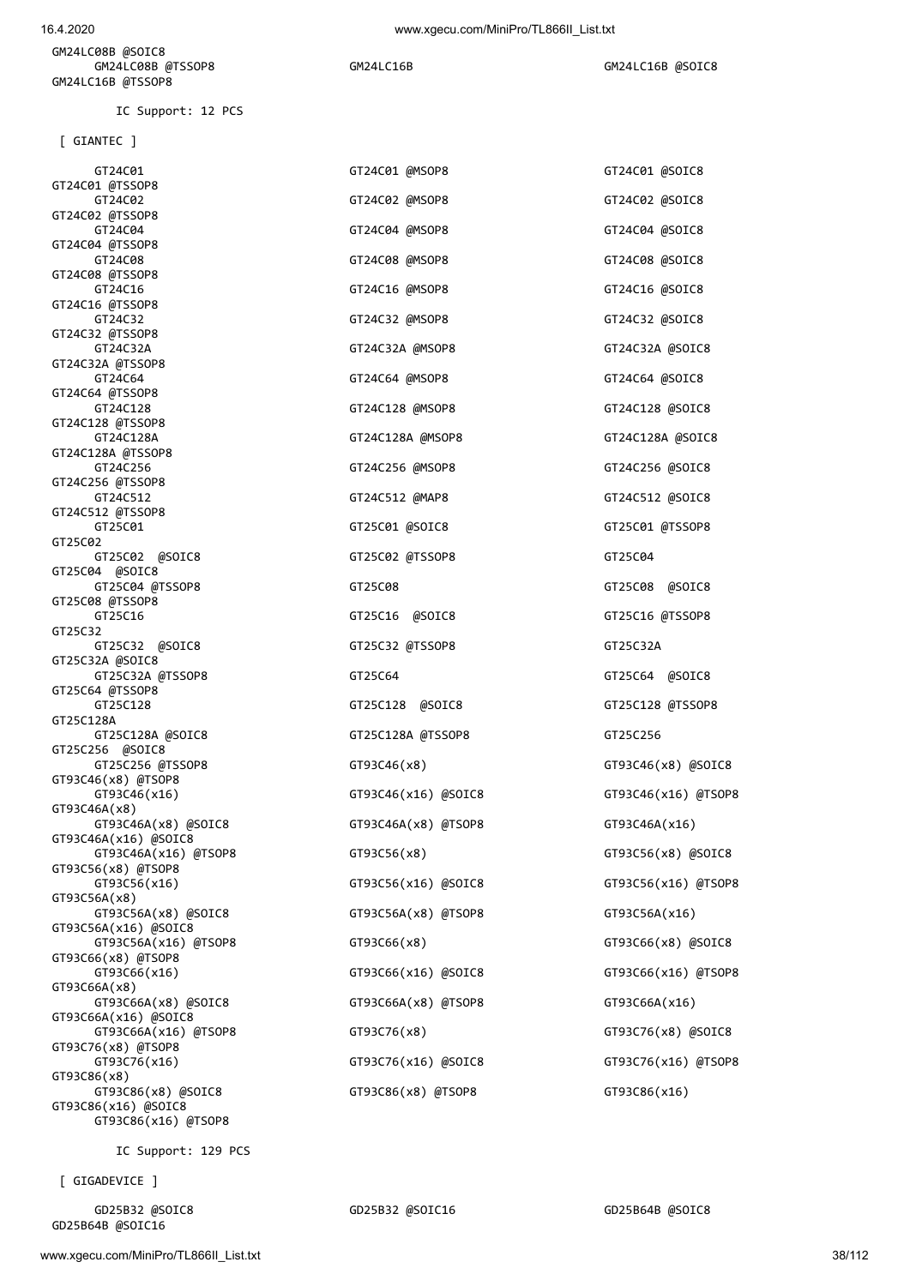GM24LC08B @SOIC8 GM24LC08B @TSSOP8 GM24LC16B GM24LC16B GM24LC16B GM24LC16B GM24LC16B GM24LC16B GM24LC16B G GM24LC16B @TSSOP8

IC Support: 12 PCS

[ GIANTEC ]

| GT24C01<br>GT24C01 @TSSOP8                   | GT24C01 @MSOP8      | GT24C01 @SOIC8      |
|----------------------------------------------|---------------------|---------------------|
| GT24C02                                      | GT24C02 @MSOP8      | GT24C02 @SOIC8      |
| GT24C02 @TSSOP8                              |                     |                     |
| GT24C04<br>GT24C04 @TSSOP8                   | GT24C04 @MSOP8      | GT24C04 @SOIC8      |
| GT24C08                                      | GT24C08 @MSOP8      | GT24C08 @SOIC8      |
| GT24C08 @TSSOP8                              |                     |                     |
| GT24C16<br>GT24C16 @TSSOP8                   | GT24C16 @MSOP8      | GT24C16 @SOIC8      |
| GT24C32                                      | GT24C32 @MSOP8      | GT24C32 @SOIC8      |
| GT24C32 @TSSOP8                              |                     |                     |
| GT24C32A<br>GT24C32A @TSSOP8                 | GT24C32A @MSOP8     | GT24C32A @SOIC8     |
| GT24C64                                      | GT24C64 @MSOP8      | GT24C64 @SOIC8      |
| GT24C64 @TSSOP8                              |                     |                     |
| GT24C128<br>GT24C128 @TSSOP8                 | GT24C128 @MSOP8     | GT24C128 @SOIC8     |
| GT24C128A                                    | GT24C128A @MSOP8    | GT24C128A @SOIC8    |
| GT24C128A @TSSOP8<br>GT24C256                | GT24C256 @MSOP8     | GT24C256 @SOIC8     |
| GT24C256 @TSSOP8                             |                     |                     |
| GT24C512                                     | GT24C512 @MAP8      | GT24C512 @SOIC8     |
| GT24C512 @TSSOP8<br>GT25C01                  | GT25C01 @SOIC8      | GT25C01 @TSSOP8     |
| GT25C02                                      |                     |                     |
| GT25C02 @SOIC8                               | GT25C02 @TSSOP8     | GT25C04             |
| GT25C04 @SOIC8<br>GT25C04 @TSSOP8            | GT25C08             | GT25C08 @SOIC8      |
| GT25C08 @TSSOP8                              |                     |                     |
| GT25C16                                      | GT25C16 @SOIC8      | GT25C16 @TSSOP8     |
| GT25C32<br>GT25C32 @SOIC8                    | GT25C32 @TSSOP8     | GT25C32A            |
| GT25C32A @SOIC8                              |                     |                     |
| GT25C32A @TSSOP8<br>GT25C64 @TSSOP8          | GT25C64             | GT25C64 @SOIC8      |
| GT25C128                                     | GT25C128 @SOIC8     | GT25C128 @TSSOP8    |
| GT25C128A                                    |                     |                     |
| GT25C128A @SOIC8<br>GT25C256 @SOIC8          | GT25C128A @TSSOP8   | GT25C256            |
| GT25C256 @TSSOP8                             | GT93C46(x8)         | GT93C46(x8) @SOIC8  |
| GT93C46(x8) @TSOP8                           |                     |                     |
| GT93C46(x16)<br>GT93C46A(x8)                 | GT93C46(x16) @SOIC8 | GT93C46(x16) @TSOP8 |
| GT93C46A(x8) @SOIC8                          | GT93C46A(x8) @TSOP8 | GT93C46A(x16)       |
| GT93C46A(x16) @SOIC8                         |                     |                     |
| GT93C46A(x16) @TSOP8<br>GT93C56(x8) @TSOP8   | GT93C56(x8)         | GT93C56(x8) @SOIC8  |
| GT93C56(x16)                                 | GT93C56(x16) @SOIC8 | GT93C56(x16) @TSOP8 |
| GT93C56A(x8)<br>GT93C56A(x8) @SOIC8          | GT93C56A(x8) @TSOP8 | GT93C56A(x16)       |
| GT93C56A(x16) @SOIC8                         |                     |                     |
| GT93C56A(x16) @TSOP8                         | GT93C66(x8)         | GT93C66(x8) @SOIC8  |
| GT93C66(x8) @TSOP8<br>GT93C66(x16)           | GT93C66(x16) @SOIC8 | GT93C66(x16) @TSOP8 |
| GT93C66A(x8)                                 |                     |                     |
| GT93C66A(x8) @SOIC8                          | GT93C66A(x8) @TSOP8 | GT93C66A(x16)       |
| GT93C66A(x16) @SOIC8<br>GT93C66A(x16) @TSOP8 | GT93C76(x8)         | GT93C76(x8) @SOIC8  |
| GT93C76(x8) @TSOP8                           |                     |                     |
| GT93C76(x16)<br>GT93C86(x8)                  | GT93C76(x16) @SOIC8 | GT93C76(x16) @TSOP8 |
| GT93C86(x8) @SOIC8                           | GT93C86(x8) @TSOP8  | GT93C86(x16)        |
| GT93C86(x16) @SOIC8                          |                     |                     |
| GT93C86(x16) @TSOP8                          |                     |                     |
|                                              |                     |                     |

[ GIGADEVICE ]

GD25B32 @SOIC8 GD25B32 @SOIC16 GD25B64B @SOIC8

GD25B64B @SOIC16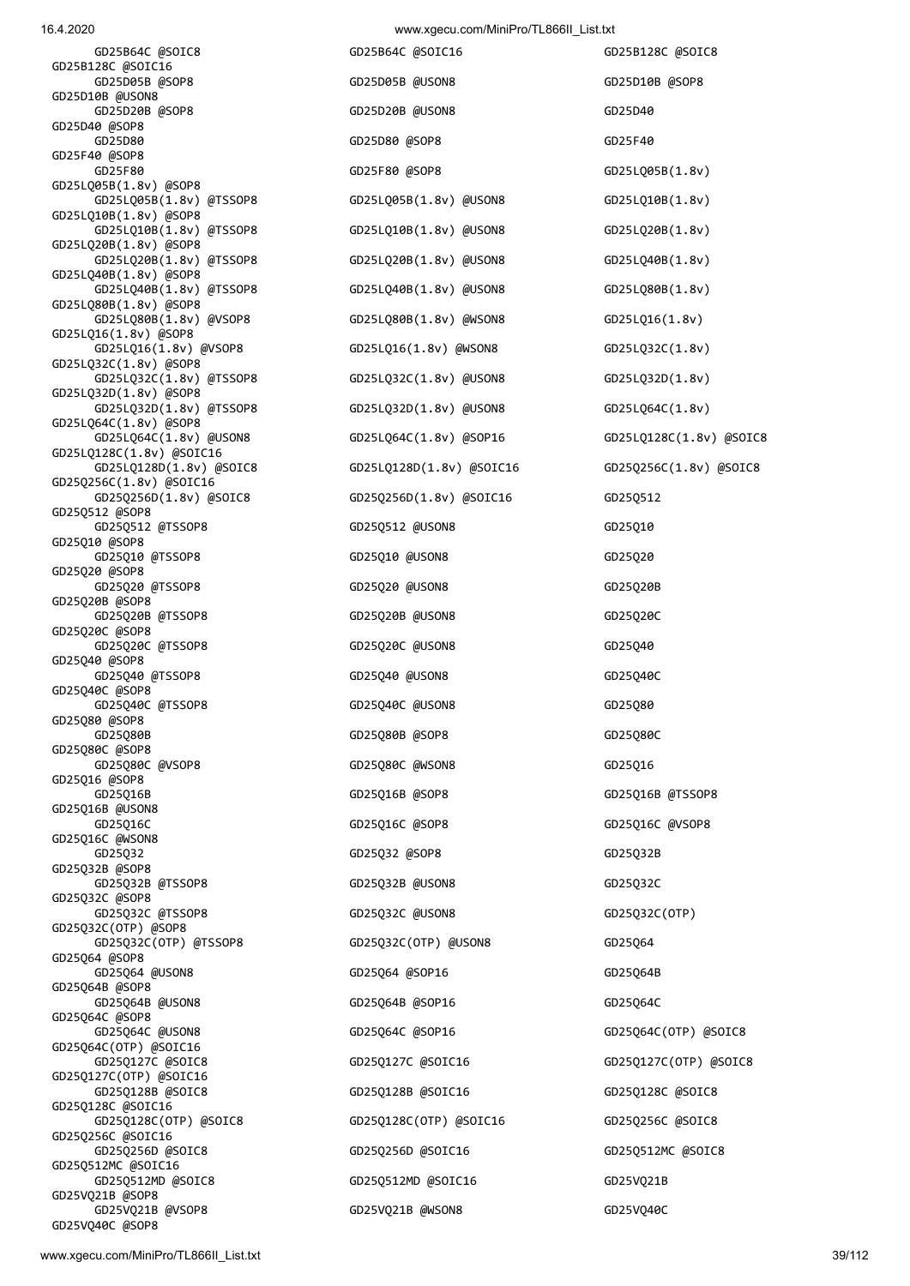GD25VQ40C @SOP8

| GD25B64C @SOIC8                      |
|--------------------------------------|
|                                      |
| GD25B128C @SOIC16                    |
| GD25D05B @SOP8                       |
| GD25D10B @USON8                      |
| GD25D20B @SOP8                       |
| GD25D40 @SOP8                        |
|                                      |
| GD25D80                              |
| GD25F40 @SOP8                        |
| GD25F80                              |
| GD25LQ05B(1.8v) @SOP8                |
| @TSSOP8                              |
| GD25LQ05B(1.8v)                      |
| GD25LQ10B(1.8v) @SOP8                |
| GD25LQ10B(1.8v)<br>@TSSOP8           |
| GD25LQ20B(1.8v) @SOP8                |
| GD25LQ20B(1.8v)<br>@TSSOP8           |
|                                      |
| GD25LQ40B(1.8v) @SOP8                |
| GD25LQ40B(1.8v)<br>@TSSOP8           |
| GD25LQ80B(1.8v) @SOP8                |
| GD25LQ80B(1.8v)<br>@VSOP8            |
| GD25LQ16(1.8v) @SOP8                 |
|                                      |
| GD25LQ16(1.8v) @VSOP8                |
| GD25LQ32C(1.8v) @SOP8                |
| GD25LQ32C(1.8v) @TSSOP8              |
| GD25LQ32D(1.8v) @SOP8                |
| GD25LQ32D(1.8v) @TSSOP8              |
|                                      |
| GD25LQ64C(1.8v) @SOP8                |
| GD25LQ64C(1.8v) @USON8               |
| GD25LQ128C(1.8v) @SOIC16             |
| GD25LQ128D(1.8v) @SOIC8              |
| GD25Q256C(1.8v) @SOIC16              |
|                                      |
| GD25Q256D(1.8v) @SOIC8               |
| GD25Q512 @SOP8                       |
| GD25Q512 @TSSOP8                     |
| GD25Q10 @SOP8                        |
| GD25Q10 @TSSOP8                      |
|                                      |
| GD25Q20 @SOP8                        |
| GD25Q20 @TSSOP8                      |
| GD25Q20B @SOP8                       |
| GD25Q20B @TSSOP8                     |
| GD25Q20C @SOP8                       |
|                                      |
|                                      |
| GD25Q20C @TSSOP8                     |
| GD25Q40 @SOP8                        |
|                                      |
| GD25Q40 @TSSOP8                      |
| GD25Q40C @SOP8                       |
| GD25Q40C @TSSOP8                     |
| GD25Q80 @SOP8                        |
| GD25Q80B                             |
| GD25Q80C @SOP8                       |
|                                      |
| GD25Q80C @VSOP8                      |
| GD25Q16 @SOP8                        |
| GD25016B                             |
| GD25Q16B @USON8                      |
| GD25Q16C                             |
|                                      |
| GD25Q16C @WSON8                      |
| GD25Q32                              |
| GD25Q32B @SOP8                       |
| GD25Q32B @TSSOP8                     |
| GD25Q32C @SOP8                       |
|                                      |
| GD25Q32C @TSSOP8                     |
| GD25Q32C(OTP) @SOP8                  |
| GD25Q32C(OTP) @TSSOP8                |
| GD25Q64 @SOP8                        |
| GD25Q64 @USON8                       |
|                                      |
| GD25Q64B @SOP8                       |
| GD25Q64B @USON8                      |
| GD25Q64C @SOP8                       |
| GD25Q64C @USON8                      |
| GD25Q64C(OTP) @SOIC16                |
|                                      |
| GD25Q127C @SOIC8                     |
| GD25Q127C(OTP) @SOIC16               |
| GD25Q128B @SOIC8                     |
| GD25Q128C @SOIC16                    |
|                                      |
| GD25Q128C(OTP) @SOIC8                |
| GD25Q256C @SOIC16                    |
| GD25Q256D @SOIC8                     |
| GD25Q512MC @SOIC16                   |
| GD25Q512MD @SOIC8<br>GD25VQ21B @SOP8 |

 GD25D05B @SOP8 GD25D05B @USON8 GD25D10B @SOP8 GD25D20B @USON8 GD25D40 GD25D80 GD25D80 @SOP8 GD25F40 GD25F80 GD25F80 @SOP8 GD25LQ05B(1.8v) GD25LQ05B(1.8v) @TSSOP8 GD25LQ05B(1.8v) @USON8 GD25LQ10B(1.8v) GD25LQ10B(1.8v) @TSSOP8 GD25LQ10B(1.8v) @USON8 GD25LQ20B(1.8v) GD25LQ20B(1.8v) @TSSOP8 GD25LQ20B(1.8v) @USON8 GD25LQ40B(1.8v) GD25LQ40B(1.8v) @TSSOP8 GD25LQ40B(1.8v) @USON8 GD25LQ80B(1.8v) GD25LQ80B(1.8v) @VSOP8 GD25LQ80B(1.8v) @WSON8 GD25LQ16(1.8v) GD25LQ16(1.8v) @VSOP8 GD25LQ16(1.8v) @WSON8 GD25LQ32C(1.8v) GD25LQ32C(1.8v) @USON8 GD25LQ32D(1.8v) GD25LQ32D(1.8v) @TSSOP8 GD25LQ32D(1.8v) @USON8 GD25LQ64C(1.8v) GD25Q256D(1.8v) @SOIC8 GD25Q256D(1.8v) @SOIC16 GD25Q512 GD25Q512 @USON8 GD25Q10 GD25Q10 @USON8 GD25Q20 GD25Q20 @USON8 GD25Q20B GD25Q20B @USON8 GD25Q20C GD25Q20C @USON8 GD25Q40 GD25Q40 @USON8 GD25Q40C GD25Q40C @USON8 GD25Q80 GD25Q80B GD25Q80B @SOP8 GD25Q80C GD25Q80C @WSON8 GD25Q16 GD25Q16B GD25Q16B @SOP8 GD25Q16B @TSSOP8 GD25Q16C GD25Q16C @SOP8 GD25Q16C @VSOP8 GD25Q32 GD25Q32 @SOP8 GD25Q32B GD25032B @USON8 GD25032C GD25032C @USON8 GD25032C(OTP) GD25Q32C(OTP) @USON8 GD25Q64 GD25Q64 @SOP16 GD25Q64B GD25Q64B @SOP16 GD25Q64C GD25Q64C @USON8 GD25Q64C @SOP16 GD25Q64C(OTP) @SOIC8 GD25Q128B @SOIC8 GD25Q128B @SOIC16 GD25Q128C @SOIC8 GD25Q128C(OTP) @SOIC8 GD25Q128C(OTP) @SOIC16 GD25Q256C @SOIC8 GD25Q256D @SOIC8 GD25Q256D @SOIC16 GD25Q512MC @SOIC8 GD25Q512MD @SOIC8 GD25Q512MD @SOIC16 GD25VQ21B

GD25B64C @SOIC16 GD25B128C @SOIC8 GD25LQ64C(1.8v) @USON8 GD25LQ64C(1.8v) @SOP16 GD25LQ128C(1.8v) @SOIC8 GD25LQ128D(1.8v) @SOIC8 GD25LQ128D(1.8v) @SOIC16 GD25Q256C(1.8v) @SOIC8 GD25Q127C @SOIC8 GD25Q127C @SOIC16 GD25Q127C(OTP) @SOIC8 GD25VQ21B @VSOP8 GD25VQ21B @WSON8 GD25VQ40C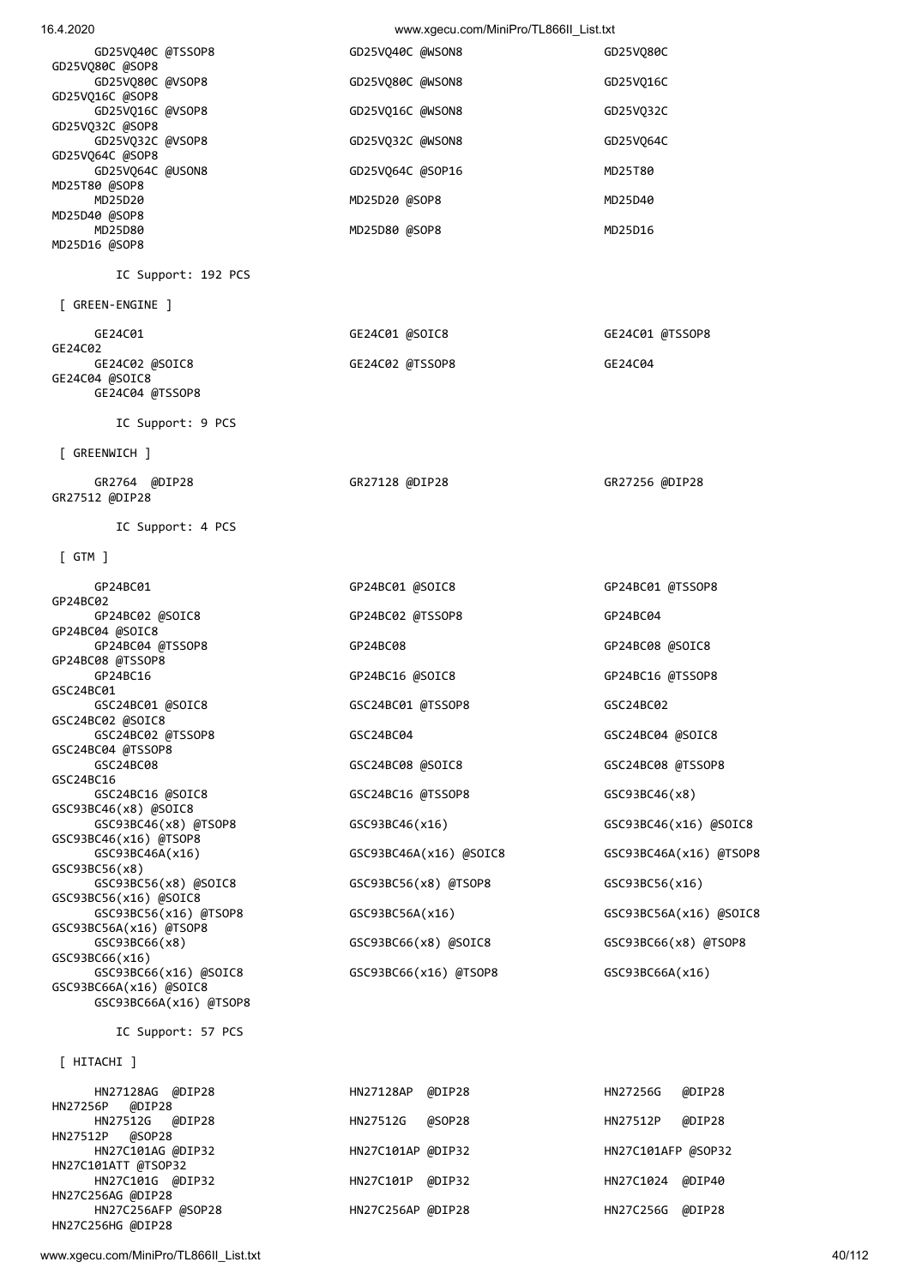www.xgecu.com/MiniPro/TL866II\_List.txt

| 40/112 |  |  |
|--------|--|--|

| HITACHI 1           |                   |        |                    |        |
|---------------------|-------------------|--------|--------------------|--------|
| HN27128AG @DIP28    | HN27128AP         | @DIP28 | HN27256G           | @DIP28 |
| @DIP28<br>HN27256P  |                   |        |                    |        |
| HN27512G @DIP28     | HN27512G          | @SOP28 | HN27512P           | @DIP28 |
| @SOP28<br>HN27512P  |                   |        |                    |        |
| HN27C101AG @DIP32   | HN27C101AP @DIP32 |        | HN27C101AFP @SOP32 |        |
| HN27C101ATT @TSOP32 |                   |        |                    |        |
| HN27C101G @DIP32    | HN27C101P         | @DIP32 | HN27C1024          | @DIP40 |
| HN27C256AG @DIP28   |                   |        |                    |        |
| HN27C256AFP @SOP28  | HN27C256AP @DIP28 |        | HN27C256G          | @DIP28 |
| HN27C256HG @DIP28   |                   |        |                    |        |

IC Support: 57 PCS

 [ GTM ] GP24BC01 GP24BC01 @SOIC8 GP24BC01 @TSSOP8 GP24BC02 GP24BC02 @SOIC8 GP24BC02 @TSSOP8 GP24BC04 GP24BC04 @SOIC8 GP24BC04 @TSSOP8 GP24BC08 GP24BC08 @SOIC8 GP24BC08 @TSSOP8 GP24BC16 GP24BC16 @SOIC8 GP24BC16 @TSSOP8 GSC24BC01 GSC24BC01 @SOIC8 GSC24BC01 @TSSOP8 GSC24BC02 GSC24BC02 @SOIC8 GSC24BC02 @TSSOP8 GSC24BC04 GSC24BC04 @SOIC8 GSC24BC04 @TSSOP8 GSC24BC08 GSC24BC08 @SOIC8 GSC24BC08 @TSSOP8 GSC24BC16 GSC24BC16 @SOIC8 GSC24BC16 @TSSOP8 GSC93BC46(x8) GSC93BC46(x8) @SOIC8 GSC93BC46(x8) @TSOP8 GSC93BC46(x16) GSC93BC46(x16) @SOIC8 GSC93BC46(x16) @TSOP8 GSC93BC46A(x16) GSC93BC46A(x16) @SOIC8 GSC93BC46A(x16) @TSOP8 GSC93BC56(x8) GSC93BC56(x8) @SOIC8 GSC93BC56(x8) @TSOP8 GSC93BC56(x16) GSC93BC56(x16) @SOIC8 GSC93BC56(x16) @TSOP8 GSC93BC56A(x16) GSC93BC56A(x16) @SOIC8 GSC93BC56A(x16) @TSOP8 GSC93BC66(x8) GSC93BC66(x8) @SOIC8 GSC93BC66(x8) @TSOP8 GSC93BC66(x16) GSC93BC66(x16) @SOIC8 GSC93BC66(x16) @TSOP8 GSC93BC66A(x16) GSC93BC66A(x16) @SOIC8 GSC93BC66A(x16) @TSOP8

IC Support: 4 PCS

 GR2764 @DIP28 GR27128 @DIP28 GR27256 @DIP28 GR27512 @DIP28

[ GREENWICH ]

IC Support: 9 PCS

GE24C04 @TSSOP8

| GE24C01                   | GE24C01 @SOIC8  | GE24C01 @TSSOP8 |
|---------------------------|-----------------|-----------------|
| GE24C02<br>GE24C02 @SOIC8 | GE24C02 @TSSOP8 | GE24C04         |
| GE24C04 @SOIC8            |                 |                 |

[ GREEN-ENGINE ]

IC Support: 192 PCS

| 16.4.2020         | www.xgecu.com/MiniPro/TL866II List.txt |           |
|-------------------|----------------------------------------|-----------|
| GD25VQ40C @TSSOP8 | GD25V040C @WSON8                       | GD25V080C |
| GD25V080C @SOP8   |                                        |           |
| GD25VQ80C @VSOP8  | GD25VQ80C @WSON8                       | GD25V016C |
| GD25V016C @SOP8   |                                        |           |
| GD25VQ16C @VSOP8  | GD25V016C @WSON8                       | GD25V032C |
| GD25VQ32C @SOP8   |                                        |           |
| GD25V032C @VSOP8  | GD25V032C @WSON8                       | GD25V064C |
| GD25VQ64C @SOP8   |                                        |           |
| GD25VQ64C @USON8  | GD25V064C @SOP16                       | MD25T80   |
| MD25T80 @SOP8     |                                        |           |
| MD25D20           | MD25D20 @SOP8                          | MD25D40   |
| MD25D40 @SOP8     |                                        |           |
| MD25D80           | MD25D80 @SOP8                          | MD25D16   |
| MD25D16 @SOP8     |                                        |           |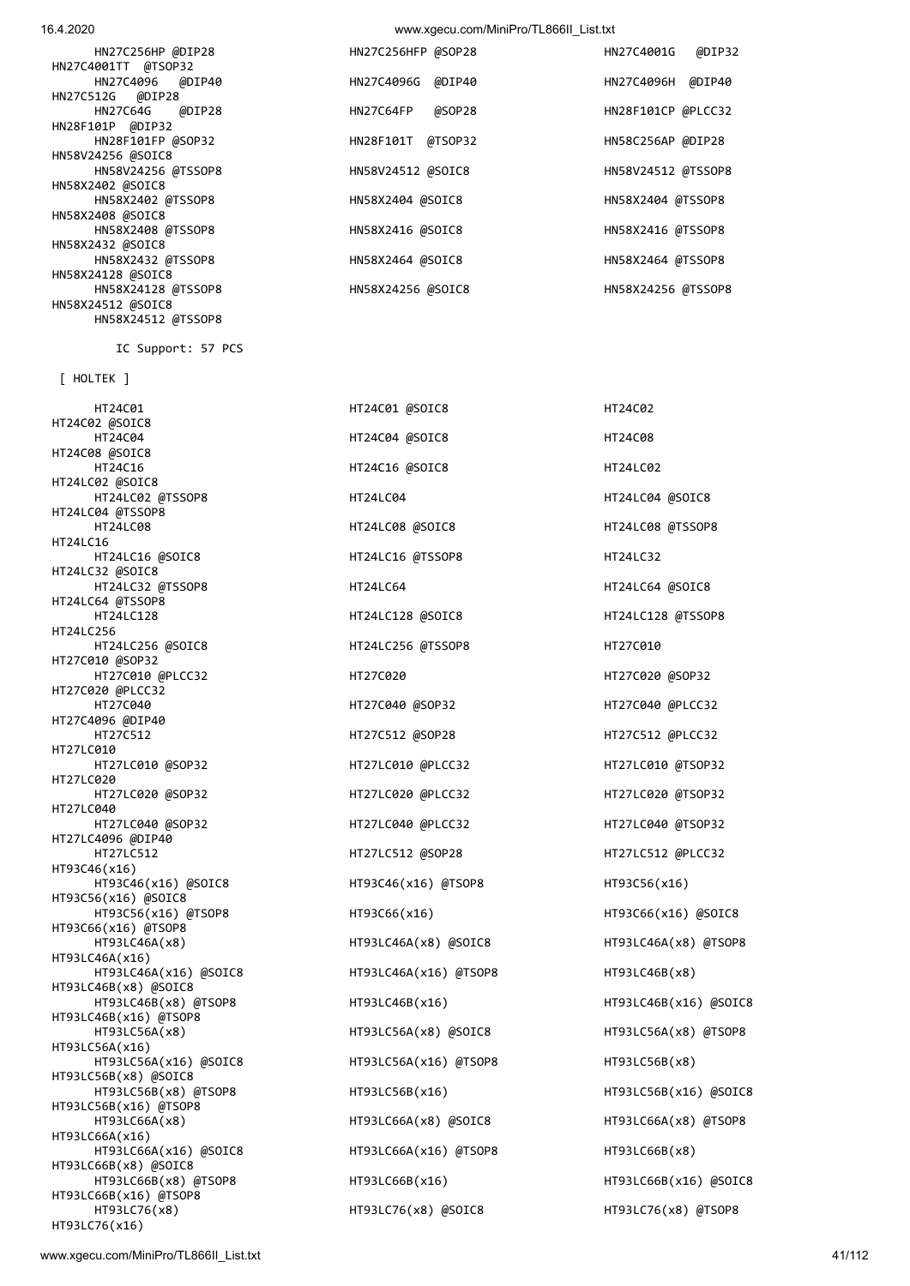HT24C02 @SOIC8 HT24C08 @SOIC8 HT24LC02 @SOIC8 HT24LC04 @TSSOP8<br>HT24LC08 HT24LC16 HT24LC32 @SOIC8 HT24LC64 @TSSOP8 HT24LC256 HT27C010 @SOP32 HT27C020 @PLCC32 HT27C4096 @DIP40 HT27LC010 HT27LC020 HT27LC040 HT27LC4096 @DIP40 HT93C46(x16) HT93C56(x16) @SOIC8 HT93C66(x16) @TSOP8 HT93LC46A(x16) HT93LC46B(x8) @SOIC8 HT93LC46B(x16) @TSOP8<br>HT93LC56A(x8) HT93LC56A(x16) HT93LC56B(x8) @SOIC8 HT93LC56B(x16) @TSOP8 HT93LC66A(x16) HT93LC66B(x8) @SOIC8 HT93LC66B(x16) @TSOP8 HT93LC76(x16)

 [ HOLTEK ] HT24C01 HT24C01 @SOIC8 HT24C02 HT24C04 HT24C04 @SOIC8 HT24C08 HT24C16 HT24C16 @SOIC8 HT24C16 HT24C16 MSOIC8 HT24LC02 @TSSOP8 HT24LC04 HT24LC04 @SOIC8 HT24LC16 @SOIC8 HT24LC16 @TSSOP8 HT24LC32 HT24LC32 @TSSOP8 HT24LC64 HT24LC64 @SOIC8 HT24LC128 HT24LC128 @SOIC8 HT24LC128 @TSSOP8 HT24LC256 @SOIC8 HT24LC256 @TSSOP8 HT27C010 HT27C010 @PLCC32 HT27C020 HT27C020 @SOP32 HT27C040 HT27C040 @SOP32 HT27C040 @PLCC32 HT27C512 HT27C512 @SOP28 HT27C512 @PLCC32 HT27LC010 @SOP32 HT27LC010 @PLCC32 HT27LC010 @TSOP32 HT27LC020 @SOP32 HT27LC020 @PLCC32 HT27LC020 @TSOP32 HT27LC040 @SOP32 HT27LC040 @PLCC32 HT27LC040 @TSOP32 HT93C46(x16) @SOIC8 HT93C46(x16) @TSOP8 HT93C56(x16) HT93C56(x16) @TSOP8 HT93C66(x16) HT93C66(x16) @SOIC8 HT93LC46A(x8) HT93LC46A(x8) @SOIC8 HT93LC46A(x8) @TSOP8 HT93LC46A(x16) @SOIC8 HT93LC46A(x16) @TSOP8 HT93LC46B(x8) HT93LC46B(x8) @TSOP8 HT93LC46B(x16) HT93LC46B(x16) @SOIC8 HT93LC56A(x16) @SOIC8 HT93LC56A(x16) @TSOP8 HT93LC56B(x8) HT93LC56B(x8) @TSOP8 HT93LC56B(x16) HT93LC56B(x16) @SOIC8 HT93LC66A(x8) HT93LC66A(x8) @SOIC8 HT93LC66A(x8) @TSOP8 HT93LC66A(x16) @SOIC8 HT93LC66A(x16) @TSOP8 HT93LC66B(x8) HT93LC66B(x8) @TSOP8 HT93LC66B(x16) HT93LC66B(x16) @SOIC8 HT93LC76(x8) HT93LC76(x8) @SOIC8 HT93LC76(x8) @TSOP8

 HT24LC08 HT24LC08 @SOIC8 HT24LC08 @TSSOP8 HT27LC512 HT27LC512 @SOP28 HT27LC512 @PLCC32 HT93LC56A(x8) HT93LC56A(x8) @SOIC8 HT93LC56A(x8) @TSOP8

IC Support: 57 PCS

| HN27C256HP @DIP28   | HN27C256HFP @SOP28   | @DIP32<br>HN27C4001G |
|---------------------|----------------------|----------------------|
| HN27C4001TT @TSOP32 |                      |                      |
| HN27C4096 @DIP40    | HN27C4096G<br>@DIP40 | @DIP40<br>HN27C4096H |
| HN27C512G @DIP28    |                      |                      |
| HN27C64G @DIP28     | @SOP28<br>HN27C64FP  | HN28F101CP @PLCC32   |
| HN28F101P @DIP32    |                      |                      |
| HN28F101FP @SOP32   | @TSOP32<br>HN28F101T | HN58C256AP @DIP28    |
| HN58V24256 @SOIC8   |                      |                      |
| HN58V24256 @TSSOP8  | HN58V24512 @SOIC8    | HN58V24512 @TSSOP8   |
| HN58X2402 @SOIC8    |                      |                      |
| HN58X2402 @TSSOP8   | HN58X2404 @SOIC8     | HN58X2404 @TSSOP8    |
| HN58X2408 @SOIC8    |                      |                      |
| HN58X2408 @TSSOP8   | HN58X2416 @SOIC8     | HN58X2416 @TSSOP8    |
| HN58X2432 @SOIC8    |                      |                      |
| HN58X2432 @TSSOP8   | HN58X2464 @SOIC8     | HN58X2464 @TSSOP8    |
| HN58X24128 @SOIC8   |                      |                      |
| HN58X24128 @TSSOP8  | HN58X24256 @SOIC8    | HN58X24256 @TSSOP8   |
| HN58X24512 @SOIC8   |                      |                      |
| HN58X24512 @TSSOP8  |                      |                      |

16.4.2020 www.xgecu.com/MiniPro/TL866ILList.txt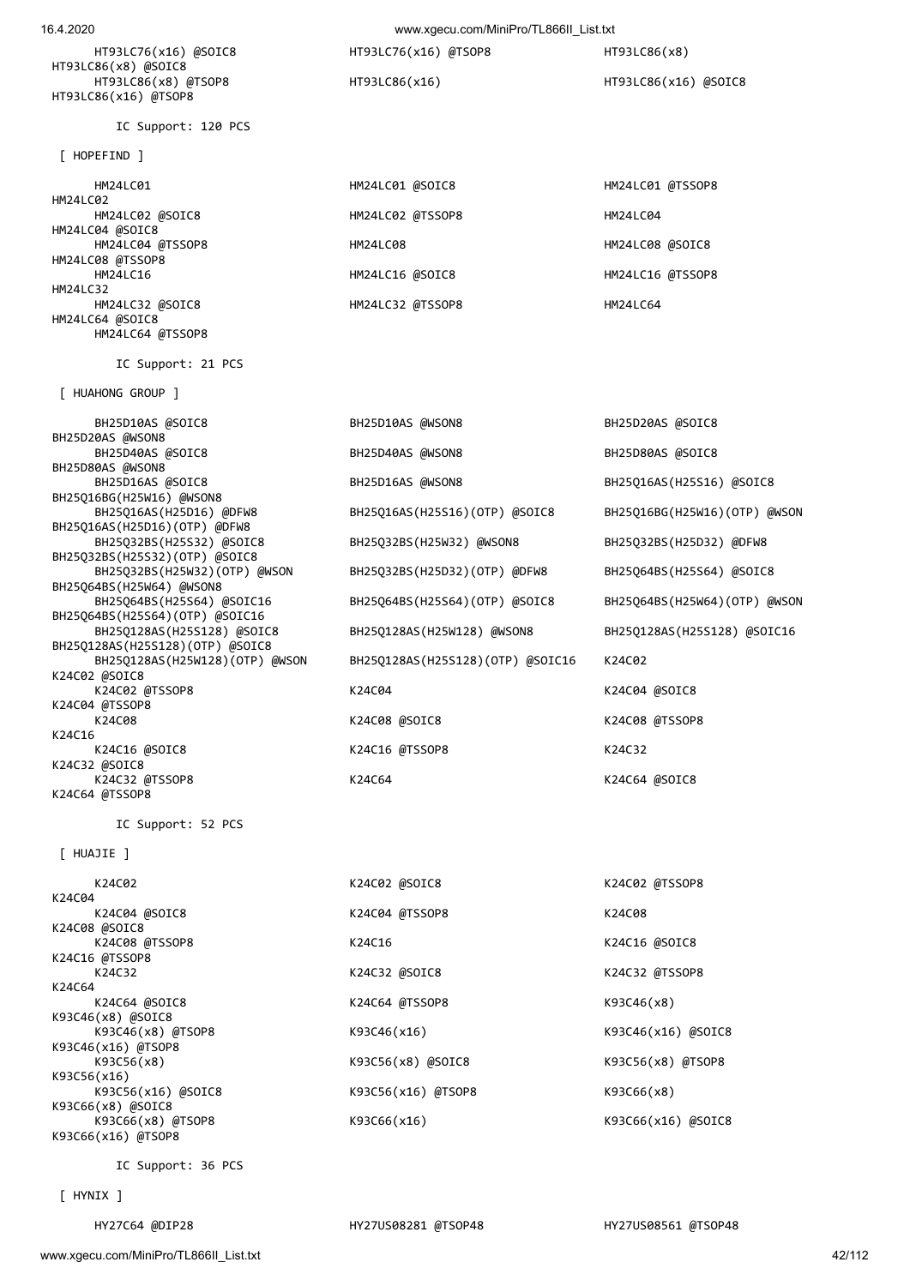[ HYNIX ]

| K24C02              | K24C02 @SOIC8        | K24C02 @TSSOP8       |
|---------------------|----------------------|----------------------|
| K24C04              |                      |                      |
| K24C04 @SOIC8       | K24C04 @TSSOP8       | K24C08               |
| K24C08 @SOIC8       |                      |                      |
| K24C08 @TSSOP8      | K24C16               | K24C16 @SOIC8        |
| K24C16 @TSSOP8      |                      |                      |
| K24C32              | K24C32 @SOIC8        | K24C32 @TSSOP8       |
| K24C64              |                      |                      |
| K24C64 @SOIC8       | K24C64 @TSSOP8       | K93C46(x8)           |
| K93C46(x8) @SOIC8   |                      |                      |
| $K93C46(x8)$ @TSOP8 | K93C46(x16)          | $K93C46(x16)$ @SOIC8 |
| K93C46(x16) @TSOP8  |                      |                      |
| K93C56(x8)          | $K93C56(x8)$ @SOIC8  | K93C56(x8) @TSOP8    |
| K93C56(x16)         |                      |                      |
| K93C56(x16) @SOIC8  | $K93C56(x16)$ @TSOP8 | K93C66(x8)           |
| K93C66(x8) @SOIC8   |                      |                      |
| $K93C66(x8)$ @TSOP8 | K93C66(x16)          | K93C66(x16) @SOIC8   |
| K93C66(x16) @TSOP8  |                      |                      |
|                     |                      |                      |
| IC Support: 36 PCS  |                      |                      |
|                     |                      |                      |

[ HUAJIE ]

 IC Support: 21 PCS [ HUAHONG GROUP ] BH25D20AS @WSON8 BH25D80AS @WSON8 BH25Q16BG(H25W16) @WSON8 BH25Q16AS(H25D16)(OTP) @DFW8 BH25Q32BS(H25S32)(OTP) @SOIC8 BH25Q64BS(H25W64) @WSON8<br>BH25Q64BS(H25S64) @SOIC16 BH25Q64BS(H25S64)(OTP) @SOIC16<br>BH25Q128AS(H25S128) @SOIC8 BH25Q128AS(H25S128)(OTP) @SOIC8 K24C02 @SOIC8 K24C04 @TSSOP8 K24C16 K24C32 @SOIC8 K24C32 @TSSOP8 K24C64 K24C64 @SOIC8 K24C64 @TSSOP8

IC Support: 52 PCS

 BH25D10AS @SOIC8 BH25D10AS @WSON8 BH25D20AS @SOIC8 BH25D40AS @SOIC8 BH25D40AS @WSON8 BH25D80AS @SOIC8 BH25D16AS @SOIC8 BH25D16AS @WSON8 BH25Q16AS(H25S16) @SOIC8 BH25Q16AS(H25D16) @DFW8 BH25Q16AS(H25S16)(OTP) @SOIC8 BH25Q16BG(H25W16)(OTP) @WSON BH25Q32BS(H25S32) @SOIC8 BH25Q32BS(H25W32) @WSON8 BH25Q32BS(H25D32) @DFW8 BH25Q32BS(H25W32)(OTP) @WSON BH25Q32BS(H25D32)(OTP) @DFW8 BH25Q64BS(H25S64) @SOIC8 BH25Q64BS(H25S64)(OTP) @SOIC8 BH25Q64BS(H25W64)(OTP) @WSON BH25Q128AS(H25W128) @WSON8 BH25Q128AS(H25S128) @SOIC16 BH25Q128AS(H25W128)(OTP) @WSON BH25Q128AS(H25S128)(OTP) @SOIC16 K24C02 K24C02 @TSSOP8 K24C04 K24C04 @SOIC8 K24C08 K24C08 @SOIC8 K24C08 ASOIC8 K24C08 ASOIC8 K24C16 @SOIC8 K24C16 @TSSOP8 K24C32

 HM24LC01 HM24LC01 @SOIC8 HM24LC01 @TSSOP8 HM24LC02 HM24LC02 @SOIC8 HM24LC02 @TSSOP8 HM24LC04 HM24LC04 @SOIC8 HM24LC04 @TSSOP8 HM24LC08 HM24LC08 @SOIC8 HM24LC08 @TSSOP8 HM24LC32 HM24LC32 @SOIC8 HM24LC32 @TSSOP8 HM24LC64 HM24LC64 @SOIC8 HM24LC64 @TSSOP8

[ HOPEFIND ]

IC Support: 120 PCS

HT93LC86(x8) @SOIC8<br>HT93LC86(x8) @TSOP8 HT93LC86(x16) @TSOP8

16.4.2020 www.xgecu.com/MiniPro/TL866II\_List.txt HT93LC76(x16) @SOIC8 HT93LC76(x16) @TSOP8 HT93LC86(x8) HT93LC86(x16) HT93LC86(x16) @SOIC8

HM24LC16 HM24LC16 @SOIC8 HM24LC16 @TSSOP8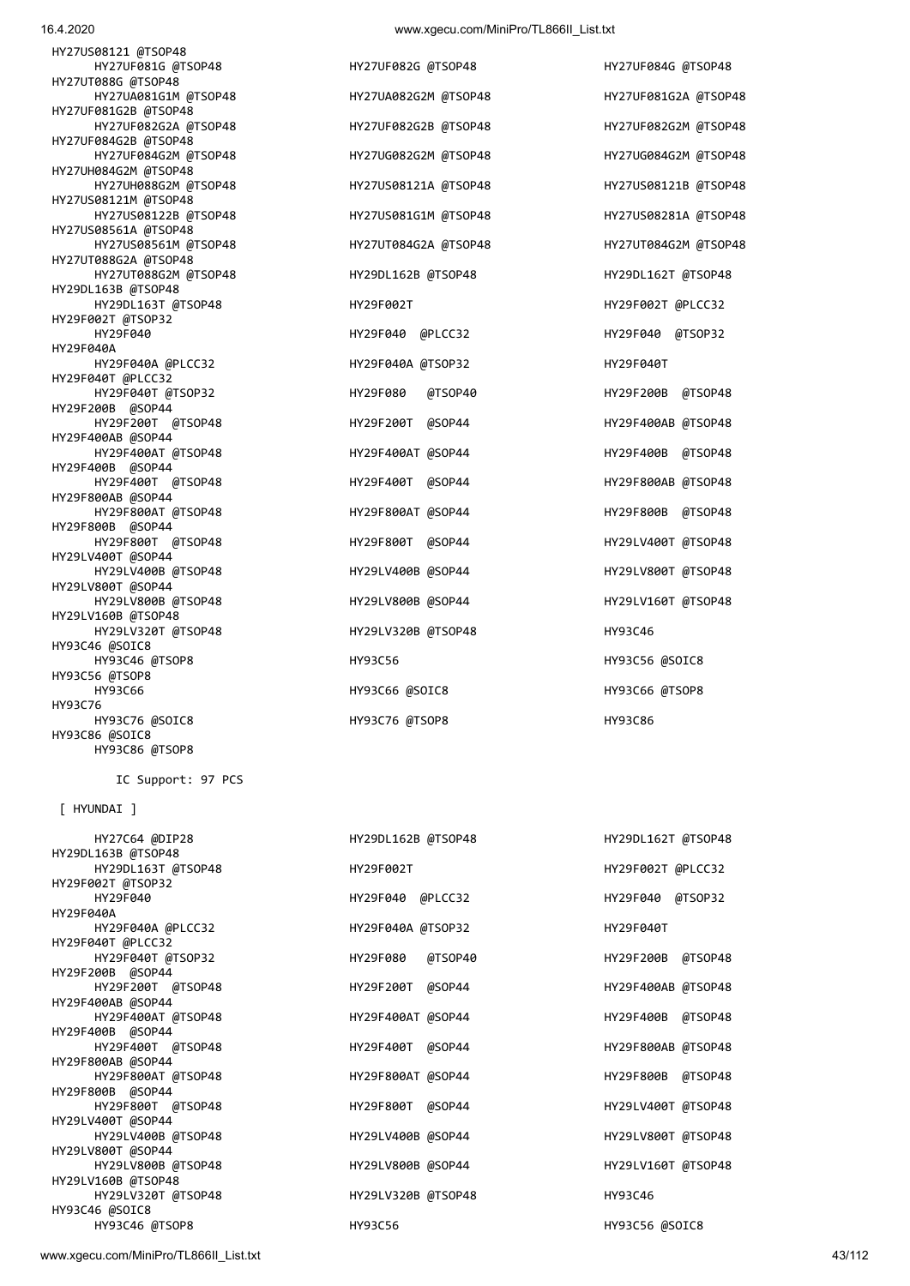www.xgecu.com/MiniPro/TL866II\_List.txt 43/112

| HY93C76 @SOIC8     |
|--------------------|
| HY93C86 @SOIC8     |
| HY93C86 @TSOP8     |
|                    |
| IC Support: 97 PCS |
|                    |
| [ HYUNDAI ]        |
|                    |
| HY27C64 @DIP28     |
| HY29DL163B @TSOP48 |
| HY29DL163T @TSOP48 |
| HY29F002T @TSOP32  |
| HY29F040           |
| HY29F040A          |
| HY29F040A @PLCC32  |
| HY29F040T @PLCC32  |
| HY29F040T @TSOP32  |
| HY29F200B @SOP44   |
| HY29F200T @TSOP48  |
| HY29F400AB @SOP44  |
| HY29F400AT @TSOP48 |
| HY29F400B @SOP44   |
| HY29F400T @TSOP48  |
| HY29F800AB @SOP44  |
| HY29F800AT @TSOP48 |
| HY29F800B @SOP44   |
| HY29F800T @TSOP48  |
| HY29LV400T @SOP44  |
| HY29LV400B @TSOP48 |
| HY29LV800T @SOP44  |
| HY29LV800B @TSOP48 |
| HY29LV160B @TSOP48 |
| HY29LV320T @TSOP48 |
| HY93C46 @SOIC8     |
|                    |

HY27UT088G @TSOP48 HY27UA081G1M @TSOP48 HY27UA082G2M @TSOP48 HY27UF081G2A @TSOP48 HY27UF081G2B @TSOP48 HY27UF082G2A @TSOP48 HY27UF082G2B @TSOP48 HY27UF082G2M @TSOP48 HY27UF084G2B @TSOP48 HY27UF084G2M @TSOP48 HY27UG082G2M @TSOP48 HY27UG084G2M @TSOP48 HY27UH084G2M @TSOP48 HY27UH088G2M @TSOP48 HY27US08121A @TSOP48 HY27US08121B @TSOP48 HY27US08121M @TSOP48 HY27US08122B @TSOP48 HY27US081G1M @TSOP48 HY27US08281A @TSOP48 HY27US08561A @TSOP48 HY27US08561M @TSOP48 HY27UT084G2A @TSOP48 HY27UT084G2M @TSOP48 HY27UT088G2A @TSOP48 HY27UT088G2M @TSOP48 HY29DL162B @TSOP48 HY29DL162T @TSOP48 HY29DL163B @TSOP48 HY29DL163T @TSOP48 HY29F002T HY29F002T @PLCC32 HY29F002T @TSOP32 HY29F040 HY29F040 @PLCC32 HY29F040 @TSOP32 HY29F040A HY29F040A @PLCC32 HY29F040A @TSOP32 HY29F040T HY29F040T @PLCC32 HY29F040T @TSOP32 HY29F080 @TSOP40 HY29F200B @TSOP48 HY29F200B @SOP44 HY29F200T @TSOP48 HY29F200T @SOP44 HY29F400AB @TSOP48 HY29F400AB @SOP44 HY29F400AT @TSOP48 HY29F400AT @SOP44 HY29F400B @TSOP48 HY29F400B @SOP44 HY29F400T @TSOP48 HY29F400T @SOP44 HY29F800AB @TSOP48 HY29F800AB @SOP44 HY29F800AT @TSOP48 HY29F800AT @SOP44 HY29F800B @TSOP48 HY29F800B @SOP44 HY29F800T @TSOP48 HY29F800T @SOP44 HY29LV400T @TSOP48 HY29LV400T @SOP44 HY29LV400B @TSOP48 HY29LV400B @SOP44 HY29LV800T @TSOP48 HY29LV800T @SOP44 HY29LV800B @TSOP48 HY29LV800B @SOP44 HY29LV160T @TSOP48 HY29LV160B @TSOP48 HY29LV320T @TSOP48 HY29LV320B @TSOP48 HY93C46 HY93C46 @SOIC8 HY93C46 @TSOP8 HY93C56 HY93C56 @SOIC8 HY93C56 @TSOP8 HY93C76

 HY27UF081G @TSOP48 HY27UF082G @TSOP48 HY27UF084G @TSOP48 HY93C66 HY93C66 @SOIC8 HY93C66 @TSOP8

HY93C76 @TSOP8 HY93C86

HY29DL162B @TSOP48 HY29DL162T @TSOP48 HY29F002T **HY29F002T** @PLCC32 HY29F040 HY29F040 @PLCC32 HY29F040 @TSOP32 HY29F040A @TSOP32 HY29F040T HY29F080 @TSOP40 HY29F200B @TSOP48 HY29F200T @SOP44 HY29F400AB @TSOP48 HY29F400AT @TSOP48 HY29F400AT @SOP44 HY29F400B @TSOP48 HY29F400T @SOP44 HY29F800AB @TSOP48 HY29F800AT @TSOP48 HY29F800AT @SOP44 HY29F800B @TSOP48 HY29F800T @SOP44 HY29LV400T @TSOP48 HY29LV400B @TSOP48 HY29LV400B @SOP44 HY29LV800T @TSOP48 HY29LV800B @SOP44 HY29LV160T @TSOP48 HY29LV320B @TSOP48 HY93C46 HY93C46 @TSOP8 HY93C56 HY93C56 @SOIC8

HY27US08121 @TSOP48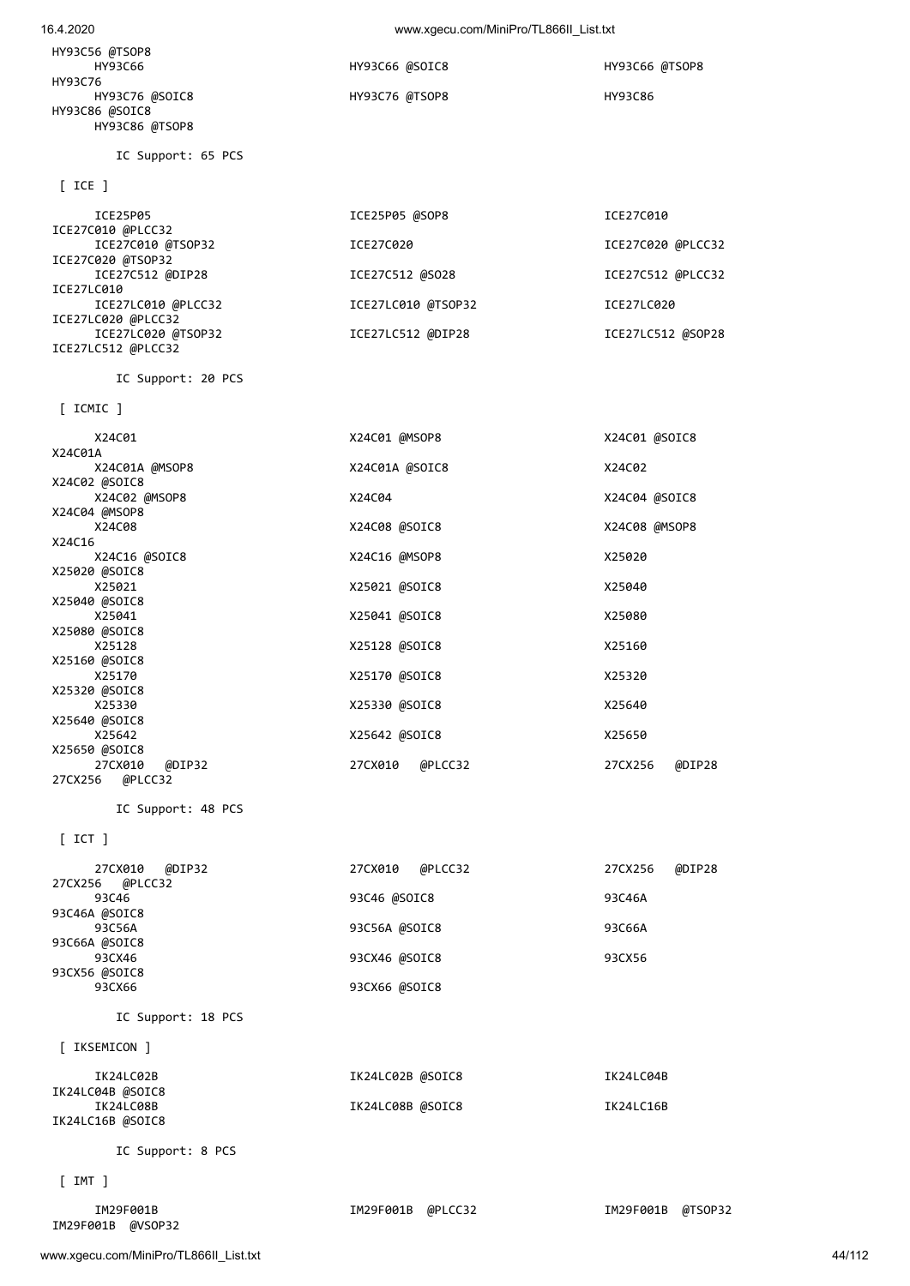| X24C08<br>X24C16                       | X24C08 @SOIC8     | X24C08 @MSOP8     |
|----------------------------------------|-------------------|-------------------|
| X24C16 @SOIC8                          | X24C16 @MSOP8     | X25020            |
| X25020 @SOIC8                          |                   |                   |
| X25021                                 | X25021 @SOIC8     | X25040            |
| X25040 @SOIC8                          |                   |                   |
| X25041                                 | X25041 @SOIC8     | X25080            |
| X25080 @SOIC8                          |                   |                   |
| X25128                                 | X25128 @SOIC8     | X25160            |
| X25160 @SOIC8<br>X25170                | X25170 @SOIC8     | X25320            |
| X25320 @SOIC8                          |                   |                   |
| X25330                                 | X25330 @SOIC8     | X25640            |
| X25640 @SOIC8                          |                   |                   |
| X25642                                 | X25642 @SOIC8     | X25650            |
| X25650 @SOIC8                          |                   |                   |
| 27CX010 @DIP32                         | 27CX010 @PLCC32   | 27CX256<br>@DIP28 |
| 27CX256 @PLCC32                        |                   |                   |
|                                        |                   |                   |
| IC Support: 48 PCS                     |                   |                   |
| $[$ ICT $]$                            |                   |                   |
|                                        |                   |                   |
| 27CX010 @DIP32                         | 27CX010 @PLCC32   | 27CX256<br>@DIP28 |
| 27CX256 @PLCC32                        |                   |                   |
| 93C46                                  | 93C46 @SOIC8      | 93C46A            |
| 93C46A @SOIC8                          |                   | 93C66A            |
| 93C56A<br>93C66A @SOIC8                | 93C56A @SOIC8     |                   |
| 93CX46                                 | 93CX46 @SOIC8     | 93CX56            |
| 93CX56 @SOIC8                          |                   |                   |
| 93CX66                                 | 93CX66 @SOIC8     |                   |
|                                        |                   |                   |
| IC Support: 18 PCS                     |                   |                   |
|                                        |                   |                   |
| [ IKSEMICON ]                          |                   |                   |
| IK24LC02B                              | IK24LC02B @SOIC8  | IK24LC04B         |
| IK24LC04B @SOIC8                       |                   |                   |
| IK24LC08B                              | IK24LC08B @SOIC8  | IK24LC16B         |
| IK24LC16B @SOIC8                       |                   |                   |
|                                        |                   |                   |
| IC Support: 8 PCS                      |                   |                   |
| $[$ IMT $]$                            |                   |                   |
|                                        |                   |                   |
| IM29F001B                              | IM29F001B @PLCC32 | IM29F001B @TSOP32 |
| IM29F001B @VSOP32                      |                   |                   |
|                                        |                   |                   |
| www.xgecu.com/MiniPro/TL866II_List.txt |                   | 44/112            |
|                                        |                   |                   |
|                                        |                   |                   |
|                                        |                   |                   |

| ICE27C010 @TSOP32                     | ICE27C020          | ICE27C020 @PLCC32 |
|---------------------------------------|--------------------|-------------------|
| ICE27C020 @TSOP32<br>ICE27C512 @DIP28 | ICE27C512 @SO28    | ICE27C512 @PLCC32 |
| ICE27LC010                            |                    |                   |
| ICE27LC010 @PLCC32                    | ICE27LC010 @TSOP32 | ICE27LC020        |
| ICE27LC020 @PLCC32                    |                    |                   |
| ICE27LC020 @TSOP32                    | ICE27LC512 @DIP28  | ICE27LC512 @SOP28 |
| ICE27LC512 @PLCC32                    |                    |                   |
| IC Support: 20 PCS                    |                    |                   |

X24C01 X24C01 @MSOP8 X24C01 @SOIC8

X24C02 @MSOP8 X24C04 X24C04 @SOIC8

X24C01A @MSOP8 X24C01A @SOIC8 X24C02

[ ICMIC ]

X24C02 @SOIC8

X24C04 @MSOP8

X24C01A

| $\lceil$ ICE $\rceil$         |                    |                   |
|-------------------------------|--------------------|-------------------|
| ICE25P05<br>ICE27C010 @PLCC32 | ICE25P05 @SOP8     | ICE27C010         |
| ICE27C010 @TSOP32             | ICE27C020          | ICE27C020 @PLCC32 |
| ICE27C020 @TSOP32             |                    |                   |
| ICE27C512 @DIP28              | ICE27C512 @SO28    | ICE27C512 @PLCC32 |
| ICE27LC010                    |                    |                   |
| ICE27LC010 @PLCC32            | ICE27LC010 @TSOP32 | ICE27LC020        |
| ICE27LC020 @PLCC32            |                    |                   |
| ICE27LC020 @TSOP32            | ICE27LC512 @DIP28  | ICE27LC512 @SOP28 |
| ICE27LC512 @PLCC32            |                    |                   |

HY93C56 @TSOP8 HY93C76 HY93C76 @SOIC8 HY93C76 @TSOP8 HY93C86

HY93C86 @TSOP8

HY93C86 @SOIC8

IC Support: 65 PCS

HY93C66 HY93C66 @SOIC8 HY93C66 @TSOP8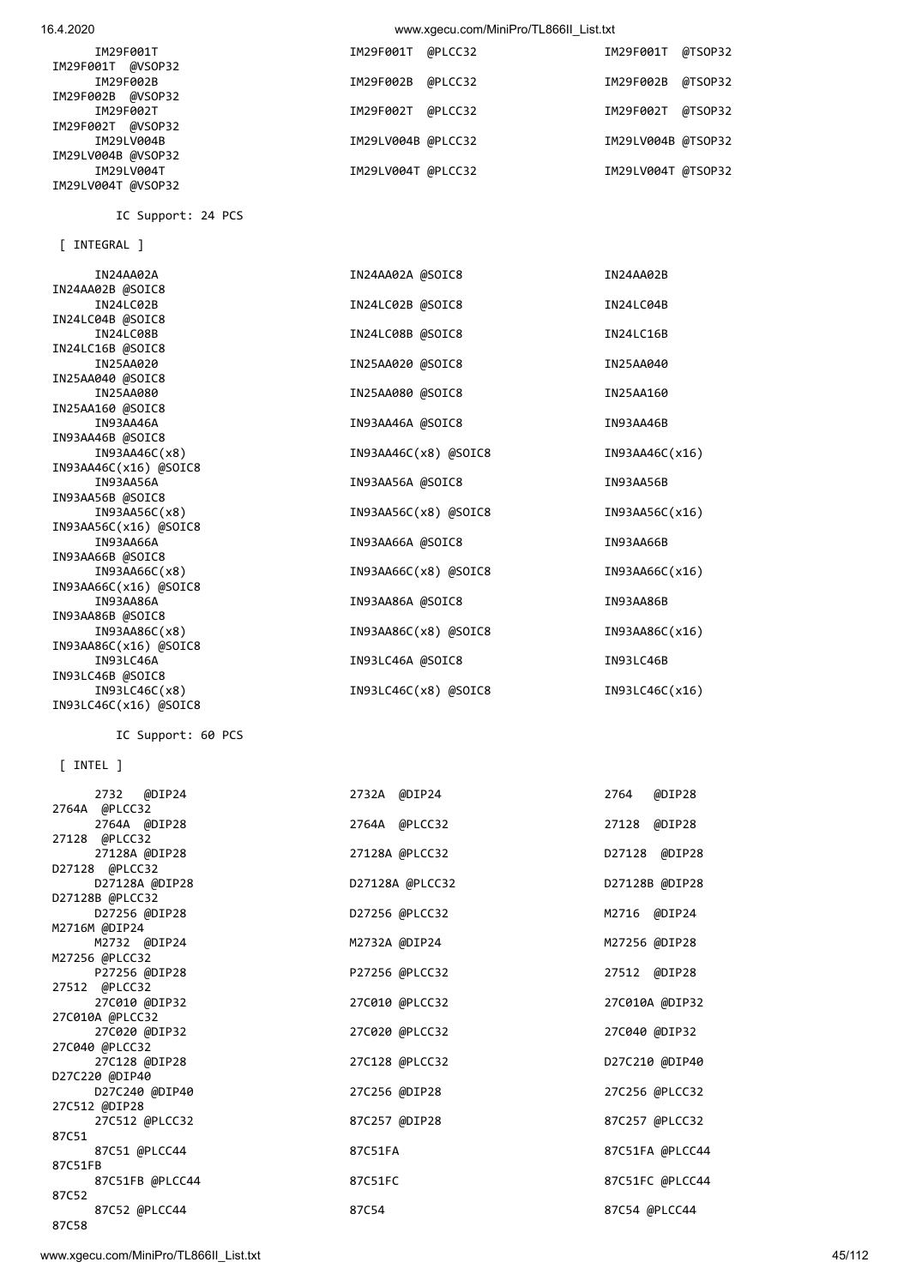| IN93AA66C(x16) @SOIC8           |                      |                 |
|---------------------------------|----------------------|-----------------|
| IN93AA86A                       | IN93AA86A @SOIC8     | IN93AA86B       |
| IN93AA86B @SOIC8                |                      |                 |
| IN93AA86C(x8)                   | IN93AA86C(x8) @SOIC8 | IN93AA86C(x16)  |
| IN93AA86C(x16) @SOIC8           |                      |                 |
| IN93LC46A                       | IN93LC46A @SOIC8     | IN93LC46B       |
| IN93LC46B @SOIC8                |                      |                 |
| IN93LCA6C(x8)                   | IN93LC46C(x8) @SOIC8 | IN93LC46C(x16)  |
| IN93LC46C(x16) @SOIC8           |                      |                 |
| IC Support: 60 PCS              |                      |                 |
| $[$ INTEL $]$                   |                      |                 |
| 2732 @DIP24                     | 2732A @DIP24         | 2764<br>@DIP28  |
| 2764A @PLCC32                   |                      |                 |
| 2764A @DIP28                    | 2764A @PLCC32        | 27128<br>@DIP28 |
| 27128 @PLCC32                   |                      |                 |
| 27128A @DIP28<br>D27128 @PLCC32 | 27128A @PLCC32       | D27128 @DIP28   |
| D27128A @DIP28                  | D27128A @PLCC32      | D27128B @DIP28  |
| D27128B @PLCC32                 |                      |                 |
| D27256 @DIP28                   | D27256 @PLCC32       | M2716 @DIP24    |
| M2716M @DIP24                   |                      |                 |
| M2732 @DIP24                    | M2732A @DIP24        | M27256 @DIP28   |
| M27256 @PLCC32                  |                      |                 |
| P27256 @DIP28                   | P27256 @PLCC32       | 27512 @DIP28    |
| 27512 @PLCC32                   |                      |                 |
| 27C010 @DIP32                   | 27C010 @PLCC32       | 27C010A @DIP32  |
| 27C010A @PLCC32                 |                      |                 |
| 27C020 @DIP32<br>27C040 @PLCC32 | 27C020 @PLCC32       | 27C040 @DIP32   |
| 27C128 @DIP28                   | 27C128 @PLCC32       | D27C210 @DIP40  |
| D27C220 @DIP40                  |                      |                 |
| D27C240 @DIP40                  | 27C256 @DIP28        | 27C256 @PLCC32  |
| 27C512 @DIP28                   |                      |                 |
| 27C512 @PLCC32                  | 87C257 @DIP28        | 87C257 @PLCC32  |
| 87C51                           |                      |                 |
| 87C51 @PLCC44                   | 87C51FA              | 87C51FA @PLCC44 |
| 87C51FB                         |                      |                 |
| 87C51FB @PLCC44                 | 87C51FC              | 87C51FC @PLCC44 |
| 87C52                           |                      |                 |
| 87C52 @PLCC44<br>87C58          | 87C54                | 87C54 @PLCC44   |
|                                 |                      |                 |

[ INTEGRAL ]

IN24AA02B @SOIC8

IN24LC04B @SOIC8

IN24LC16B @SOIC8

IN25AA040 @SOIC8

IN25AA160 @SOIC8

IN93AA46B @SOIC8

IN93AA56B @SOIC8

IN93AA46C(x16) @SOIC8

IN93AA56C(x16) @SOIC8

IN93AA66B @SOIC8<br>IN93AA66C(x8)

IC Support: 24 PCS

| IM29F001T                                              | IM29F001T @PLCC32  | IM29F001T @TSOP32  |         |
|--------------------------------------------------------|--------------------|--------------------|---------|
| IM29F001T @VSOP32<br>IM29F002B                         | IM29F002B @PLCC32  | IM29F002B @TSOP32  |         |
| IM29F002B @VSOP32<br>IM29F002T                         | IM29F002T @PLCC32  | IM29F002T          | @TSOP32 |
| IM29F002T @VSOP32<br>IM29LV004B                        | IM29LV004B @PLCC32 | IM29LV004B @TSOP32 |         |
| IM29LV004B @VSOP32<br>IM29LV004T<br>IM29LV004T @VSOP32 | IM29LV004T @PLCC32 | IM29LV004T @TSOP32 |         |
|                                                        |                    |                    |         |

IN24AA02A IN24AA02A @SOIC8 IN24AA02B

IN24LC08B IN24LC08B **IN24LC08B IN24LC08B IN24LC08B** 

IN25AA020 IN25AA020 @SOIC8 IN25AA040

IN25AA080 IN25AA080 @SOIC8 IN25AA160

IN93AA46A IN93AA46A @SOIC8 IN93AA46B

IN93AA56A IN93AA56A @SOIC8 IN93AA56B

IN93AA66A IN93AA66A @SOIC8 IN93AA66A IN93AA66B

IN93AA46C(x8) IN93AA46C(x8) @SOIC8 IN93AA46C(x16)

IN93AA56C(x8) IN93AA56C(x8) @SOIC8 IN93AA56C(x16)

IN24LC02B IN24LC02B @SOIC8 IN24LC04B

IN93AA66C(x8) IN93AA66C(x8) @SOIC8 IN93AA66C(x16)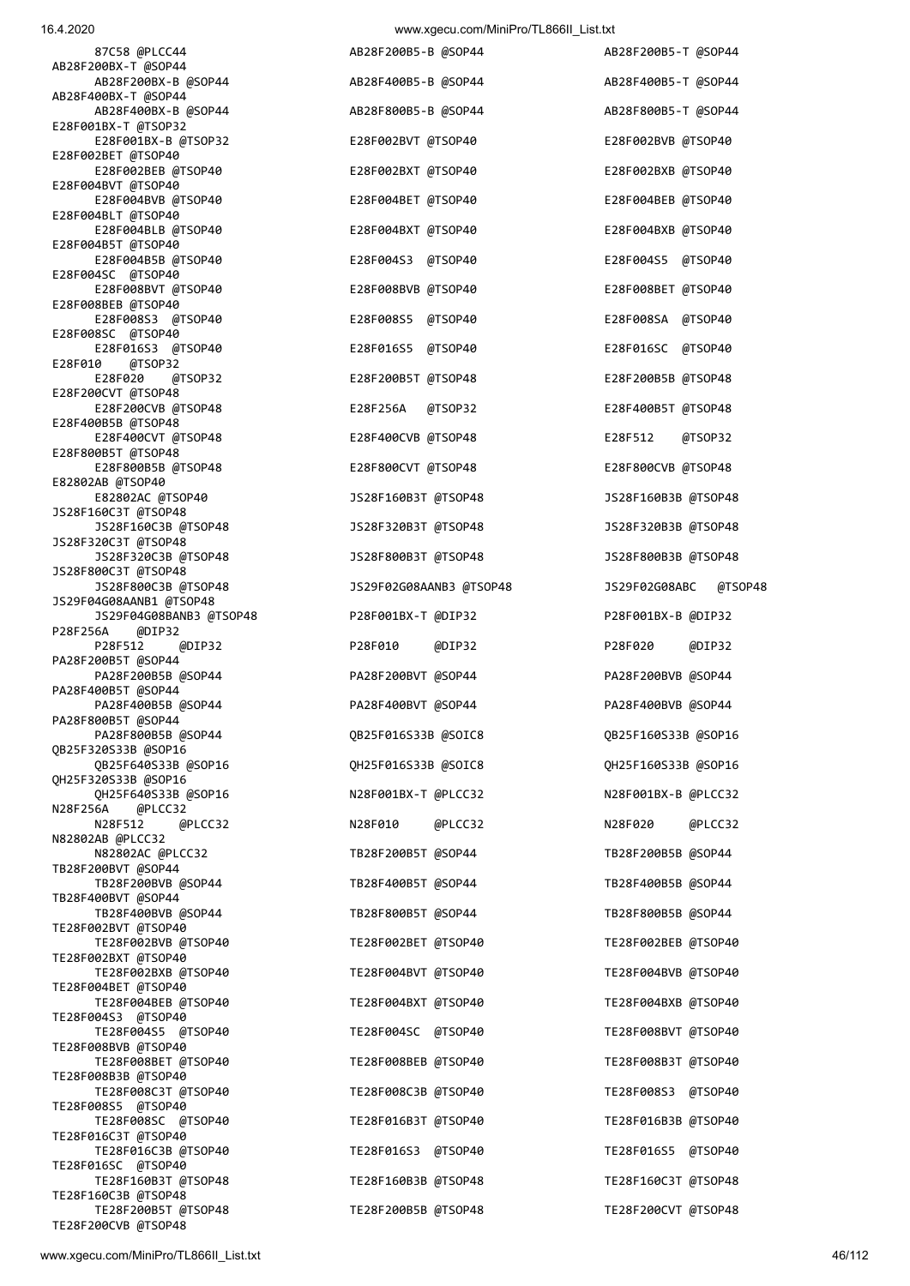## 16.4.2020 www.xgecu.com/MiniPro/TL866II\_List.txt

| 87C58 @PLCC44                                                     | AB28F200B5-B @SOP44                        | AB28F200B5-T @SOP44                        |
|-------------------------------------------------------------------|--------------------------------------------|--------------------------------------------|
| AB28F200BX-T @SOP44<br>AB28F200BX-B @SOP44                        | AB28F400B5-B @SOP44                        | AB28F400B5-T @SOP44                        |
| AB28F400BX-T @SOP44<br>AB28F400BX-B @SOP44                        | AB28F800B5-B @SOP44                        | AB28F800B5-T @SOP44                        |
| E28F001BX-T @TSOP32<br>E28F001BX-B @TSOP32                        | E28F002BVT @TSOP40                         | E28F002BVB @TSOP40                         |
| E28F002BET @TSOP40                                                |                                            |                                            |
| E28F002BEB @TSOP40<br>E28F004BVT @TSOP40                          | E28F002BXT @TSOP40                         | E28F002BXB @TSOP40                         |
| E28F004BVB @TSOP40<br>E28F004BLT @TSOP40                          | E28F004BET @TSOP40                         | E28F004BEB @TSOP40                         |
| E28F004BLB @TSOP40<br>E28F004B5T @TSOP40                          | E28F004BXT @TSOP40                         | E28F004BXB @TSOP40                         |
| E28F004B5B @TSOP40<br>E28F004SC @TSOP40                           | E28F004S3 @TSOP40                          | E28F004S5 @TSOP40                          |
| E28F008BVT @TSOP40                                                | E28F008BVB @TSOP40                         | E28F008BET @TSOP40                         |
| E28F008BEB @TSOP40<br>E28F008S3 @TSOP40                           | E28F008S5 @TSOP40                          | E28F008SA @TSOP40                          |
| E28F008SC @TSOP40<br>E28F016S3 @TSOP40                            | E28F016S5 @TSOP40                          | E28F016SC @TSOP40                          |
| E28F010<br>@TSOP32<br>E28F020<br>@TSOP32                          | E28F200B5T @TSOP48                         | E28F200B5B @TSOP48                         |
| E28F200CVT @TSOP48<br>E28F200CVB @TSOP48                          | @TSOP32<br>E28F256A                        | E28F400B5T @TSOP48                         |
| E28F400B5B @TSOP48<br>E28F400CVT @TSOP48                          | E28F400CVB @TSOP48                         | E28F512<br>@TSOP32                         |
| E28F800B5T @TSOP48                                                |                                            |                                            |
| E28F800B5B @TSOP48<br>E82802AB @TSOP40                            | E28F800CVT @TSOP48                         | E28F800CVB @TSOP48                         |
| E82802AC @TSOP40<br>JS28F160C3T @TSOP48                           | JS28F160B3T @TSOP48                        | JS28F160B3B @TSOP48                        |
| JS28F160C3B @TSOP48<br>JS28F320C3T @TSOP48                        | JS28F320B3T @TSOP48                        | JS28F320B3B @TSOP48                        |
| JS28F320C3B @TSOP48                                               | JS28F800B3T @TSOP48                        | JS28F800B3B @TSOP48                        |
| JS28F800C3T @TSOP48<br>JS28F800C3B @TSOP48                        | JS29F02G08AANB3 @TSOP48                    | JS29F02G08ABC<br>@TSOP48                   |
| JS29F04G08AANB1 @TSOP48<br>JS29F04G08BANB3 @TSOP48                | P28F001BX-T @DIP32                         | P28F001BX-B @DIP32                         |
| P28F256A<br>@DIP32<br>P28F512<br>@DIP32                           | P28F010<br>@DIP32                          | P28F020<br>@DIP32                          |
| PA28F200B5T @SOP44<br>PA28F200B5B @SOP44                          |                                            |                                            |
|                                                                   |                                            |                                            |
| PA28F400B5T @SOP44                                                | PA28F200BVT @SOP44                         | PA28F200BVB @SOP44                         |
| PA28F400B5B @SOP44<br>PA28F800B5T @SOP44                          | PA28F400BVT @SOP44                         | PA28F400BVB @SOP44                         |
| PA28F800B5B @SOP44<br>QB25F320S33B @SOP16                         | QB25F016S33B @SOIC8                        | QB25F160S33B @SOP16                        |
| QB25F640S33B @SOP16                                               | QH25F016S33B @SOIC8                        | QH25F160S33B @SOP16                        |
| QH25F320S33B @SOP16<br>QH25F640S33B @SOP16                        | N28F001BX-T @PLCC32                        | N28F001BX-B @PLCC32                        |
| N28F256A @PLCC32<br>N28F512<br>@PLCC32                            | N28F010<br>@PLCC32                         | N28F020<br>@PLCC32                         |
| N82802AB @PLCC32<br>N82802AC @PLCC32                              | TB28F200B5T @SOP44                         | TB28F200B5B @SOP44                         |
| TB28F200BVT @SOP44<br>TB28F200BVB @SOP44                          | TB28F400B5T @SOP44                         |                                            |
| TB28F400BVT @SOP44                                                |                                            | TB28F400B5B @SOP44                         |
| TB28F400BVB @SOP44<br>TE28F002BVT @TSOP40                         | TB28F800B5T @SOP44                         | TB28F800B5B @SOP44                         |
| TE28F002BVB @TSOP40<br>TE28F002BXT @TSOP40                        | TE28F002BET @TSOP40                        | TE28F002BEB @TSOP40                        |
| TE28F002BXB @TSOP40<br>TE28F004BET @TSOP40                        | TE28F004BVT @TSOP40                        | TE28F004BVB @TSOP40                        |
| TE28F004BEB @TSOP40                                               | TE28F004BXT @TSOP40                        | TE28F004BXB @TSOP40                        |
| TE28F004S3 @TSOP40<br>TE28F004S5 @TSOP40                          | TE28F004SC @TSOP40                         | TE28F008BVT @TSOP40                        |
| TE28F008BVB @TSOP40<br>TE28F008BET @TSOP40                        | TE28F008BEB @TSOP40                        | TE28F008B3T @TSOP40                        |
| TE28F008B3B @TSOP40<br>TE28F008C3T @TSOP40                        | TE28F008C3B @TSOP40                        | TE28F008S3 @TSOP40                         |
| TE28F008S5 @TSOP40<br>TE28F008SC @TSOP40                          | TE28F016B3T @TSOP40                        | TE28F016B3B @TSOP40                        |
| TE28F016C3T @TSOP40                                               |                                            |                                            |
| TE28F016C3B @TSOP40<br>TE28F016SC @TSOP40                         | TE28F016S3 @TSOP40                         | TE28F016S5 @TSOP40                         |
| TE28F160B3T @TSOP48<br>TE28F160C3B @TSOP48<br>TE28F200B5T @TSOP48 | TE28F160B3B @TSOP48<br>TE28F200B5B @TSOP48 | TE28F160C3T @TSOP48<br>TE28F200CVT @TSOP48 |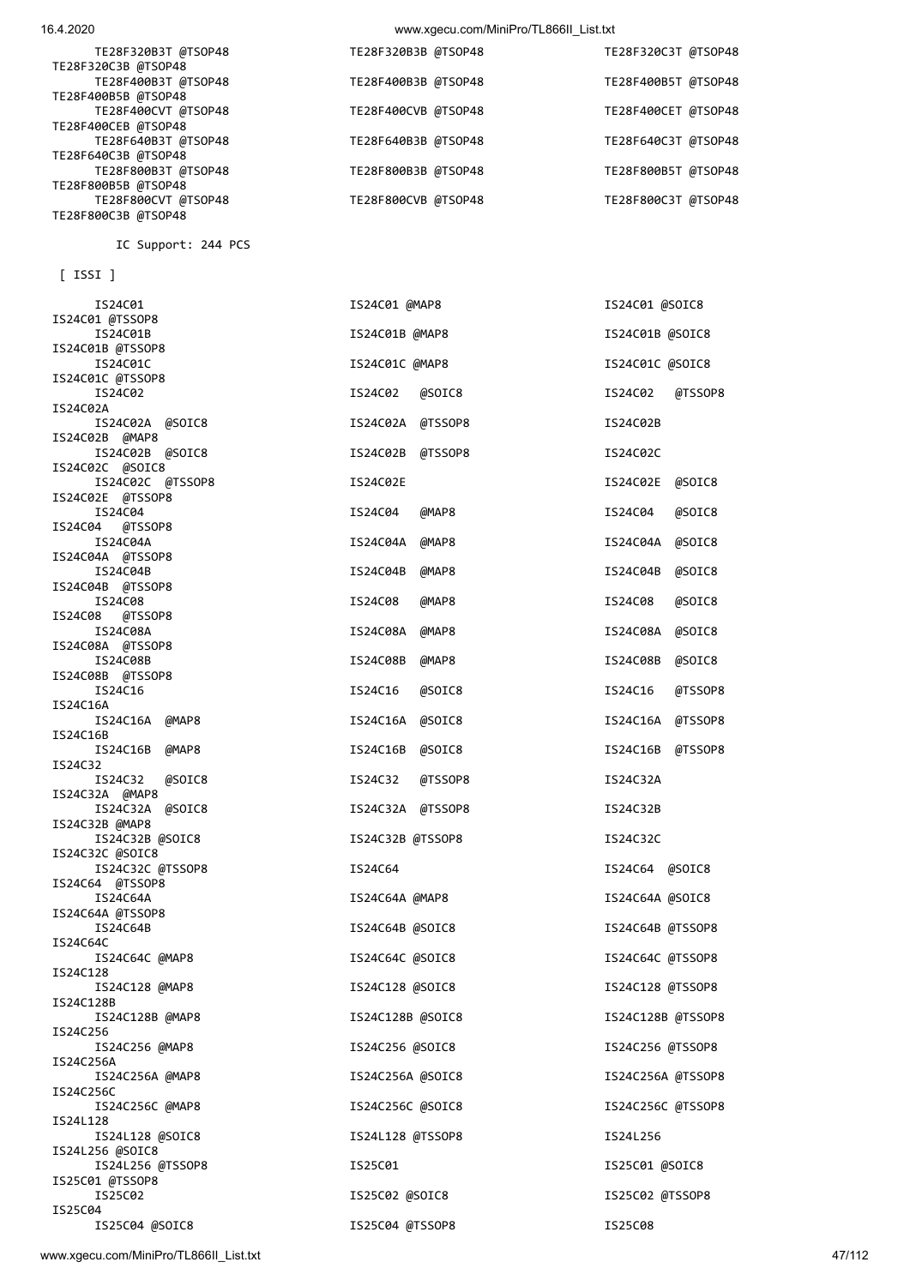## 16.4.2020 www.xgecu.com/MiniPro/TL866II\_List.txt

| TE28F320B3T @TSOP48<br>TE28F320C3B @TSOP48 | TE28F320B3B @TSOP48 | TE28F320C3T @TSOP48 |
|--------------------------------------------|---------------------|---------------------|
| TE28F400B3T @TSOP48<br>TE28F400B5B @TSOP48 | TE28F400B3B @TSOP48 | TE28F400B5T @TSOP48 |
| TE28F400CVT @TSOP48<br>TE28F400CEB @TSOP48 | TE28F400CVB @TSOP48 | TE28F400CET @TSOP48 |
| TE28F640B3T @TSOP48<br>TE28F640C3B @TSOP48 | TE28F640B3B @TSOP48 | TE28F640C3T @TSOP48 |
| TE28F800B3T @TSOP48<br>TE28F800B5B @TSOP48 | TE28F800B3B @TSOP48 | TE28F800B5T @TSOP48 |
| TE28F800CVT @TSOP48<br>TE28F800C3B @TSOP48 | TE28F800CVB @TSOP48 | TE28F800C3T @TSOP48 |

IC Support: 244 PCS

[ ISSI ]

| IS24C01                           | IS24C01 @MAP8       | IS24C01 @SOIC8      |  |
|-----------------------------------|---------------------|---------------------|--|
| IS24C01 @TSSOP8                   |                     | IS24C01B @SOIC8     |  |
| IS24C01B<br>IS24C01B @TSSOP8      | IS24C01B @MAP8      |                     |  |
| IS24C01C                          | IS24C01C @MAP8      | IS24C01C @SOIC8     |  |
| IS24C01C @TSSOP8                  |                     |                     |  |
| IS24C02                           | IS24C02<br>@SOIC8   | @TSSOP8<br>IS24C02  |  |
| IS24C02A                          |                     |                     |  |
| IS24C02A @SOIC8                   | IS24C02A @TSSOP8    | IS24C02B            |  |
| IS24C02B @MAP8<br>IS24C02B @SOIC8 | IS24C02B<br>@TSSOP8 | IS24C02C            |  |
| IS24C02C @SOIC8                   |                     |                     |  |
| IS24C02C @TSSOP8                  | IS24C02E            | IS24C02E<br>@SOIC8  |  |
| IS24C02E @TSSOP8                  |                     |                     |  |
| IS24C04                           | IS24C04<br>@MAP8    | IS24C04<br>@SOIC8   |  |
| IS24C04<br>@TSSOP8                |                     |                     |  |
| IS24C04A<br>IS24C04A @TSSOP8      | IS24C04A<br>@MAP8   | IS24C04A<br>@SOIC8  |  |
| IS24C04B                          | IS24C04B<br>@MAP8   | IS24C04B<br>@SOIC8  |  |
| IS24C04B @TSSOP8                  |                     |                     |  |
| IS24C08                           | IS24C08<br>@MAP8    | IS24C08<br>@SOIC8   |  |
| IS24C08<br>@TSSOP8                |                     |                     |  |
| IS24C08A                          | IS24C08A<br>@MAP8   | IS24C08A<br>@SOIC8  |  |
| IS24C08A @TSSOP8<br>IS24C08B      |                     |                     |  |
| IS24C08B @TSSOP8                  | IS24C08B<br>@MAP8   | IS24C08B<br>@SOIC8  |  |
| IS24C16                           | IS24C16<br>@SOIC8   | IS24C16<br>@TSSOP8  |  |
| IS24C16A                          |                     |                     |  |
| IS24C16A @MAP8                    | IS24C16A<br>@SOIC8  | IS24C16A<br>@TSSOP8 |  |
| IS24C16B                          |                     |                     |  |
| IS24C16B @MAP8<br>IS24C32         | IS24C16B<br>@SOIC8  | @TSSOP8<br>IS24C16B |  |
| IS24C32<br>@SOIC8                 | IS24C32<br>@TSSOP8  | IS24C32A            |  |
| IS24C32A @MAP8                    |                     |                     |  |
| IS24C32A @SOIC8                   | IS24C32A @TSSOP8    | IS24C32B            |  |
| IS24C32B @MAP8<br>IS24C32B @SOIC8 | IS24C32B @TSSOP8    | IS24C32C            |  |
| IS24C32C @SOIC8                   |                     |                     |  |
| IS24C32C @TSSOP8                  | IS24C64             | IS24C64 @SOIC8      |  |
| IS24C64 @TSSOP8                   |                     |                     |  |
| IS24C64A                          | IS24C64A @MAP8      | IS24C64A @SOIC8     |  |
| IS24C64A @TSSOP8                  |                     |                     |  |
| IS24C64B<br>IS24C64C              | IS24C64B @SOIC8     | IS24C64B @TSSOP8    |  |
| IS24C64C @MAP8                    | IS24C64C @SOIC8     | IS24C64C @TSSOP8    |  |
| IS24C128                          |                     |                     |  |
| IS24C128 @MAP8                    | IS24C128 @SOIC8     | IS24C128 @TSSOP8    |  |
| IS24C128B                         |                     |                     |  |
| IS24C128B @MAP8<br>IS24C256       | IS24C128B @SOIC8    | IS24C128B @TSSOP8   |  |
| IS24C256 @MAP8                    | IS24C256 @SOIC8     | IS24C256 @TSSOP8    |  |
| IS24C256A                         |                     |                     |  |
| IS24C256A @MAP8                   | IS24C256A @SOIC8    | IS24C256A @TSSOP8   |  |
| IS24C256C                         |                     |                     |  |
| IS24C256C @MAP8<br>IS24L128       | IS24C256C @SOIC8    | IS24C256C @TSSOP8   |  |
| IS24L128 @SOIC8                   | IS24L128 @TSSOP8    | IS24L256            |  |
| IS24L256 @SOIC8                   |                     |                     |  |
| IS24L256 @TSSOP8                  | IS25C01             | IS25C01 @SOIC8      |  |
| IS25C01 @TSSOP8                   |                     |                     |  |
| IS25C02<br>IS25C04                | IS25C02 @SOIC8      | IS25C02 @TSSOP8     |  |
| IS25C04 @SOIC8                    | IS25C04 @TSSOP8     | IS25C08             |  |

www.xgecu.com/MiniPro/TL866II\_List.txt 47/112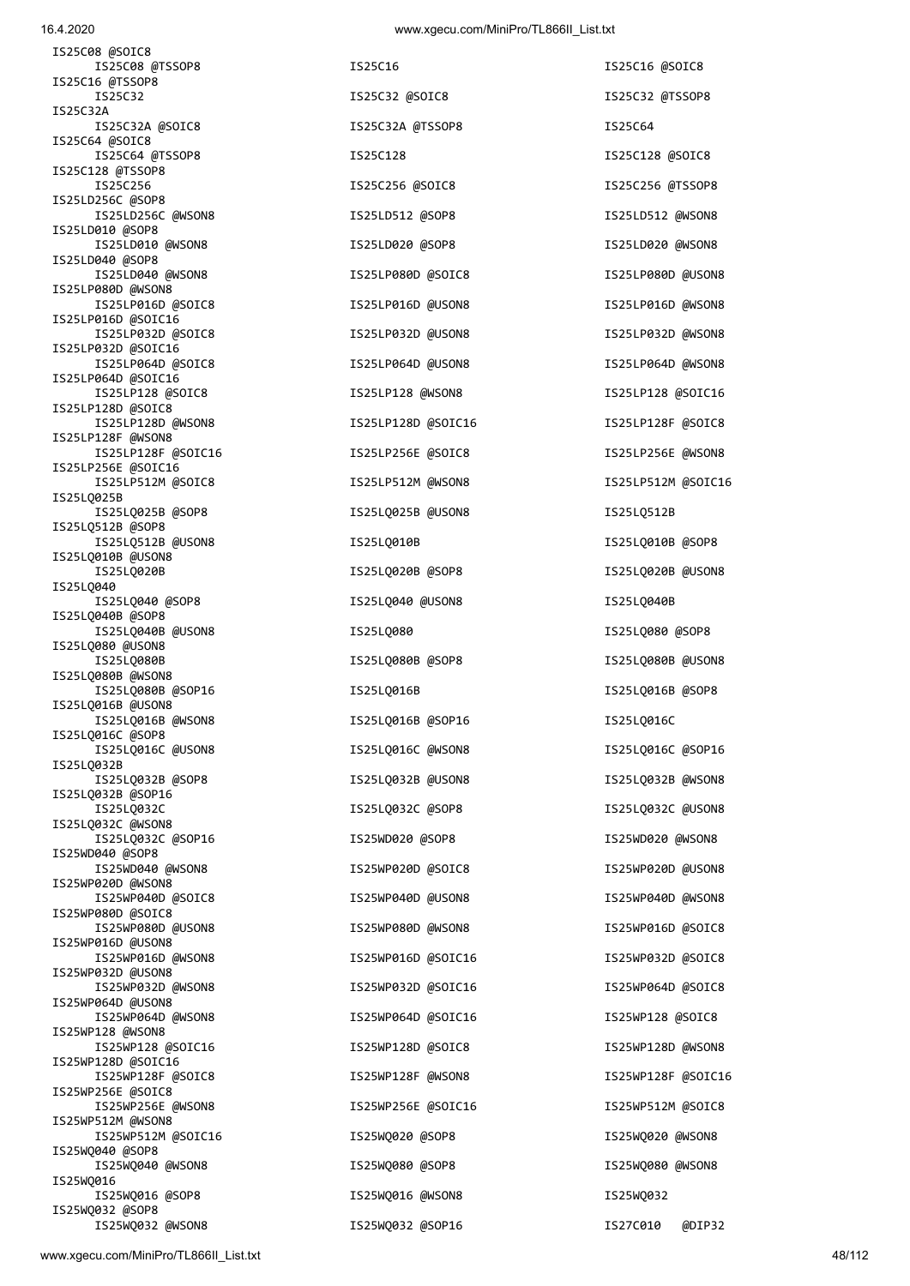| IS25C08 @SOIC8<br>IS25C08 @TSSOP8        | IS25C16            | IS25C16 @SOIC8     |
|------------------------------------------|--------------------|--------------------|
| IS25C16 @TSSOP8                          |                    |                    |
| IS25C32<br>IS25C32A                      | IS25C32 @SOIC8     | IS25C32 @TSSOP8    |
| IS25C32A @SOIC8<br>IS25C64 @SOIC8        | IS25C32A @TSSOP8   | IS25C64            |
| IS25C64 @TSSOP8                          | IS25C128           | IS25C128 @SOIC8    |
| IS25C128 @TSSOP8<br>IS25C256             | IS25C256 @SOIC8    | IS25C256 @TSSOP8   |
| IS25LD256C @SOP8<br>IS25LD256C @WSON8    | IS25LD512 @SOP8    | IS25LD512 @WSON8   |
| IS25LD010 @SOP8<br>IS25LD010 @WSON8      | IS25LD020 @SOP8    | IS25LD020 @WSON8   |
| IS25LD040 @SOP8<br>IS25LD040 @WSON8      | IS25LP080D @SOIC8  | IS25LP080D @USON8  |
| IS25LP080D @WSON8<br>IS25LP016D @SOIC8   | IS25LP016D @USON8  | IS25LP016D @WSON8  |
| IS25LP016D @SOIC16<br>IS25LP032D @SOIC8  | IS25LP032D @USON8  | IS25LP032D @WSON8  |
| IS25LP032D @SOIC16<br>IS25LP064D @SOIC8  | IS25LP064D @USON8  | IS25LP064D @WSON8  |
| IS25LP064D @SOIC16<br>IS25LP128 @SOIC8   | IS25LP128 @WSON8   | IS25LP128 @SOIC16  |
| IS25LP128D @SOIC8                        |                    |                    |
| IS25LP128D @WSON8<br>IS25LP128F @WSON8   | IS25LP128D @SOIC16 | IS25LP128F @SOIC8  |
| IS25LP128F @SOIC16<br>IS25LP256E @SOIC16 | IS25LP256E @SOIC8  | IS25LP256E @WSON8  |
| IS25LP512M @SOIC8                        | IS25LP512M @WSON8  | IS25LP512M @SOIC16 |
| IS25LQ025B<br>IS25LQ025B @SOP8           | IS25LQ025B @USON8  | IS25LQ512B         |
| IS25LQ512B @SOP8<br>IS25LQ512B @USON8    | IS25LQ010B         | IS25LQ010B @SOP8   |
| IS25LQ010B @USON8<br>IS25LQ020B          | IS25LQ020B @SOP8   | IS25LQ020B @USON8  |
| IS25LQ040<br>IS25LQ040 @SOP8             | IS25LQ040 @USON8   | IS25LQ040B         |
| IS25LQ040B @SOP8<br>IS25LQ040B @USON8    | IS25LQ080          | IS25LQ080 @SOP8    |
| IS25LQ080 @USON8<br>IS25L0080B           | IS25LQ080B @SOP8   | IS25LQ080B @USON8  |
| IS25LQ080B @WSON8<br>IS25LQ080B @SOP16   | IS25LQ016B         | IS25LQ016B @SOP8   |
| IS25LQ016B @USON8<br>IS25LQ016B @WSON8   | IS25LQ016B @SOP16  | IS25LQ016C         |
| IS25LQ016C @SOP8<br>IS25LQ016C @USON8    | IS25LQ016C @WSON8  | IS25LQ016C @SOP16  |
| IS25L0032B<br>IS25L0032B @SOP8           |                    | IS25LQ032B @WSON8  |
| IS25LQ032B @SOP16                        | IS25LQ032B @USON8  |                    |
| IS25L0032C<br>IS25L0032C @WSON8          | IS25LQ032C @SOP8   | IS25LQ032C @USON8  |
| IS25LQ032C @SOP16<br>IS25WD040 @SOP8     | IS25WD020 @SOP8    | IS25WD020 @WSON8   |
| IS25WD040 @WSON8<br>IS25WP020D @WSON8    | IS25WP020D @SOIC8  | IS25WP020D @USON8  |
| IS25WP040D @SOIC8<br>IS25WP080D @SOIC8   | IS25WP040D @USON8  | IS25WP040D @WSON8  |
| IS25WP080D @USON8                        | IS25WP080D @WSON8  | IS25WP016D @SOIC8  |
| IS25WP016D @USON8<br>IS25WP016D @WSON8   | IS25WP016D @SOIC16 | IS25WP032D @SOIC8  |
| IS25WP032D @USON8<br>IS25WP032D @WSON8   | IS25WP032D @SOIC16 | IS25WP064D @SOIC8  |
| IS25WP064D @USON8<br>IS25WP064D @WSON8   | IS25WP064D @SOIC16 | IS25WP128 @SOIC8   |
| IS25WP128 @WSON8<br>IS25WP128 @SOIC16    | IS25WP128D @SOIC8  | IS25WP128D @WSON8  |
| IS25WP128D @SOIC16                       |                    |                    |
| IS25WP128F @SOIC8<br>IS25WP256E @SOIC8   | IS25WP128F @WSON8  | IS25WP128F @SOIC16 |
| IS25WP256E @WSON8<br>IS25WP512M @WSON8   | IS25WP256E @SOIC16 | IS25WP512M @SOIC8  |
| IS25WP512M @SOIC16<br>IS25WQ040 @SOP8    | IS25WQ020 @SOP8    | IS25WQ020 @WSON8   |
| IS25WQ040 @WSON8<br>IS25WQ016            | IS25WQ080 @SOP8    | IS25WQ080 @WSON8   |
| IS25WQ016 @SOP8<br>IS25WQ032 @SOP8       | IS25WQ016 @WSON8   | IS25WQ032          |
| IS25WQ032 @WSON8                         | IS25WQ032 @SOP16   | @DIP32<br>IS27C010 |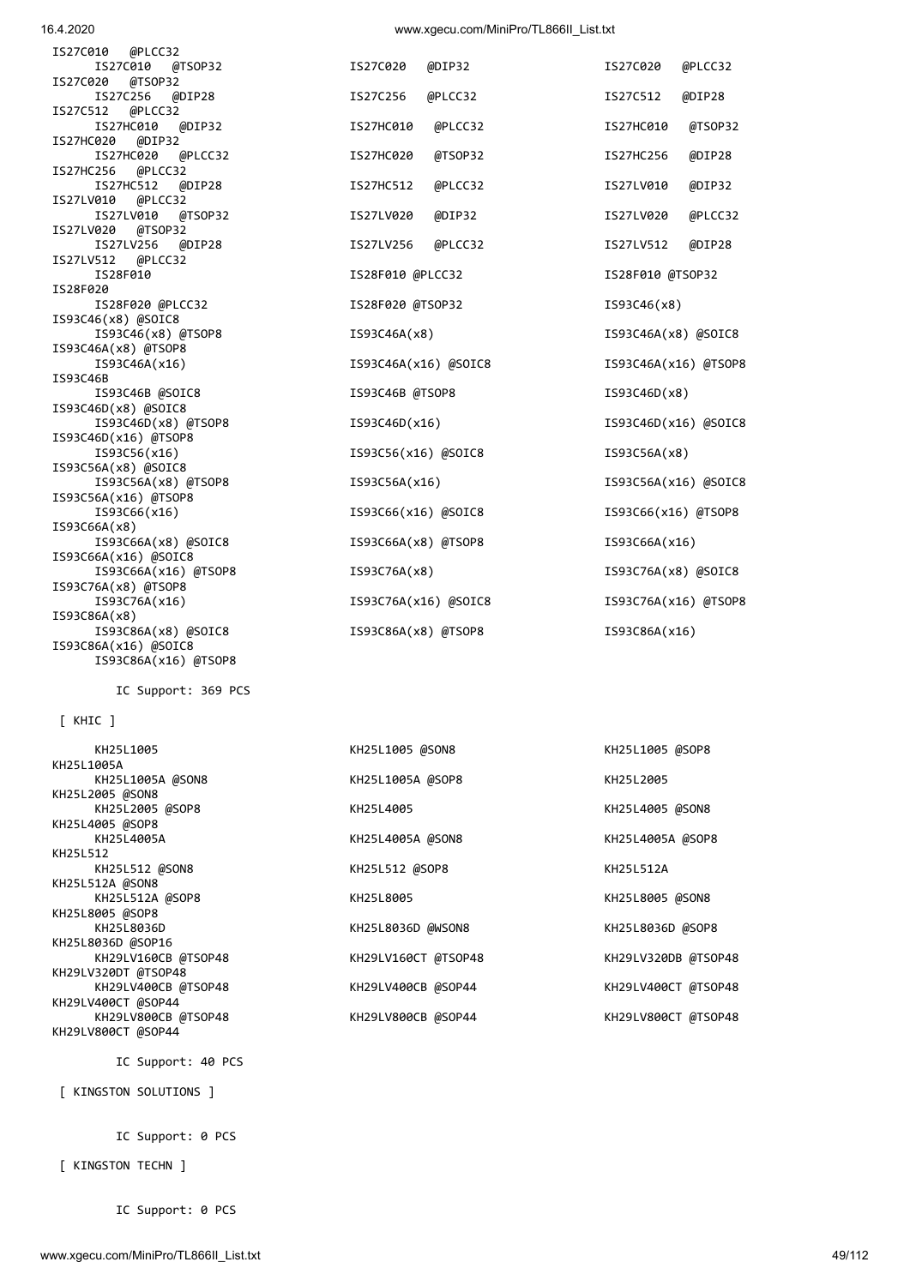IC Support: 0 PCS

[ KINGSTON TECHN ]

IC Support: 0 PCS

[ KINGSTON SOLUTIONS ]

IC Support: 40 PCS

 [ KHIC ] KH25L1005A KH25L1005A @SON8 KH25L1005A KH25L2005 @SON8 KH25L2005 @SOP8 KH KH25L4005 @SOP8 KH25L4005A **KH25L4005A** KH25L512 KH25L512 @SON8 KH KH25L512A @SON8 KH25L512A @SOP8 KH KH25L8005 @SOP8 KH25L8036D **KH25L8036D** KH25L8036D @SOP16 KH29LV320DT @TSOP48 KH29LV400CT @SOP44 KH29LV800CB @TSOP48 KH29LV800CB @SOP44 KH29LV800CB MSOP48 KH29LV800CT @SOP44

IC Support: 369 PCS

IS27C020 @TSOP32 IS27C512 @PLCC32 IS27HC020 @DIP32 IS27HC256 @PLCC32 IS27LV010 @PLCC32 IS27LV020 @TSOP32 IS27LV512 @PLCC32 IS28F020 IS93C46(x8) @SOIC8 IS93C46A(x8) @TSOP8 IS93C46B IS93C46D(x8) @SOIC8 IS93C46D(x16) @TSOP8 IS93C56A(x8) @SOIC8 IS93C56A(x16) @TSOP8 IS93C66A(x8) IS93C66A(x16) @SOIC8 IS93C76A(x8) @TSOP8 IS93C86A(x8)<br>IS93C86A(x8) @SOIC8 IS93C86A(x16) @SOIC8 IS93C86A(x16) @TSOP8

| KH25L1005           | KH25L1005 @SON8     | KH25L1005 @SOP8     |
|---------------------|---------------------|---------------------|
| KH25L1005A          |                     |                     |
| KH25L1005A @SON8    | KH25L1005A @SOP8    | KH25L2005           |
| KH25L2005 @SON8     |                     |                     |
| KH25L2005 @SOP8     | KH25L4005           | KH25L4005 @SON8     |
| KH25L4005 @SOP8     |                     |                     |
| KH25L4005A          | KH25L4005A @SON8    | KH25L4005A @SOP8    |
| KH25L512            |                     |                     |
| KH25L512 @SON8      | KH25L512 @SOP8      | KH25L512A           |
| KH25L512A @SON8     |                     |                     |
| KH25L512A @SOP8     | KH25L8005           | KH25L8005 @SON8     |
| KH25L8005 @SOP8     |                     |                     |
| KH25L8036D          | KH25L8036D @WSON8   | KH25L8036D @SOP8    |
| KH25L8036D @SOP16   |                     |                     |
|                     |                     |                     |
| KH29LV160CB @TSOP48 | KH29LV160CT @TSOP48 | KH29LV320DB @TSOP48 |
| KH29LV320DT @TSOP48 |                     |                     |
| KH29LV400CB @TSOP48 | KH29LV400CB @SOP44  | KH29LV400CT @TSOP48 |
| KH29LV400CT @SOP44  |                     |                     |
|                     |                     |                     |

| IS27C010 @PLCC32                           |                      |                       |
|--------------------------------------------|----------------------|-----------------------|
| IS27C010<br>@TSOP32<br>IS27C020<br>@TSOP32 | @DIP32<br>IS27C020   | IS27C020<br>@PLCC32   |
| IS27C256<br>@DIP28                         | IS27C256<br>@PLCC32  | IS27C512<br>@DIP28    |
| IS27C512<br>@PLCC32                        |                      |                       |
| IS27HC010<br>@DIP32                        | @PLCC32<br>IS27HC010 | @TSOP32<br>IS27HC010  |
| @DIP32<br>IS27HC020                        |                      |                       |
| IS27HC020<br>@PLCC32                       | IS27HC020<br>@TSOP32 | @DIP28<br>IS27HC256   |
| IS27HC256 @PLCC32                          |                      |                       |
| IS27HC512<br>@DIP28                        | @PLCC32<br>IS27HC512 | @DIP32<br>IS27LV010   |
| IS27LV010 @PLCC32                          |                      |                       |
| IS27LV010<br>@TSOP32                       | @DIP32<br>IS27LV020  | @PLCC32<br>IS27LV020  |
| IS27LV020 @TSOP32                          |                      |                       |
| IS27LV256<br>@DIP28                        | @PLCC32<br>IS27LV256 | IS27LV512<br>@DIP28   |
| IS27LV512 @PLCC32                          |                      |                       |
| IS28F010                                   | IS28F010 @PLCC32     | IS28F010 @TSOP32      |
| IS28F020                                   |                      |                       |
| IS28F020 @PLCC32                           | IS28F020 @TSOP32     | IS93C46(x8)           |
| IS93C46(x8) @SOIC8                         |                      |                       |
| IS93C46(x8) @TSOP8                         | IS93C46A(x8)         | $IS93C46A(x8)$ @SOIC8 |
| IS93C46A(x8) @TSOP8                        |                      |                       |
| IS93C46A(x16)                              | IS93C46A(x16) @SOIC8 | IS93C46A(x16) @TSOP8  |
| IS93C46B                                   |                      |                       |
| IS93C46B @SOIC8                            | IS93C46B @TSOP8      | IS93C46D(x8)          |
| IS93C46D(x8) @SOIC8                        |                      |                       |
| IS93C46D(x8) @TSOP8                        | IS93C46D(x16)        | IS93C46D(x16) @SOIC8  |
| IS93C46D(x16) @TSOP8                       |                      |                       |
| IS93C56(x16)                               | IS93C56(x16) @SOIC8  | IS93C56A(x8)          |
| IS93C56A(x8) @SOIC8                        |                      |                       |
| IS93C56A(x8) @TSOP8                        | IS93C56A(x16)        | IS93C56A(x16) @SOIC8  |
| IS93C56A(x16) @TSOP8                       |                      |                       |
| IS93C66(x16)                               | IS93C66(x16) @SOIC8  | IS93C66(x16) @TSOP8   |
| IS93C66A(x8)                               |                      |                       |
| IS93C66A(x8) @SOIC8                        | IS93C66A(x8) @TSOP8  | IS93C66A(x16)         |
| IS93C66A(x16) @SOIC8                       |                      |                       |
| IS93C66A(x16) @TSOP8                       | IS93C76A(x8)         | IS93C76A(x8) @SOIC8   |
| IS93C76A(x8) @TSOP8                        |                      |                       |
| IS93C76A(x16)                              | IS93C76A(x16) @SOIC8 | IS93C76A(x16) @TSOP8  |
| IS93C86A(x8)                               |                      |                       |
| IS93C86A(x8) @SOIC8                        | IS93C86A(x8) @TSOP8  | IS93C86A(x16)         |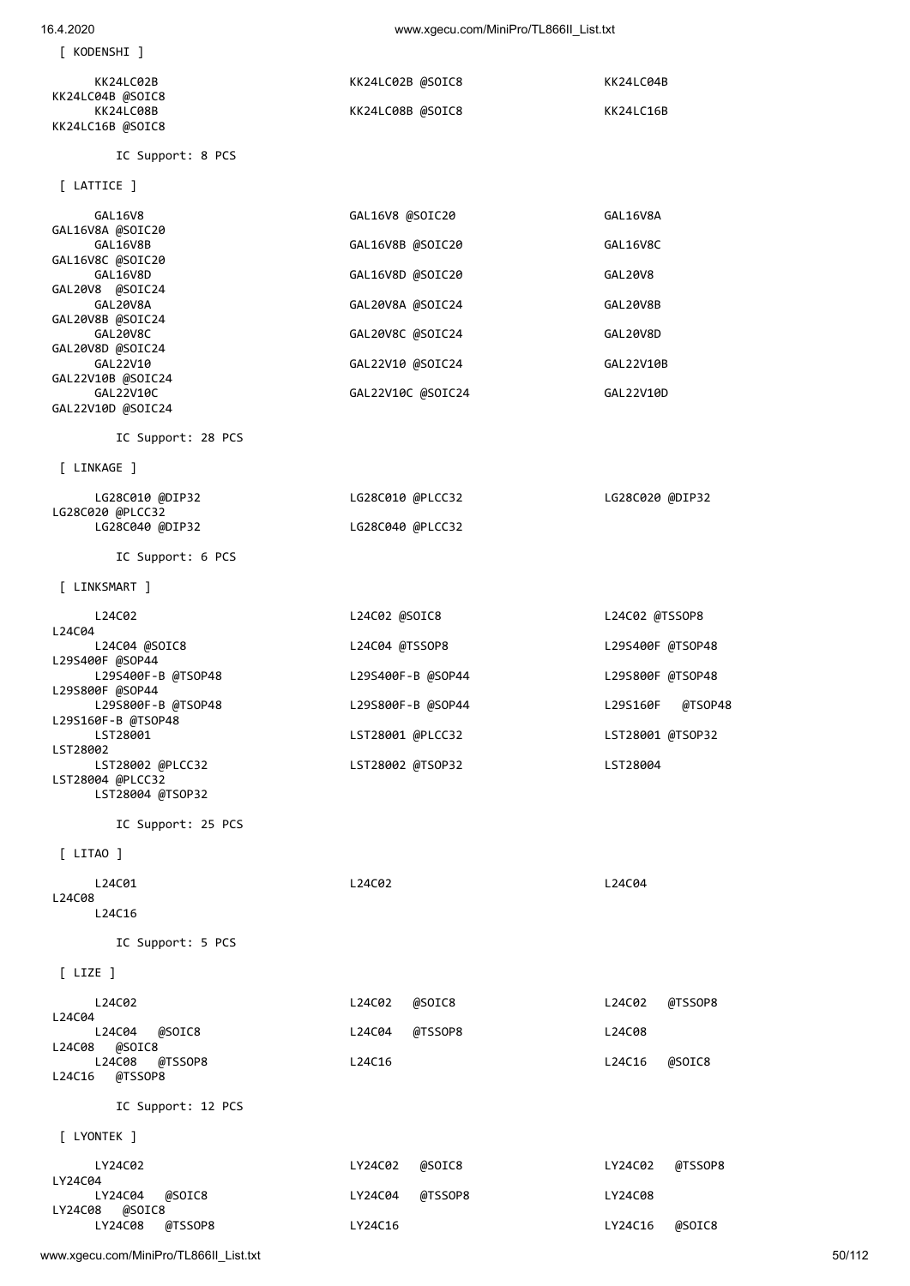| [ KODENSHI ]                          |                   |                     |
|---------------------------------------|-------------------|---------------------|
| KK24LC02B                             | KK24LC02B @SOIC8  | KK24LC04B           |
| KK24LC04B @SOIC8<br>KK24LC08B         | KK24LC08B @SOIC8  | KK24LC16B           |
| KK24LC16B @SOIC8                      |                   |                     |
| IC Support: 8 PCS                     |                   |                     |
| $[$ LATTICE $]$                       |                   |                     |
| GAL16V8<br>GAL16V8A @SOIC20           | GAL16V8 @SOIC20   | GAL16V8A            |
| GAL16V8B<br>GAL16V8C @SOIC20          | GAL16V8B @SOIC20  | GAL16V8C            |
| GAL16V8D<br>GAL20V8 @SOIC24           | GAL16V8D @SOIC20  | GAL20V8             |
| GAL20V8A                              | GAL20V8A @SOIC24  | GAL20V8B            |
| GAL20V8B @SOIC24<br>GAL20V8C          | GAL20V8C @SOIC24  | GAL20V8D            |
| GAL20V8D @SOIC24<br>GAL22V10          | GAL22V10 @SOIC24  | GAL22V10B           |
| GAL22V10B @SOIC24<br>GAL22V10C        | GAL22V10C @SOIC24 | GAL22V10D           |
| GAL22V10D @SOIC24                     |                   |                     |
| IC Support: 28 PCS                    |                   |                     |
| [ LINKAGE ]                           |                   |                     |
| LG28C010 @DIP32<br>LG28C020 @PLCC32   | LG28C010 @PLCC32  | LG28C020 @DIP32     |
| LG28C040 @DIP32                       | LG28C040 @PLCC32  |                     |
| IC Support: 6 PCS                     |                   |                     |
| [ LINKSMART ]                         |                   |                     |
| L24C02                                | L24C02 @SOIC8     | L24C02 @TSSOP8      |
|                                       |                   |                     |
| L24C04<br>L24C04 @SOIC8               | L24C04 @TSSOP8    | L29S400F @TSOP48    |
| L29S400F @SOP44<br>L29S400F-B @TSOP48 | L29S400F-B @SOP44 | L29S800F @TSOP48    |
| L29S800F @SOP44<br>L29S800F-B @TSOP48 | L29S800F-B @SOP44 | L29S160F<br>@TSOP48 |
| L29S160F-B @TSOP48<br>LST28001        | LST28001 @PLCC32  | LST28001 @TSOP32    |
| LST28002<br>LST28002 @PLCC32          | LST28002 @TSOP32  | LST28004            |
| LST28004 @PLCC32<br>LST28004 @TSOP32  |                   |                     |
| IC Support: 25 PCS                    |                   |                     |
| $[$ LITAO $]$                         |                   |                     |
| L24C01                                | L24C02            | L24C04              |
| L24C08<br>L24C16                      |                   |                     |
| IC Support: 5 PCS                     |                   |                     |
| $[$ LIZE $]$                          |                   |                     |
| L24C02                                | L24C02<br>@SOIC8  | @TSSOP8<br>L24C02   |
| L24C04<br>L24C04<br>@SOIC8            | L24C04<br>@TSSOP8 | L24C08              |
| @SOIC8<br>L24C08<br>L24C08<br>@TSSOP8 | L24C16            | L24C16<br>@SOIC8    |
| @TSSOP8<br>L24C16                     |                   |                     |
| IC Support: 12 PCS                    |                   |                     |
| [ LYONTEK ]                           |                   |                     |

| LY24C02<br>LY24C04               | LY24C02 @SOIC8 |                 | LY24C02 @TSSOP8 |        |
|----------------------------------|----------------|-----------------|-----------------|--------|
| LY24C04 @SOIC8<br>LY24C08 @SOIC8 |                | LY24C04 @TSSOP8 | LY24C08         |        |
| LY24C08 @TSSOP8                  | LY24C16        |                 | LY24C16         | @SOIC8 |

www.xgecu.com/MiniPro/TL866II\_List.txt 50/112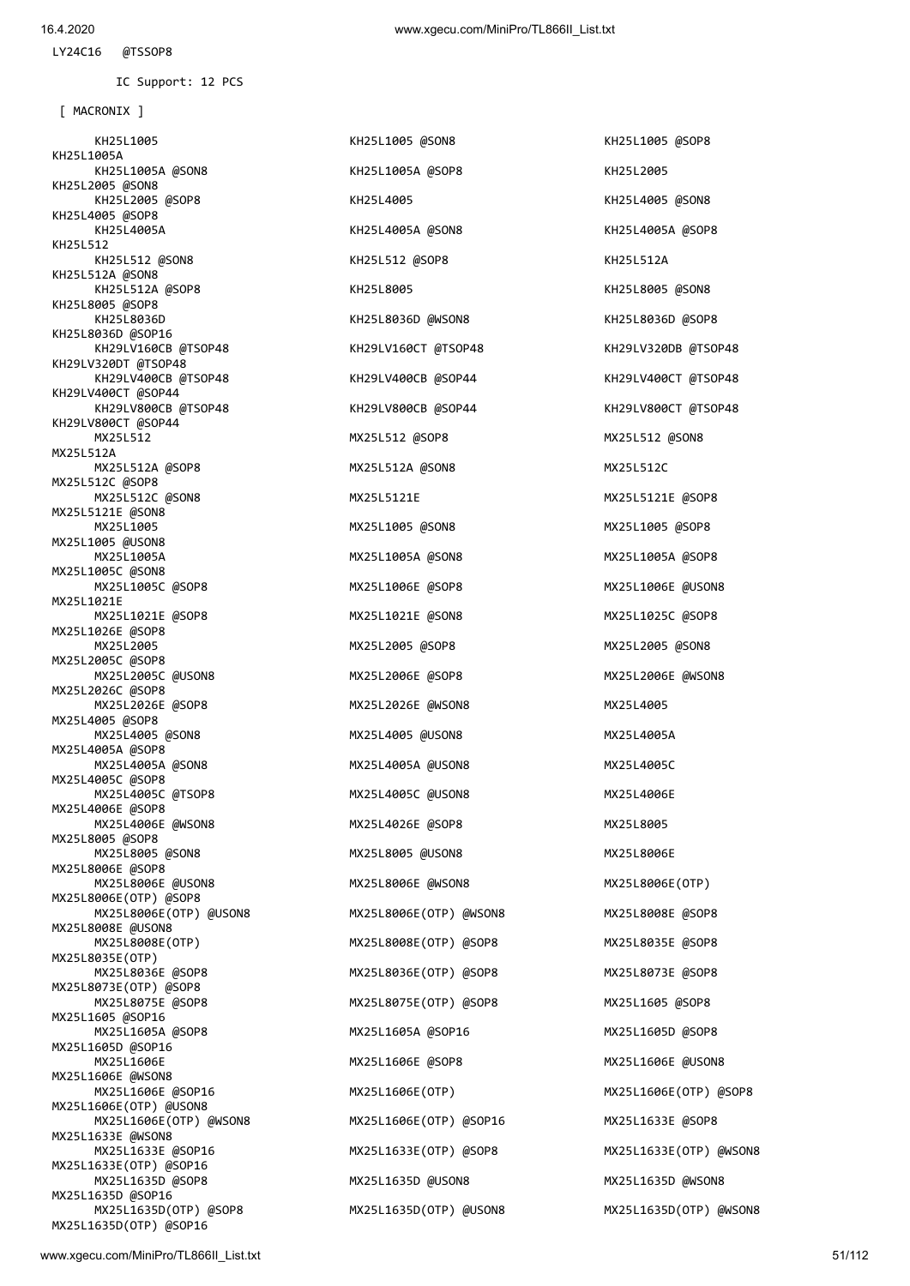KH25L1005 KH25L1005 @SON8 KH25L1005 @SOP8 KH25L1005A KH25L1005A @SON8 KH25L1005A @SOP8 KH25L2005 KH25L2005 @SON8 KH25L2005 @SOP8 KH25L4005 KH25L4005 @SON8 KH25L4005 @SOP8 KH25L4005A KH25L4005A @SON8 KH25L4005A @SOP8 KH25L512 KH25L512 @SON8 KH25L512 @SOP8 KH25L512A KH25L512A @SON8 KH25L512A @SOP8 KH25L8005 KH25L8005 @SON8 KH25L8005 @SOP8 KH25L8036D KH25L8036D @WSON8 KH25L8036D @SOP8 KH25L8036D @SOP16 KH29LV160CB @TSOP48 KH29LV160CT @TSOP48 KH29LV320DB @TSOP48 KH29LV320DT @TSOP48 KH29LV400CB @TSOP48 KH29LV400CB @SOP44 KH29LV400CT @TSOP48 KH29LV400CT @SOP44 KH29LV800CB @TSOP48 KH29LV800CB @SOP44 KH29LV800CT @TSOP48 KH29LV800CT @SOP44 MX25L512 MX25L512 @SOP8 MX25L512 @SON8 MX25L512A MX25L512A @SOP8 MX25L512A @SON8 MX25L512C MX25L512C @SOP8 MX25L512C @SON8 MX25L5121E MX25L5121E @SOP8 MX25L5121E @SON8 MX25L1005 MX25L1005 @SON8 MX25L1005 @SOP8 MX25L1005 @USON8 MX25L1005A MX25L1005A @SON8 MX25L1005A @SOP8 MX25L1005C @SON8 MX25L1005C @SOP8 MX25L1006E @SOP8 MX25L1006E @USON8 MX25L1021E MX25L1021E @SOP8 MX25L1021E @SON8 MX25L1025C @SOP8 MX25L1026E @SOP8 MX25L2005 MX25L2005 @SOP8 MX25L2005 @SON8 MX25L2005C @SOP8 MX25L2005C @USON8 MX25L2006E @SOP8 MX25L2006E @WSON8 MX25L2026C @SOP8 MX25L2026E @SOP8 MX25L2026E @WSON8 MX25L4005 MX25L4005 @SOP8 MX25L4005 @SON8 MX25L4005 @USON8 MX25L4005A MX25L4005A @SOP8 MX25L4005A @SON8 MX25L4005A @USON8 MX25L4005C MX25L4005C @SOP8 MX25L4005C @TSOP8 MX25L4005C @USON8 MX25L4006E MX25L4006E @SOP8 MX25L4006E @WSON8 MX25L4026E @SOP8 MX25L8005 MX25L8005 @SOP8 MX25L8005 @SON8 MX25L8005 @USON8 MX25L8006E MX25L8006E @SOP8 MX25L8006E @USON8 MX25L8006E @WSON8 MX25L8006E(OTP) MX25L8006E(OTP) @SOP8 MX25L8006E(OTP) @USON8 MX25L8006E(OTP) @WSON8 MX25L8008E @SOP8 MX25L8008E @USON8 MX25L8008E(OTP) MX25L8008E(OTP) @SOP8 MX25L8035E @SOP8 MX25L8035E(OTP) MX25L8036E @SOP8 MX25L8036E(OTP) @SOP8 MX25L8073E @SOP8 MX25L8073E(OTP) @SOP8 MX25L8075E @SOP8 MX25L8075E(OTP) @SOP8 MX25L1605 @SOP8 MX25L1605 @SOP16 MX25L1605A @SOP8 MX25L1605A @SOP16 MX25L1605D @SOP8 MX25L1605D @SOP16 MX25L1606E MX25L1606E @SOP8 MX25L1606E @USON8 MX25L1606E @WSON8 MX25L1606E @SOP16 MX25L1606E(OTP) MX25L1606E(OTP) @SOP8 MX25L1606E(OTP) @USON8 MX25L1606E(OTP) @WSON8 MX25L1606E(OTP) @SOP16 MX25L1633E @SOP8 MX25L1633E @WSON8 MX25L1633E @SOP16 MX25L1633E(OTP) @SOP8 MX25L1633E(OTP) @WSON8 MX25L1633E(OTP) @SOP16 MX25L1635D @SOP8 MX25L1635D @USON8 MX25L1635D @WSON8 MX25L1635D @SOP16 MX25L1635D(OTP) @SOP8 MX25L1635D(OTP) @USON8 MX25L1635D(OTP) @WSON8 MX25L1635D(OTP) @SOP16

[ MACRONIX ]

IC Support: 12 PCS

LY24C16 @TSSOP8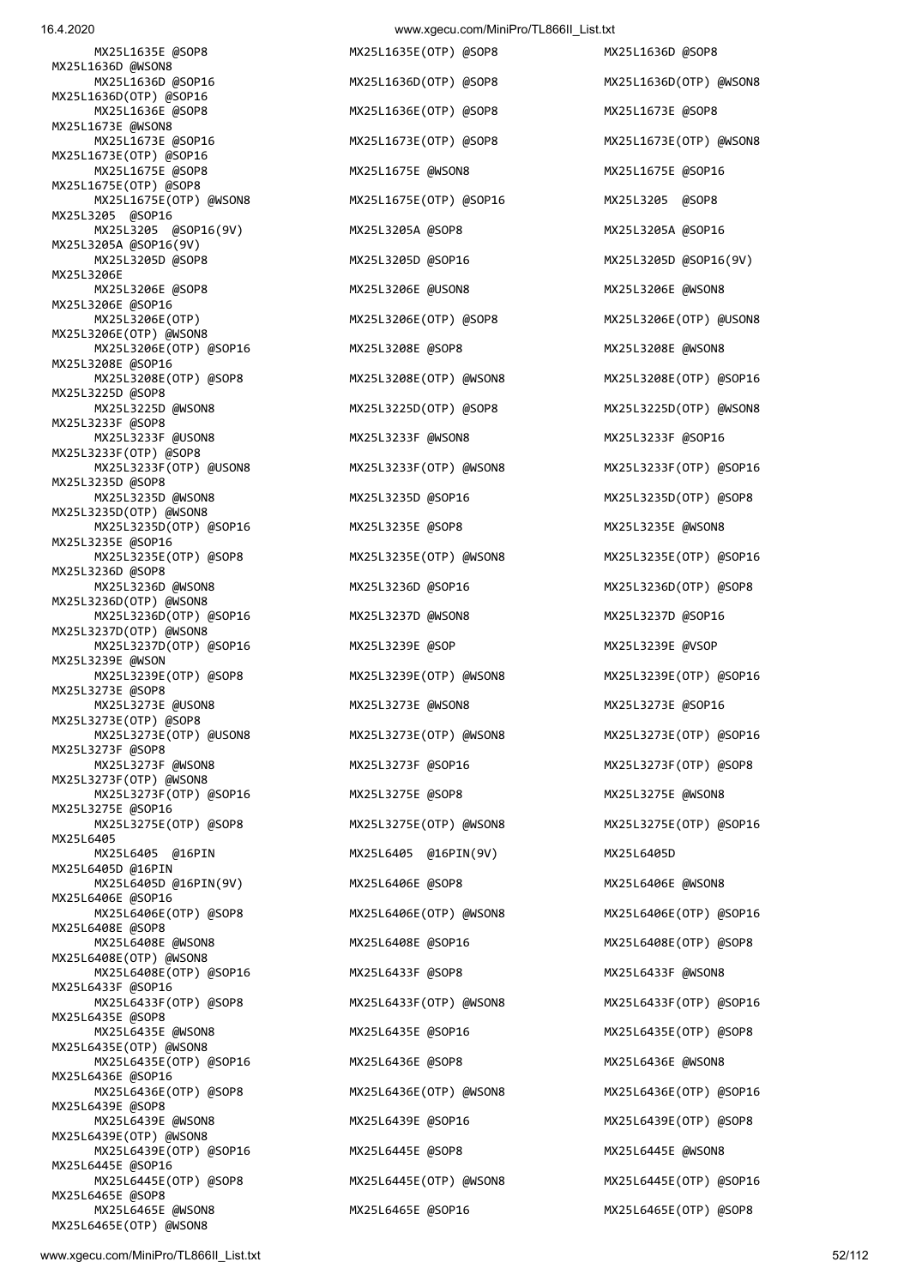MX25L6465E(OTP) @WSON8

MX25L1636D @WSON8 MX25L1636D @SOP16 MX25L1636D(OTP) @SOP8 MX25L1636D(OTP) @WSON8 MX25L1636D(OTP) @SOP16 MX25L1636E @SOP8 MX25L1636E(OTP) @SOP8 MX25L1673E @SOP8 MX25L1673E @WSON8 MX25L1673E @SOP16 MX25L1673E(OTP) @SOP8 MX25L1673E(OTP) @WSON8 MX25L1673E(OTP) @SOP16 MX25L1675E @SOP8 MX25L1675E @WSON8 MX25L1675E @SOP16 MX25L1675E(OTP) @SOP8 MX25L1675E(OTP) @WSON8 MX25L1675E(OTP) @SOP16 MX25L3205 @SOP8 MX25L3205 @SOP16 MX25L3205 @SOP16(9V) MX25L3205A @SOP8 MX25L3205A @SOP16 MX25L3205A @SOP16(9V) MX25L3205D @SOP8 MX25L3205D @SOP16 MX25L3205D @SOP16(9V) MX25L3206E MX25L3206E @SOP8 MX25L3206E @USON8 MX25L3206E @WSON8 MX25L3206E @SOP16 MX25L3206E(OTP) MX25L3206E(OTP) @SOP8 MX25L3206E(OTP) @USON8 MX25L3206E(OTP) @WSON8 MX25L3206E(OTP) @SOP16 MX25L3208E @SOP8 MX25L3208E @WSON8 MX25L3208E @SOP16 MX25L3208E(OTP) @SOP8 MX25L3208E(OTP) @WSON8 MX25L3208E(OTP) @SOP16 MX25L3225D @SOP8 MX25L3233F @SOP8 MX25L3233F @USON8 MX25L3233F @WSON8 MX25L3233F @SOP16 MX25L3233F(OTP) @SOP8 MX25L3233F(OTP) @USON8 MX25L3233F(OTP) @WSON8 MX25L3233F(OTP) @SOP16 MX25L3235D @SOP8 MX25L3235D @WSON8 MX25L3235D @SOP16 MX25L3235D(OTP) @SOP8 MX25L3235D(OTP) @WSON8 MX25L3235D(OTP) @SOP16 MX25L3235E @SOP8 MX25L3235E @WSON8 MX25L3235E @SOP16 MX25L3235E(OTP) @SOP8 MX25L3235E(OTP) @WSON8 MX25L3235E(OTP) @SOP16 MX25L3236D @SOP8<br>MX25L3236D @WSON8 MX25L3236D(OTP) @WSON8 MX25L3236D(OTP) @SOP16 MX25L3237D @WSON8 MX25L3237D @SOP16 MX25L3237D(OTP) @WSON8 MX25L3237D(OTP) @SOP16 MX25L3239E @SOP MX25L3239E @VSOP MX25L3239E @WSON MX25L3239E(OTP) @SOP8 MX25L3239E(OTP) @WSON8 MX25L3239E(OTP) @SOP16 MX25L3273E @SOP8 MX25L3273E @USON8 MX25L3273E @WSON8 MX25L3273E @SOP16 MX25L3273E(OTP) @SOP8 MX25L3273E(OTP) @USON8 MX25L3273E(OTP) @WSON8 MX25L3273E(OTP) @SOP16 MX25L3273F @SOP8 MX25L3273F @WSON8 MX25L3273F @SOP16 MX25L3273F(OTP) @SOP8 MX25L3273F(OTP) @WSON8 MX25L3273F(OTP) @SOP16 MX25L3275E @SOP8 MX25L3275E @WSON8 MX25L3275E @SOP16 MX25L3275E(OTP) @SOP8 MX25L3275E(OTP) @WSON8 MX25L3275E(OTP) @SOP16 MX25L6405 @16PIN<br>MX25L6405 @16PIN MX25L6405D @16PIN MX25L6405D @16PIN(9V) MX25L6406E @SOP8 MX25L6406E @WSON8 MX25L6406E @SOP16 MX25L6406E(OTP) @SOP8 MX25L6406E(OTP) @WSON8 MX25L6406E(OTP) @SOP16 MX25L6408E @SOP8 MX25L6408E @WSON8 MX25L6408E @SOP16 MX25L6408E(OTP) @SOP8 MX25L6408E(OTP) @WSON8 MX25L6408E(OTP) @SOP16 MX25L6433F @SOP8 MX25L6433F @WSON8 MX25L6433F @SOP16 MX25L6433F(OTP) @SOP8 MX25L6433F(OTP) @WSON8 MX25L6433F(OTP) @SOP16 MX25L6435E @SOP8 MX25L6435E @WSON8 MX25L6435E @SOP16 MX25L6435E(OTP) @SOP8 MX25L6435E(OTP) @WSON8 MX25L6435E(OTP) @SOP16 MX25L6436E @SOP8 MX25L6436E @WSON8 MX25L6436E @SOP16 MX25L6436E(OTP) @SOP8 MX25L6436E(OTP) @WSON8 MX25L6436E(OTP) @SOP16 MX25L6439E @SOP8 MX25L6439E @WSON8 MX25L6439E @SOP16 MX25L6439E(OTP) @SOP8 MX25L6439E(OTP) @WSON8 MX25L6439E(OTP) @SOP16 MX25L6445E @SOP8 MX25L6445E @WSON8 MX25L6445E @SOP16 MX25L6445E(OTP) @SOP8 MX25L6445E(OTP) @WSON8 MX25L6445E(OTP) @SOP16 MX25L6465E @SOP8

MX25L3236D @SOP16 MX25L3236D(OTP) @SOP8 MX25L6405 @16PIN(9V) MX25L6405D

 MX25L1635E @SOP8 MX25L1635E(OTP) @SOP8 MX25L1636D @SOP8 MX25L3225D(OTP) @SOP8 MX25L3225D(OTP) @WSON8 MX25L6465E @WSON8 MX25L6465E @SOP16 MX25L6465E(OTP) @SOP8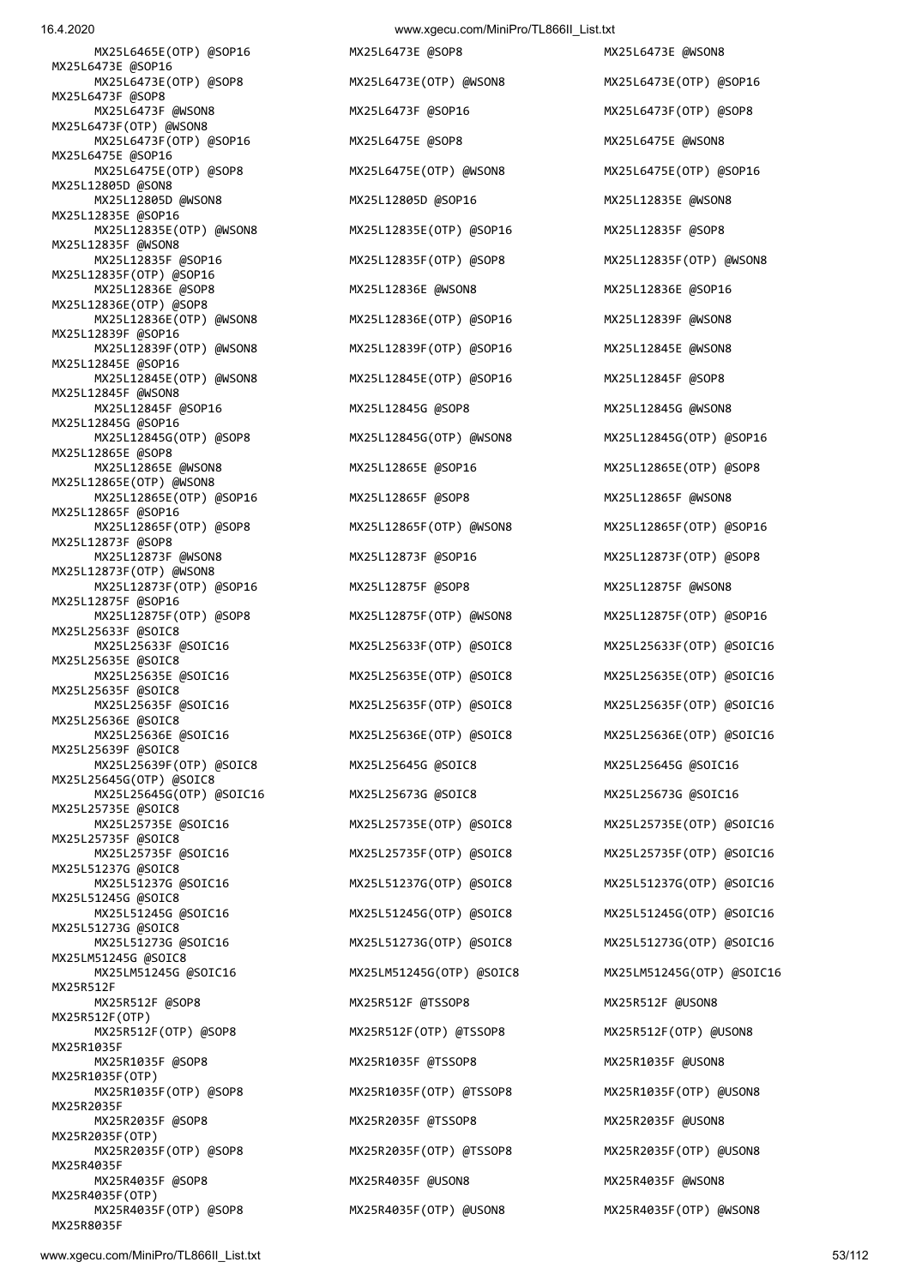MX25L6465E(OTP) @SOP16 MX25L6473E @SOP8 MX25L6473E @WSON8 MX25L6473E @SOP16 MX25L6473E(OTP) @SOP8 MX25L6473E(OTP) @WSON8 MX25L6473E(OTP) @SOP16 MX25L6473F @SOP8 MX25L6473F @WSON8 MX25L6473F @SOP16 MX25L6473F(OTP) @SOP8 MX25L6473F(OTP) @WSON8 MX25L6473F(OTP) @SOP16 MX25L6475E @SOP8 MX25L6475E @WSON8 MX25L6475E @SOP16 MX25L6475E(OTP) @SOP8 MX25L6475E(OTP) @WSON8 MX25L6475E(OTP) @SOP16 MX25L12805D @SON8 MX25L12805D @WSON8 MX25L12805D @SOP16 MX25L12835E @WSON8 MX25L12835E @SOP16 MX25L12835E(OTP) @WSON8 MX25L12835E(OTP) @SOP16 MX25L12835F @SOP8 MX25L12835F @WSON8 MX25L12835F @SOP16 MX25L12835F(OTP) @SOP8 MX25L12835F(OTP) @WSON8 MX25L12835F(OTP) @SOP16 MX25L12836E @SOP8 MX25L12836E @WSON8 MX25L12836E @SOP16 MX25L12836E(OTP) @SOP8 MX25L12836E(OTP) @WSON8 MX25L12836E(OTP) @SOP16 MX25L12839F @WSON8 MX25L12839F @SOP16 MX25L12839F(OTP) @WSON8 MX25L12839F(OTP) @SOP16 MX25L12845E @WSON8 MX25L12845E @SOP16 MX25L12845E(OTP) @WSON8 MX25L12845E(OTP) @SOP16 MX25L12845F @SOP8 MX25L12845F @WSON8<br>MX25L12845F @SOP16 MX25L12845G @SOP16 MX25L12845G(OTP) @SOP8 MX25L12845G(OTP) @WSON8 MX25L12845G(OTP) @SOP16 MX25L12865E @SOP8 MX25L12865E @WSON8 MX25L12865E @SOP16 MX25L12865E(OTP) @SOP8 MX25L12865E(OTP) @WSON8 MX25L12865E(OTP) @SOP16 MX25L12865F @SOP8 MX25L12865F @WSON8 MX25L12865F @SOP16<br>MX25L12865F(OTP) @SOP8 MX25L12873F @SOP8 MX25L12873F @WSON8 MX25L12873F @SOP16 MX25L12873F(OTP) @SOP8 MX25L12873F(OTP) @WSON8 MX25L12873F(OTP) @SOP16 MX25L12875F @SOP8 MX25L12875F @WSON8 MX25L12875F @SOP16 MX25L12875F(OTP) @SOP8 MX25L12875F(OTP) @WSON8 MX25L12875F(OTP) @SOP16 MX25L25633F @SOIC8 MX25L25633F @SOIC16 MX25L25633F(OTP) @SOIC8 MX25L25633F(OTP) @SOIC16 MX25L25635E @SOIC8 MX25L25635E @SOIC16 MX25L25635E(OTP) @SOIC8 MX25L25635E(OTP) @SOIC16 MX25L25635F @SOIC8 MX25L25635F @SOIC16 MX25L25635F(OTP) @SOIC8 MX25L25635F(OTP) @SOIC16 MX25L25636E @SOIC8 MX25L25636E @SOIC16 MX25L25636E(OTP) @SOIC8 MX25L25636E(OTP) @SOIC16 MX25L25639F @SOIC8 MX25L25639F(OTP) @SOIC8 MX25L25645G @SOIC8 MX25L25645G @SOIC16 MX25L25645G(OTP) @SOIC8 MX25L25645G(OTP) @SOIC16 MX25L25673G @SOIC8 MX25L25673G @SOIC16 MX25L25735E @SOIC8 MX25L25735E @SOIC16 MX25L25735E(OTP) @SOIC8 MX25L25735E(OTP) @SOIC16 MX25L25735F @SOIC8 MX25L51237G @SOIC8 MX25L51237G @SOIC16 MX25L51237G(OTP) @SOIC8 MX25L51237G(OTP) @SOIC16 MX25L51245G @SOIC8 MX25L51245G @SOIC16 MX25L51245G(OTP) @SOIC8 MX25L51245G(OTP) @SOIC16 MX25L51273G @SOIC8 MX25L51273G @SOIC16 MX25L51273G(OTP) @SOIC8 MX25L51273G(OTP) @SOIC16 MX25LM51245G @SOIC8 MX25LM51245G @SOIC16 MX25LM51245G(OTP) @SOIC8 MX25LM51245G(OTP) @SOIC16 MX25R512F MX25R512F @SOP8 MX25R512F @TSSOP8 MX25R512F @USON8 MX25R512F(OTP) MX25R512F(OTP) @SOP8 MX25R512F(OTP) @TSSOP8 MX25R512F(OTP) @USON8 MX25R1035F MX25R1035F @SOP8 MX25R1035F @TSSOP8 MX25R1035F @USON8 MX25R1035F(OTP) MX25R1035F(OTP) @SOP8 MX25R1035F(OTP) @TSSOP8 MX25R1035F(OTP) @USON8 MX25R2035F MX25R2035F @SOP8 MX25R2035F @TSSOP8 MX25R2035F @USON8 MX25R2035F(OTP) MX25R2035F(OTP) @SOP8 MX25R2035F(OTP) @TSSOP8 MX25R2035F(OTP) @USON8 MX25R4035F MX25R4035F @SOP8 MX25R4035F @USON8 MX25R4035F @WSON8 MX25R4035F(OTP)<br>MX25R4035F(OTP) @SOP8

MX25L12845G @SOP8 MX25L12845G @WSON8 MX25L12865F(OTP) @WSON8 MX25L12865F(OTP) @SOP16 MX25R4035F(OTP) @USON8 MX25R4035F(OTP) @WSON8

MX25L25735F(OTP) @SOIC8 MX25L25735F(OTP) @SOIC16

MX25R8035F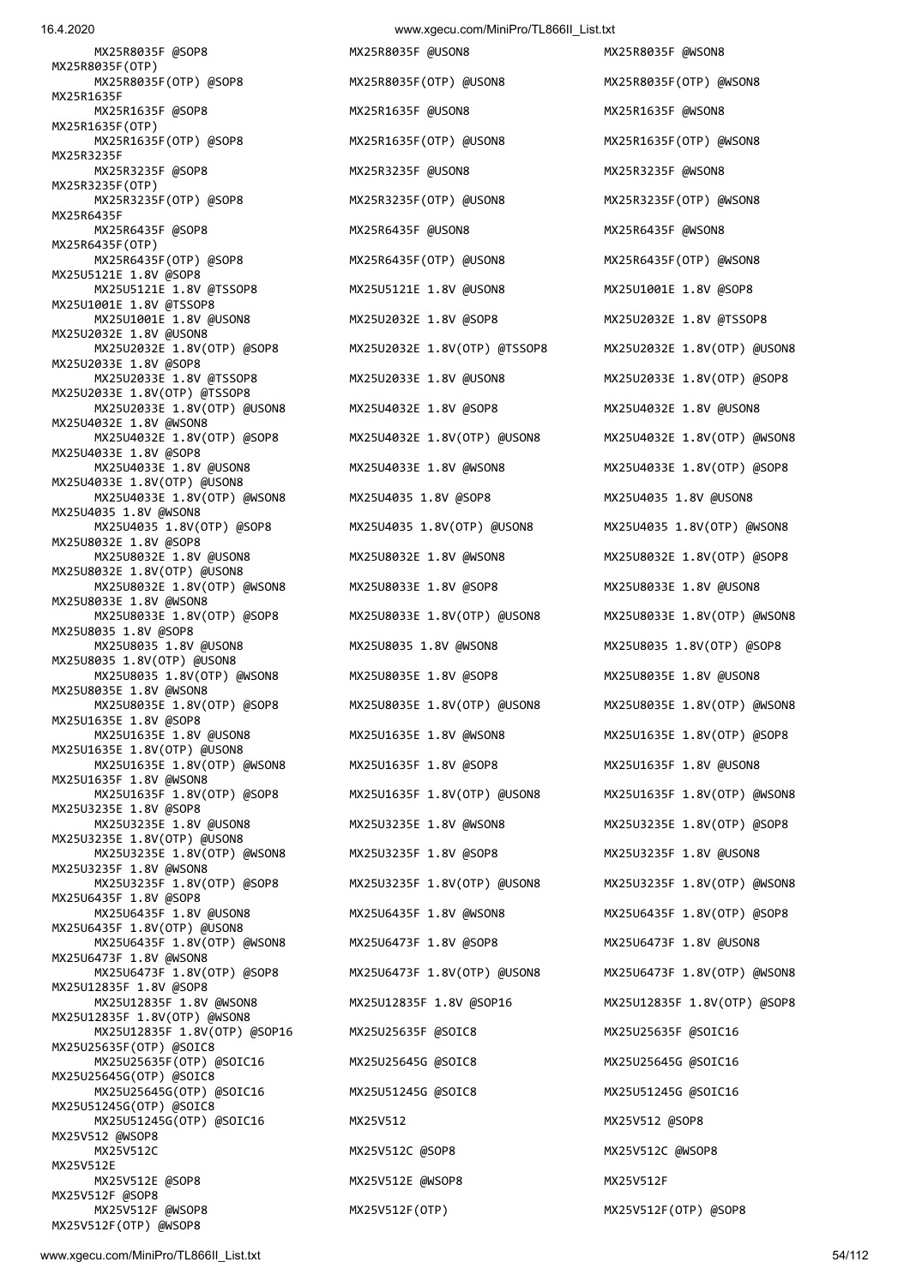16.4.2020 www.xgecu.com/MiniPro/TL866II\_List.txt

 MX25R8035F @SOP8 MX25R8035F @USON8 MX25R8035F @WSON8 MX25R8035F(OTP)<br>MX25R8035F(OTP) @SOP8 MX25R1635F MX25R1635F @SOP8 MX25R1635F @USON8 MX25R1635F @WSON8 MX25R1635F(OTP)<br>MX25R1635F(OTP) @SOP8 MX25R3235F MX25R3235F @SOP8 MX25R3235F @USON8 MX25R3235F @WSON8 MX25R3235F(OTP) MX25R3235F(OTP) @SOP8 MX25R3235F(OTP) @USON8 MX25R3235F(OTP) @WSON8 MX25R6435F MX25R6435F @SOP8 MX25R6435F @USON8 MX25R6435F @WSON8 MX25R6435F(OTP) MX25R6435F(OTP) @SOP8 MX25R6435F(OTP) @USON8 MX25R6435F(OTP) @WSON8 MX25U5121E 1.8V @SOP8 MX25U5121E 1.8V @TSSOP8 MX25U5121E 1.8V @USON8 MX25U1001E 1.8V @SOP8 MX25U1001E 1.8V @TSSOP8 MX25U1001E 1.8V @USON8 MX25U2032E 1.8V @SOP8 MX25U2032E 1.8V @TSSOP8 MX25U2032E 1.8V @USON8 MX25U2032E 1.8V(OTP) @SOP8 MX25U2032E 1.8V(OTP) @TSSOP8 MX25U2032E 1.8V(OTP) @USON8 MX25U2033E 1.8V @SOP8 MX25U2033E 1.8V(OTP) @TSSOP8 MX25U2033E 1.8V(OTP) @USON8 MX25U4032E 1.8V @SOP8 MX25U4032E 1.8V @USON8 MX25U4032E 1.8V @WSON8 MX25U4033E 1.8V @SOP8 MX25U4033E 1.8V @USON8 MX25U4033E 1.8V @WSON8 MX25U4033E 1.8V(OTP) @SOP8 MX25U4033E 1.8V(OTP) @USON8 MX25U4033E 1.8V(OTP) @WSON8 MX25U4035 1.8V @SOP8 MX25U4035 1.8V @USON8 MX25U4035 1.8V @WSON8 MX25U8032E 1.8V @SOP8 MX25U8032E 1.8V @USON8 MX25U8032E 1.8V @WSON8 MX25U8032E 1.8V(OTP) @SOP8 MX25U8032E 1.8V(OTP) @USON8 MX25U8032E 1.8V(OTP) @WSON8 MX25U8033E 1.8V @SOP8 MX25U8033E 1.8V @USON8 MX25U8033E 1.8V @WSON8 MX25U8033E 1.8V(OTP) @SOP8 MX25U8033E 1.8V(OTP) @USON8 MX25U8033E 1.8V(OTP) @WSON8 MX25U8035 1.8V @SOP8 MX25U8035 1.8V @USON8 MX25U8035 1.8V @WSON8 MX25U8035 1.8V(OTP) @SOP8 MX25U8035 1.8V(OTP) @USON8 MX25U8035 1.8V(OTP) @WSON8 MX25U8035E 1.8V @SOP8 MX25U8035E 1.8V @USON8 MX25U8035E 1.8V @WSON8 MX25U8035E 1.8V(OTP) @SOP8 MX25U8035E 1.8V(OTP) @USON8 MX25U8035E 1.8V(OTP) @WSON8 MX25U1635E 1.8V @SOP8 MX25U1635E 1.8V @USON8 MX25U1635E 1.8V @WSON8 MX25U1635E 1.8V(OTP) @SOP8 MX25U1635E 1.8V(OTP) @USON8 MX25U1635E 1.8V(OTP) @WSON8 MX25U1635F 1.8V @SOP8 MX25U1635F 1.8V @USON8 MX25U1635F 1.8V @WSON8 MX25U3235E 1.8V @SOP8 MX25U3235E 1.8V @USON8 MX25U3235E 1.8V @WSON8 MX25U3235E 1.8V(OTP) @SOP8 MX25U3235E 1.8V(OTP) @USON8 MX25U3235E 1.8V(OTP) @WSON8 MX25U3235F 1.8V @SOP8 MX25U3235F 1.8V @USON8 MX25U3235F 1.8V @WSON8 MX25U6435F 1.8V @SOP8<br>MX25U6435F 1.8V @USON8 MX25U6435F 1.8V(OTP) @USON8 MX25U6435F 1.8V(OTP) @WSON8 MX25U6473F 1.8V @SOP8 MX25U6473F 1.8V @USON8 MX25U6473F 1.8V @WSON8 MX25U6473F 1.8V(OTP) @SOP8 MX25U6473F 1.8V(OTP) @USON8 MX25U6473F 1.8V(OTP) @WSON8 MX25U12835F 1.8V @SOP8 MX25U12835F 1.8V(OTP) @WSON8 MX25U12835F 1.8V(OTP) @SOP16 MX25U25635F @SOIC8 MX25U25635F @SOIC16 MX25U25635F(OTP) @SOIC8 MX25U25635F(OTP) @SOIC16 MX25U25645G @SOIC8 MX25U25645G @SOIC16 MX25U25645G(OTP) @SOIC8 MX25U25645G(OTP) @SOIC16 MX25U51245G @SOIC8 MX25U51245G @SOIC16 MX25U51245G(OTP) @SOIC8 MX25U51245G(OTP) @SOIC16 MX25V512 MX25V512 @SOP8 MX25V512 @WSOP8 MX25V512C MX25V512C @SOP8 MX25V512C @WSOP8 MX25V512E<br>MX25V512E @SOP8 MX25V512F @SOP8 MX25V512F @WSOP8 MX25V512F(OTP) MX25V512F(OTP) @SOP8

MX25R8035F(OTP) @USON8 MX25R8035F(OTP) @WSON8 MX25R1635F(OTP) @USON8 MX25R1635F(OTP) @WSON8 MX25U2033E 1.8V @USON8 MX25U2033E 1.8V (OTP) @SOP8 MX25U4035 1.8V(OTP) @USON8 MX25U4035 1.8V(OTP) @WSON8 MX25U6435F 1.8V @WSON8 MX25U6435F 1.8V (OTP) @SOP8 MX25V512E @WSOP8 MX25V512F

 MX25U4032E 1.8V(OTP) @SOP8 MX25U4032E 1.8V(OTP) @USON8 MX25U4032E 1.8V(OTP) @WSON8 MX25U1635F 1.8V(OTP) @USON8 MX25U1635F 1.8V(OTP) @WSON8 MX25U3235F 1.8V(OTP) @USON8 MX25U3235F 1.8V(OTP) @WSON8 MX25U12835F 1.8V @WSON8 MX25U12835F 1.8V @SOP16 MX25U12835F 1.8V(OTP) @SOP8

MX25V512F(OTP) @WSOP8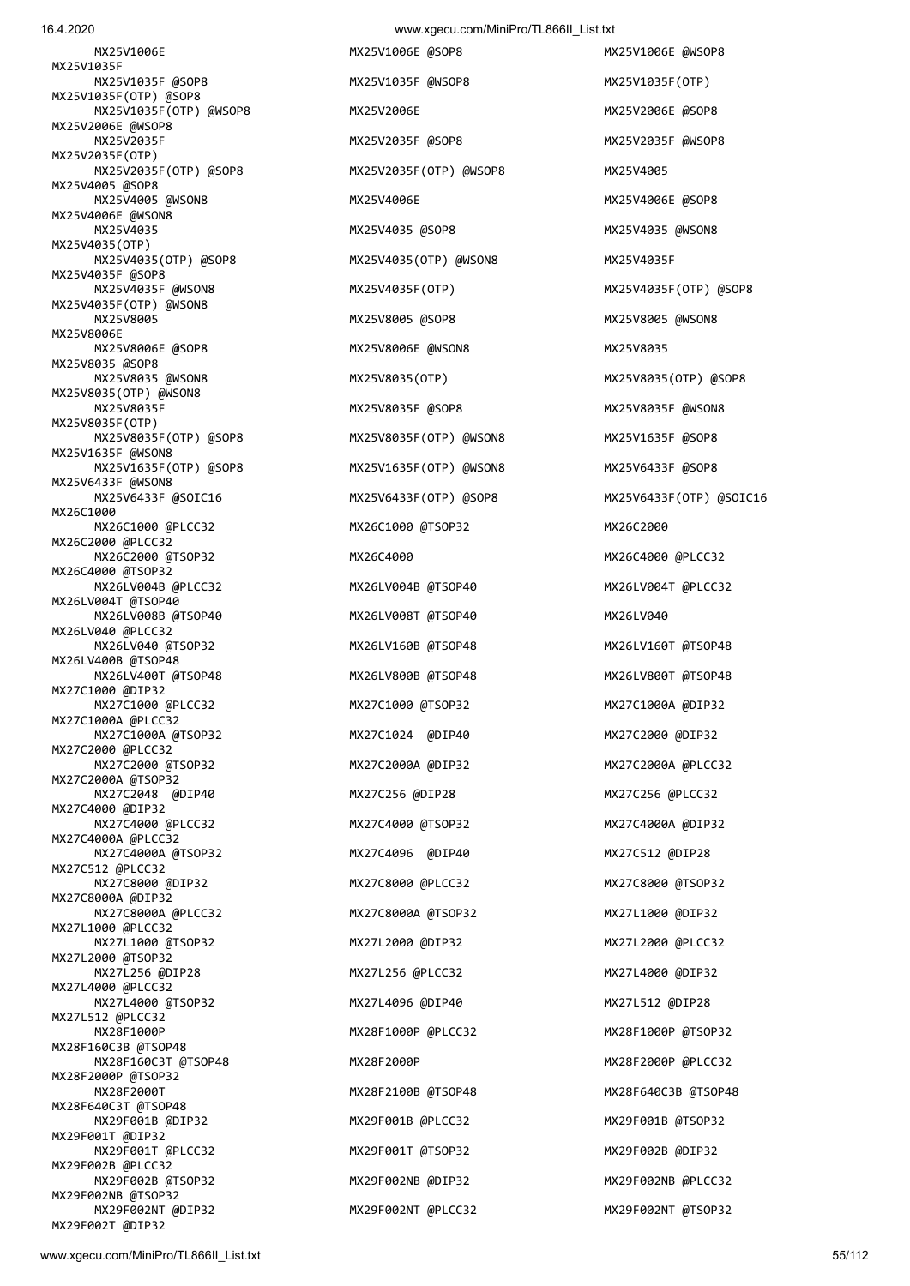MX25V1006E MX25V1006E @SOP8 MX25V1006E @WSOP8 MX25V1035F MX25V1035F @SOP8 MX25V1035F @WSOP8 MX25V1035F(OTP) MX25V1035F(OTP) @SOP8 MX25V1035F(OTP) @WSOP8 MX25V2006E MX25V2006E @SOP8 MX25V2006E @WSOP8 MX25V2035F MX25V2035F @SOP8 MX25V2035F @WSOP8 MX25V2035F(OTP) MX25V2035F(OTP) @SOP8 MX25V2035F(OTP) @WSOP8 MX25V4005 MX25V4005 @SOP8 MX25V4005 @WSON8 MX25V4006E MX25V4006E @SOP8 MX25V4006E @WSON8 MX25V4035 MX25V4035 @SOP8 MX25V4035 @WSON8 MX25V4035(OTP) MX25V4035(OTP) @SOP8 MX25V4035(OTP) @WSON8 MX25V4035F MX25V4035F @SOP8 MX25V4035F @WSON8 MX25V4035F(OTP) MX25V4035F(OTP) @SOP8 MX25V4035F(OTP) @WSON8 MX25V8005 MX25V8005 @SOP8 MX25V8005 @WSON8 MX25V8006E MX25V8006E @SOP8 MX25V8006E @WSON8 MX25V8035 MX25V8035 @SOP8<br>MX25V8035 @WSON8 MX25V8035(OTP) @WSON8 MX25V8035F(OTP) MX25V8035F(OTP) @SOP8 MX25V8035F(OTP) @WSON8 MX25V1635F @SOP8 MX25V1635F @WSON8 MX25V1635F(OTP) @SOP8 MX25V1635F(OTP) @WSON8 MX25V6433F @SOP8 MX25V6433F @WSON8 MX25V6433F @SOIC16 MX25V6433F(OTP) @SOP8 MX25V6433F(OTP) @SOIC16 MX26C1000 MX26C1000 @PLCC32 MX26C1000 @TSOP32 MX26C2000 MX26C2000 @PLCC32 MX26C2000 @TSOP32 MX26C4000 MX26C4000 MX26C4000 MX26C4000 MX26C4000 MX26C4000 MX26C4000 MX26C4000 MX26C4000 MX26C4000 MX26C4000 MX26C4000 MX26C4000 MX26C4000 MX26C4000 MX26C4000 MX26C4000 MX26C4000 MX26C4000 MX26C4000 MX26 MX26C4000 @TSOP32 MX26LV004B @PLCC32 MX26LV004B @TSOP40 MX26LV004T @PLCC32 MX26LV004T @TSOP40 MX26LV008B @TSOP40 MX26LV008T @TSOP40 MX26LV040 MX26LV040 @PLCC32 MX26LV040 @TSOP32 MX26LV160B @TSOP48 MX26LV160T @TSOP48 MX26LV400B @TSOP48 MX26LV400T @TSOP48 MX26LV800B @TSOP48 MX26LV800T @TSOP48 MX27C1000 @DIP32 MX27C1000 @PLCC32 MX27C1000 @TSOP32 MX27C1000A @DIP32 MX27C1000A @PLCC32 MX27C1000A @TSOP32 MX27C1024 @DIP40 MX27C2000 @DIP32 MX27C2000 @PLCC32 MX27C2000 @TSOP32 MX27C2000A @DIP32 MX27C2000A @PLCC32 MX27C2000A @TSOP32 MX27C2048 @DIP40 MX27C256 @DIP28 MX27C256 @PLCC32 MX27C4000 @DIP32 MX27C4000 @PLCC32 MX27C4000 @TSOP32 MX27C4000A @DIP32 MX27C4000A @PLCC32 MX27C4000A @TSOP32 MX27C4096 @DIP40 MX27C512 @DIP28 MX27C512 @PLCC32 MX27C8000 @DIP32 MX27C8000 @PLCC32 MX27C8000 @TSOP32 MX27C8000A @DIP32 MX27C8000A @PLCC32 MX27C8000A @TSOP32 MX27L1000 @DIP32 MX27L1000 @PLCC32 MX27L1000 @TSOP32 MX27L2000 @DIP32 MX27L2000 @PLCC32 MX27L2000 @TSOP32 MX27L256 @DIP28 MX27L256 @PLCC32 MX27L4000 @DIP32 MX27L4000 @PLCC32 MX27L4000 @TSOP32 MX27L4096 @DIP40 MX27L512 @DIP28 MX27L512 @PLCC32 MX28F1000P MX28F1000P @PLCC32 MX28F1000P @TSOP32 MX28F160C3B @TSOP48 MX28F160C3T @TSOP48 MX28F2000P MX28F2000P @PLCC32 MX28F2000P @TSOP32 MX28F2000T MX28F2100B @TSOP48 MX28F640C3B @TSOP48 MX28F640C3T @TSOP48 MX29F001B @DIP32 MX29F001B @PLCC32 MX29F001B @TSOP32 MX29F001T @DIP32 MX29F001T @PLCC32 MX29F001T @TSOP32 MX29F002B @DIP32 MX29F002B @PLCC32 MX29F002B @TSOP32 MX29F002NB @DIP32 MX29F002NB @PLCC32 MX29F002NB @TSOP32

MX25V8035(OTP) MX25V8035(OTP) @SOP8 MX25V8035F @SOP8 MX25V8035F @WSON8 MX29F002NT @DIP32 MX29F002NT @PLCC32 MX29F002NT @TSOP32

MX29F002T @DIP32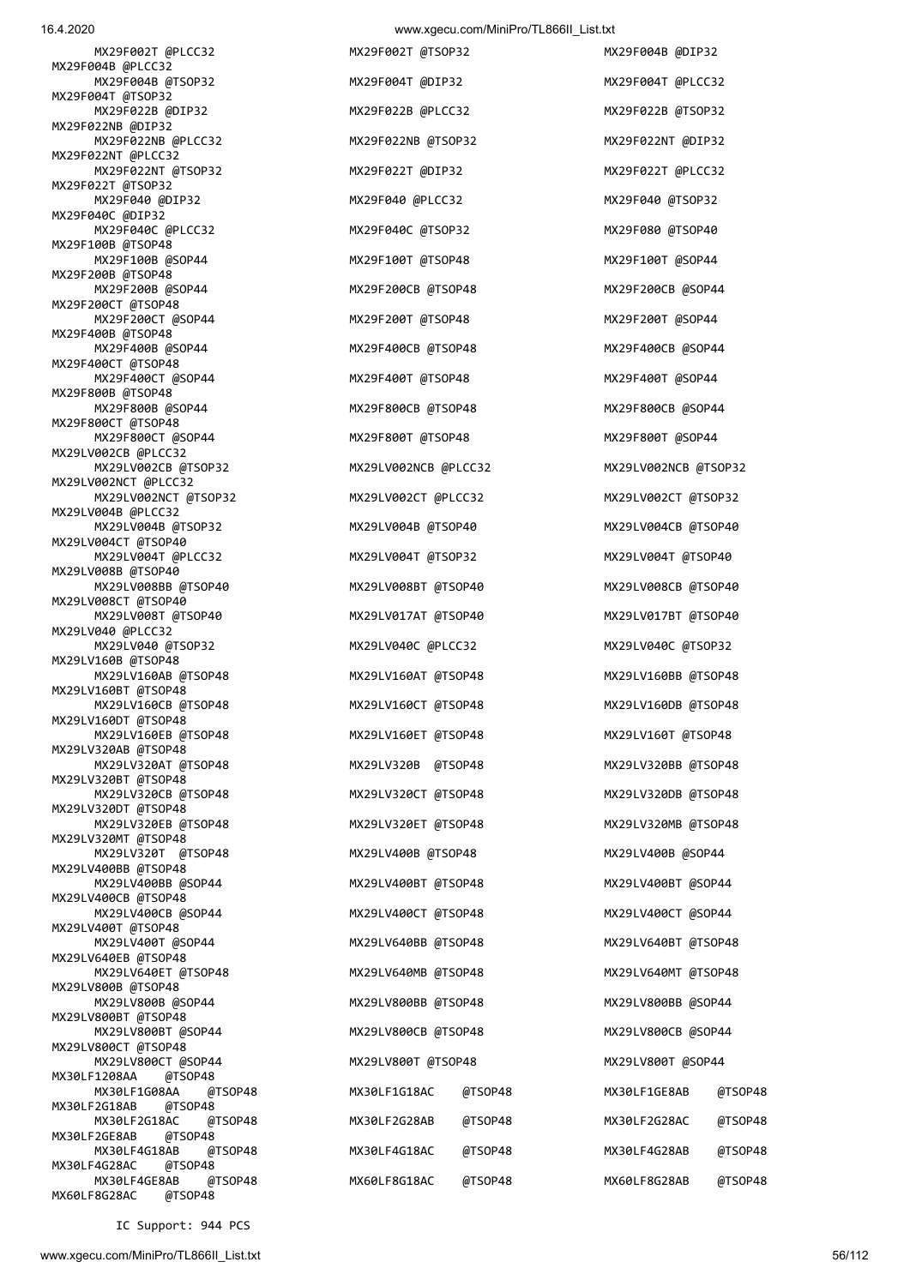MX29F022NT @PLCC32

MX29F022T @TSOP32

MX29F040C @DIP32

MX29F100B @TSOP48

MX29F200B @TSOP48

MX29F200CT @TSOP48

MX29F400B @TSOP48

MX29F400CT @TSOP48

MX29F800CT @TSOP48

MX29LV002CB @PLCC32

MX29LV002NCT @PLCC32

MX29LV004B @PLCC32

MX29LV004CT @TSOP40

MX29LV008B @TSOP40

MX29LV008CT @TSOP40

MX29LV040 @PLCC32

MX29LV160B @TSOP48

MX29LV160BT @TSOP48

MX29LV160DT @TSOP48

MX29LV320AB @TSOP48

MX29LV320BT @TSOP48

MX29LV320DT @TSOP48

MX29LV320MT @TSOP48

MX29LV400BB @TSOP48

MX29LV400CB @TSOP48

MX29LV400T @TSOP48

MX29LV640EB @TSOP48

MX29LV800B @TSOP48

MX29LV800BT @TSOP48

MX29LV800CT @TSOP48

MX30LF2G18AB @TSOP48

MX30LF2GE8AB @TSOP48

MX30LF4G28AC @TSOP48

MX60LF8G28AC @TSOP48

MX30LF1208AA

MX29F800B @TSOP48

16.4.2020 www.xgecu.com/MiniPro/TL866II\_List.txt MX29F002T @PLCC32 MX29F002T @TSOP32 MX29F004B @DIP32 MX29F004B @PLCC32 MX29F004B @TSOP32 MX29F004T @DIP32 MX29F004T @PLCC32 MX29F004T @TSOP32 MX29F022B @DIP32 MX29F022B @PLCC32 MX29F022B @TSOP32 MX29F022NB @DIP32

| MX29F002T @PLCC32<br>004B @PLCC32             | MX29F002T @TSOP32    |         | MX29F004B @DIP32     |         |
|-----------------------------------------------|----------------------|---------|----------------------|---------|
| MX29F004B @TSOP32                             | MX29F004T @DIP32     |         | MX29F004T @PLCC32    |         |
| 004T @TSOP32<br>MX29F022B @DIP32              | MX29F022B @PLCC32    |         | MX29F022B @TSOP32    |         |
| 022NB @DIP32<br>MX29F022NB @PLCC32            | MX29F022NB @TSOP32   |         | MX29F022NT @DIP32    |         |
| 022NT @PLCC32<br>MX29F022NT @TSOP32           | MX29F022T @DIP32     |         | MX29F022T @PLCC32    |         |
| 022T @TSOP32<br>MX29F040 @DIP32               | MX29F040 @PLCC32     |         | MX29F040 @TSOP32     |         |
| 040C @DIP32<br>MX29F040C @PLCC32              | MX29F040C @TSOP32    |         | MX29F080 @TSOP40     |         |
| 100B @TSOP48<br>MX29F100B @SOP44              | MX29F100T @TSOP48    |         | MX29F100T @SOP44     |         |
| 200B @TSOP48<br>MX29F200B @SOP44              | MX29F200CB @TSOP48   |         | MX29F200CB @SOP44    |         |
| 200CT @TSOP48                                 |                      |         |                      |         |
| MX29F200CT @SOP44<br>400B @TSOP48             | MX29F200T @TSOP48    |         | MX29F200T @SOP44     |         |
| MX29F400B @SOP44<br>400CT @TSOP48             | MX29F400CB @TSOP48   |         | MX29F400CB @SOP44    |         |
| MX29F400CT @SOP44<br>800B @TSOP48             | MX29F400T @TSOP48    |         | MX29F400T @SOP44     |         |
| MX29F800B @SOP44<br>800CT @TSOP48             | MX29F800CB @TSOP48   |         | MX29F800CB @SOP44    |         |
| MX29F800CT @SOP44<br>V002CB @PLCC32           | MX29F800T @TSOP48    |         | MX29F800T @SOP44     |         |
| MX29LV002CB @TSOP32<br>V002NCT @PLCC32        | MX29LV002NCB @PLCC32 |         | MX29LV002NCB @TSOP32 |         |
| MX29LV002NCT @TSOP32                          | MX29LV002CT @PLCC32  |         | MX29LV002CT @TSOP32  |         |
| V004B @PLCC32<br>MX29LV004B @TSOP32           | MX29LV004B @TSOP40   |         | MX29LV004CB @TSOP40  |         |
| V004CT @TSOP40<br>MX29LV004T @PLCC32          | MX29LV004T @TSOP32   |         | MX29LV004T @TSOP40   |         |
| /008B @TSOP40<br>MX29LV008BB @TSOP40          | MX29LV008BT @TSOP40  |         | MX29LV008CB @TSOP40  |         |
| <b>V008CT @TSOP40</b><br>MX29LV008T @TSOP40   | MX29LV017AT @TSOP40  |         | MX29LV017BT @TSOP40  |         |
| V040 @PLCC32<br>MX29LV040 @TSOP32             | MX29LV040C @PLCC32   |         | MX29LV040C @TSOP32   |         |
| V160B @TSOP48<br>MX29LV160AB @TSOP48          | MX29LV160AT @TSOP48  |         | MX29LV160BB @TSOP48  |         |
| V160BT @TSOP48<br>MX29LV160CB @TSOP48         | MX29LV160CT @TSOP48  |         | MX29LV160DB @TSOP48  |         |
| V160DT @TSOP48<br>MX29LV160EB @TSOP48         | MX29LV160ET @TSOP48  |         | MX29LV160T @TSOP48   |         |
| V320AB @TSOP48                                |                      |         |                      |         |
| MX29LV320AT @TSOP48<br>V320BT @TSOP48         | MX29LV320B @TSOP48   |         | MX29LV320BB @TSOP48  |         |
| MX29LV320CB @TSOP48<br>V320DT @TSOP48         | MX29LV320CT @TSOP48  |         | MX29LV320DB @TSOP48  |         |
| MX29LV320EB @TSOP48<br>V320MT @TSOP48         | MX29LV320ET @TSOP48  |         | MX29LV320MB @TSOP48  |         |
| MX29LV320T @TSOP48<br>/400BB @TSOP48          | MX29LV400B @TSOP48   |         | MX29LV400B @SOP44    |         |
| MX29LV400BB @SOP44<br>/400CB @TSOP48          | MX29LV400BT @TSOP48  |         | MX29LV400BT @SOP44   |         |
| MX29LV400CB @SOP44<br>V400T @TSOP48           | MX29LV400CT @TSOP48  |         | MX29LV400CT @SOP44   |         |
| MX29LV400T @SOP44<br>V640EB @TSOP48           | MX29LV640BB @TSOP48  |         | MX29LV640BT @TSOP48  |         |
| MX29LV640ET @TSOP48<br><b>V800B @TSOP48</b>   | MX29LV640MB @TSOP48  |         | MX29LV640MT @TSOP48  |         |
| MX29LV800B @SOP44                             | MX29LV800BB @TSOP48  |         | MX29LV800BB @SOP44   |         |
| V800BT @TSOP48<br>MX29LV800BT @SOP44          | MX29LV800CB @TSOP48  |         | MX29LV800CB @SOP44   |         |
| /800CT @TSOP48<br>MX29LV800CT @SOP44          | MX29LV800T @TSOP48   |         | MX29LV800T @SOP44    |         |
| F1208AA<br>@TSOP48<br>MX30LF1G08AA<br>@TSOP48 | MX30LF1G18AC         | @TSOP48 | MX30LF1GE8AB         | @TSOP48 |
| F2G18AB<br>@TSOP48<br>MX30LF2G18AC<br>@TSOP48 | MX30LF2G28AB         | @TSOP48 | MX30LF2G28AC         | @TSOP48 |
| F2GE8AB<br>@TSOP48<br>MX30LF4G18AB<br>@TSOP48 | MX30LF4G18AC         | @TSOP48 | MX30LF4G28AB         | @TSOP48 |
| F4G28AC @TSOP48                               |                      |         |                      |         |

MX29F800CB @SOP44 MX30LF4GE8AB @TSOP48 MX60LF8G18AC @TSOP48 MX60LF8G28AB @TSOP48

IC Support: 944 PCS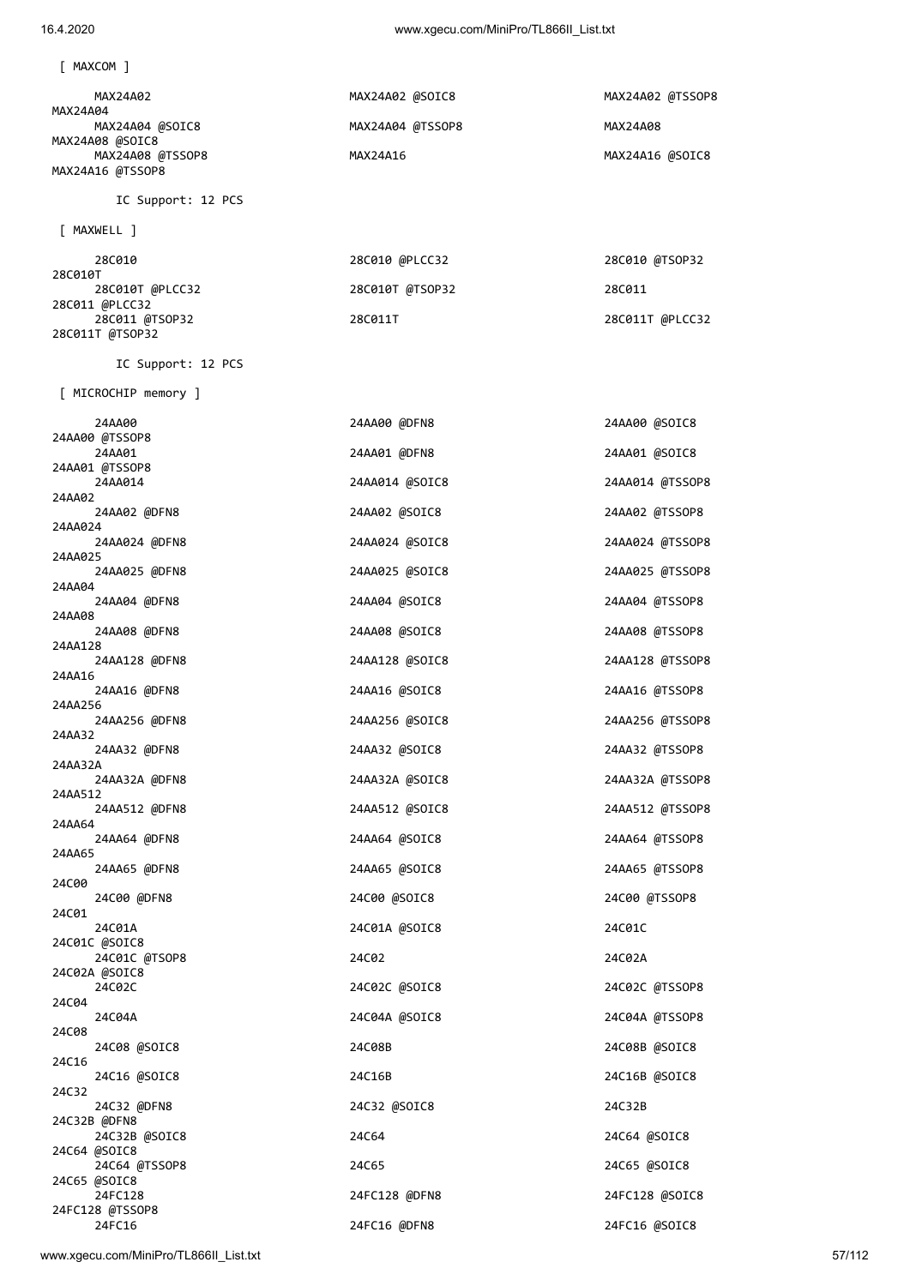[ MAXCOM ]

| MAX24A02         | MAX24A02 @SOIC8  | MAX24A02 @TSSOP8 |
|------------------|------------------|------------------|
| MAX24A04         |                  |                  |
| MAX24A04 @SOIC8  | MAX24A04 @TSSOP8 | MAX24A08         |
| MAX24A08 @SOIC8  |                  |                  |
| MAX24A08 @TSSOP8 | MAX24A16         | MAX24A16 @SOIC8  |
| MAX24A16 @TSSOP8 |                  |                  |

IC Support: 12 PCS

IC Support: 12 PCS

[ MAXWELL ]

| 28C010          | 28C010 @PLCC32  | 28C010 @TSOP32  |
|-----------------|-----------------|-----------------|
| 28C010T         |                 |                 |
| 28C010T @PLCC32 | 28C010T @TSOP32 | 28C011          |
| 28C011 @PLCC32  |                 |                 |
| 28C011 @TSOP32  | 28C011T         | 28C011T @PLCC32 |
| 28C011T @TSOP32 |                 |                 |

 [ MICROCHIP memory ] 24AA00 24AA00 @DFN8 24AA00 @SOIC8 24AA00 @TSSOP8 24AA01 24AA01 @DFN8 24AA01 @SOIC8 24AA01 @TSSOP8 24AA014 24AA014 @SOIC8 24AA014 @TSSOP8 24AA02 24AA02 @DFN8 24AA02 @SOIC8 24AA02 @TSSOP8 24AA024<br>24AA024 @DFN8 24AA024 @SOIC8 24AA024 @TSSOP8 24AA025 @DFN8<br>24AA025 @DFN8 24AA025 @SOIC8 24AA025 @TSSOP8 24AA04<br>24AA04 @DFN8 24AA04 @SOIC8 24AA04 @TSSOP8 24AA08<br>24AA08 @DFN8 24AA08 @SOIC8 24AA08 @TSSOP8 24AA128<br>24AA128 @DFN8 24AA128 @SOIC8 24AA128 @TSSOP8 24AA16<br>24AA16 @DFN8 24AA16 @SOIC8 24AA16 @TSSOP8 24AA256 24AA256 @DFN8 24AA256 @SOIC8 24AA256 @TSSOP8 24AA32<br>24AA32 @DFN8 24AA32 @SOIC8 24AA32 @TSSOP8 24AA32A<br>24AA32A @DFN8 24AA32A @SOIC8 24AA32A @TSSOP8 24AA512 24AA512 @DFN8 24AA512 @SOIC8 24AA512 @TSSOP8 24AA64 24AA64 @DFN8 24AA64 @SOIC8 24AA64 @TSSOP8 24AA65 24AA65 @DFN8 24AA65 @SOIC8 24AA65 @TSSOP8 24C00 24C00 @DFN8 24C00 @SOIC8 24C00 @TSSOP8 24C01<br>24C01A 24C01A 24C01A @SOIC8 24C01C 24C01C @SOIC8 24C01C @TSOP8 24C02 24C02 24C02A 24C02A @SOIC8 24C02C 24C02C @SOIC8 24C02C @TSSOP8 24C04<br>24C04A 24C04A 24C04A @SOIC8 24C04A @TSSOP8 24C08 24C08B 24C08B 24C08B 250IC8 24C16 @SOIC8<br>24C16 @SOIC8 24C16B 24C16B 24C16B 24C16B 24C16B 24C32 24C32 @DFN8 24C32 @SOIC8 24C32B 24C32B @DFN8 24C32B @SOIC8 24C64 24C64 @SOIC8 24C64 @SOIC8

24FC16 24FC16 @DFN8 24FC16 @SOIC8

 24C64 @TSSOP8 24C65 24C65 @SOIC8 24FC128 24FC128 @DFN8 24FC128 @SOIC8

24C65 @SOIC8

24FC128 @TSSOP8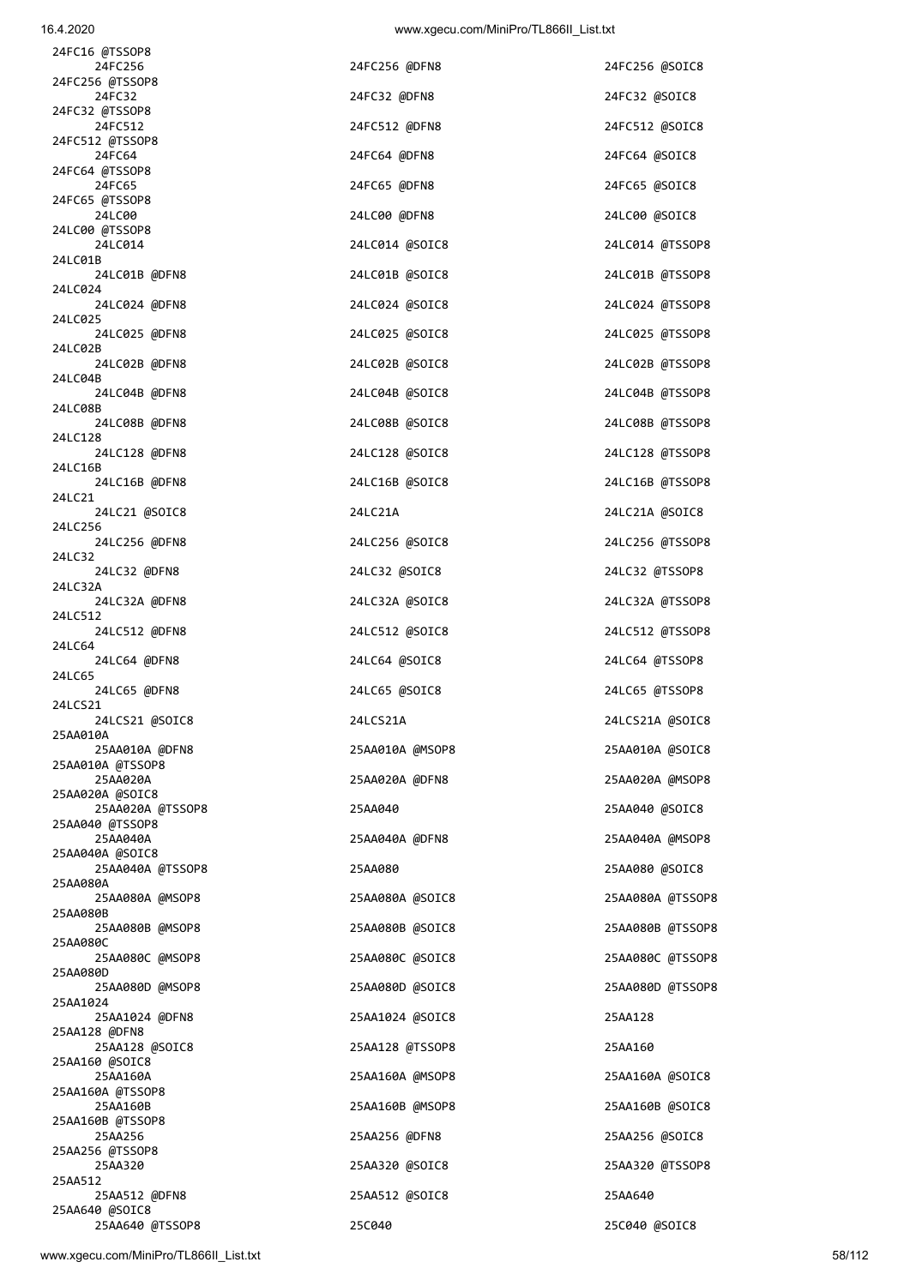| 24FC16 @TSSOP8                      |                 |                  |
|-------------------------------------|-----------------|------------------|
| 24FC256<br>24FC256 @TSSOP8          | 24FC256 @DFN8   | 24FC256 @SOIC8   |
| 24FC32<br>24FC32 @TSSOP8            | 24FC32 @DFN8    | 24FC32 @SOIC8    |
| 24FC512<br>24FC512 @TSSOP8          | 24FC512 @DFN8   | 24FC512 @SOIC8   |
| 24FC64                              | 24FC64 @DFN8    | 24FC64 @SOIC8    |
| 24FC64 @TSSOP8<br>24FC65            | 24FC65 @DFN8    | 24FC65 @SOIC8    |
| 24FC65 @TSSOP8<br>24LC00            | 24LC00 @DFN8    | 24LC00 @SOIC8    |
| 24LC00 @TSSOP8<br>24LC014           | 24LC014 @SOIC8  | 24LC014 @TSSOP8  |
| 24LC01B<br>24LC01B @DFN8            | 24LC01B @SOIC8  | 24LC01B @TSSOP8  |
| 24LC024<br>24LC024 @DFN8            | 24LC024 @SOIC8  | 24LC024 @TSSOP8  |
| 24LC025<br>24LC025 @DFN8            | 24LC025 @SOIC8  | 24LC025 @TSSOP8  |
| 24LC02B                             |                 |                  |
| 24LC02B @DFN8<br>24LC04B            | 24LC02B @SOIC8  | 24LC02B @TSSOP8  |
| 24LC04B @DFN8<br>24LC08B            | 24LC04B @SOIC8  | 24LC04B @TSSOP8  |
| 24LC08B @DFN8<br>24LC128            | 24LC08B @SOIC8  | 24LC08B @TSSOP8  |
| 24LC128 @DFN8<br>24LC16B            | 24LC128 @SOIC8  | 24LC128 @TSSOP8  |
| 24LC16B @DFN8<br>24LC21             | 24LC16B @SOIC8  | 24LC16B @TSSOP8  |
| 24LC21 @SOIC8                       | 24LC21A         | 24LC21A @SOIC8   |
| 24LC256<br>24LC256 @DFN8            | 24LC256 @SOIC8  | 24LC256 @TSSOP8  |
| 24LC32<br>24LC32 @DFN8              | 24LC32 @SOIC8   | 24LC32 @TSSOP8   |
| 24LC32A<br>24LC32A @DFN8            | 24LC32A @SOIC8  | 24LC32A @TSSOP8  |
| 24LC512<br>24LC512 @DFN8            | 24LC512 @SOIC8  | 24LC512 @TSSOP8  |
| 24LC64<br>24LC64 @DFN8              | 24LC64 @SOIC8   | 24LC64 @TSSOP8   |
| 24LC65<br>24LC65 @DFN8              | 24LC65 @SOIC8   | 24LC65 @TSSOP8   |
| 24LCS21<br>24LCS21 @SOIC8           | 24LCS21A        | 24LCS21A @SOIC8  |
| 25AA010A<br>25AA010A @DFN8          | 25AA010A @MSOP8 | 25AA010A @SOIC8  |
| 25AA010A @TSSOP8<br>25AA020A        | 25AA020A @DFN8  | 25AA020A @MSOP8  |
| 25AA020A @SOIC8<br>25AA020A @TSSOP8 | 25AA040         | 25AA040 @SOIC8   |
| 25AA040 @TSSOP8<br>25AA040A         | 25AA040A @DFN8  | 25AA040A @MSOP8  |
| 25AA040A @SOIC8                     |                 |                  |
| 25AA040A @TSSOP8<br>25AA080A        | 25AA080         | 25AA080 @SOIC8   |
| 25AA080A @MSOP8<br>25AA080B         | 25AA080A @SOIC8 | 25AA080A @TSSOP8 |
| 25AA080B @MSOP8<br>25AA080C         | 25AA080B @SOIC8 | 25AA080B @TSSOP8 |
| 25AA080C @MSOP8<br>25AA080D         | 25AA080C @SOIC8 | 25AA080C @TSSOP8 |
| 25AA080D @MSOP8<br>25AA1024         | 25AA080D @SOIC8 | 25AA080D @TSSOP8 |
| 25AA1024 @DFN8                      | 25AA1024 @SOIC8 | 25AA128          |
| 25AA128 @DFN8<br>25AA128 @SOIC8     | 25AA128 @TSSOP8 | 25AA160          |
| 25AA160 @SOIC8<br>25AA160A          | 25AA160A @MSOP8 | 25AA160A @SOIC8  |
| 25AA160A @TSSOP8<br>25AA160B        | 25AA160B @MSOP8 | 25AA160B @SOIC8  |
| 25AA160B @TSSOP8<br>25AA256         | 25AA256 @DFN8   | 25AA256 @SOIC8   |
| 25AA256 @TSSOP8<br>25AA320          | 25AA320 @SOIC8  | 25AA320 @TSSOP8  |
| 25AA512<br>25AA512 @DFN8            | 25AA512 @SOIC8  | 25AA640          |
| 25AA640 @SOIC8                      |                 |                  |

25AA640 @TSSOP8 25C040 25C040 @SOIC8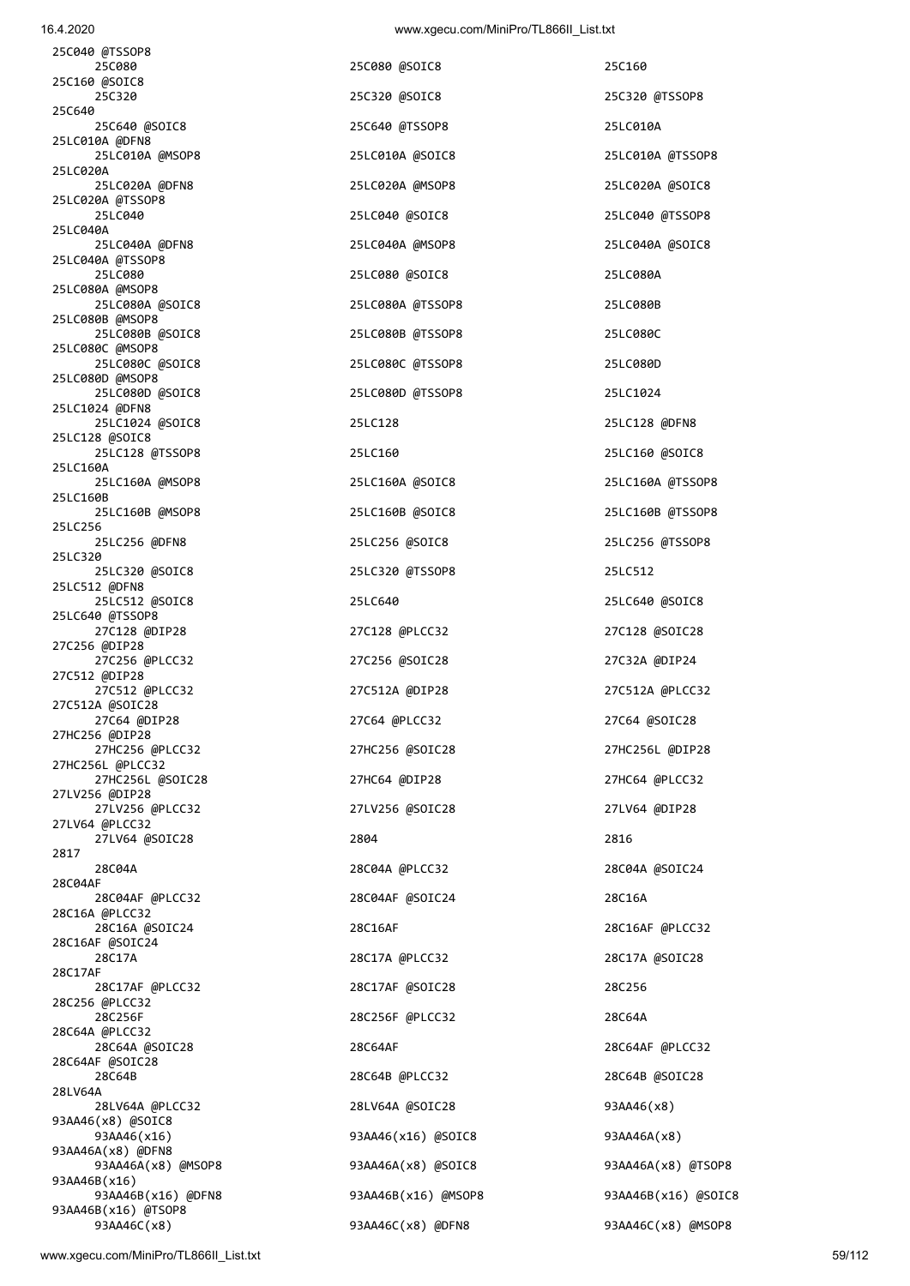| 25C040 @TSSOP8<br>25C080                  | 25C080 @SOIC8       | 25C160              |
|-------------------------------------------|---------------------|---------------------|
| 25C160 @SOIC8<br>25C320                   | 25C320 @SOIC8       | 25C320 @TSSOP8      |
| 25C640<br>25C640 @SOIC8                   | 25C640 @TSSOP8      | 25LC010A            |
| 25LC010A @DFN8<br>25LC010A @MSOP8         | 25LC010A @SOIC8     | 25LC010A @TSSOP8    |
| 25LC020A<br>25LC020A @DFN8                | 25LC020A @MSOP8     | 25LC020A @SOIC8     |
| 25LC020A @TSSOP8<br>25LC040               | 25LC040 @SOIC8      | 25LC040 @TSSOP8     |
| 25LC040A<br>25LC040A @DFN8                | 25LC040A @MSOP8     | 25LC040A @SOIC8     |
| 25LC040A @TSSOP8<br>25LC080               | 25LC080 @SOIC8      | 25LC080A            |
| 25LC080A @MSOP8<br>25LC080A @SOIC8        | 25LC080A @TSSOP8    | 25LC080B            |
| 25LC080B @MSOP8<br>25LC080B @SOIC8        | 25LC080B @TSSOP8    | 25LC080C            |
| 25LC080C @MSOP8<br>25LC080C @SOIC8        | 25LC080C @TSSOP8    | 25LC080D            |
| 25LC080D @MSOP8                           | 25LC080D @TSSOP8    |                     |
| 25LC080D @SOIC8<br>25LC1024 @DFN8         |                     | 25LC1024            |
| 25LC1024 @SOIC8<br>25LC128 @SOIC8         | 25LC128             | 25LC128 @DFN8       |
| 25LC128 @TSSOP8<br>25LC160A               | 25LC160             | 25LC160 @SOIC8      |
| 25LC160A @MSOP8<br>25LC160B               | 25LC160A @SOIC8     | 25LC160A @TSSOP8    |
| 25LC160B @MSOP8<br>25LC256                | 25LC160B @SOIC8     | 25LC160B @TSSOP8    |
| 25LC256 @DFN8<br>25LC320                  | 25LC256 @SOIC8      | 25LC256 @TSSOP8     |
| 25LC320 @SOIC8<br>25LC512 @DFN8           | 25LC320 @TSSOP8     | 25LC512             |
| 25LC512 @SOIC8<br>25LC640 @TSSOP8         | 25LC640             | 25LC640 @SOIC8      |
| 27C128 @DIP28<br>27C256 @DIP28            | 27C128 @PLCC32      | 27C128 @SOIC28      |
| 27C256 @PLCC32<br>27C512 @DIP28           | 27C256 @SOIC28      | 27C32A @DIP24       |
| 27C512 @PLCC32<br>27C512A @SOIC28         | 27C512A @DIP28      | 27C512A @PLCC32     |
| 27C64 @DIP28<br>27HC256 @DIP28            | 27C64 @PLCC32       | 27C64 @SOIC28       |
| 27HC256 @PLCC32                           | 27HC256 @SOIC28     | 27HC256L @DIP28     |
| 27HC256L @PLCC32<br>27HC256L @SOIC28      | 27HC64 @DIP28       | 27HC64 @PLCC32      |
| 27LV256 @DIP28<br>27LV256 @PLCC32         | 27LV256 @SOIC28     | 27LV64 @DIP28       |
| 27LV64 @PLCC32<br>27LV64 @SOIC28          | 2804                | 2816                |
| 2817<br>28C04A                            | 28C04A @PLCC32      | 28C04A @SOIC24      |
| 28C04AF<br>28C04AF @PLCC32                | 28C04AF @SOIC24     | 28C16A              |
| 28C16A @PLCC32<br>28C16A @SOIC24          | 28C16AF             | 28C16AF @PLCC32     |
| 28C16AF @SOIC24<br>28C17A                 | 28C17A @PLCC32      | 28C17A @SOIC28      |
| 28C17AF<br>28C17AF @PLCC32                | 28C17AF @SOIC28     | 28C256              |
| 28C256 @PLCC32<br>28C256F                 | 28C256F @PLCC32     | 28C64A              |
| 28C64A @PLCC32<br>28C64A @SOIC28          | 28C64AF             | 28C64AF @PLCC32     |
| 28C64AF @SOIC28<br>28C64B                 | 28C64B @PLCC32      | 28C64B @SOIC28      |
| 28LV64A<br>28LV64A @PLCC32                | 28LV64A @SOIC28     | 93AA46(x8)          |
| 93AA46(x8) @SOIC8<br>93AA46(x16)          | 93AA46(x16) @SOIC8  | 93AA46A(x8)         |
| 93AA46A(x8) @DFN8<br>93AA46A(x8) @MSOP8   | 93AA46A(x8) @SOIC8  | 93AA46A(x8) @TSOP8  |
| 93AA46B(x16)                              |                     |                     |
| 93AA46B(x16) @DFN8<br>93AA46B(x16) @TSOP8 | 93AA46B(x16) @MSOP8 | 93AA46B(x16) @SOIC8 |
| 93AA46C(x8)                               | 93AA46C(x8) @DFN8   | 93AA46C(x8) @MSOP8  |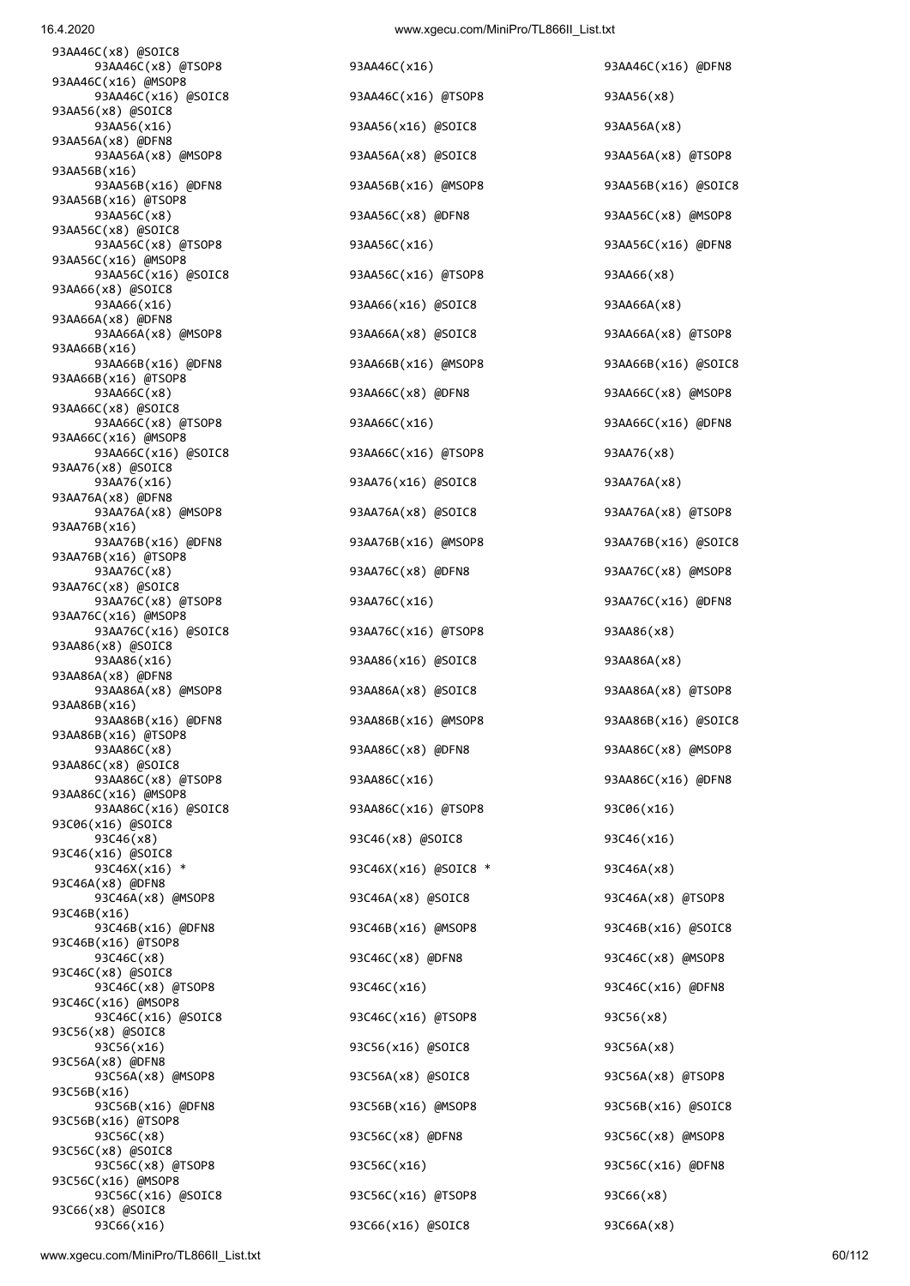93AA46C(x8) @SOIC8 93AA46C(x8) @TSOP8 93AA46C(x16) 93AA46C(x16) @DFN8 93AA46C(x16) @MSOP8 93AA46C(x16) @SOIC8 93AA46C(x16) @TSOP8 93AA56(x8) 93AA56(x8) @SOIC8 93AA56(x16) 93AA56(x16) 93AA56(x16) 93AA56A(x8) 93AA56A(x8) @DFN8 93AA56A(x8) @MSOP8 93AA56A(x8) @SOIC8 93AA56A(x8) @TSOP8 93AA56B(x16) 93AA56B(x16) @DFN8 93AA56B(x16) @MSOP8 93AA56B(x16) @SOIC8 93AA56B(x16) @TSOP8 93AA56C(x8) @SOIC8 93AA56C(x8) @TSOP8 93AA56C(x16) 93AA56C(x16) @DFN8 93AA56C(x16) @MSOP8 93AA56C(x16) @SOIC8 93AA56C(x16) @TSOP8 93AA66(x8) 93AA66(x8) @SOIC8 93AA66(x16) 93AA66(x16) @SOIC8 93AA66A(x8) 93AA66A(x8) @DFN8 93AA66A(x8) @MSOP8 93AA66A(x8) @SOIC8 93AA66A(x8) @TSOP8 93AA66B(x16) 93AA66B(x16) @DFN8 93AA66B(x16) @MSOP8 93AA66B(x16) @SOIC8 93AA66B(x16) @TSOP8 93AA66C(x8) 93AA66C(x8) @DFN8 93AA66C(x8) @MSOP8 93AA66C(x8) @SOIC8 93AA66C(x8) @TSOP8 93AA66C(x16) 93AA66C(x16) @DFN8 93AA66C(x16) @MSOP8 93AA66C(x16) @SOIC8 93AA66C(x16) @TSOP8 93AA76(x8) 93AA76(x8) @SOIC8 93AA76(x16) 93AA76(x16) @SOIC8 93AA76A(x8) 93AA76A(x8) @DFN8 93AA76A(x8) @MSOP8 93AA76A(x8) @SOIC8 93AA76A(x8) @TSOP8 93AA76B(x16) 93AA76B(x16) @DFN8 93AA76B(x16) @MSOP8 93AA76B(x16) @SOIC8 93AA76B(x16) @TSOP8 93AA76C(x8) 93AA76C(x8) @DFN8 93AA76C(x8) @MSOP8 93AA76C(x8) @SOIC8 93AA76C(x8) @TSOP8 93AA76C(x16) 93AA76C(x16) @DFN8 93AA76C(x16) @MSOP8 93AA76C(x16) @SOIC8 93AA76C(x16) @TSOP8 93AA86(x8) 93AA86(x8) @SOIC8 93AA86(x16) 93AA86(x16) 93AA86(x16) 93AA86A(x8) 93AA86A(x8) @DFN8 93AA86A(x8) @MSOP8 93AA86A(x8) @SOIC8 93AA86A(x8) @TSOP8 93AA86B(x16) 93AA86B(x16) @DFN8 93AA86B(x16) @MSOP8 93AA86B(x16) @SOIC8 93AA86B(x16) @TSOP8 93AA86C(x8) 93AA86C(x8) @DFN8 93AA86C(x8) @MSOP8 93AA86C(x8) @SOIC8 93AA86C(x8) @TSOP8 93AA86C(x16) 93AA86C(x16) @DFN8 93AA86C(x16) @MSOP8 93AA86C(x16) @SOIC8 93AA86C(x16) @TSOP8 93C06(x16) 93C06(x16) @SOIC8 93C46(x8) 93C46(x8) @SOIC8 93C46(x16) 93C46(x16) @SOIC8 93C46X(x16) \* 93C46X(x16) @SOIC8 \* 93C46A(x8) 93C46A(x8) @DFN8 93C46A(x8) @MSOP8 93C46A(x8) @SOIC8 93C46A(x8) @TSOP8 93C46B(x16) 93C46B(x16) @DFN8 93C46B(x16) @MSOP8 93C46B(x16) @SOIC8 93C46B(x16) @TSOP8 93C46C(x8) 93C46C(x8) @DFN8 93C46C(x8) @MSOP8 93C46C(x8) @SOIC8 93C46C(x8) @TSOP8 93C46C(x16) 93C46C(x16) @DFN8 93C46C(x16) @MSOP8 93C46C(x16) @SOIC8 93C46C(x16) @TSOP8 93C56(x8) 93C56(x8) @SOIC8 93C56(x16) 93C56(x16) @SOIC8 93C56A(x8) 93C56A(x8) @DFN8 93C56A(x8) @MSOP8 93C56A(x8) @SOIC8 93C56A(x8) @TSOP8 93C56B(x16) 93C56B(x16) @DFN8 93C56B(x16) @MSOP8 93C56B(x16) @SOIC8 93C56B(x16) @TSOP8 93C56C(x8) 93C56C(x8) @DFN8 93C56C(x8) @MSOP8 93C56C(x8) @SOIC8 93C56C(x8) @TSOP8 93C56C(x16) 93C56C(x16) @DFN8 93C56C(x16) @MSOP8 93C56C(x16) @SOIC8 93C56C(x16) @TSOP8 93C66(x8) 93C66(x8) @SOIC8

 93AA56C(x8) 93AA56C(x8) @DFN8 93AA56C(x8) @MSOP8 93C66(x16) 93C66(x16) @SOIC8 93C66A(x8)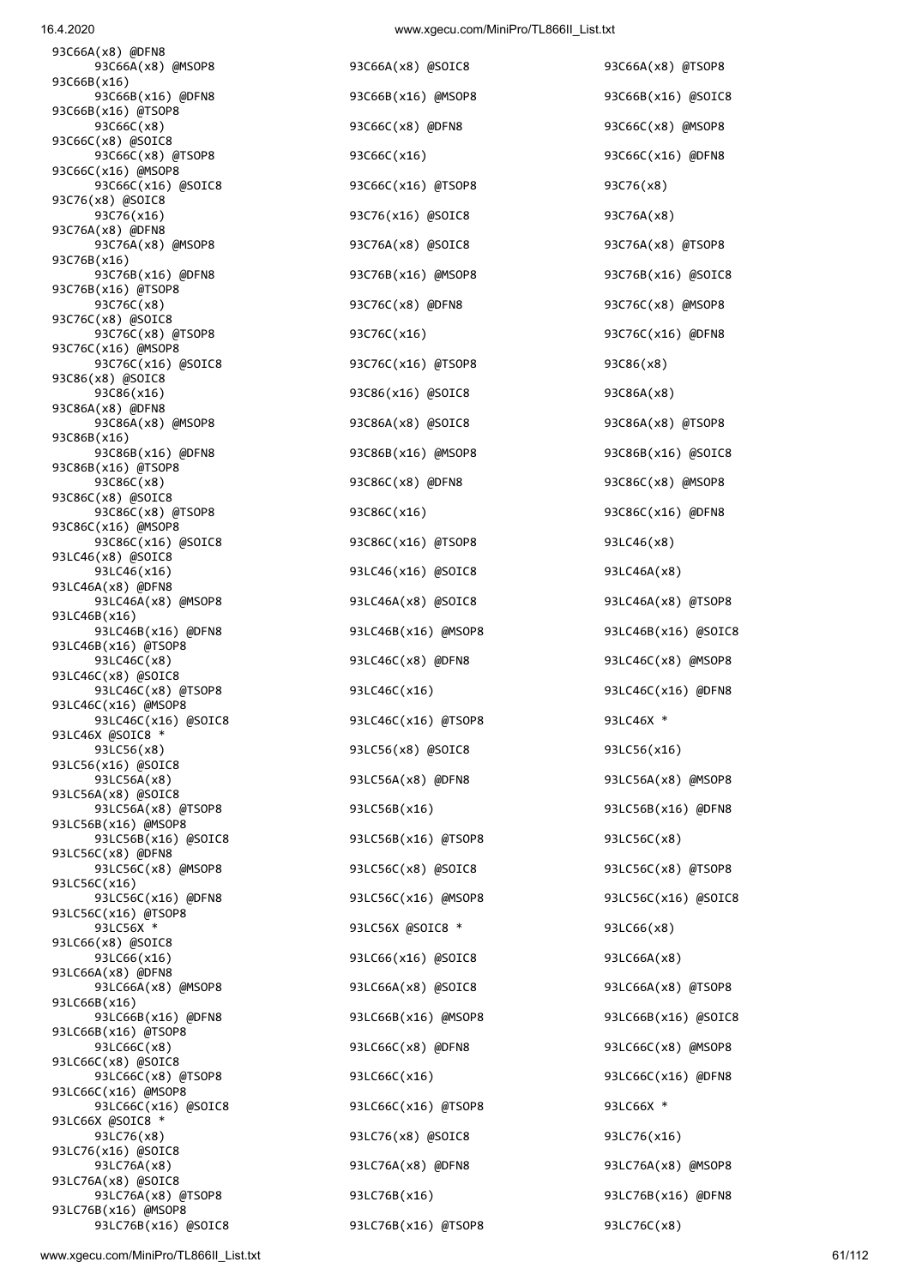16.4.2020 www.xgecu.com/MiniPro/TL866II\_List.txt

93C66A(x8) @DFN8 93C66A(x8) @MSOP8 93C66A(x8) @SOIC8 93C66A(x8) @TSOP8 93C66B(x16) 93C66B(x16) @DFN8 93C66B(x16) @MSOP8 93C66B(x16) @SOIC8 93C66B(x16) @TSOP8 93C66C(x8) 93C66C(x8) @DFN8 93C66C(x8) @MSOP8 93C66C(x8) @SOIC8 93C66C(x8) @TSOP8 93C66C(x16) 93C66C(x16) @DFN8 93C66C(x16) @MSOP8 93C66C(x16) @SOIC8 93C66C(x16) @TSOP8 93C76(x8) 93C76(x8) @SOIC8 93C76(x16) 93C76(x16) 93C76(x16) @SOIC8 93C76A(x8) 93C76A(x8) @DFN8 93C76A(x8) @MSOP8 93C76A(x8) @SOIC8 93C76A(x8) @TSOP8 93C76B(x16) 93C76B(x16) @DFN8 93C76B(x16) @MSOP8 93C76B(x16) @SOIC8 93C76B(x16) @TSOP8 93C76C(x8) 93C76C(x8) @DFN8 93C76C(x8) @MSOP8 93C76C(x8) @SOIC8 93C76C(x8) @TSOP8 93C76C(x16) 93C76C(x16) @DFN8 93C76C(x16) @MSOP8 93C76C(x16) @SOIC8 93C76C(x16) @TSOP8 93C86(x8) 93C86(x8) @SOIC8 93C86(x16) 93C86(x16) @SOIC8 93C86A(x8) 93C86A(x8) @DFN8 93C86A(x8) @MSOP8 93C86A(x8) @SOIC8 93C86A(x8) @TSOP8 93C86B(x16) 93C86B(x16) @DFN8 93C86B(x16) @MSOP8 93C86B(x16) @SOIC8 93C86B(x16) @TSOP8 93C86C(x8) 93C86C(x8) @DFN8 93C86C(x8) @MSOP8 93C86C(x8) @SOIC8 93C86C(x8) @TSOP8 93C86C(x16) 93C86C(x16) @DFN8 93C86C(x16) @MSOP8 93C86C(x16) @SOIC8 93C86C(x16) @TSOP8 93LC46(x8) 93LC46(x8) @SOIC8 93LC46(x16) 93LC46(x16) 93LC46(x16) @SOIC8 93LC46A(x8) 93LC46A(x8) @DFN8 93LC46A(x8) @MSOP8 93LC46A(x8) @SOIC8 93LC46A(x8) @TSOP8 93LC46B(x16) 93LC46B(x16) @DFN8 93LC46B(x16) @MSOP8 93LC46B(x16) @SOIC8 93LC46B(x16) @TSOP8 93LC46C(x8) @SOIC8 93LC46C(x8) @TSOP8 93LC46C(x16) 93LC46C(x16) @DFN8 93LC46C(x16) @MSOP8 93LC46C(x16) @SOIC8 93LC46C(x16) @TSOP8 93LC46X \* 93LC46X @SOIC8 \* 93LC56(x8) 93LC56(x8) @SOIC8 93LC56(x16) 93LC56(x16) @SOIC8 93LC56A(x8) 93LC56A(x8) @DFN8 93LC56A(x8) @MSOP8 93LC56A(x8) @SOIC8 93LC56A(x8) @TSOP8 93LC56B(x16) 93LC56B(x16) @DFN8 93LC56B(x16) @MSOP8 93LC56B(x16) @SOIC8 93LC56B(x16) @TSOP8 93LC56C(x8) 93LC56C(x8) @DFN8 93LC56C(x8) @MSOP8 93LC56C(x8) @SOIC8 93LC56C(x8) @TSOP8 93LC56C(x16) 93LC56C(x16) @DFN8 93LC56C(x16) @MSOP8 93LC56C(x16) @SOIC8 93LC56C(x16) @TSOP8 93LC56X \* 93LC56X @SOIC8 \* 93LC66(x8) 93LC66(x8) @SOIC8 93LC66(x16) 93LC66(x16) @SOIC8 93LC66A(x8) 93LC66A(x8) @DFN8 93LC66A(x8) @MSOP8 93LC66A(x8) @SOIC8 93LC66A(x8) @TSOP8 93LC66B(x16) 93LC66B(x16) @DFN8 93LC66B(x16) @MSOP8 93LC66B(x16) @SOIC8 93LC66B(x16) @TSOP8 93LC66C(x8) 93LC66C(x8) @DFN8 93LC66C(x8) @MSOP8 93LC66C(x8) @SOIC8 93LC66C(x8) @TSOP8 93LC66C(x16) 93LC66C(x16) @DFN8 93LC66C(x16) @MSOP8 93LC66C(x16) @SOIC8 93LC66C(x16) @TSOP8 93LC66X \* 93LC66X @SOIC8 \* 93LC76(x8) 93LC76(x8) 93LC76(x8) 93LC76(x8) 93LC76(x16) 93LC76(x16) @SOIC8 93LC76A(x8) 93LC76A(x8) @DFN8 93LC76A(x8) @MSOP8 93LC76A(x8) @SOIC8 93LC76A(x8) @TSOP8 93LC76B(x16) 93LC76B(x16) @DFN8 93LC76B(x16) @MSOP8

 93LC46C(x8) 93LC46C(x8) @DFN8 93LC46C(x8) @MSOP8 93LC76B(x16) @SOIC8 93LC76B(x16) @TSOP8 93LC76C(x8)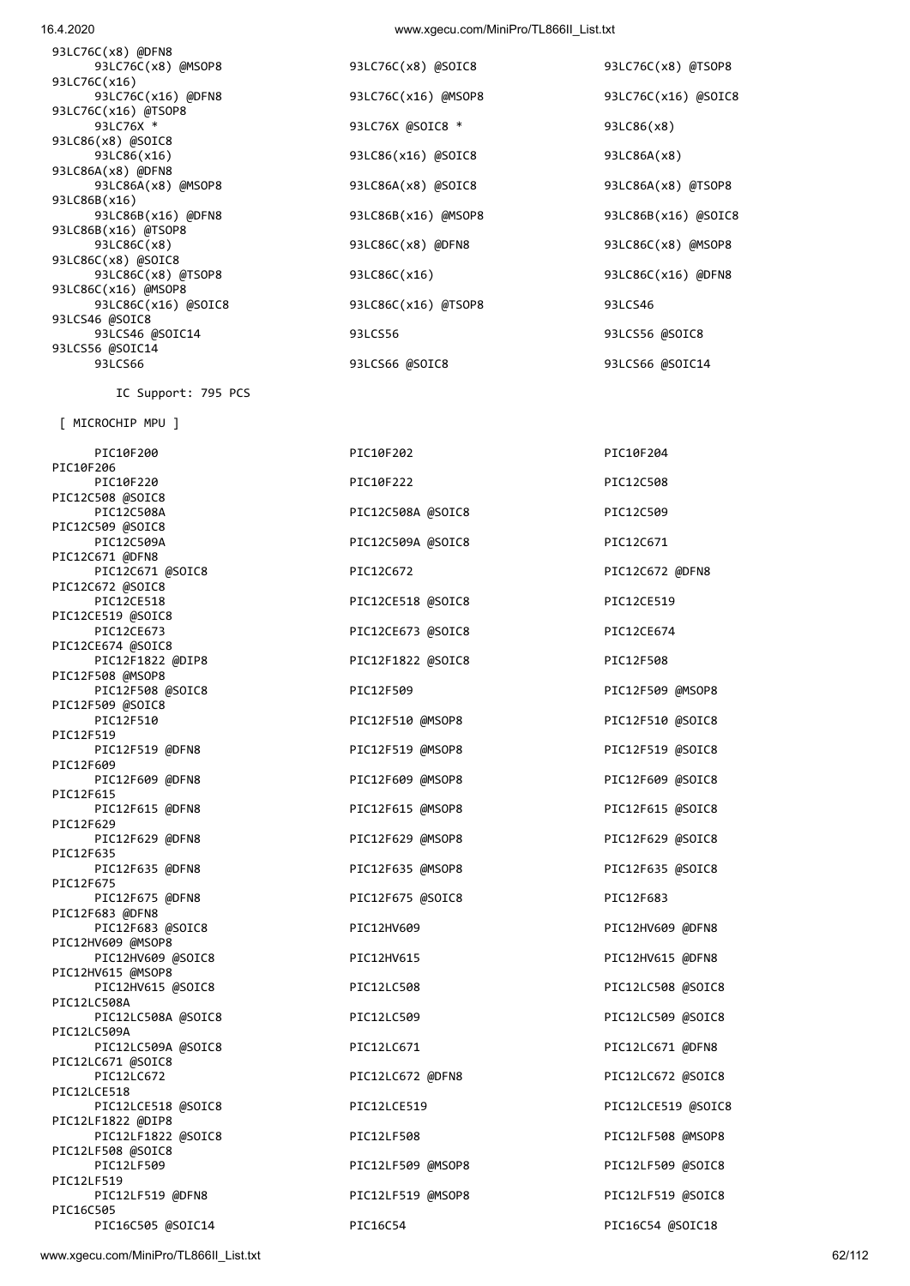www.xgecu.com/MiniPro/TL866II\_List.txt 62/112

PIC10F206 PIC10F220 PIC10F222 PIC10F222 PIC10F222 PIC12C508 @SOIC8 PIC12C508A PIC12C508A @SOIC8 PIC12C509 PIC12C509 @SOIC8 PIC12C509A PIC12C509A @SOIC8 PIC12C671 PIC12C671 @DFN8 PIC12C671 @SOIC8 PIC12C672 PIC12C672 @DFN8 PIC12C672 @SOIC8 PIC12CE518 PIC12CE518 @SOIC8 PIC12CE519 PIC12CE519 @SOIC8 PIC12CE674 @SOIC8<br>PIC12F1822 @DIP8 PIC12F508 @MSOP8<br>PIC12F508 @SOIC8 PIC12F509 @SOIC8 PIC12F510 PIC12F510 @MSOP8 PIC12F510 @SOIC8 PIC12F519 PIC12F519 @DFN8 PIC12F519 @MSOP8 PIC12F519 @SOIC8 PIC12F609 PIC12F609 @DFN8 PIC12F609 @MSOP8 PIC12F609 PIC12F609 @SOIC8 PIC12F615 PIC12F615 @DFN8 PIC12F615 @MSOP8 PIC12F615 @SOIC8 PIC12F629 PIC12F629 @DFN8 PIC12F629 @MSOP8 PIC12F629 @SOIC8 PIC12F635 PIC12F635 @DFN8 PIC12F635 @MSOP8 PIC12F635 @SOIC8 PIC12F675 PIC12F675 @DFN8 PIC12F675 @SOIC8 PIC12F683 PIC12F683 @DFN8 PIC12F683 @SOIC8 PIC12HV609 PIC12HV609 @DFN8 PIC12HV609 @MSOP8 PIC12HV609 @SOIC8 PIC12HV615 PIC12HV615 PIC12HV615 @DFN8 PIC12HV615 @MSOP8 PIC12HV615 @SOIC8 PIC12LC508 PIC12LC508 PIC12LC508 @SOIC8 PIC12LC508A PIC12LC508A @SOIC8 PIC12LC509 PIC12LC509 PIC12LC509 @SOIC8 PIC12LC509A PIC12LC509A @SOIC8 PIC12LC671 PIC12LC671 PIC12LC671 @SOIC8 PIC12LCE518 PIC12LCE518 @SOIC8 PIC12LCE519 PIC12LCE519 @SOIC8 PIC12LF1822 @DIP8 PIC12LF1822 @SOIC8 PIC12LF508 PIC12LF508 PIC12LF508 PIC12LF508 PIC12LF508 PIC12LF508 PIC12LF508 PIC12LF508 PIC12LF508 PIC12LF508 PIC12LF508 PIC12LF508 PIC12LF508 PIC12LF508 PIC12LF508 PIC12LF508 PIC12LF508 PIC12LF508 PIC12 PIC12LF508 @SOIC8 PIC12LF509 PIC12LF509 @MSOP8 PIC12LF509 @SOIC8 PIC12LF519 PIC12LF519 @DFN8 PIC12LF519 @MSOP8 PIC12LF519 @SOIC8 PIC16C505

PIC12CE673 @SOIC8 PIC12CE674 PIC12F1822 @SOIC8 PIC12F508 PIC16C505 @SOIC14 PIC16C54 PIC16C54 @SOIC18

 PIC10F200 PIC10F202 PIC10F204 PIC12F509 **DIC12F509 PIC12F509 @MSOP8** PIC12LC672 PIC12LC672 @DFN8 PIC12LC672 @SOIC8

[ MICROCHIP MPU ]

IC Support: 795 PCS

93LC76C(x8) @DFN8 93LC76C(x16) 93LC76C(x16) @TSOP8 93LC86(x8) @SOIC8 93LC86A(x8) @DFN8 93LC86B(x16) 93LC86B(x16) @TSOP8<br>93LC86C(x8) 93LC86C(x8) @SOIC8 93LC86C(x16) @MSOP8 93LCS46 @SOIC8 93LCS56 @SOIC14

93LC76C(x8) @MSOP8 93LC76C(x8) @SOIC8 93LC76C(x8) @TSOP8 93LC76C(x16) @DFN8 93LC76C(x16) @MSOP8 93LC76C(x16) @SOIC8 93LC76X \* 93LC76X @SOIC8 \* 93LC86(x8) 93LC86(x16) 93LC86(x16) 93LC86(x16) 93CC86(x16) 93LC86A(x8) 93LC86A(x8) @MSOP8 93LC86A(x8) @SOIC8 93LC86A(x8) @TSOP8 93LC86B(x16) @DFN8 93LC86B(x16) @MSOP8 93LC86B(x16) @SOIC8 93LC86C(x8) 93LC86C(x8) @DFN8 93LC86C(x8) @MSOP8 93LC86C(x8) @TSOP8 93LC86C(x16) 93LC86C(x16) @DFN8 93LC86C(x16) @SOIC8 93LC86C(x16) @TSOP8 93LCS46 93LCS46 @SOIC14 93LCS56 93LCS56 @SOIC8 93LCS66 93LCS66 @SOIC8 93LCS66 @SOIC14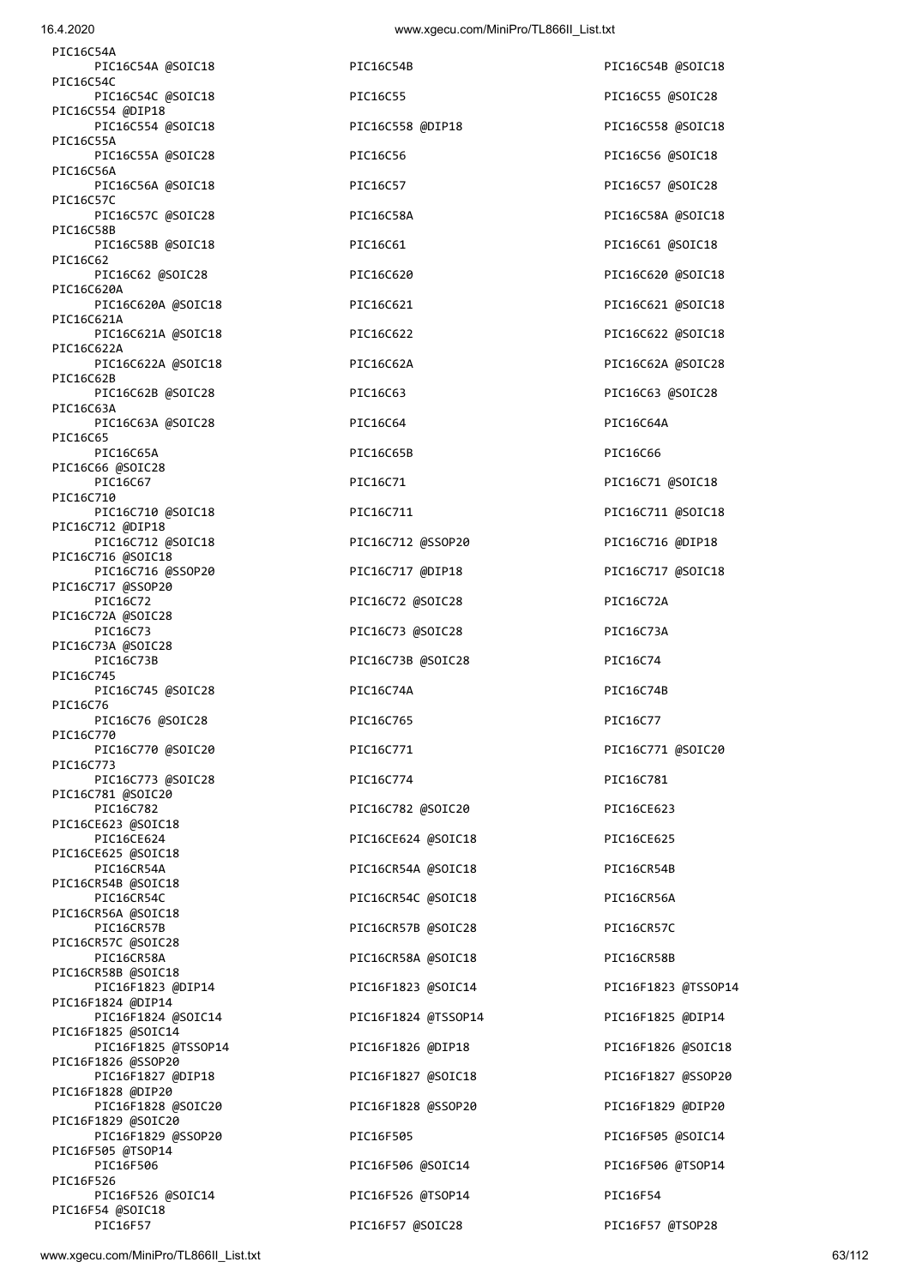| PIC16C54A                                |                     |             |
|------------------------------------------|---------------------|-------------|
| PIC16C54A @SOIC18<br>PIC16C54C           | PIC16C54B           | PIC16C54B @ |
| PIC16C54C @SOIC18<br>PIC16C554 @DIP18    | PIC16C55            | PIC16C55 @S |
| PIC16C554 @SOIC18<br>PIC16C55A           | PIC16C558 @DIP18    | PIC16C558 @ |
| PIC16C55A @SOIC28                        | PIC16C56            | PIC16C56 @S |
| PIC16C56A<br>PIC16C56A @SOIC18           | PIC16C57            | PIC16C57 @S |
| PIC16C57C<br>PIC16C57C @SOIC28           | PIC16C58A           | PIC16C58A @ |
| PIC16C58B<br>PIC16C58B @SOIC18           | PIC16C61            | PIC16C61 @S |
| PIC16C62<br>PIC16C62 @SOIC28             | PIC16C620           | PIC16C620 @ |
| PIC16C620A<br>PIC16C620A @SOIC18         | PIC16C621           | PIC16C621 @ |
| PIC16C621A<br>PIC16C621A @SOIC18         | PIC16C622           | PIC16C622 @ |
| PIC16C622A                               |                     |             |
| PIC16C622A @SOIC18<br>PIC16C62B          | PIC16C62A           | PIC16C62A @ |
| PIC16C62B @SOIC28<br>PIC16C63A           | PIC16C63            | PIC16C63 @S |
| PIC16C63A @SOIC28<br>PIC16C65            | PIC16C64            | PIC16C64A   |
| PIC16C65A<br>PIC16C66 @SOIC28            | PIC16C65B           | PIC16C66    |
| PIC16C67<br>PIC16C710                    | PIC16C71            | PIC16C71 @S |
| PIC16C710 @SOIC18<br>PIC16C712 @DIP18    | PIC16C711           | PIC16C711 ( |
| PIC16C712 @SOIC18                        | PIC16C712 @SSOP20   | PIC16C716 ( |
| PIC16C716 @SOIC18<br>PIC16C716 @SSOP20   | PIC16C717 @DIP18    | PIC16C717 @ |
| PIC16C717 @SSOP20<br>PIC16C72            | PIC16C72 @SOIC28    | PIC16C72A   |
| PIC16C72A @SOIC28<br>PIC16C73            | PIC16C73 @SOIC28    | PIC16C73A   |
| PIC16C73A @SOIC28<br>PIC16C73B           | PIC16C73B @SOIC28   | PIC16C74    |
| PIC16C745<br>PIC16C745 @SOIC28           | PIC16C74A           | PIC16C74B   |
| PIC16C76<br>PIC16C76 @SOIC28             | PIC16C765           | PIC16C77    |
| PIC16C770<br>PIC16C770 @SOIC20           | PIC16C771           | PIC16C771 ( |
| PIC16C773<br>PIC16C773 @SOIC28           | PIC16C774           | PIC16C781   |
| PIC16C781 @SOIC20<br>PIC16C782           | PIC16C782 @SOIC20   | PIC16CE623  |
| PIC16CE623 @SOIC18                       |                     |             |
| PIC16CE624<br>PIC16CE625 @SOIC18         | PIC16CE624 @SOIC18  | PIC16CE625  |
| PIC16CR54A<br>PIC16CR54B @SOIC18         | PIC16CR54A @SOIC18  | PIC16CR54B  |
| PIC16CR54C<br>PIC16CR56A @SOIC18         | PIC16CR54C @SOIC18  | PIC16CR56A  |
| PIC16CR57B<br>PIC16CR57C @SOIC28         | PIC16CR57B @SOIC28  | PIC16CR57C  |
| PIC16CR58A<br>PIC16CR58B @SOIC18         | PIC16CR58A @SOIC18  | PIC16CR58B  |
| PIC16F1823 @DIP14<br>PIC16F1824 @DIP14   | PIC16F1823 @SOIC14  | PIC16F1823  |
| PIC16F1824 @SOIC14<br>PIC16F1825 @SOIC14 | PIC16F1824 @TSSOP14 | PIC16F1825  |
| PIC16F1825 @TSSOP14                      | PIC16F1826 @DIP18   | PIC16F1826  |
| PIC16F1826 @SSOP20<br>PIC16F1827 @DIP18  | PIC16F1827 @SOIC18  | PIC16F1827  |
| PIC16F1828 @DIP20<br>PIC16F1828 @SOIC20  | PIC16F1828 @SSOP20  | PIC16F1829  |
| PIC16F1829 @SOIC20<br>PIC16F1829 @SSOP20 | PIC16F505           | PIC16F505 @ |
| PIC16F505 @TSOP14<br>PIC16F506           | PIC16F506 @SOIC14   | PIC16F506 @ |
| PIC16F526<br>PIC16F526 @SOIC14           | PIC16F526 @TSOP14   | PIC16F54    |
| PIC16F54 @SOIC18<br>PIC16F57             | PIC16F57 @SOIC28    | PIC16F57 @1 |
|                                          |                     |             |

| PIC16C54B           | PIC16C54B @SOIC18 |
|---------------------|-------------------|
| PIC16C55            | PIC16C55 @SOIC28  |
| PIC16C558 @DIP18    | PIC16C558 @SOIC18 |
| PIC16C56            | PIC16C56 @SOIC18  |
| PIC16C57            | PIC16C57 @SOIC28  |
| PIC16C58A           | PIC16C58A @SOIC18 |
| PIC16C61            | PIC16C61 @SOIC18  |
| PIC16C620           | PIC16C620 @SOIC18 |
| PIC16C621           | PIC16C621 @SOIC18 |
| PIC16C622           | PIC16C622 @SOIC18 |
| PIC16C62A           | PIC16C62A @SOIC2  |
| PIC16C63            | PIC16C63 @SOIC28  |
| PIC16C64            | PIC16C64A         |
| PIC16C65B           | PIC16C66          |
| PIC16C71            | PIC16C71 @SOIC18  |
| PIC16C711           | PIC16C711 @SOIC18 |
| PIC16C712 @SSOP20   | PIC16C716 @DIP18  |
| PIC16C717 @DIP18    | PIC16C717 @SOIC18 |
| PIC16C72 @SOIC28    | PIC16C72A         |
| PIC16C73 @SOIC28    | PIC16C73A         |
| PIC16C73B @SOIC28   | PIC16C74          |
| PIC16C74A           | PIC16C74B         |
| PIC16C765           | PIC16C77          |
| PIC16C771           | PIC16C771 @SOIC20 |
| PIC16C774           | PIC16C781         |
| PIC16C782 @SOIC20   | PIC16CE623        |
| PIC16CE624 @SOIC18  | PIC16CE625        |
| PIC16CR54A @SOIC18  | PIC16CR54B        |
| PIC16CR54C @SOIC18  | PIC16CR56A        |
| PIC16CR57B @SOIC28  | PIC16CR57C        |
| PIC16CR58A @SOIC18  | PIC16CR58B        |
| PIC16F1823 @SOIC14  | PIC16F1823 @TSS0I |
| PIC16F1824 @TSSOP14 | PIC16F1825 @DIP14 |
| PIC16F1826 @DIP18   | PIC16F1826 @SOIC: |
| PIC16F1827 @SOIC18  | PIC16F1827 @SSOP: |
| PIC16F1828 @SSOP20  | PIC16F1829 @DIP2  |
| PIC16F505           | PIC16F505 @SOIC14 |
| PIC16F506 @SOIC14   | PIC16F506 @TSOP14 |
| PIC16F526 @TSOP14   | PIC16F54          |
| PIC16F57 @SOIC28    | PIC16F57 @TSOP28  |

PIC16C54B @SOIC18 PIC16C55 @SOIC28 PIC16C558 @SOIC18 PIC16C56 @SOIC18 PIC16C57 @SOIC28 PIC16C58A @SOIC18 PIC16C61 @SOIC18 PIC16C620 @SOIC18 PIC16C621 @SOIC18 PIC16C622 @SOIC18 PIC16C62A @SOIC28 PIC16C63 @SOIC28 PIC16C64A PIC16C71 @SOIC18 PIC16C711 @SOIC18 PIC16C716 @DIP18 PIC16C717 @SOIC18 PIC16C771 @SOIC20 PIC16C781 PIC16CE623 PIC16CE625 PIC16CR54B PIC16CR56A PIC16CR57C PIC16CR58B PIC16F1823 @TSSOP14 PIC16F1825 @DIP14 PIC16F1826 @SOIC18 PIC16F1827 @SSOP20 PIC16F1829 @DIP20 PIC16F505 @SOIC14 PIC16F506 @TSOP14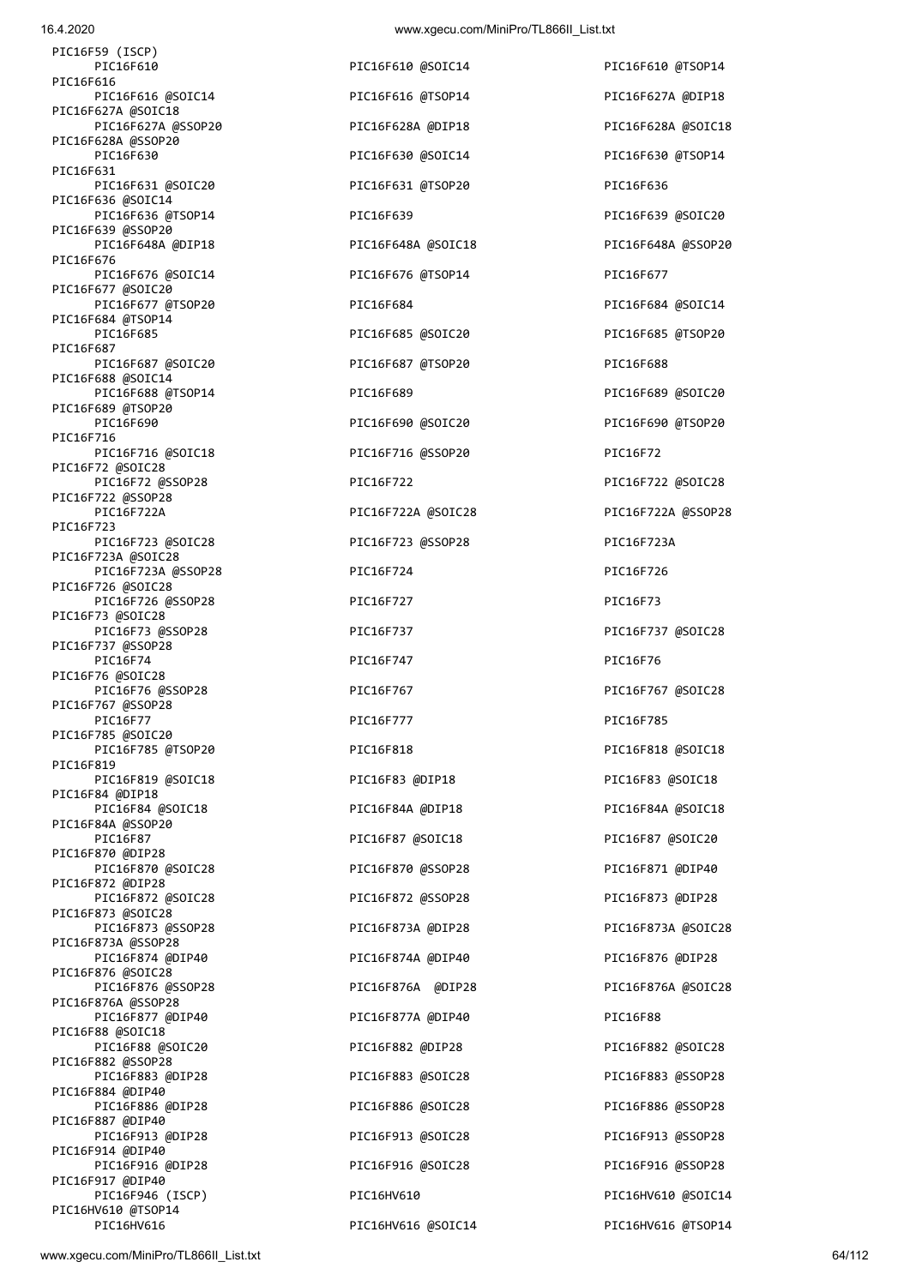16.4.2020 www.xgecu.com/MiniPro/TL866II\_List.txt

| PIC16F59 (ISCP)                          |                    |             |
|------------------------------------------|--------------------|-------------|
| PIC16F610<br>PIC16F616                   | PIC16F610 @SOIC14  | PIC16F610 @ |
| PIC16F616 @SOIC14                        | PIC16F616 @TSOP14  | PIC16F627A  |
| PIC16F627A @SOIC18<br>PIC16F627A @SSOP20 | PIC16F628A @DIP18  | PIC16F628A  |
| PIC16F628A @SSOP20<br>PIC16F630          | PIC16F630 @SOIC14  | PIC16F630 @ |
| PIC16F631<br>PIC16F631 @SOIC20           | PIC16F631 @TSOP20  | PIC16F636   |
| PIC16F636 @SOIC14<br>PIC16F636 @TSOP14   | PIC16F639          | PIC16F639 @ |
| PIC16F639 @SSOP20<br>PIC16F648A @DIP18   | PIC16F648A @SOIC18 | PIC16F648A  |
| PIC16F676                                |                    |             |
| PIC16F676 @SOIC14<br>PIC16F677 @SOIC20   | PIC16F676 @TSOP14  | PIC16F677   |
| PIC16F677 @TSOP20<br>PIC16F684 @TSOP14   | PIC16F684          | PIC16F684 @ |
| PIC16F685<br>PIC16F687                   | PIC16F685 @SOIC20  | PIC16F685 @ |
| PIC16F687 @SOIC20<br>PIC16F688 @SOIC14   | PIC16F687 @TSOP20  | PIC16F688   |
| PIC16F688 @TSOP14<br>PIC16F689 @TSOP20   | PIC16F689          | PIC16F689 @ |
| PIC16F690<br>PIC16F716                   | PIC16F690 @SOIC20  | PIC16F690 @ |
| PIC16F716 @SOIC18                        | PIC16F716 @SSOP20  | PIC16F72    |
| PIC16F72 @SOIC28<br>PIC16F72 @SSOP28     | PIC16F722          | PIC16F722 @ |
| PIC16F722 @SSOP28<br>PIC16F722A          | PIC16F722A @SOIC28 | PIC16F722A  |
| PIC16F723<br>PIC16F723 @SOIC28           | PIC16F723 @SSOP28  | PIC16F723A  |
| PIC16F723A @SOIC28<br>PIC16F723A @SSOP28 | PIC16F724          | PIC16F726   |
| PIC16F726 @SOIC28<br>PIC16F726 @SSOP28   | PIC16F727          | PIC16F73    |
| PIC16F73 @SOIC28<br>PIC16F73 @SSOP28     | PIC16F737          | PIC16F737 @ |
| PIC16F737 @SSOP28<br>PIC16F74            | PIC16F747          | PIC16F76    |
| PIC16F76 @SOIC28<br>PIC16F76 @SSOP28     | PIC16F767          | PIC16F767 @ |
| PIC16F767 @SSOP28<br>PIC16F77            | PIC16F777          | PIC16F785   |
| PIC16F785 @SOIC20<br>PIC16F785 @TSOP20   | PIC16F818          | PIC16F818 ( |
| PIC16F819<br>PIC16F819 @SOIC18           | PIC16F83 @DIP18    | PIC16F83 @S |
| PIC16F84 @DIP18<br>PIC16F84 @SOIC18      | PIC16F84A @DIP18   | PIC16F84A @ |
| PIC16F84A @SSOP20<br>PIC16F87            | PIC16F87 @SOIC18   | PIC16F87 @S |
| PIC16F870 @DIP28                         |                    |             |
| PIC16F870 @SOIC28<br>PIC16F872 @DIP28    | PIC16F870 @SSOP28  | PIC16F871 @ |
| PIC16F872 @SOIC28<br>PIC16F873 @SOIC28   | PIC16F872 @SSOP28  | PIC16F873 @ |
| PIC16F873 @SSOP28<br>PIC16F873A @SSOP28  | PIC16F873A @DIP28  | PIC16F873A  |
| PIC16F874 @DIP40<br>PIC16F876 @SOIC28    | PIC16F874A @DIP40  | PIC16F876 @ |
| PIC16F876 @SSOP28<br>PIC16F876A @SSOP28  | PIC16F876A @DIP28  | PIC16F876A  |
| PIC16F877 @DIP40<br>PIC16F88 @SOIC18     | PIC16F877A @DIP40  | PIC16F88    |
| PIC16F88 @SOIC20                         | PIC16F882 @DIP28   | PIC16F882 @ |
| PIC16F882 @SSOP28<br>PIC16F883 @DIP28    | PIC16F883 @SOIC28  | PIC16F883 @ |
| PIC16F884 @DIP40<br>PIC16F886 @DIP28     | PIC16F886 @SOIC28  | PIC16F886 @ |
| PIC16F887 @DIP40<br>PIC16F913 @DIP28     | PIC16F913 @SOIC28  | PIC16F913 @ |
| PIC16F914 @DIP40<br>PIC16F916 @DIP28     | PIC16F916 @SOIC28  | PIC16F916 ( |
| PIC16F917 @DIP40<br>PIC16F946 (ISCP)     | PIC16HV610         | PIC16HV610  |
| PIC16HV610 @TSOP14                       |                    |             |

| :59 (ISCP)                                      |                    |                    |
|-------------------------------------------------|--------------------|--------------------|
| PIC16F610                                       | PIC16F610 @SOIC14  | PIC16F610 @TSOP14  |
| -616                                            |                    |                    |
| PIC16F616 @SOIC14<br>627A @SOIC18⊦              | PIC16F616 @TSOP14  | PIC16F627A @DIP18  |
| PIC16F627A @SSOP20<br>628A @SSOP20-             | PIC16F628A @DIP18  | PIC16F628A @SOIC18 |
| PIC16F630<br>-631                               | PIC16F630 @SOIC14  | PIC16F630 @TSOP14  |
| PIC16F631 @SOIC20<br>636 @SOIC14 <sup>:</sup>   | PIC16F631 @TSOP20  | PIC16F636          |
| PIC16F636 @TSOP14<br>639 @SSOP20-               | PIC16F639          | PIC16F639 @SOIC20  |
| PIC16F648A @DIP18<br>-676                       | PIC16F648A @SOIC18 | PIC16F648A @SSOP20 |
| PIC16F676 @SOIC14<br>677 @SOIC20-               | PIC16F676 @TSOP14  | PIC16F677          |
| PIC16F677 @TSOP20                               | PIC16F684          | PIC16F684 @SOIC14  |
| 684 @TSOP14 <sup>:</sup><br>PIC16F685           | PIC16F685 @SOIC20  | PIC16F685 @TSOP20  |
| -687<br>PIC16F687 @SOIC20                       | PIC16F687 @TSOP20  | PIC16F688          |
| 688 @SOIC14 <sup>:</sup><br>PIC16F688 @TSOP14   | PIC16F689          | PIC16F689 @SOIC20  |
| 689 @TSOP20-<br>PIC16F690                       | PIC16F690 @SOIC20  | PIC16F690 @TSOP20  |
| 716<br>PIC16F716 @SOIC18                        | PIC16F716 @SSOP20  | PIC16F72           |
| 72 @SOIC28<br>PIC16F72 @SSOP28                  | PIC16F722          | PIC16F722 @SOIC28  |
| 722 @SSOP28<br>PIC16F722A                       | PIC16F722A @SOIC28 | PIC16F722A @SSOP28 |
| 723:<br>PIC16F723 @SOIC28                       | PIC16F723 @SSOP28  | PIC16F723A         |
| 723A @SOIC28 <sup>:</sup><br>PIC16F723A @SSOP28 | PIC16F724          | PIC16F726          |
| 726 @SOIC28<br>PIC16F726 @SSOP28                | PIC16F727          | PIC16F73           |
| 73 @SOIC28<br>PIC16F73 @SSOP28                  | PIC16F737          | PIC16F737 @SOIC28  |
| 737 @SSOP28<br>PIC16F74                         | PIC16F747          | PIC16F76           |
| 76 @SOIC28<br>PIC16F76 @SSOP28                  | PIC16F767          | PIC16F767 @SOIC28  |
| 767 @SSOP28<br>PIC16F77                         | PIC16F777          | PIC16F785          |
| 785 @SOIC20:<br>PIC16F785 @TSOP20               | PIC16F818          | PIC16F818 @SOIC18  |
| 819:<br>PIC16F819 @SOIC18                       | PIC16F83 @DIP18    | PIC16F83 @SOIC18   |
| 84 @DIP18<br>PIC16F84 @SOIC18                   | PIC16F84A @DIP18   | PIC16F84A @SOIC18  |
| 84A @SSOP20<br>PIC16F87                         | PIC16F87 @SOIC18   | PIC16F87 @SOIC20   |
| 870 @DIP28:<br>PIC16F870 @SOIC28                | PIC16F870 @SSOP28  | PIC16F871 @DIP40   |
| 872 @DIP28<br>PIC16F872 @SOIC28                 | PIC16F872 @SSOP28  | PIC16F873 @DIP28   |
| 873 @SOIC28<br>PIC16F873 @SSOP28                | PIC16F873A @DIP28  | PIC16F873A @SOIC28 |
| 873A @SSOP28<br>PIC16F874 @DIP40                | PIC16F874A @DIP40  | PIC16F876 @DIP28   |
| 876 @SOIC28<br>PIC16F876 @SSOP28                | PIC16F876A @DIP28  | PIC16F876A @SOIC28 |
| 876A @SSOP28 <sup>:</sup><br>PIC16F877 @DIP40   | PIC16F877A @DIP40  | PIC16F88           |
| 88 @SOIC18 <sup>:</sup><br>PIC16F88 @SOIC20     | PIC16F882 @DIP28   | PIC16F882 @SOIC28  |
| 882 @SSOP28 <sup>:</sup><br>PIC16F883 @DIP28    | PIC16F883 @SOIC28  | PIC16F883 @SSOP28  |
| 884 @DIP40-<br>PIC16F886 @DIP28                 | PIC16F886 @SOIC28  | PIC16F886 @SSOP28  |
| 887 @DIP40-<br>PIC16F913 @DIP28                 | PIC16F913 @SOIC28  | PIC16F913 @SSOP28  |
| 914 @DIP40:<br>PIC16F916 @DIP28                 | PIC16F916 @SOIC28  | PIC16F916 @SSOP28  |
| 917 @DIP40:                                     |                    |                    |
| PIC16F946 (ISCP)<br>HV610 @TSOP14               | PIC16HV610         | PIC16HV610 @SOIC14 |
| PIC16HV616                                      | PIC16HV616 @SOIC14 | PIC16HV616 @TSOP14 |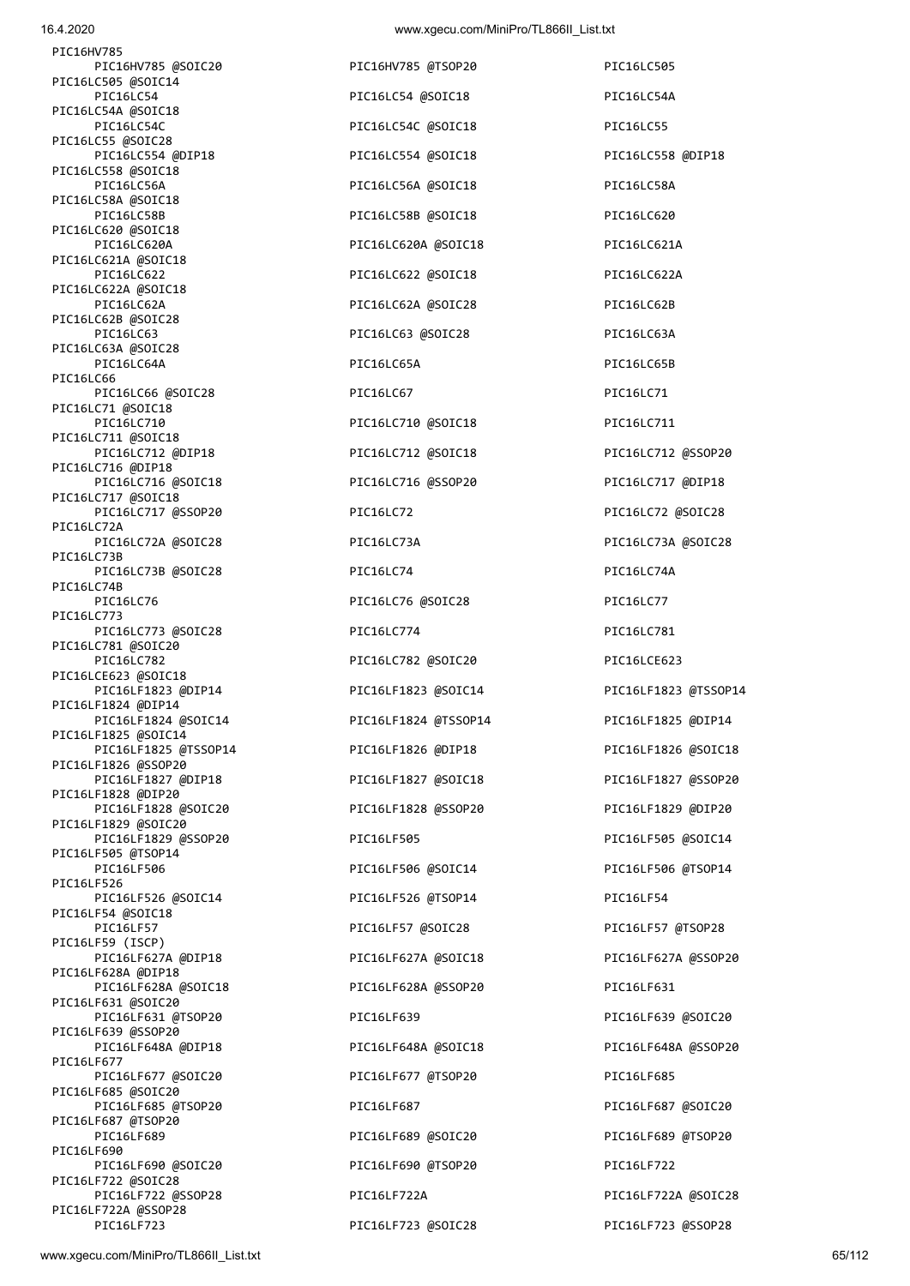| PIC16HV785                                  |                      |                      |
|---------------------------------------------|----------------------|----------------------|
| PIC16HV785 @SOIC20<br>PIC16LC505 @SOIC14    | PIC16HV785 @TSOP20   | PIC16LC505           |
| PIC16LC54<br>PIC16LC54A @SOIC18             | PIC16LC54 @SOIC18    | PIC16LC54A           |
| PIC16LC54C<br>PIC16LC55 @SOIC28             | PIC16LC54C @SOIC18   | PIC16LC55            |
| PIC16LC554 @DIP18                           | PIC16LC554 @SOIC18   | PIC16LC558 @DIP18    |
| PIC16LC558 @SOIC18<br>PIC16LC56A            | PIC16LC56A @SOIC18   | PIC16LC58A           |
| PIC16LC58A @SOIC18<br>PIC16LC58B            | PIC16LC58B @SOIC18   | PIC16LC620           |
| PIC16LC620 @SOIC18<br>PIC16LC620A           | PIC16LC620A @SOIC18  | PIC16LC621A          |
| PIC16LC621A @SOIC18<br>PIC16LC622           | PIC16LC622 @SOIC18   | PIC16LC622A          |
| PIC16LC622A @SOIC18<br>PIC16LC62A           | PIC16LC62A @SOIC28   | PIC16LC62B           |
| PIC16LC62B @SOIC28<br>PIC16LC63             | PIC16LC63 @SOIC28    | PIC16LC63A           |
| PIC16LC63A @SOIC28<br>PIC16LC64A            | PIC16LC65A           | PIC16LC65B           |
| PIC16LC66<br>PIC16LC66 @SOIC28              | PIC16LC67            | PIC16LC71            |
| PIC16LC71 @SOIC18<br>PIC16LC710             | PIC16LC710 @SOIC18   | PIC16LC711           |
| PIC16LC711 @SOIC18                          |                      |                      |
| PIC16LC712 @DIP18<br>PIC16LC716 @DIP18      | PIC16LC712 @SOIC18   | PIC16LC712 @SSOP20   |
| PIC16LC716 @SOIC18<br>PIC16LC717 @SOIC18    | PIC16LC716 @SSOP20   | PIC16LC717 @DIP18    |
| PIC16LC717 @SSOP20<br>PIC16LC72A            | PIC16LC72            | PIC16LC72 @SOIC28    |
| PIC16LC72A @SOIC28<br>PIC16LC73B            | PIC16LC73A           | PIC16LC73A @SOIC28   |
| PIC16LC73B @SOIC28<br>PIC16LC74B            | PIC16LC74            | PIC16LC74A           |
| PIC16LC76<br>PIC16LC773                     | PIC16LC76 @SOIC28    | PIC16LC77            |
| PIC16LC773 @SOIC28                          | PIC16LC774           | PIC16LC781           |
| PIC16LC781 @SOIC20<br>PIC16LC782            | PIC16LC782 @SOIC20   | PIC16LCE623          |
| PIC16LCE623 @SOIC18<br>PIC16LF1823 @DIP14   | PIC16LF1823 @SOIC14  | PIC16LF1823 @TSSOP14 |
| PIC16LF1824 @DIP14<br>PIC16LF1824 @SOIC14   | PIC16LF1824 @TSSOP14 | PIC16LF1825 @DIP14   |
| PIC16LF1825 @SOIC14<br>PIC16LF1825 @TSSOP14 | PIC16LF1826 @DIP18   | PIC16LF1826 @SOIC18  |
| PIC16LF1826 @SSOP20<br>PIC16LF1827 @DIP18   | PIC16LF1827 @SOIC18  | PIC16LF1827 @SSOP20  |
| PIC16LF1828 @DIP20<br>PIC16LF1828 @SOIC20   | PIC16LF1828 @SSOP20  | PIC16LF1829 @DIP20   |
| PIC16LF1829 @SOIC20<br>PIC16LF1829 @SSOP20  | PIC16LF505           | PIC16LF505 @SOIC14   |
| PIC16LF505 @TSOP14<br>PIC16LF506            | PIC16LF506 @SOIC14   | PIC16LF506 @TSOP14   |
| PIC16LF526<br>PIC16LF526 @SOIC14            | PIC16LF526 @TSOP14   | PIC16LF54            |
| PIC16LF54 @SOIC18<br>PIC16LF57              | PIC16LF57 @SOIC28    | PIC16LF57 @TSOP28    |
| PIC16LF59 (ISCP)<br>PIC16LF627A @DIP18      | PIC16LF627A @SOIC18  | PIC16LF627A @SSOP20  |
| PIC16LF628A @DIP18<br>PIC16LF628A @SOIC18   | PIC16LF628A @SSOP20  | PIC16LF631           |
| PIC16LF631 @SOIC20<br>PIC16LF631 @TSOP20    | PIC16LF639           | PIC16LF639 @SOIC20   |
| PIC16LF639 @SSOP20<br>PIC16LF648A @DIP18    | PIC16LF648A @SOIC18  | PIC16LF648A @SSOP20  |
| PIC16LF677<br>PIC16LF677 @SOIC20            | PIC16LF677 @TSOP20   | PIC16LF685           |
| PIC16LF685 @SOIC20<br>PIC16LF685 @TSOP20    | PIC16LF687           | PIC16LF687 @SOIC20   |
| PIC16LF687 @TSOP20<br>PIC16LF689            | PIC16LF689 @SOIC20   | PIC16LF689 @TSOP20   |
| PIC16LF690<br>PIC16LF690 @SOIC20            | PIC16LF690 @TSOP20   | PIC16LF722           |
| PIC16LF722 @SOIC28<br>PIC16LF722 @SSOP28    |                      |                      |
| PIC16LF722A @SSOP28                         | PIC16LF722A          | PIC16LF722A @SOIC28  |
| PIC16LF723                                  | PIC16LF723 @SOIC28   | PIC16LF723 @SSOP28   |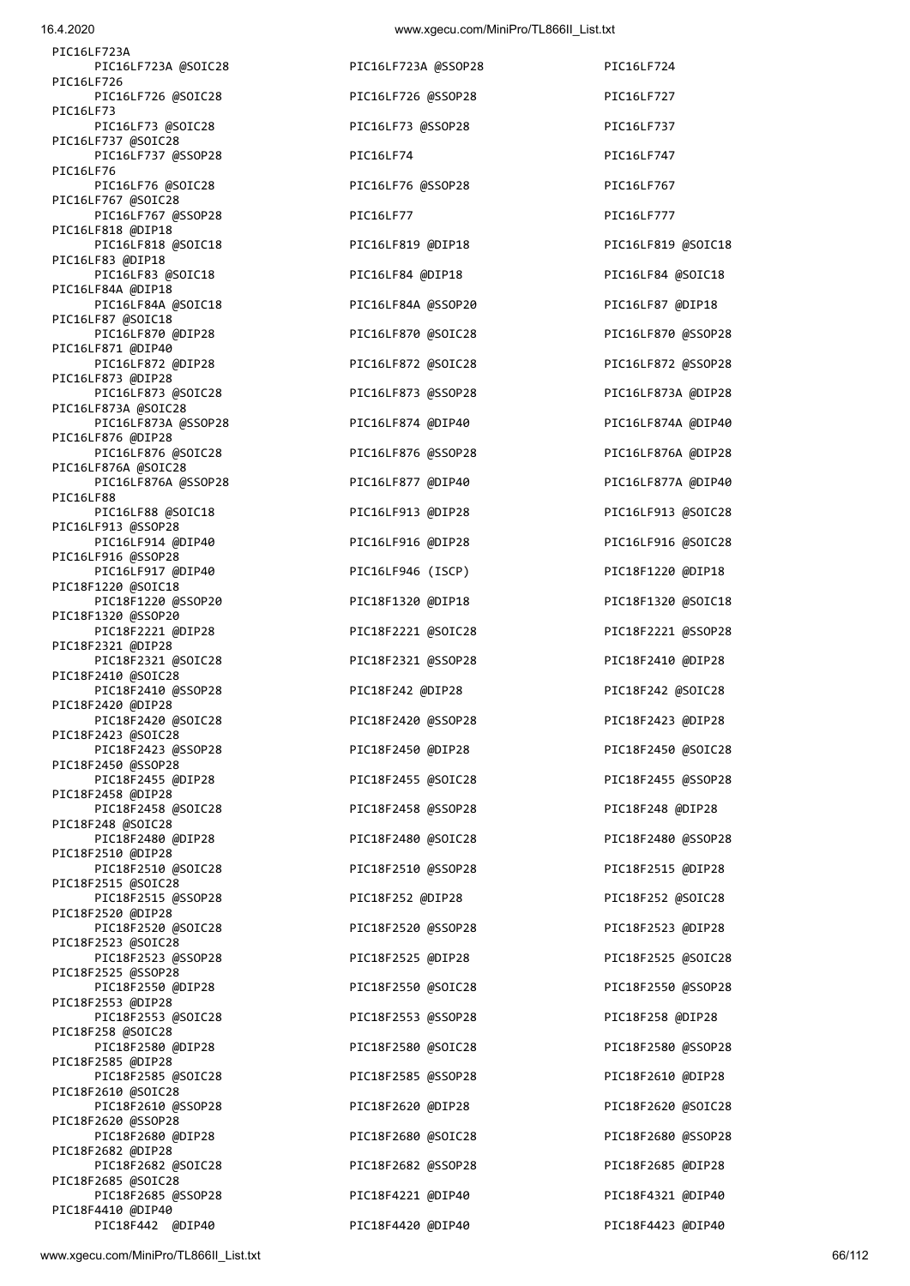| PIC16LF723A                               |                     |                   |
|-------------------------------------------|---------------------|-------------------|
| PIC16LF723A @SOIC28                       | PIC16LF723A @SSOP28 | PIC16LF724        |
| PIC16LF726<br>PIC16LF726 @SOIC28          | PIC16LF726 @SSOP28  | PIC16LF727        |
| PIC16LF73<br>PIC16LF73 @SOIC28            | PIC16LF73 @SSOP28   | PIC16LF737        |
| PIC16LF737 @SOIC28                        |                     |                   |
| PIC16LF737 @SSOP28<br>PIC16LF76           | PIC16LF74           | PIC16LF747        |
| PIC16LF76 @SOIC28<br>PIC16LF767 @SOIC28   | PIC16LF76 @SSOP28   | PIC16LF767        |
| PIC16LF767 @SSOP28<br>PIC16LF818 @DIP18   | PIC16LF77           | PIC16LF777        |
| PIC16LF818 @SOIC18                        | PIC16LF819 @DIP18   | PIC16LF819 @SOIC1 |
| PIC16LF83 @DIP18<br>PIC16LF83 @SOIC18     | PIC16LF84 @DIP18    | PIC16LF84 @SOIC18 |
| PIC16LF84A @DIP18<br>PIC16LF84A @SOIC18   | PIC16LF84A @SSOP20  | PIC16LF87 @DIP18  |
| PIC16LF87 @SOIC18<br>PIC16LF870 @DIP28    | PIC16LF870 @SOIC28  | PIC16LF870 @SSOP2 |
| PIC16LF871 @DIP40<br>PIC16LF872 @DIP28    | PIC16LF872 @SOIC28  | PIC16LF872 @SSOP2 |
| PIC16LF873 @DIP28<br>PIC16LF873 @SOIC28   | PIC16LF873 @SSOP28  |                   |
| PIC16LF873A @SOIC28                       |                     | PIC16LF873A @DIP2 |
| PIC16LF873A @SSOP28<br>PIC16LF876 @DIP28  | PIC16LF874 @DIP40   | PIC16LF874A @DIP4 |
| PIC16LF876 @SOIC28<br>PIC16LF876A @SOIC28 | PIC16LF876 @SSOP28  | PIC16LF876A @DIP2 |
| PIC16LF876A @SSOP28<br>PIC16LF88          | PIC16LF877 @DIP40   | PIC16LF877A @DIP4 |
| PIC16LF88 @SOIC18                         | PIC16LF913 @DIP28   | PIC16LF913 @SOIC2 |
| PIC16LF913 @SSOP28<br>PIC16LF914 @DIP40   | PIC16LF916 @DIP28   | PIC16LF916 @SOIC2 |
| PIC16LF916 @SSOP28<br>PIC16LF917 @DIP40   | PIC16LF946 (ISCP)   | PIC18F1220 @DIP18 |
| PIC18F1220 @SOIC18<br>PIC18F1220 @SSOP20  | PIC18F1320 @DIP18   | PIC18F1320 @SOIC1 |
| PIC18F1320 @SSOP20<br>PIC18F2221 @DIP28   | PIC18F2221 @SOIC28  | PIC18F2221 @SSOP2 |
| PIC18F2321 @DIP28<br>PIC18F2321 @SOIC28   | PIC18F2321 @SSOP28  | PIC18F2410 @DIP28 |
| PIC18F2410 @SOIC28<br>PIC18F2410 @SSOP28  | PIC18F242 @DIP28    | PIC18F242 @SOIC28 |
| PIC18F2420 @DIP28                         |                     |                   |
| PIC18F2420 @SOIC28<br>PIC18F2423 @SOIC28  | PIC18F2420 @SSOP28  | PIC18F2423 @DIP28 |
| PIC18F2423 @SSOP28<br>PIC18F2450 @SSOP28  | PIC18F2450 @DIP28   | PIC18F2450 @SOIC2 |
| PIC18F2455 @DIP28<br>PIC18F2458 @DIP28    | PIC18F2455 @SOIC28  | PIC18F2455 @SSOP2 |
| PIC18F2458 @SOIC28<br>PIC18F248 @SOIC28   | PIC18F2458 @SSOP28  | PIC18F248 @DIP28  |
| PIC18F2480 @DIP28                         | PIC18F2480 @SOIC28  | PIC18F2480 @SSOP2 |
| PIC18F2510 @DIP28<br>PIC18F2510 @SOIC28   | PIC18F2510 @SSOP28  | PIC18F2515 @DIP28 |
| PIC18F2515 @SOIC28<br>PIC18F2515 @SSOP28  | PIC18F252 @DIP28    | PIC18F252 @SOIC28 |
| PIC18F2520 @DIP28<br>PIC18F2520 @SOIC28   | PIC18F2520 @SSOP28  | PIC18F2523 @DIP28 |
| PIC18F2523 @SOIC28<br>PIC18F2523 @SSOP28  | PIC18F2525 @DIP28   | PIC18F2525 @SOIC2 |
| PIC18F2525 @SSOP28                        |                     |                   |
| PIC18F2550 @DIP28<br>PIC18F2553 @DIP28    | PIC18F2550 @SOIC28  | PIC18F2550 @SSOP2 |
| PIC18F2553 @SOIC28<br>PIC18F258 @SOIC28   | PIC18F2553 @SSOP28  | PIC18F258 @DIP28  |
| PIC18F2580 @DIP28<br>PIC18F2585 @DIP28    | PIC18F2580 @SOIC28  | PIC18F2580 @SSOP2 |
| PIC18F2585 @SOIC28<br>PIC18F2610 @SOIC28  | PIC18F2585 @SSOP28  | PIC18F2610 @DIP28 |
| PIC18F2610 @SSOP28                        | PIC18F2620 @DIP28   | PIC18F2620 @SOIC2 |
| PIC18F2620 @SSOP28<br>PIC18F2680 @DIP28   | PIC18F2680 @SOIC28  | PIC18F2680 @SSOP2 |
| PIC18F2682 @DIP28<br>PIC18F2682 @SOIC28   | PIC18F2682 @SSOP28  | PIC18F2685 @DIP28 |
| PIC18F2685 @SOIC28<br>PIC18F2685 @SSOP28  | PIC18F4221 @DIP40   | PIC18F4321 @DIP40 |
| PIC18F4410 @DIP40<br>PIC18F442 @DIP40     | PIC18F4420 @DIP40   | PIC18F4423 @DIP40 |
|                                           |                     |                   |

| PIC16LF723A @SSOP28 |         |
|---------------------|---------|
| PIC16LF726 @SSOP28  |         |
| PIC16LF73 @SSOP28   |         |
| PIC16LF74           |         |
| PIC16LF76 @SSOP28   |         |
| PIC16LF77           |         |
| PIC16LF819 @DIP18   |         |
| PIC16LF84 @DIP18    |         |
| PIC16LF84A          | @SSOP20 |
| PIC16LF870          | @SOIC28 |
| PIC16LF872          | @SOIC28 |
| PIC16LF873          | @SSOP28 |
| PIC16LF874          | @DIP40  |
| PIC16LF876          | @SSOP28 |
| PIC16LF877          | @DIP40  |
| PIC16LF913          | @DIP28  |
| PIC16LF916          | @DIP28  |
| PIC16LF946          | (ISCP)  |
| PIC18F1320          | @DIP18  |
| PIC18F2221          | @SOIC28 |
| PIC18F2321          | @SSOP28 |
| PIC18F242 @DIP28    |         |
| PIC18F2420 @SSOP28  |         |
| PIC18F2450          | @DIP28  |
| PIC18F2455          | @SOIC28 |
| PIC18F2458          | @SSOP28 |
| PIC18F2480          | @SOIC28 |
| PIC18F2510          | @SSOP28 |
| PIC18F252 @DIP28    |         |
| PIC18F2520          | @SSOP28 |
| PIC18F2525          | @DIP28  |
| PIC18F2550          | @SOIC28 |
| PIC18F2553          | @SSOP28 |
| PIC18F2580          | @SOIC28 |
| PIC18F2585          | @SSOP28 |
| PIC18F2620          | @DIP28  |
| PIC18F2680          | @SOIC28 |
| PIC18F2682          | @SSOP28 |
| PIC18F4221          | @DIP40  |

PIC16LF724 PIC16LF737 PIC16LF747 PIC16LF767 PIC16LF819 @SOIC18 PIC16LF84 @SOIC18 PIC16LF87 @DIP18 PIC16LF870 @SSOP28 PIC16LF872 @SSOP28 PIC16LF873A @DIP28 PIC16LF874A @DIP40 PIC16LF876A @DIP28 PIC16LF877A @DIP40 PIC16LF913 @SOIC28 PIC16LF916 @SOIC28 PIC18F1220 @DIP18 PIC18F1320 @SOIC18 PIC18F2221 @SSOP28 PIC18F2410 @DIP28 PIC18F242 @SOIC28 PIC18F2423 @DIP28 PIC18F2450 @SOIC28 PIC18F2455 @SSOP28 PIC18F248 @DIP28 PIC18F2480 @SSOP28 PIC18F2515 @DIP28 PIC18F252 @SOIC28 PIC18F2523 @DIP28 PIC18F2525 @SOIC28 PIC18F2550 @SSOP28 PIC18F258 @DIP28 PIC18F2580 @SSOP28 PIC18F2610 @DIP28 PIC18F2620 @SOIC28 PIC18F2680 @SSOP28 PIC18F2685 @DIP28 PIC18F4321 @DIP40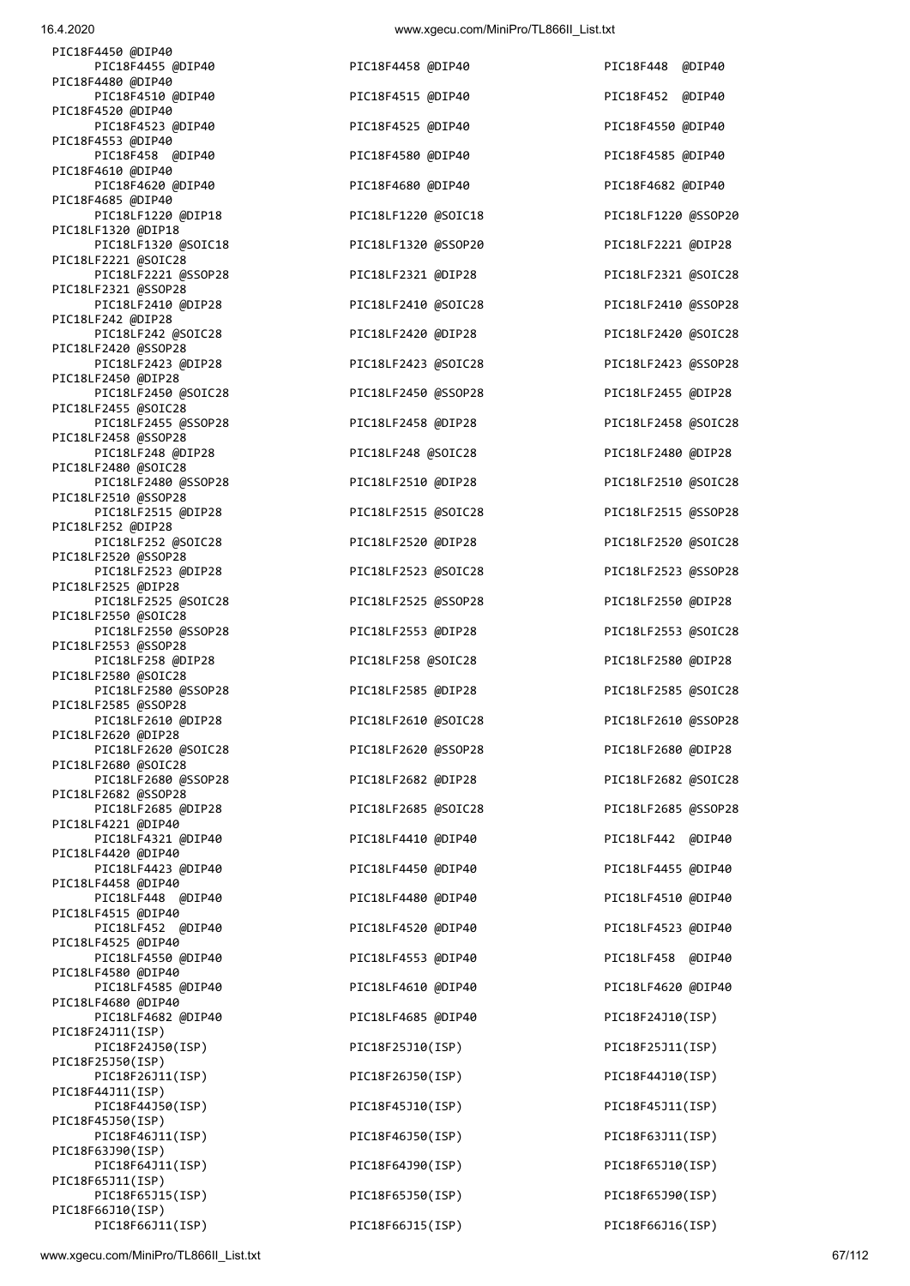PIC18F66J10(ISP)

| 16.4.2020                                                        | www.xgecu.com/MiniPro/TL866II_List.txt |                     |
|------------------------------------------------------------------|----------------------------------------|---------------------|
| PIC18F4450 @DIP40<br>PIC18F4455 @DIP40                           | PIC18F4458 @DIP40                      | PIC18F448 @DIP40    |
| PIC18F4480 @DIP40<br>PIC18F4510 @DIP40                           | PIC18F4515 @DIP40                      | PIC18F452 @DIP40    |
| PIC18F4520 @DIP40<br>PIC18F4523 @DIP40                           | PIC18F4525 @DIP40                      | PIC18F4550 @DIP40   |
| PIC18F4553 @DIP40<br>PIC18F458 @DIP40                            | PIC18F4580 @DIP40                      | PIC18F4585 @DIP40   |
| PIC18F4610 @DIP40<br>PIC18F4620 @DIP40                           | PIC18F4680 @DIP40                      | PIC18F4682 @DIP40   |
| PIC18F4685 @DIP40<br>PIC18LF1220 @DIP18                          | PIC18LF1220 @SOIC18                    | PIC18LF1220 @SSOP20 |
| PIC18LF1320 @DIP18<br>PIC18LF1320 @SOIC18                        | PIC18LF1320 @SSOP20                    | PIC18LF2221 @DIP28  |
| PIC18LF2221 @SOIC28<br>PIC18LF2221 @SSOP28                       | PIC18LF2321 @DIP28                     | PIC18LF2321 @SOIC28 |
| PIC18LF2321 @SSOP28<br>PIC18LF2410 @DIP28                        | PIC18LF2410 @SOIC28                    | PIC18LF2410 @SSOP28 |
| PIC18LF242 @DIP28<br>PIC18LF242 @SOIC28                          | PIC18LF2420 @DIP28                     | PIC18LF2420 @SOIC28 |
| PIC18LF2420 @SSOP28<br>PIC18LF2423 @DIP28                        | PIC18LF2423 @SOIC28                    | PIC18LF2423 @SSOP28 |
| PIC18LF2450 @DIP28<br>PIC18LF2450 @SOIC28                        | PIC18LF2450 @SSOP28                    | PIC18LF2455 @DIP28  |
| PIC18LF2455 @SOIC28<br>PIC18LF2455 @SSOP28                       | PIC18LF2458 @DIP28                     | PIC18LF2458 @SOIC28 |
| PIC18LF2458 @SSOP28<br>PIC18LF248 @DIP28                         | PIC18LF248 @SOIC28                     | PIC18LF2480 @DIP28  |
| PIC18LF2480 @SOIC28<br>PIC18LF2480 @SSOP28                       | PIC18LF2510 @DIP28                     | PIC18LF2510 @SOIC28 |
| PIC18LF2510 @SSOP28<br>PIC18LF2515 @DIP28                        | PIC18LF2515 @SOIC28                    | PIC18LF2515 @SSOP28 |
| PIC18LF252 @DIP28<br>PIC18LF252 @SOIC28                          | PIC18LF2520 @DIP28                     | PIC18LF2520 @SOIC28 |
| PIC18LF2520 @SSOP28<br>PIC18LF2523 @DIP28                        | PIC18LF2523 @SOIC28                    | PIC18LF2523 @SSOP28 |
| PIC18LF2525 @DIP28<br>PIC18LF2525 @SOIC28<br>PIC18LF2550 @SOIC28 | PIC18LF2525 @SSOP28                    | PIC18LF2550 @DIP28  |
| PIC18LF2550 @SSOP28                                              | PIC18LF2553 @DIP28                     | PIC18LF2553 @SOIC28 |
| PIC18LF2553 @SSOP28<br>PIC18LF258 @DIP28<br>PIC18LF2580 @SOIC28  | PIC18LF258 @SOIC28                     | PIC18LF2580 @DIP28  |
| PIC18LF2580 @SSOP28<br>PIC18LF2585 @SSOP28                       | PIC18LF2585 @DIP28                     | PIC18LF2585 @SOIC28 |
| PIC18LF2610 @DIP28<br>PIC18LF2620 @DIP28                         | PIC18LF2610 @SOIC28                    | PIC18LF2610 @SSOP28 |
| PIC18LF2620 @SOIC28<br>PIC18LF2680 @SOIC28                       | PIC18LF2620 @SSOP28                    | PIC18LF2680 @DIP28  |
| PIC18LF2680 @SSOP28<br>PIC18LF2682 @SSOP28                       | PIC18LF2682 @DIP28                     | PIC18LF2682 @SOIC28 |
| PIC18LF2685 @DIP28<br>PIC18LF4221 @DIP40                         | PIC18LF2685 @SOIC28                    | PIC18LF2685 @SSOP28 |
| PIC18LF4321 @DIP40<br>PIC18LF4420 @DIP40                         | PIC18LF4410 @DIP40                     | PIC18LF442 @DIP40   |
| PIC18LF4423 @DIP40<br>PIC18LF4458 @DIP40                         | PIC18LF4450 @DIP40                     | PIC18LF4455 @DIP40  |
| PIC18LF448 @DIP40<br>PIC18LF4515 @DIP40                          | PIC18LF4480 @DIP40                     | PIC18LF4510 @DIP40  |
| PIC18LF452 @DIP40<br>PIC18LF4525 @DIP40                          | PIC18LF4520 @DIP40                     | PIC18LF4523 @DIP40  |
| PIC18LF4550 @DIP40<br>PIC18LF4580 @DIP40                         | PIC18LF4553 @DIP40                     | PIC18LF458 @DIP40   |
| PIC18LF4585 @DIP40<br>PIC18LF4680 @DIP40                         | PIC18LF4610 @DIP40                     | PIC18LF4620 @DIP40  |
| PIC18LF4682 @DIP40<br>PIC18F24J11(ISP)                           | PIC18LF4685 @DIP40                     | PIC18F24J10(ISP)    |
| PIC18F24J50(ISP)<br>PIC18F25J50(ISP)                             | PIC18F25J10(ISP)                       | PIC18F25J11(ISP)    |
| PIC18F26J11(ISP)<br>PIC18F44J11(ISP)                             | PIC18F26J50(ISP)                       | PIC18F44J10(ISP)    |
| PIC18F44J50(ISP)<br>PIC18F45J50(ISP)                             | PIC18F45J10(ISP)                       | PIC18F45J11(ISP)    |
| PIC18F46J11(ISP)<br>PIC18F63J90(ISP)                             | PIC18F46J50(ISP)                       | PIC18F63J11(ISP)    |
| PIC18F64J11(ISP)<br>PIC18F65J11(ISP)                             | PIC18F64J90(ISP)                       | PIC18F65J10(ISP)    |
| PIC18F65J15(ISP)                                                 | PIC18F65J50(ISP)                       | PIC18F65J90(ISP)    |

PIC18F66J11(ISP) PIC18F66J15(ISP) PIC18F66J16(ISP)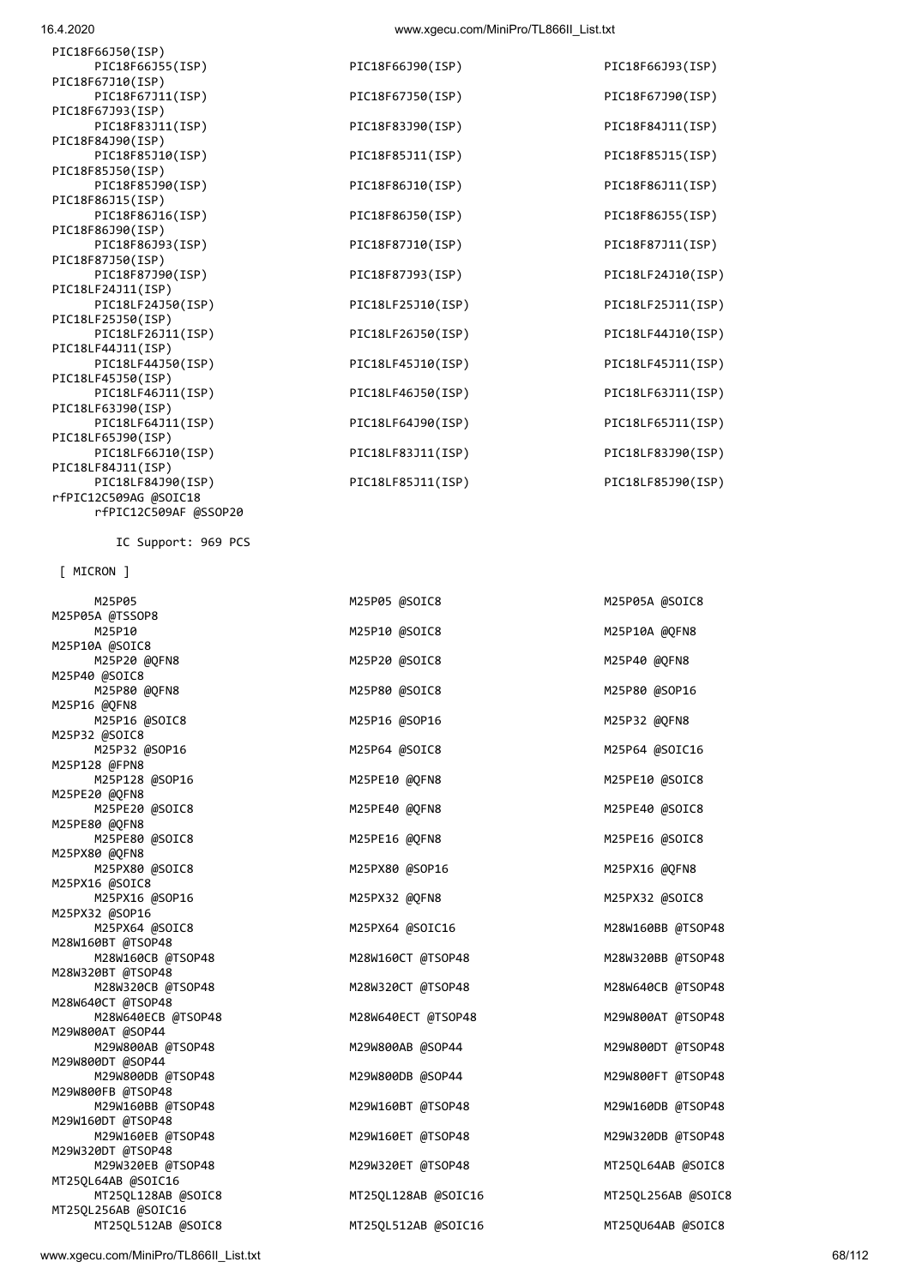16.4.2020 www.xgecu.com/MiniPro/TL866II\_List.txt

| PIC18F66J50(ISP)      |                   |                   |
|-----------------------|-------------------|-------------------|
| PIC18F66J55(ISP)      | PIC18F66J90(ISP)  | PIC18F66J93(ISP)  |
| PIC18F67J10(ISP)      |                   |                   |
| PIC18F67J11(ISP)      | PIC18F67J50(ISP)  | PIC18F67J90(ISP)  |
| PIC18F67J93(ISP)      |                   |                   |
| PIC18F83J11(ISP)      | PIC18F83J90(ISP)  | PIC18F84J11(ISP)  |
| PIC18F84J90(ISP)      |                   |                   |
| PIC18F85J10(ISP)      | PIC18F85J11(ISP)  | PIC18F85J15(ISP)  |
| PIC18F85J50(ISP)      |                   |                   |
| PIC18F85J90(ISP)      | PIC18F86J10(ISP)  | PIC18F86J11(ISP)  |
| PIC18F86J15(ISP)      |                   |                   |
| PIC18F86J16(ISP)      | PIC18F86J50(ISP)  | PIC18F86J55(ISP)  |
| PIC18F86J90(ISP)      |                   |                   |
| PIC18F86J93(ISP)      | PIC18F87J10(ISP)  | PIC18F87J11(ISP)  |
| PIC18F87J50(ISP)      |                   |                   |
| PIC18F87J90(ISP)      | PIC18F87J93(ISP)  | PIC18LF24J10(ISP) |
| PIC18LF24J11(ISP)     |                   |                   |
| PIC18LF24J50(ISP)     | PIC18LF25J10(ISP) | PIC18LF25J11(ISP) |
| PIC18LF25J50(ISP)     |                   |                   |
| PIC18LF26J11(ISP)     | PIC18LF26J50(ISP) | PIC18LF44J10(ISP) |
| PIC18LF44J11(ISP)     |                   |                   |
| PIC18LF44J50(ISP)     | PIC18LF45J10(ISP) | PIC18LF45J11(ISP) |
| PIC18LF45J50(ISP)     |                   |                   |
| PIC18LF46J11(ISP)     | PIC18LF46J50(ISP) | PIC18LF63J11(ISP) |
| PIC18LF63J90(ISP)     |                   |                   |
| PIC18LF64J11(ISP)     | PIC18LF64J90(ISP) | PIC18LF65J11(ISP) |
| PIC18LF65J90(ISP)     |                   |                   |
| PIC18LF66J10(ISP)     | PIC18LF83J11(ISP) | PIC18LF83J90(ISP) |
| PIC18LF84J11(ISP)     |                   |                   |
| PIC18LF84J90(ISP)     | PIC18LF85J11(ISP) | PIC18LF85J90(ISP) |
| rfPIC12C509AG @SOIC18 |                   |                   |

IC Support: 969 PCS

rfPIC12C509AF @SSOP20

[ MICRON ]

| M25P05                                 | M25P05 @SOIC8      |
|----------------------------------------|--------------------|
| M25P05A @TSSOP8                        |                    |
| M25P10                                 | M25P10 @SOIC8      |
| M25P10A @SOIC8                         |                    |
| M25P20 @QFN8                           | M25P20 @SOIC8      |
| M25P40 @SOIC8                          |                    |
| M25P80 @QFN8                           | M25P80 @SOIC8      |
| M25P16 @QFN8                           |                    |
| M25P16 @SOIC8                          | M25P16 @SOP16      |
| M25P32 @SOIC8                          |                    |
| M25P32 @SOP16                          | M25P64 @SOIC8      |
| M25P128 @FPN8                          |                    |
| M25P128 @SOP16                         | M25PE10 @QFN8      |
| M25PE20 @QFN8                          |                    |
| M25PE20 @SOIC8                         | M25PE40 @QFN8      |
| M25PE80 @QFN8                          |                    |
| M25PE80 @SOIC8                         | M25PE16 @QFN8      |
| M25PX80 @QFN8                          |                    |
| M25PX80 @SOIC8                         | M25PX80 @SOP16     |
| M25PX16 @SOIC8                         |                    |
| M25PX16 @SOP16                         | M25PX32 @QFN8      |
| M25PX32 @SOP16                         |                    |
| M25PX64 @SOIC8                         | M25PX64 @SOIC16    |
| M28W160BT @TSOP48                      | M28W160CT @TSOP48  |
| M28W160CB @TSOP48<br>M28W320BT @TSOP48 |                    |
| M28W320CB @TSOP48                      | M28W320CT @TSOP48  |
| M28W640CT @TSOP48                      |                    |
| M28W640ECB @TSOP48                     | M28W640ECT @TSOP48 |
| M29W800AT @SOP44                       |                    |
| M29W800AB @TSOP48                      | M29W800AB @SOP44   |
| M29W800DT @SOP44                       |                    |
| M29W800DB @TSOP48                      | M29W800DB @SOP44   |
| M29W800FB @TSOP48                      |                    |
| M29W160BB @TSOP48                      | M29W160BT @TSOP48  |
| M29W160DT @TSOP48                      |                    |
| M29W160EB @TSOP48                      | M29W160ET @TSOP48  |
| M29W320DT @TSOP48                      |                    |
| M29W320EB @TSOP48                      | M29W320ET @TSOP48  |
| MT25QL64AB @SOIC16                     |                    |
| MT25QL128AB @SOIC8                     | MT25QL128AB @SOIC1 |
| MT25QL256AB @SOIC16                    |                    |
| MT25QL512AB @SOIC8                     | MT25QL512AB @SOIC1 |
|                                        |                    |

| P05 @SOIC8        | M25P05A @SOIC8     |
|-------------------|--------------------|
| P10 @SOIC8        | M25P10A @QFN8      |
| P20 @SOIC8        | M25P40 @QFN8       |
| P80 @SOIC8        | M25P80 @SOP16      |
| P16 @SOP16        | M25P32 @QFN8       |
| P64 @SOIC8        | M25P64 @SOIC16     |
| PE10 @QFN8        | M25PE10 @SOIC8     |
| PE40 @QFN8        | M25PE40 @SOIC8     |
| PE16 @QFN8        | M25PE16 @SOIC8     |
| PX80 @SOP16       | M25PX16 @QFN8      |
| PX32 @QFN8        | M25PX32 @SOIC8     |
| PX64 @SOIC16      | M28W160BB @TSOP48  |
| W160CT @TSOP48    | M28W320BB @TSOP48  |
| W320CT @TSOP48    | M28W640CB @TSOP48  |
| BW640ECT @TSOP48  | M29W800AT @TSOP48  |
| W800AB @SOP44     | M29W800DT @TSOP48  |
| W800DB @SOP44     | M29W800FT @TSOP48  |
| W160BT @TSOP48    | M29W160DB @TSOP48  |
| W160ET @TSOP48    | M29W320DB @TSOP48  |
| W320ET @TSOP48    | MT25QL64AB @SOIC8  |
| 5QL128AB @SOIC16! | MT25QL256AB @SOIC8 |
| SQL512AB @SOIC16  | MT25QU64AB @SOIC8  |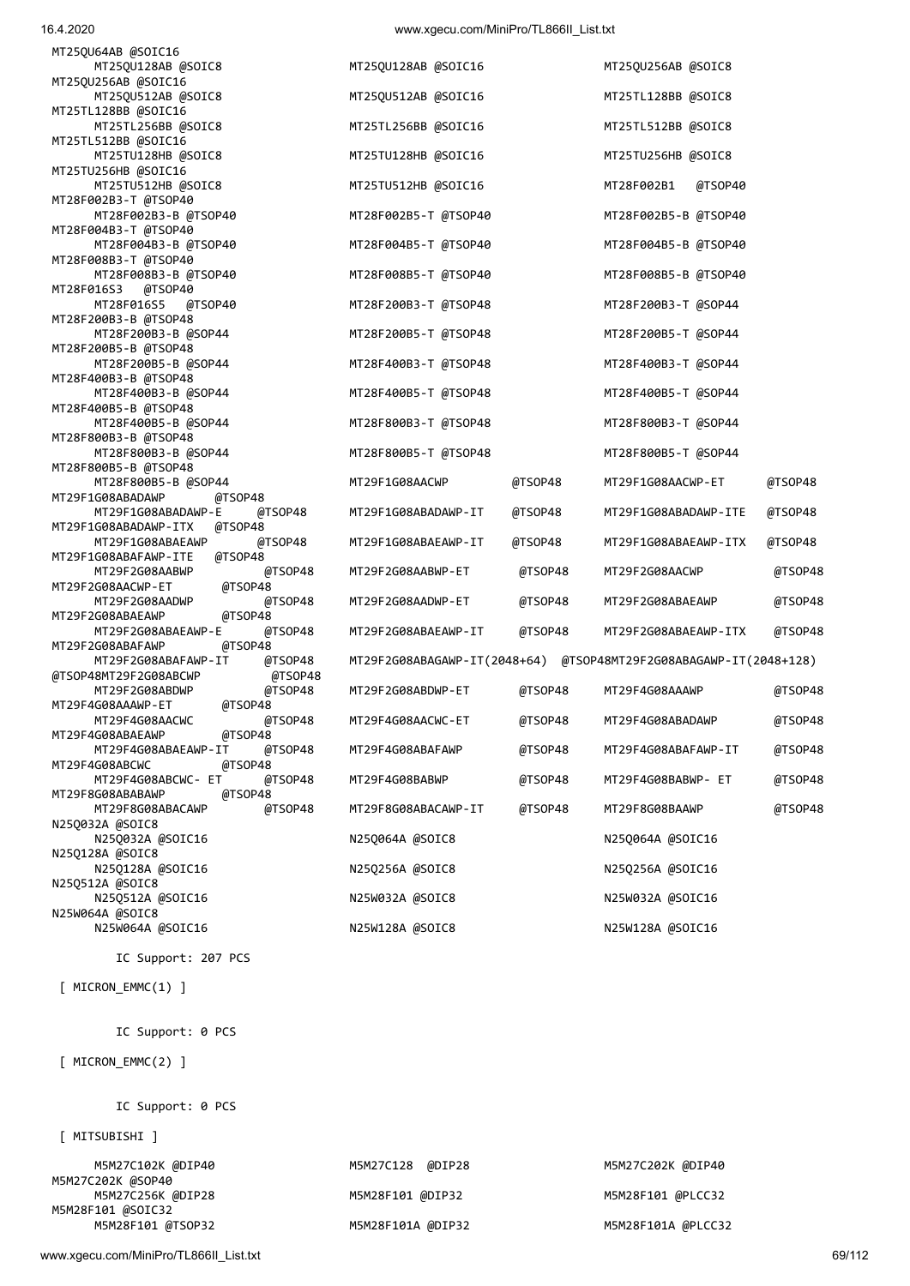| 16.4.2020                                                      | www.xgecu.com/MiniPro/TL866II_List.txt |         |                                                                   |         |
|----------------------------------------------------------------|----------------------------------------|---------|-------------------------------------------------------------------|---------|
| MT25QU64AB @SOIC16                                             |                                        |         |                                                                   |         |
| MT25QU128AB @SOIC8<br>MT25QU256AB @SOIC16                      | MT25QU128AB @SOIC16                    |         | MT25QU256AB @SOIC8                                                |         |
| MT25QU512AB @SOIC8                                             | MT25QU512AB @SOIC16                    |         | MT25TL128BB @SOIC8                                                |         |
| MT25TL128BB @SOIC16<br>MT25TL256BB @SOIC8                      | MT25TL256BB @SOIC16                    |         | MT25TL512BB @SOIC8                                                |         |
| MT25TL512BB @SOIC16                                            |                                        |         |                                                                   |         |
| MT25TU128HB @SOIC8<br>MT25TU256HB @SOIC16                      | MT25TU128HB @SOIC16                    |         | MT25TU256HB @SOIC8                                                |         |
| MT25TU512HB @SOIC8                                             | MT25TU512HB @SOIC16                    |         | MT28F002B1<br>@TSOP40                                             |         |
| MT28F002B3-T @TSOP40<br>MT28F002B3-B @TSOP40                   | MT28F002B5-T @TSOP40                   |         | MT28F002B5-B @TSOP40                                              |         |
| MT28F004B3-T @TSOP40                                           |                                        |         |                                                                   |         |
| MT28F004B3-B @TSOP40                                           | MT28F004B5-T @TSOP40                   |         | MT28F004B5-B @TSOP40                                              |         |
| MT28F008B3-T @TSOP40<br>MT28F008B3-B @TSOP40                   | MT28F008B5-T @TSOP40                   |         | MT28F008B5-B @TSOP40                                              |         |
| MT28F016S3<br>@TSOP40                                          |                                        |         |                                                                   |         |
| @TSOP40<br>MT28F016S5<br>MT28F200B3-B @TSOP48                  | MT28F200B3-T @TSOP48                   |         | MT28F200B3-T @SOP44                                               |         |
| MT28F200B3-B @SOP44                                            | MT28F200B5-T @TSOP48                   |         | MT28F200B5-T @SOP44                                               |         |
| MT28F200B5-B @TSOP48<br>MT28F200B5-B @SOP44                    | MT28F400B3-T @TSOP48                   |         | MT28F400B3-T @SOP44                                               |         |
| MT28F400B3-B @TSOP48                                           |                                        |         |                                                                   |         |
| MT28F400B3-B @SOP44<br>MT28F400B5-B @TSOP48                    | MT28F400B5-T @TSOP48                   |         | MT28F400B5-T @SOP44                                               |         |
| MT28F400B5-B @SOP44                                            | MT28F800B3-T @TSOP48                   |         | MT28F800B3-T @SOP44                                               |         |
| MT28F800B3-B @TSOP48                                           |                                        |         | MT28F800B5-T @SOP44                                               |         |
| MT28F800B3-B @SOP44<br>MT28F800B5-B @TSOP48                    | MT28F800B5-T @TSOP48                   |         |                                                                   |         |
| MT28F800B5-B @SOP44                                            | MT29F1G08AACWP                         | @TSOP48 | MT29F1G08AACWP-ET                                                 | @TSOP48 |
| @TSOP48<br>MT29F1G08ABADAWP<br>MT29F1G08ABADAWP-E<br>@TSOP48   | MT29F1G08ABADAWP-IT                    | @TSOP48 | MT29F1G08ABADAWP-ITE                                              | @TSOP48 |
| @TSOP48<br>MT29F1G08ABADAWP-ITX                                |                                        |         |                                                                   |         |
| MT29F1G08ABAEAWP<br>@TSOP48<br>@TSOP48<br>MT29F1G08ABAFAWP-ITE | MT29F1G08ABAEAWP-IT                    | @TSOP48 | MT29F1G08ABAEAWP-ITX                                              | @TSOP48 |
| MT29F2G08AABWP<br>@TSOP48                                      | MT29F2G08AABWP-ET                      | @TSOP48 | MT29F2G08AACWP                                                    | @TSOP48 |
| @TSOP48<br>MT29F2G08AACWP-ET<br>@TSOP48<br>MT29F2G08AADWP      | MT29F2G08AADWP-ET                      | @TSOP48 | MT29F2G08ABAEAWP                                                  | @TSOP48 |
| @TSOP48<br>MT29F2G08ABAEAWP                                    |                                        |         |                                                                   |         |
| MT29F2G08ABAEAWP-E<br>@TSOP48<br>@TSOP48<br>MT29F2G08ABAFAWP   | MT29F2G08ABAEAWP-IT                    | @TSOP48 | MT29F2G08ABAEAWP-ITX                                              | @TSOP48 |
| MT29F2G08ABAFAWP-IT<br>@TSOP48                                 |                                        |         | MT29F2G08ABAGAWP-IT(2048+64) @TSOP48MT29F2G08ABAGAWP-IT(2048+128) |         |
| @TSOP48MT29F2G08ABCWP<br>@TSOP48<br>MT29F2G08ABDWP<br>@TSOP48  | MT29F2G08ABDWP-ET                      | @TSOP48 | MT29F4G08AAAWP                                                    | @TSOP48 |
| MT29F4G08AAAWP-ET<br>@TSOP48                                   |                                        |         |                                                                   |         |
| @TSOP48<br>MT29F4G08AACWC<br>MT29F4G08ABAEAWP<br>@TSOP48       | MT29F4G08AACWC-ET                      | @TSOP48 | MT29F4G08ABADAWP                                                  | @TSOP48 |
| MT29F4G08ABAEAWP-IT<br>@TSOP48                                 | MT29F4G08ABAFAWP                       | @TSOP48 | MT29F4G08ABAFAWP-IT                                               | @TSOP48 |
| @TSOP48<br>MT29F4G08ABCWC                                      |                                        |         |                                                                   |         |
| MT29F4G08ABCWC- ET<br>@TSOP48<br>MT29F8G08ABABAWP<br>@TSOP48   | MT29F4G08BABWP                         | @TSOP48 | MT29F4G08BABWP- ET                                                | @TSOP48 |
| @TSOP48<br>MT29F8G08ABACAWP                                    | MT29F8G08ABACAWP-IT                    | @TSOP48 | MT29F8G08BAAWP                                                    | @TSOP48 |
| N25Q032A @SOIC8<br>N25Q032A @SOIC16                            | N25Q064A @SOIC8                        |         | N25Q064A @SOIC16                                                  |         |
| N25Q128A @SOIC8                                                |                                        |         |                                                                   |         |
| N25Q128A @SOIC16<br>N25Q512A @SOIC8                            | N25Q256A @SOIC8                        |         | N25Q256A @SOIC16                                                  |         |
| N25Q512A @SOIC16                                               | N25W032A @SOIC8                        |         | N25W032A @SOIC16                                                  |         |
| N25W064A @SOIC8<br>N25W064A @SOIC16                            | N25W128A @SOIC8                        |         | N25W128A @SOIC16                                                  |         |
|                                                                |                                        |         |                                                                   |         |
| IC Support: 207 PCS                                            |                                        |         |                                                                   |         |

M5M28F101A @DIP32 M5M28F101A @PLCC32

[ MICRON\_EMMC(1) ]

IC Support: 0 PCS

[ MICRON\_EMMC(2) ]

IC Support: 0 PCS

[ MITSUBISHI ]

 M5M27C102K @DIP40 M5M27C128 @DIP28 M5M27C202K @DIP40 M5M27C202K @SOP40 M5M27C256K @DIP28 M5M28F101 @DIP32 M5M28F101 @PLCC32 M5M28F101 @SOIC32<br>M5M28F101 @TSOP32

www.xgecu.com/MiniPro/TL866II\_List.txt 69/112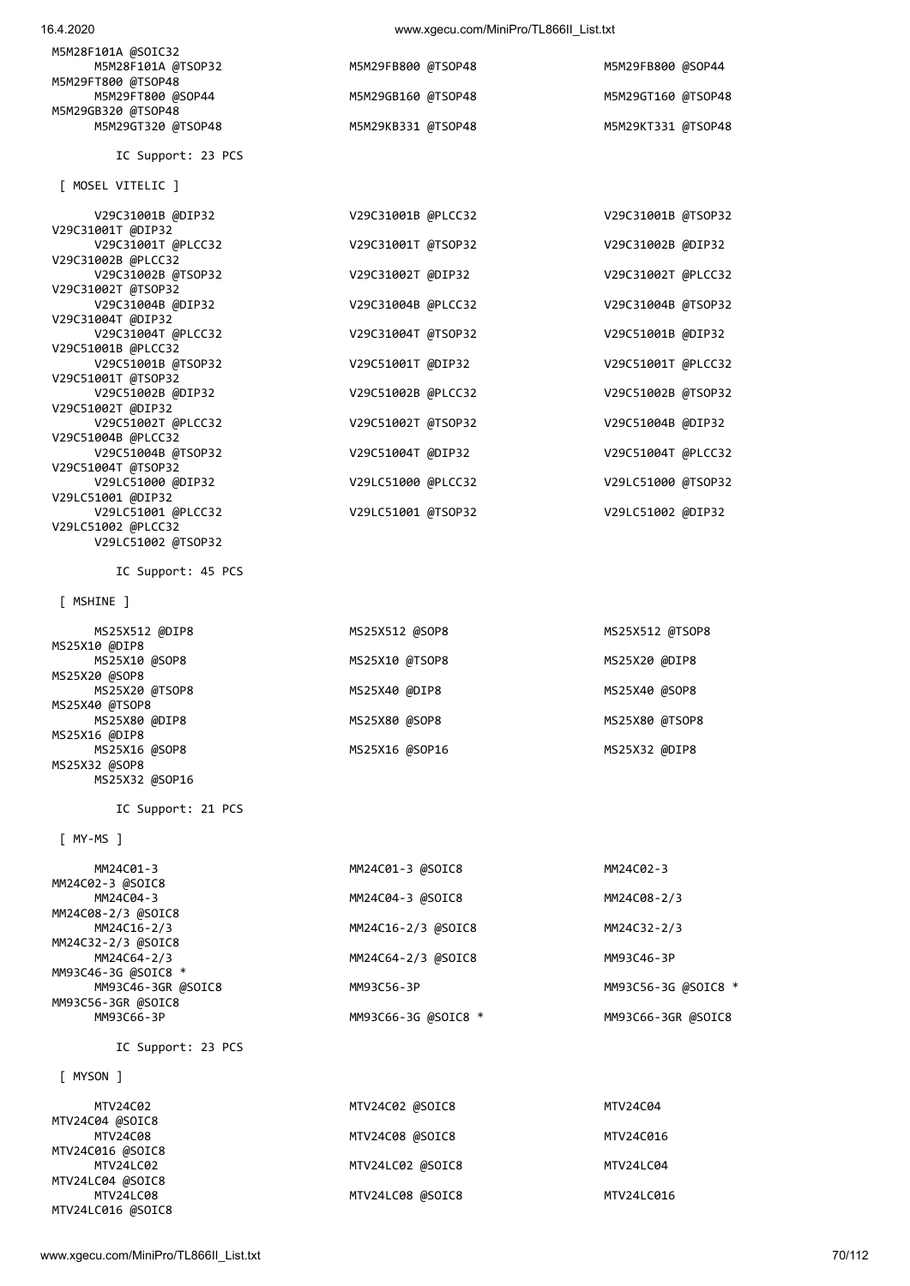| M5M28F101A @SOIC32 |                    |                    |
|--------------------|--------------------|--------------------|
| M5M28F101A @TSOP32 | M5M29FB800 @TSOP48 | M5M29FB800 @SOP44  |
| M5M29FT800 @TSOP48 |                    |                    |
| M5M29FT800 @SOP44  | M5M29GB160 @TSOP48 | M5M29GT160 @TSOP48 |
| M5M29GB320 @TSOP48 |                    |                    |
| M5M29GT320 @TSOP48 | M5M29KB331 @TSOP48 | M5M29KT331 @TSOP48 |
|                    |                    |                    |
| IC Support: 23 PCS |                    |                    |

 [ MOSEL VITELIC ] V29C31001B @DIP32 V29C31001B @PLCC32 V29C31001B @TSOP32 V29C31001T @DIP32<br>V29C31001T @PLCC32 V29C31001T @TSOP32 V29C31002B @DIP32 V29C31002B @PLCC32 V29C31002B @TSOP32 V29C31002T @DIP32 V29C31002T @PLCC32 V29C31002T @TSOP32 V29C31004B @DIP32 V29C31004B @PLCC32 V29C31004B @TSOP32 V29C31004T @DIP32 V29C31004T @PLCC32 V29C31004T @TSOP32 V29C51001B @DIP32 V29C51001B @PLCC32 V29C51001B @TSOP32 V29C51001T @DIP32 V29C51001T @PLCC32 V29C51001T @TSOP32 V29C51002B @DIP32 V29C51002B @PLCC32 V29C51002B @TSOP32 V29C51002T @DIP32 V29C51002T @PLCC32 V29C51002T @TSOP32 V29C51004B @DIP32 V29C51004B @PLCC32 V29C51004B @TSOP32 V29C51004T @DIP32 V29C51004T @PLCC32 V29C51004T @TSOP32 V29LC51000 @DIP32 V29LC51000 @PLCC32 V29LC51000 @TSOP32 V29LC51001 @DIP32 V29LC51001 @PLCC32 V29LC51001 @TSOP32 V29LC51002 @DIP32

IC Support: 45 PCS

V29LC51002 @TSOP32

[ MSHINE ]

V29LC51002 @PLCC32

| MS25X512 @DIP8 | MS25X512 @SOP8 | MS25X512 @TSOP8 |
|----------------|----------------|-----------------|
| MS25X10 @DIP8  |                |                 |
| MS25X10 @SOP8  | MS25X10 @TSOP8 | MS25X20 @DIP8   |
| MS25X20 @SOP8  |                |                 |
| MS25X20 @TSOP8 | MS25X40 @DIP8  | MS25X40 @SOP8   |
| MS25X40 @TSOP8 |                |                 |
| MS25X80 @DIP8  | MS25X80 @SOP8  | MS25X80 @TSOP8  |
| MS25X16 @DIP8  |                |                 |
| MS25X16 @SOP8  | MS25X16 @SOP16 | MS25X32 @DIP8   |
| MS25X32 @SOP8  |                |                 |

IC Support: 21 PCS

[ MY-MS ]

 MM24C01-3 MM24C01-3 @SOIC8 MM24C02-3 MM24C02-3 @SOIC8 MM24C04-3 MM24C04-3 @SOIC8 MM24C08-2/3 MM24C08-2/3 @SOIC8 MM24C16-2/3 MM24C16-2/3 @SOIC8 MM24C32-2/3 MM24C32-2/3 @SOIC8 MM24C64-2/3 MM24C64-2/3 @SOIC8 MM93C46-3P MM93C46-3G @SOIC8 \* MM93C46-3GR @SOIC8 MM93C56-3P MM93C56-3G @SOIC8 \* MM93C56-3GR @SOIC8

MS25X32 @SOP16

IC Support: 23 PCS

[ MYSON ]

| MTV24C02          | MTV24C02 @SOIC8  | MTV24C04   |
|-------------------|------------------|------------|
| MTV24C04 @SOIC8   |                  |            |
| MTV24C08          | MTV24C08 @SOIC8  | MTV24C016  |
| MTV24C016 @SOIC8  |                  |            |
| MTV24LC02         | MTV24LC02 @SOIC8 | MTV24LC04  |
| MTV24LC04 @SOIC8  |                  |            |
| MTV24LC08         | MTV24LC08 @SOIC8 | MTV24LC016 |
| MTV24LC016 @SOIC8 |                  |            |

MM93C66-3G @SOIC8 \* MM93C66-3GR @SOIC8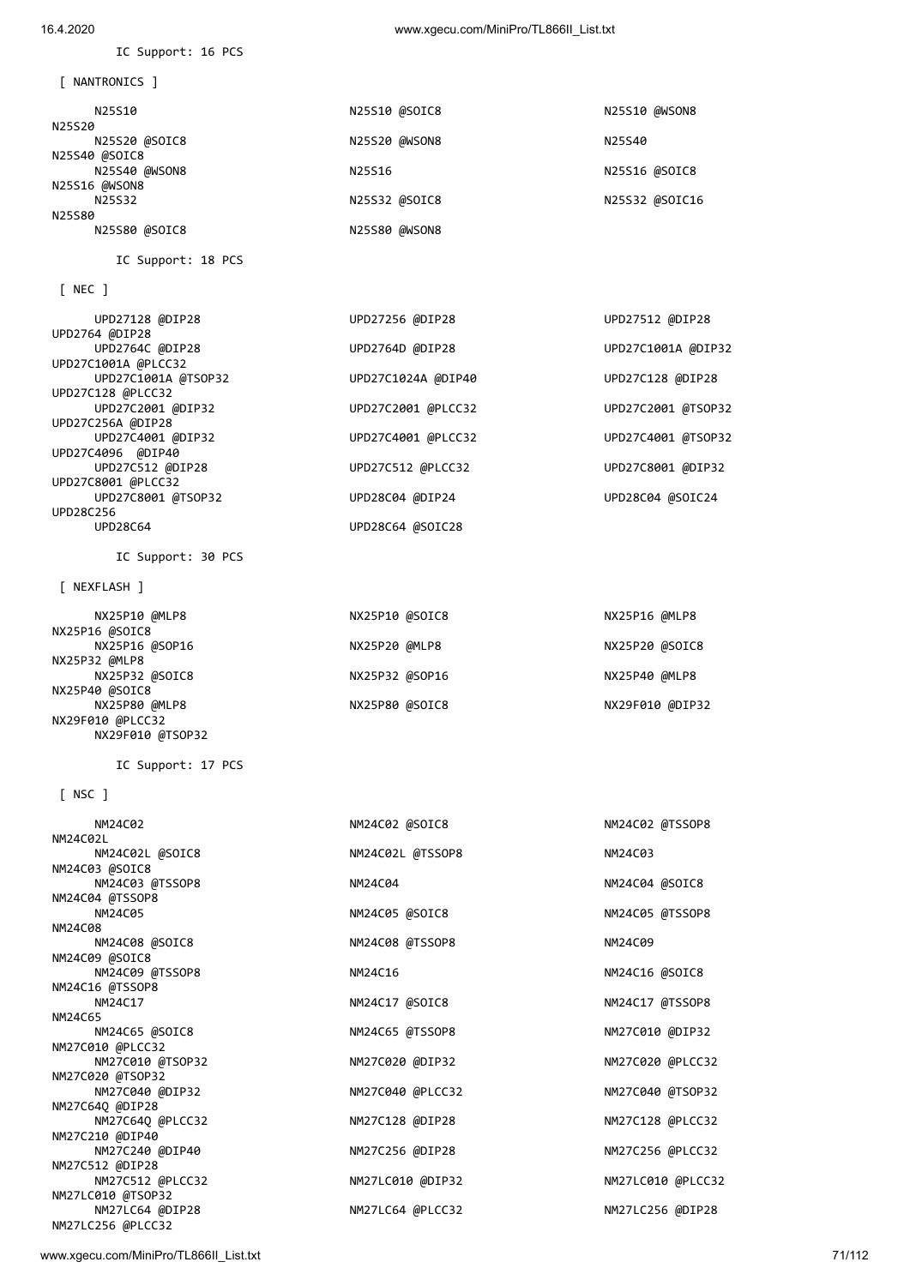| [ NEXFLASH ]                          |                  |                   |
|---------------------------------------|------------------|-------------------|
| NX25P10 @MLP8<br>NX25P16 @SOIC8       | NX25P10 @SOIC8   | NX25P16 @MLP8     |
| NX25P16 @SOP16                        | NX25P20 @MLP8    | NX25P20 @SOIC8    |
| NX25P32 @MLP8<br>NX25P32 @SOIC8       | NX25P32 @SOP16   | NX25P40 @MLP8     |
| NX25P40 @SOIC8<br>NX25P80 @MLP8       | NX25P80 @SOIC8   | NX29F010 @DIP32   |
| NX29F010 @PLCC32<br>NX29F010 @TSOP32  |                  |                   |
| IC Support: 17 PCS                    |                  |                   |
| $NSC$ ]                               |                  |                   |
| NM24C02                               | NM24C02 @SOIC8   | NM24C02 @TSSOP8   |
| NM24C02L<br>NM24C02L @SOIC8           | NM24C02L @TSSOP8 | NM24C03           |
| NM24C03 @SOIC8<br>NM24C03 @TSSOP8     | NM24C04          | NM24C04 @SOIC8    |
| NM24C04 @TSSOP8<br>NM24C05            | NM24C05 @SOIC8   | NM24C05 @TSSOP8   |
| NM24C08<br>NM24C08 @SOIC8             | NM24C08 @TSSOP8  | NM24C09           |
| NM24C09 @SOIC8                        |                  |                   |
| NM24C09 @TSSOP8<br>NM24C16 @TSSOP8    | NM24C16          | NM24C16 @SOIC8    |
| NM24C17<br>NM24C65                    | NM24C17 @SOIC8   | NM24C17 @TSSOP8   |
| NM24C65 @SOIC8                        | NM24C65 @TSSOP8  | NM27C010 @DIP32   |
| NM27C010 @PLCC32<br>NM27C010 @TSOP32  | NM27C020 @DIP32  | NM27C020 @PLCC32  |
| NM27C020 @TSOP32<br>NM27C040 @DIP32   | NM27C040 @PLCC32 | NM27C040 @TSOP32  |
| NM27C64Q @DIP28<br>NM27C64Q @PLCC32   | NM27C128 @DIP28  | NM27C128 @PLCC32  |
| NM27C210 @DIP40<br>NM27C240 @DIP40    | NM27C256 @DIP28  | NM27C256 @PLCC32  |
| NM27C512 @DIP28                       |                  |                   |
| NM27C512 @PLCC32<br>NM27LC010 @TSOP32 | NM27LC010 @DIP32 | NM27LC010 @PLCC32 |
| NM27LC64 @DIP28<br>NM27LC256 @PLCC32  | NM27LC64 @PLCC32 | NM27LC256 @DIP28  |

| <b>INLC I</b>                     |                    |                    |
|-----------------------------------|--------------------|--------------------|
| UPD27128 @DIP28                   | UPD27256 @DIP28    | UPD27512 @DIP28    |
| UPD2764 @DIP28<br>UPD2764C @DIP28 | UPD2764D @DIP28    | UPD27C1001A @DIP32 |
| UPD27C1001A @PLCC32               |                    |                    |
| UPD27C1001A @TSOP32               | UPD27C1024A @DIP40 | UPD27C128 @DIP28   |
| UPD27C128 @PLCC32                 |                    |                    |
| UPD27C2001 @DIP32                 | UPD27C2001 @PLCC32 | UPD27C2001 @TSOP32 |
| UPD27C256A @DIP28                 |                    |                    |
| UPD27C4001 @DIP32                 | UPD27C4001 @PLCC32 | UPD27C4001 @TSOP32 |
| UPD27C4096 @DIP40                 |                    |                    |
| UPD27C512 @DIP28                  | UPD27C512 @PLCC32  | UPD27C8001 @DIP32  |
| UPD27C8001 @PLCC32                |                    |                    |
| UPD27C8001 @TSOP32                | UPD28C04 @DIP24    | UPD28C04 @SOIC24   |
| UPD28C256                         |                    |                    |
| <b>UPD28C64</b>                   | UPD28C64 @SOIC28   |                    |
|                                   |                    |                    |

[ NEC ]

IC Support: 18 PCS

IC Support: 30 PCS

| N25S10        | N25S10 @SOIC8 | N25S10 @WSON8  |
|---------------|---------------|----------------|
| N25S20        |               |                |
| N25S20 @SOIC8 | N25S20 @WSON8 | N25S40         |
| N25S40 @SOIC8 |               |                |
| N25S40 @WSON8 | N25S16        | N25S16 @SOIC8  |
| N25S16 @WSON8 |               |                |
| N25S32        | N25S32 @SOIC8 | N25S32 @SOIC16 |
| N25S80        |               |                |
| N25S80 @SOIC8 | N25S80 @WSON8 |                |

[ NANTRONICS ]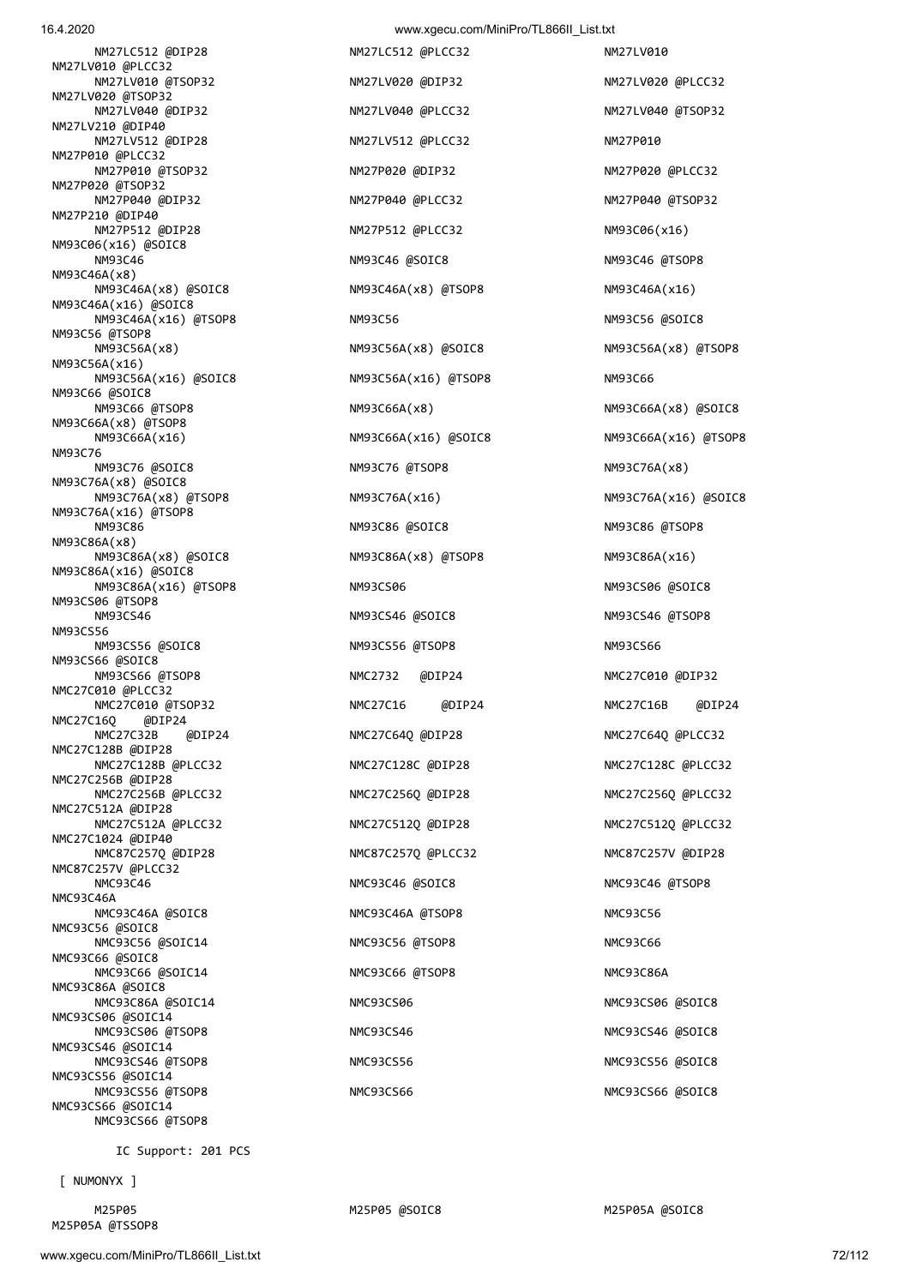NMC93CS66 @TSOP8

[ NUMONYX ]

M25P05A @TSSOP8

IC Support: 201 PCS

NM93C56A(x16) NM93C66 @SOIC8<br>NM93C66 @TSOP8 NM93C66A(x8) @TSOP8 NM93C76 NM93C76A(x8) @SOIC8 NM93C76A(x16) @TSOP8 NM93C86A(x8) NM93C86A(x16) @SOIC8 NM93CS06 @TSOP8 NM93CS56 NM93CS66 @SOIC8 NMC27C010 @PLCC32 NMC27C16Q @DIP24 NMC27C128B @DIP28 NMC27C256B @DIP28 NMC27C512A @DIP28 NMC27C1024 @DIP40 NMC87C257V @PLCC32 NMC93C46A NMC93C56 @SOIC8 NMC93C66 @SOIC8 NMC93C86A @SOIC8 NMC93CS06 @SOIC14 NMC93CS06 @TSOP8 NMC93CS46 NMC93CS46 NMC93CS46 NMC93CS46 ASOIC8 NMC93CS46 @SOIC14 NMC93CS46 @TSOP8 NMC93CS56 NMC93CS56 NMC93CS56 NMC93CS56 NMC93CS56 NMC93CS56 NMC93CS56 NSOIC8 NMC93CS56 @SOIC14 NMC93CS56 @TSOP8 NMC93CS66 NMC93CS66 NMC93CS66 NMC93CS66 @SOIC8 NMC93CS66 @SOIC14

 NM27LC512 @DIP28 NM27LC512 @PLCC32 NM27LV010 NM27LV010 @PLCC32 NM27LV010 @TSOP32 NM27LV020 @DIP32 NM27LV020 @PLCC32 NM27LV020 @TSOP32 NM27LV040 @DIP32 NM27LV040 @PLCC32 NM27LV040 @TSOP32 NM27LV210 @DIP40 NM27LV512 @DIP28 NM27LV512 @PLCC32 NM27P010 NM27P010 @PLCC32 NM27P010 @TSOP32 NM27P020 @DIP32 NM27P020 @PLCC32 NM27P020 @TSOP32 NM27P040 @DIP32 NM27P040 @PLCC32 NM27P040 @TSOP32 NM27P210 @DIP40 NM27P512 @DIP28 NM27P512 @PLCC32 NM93C06(x16) NM93C06(x16) @SOIC8 NM93C46 NM93C46 @SOIC8 NM93C46 @TSOP8 NM93C46A(x8) NM93C46A(x8) @SOIC8 NM93C46A(x8) @TSOP8 NM93C46A(x16) NM93C46A(x16) @SOIC8 NM93C46A(x16) @TSOP8 NM93C56 NM93C56 @SOIC8 NM93C56 @TSOP8<br>NM93C56A(x8) NM93C56A(x16) @SOIC8 NM93C56A(x16) @TSOP8 NM93C66 NM93C76 @SOIC8 NM93C76 @TSOP8 NM93C76A(x8) NM93C76A(x8) @TSOP8 NM93C76A(x16) NM93C76A(x16) @SOIC8 NM93C86 NM93C86 @SOIC8 NM93C86 @TSOP8 NM93C86A(x8) @SOIC8 NM93C86A(x8) @TSOP8 NM93C86A(x16) NM93C86A(x16) @TSOP8 NM93CS06 NM93CS06 @SOIC8 NM93CS46 NM93CS46 @SOIC8 NM93CS46 @TSOP8 NM93CS56 @SOIC8 NM93CS56 @TSOP8 NM93CS66 NM93CS66 @TSOP8 NMC2732 @DIP24 NMC27C010 @DIP32 NMC27C010 @TSOP32 NMC27C16 @DIP24 NMC27C16B @DIP24 NMC27C32B @DIP24 NMC27C64Q @DIP28 NMC27C64Q @PLCC32 NMC27C128B @PLCC32 NMC27C128C @DIP28 NMC27C128C @PLCC32 NMC27C512A @PLCC32 NMC27C512Q @DIP28 NMC27C512Q @PLCC32 NMC87C257Q @DIP28 NMC87C257Q @PLCC32 NMC87C257V @DIP28 NMC93C46 NMC93C46 @SOIC8 NMC93C46 @TSOP8 NMC93C46A @SOIC8 NMC93C46A @TSOP8 NMC93C46A @TSOP8 NMC93C56 @SOIC14 NMC93C56 @TSOP8 NMC93C66 NMC93C66 @SOIC14 NMC93C66 @TSOP8 NMC93C66 @SOIC14 NMC93C86A @SOIC14 NMC93CS06 NMC93CS06 NMC93CS06 NMC93CS06 NMC93CS06 NMC93CS06 NMC93CS06 NMC93CS06 NMC93CS06 NMC93CS06 N

 NM93C56A(x8) NM93C56A(x8) @SOIC8 NM93C56A(x8) @TSOP8 NM93C66A(x8) NM93C66A(x8) @SOIC8 NM93C66A(x16) NM93C66A(x16) @SOIC8 NM93C66A(x16) @TSOP8 NMC27C256B @PLCC32 NMC27C256Q @DIP28 NMC27C256Q @PLCC32

M25P05 M25P05 M25P05 @SOIC8 M25P05 M25P05A @SOIC8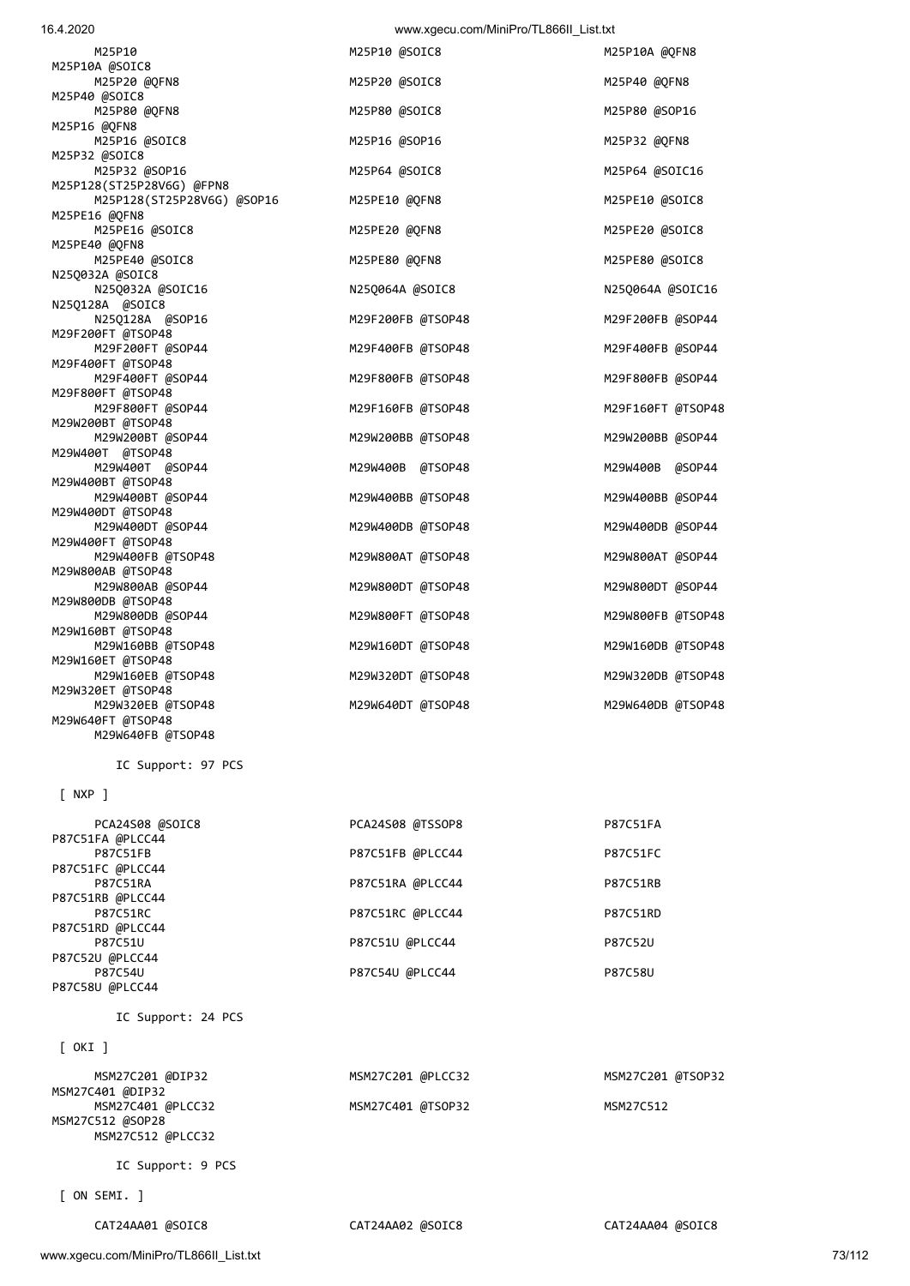## P87C52U @PLCC44 P87C54U P87C54U @PLCC44 P87C58U P87C58U @PLCC44 IC Support: 24 PCS [ OKI ] MSM27C201 @DIP32 MSM27C201 @PLCC32 MSM27C201 @TSOP32 MSM27C401 @DIP32 MSM27C401 @PLCC32 MSM27C401 @TSOP32 MSM27C512 MSM27C512 @SOP28 MSM27C512 @PLCC32 IC Support: 9 PCS [ ON SEMI. ] CAT24AA01 @SOIC8 CAT24AA02 @SOIC8 CAT24AA04 @SOIC8

P87C51U @PLCC44 P87C52U

| M29W800AB @SOP44              | M29W800DT @TSOP48 | M29W800DT @SOP44  |
|-------------------------------|-------------------|-------------------|
| M29W800DB @TSOP48             |                   |                   |
| M29W800DB @SOP44              | M29W800FT @TSOP48 | M29W800FB @TSOP48 |
| M29W160BT @TSOP48             |                   |                   |
| M29W160BB @TSOP48             | M29W160DT @TSOP48 | M29W160DB @TSOP48 |
| M29W160ET @TSOP48             |                   |                   |
| M29W160EB @TSOP48             | M29W320DT @TSOP48 | M29W320DB @TSOP48 |
| M29W320ET @TSOP48             |                   |                   |
| M29W320EB @TSOP48             | M29W640DT @TSOP48 | M29W640DB @TSOP48 |
| M29W640FT @TSOP48             |                   |                   |
| M29W640FB @TSOP48             |                   |                   |
| IC Support: 97 PCS<br>[ NXP ] |                   |                   |
|                               |                   |                   |
| PCA24S08 @SOIC8               | PCA24S08 @TSSOP8  | <b>P87C51FA</b>   |
| P87C51FA @PLCC44              |                   |                   |
| <b>P87C51FB</b>               | P87C51FB @PLCC44  | <b>P87C51FC</b>   |
| P87C51FC @PLCC44              |                   |                   |
| <b>P87C51RA</b>               | P87C51RA @PLCC44  | P87C51RB          |
| P87C51RB @PLCC44              |                   |                   |
| P87C51RC                      | P87C51RC @PLCC44  | P87C51RD          |
| P87C51RD @PLCC44              |                   |                   |
| P87C51U                       | P87C51U @PLCC44   | P87C52U           |

| M25P10                     | M25P10 @SOIC8     | M25P10A @QFN8     |
|----------------------------|-------------------|-------------------|
| M25P10A @SOIC8             |                   |                   |
| M25P20 @QFN8               | M25P20 @SOIC8     | M25P40 @QFN8      |
| M25P40 @SOIC8              |                   |                   |
| M25P80 @QFN8               | M25P80 @SOIC8     | M25P80 @SOP16     |
| M25P16 @QFN8               |                   |                   |
| M25P16 @SOIC8              | M25P16 @SOP16     | M25P32 @QFN8      |
| M25P32 @SOIC8              |                   |                   |
| M25P32 @SOP16              | M25P64 @SOIC8     | M25P64 @SOIC16    |
| M25P128(ST25P28V6G) @FPN8  |                   |                   |
| M25P128(ST25P28V6G) @SOP16 | M25PE10 @QFN8     | M25PE10 @SOIC8    |
| M25PE16 @QFN8              |                   |                   |
| M25PE16 @SOIC8             | M25PE20 @QFN8     | M25PE20 @SOIC8    |
| M25PE40 @QFN8              |                   |                   |
| M25PE40 @SOIC8             | M25PE80 @QFN8     | M25PE80 @SOIC8    |
| N25Q032A @SOIC8            |                   |                   |
| N25Q032A @SOIC16           | N25Q064A @SOIC8   | N25Q064A @SOIC16  |
| N25Q128A @SOIC8            |                   |                   |
| N25Q128A @SOP16            | M29F200FB @TSOP48 | M29F200FB @SOP44  |
| M29F200FT @TSOP48          |                   |                   |
| M29F200FT @SOP44           | M29F400FB @TSOP48 | M29F400FB @SOP44  |
| M29F400FT @TSOP48          |                   |                   |
| M29F400FT @SOP44           | M29F800FB @TSOP48 | M29F800FB @SOP44  |
| M29F800FT @TSOP48          |                   |                   |
| M29F800FT @SOP44           | M29F160FB @TSOP48 | M29F160FT @TSOP48 |
| M29W200BT @TSOP48          |                   |                   |
| M29W200BT @SOP44           | M29W200BB @TSOP48 | M29W200BB @SOP44  |
| M29W400T @TSOP48           |                   |                   |
| M29W400T @SOP44            | M29W400B @TSOP48  | M29W400B @SOP44   |
| M29W400BT @TSOP48          |                   |                   |
| M29W400BT @SOP44           | M29W400BB @TSOP48 | M29W400BB @SOP44  |
| M29W400DT @TSOP48          |                   |                   |
| M29W400DT @SOP44           | M29W400DB @TSOP48 | M29W400DB @SOP44  |
| M29W400FT @TSOP48          |                   |                   |
| M29W400FB @TSOP48          | M29W800AT @TSOP48 | M29W800AT @SOP44  |
| M29W800AB @TSOP48          |                   |                   |
| M29W800AB @SOP44           | M29W800DT @TSOP48 | M29W800DT @SOP44  |
| M29W800DB @TSOP48          |                   |                   |
| M29W800DB @SOP44           | M29W800FT @TSOP48 | M29W800FB @TSOP48 |
| M29W160BT @TSOP48          |                   |                   |
| M29W160BB @TSOP48          | M29W160DT @TSOP48 | M29W160DB @TSOP48 |
| M29W160ET @TSOP48          |                   |                   |
| M29W160EB @TSOP48          | M29W320DT @TSOP48 | M29W320DB @TSOP48 |
| M29W320ET @TSOP48          |                   |                   |
| MOQW32AFR ATSOPAR          | MOQWEAANT ATSOPAR | MOQWEAADR ATSOPAR |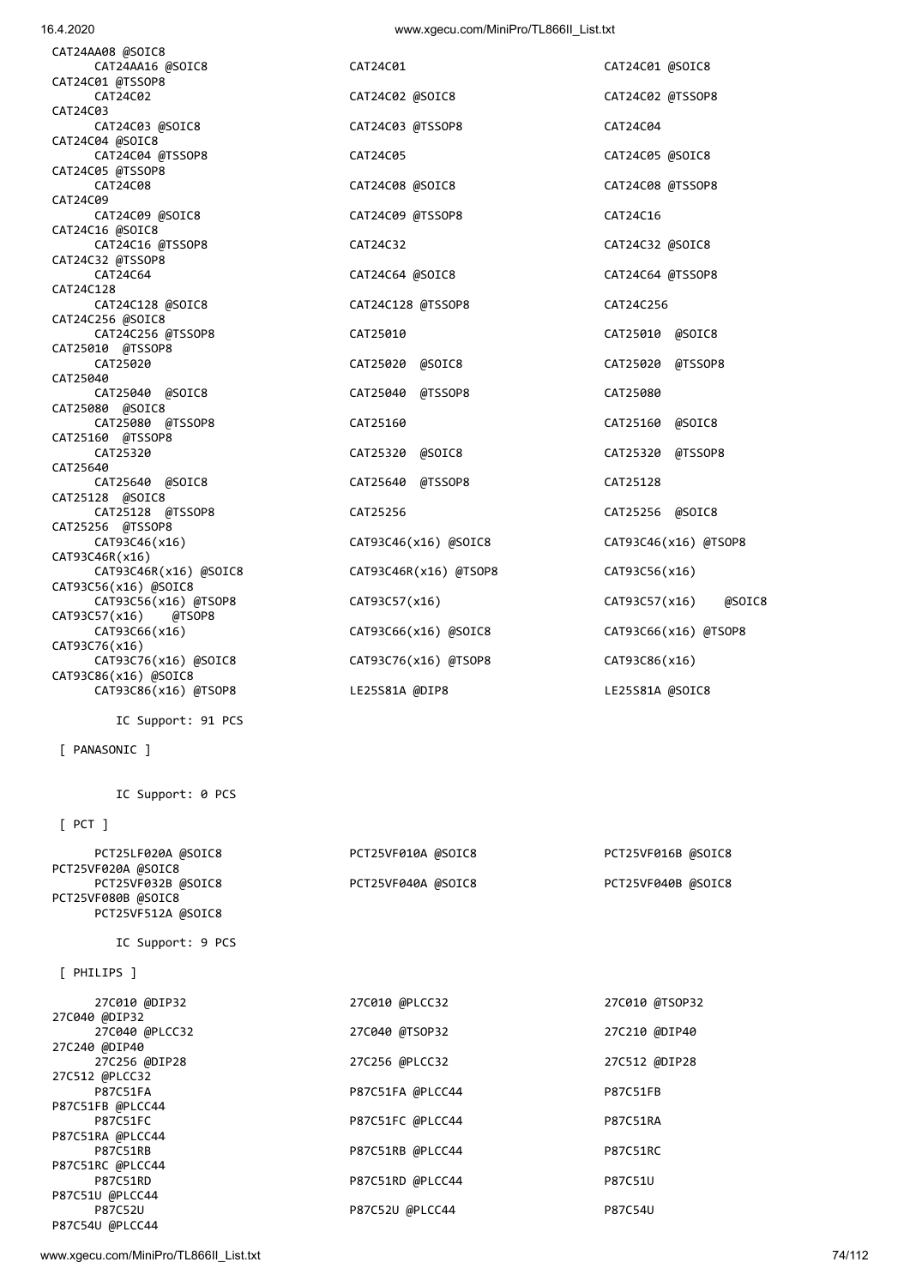CAT24C01 @SOIC8

CAT24C02 @TSSOP8

CAT24C05 @SOIC8

CAT24C08 @TSSOP8

CAT24C32 @SOIC8

CAT24C64 @TSSOP8

CAT25010 @SOIC8

CAT25020 @TSSOP8

CAT25160 @SOIC8

CAT25320 @TSSOP8

CAT25256 @SOIC8

CAT93C56(x16)

CAT93C86(x16)

LE25S81A @SOIC8

PCT25VF016B @SOIC8

PCT25VF040B @SOIC8

27C010 @TSOP32

27C210 @DIP40

27C512 @DIP28

P87C52U @PLCC44 P87C54U

CAT93C46(x16) @TSOP8

CAT93C57(x16) @SOIC8

CAT93C66(x16) @TSOP8

| 16.4.2020                                                 | www.xgecu.com/MiniPro/TL866II List.txt |            |
|-----------------------------------------------------------|----------------------------------------|------------|
| CAT24AA08 @SOIC8<br>CAT24AA16 @SOIC8                      | CAT24C01                               | CAT24C01 @ |
| CAT24C01 @TSSOP8<br>CAT24C02                              | CAT24C02 @SOIC8                        | CAT24C02 @ |
| CAT24C03<br>CAT24C03 @SOIC8                               | CAT24C03 @TSSOP8                       | CAT24C04   |
| CAT24C04 @SOIC8<br>CAT24C04 @TSSOP8                       | CAT24C05                               | CAT24C05 @ |
| CAT24C05 @TSSOP8<br>CAT24C08                              | CAT24C08 @SOIC8                        | CAT24C08 @ |
| CAT24C09                                                  |                                        |            |
| CAT24C09 @SOIC8<br>CAT24C16 @SOIC8                        | CAT24C09 @TSSOP8                       | CAT24C16   |
| CAT24C16 @TSSOP8<br>CAT24C32 @TSSOP8                      | CAT24C32                               | CAT24C32 @ |
| CAT24C64<br>CAT24C128                                     | CAT24C64 @SOIC8                        | CAT24C64 @ |
| CAT24C128 @SOIC8                                          | CAT24C128 @TSSOP8                      | CAT24C256  |
| CAT24C256 @SOIC8<br>CAT24C256 @TSSOP8<br>CAT25010 @TSSOP8 | CAT25010                               | CAT25010   |
| CAT25020                                                  | CAT25020 @SOIC8                        | CAT25020   |
| CAT25040<br>CAT25040 @SOIC8                               | CAT25040 @TSSOP8                       | CAT25080   |
| CAT25080 @SOIC8<br>CAT25080 @TSSOP8                       | CAT25160                               | CAT25160   |
| CAT25160 @TSSOP8<br>CAT25320                              | CAT25320 @SOIC8                        | CAT25320   |
| CAT25640<br>CAT25640 @SOIC8                               | CAT25640 @TSSOP8                       | CAT25128   |
| CAT25128 @SOIC8<br>CAT25128 @TSSOP8                       |                                        |            |
| CAT25256 @TSSOP8                                          | CAT25256                               | CAT25256   |
| CAT93C46(x16)<br>CAT93C46R(x16)                           | CAT93C46(x16) @SOIC8                   | CAT93C46(> |
| CAT93C46R(x16) @SOIC8<br>CAT93C56(x16) @SOIC8             | CAT93C46R(x16) @TSOP8                  | CAT93C56(> |
| CAT93C56(x16) @TSOP8<br>CAT93C57(x16)<br>@TSOP8           | CAT93C57(x16)                          | CAT93C57(> |
| CAT93C66(x16)<br>CAT93C76(x16)                            | CAT93C66(x16) @SOIC8                   | CAT93C66(> |
| CAT93C76(x16) @SOIC8                                      | CAT93C76(x16) @TSOP8                   | CAT93C86(> |
| CAT93C86(x16) @SOIC8<br>CAT93C86(x16) @TSOP8              | LE25S81A @DIP8                         | LE25S81A @ |
| IC Support: 91 PCS                                        |                                        |            |
| [ PANASONIC ]                                             |                                        |            |
| IC Support: 0 PCS                                         |                                        |            |
| $[$ PCT $]$                                               |                                        |            |
| PCT25LF020A @SOIC8                                        | PCT25VF010A @SOIC8                     | PCT25VF016 |
| PCT25VF020A @SOIC8<br>PCT25VF032B @SOIC8                  | PCT25VF040A @SOIC8                     | PCT25VF040 |
| PCT25VF080B @SOIC8<br>PCT25VF512A @SOIC8                  |                                        |            |
| IC Support: 9 PCS                                         |                                        |            |
| [ PHILIPS ]                                               |                                        |            |
| 27C010 @DIP32<br>27C040 @DIP32                            | 27C010 @PLCC32                         | 27C010 @TS |
| 27C040 @PLCC32                                            | 27C040 @TSOP32                         | 27C210 @DI |
| 27C240 @DIP40<br>27C256 @DIP28                            | 27C256 @PLCC32                         | 27C512 @DI |
| 27C512 @PLCC32<br>P87C51FA                                | P87C51FA @PLCC44                       | P87C51FB   |
| P87C51FB @PLCC44<br>P87C51FC                              | P87C51FC @PLCC44                       | P87C51RA   |
| P87C51RA @PLCC44<br>P87C51RB                              | P87C51RB @PLCC44                       | P87C51RC   |
| P87C51RC @PLCC44                                          |                                        |            |
| P87C51RD                                                  | P87C51RD @PLCC44                       | P87C51U    |

www.xgecu.com/MiniPro/TL866II\_List.txt 74/112

P87C51U @PLCC44

P87C54U @PLCC44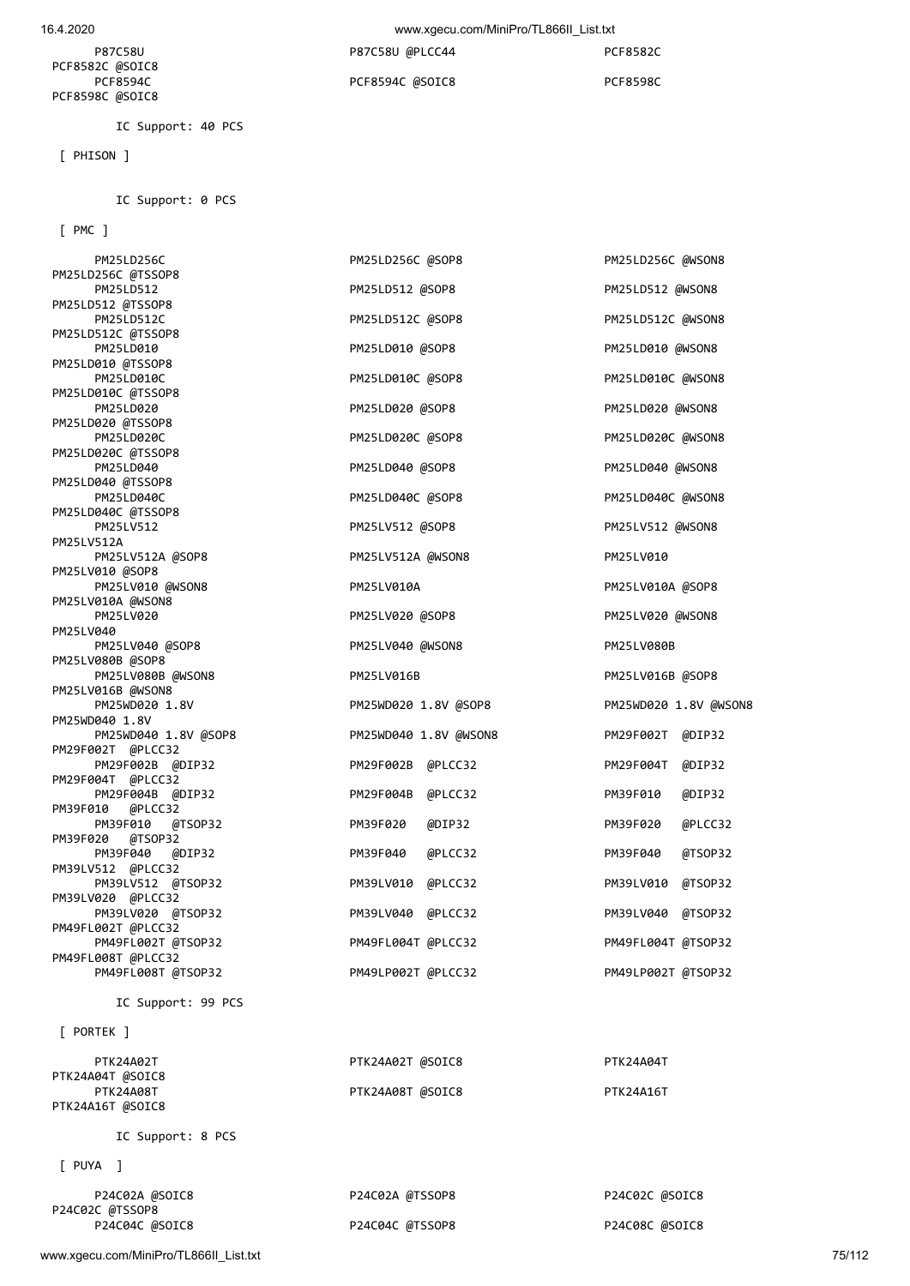16.4.2020 www.xgecu.com/MiniPro/TL866II\_List.txt

| P87C58U         | P87C58U @PLCC44 | <b>PCF8582C</b> |
|-----------------|-----------------|-----------------|
| PCF8582C @SOIC8 |                 |                 |
| PCF8594C        | PCF8594C @SOIC8 | PCF8598C        |
| PCF8598C @SOIC8 |                 |                 |
|                 |                 |                 |

IC Support: 0 PCS

[ PMC ]

[ PHISON ]

IC Support: 40 PCS

PM25LD256C PM25LD256C @SOP8 PM25LD256C @SOP8 PM25LD256C @WSON8 PM25LD256C @TSSOP8 PM25LD512 PM25LD512 @SOP8 PM25LD512 @WSON8 PM25LD512 @TSSOP8 PM25LD512C PM25LD512C @SOP8 PM25LD512C PM25LD512C PM25LD512C PM25LD512C PM25LD512C PM25LD512C @TSSOP8<br>PM25LD010 PM25LD010 @SOP8 PM25LD010 @WSON8 PM25LD010 @TSSOP8<br>PM25LD010C PM25LD010C @SOP8 PM25LD010C @WSON8 PM25LD010C @TSSOP8<br>PM25LD020 PM25LD020 @SOP8 PM25LD020 @WSON8 PM25LD020 @TSSOP8 PM25LD020C PM25LD020C @SOP8 PM25LD020C PM25LD020C PM25LD020C @WSON8 PM25LD020C @TSSOP8<br>PM25LD040 PM25LD040 @SOP8 PM25LD040 @WSON8 PM25LD040 @TSSOP8 PM25LD040C PM25LD040C @SOP8 PM25LD040C PM25LD040C PM25LD040C @WSON8 PM25LD040C @TSSOP8<br>PM25LV512 PM25LV512 @SOP8 PM25LV512 @WSON8 PM25LV512A PM25LV512A @SOP8 PM25LV512A @WSON8 PM25LV010 PM25LV010 @SOP8 PM25LV010 @WSON8 PM25LV010A PM25LV010A @SOP8 PM25LV010A @WSON8 PM25LV020 **PM25LV020 @SOP8** PM25LV020 **PM25LV020 PM25LV020 PM25LV020 PM25LV020 @WSON8** PM25LV040 PM25LV040 @SOP8 PM25LV080B PM25LV040 @WSON8 PM25LV080B PM25LV080B @SOP8 PM25LV080B @WSON8 PM25LV016B PM25LV016B @SOP8 PM25LV016B @WSON8 PM25WD020 1.8V PM25WD020 1.8V @SOP8 PM25WD020 1.8V @WSON8 PM25WD040 1.8V PM25WD040 1.8V @SOP8 PM25WD040 1.8V @WSON8 PM29F002T @DIP32 PM29F002T @PLCC32 PM29F002B @DIP32 PM29F002B @PLCC32 PM29F004T @DIP32 PM29F004T @PLCC32 PM29F004B @DIP32 PM29F004B @PLCC32 PM39F010 @DIP32 PM39F010 @PLCC32 PM39F010 @TSOP32 PM39F020 @DIP32 PM39F020 @PLCC32 PM39F020 @TSOP32 PM39F040 @DIP32 PM39F040 @PLCC32 PM39F040 @TSOP32 PM39LV512 @PLCC32 PM39LV512 @TSOP32 PM39LV010 @PLCC32 PM39LV010 @TSOP32 PM39LV020 @PLCC32 PM39LV020 @TSOP32 PM39LV040 @PLCC32 PM39LV040 @TSOP32 PM49FL002T @PLCC32 PM49FL002T @TSOP32 PM49FL004T @PLCC32 PM49FL004T @TSOP32 PM49FL008T @PLCC32 PM49FL008T @TSOP32 PM49LP002T @PLCC32 PM49LP002T @TSOP32 IC Support: 99 PCS [ PORTEK ] PTK24A02T PTK24A02T PTK24A02T @SOIC8 PTK24A04T PTK24A04T @SOIC8 PTK24A08T PTK24A16T PTK24A16T PTK24A16T PTK24A16T PTK24A16T @SOIC8 IC Support: 8 PCS

[ PUYA ]

| P24C02A @SOIC8<br>P24C02C @TSSOP8 | P24C02A @TSSOP8 | P24C02C @SOIC8 |
|-----------------------------------|-----------------|----------------|
| P24C04C @SOIC8                    | P24C04C @TSSOP8 | P24C08C @SOIC8 |

www.xgecu.com/MiniPro/TL866II\_List.txt 75/112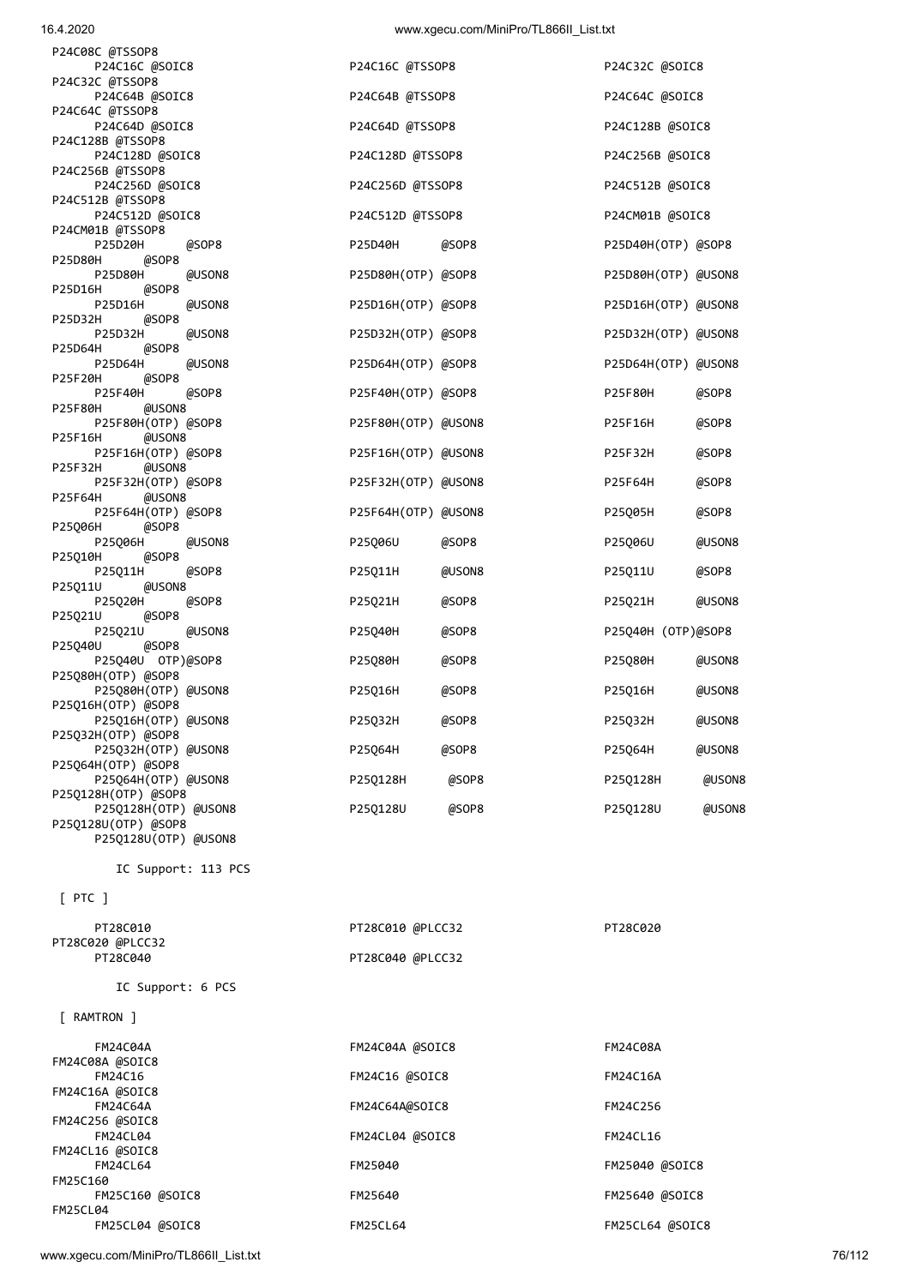| 10.4.ZUZU                                   |                     | WWW.XYECU.CONTINUITIPTO/TLOUDIL_LISI.IXI |                     |        |
|---------------------------------------------|---------------------|------------------------------------------|---------------------|--------|
| P24C08C @TSSOP8<br>P24C16C @SOIC8           | P24C16C @TSSOP8     |                                          | P24C32C @SOIC8      |        |
| P24C32C @TSSOP8<br>P24C64B @SOIC8           | P24C64B @TSSOP8     |                                          | P24C64C @SOIC8      |        |
| P24C64C @TSSOP8<br>P24C64D @SOIC8           | P24C64D @TSSOP8     |                                          | P24C128B @SOIC8     |        |
| P24C128B @TSSOP8                            |                     |                                          |                     |        |
| P24C128D @SOIC8<br>P24C256B @TSSOP8         | P24C128D @TSSOP8    |                                          | P24C256B @SOIC8     |        |
| P24C256D @SOIC8<br>P24C512B @TSSOP8         | P24C256D @TSSOP8    |                                          | P24C512B @SOIC8     |        |
| P24C512D @SOIC8<br>P24CM01B @TSSOP8         | P24C512D @TSSOP8    |                                          | P24CM01B @SOIC8     |        |
| P25D20H<br>@SOP8<br>@SOP8<br>P25D80H        | P25D40H             | @SOP8                                    | P25D40H(OTP) @SOP8  |        |
| P25D80H<br>@USON8<br>@SOP8<br>P25D16H       | P25D80H(OTP) @SOP8  |                                          | P25D80H(OTP) @USON8 |        |
| P25D16H<br>@USON8<br>P25D32H<br>@SOP8       | P25D16H(OTP) @SOP8  |                                          | P25D16H(OTP) @USON8 |        |
| P25D32H<br>@USON8<br>@SOP8<br>P25D64H       | P25D32H(OTP) @SOP8  |                                          | P25D32H(OTP) @USON8 |        |
| P25D64H<br>@USON8<br>@SOP8<br>P25F20H       | P25D64H(OTP) @SOP8  |                                          | P25D64H(OTP) @USON8 |        |
| P25F40H<br>@SOP8                            | P25F40H(OTP) @SOP8  |                                          | P25F80H             | @SOP8  |
| @USON8<br>P25F80H<br>P25F80H(OTP) @SOP8     | P25F80H(OTP) @USON8 |                                          | P25F16H             | @SOP8  |
| P25F16H<br>@USON8<br>P25F16H(OTP) @SOP8     | P25F16H(OTP) @USON8 |                                          | P25F32H             | @SOP8  |
| P25F32H<br>@USON8<br>P25F32H(OTP) @SOP8     | P25F32H(OTP) @USON8 |                                          | P25F64H             | @SOP8  |
| P25F64H<br>@USON8<br>P25F64H(OTP) @SOP8     | P25F64H(OTP) @USON8 |                                          | P25Q05H             | @SOP8  |
| @SOP8<br>P25Q06H<br>P25006H<br>@USON8       | P25006U             | @SOP8                                    | P25Q06U             | @USON8 |
| @SOP8<br>P25Q10H<br>P25011H<br>@SOP8        | P25Q11H             | @USON8                                   | P25Q11U             | @SOP8  |
| @USON8<br>P25Q11U<br>P25020H<br>@SOP8       | P25Q21H             | @SOP8                                    | P25Q21H             | @USON8 |
| @SOP8<br>P25Q21U<br>@USON8<br>P25Q21U       | P25Q40H             | @SOP8                                    | P25Q40H (OTP)@SOP8  |        |
| @SOP8<br>P25040U<br>P25Q40U 0TP)@SOP8       | P25Q80H             | @SOP8                                    | P25Q80H             | @USON8 |
| P25Q80H(OTP) @SOP8<br>P25Q80H(OTP) @USON8   | P25Q16H             | @SOP8                                    | P25Q16H             | @USON8 |
| P25Q16H(OTP) @SOP8<br>P25Q16H(OTP) @USON8   |                     |                                          |                     | @USON8 |
| P25032H(OTP) @SOP8                          | P25Q32H             | @SOP8                                    | P25Q32H             |        |
| P25Q32H(OTP) @USON8<br>P25Q64H(OTP) @SOP8   | P25Q64H             | @SOP8                                    | P25064H             | @USON8 |
| P25Q64H(OTP) @USON8<br>P250128H(OTP) @SOP8  | P25Q128H            | @SOP8                                    | P25Q128H            | @USON8 |
| P25Q128H(OTP) @USON8<br>P25Q128U(OTP) @SOP8 | P25Q128U            | @SOP8                                    | P250128U            | @USON8 |
| P250128U(OTP) @USON8                        |                     |                                          |                     |        |
| IC Support: 113 PCS                         |                     |                                          |                     |        |
| $[$ PTC $]$                                 |                     |                                          |                     |        |
| PT28C010<br>PT28C020 @PLCC32                | PT28C010 @PLCC32    |                                          | PT28C020            |        |
| PT28C040                                    | PT28C040 @PLCC32    |                                          |                     |        |
| IC Support: 6 PCS                           |                     |                                          |                     |        |
| [ RAMTRON ]                                 |                     |                                          |                     |        |
| FM24C04A                                    | FM24C04A @SOIC8     |                                          | <b>FM24C08A</b>     |        |
| FM24C08A @SOIC8<br>FM24C16                  | FM24C16 @SOIC8      |                                          | FM24C16A            |        |
| FM24C16A @SOIC8<br><b>FM24C64A</b>          | FM24C64A@SOIC8      |                                          | FM24C256            |        |
| FM24C256 @SOIC8<br>FM24CL04                 | FM24CL04 @SOIC8     |                                          | <b>FM24CL16</b>     |        |
| FM24CL16 @SOIC8<br><b>FM24CL64</b>          | FM25040             |                                          | FM25040 @SOIC8      |        |
| FM25C160                                    |                     |                                          |                     |        |

FM25C160 @SOIC8 FM25640 FM25640 @SOIC8

FM25CL04 @SOIC8 FM25CL64 FM25CL64 @SOIC8

www.xgecu.com/MiniPro/TL866II\_List.txt 76/112

FM25CL04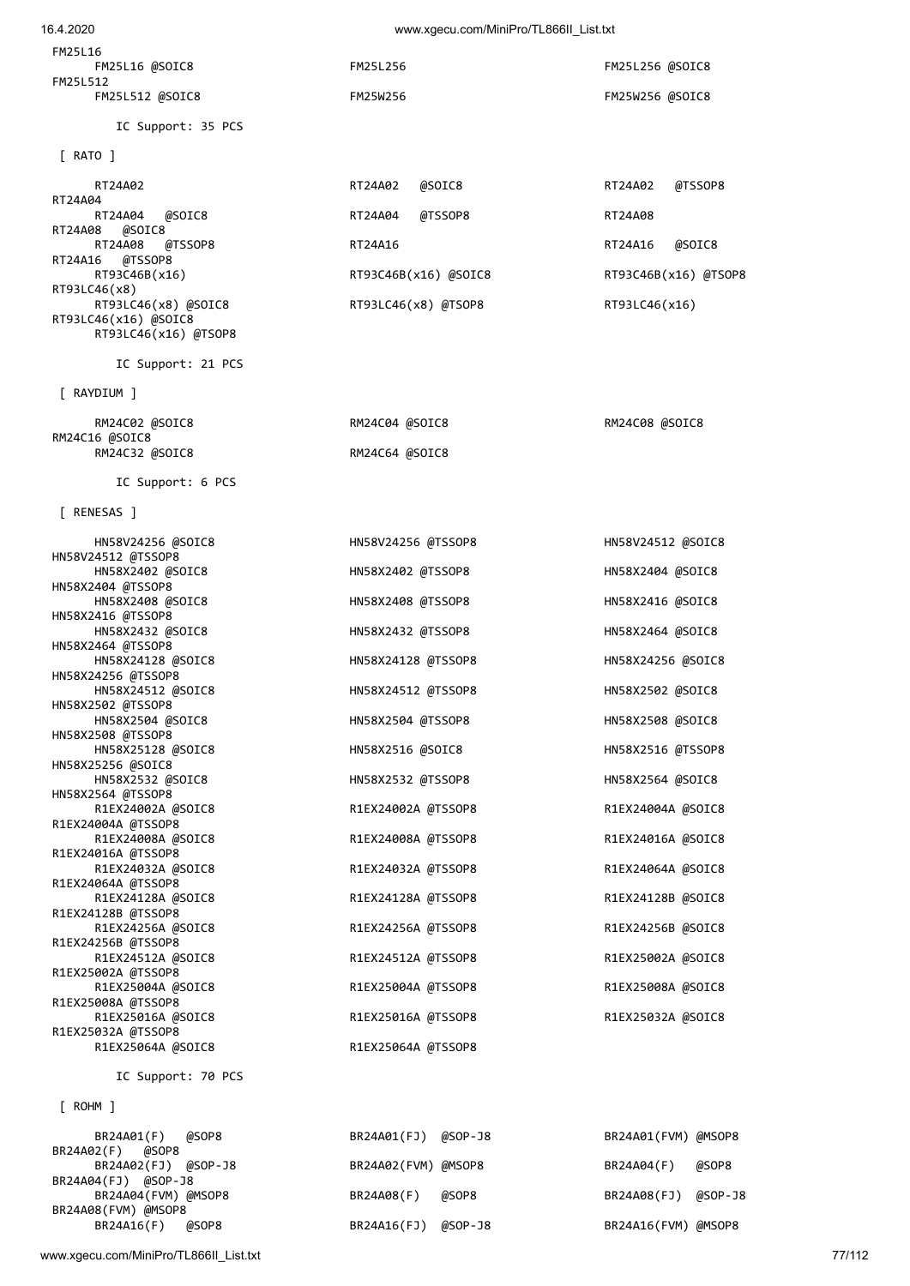| 16.4.2020                                                           | www.xgecu.com/MiniPro/TL866II_List.txt |                      |
|---------------------------------------------------------------------|----------------------------------------|----------------------|
| FM25L16<br>FM25L16 @SOIC8                                           | FM25L256                               | FM25L256 @SOIC8      |
| FM25L512<br>FM25L512 @SOIC8                                         | FM25W256                               | FM25W256 @SOIC8      |
| IC Support: 35 PCS                                                  |                                        |                      |
| $\lceil$ RATO $\rceil$                                              |                                        |                      |
| RT24A02                                                             | RT24A02<br>@SOIC8                      | RT24A02<br>@TSSOP8   |
| RT24A04<br>RT24A04<br>@SOIC8                                        | RT24A04<br>@TSSOP8                     | RT24A08              |
| RT24A08<br>@SOIC8                                                   |                                        |                      |
| RT24A08<br>@TSSOP8<br>RT24A16<br>@TSSOP8                            | RT24A16                                | @SOIC8<br>RT24A16    |
| RT93C46B(x16)<br>RT93LC46(x8)                                       | RT93C46B(x16) @SOIC8                   | RT93C46B(x16) @TSOP8 |
| RT93LC46(x8) @SOIC8<br>RT93LC46(x16) @SOIC8<br>RT93LC46(x16) @TSOP8 | RT93LC46(x8) @TSOP8                    | RT93LC46(x16)        |
| IC Support: 21 PCS                                                  |                                        |                      |
| [ RAYDIUM ]                                                         |                                        |                      |
| RM24C02 @SOIC8<br>RM24C16 @SOIC8                                    | RM24C04 @SOIC8                         | RM24C08 @SOIC8       |
| RM24C32 @SOIC8                                                      | RM24C64 @SOIC8                         |                      |
| IC Support: 6 PCS                                                   |                                        |                      |
| [ RENESAS ]                                                         |                                        |                      |
| HN58V24256 @SOIC8<br>HN58V24512 @TSSOP8                             | HN58V24256 @TSSOP8                     | HN58V24512 @SOIC8    |
| HN58X2402 @SOIC8<br>HN58X2404 @TSSOP8                               | HN58X2402 @TSSOP8                      | HN58X2404 @SOIC8     |
| HN58X2408 @SOIC8<br>HN58X2416 @TSSOP8                               | HN58X2408 @TSSOP8                      | HN58X2416 @SOIC8     |
| HN58X2432 @SOIC8                                                    | HN58X2432 @TSSOP8                      | HN58X2464 @SOIC8     |
| HN58X2464 @TSSOP8<br>HN58X24128 @SOIC8                              | HN58X24128 @TSSOP8                     | HN58X24256 @SOIC8    |
| HN58X24256 @TSSOP8<br>HN58X24512 @SOIC8                             | HN58X24512 @TSSOP8                     | HN58X2502 @SOIC8     |
| HN58X2502 @TSSOP8<br>HN58X2504 @SOIC8                               | HN58X2504 @TSSOP8                      | HN58X2508 @SOIC8     |
| HN58X2508 @TSSOP8<br>HN58X25128 @SOIC8                              | HN58X2516 @SOIC8                       | HN58X2516 @TSSOP8    |
| HN58X25256 @SOIC8<br>HN58X2532 @SOIC8                               | HN58X2532 @TSSOP8                      | HN58X2564 @SOIC8     |
| HN58X2564 @TSSOP8<br>R1EX24002A @SOIC8                              | R1EX24002A @TSSOP8                     | R1EX24004A @SOIC8    |
| R1EX24004A @TSSOP8<br>R1EX24008A @SOIC8                             | R1EX24008A @TSSOP8                     | R1EX24016A @SOIC8    |
| R1EX24016A @TSSOP8<br>R1EX24032A @SOIC8                             | R1EX24032A @TSSOP8                     | R1EX24064A @SOIC8    |
| R1EX24064A @TSSOP8<br>R1EX24128A @SOIC8                             | R1EX24128A @TSSOP8                     | R1EX24128B @SOIC8    |
| R1EX24128B @TSSOP8<br>R1EX24256A @SOIC8                             | R1EX24256A @TSSOP8                     | R1EX24256B @SOIC8    |
| R1EX24256B @TSSOP8<br>R1EX24512A @SOIC8                             | R1EX24512A @TSSOP8                     | R1EX25002A @SOIC8    |
| R1EX25002A @TSSOP8<br>R1EX25004A @SOIC8                             | R1EX25004A @TSSOP8                     | R1EX25008A @SOIC8    |
| R1EX25008A @TSSOP8<br>R1EX25016A @SOIC8                             | R1EX25016A @TSSOP8                     | R1EX25032A @SOIC8    |
| R1EX25032A @TSSOP8<br>R1EX25064A @SOIC8                             | R1EX25064A @TSSOP8                     |                      |
| IC Support: 70 PCS                                                  |                                        |                      |

[ ROHM ]

 BR24A01(F) @SOP8 BR24A01(FJ) @SOP-J8 BR24A01(FVM) @MSOP8 BR24A02(F) @SOP8 BR24A02(FJ) @SOP-J8 BR24A02(FVM) @MSOP8 BR24A04(F) @SOP8 BR24A04(FJ) @SOP-J8 BR24A04(FVM) @MSOP8 BR24A08(F) @SOP8 BR24A08(FJ) @SOP-J8 BR24A08(FVM) @MSOP8 BR24A16(F) @SOP8 BR24A16(FJ) @SOP-J8 BR24A16(FVM) @MSOP8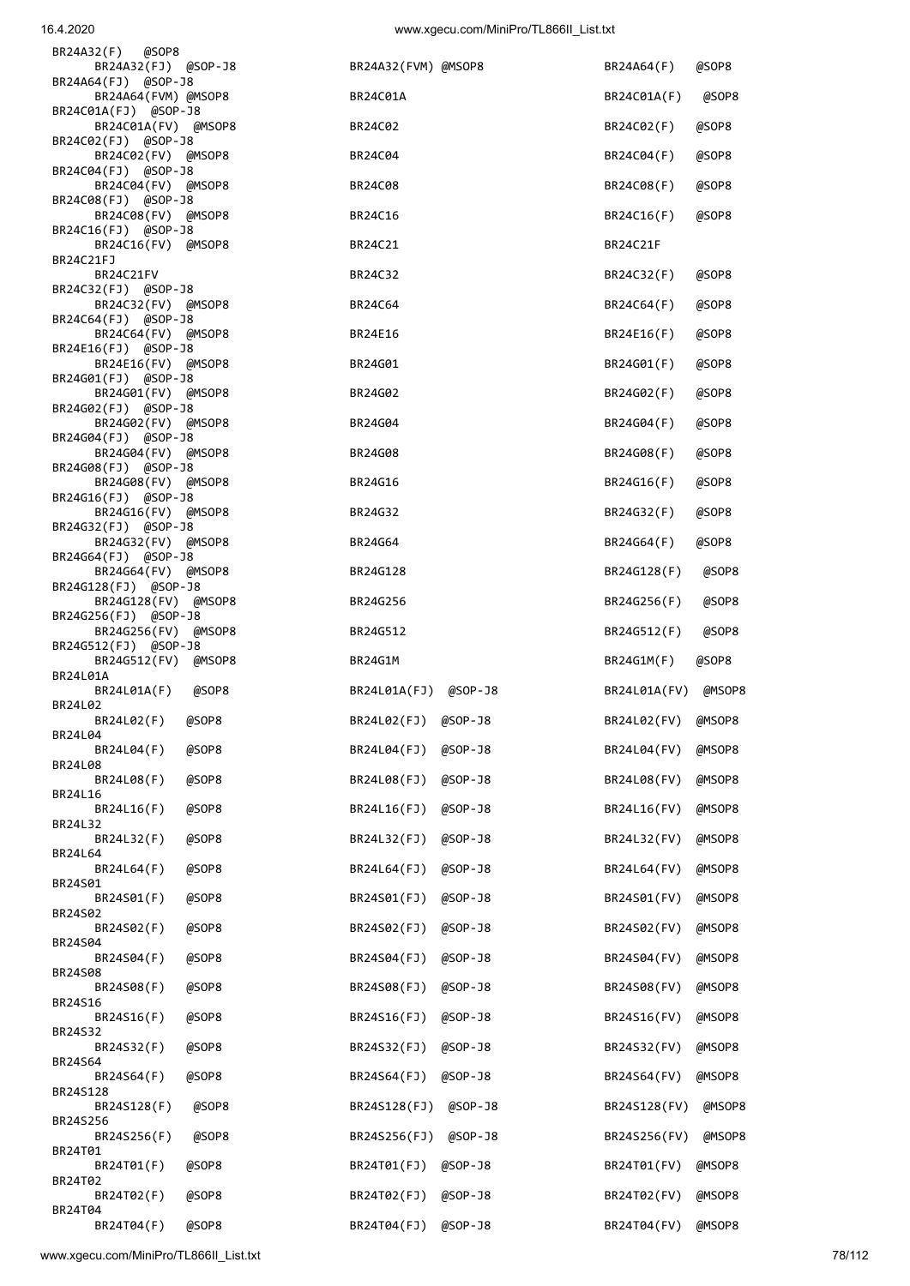BR24T02<br>BR24T02(F)

BR24T04<br>BR24T04(F)

| 16.4.2020                                      | www.xgecu.com/MiniPro/TL866II_List.txt |                        |
|------------------------------------------------|----------------------------------------|------------------------|
| BR24A32(F)<br>@SOP8<br>BR24A32(FJ) @SOP-J8     | BR24A32(FVM) @MSOP8                    | BR24A64(F)<br>@SOP8    |
| BR24A64(FJ) @SOP-J8<br>BR24A64(FVM) @MSOP8     | BR24C01A                               | BR24C01A(F)<br>@SOP8   |
| BR24C01A(FJ) @SOP-J8<br>BR24C01A(FV) @MSOP8    | BR24C02                                | BR24C02(F)<br>@SOP8    |
| BR24C02(FJ) @SOP-J8<br>BR24C02(FV) @MSOP8      | BR24C04                                | BR24C04(F)<br>@SOP8    |
| BR24C04(FJ) @SOP-J8<br>BR24C04(FV) @MSOP8      | BR24C08                                | BR24C08(F)<br>@SOP8    |
| BR24C08(FJ) @SOP-J8<br>BR24C08(FV) @MSOP8      | BR24C16                                | BR24C16(F)<br>@SOP8    |
| BR24C16(FJ) @SOP-J8<br>BR24C16(FV) @MSOP8      | BR24C21                                | BR24C21F               |
| BR24C21FJ<br>BR24C21FV                         | BR24C32                                | BR24C32(F)<br>@SOP8    |
| BR24C32(FJ) @SOP-J8<br>BR24C32(FV) @MSOP8      | BR24C64                                | BR24C64(F)<br>@SOP8    |
| BR24C64(FJ) @SOP-J8<br>BR24C64(FV) @MSOP8      | BR24E16                                | BR24E16(F)<br>@SOP8    |
| BR24E16(FJ) @SOP-J8<br>BR24E16(FV) @MSOP8      | BR24G01                                | BR24G01(F)<br>@SOP8    |
| BR24G01(FJ) @SOP-J8                            |                                        |                        |
| BR24G01(FV) @MSOP8<br>BR24G02(FJ) @SOP-J8      | BR24G02                                | BR24G02(F)<br>@SOP8    |
| BR24G02(FV) @MSOP8<br>BR24G04(FJ) @SOP-J8      | BR24G04                                | BR24G04(F)<br>@SOP8    |
| BR24G04(FV) @MSOP8<br>BR24G08(FJ) @SOP-J8      | BR24G08                                | BR24G08(F)<br>@SOP8    |
| BR24G08(FV) @MSOP8<br>BR24G16(FJ) @SOP-J8      | BR24G16                                | BR24G16(F)<br>@SOP8    |
| BR24G16(FV) @MSOP8<br>BR24G32(FJ) @SOP-J8      | BR24G32                                | BR24G32(F)<br>@SOP8    |
| BR24G32(FV) @MSOP8<br>BR24G64(FJ) @SOP-J8      | BR24G64                                | BR24G64(F)<br>@SOP8    |
| BR24G64(FV) @MSOP8<br>BR24G128(FJ) @SOP-J8     | BR24G128                               | BR24G128(F)<br>@SOP8   |
| BR24G128(FV)<br>@MSOP8<br>BR24G256(FJ) @SOP-J8 | BR24G256                               | BR24G256(F)<br>@SOP8   |
| BR24G256(FV)<br>@MSOP8<br>BR24G512(FJ) @SOP-J8 | BR24G512                               | BR24G512(F)<br>@SOP8   |
| BR24G512(FV)<br>@MSOP8<br>BR24L01A             | <b>BR24G1M</b>                         | BR24G1M(F)<br>@SOP8    |
| @SOP8<br>BR24L01A(F)<br>BR24L02                | BR24L01A(FJ)<br>@SOP-J8                | BR24L01A(FV)<br>@MSOP8 |
| BR24L02(F)<br>@SOP8<br>BR24L04                 | BR24L02(FJ)<br>@SOP-J8                 | BR24L02(FV)<br>@MSOP8  |
| BR24L04(F)<br>@SOP8<br>BR24L08                 | BR24L04(FJ)<br>@SOP-J8                 | BR24L04(FV)<br>@MSOP8  |
| @SOP8<br>BR24L08(F)<br>BR24L16                 | BR24L08(FJ)<br>@SOP-J8                 | BR24L08(FV)<br>@MSOP8  |
| @SOP8<br>BR24L16(F)<br>BR24L32                 | BR24L16(FJ)<br>@SOP-J8                 | BR24L16(FV)<br>@MSOP8  |
| BR24L32(F)<br>@SOP8<br>BR24L64                 | BR24L32(FJ)<br>@SOP-J8                 | BR24L32(FV)<br>@MSOP8  |
| BR24L64(F)<br>@SOP8<br>BR24S01                 | BR24L64(FJ)<br>@SOP-J8                 | BR24L64(FV)<br>@MSOP8  |
| BR24S01(F)<br>@SOP8<br>BR24S02                 | BR24S01(FJ)<br>@SOP-J8                 | BR24S01(FV)<br>@MSOP8  |
| BR24S02(F)<br>@SOP8<br>BR24S04                 | BR24S02(FJ)<br>@SOP-J8                 | BR24S02(FV)<br>@MSOP8  |
| @SOP8<br>BR24S04(F)<br>BR24S08                 | BR24S04(FJ)<br>@SOP-J8                 | BR24S04(FV)<br>@MSOP8  |
| @SOP8<br>BR24S08(F)<br>BR24S16                 | BR24S08(FJ)<br>@SOP-J8                 | BR24S08(FV)<br>@MSOP8  |
| @SOP8<br>BR24S16(F)<br>BR24S32                 | BR24S16(FJ)<br>@SOP-J8                 | BR24S16(FV)<br>@MSOP8  |
| @SOP8<br>BR24S32(F)<br>BR24S64                 | BR24S32(FJ)<br>@SOP-J8                 | BR24S32(FV)<br>@MSOP8  |
| BR24S64(F)<br>@SOP8<br>BR24S128                | BR24S64(FJ)<br>@SOP-J8                 | BR24S64(FV)<br>@MSOP8  |
| @SOP8<br>BR24S128(F)<br>BR24S256               | BR24S128(FJ)<br>@SOP-J8                | BR24S128(FV)<br>@MSOP8 |
| BR24S256(F)<br>@SOP8<br>BR24T01                | BR24S256(FJ)<br>@SOP-J8                | BR24S256(FV)<br>@MSOP8 |
| BR24T01(F)<br>@SOP8                            | BR24T01(FJ)<br>@SOP-J8                 | BR24T01(FV)<br>@MSOP8  |

BR24T02(F) @SOP8 BR24T02(FJ) @SOP-J8 BR24T02(FV) @MSOP8

BR24T04(F) @SOP8 BR24T04(FJ) @SOP-J8 BR24T04(FV) @MSOP8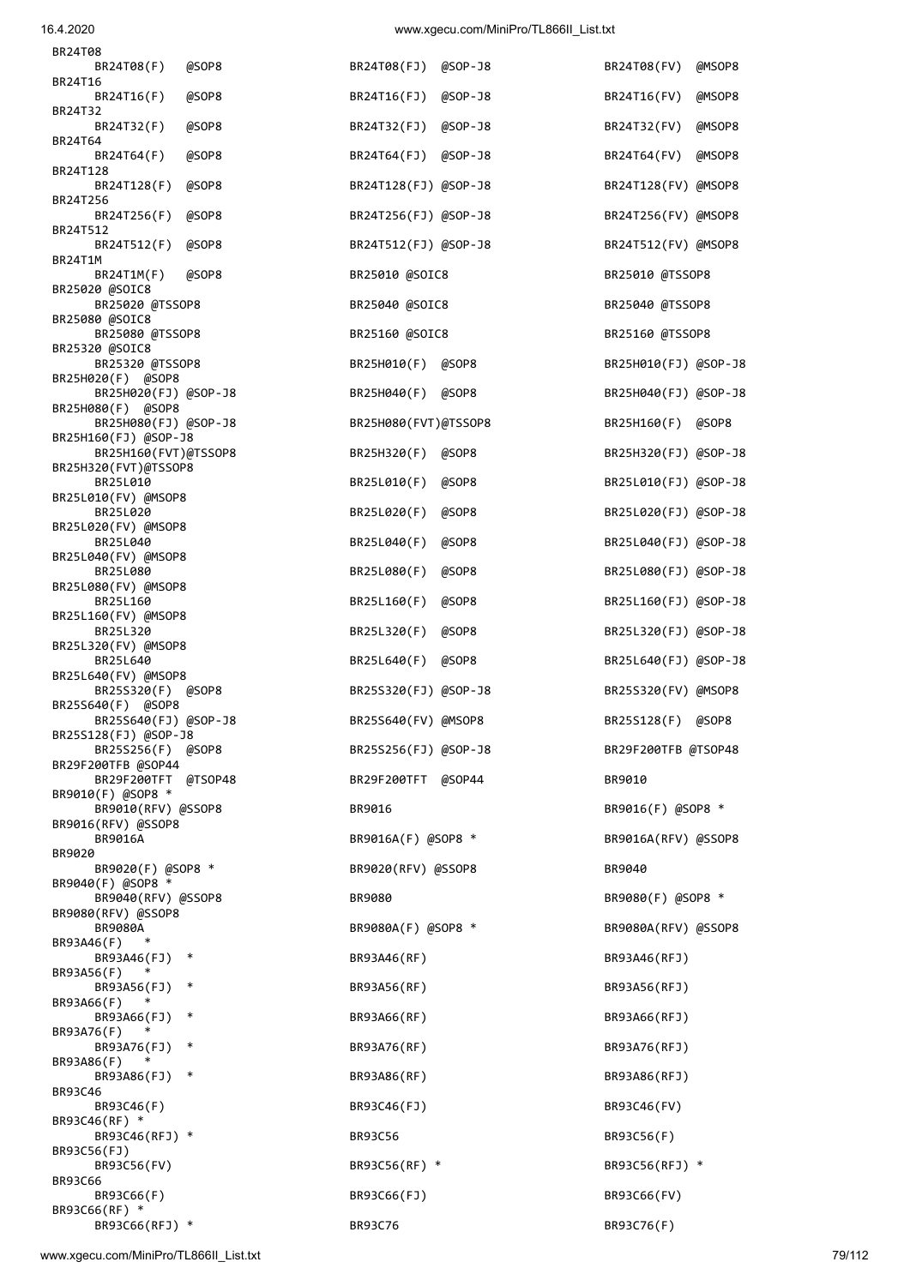www.xgecu.com/MiniPro/TL866II\_List.txt 79/112

| BR24T32(F)                                   | @SOP8  | BR24T32(FJ) @SOP-J8  |       | BR24T32(FV)          | @MSOP8 |
|----------------------------------------------|--------|----------------------|-------|----------------------|--------|
| BR24T64<br>BR24T64(F)                        | @SOP8  | BR24T64(FJ) @SOP-J8  |       | BR24T64(FV)          | @MSOP8 |
| BR24T128<br>BR24T128(F)                      | @SOP8  | BR24T128(FJ) @SOP-J8 |       | BR24T128(FV) @MSOP8  |        |
| BR24T256<br>BR24T256(F)                      | @SOP8  | BR24T256(FJ) @SOP-J8 |       | BR24T256(FV) @MSOP8  |        |
| BR24T512<br>BR24T512(F)                      | @SOP8  | BR24T512(FJ) @SOP-J8 |       | BR24T512(FV) @MSOP8  |        |
| BR24T1M<br>BR24T1M(F)                        | @SOP8  | BR25010 @SOIC8       |       | BR25010 @TSSOP8      |        |
| BR25020 @SOIC8<br>BR25020 @TSSOP8            |        | BR25040 @SOIC8       |       | BR25040 @TSSOP8      |        |
| BR25080 @SOIC8<br>BR25080 @TSSOP8            |        | BR25160 @SOIC8       |       | BR25160 @TSSOP8      |        |
| BR25320 @SOIC8<br>BR25320 @TSSOP8            |        | BR25H010(F) @SOP8    |       | BR25H010(FJ) @SOP-J8 |        |
| BR25H020(F) @SOP8<br>BR25H020(FJ) @SOP-J8    |        | BR25H040(F) @SOP8    |       | BR25H040(FJ) @SOP-J8 |        |
| BR25H080(F) @SOP8<br>BR25H080(FJ) @SOP-J8    |        | BR25H080(FVT)@TSSOP8 |       | BR25H160(F) @SOP8    |        |
| BR25H160(FJ) @SOP-J8<br>BR25H160(FVT)@TSSOP8 |        | BR25H320(F) @SOP8    |       | BR25H320(FJ) @SOP-J8 |        |
| BR25H320(FVT)@TSSOP8<br>BR25L010             |        | BR25L010(F) @SOP8    |       | BR25L010(FJ) @SOP-J8 |        |
| BR25L010(FV) @MSOP8<br>BR25L020              |        | BR25L020(F)          | @SOP8 | BR25L020(FJ) @SOP-J8 |        |
| BR25L020(FV) @MSOP8<br>BR25L040              |        | BR25L040(F) @SOP8    |       | BR25L040(FJ) @SOP-J8 |        |
| BR25L040(FV) @MSOP8<br>BR25L080              |        | BR25L080(F)          | @SOP8 | BR25L080(FJ) @SOP-J8 |        |
| BR25L080(FV) @MSOP8<br>BR25L160              |        | BR25L160(F)          | @SOP8 | BR25L160(FJ) @SOP-J8 |        |
| BR25L160(FV) @MSOP8<br>BR25L320              |        | BR25L320(F) @SOP8    |       | BR25L320(FJ) @SOP-J8 |        |
| BR25L320(FV) @MSOP8<br>BR25L640              |        | BR25L640(F) @SOP8    |       | BR25L640(FJ) @SOP-J8 |        |
| BR25L640(FV) @MSOP8<br>BR25S320(F) @SOP8     |        | BR25S320(FJ) @SOP-J8 |       | BR25S320(FV) @MSOP8  |        |
| BR25S640(F) @SOP8<br>BR25S640(FJ) @SOP-J8    |        | BR25S640(FV) @MSOP8  |       | BR25S128(F) @SOP8    |        |
| BR25S128(FJ) @SOP-J8<br>BR25S256(F) @SOP8    |        | BR25S256(FJ) @SOP-J8 |       | BR29F200TFB @TSOP48  |        |
| BR29F200TFB @SOP44<br>BR29F200TFT @TSOP48    |        | BR29F200TFT @SOP44   |       | BR9010               |        |
| BR9010(F) @SOP8 *<br>BR9010(RFV) @SSOP8      |        | BR9016               |       | BR9016(F) @SOP8 *    |        |
| BR9016(RFV) @SSOP8<br>BR9016A                |        | BR9016A(F) @SOP8 *   |       | BR9016A(RFV) @SSOP8  |        |
| BR9020<br>BR9020(F) @SOP8 *                  |        | BR9020(RFV) @SSOP8   |       | BR9040               |        |
| BR9040(F) @SOP8 *<br>BR9040(RFV) @SSOP8      |        | BR9080               |       | BR9080(F) @SOP8 *    |        |
| BR9080(RFV) @SSOP8<br>BR9080A<br>$\ast$      |        | BR9080A(F) @SOP8 *   |       | BR9080A(RFV) @SSOP8  |        |
| BR93A46(F)<br>BR93A46(FJ)                    | $\ast$ | BR93A46(RF)          |       | BR93A46(RFJ)         |        |
| BR93A56(F)<br>BR93A56(FJ)                    | $\ast$ | BR93A56(RF)          |       | BR93A56(RFJ)         |        |
| BR93A66(F)<br>BR93A66(FJ)                    | $\ast$ | BR93A66(RF)          |       | BR93A66(RFJ)         |        |
| BR93A76(F)<br>BR93A76(FJ)                    | $\ast$ | BR93A76(RF)          |       | BR93A76(RFJ)         |        |
| BR93A86(F)<br>BR93A86(FJ)                    | ∗      | BR93A86(RF)          |       | BR93A86(RFJ)         |        |
| BR93C46<br>BR93C46(F)<br>BR93C46(RF) *       |        | BR93C46(FJ)          |       | BR93C46(FV)          |        |
| BR93C46(RFJ) *                               |        | <b>BR93C56</b>       |       | BR93C56(F)           |        |
| BR93C56(FJ)<br>BR93C56(FV)<br>BR93C66        |        | BR93C56(RF) *        |       | BR93C56(RFJ) *       |        |
| BR93C66(F)<br>BR93C66(RF) *                  |        | BR93C66(FJ)          |       | BR93C66(FV)          |        |
|                                              |        |                      |       |                      |        |

| BR24T08(FJ) @SOP-J8  |  |
|----------------------|--|
| BR24T16(FJ) @SOP-J8  |  |
| BR24T32(FJ) @SOP-J8  |  |
| BR24T64(FJ) @SOP-J8  |  |
| BR24T128(FJ) @SOP-J8 |  |
| BR24T256(FJ) @SOP-J8 |  |
| BR24T512(FJ) @SOP-J8 |  |
| BR25010 @SOIC8       |  |
| BR25040 @SOIC8       |  |
| BR25160 @SOIC8       |  |
| BR25H010(F) @SOP8    |  |
| BR25H040(F) @SOP8    |  |
| BR25H080(FVT)@TSSOP8 |  |
| BR25H320(F) @SOP8    |  |
| BR25L010(F) @SOP8    |  |
| BR25L020(F) @SOP8    |  |
| BR25L040(F) @SOP8    |  |
| BR25L080(F) @SOP8    |  |
| BR25L160(F) @SOP8    |  |
| BR25L320(F) @SOP8    |  |
| BR25L640(F) @SOP8    |  |
| BR25S320(FJ) @SOP-J8 |  |
| BR25S640(FV) @MSOP8  |  |
| BR25S256(FJ) @SOP-J8 |  |
| BR29F200TFT @SOP44   |  |
| BR9016               |  |
| BR9016A(F) @SOP8 *   |  |
| BR9020(RFV) @SSOP8   |  |
| <b>BR9080</b>        |  |
| BR9080A(F) @SOP8 *   |  |
| BR93A46(RF)          |  |
| BR93A56(RF)          |  |
| BR93A66(RF)          |  |
| BR93A76(RF)          |  |
| BR93A86(RF)          |  |
| BR93C46(FJ)          |  |
| <b>BR93C56</b>       |  |
| BR93C56(RF) *        |  |
| BR93C66(FJ)          |  |
|                      |  |

| BR 24 1 08                                   |       |                      |             |                      |        |
|----------------------------------------------|-------|----------------------|-------------|----------------------|--------|
| BR24T08(F)<br>BR24T16                        | @SOP8 | BR24T08(FJ) @SOP-J8  |             | BR24T08(FV)          | @MSOP8 |
| BR24T16(F)<br>BR24T32                        | @SOP8 | BR24T16(FJ)          | @SOP-J8     | BR24T16(FV)          | @MSOP8 |
| BR24T32(F)<br>BR24T64                        | @SOP8 | BR24T32(FJ)          | @SOP-J8     | BR24T32(FV)          | @MSOP8 |
| BR24T64(F)<br>BR24T128                       | @SOP8 | BR24T64(FJ)          | $@SOP - J8$ | BR24T64(FV)          | @MSOP8 |
| BR24T128(F)<br>BR24T256                      | @SOP8 | BR24T128(FJ) @SOP-J8 |             | BR24T128(FV) @MSOP8  |        |
| BR24T256(F)<br>BR24T512                      | @SOP8 | BR24T256(FJ) @SOP-J8 |             | BR24T256(FV) @MSOP8  |        |
| BR24T512(F)                                  | @SOP8 | BR24T512(FJ) @SOP-J8 |             | BR24T512(FV) @MSOP8  |        |
| BR24T1M<br>BR24T1M(F)                        | @SOP8 | BR25010 @SOIC8       |             | BR25010 @TSSOP8      |        |
| BR25020 @SOIC8<br>BR25020 @TSSOP8            |       | BR25040 @SOIC8       |             | BR25040 @TSSOP8      |        |
| BR25080 @SOIC8<br>BR25080 @TSSOP8            |       | BR25160 @SOIC8       |             | BR25160 @TSSOP8      |        |
| BR25320 @SOIC8<br>BR25320 @TSSOP8            |       | BR25H010(F) @SOP8    |             | BR25H010(FJ) @SOP-J8 |        |
| BR25H020(F) @SOP8<br>BR25H020(FJ) @SOP-J8    |       | BR25H040(F)          | @SOP8       | BR25H040(FJ) @SOP-J8 |        |
| BR25H080(F) @SOP8<br>BR25H080(FJ) @SOP-J8    |       | BR25H080(FVT)@TSSOP8 |             | BR25H160(F) @SOP8    |        |
| BR25H160(FJ) @SOP-J8<br>BR25H160(FVT)@TSSOP8 |       | BR25H320(F) @SOP8    |             | BR25H320(FJ) @SOP-J8 |        |
| BR25H320(FVT)@TSSOP8<br>BR25L010             |       | BR25L010(F)          | @SOP8       | BR25L010(FJ) @SOP-J8 |        |
| BR25L010(FV) @MSOP8<br>BR25L020              |       | BR25L020(F)          | @SOP8       | BR25L020(FJ) @SOP-J8 |        |
| BR25L020(FV) @MSOP8<br>BR25L040              |       | BR25L040(F)          | @SOP8       | BR25L040(FJ) @SOP-J8 |        |
| BR25L040(FV) @MSOP8<br>BR25L080              |       | BR25L080(F)          | @SOP8       | BR25L080(FJ) @SOP-J8 |        |
| BR25L080(FV) @MSOP8<br>BR25L160              |       | BR25L160(F)          | @SOP8       | BR25L160(FJ) @SOP-J8 |        |
| BR25L160(FV) @MSOP8<br>BR25L320              |       | BR25L320(F)          | @SOP8       | BR25L320(FJ) @SOP-J8 |        |
| BR25L320(FV) @MSOP8<br>BR25L640              |       | BR25L640(F)          | @SOP8       | BR25L640(FJ) @SOP-J8 |        |
| BR25L640(FV) @MSOP8<br>BR25S320(F) @SOP8     |       | BR25S320(FJ) @SOP-J8 |             | BR25S320(FV) @MSOP8  |        |
| BR25S640(F) @SOP8<br>BR25S640(FJ) @SOP-J8    |       | BR25S640(FV) @MSOP8  |             | BR25S128(F) @SOP8    |        |
| BR25S128(FJ) @SOP-J8<br>BR25S256(F) @SOP8    |       | BR25S256(FJ) @SOP-J8 |             | BR29F200TFB @TSOP48  |        |
| BR29F200TFB @SOP44<br>BR29F200TFT @TSOP48    |       | BR29F200TFT @SOP44   |             | BR9010               |        |
| BR9010(F) @SOP8 *<br>BR9010(RFV) @SSOP8      |       | BR9016               |             | BR9016(F) @SOP8 *    |        |
| BR9016(RFV) @SSOP8<br><b>BR9016A</b>         |       | BR9016A(F) @SOP8 *   |             | BR9016A(RFV) @SSOP8  |        |
| BR9020                                       |       |                      |             |                      |        |
| BR9020(F) @SOP8 *<br>BR9040(F) @SOP8 *       |       | BR9020(RFV) @SSOP8   |             | BR9040               |        |
| BR9040(RFV) @SSOP8<br>BR9080(RFV) @SSOP8     |       | BR9080               |             | BR9080(F) @SOP8 *    |        |
| <b>BR9080A</b><br>BR93A46(F)                 |       | BR9080A(F) @SOP8 *   |             | BR9080A(RFV) @SSOP8  |        |
| BR93A46(FJ)<br>$\ast$<br>BR93A56(F)          |       | BR93A46(RF)          |             | BR93A46(RFJ)         |        |
| BR93A56(FJ)<br>∗<br>BR93A66(F)<br>$\ast$     |       | BR93A56(RF)          |             | BR93A56(RFJ)         |        |
| BR93A66(FJ)<br>∗<br>BR93A76(F)               |       | BR93A66(RF)          |             | BR93A66(RFJ)         |        |
| BR93A76(FJ)<br>$\ast$<br>BR93A86(F)          |       | BR93A76(RF)          |             | BR93A76(RFJ)         |        |
| BR93A86(FJ)<br>$\ast$<br>BR93C46             |       | BR93A86(RF)          |             | BR93A86(RFJ)         |        |
| BR93C46(F)<br>BR93C46(RF) *                  |       | BR93C46(FJ)          |             | BR93C46(FV)          |        |
| BR93C46(RFJ) *                               |       | <b>BR93C56</b>       |             | BR93C56(F)           |        |
| BR93C56(FJ)<br>BR93C56(FV)                   |       | BR93C56(RF) *        |             | BR93C56(RFJ) *       |        |
| BR93C66<br>BR93C66(F)                        |       | BR93C66(FJ)          |             | BR93C66(FV)          |        |
| BR93C66(RF) *<br>BR93C66(RFJ) *              |       | <b>BR93C76</b>       |             | BR93C76(F)           |        |

BR24T08

BR24T16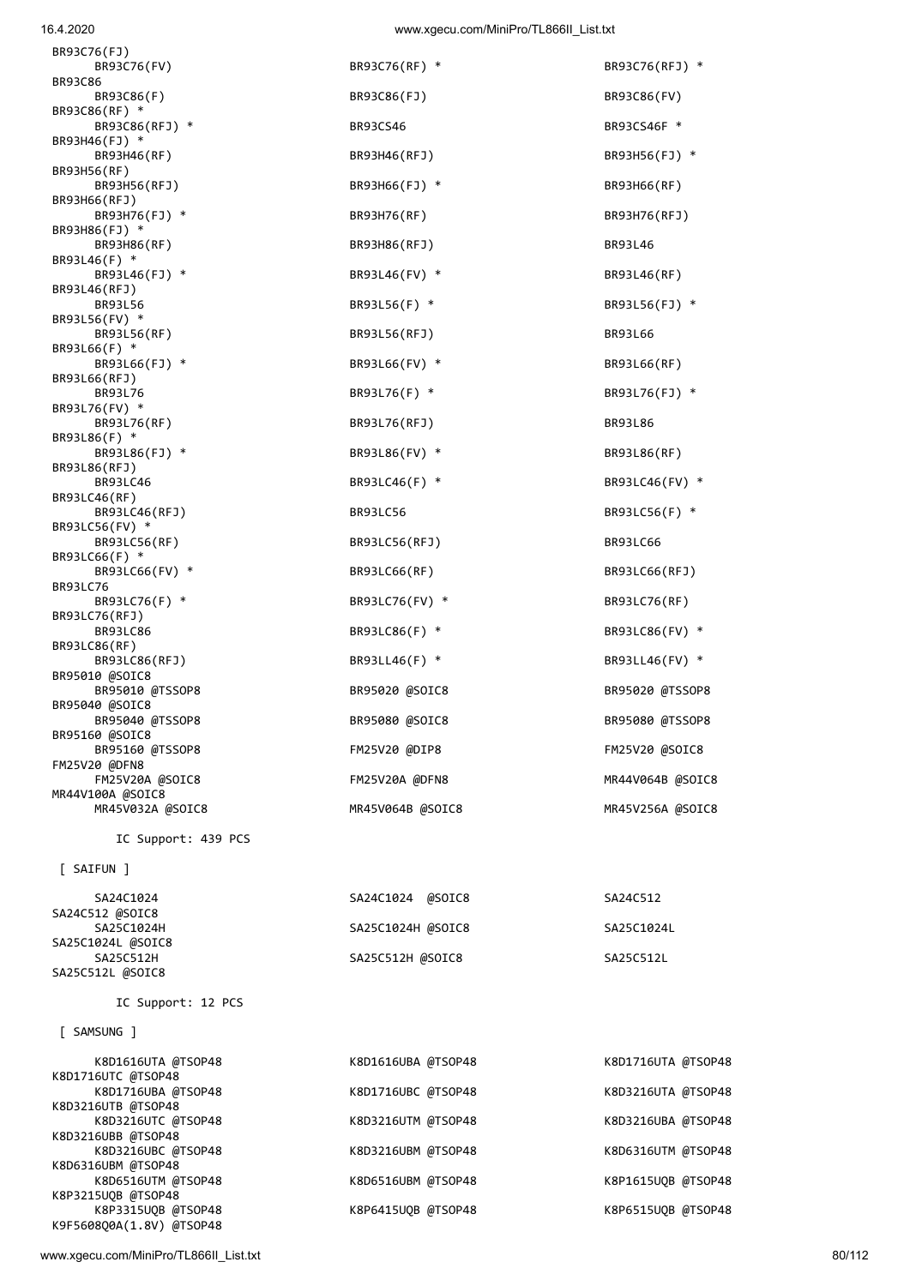| 80/112 |  |  |
|--------|--|--|
|        |  |  |

| [ SAMSUNG ]                                    |                    |                    |
|------------------------------------------------|--------------------|--------------------|
| K8D1616UTA @TSOP48<br>K8D1716UTC @TSOP48       | K8D1616UBA @TSOP48 | K8D1716UTA @TSOP48 |
| K8D1716UBA @TSOP48                             | K8D1716UBC @TSOP48 | K8D3216UTA @TSOP48 |
| K8D3216UTB @TSOP48<br>K8D3216UTC @TSOP48       | K8D3216UTM @TSOP48 | K8D3216UBA @TSOP48 |
| K8D3216UBB @TSOP48                             |                    |                    |
| K8D3216UBC @TSOP48<br>K8D6316UBM @TSOP48       | K8D3216UBM @TSOP48 | K8D6316UTM @TSOP48 |
| K8D6516UTM @TSOP48<br>K8P3215UQB @TSOP48       | K8D6516UBM @TSOP48 | K8P1615UQB @TSOP48 |
| K8P3315UQB @TSOP48<br>K9F5608Q0A(1.8V) @TSOP48 | K8P6415U0B @TSOP48 | K8P6515UQB @TSOP48 |
|                                                |                    |                    |

| SA25C1024H        | SA25C1024H @SOIC8 | SA25C1024L |
|-------------------|-------------------|------------|
| SA25C1024L @SOIC8 |                   |            |
| SA25C512H         | SA25C512H @SOIC8  | SA25C512L  |
| SA25C512L @SOIC8  |                   |            |
|                   |                   |            |

#### IC Support: 12 PCS

SA24C512 @SOIC8 SA25C1024H SA25C1024H @SOIC8 SA25C1024L

SA24C1024 SA24C1024 @SOIC8 SA24C512

BR95160 @SOIC8 FM25V20 @DFN8 MR44V100A @SOIC8 MR45V032A @SOIC8 MR45V064B @SOIC8 MR45V256A @SOIC8 IC Support: 439 PCS [ SAIFUN ]

 BR93C86(RFJ) \* BR93CS46 BR93CS46F \* BR93H46(RF) BR93H46(RFJ) BR93H46(RFJ) BR93H56(FJ) \* BR93H56(RFJ) BR93H66(FJ) \* BR93H66(RF) BR93H76(FJ) \* BR93H76(RF) BR93H76(RFJ) BR93H86(RFJ) BR93L46 BR93L46(FJ) \* BR93L46(FV) \* BR93L46(RF) BR93L56 BR93L56(F) \* BR93L56(FJ) \* BR93L56(RF) BR93L56(RFJ) BR93L66 BR93L66(FJ) \* BR93L66(FV) \* BR93L66(RF) BR93L76 BR93L76(F) \* BR93L76(FJ) \* BR93L76(RF) BR93L76(RFJ) BR93L86 BR93L86(FJ) \* BR93L86(FV) \* BR93L86(RF) BR93LC46 BR93LC46(F) \* BR93LC46(FV) \* BR93LC46(RFJ) BR93LC56 BR93LC56 BR93LC56(F) \* BR93LC56(RF) BR93LC56(RFJ) BR93LC66 BR93LC66(FV) \* BR93LC66(RF) BR93LC66(RFJ) BR93LC76(F) \* BR93LC76(FV) \* BR93LC76(FF) \* BR93LC76(RF) BR93LC86 BR93LC86(F) \* BR93LC86(FV) \* BR93LC86(RFJ) BR93LL46(F) \* BR93LL46(FV) \* BR95010 @TSSOP8 BR95020 @SOIC8 BR95020 @TSSOP8 BR95040 @TSSOP8 BR95080 @SOIC8 BR95080 @TSSOP8 BR95160 @TSSOP8 FM25V20 @DIP8 FM25V20 @SOIC8 FM25V20A @SOIC8 FM25V20A @DFN8 MR44V064B @SOIC8

 BR93C76(FV) BR93C76(RF) \* BR93C76(RFJ) \* BR93C86(F) BR93C86(FJ) BR93C86(FJ) BR93C86(FV)

BR93C76(FJ)

BR93C86(RF) \*

BR93H46(FJ) \*

BR93H56(RF)

BR93H66(RFJ)

BR93L46(F) \*

BR93L46(RFJ)

BR93L56(FV) \*

BR93L66(F) \*

BR93L66(RFJ)

BR93L76(FV) \*

BR93L86(F) \*

BR93L86(RFJ)

BR93LC46(RF)

BR93LC56(FV) \*

BR93LC66(F) \*

BR93LC76(RFJ)

BR93LC86(RF)

BR95010 @SOIC8

BR95040 @SOIC8

BR93LC76

BR93H86(FJ) \*<br>BR93H86(RF)

BR93C86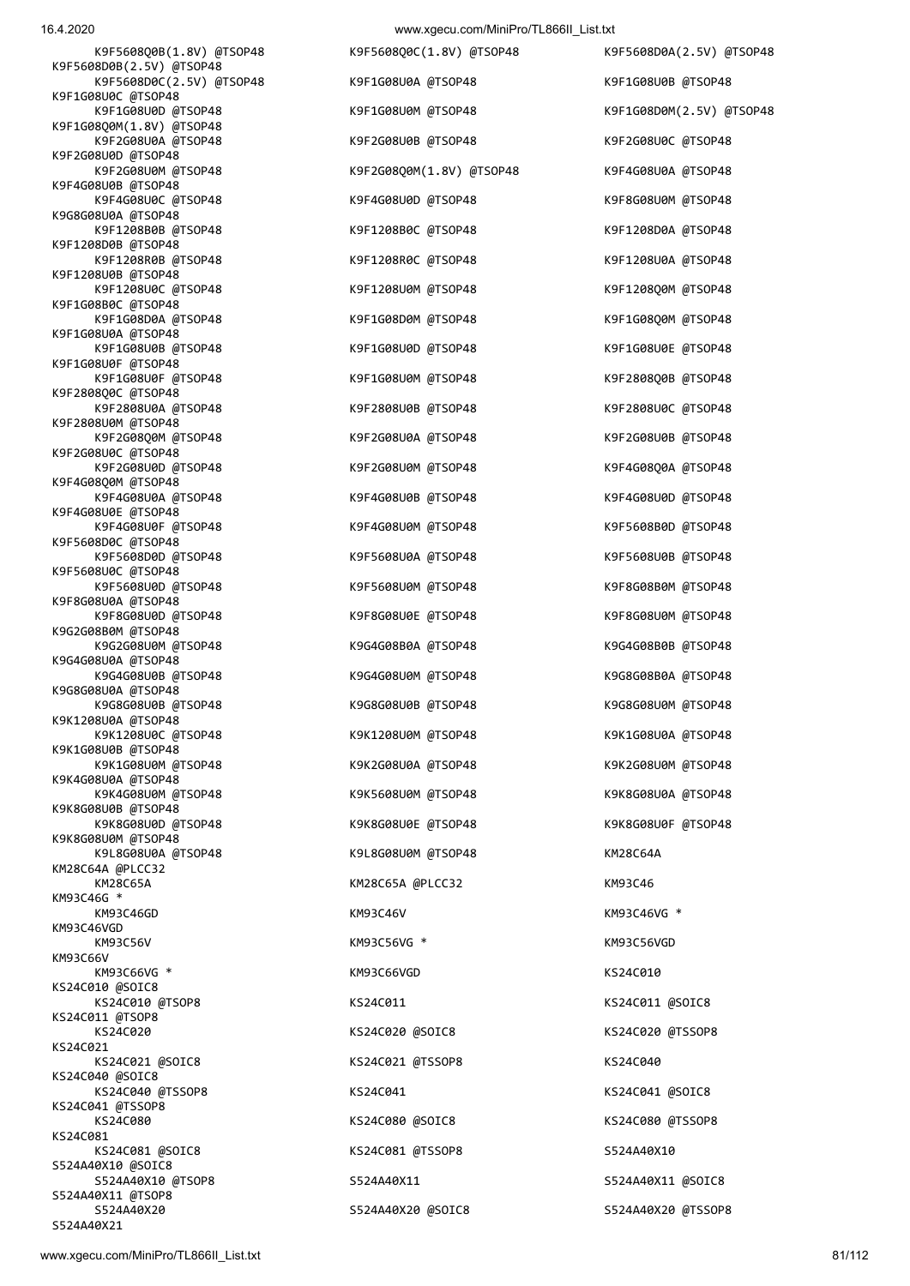16.4.2020 www.xgecu.com/MiniPro/TL866ILList.txt

|                                                      | $\ldots$                 |                          |
|------------------------------------------------------|--------------------------|--------------------------|
| K9F5608Q0B(1.8V) @TSOP48<br>K9F5608D0B(2.5V) @TSOP48 | K9F5608Q0C(1.8V) @TSOP48 | K9F5608D0A(2.5V) @TSOP48 |
| K9F5608D0C(2.5V) @TSOP48                             | K9F1G08U0A @TSOP48       | K9F1G08U0B @TSOP48       |
| K9F1G08U0C @TSOP48<br>K9F1G08U0D @TSOP48             | K9F1G08U0M @TSOP48       | K9F1G08D0M(2.5V) @TSOP48 |
| K9F1G08Q0M(1.8V) @TSOP48<br>K9F2G08U0A @TSOP48       | K9F2G08U0B @TSOP48       | K9F2G08U0C @TSOP48       |
| K9F2G08U0D @TSOP48<br>K9F2G08U0M @TSOP48             | K9F2G08Q0M(1.8V) @TSOP48 | K9F4G08U0A @TSOP48       |
| K9F4G08U0B @TSOP48                                   |                          |                          |
| K9F4G08U0C @TSOP48<br>K9G8G08U0A @TSOP48             | K9F4G08U0D @TSOP48       | K9F8G08U0M @TSOP48       |
| K9F1208B0B @TSOP48<br>K9F1208D0B @TSOP48             | K9F1208B0C @TSOP48       | K9F1208D0A @TSOP48       |
| K9F1208R0B @TSOP48<br>K9F1208U0B @TSOP48             | K9F1208R0C @TSOP48       | K9F1208U0A @TSOP48       |
| K9F1208U0C @TSOP48<br>K9F1G08B0C @TSOP48             | K9F1208U0M @TSOP48       | K9F1208Q0M @TSOP48       |
| K9F1G08D0A @TSOP48                                   | K9F1G08D0M @TSOP48       | K9F1G08Q0M @TSOP48       |
| K9F1G08U0A @TSOP48<br>K9F1G08U0B @TSOP48             | K9F1G08U0D @TSOP48       | K9F1G08U0E @TSOP48       |
| K9F1G08U0F @TSOP48<br>K9F1G08U0F @TSOP48             | K9F1G08U0M @TSOP48       | K9F2808Q0B @TSOP48       |
| K9F2808Q0C @TSOP48<br>K9F2808U0A @TSOP48             | K9F2808U0B @TSOP48       | K9F2808U0C @TSOP48       |
| K9F2808U0M @TSOP48                                   |                          |                          |
| K9F2G08Q0M @TSOP48<br>K9F2G08U0C @TSOP48             | K9F2G08U0A @TSOP48       | K9F2G08U0B @TSOP48       |
| K9F2G08U0D @TSOP48<br>K9F4G08Q0M @TSOP48             | K9F2G08U0M @TSOP48       | K9F4G08Q0A @TSOP48       |
| K9F4G08U0A @TSOP48<br>K9F4G08U0E @TSOP48             | K9F4G08U0B @TSOP48       | K9F4G08U0D @TSOP48       |
| K9F4G08U0F @TSOP48                                   | K9F4G08U0M @TSOP48       | K9F5608B0D @TSOP48       |
| K9F5608D0C @TSOP48<br>K9F5608D0D @TSOP48             | K9F5608U0A @TSOP48       | K9F5608U0B @TSOP48       |
| K9F5608U0C @TSOP48<br>K9F5608U0D @TSOP48             | K9F5608U0M @TSOP48       | K9F8G08B0M @TSOP48       |
| K9F8G08U0A @TSOP48<br>K9F8G08U0D @TSOP48             | K9F8G08U0E @TSOP48       | K9F8G08U0M @TSOP48       |
| K9G2G08B0M @TSOP48<br>K9G2G08U0M @TSOP48             | K9G4G08B0A @TSOP48       | K9G4G08B0B @TSOP48       |
| K9G4G08U0A @TSOP48                                   |                          |                          |
| K9G4G08U0B @TSOP48<br>K9G8G08U0A @TSOP48             | K9G4G08U0M @TSOP48       | K9G8G08B0A @TSOP48       |
| K9G8G08U0B @TSOP48<br>K9K1208U0A @TSOP48             | K9G8G08U0B @TSOP48       | K9G8G08U0M @TSOP48       |
| K9K1208U0C @TSOP48<br>K9K1G08U0B @TSOP48             | K9K1208U0M @TSOP48       | K9K1G08U0A @TSOP48       |
| K9K1G08U0M @TSOP48<br>K9K4G08U0A @TSOP48             | K9K2G08U0A @TSOP48       | K9K2G08U0M @TSOP48       |
| K9K4G08U0M @TSOP48                                   | K9K5608U0M @TSOP48       | K9K8G08U0A @TSOP48       |
| K9K8G08U0B @TSOP48<br>K9K8G08U0D @TSOP48             | K9K8G08U0E @TSOP48       | K9K8G08U0F @TSOP48       |
| K9K8G08U0M @TSOP48<br>K9L8G08U0A @TSOP48             | K9L8G08U0M @TSOP48       | KM28C64A                 |
| KM28C64A @PLCC32<br>KM28C65A                         | KM28C65A @PLCC32         | KM93C46                  |
| KM93C46G *<br>KM93C46GD                              | KM93C46V                 | KM93C46VG *              |
| KM93C46VGD                                           |                          |                          |
| KM93C56V<br>KM93C66V                                 | KM93C56VG *              | KM93C56VGD               |
| KM93C66VG *<br>KS24C010 @SOIC8                       | KM93C66VGD               | KS24C010                 |
| KS24C010 @TSOP8<br>KS24C011 @TSOP8                   | KS24C011                 | KS24C011 @SOIC8          |
| KS24C020<br>KS24C021                                 | KS24C020 @SOIC8          | KS24C020 @TSSOP8         |
| KS24C021 @SOIC8                                      | KS24C021 @TSSOP8         | KS24C040                 |
| KS24C040 @SOIC8<br>KS24C040 @TSSOP8                  | KS24C041                 | KS24C041 @SOIC8          |
| KS24C041 @TSSOP8<br>KS24C080                         | KS24C080 @SOIC8          | KS24C080 @TSSOP8         |
| KS24C081<br>KS24C081 @SOIC8                          | KS24C081 @TSSOP8         | S524A40X10               |
| S524A40X10 @SOIC8<br>S524A40X10 @TSOP8               | S524A40X11               | S524A40X11 @SOIC8        |
| S524A40X11 @TSOP8                                    |                          |                          |
| S524A40X20                                           | S524A40X20 @SOIC8        | S524A40X20 @TSSOP8       |

S524A40X21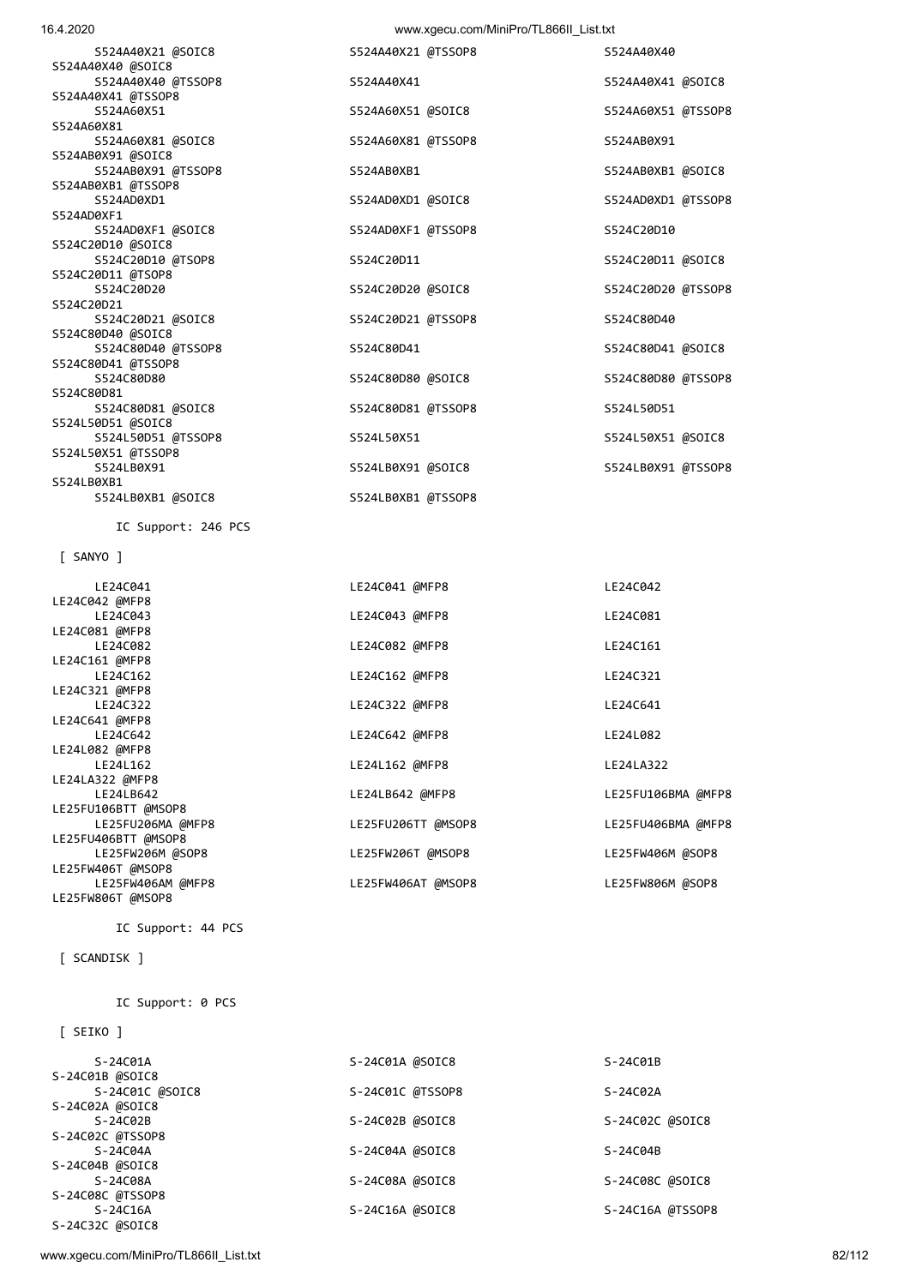| [ SEIKO ]        |                  |                  |
|------------------|------------------|------------------|
| $S-24C01A$       | S-24C01A @SOIC8  | $S-24C01B$       |
| S-24C01B @SOIC8  |                  |                  |
| S-24C01C @SOIC8  | S-24C01C @TSSOP8 | $S-24C02A$       |
| S-24C02A @SOIC8  |                  |                  |
| $S-24C02B$       | S-24C02B @SOIC8  | S-24C02C @SOIC8  |
| S-24C02C @TSSOP8 |                  |                  |
| $S-24C04A$       | S-24C04A @SOIC8  | $S-24C04B$       |
| S-24C04B @SOIC8  |                  |                  |
| S-24C08A         | S-24C08A @SOIC8  | S-24C08C @SOIC8  |
| S-24C08C @TSSOP8 |                  |                  |
| $S-24C16A$       | S-24C16A @SOIC8  | S-24C16A @TSSOP8 |
| S-24C32C @SOIC8  |                  |                  |
|                  |                  |                  |

IC Support: 0 PCS

## [ SCANDISK ]

LE25FW806T @MSOP8

IC Support: 44 PCS

| IC Support: 246 PCS |                    |                    |
|---------------------|--------------------|--------------------|
| $[$ SANYO $]$       |                    |                    |
| LE24C041            | LE24C041 @MFP8     | LE24C042           |
| LE24C042 @MFP8      |                    |                    |
| LE24C043            | LE24C043 @MFP8     | LE24C081           |
| LE24C081 @MFP8      |                    |                    |
| LE24C082            | LE24C082 @MFP8     | LE24C161           |
| LE24C161 @MFP8      |                    |                    |
| LE24C162            | LE24C162 @MFP8     | LE24C321           |
| LE24C321 @MFP8      |                    |                    |
| LE24C322            | LE24C322 @MFP8     | LE24C641           |
| LE24C641 @MFP8      |                    |                    |
| LE24C642            | LE24C642 @MFP8     | LE24L082           |
| LE24L082 @MFP8      |                    |                    |
| LE24L162            | LE24L162 @MFP8     | LE24LA322          |
| LE24LA322 @MFP8     |                    |                    |
| LE24LB642           | LE24LB642 @MFP8    | LE25FU106BMA @MFP8 |
| LE25FU106BTT @MSOP8 |                    |                    |
| LE25FU206MA @MFP8   | LE25FU206TT @MSOP8 | LE25FU406BMA @MFP8 |
| LE25FU406BTT @MSOP8 |                    |                    |
| LE25FW206M @SOP8    | LE25FW206T @MSOP8  | LE25FW406M @SOP8   |
| LE25FW406T @MSOP8   |                    |                    |
| LE25FW406AM @MFP8   | LE25FW406AT @MSOP8 | LE25FW806M @SOP8   |

| S524A40X41         | S524A40X41 @SOIC8                                                                                                                           |                                                                                                  |
|--------------------|---------------------------------------------------------------------------------------------------------------------------------------------|--------------------------------------------------------------------------------------------------|
|                    |                                                                                                                                             |                                                                                                  |
| S524A60X51 @SOIC8  | S524A60X51 @TSSOP8                                                                                                                          |                                                                                                  |
|                    |                                                                                                                                             |                                                                                                  |
| S524A60X81 @TSSOP8 | S524AB0X91                                                                                                                                  |                                                                                                  |
|                    |                                                                                                                                             |                                                                                                  |
| S524AB0XB1         | S524AB0XB1 @SOIC8                                                                                                                           |                                                                                                  |
|                    |                                                                                                                                             |                                                                                                  |
| S524AD0XD1 @SOIC8  | S524AD0XD1 @TSSOP8                                                                                                                          |                                                                                                  |
|                    |                                                                                                                                             |                                                                                                  |
| S524AD0XF1 @TSSOP8 | S524C20D10                                                                                                                                  |                                                                                                  |
|                    |                                                                                                                                             |                                                                                                  |
| S524C20D11         | S524C20D11 @SOIC8                                                                                                                           |                                                                                                  |
|                    |                                                                                                                                             |                                                                                                  |
|                    | S524C20D20 @TSSOP8                                                                                                                          |                                                                                                  |
|                    |                                                                                                                                             |                                                                                                  |
|                    | S524C80D40                                                                                                                                  |                                                                                                  |
|                    |                                                                                                                                             |                                                                                                  |
| S524C80D41         |                                                                                                                                             |                                                                                                  |
|                    |                                                                                                                                             |                                                                                                  |
|                    |                                                                                                                                             |                                                                                                  |
|                    |                                                                                                                                             |                                                                                                  |
|                    |                                                                                                                                             |                                                                                                  |
|                    |                                                                                                                                             |                                                                                                  |
|                    |                                                                                                                                             |                                                                                                  |
|                    |                                                                                                                                             |                                                                                                  |
|                    |                                                                                                                                             |                                                                                                  |
|                    |                                                                                                                                             |                                                                                                  |
|                    |                                                                                                                                             |                                                                                                  |
|                    | S524C20D20 @SOIC8<br>S524C20D21 @TSSOP8<br>S524C80D80 @SOIC8<br>S524C80D81 @TSSOP8<br>S524L50X51<br>S524LB0X91 @SOIC8<br>S524LB0XB1 @TSSOP8 | S524C80D41 @SOIC8<br>S524C80D80 @TSSOP8<br>S524L50D51<br>S524L50X51 @SOIC8<br>S524LB0X91 @TSSOP8 |

S524A40X21 @SOIC8 S524A40X21 @TSSOP8 S524A40X40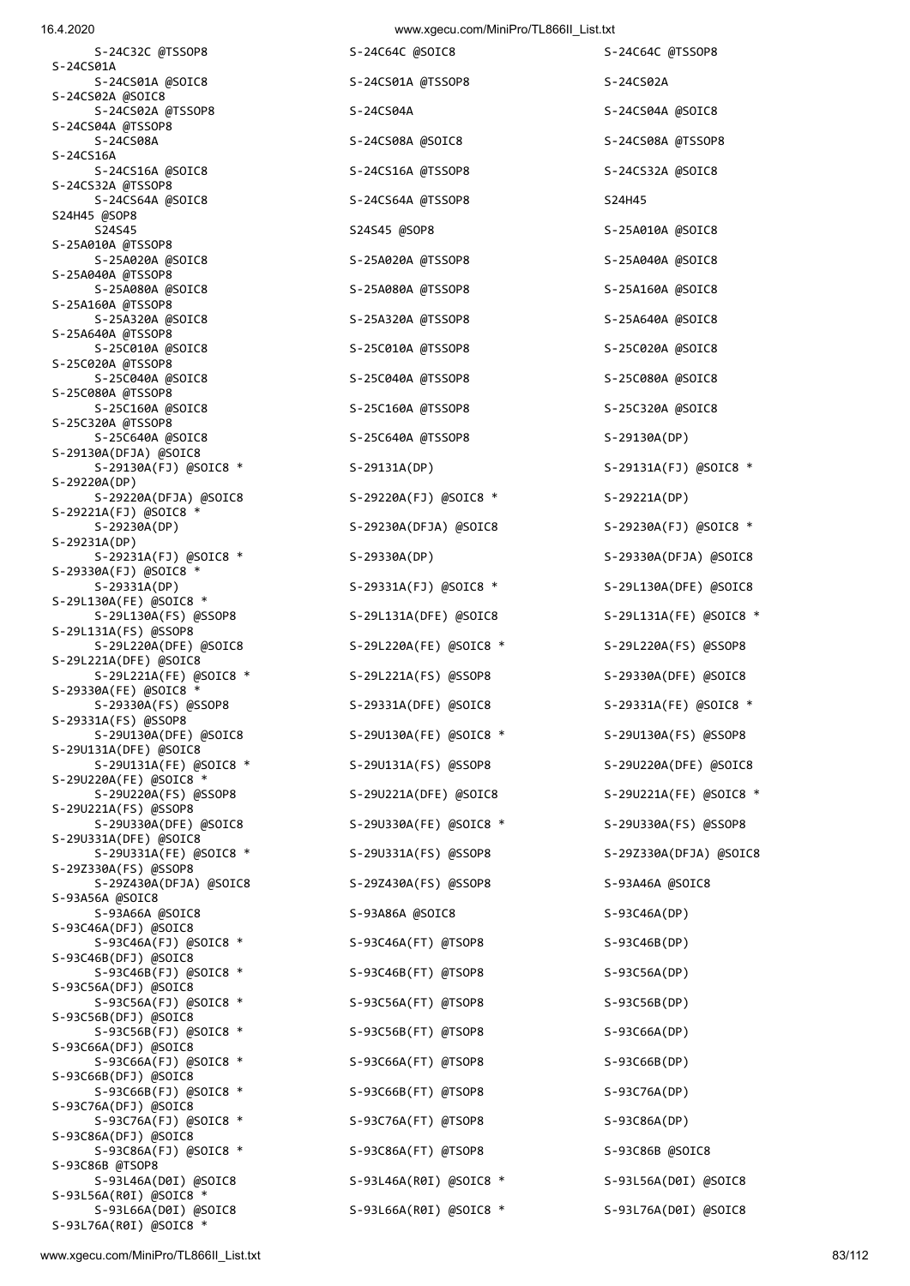| 16.4.2020 | www.xgecu.com/MiniPro/TL866II_List.txt |  |
|-----------|----------------------------------------|--|
|           |                                        |  |

| 0.4.ZUZU                                         | WWW.xgecu.com/inimiPro/TL86611_LISt.txt |                        |
|--------------------------------------------------|-----------------------------------------|------------------------|
| S-24C32C @TSSOP8<br>S-24CS01A                    | S-24C64C @SOIC8                         | S-24C64C @TSSOP8       |
| S-24CS01A @SOIC8<br>S-24CS02A @SOIC8             | S-24CS01A @TSSOP8                       | S-24CS02A              |
| S-24CS02A @TSSOP8<br>S-24CS04A @TSSOP8           | S-24CS04A                               | S-24CS04A @SOIC8       |
| S-24CS08A<br>S-24CS16A                           | S-24CS08A @SOIC8                        | S-24CS08A @TSSOP8      |
| S-24CS16A @SOIC8                                 | S-24CS16A @TSSOP8                       | S-24CS32A @SOIC8       |
| S-24CS32A @TSSOP8<br>S-24CS64A @SOIC8            | S-24CS64A @TSSOP8                       | S24H45                 |
| S24H45 @SOP8<br>S24S45                           | S24S45 @SOP8                            | S-25A010A @SOIC8       |
| S-25A010A @TSSOP8<br>S-25A020A @SOIC8            | S-25A020A @TSSOP8                       | S-25A040A @SOIC8       |
| S-25A040A @TSSOP8<br>S-25A080A @SOIC8            | S-25A080A @TSSOP8                       | S-25A160A @SOIC8       |
| S-25A160A @TSSOP8<br>S-25A320A @SOIC8            | S-25A320A @TSSOP8                       | S-25A640A @SOIC8       |
| S-25A640A @TSSOP8<br>S-25C010A @SOIC8            | S-25C010A @TSSOP8                       | S-25C020A @SOIC8       |
| S-25C020A @TSSOP8<br>S-25C040A @SOIC8            | S-25C040A @TSSOP8                       | S-25C080A @SOIC8       |
| S-25C080A @TSSOP8<br>S-25C160A @SOIC8            | S-25C160A @TSSOP8                       | S-25C320A @SOIC8       |
| S-25C320A @TSSOP8<br>S-25C640A @SOIC8            | S-25C640A @TSSOP8                       | $S-29130A(DP)$         |
| S-29130A(DFJA) @SOIC8<br>S-29130A(FJ) @SOIC8 *   | $S-29131A(DP)$                          | S-29131A(FJ) @SOIC8 *  |
| $S-29220A(DP)$<br>S-29220A(DFJA) @SOIC8          | S-29220A(FJ) @SOIC8 *                   | $S-29221A(DP)$         |
| S-29221A(FJ) @SOIC8 *<br>$S-29230A(DP)$          | S-29230A(DFJA) @SOIC8                   | S-29230A(FJ) @SOIC8 *  |
| $S-29231A(DP)$<br>S-29231A(FJ) @SOIC8 *          | $S-29330A(DP)$                          | S-29330A(DFJA) @SOIC8  |
| $S-29330A(FJ)$ @SOIC8 *<br>$S-29331A(DP)$        |                                         |                        |
| S-29L130A(FE) @SOIC8 *                           | S-29331A(FJ) @SOIC8 *                   | S-29L130A(DFE) @SOIC8  |
| S-29L130A(FS) @SSOP8<br>$S-29L131A(FS)$ @SSOP8   | S-29L131A(DFE) @SOIC8                   | S-29L131A(FE) @SOIC8 * |
| S-29L220A(DFE) @SOIC8<br>S-29L221A(DFE) @SOIC8   | S-29L220A(FE) @SOIC8 *                  | S-29L220A(FS) @SSOP8   |
| S-29L221A(FE) @SOIC8 *<br>S-29330A(FE) @SOIC8 *  | S-29L221A(FS) @SSOP8                    | S-29330A(DFE) @SOIC8   |
| S-29330A(FS) @SSOP8<br>S-29331A(FS) @SSOP8       | S-29331A(DFE) @SOIC8                    | S-29331A(FE) @SOIC8 *  |
| S-29U130A(DFE) @SOIC8<br>S-29U131A(DFE) @SOIC8   | S-29U130A(FE) @SOIC8 *                  | S-29U130A(FS) @SSOP8   |
| S-29U131A(FE) @SOIC8 *<br>S-29U220A(FE) @SOIC8 * | S-29U131A(FS) @SSOP8                    | S-29U220A(DFE) @SOIC8  |
| S-29U220A(FS) @SSOP8<br>S-29U221A(FS) @SSOP8     | S-29U221A(DFE) @SOIC8                   | S-29U221A(FE) @SOIC8 * |
| S-29U330A(DFE) @SOIC8<br>S-29U331A(DFE) @SOIC8   | S-29U330A(FE) @SOIC8 *                  | S-29U330A(FS) @SSOP8   |
| S-29U331A(FE) @SOIC8 *<br>S-29Z330A(FS) @SSOP8   | S-29U331A(FS) @SSOP8                    | S-29Z330A(DFJA) @SOIC8 |
| S-29Z430A(DFJA) @SOIC8<br>S-93A56A @SOIC8        | S-29Z430A(FS) @SSOP8                    | S-93A46A @SOIC8        |
| S-93A66A @SOIC8<br>S-93C46A(DFJ) @SOIC8          | S-93A86A @SOIC8                         | $S-93C46A(DP)$         |
| S-93C46A(FJ) @SOIC8 *<br>S-93C46B(DFJ) @SOIC8    | S-93C46A(FT) @TSOP8                     | S-93C46B(DP)           |
| S-93C46B(FJ) @SOIC8 *                            | S-93C46B(FT) @TSOP8                     | $S-93C56A(DP)$         |
| S-93C56A(DFJ) @SOIC8<br>S-93C56A(FJ) @SOIC8 *    | S-93C56A(FT) @TSOP8                     | $S-93C56B(DP)$         |
| S-93C56B(DFJ) @SOIC8<br>S-93C56B(FJ) @SOIC8 *    | S-93C56B(FT) @TSOP8                     | $S-93C66A(DP)$         |
| S-93C66A(DFJ) @SOIC8<br>S-93C66A(FJ) @SOIC8 *    | S-93C66A(FT) @TSOP8                     | $S-93C66B(DP)$         |
| S-93C66B(DFJ) @SOIC8<br>S-93C66B(FJ) @SOIC8 *    | S-93C66B(FT) @TSOP8                     | $S-93C76A(DP)$         |
| S-93C76A(DFJ) @SOIC8<br>S-93C76A(FJ) @SOIC8 *    | S-93C76A(FT) @TSOP8                     | $S-93C86A(DP)$         |
| S-93C86A(DFJ) @SOIC8<br>S-93C86A(FJ) @SOIC8 *    | S-93C86A(FT) @TSOP8                     | S-93C86B @SOIC8        |
| S-93C86B @TSOP8<br>S-93L46A(D0I) @SOIC8          | S-93L46A(R0I) @SOIC8 *                  | S-93L56A(D0I) @SOIC8   |
| S-93L56A(R0I) @SOIC8 *<br>S-93L66A(D0I) @SOIC8   | S-93L66A(R0I) @SOIC8 *                  | S-93L76A(D0I) @SOIC8   |
| S-93L76A(R0I) @SOIC8 *                           |                                         |                        |

| www.xyecu.com/winin-To/TE00011_EISt.txt |                                      |
|-----------------------------------------|--------------------------------------|
| S-24C64C @SOIC8                         | S-24C64C @TSSOP8                     |
| S-24CS01A @TSSOP8                       | S-24CS02A                            |
| S-24CS04A                               | S-24CS04A @SOIC8                     |
| S-24CS08A @SOIC8                        | S-24CS08A @TSSOP8                    |
| S-24CS16A @TSSOP8                       | S-24CS32A @SOIC8                     |
| S-24CS64A @TSSOP8                       | S24H45                               |
| S24S45 @SOP8                            | S-25A010A @SOIC8                     |
| S-25A020A @TSSOP8                       | S-25A040A @SOIC8                     |
| S-25A080A @TSSOP8                       | S-25A160A @SOIC8                     |
| S-25A320A @TSSOP8                       | S-25A640A @SOIC8                     |
| S-25C010A @TSSOP8                       | S-25C020A @SOIC8                     |
| S-25C040A @TSSOP8                       | S-25C080A @SOIC8                     |
| S-25C160A @TSSOP8                       | S-25C320A @SOIC8                     |
| S-25C640A @TSSOP8                       | S-29130A(DP)                         |
| $S-29131A(DP)$                          | $S-29131A(FJ)$ @SOIC8 $\overline{S}$ |
| S-29220A(FJ) @SOIC8 *                   | $S-29221A(DP)$                       |
| S-29230A(DFJA) @SOIC8                   | S-29230A(FJ) @SOIC8                  |
| S-29330A(DP)                            | S-29330A(DFJA) @SOIC                 |
| S-29331A(FJ) @SOIC8 *                   | S-29L130A(DFE) @SOIC                 |
| S-29L131A(DFE) @SOIC8                   | S-29L131A(FE) @SOIC8                 |
| S-29L220A(FE) @SOIC8 *                  | S-29L220A(FS) @SSOP8                 |
| S-29L221A(FS) @SSOP8                    | S-29330A(DFE) @SOIC8                 |
| S-29331A(DFE) @SOIC8                    | S-29331A(FE) @SOIC8                  |
| S-29U130A(FE) @SOIC8 *                  | S-29U130A(FS) @SSOP8                 |
| S-29U131A(FS) @SSOP8                    | S-29U220A(DFE) @SOIC                 |
| S-29U221A(DFE) @SOIC8                   | S-29U221A(FE) @SOIC8                 |
| S-29U330A(FE) @SOIC8 *                  | S-29U330A(FS) @SSOP8                 |
| S-29U331A(FS) @SSOP8                    | S-29Z330A(DFJA) @SOI                 |
| S-29Z430A(FS) @SSOP8                    | S-93A46A @SOIC8                      |
| S-93A86A @SOIC8                         | S-93C46A(DP)                         |
| S-93C46A(FT) @TSOP8                     | S-93C46B(DP)                         |
| S-93C46B(FT) @TSOP8                     | S-93C56A(DP)                         |
| S-93C56A(FT) @TSOP8                     | S-93C56B(DP)                         |
| S-93C56B(FT) @TSOP8                     | S-93C66A(DP)                         |
| S-93C66A(FT) @TSOP8                     | S-93C66B(DP)                         |
| S-93C66B(FT) @TSOP8                     | S-93C76A(DP)                         |
| S-93C76A(FT) @TSOP8                     | S-93C86A(DP)                         |
| S-93C86A(FT) @TSOP8                     | S-93C86B @SOIC8                      |
| S-93L46A(R0I) @SOIC8 *                  | S-93L56A(D0I) @SOIC8                 |
| S-93L66A(R0I) @SOIC8 *                  | S-93L76A(D0I) @SOIC8                 |

| S-24C64C @TSSOP8               |
|--------------------------------|
| S-24CS02A                      |
| S-24CS04A @SOIC8               |
| S-24CS08A @TSSOP8              |
| S-24CS32A @SOIC8               |
| S24H45                         |
| S-25A010A @SOIC8               |
| S-25A040A @SOIC8               |
| S-25A160A @SOIC8               |
| S-25A640A @SOIC8               |
| S-25C020A @SOIC8               |
| S-25C080A @SOIC8               |
| S-25C320A @SOIC8               |
| S-29130A(DP)                   |
| S-29131A(FJ) @SOIC8 *          |
| S-29221A(DP)                   |
| S-29230A(FJ) @SOIC8 *          |
| S-29330A(DFJA) @SOIC8          |
| S-29L130A(DFE) @SOIC8          |
| S-29L131A(FE) @SOIC8 *         |
| S-29L220A(FS) @SSOP8           |
| S-29330A(DFE) @SOIC8           |
| S-29331A(FE) @SOIC8 *          |
| S-29U130A(FS) @SSOP8           |
| S-29U220A(DFE) @SOIC8          |
| S-29U221A(FE) @SOIC8<br>$\ast$ |
| S-29U330A(FS) @SSOP8           |
| S-29Z330A(DFJA) @SOIC8         |
| S-93A46A @SOIC8                |
| S-93C46A(DP)                   |
| S-93C46B(DP)                   |
| S-93C56A(DP)                   |
| S-93C56B(DP)                   |
| S-93C66A(DP)                   |
| S-93C66B(DP)                   |
| S-93C76A(DP)                   |
| S-93C86A(DP)                   |
| S-93C86B @SOIC8                |
| S-93L56A(D0I) @SOIC8           |
|                                |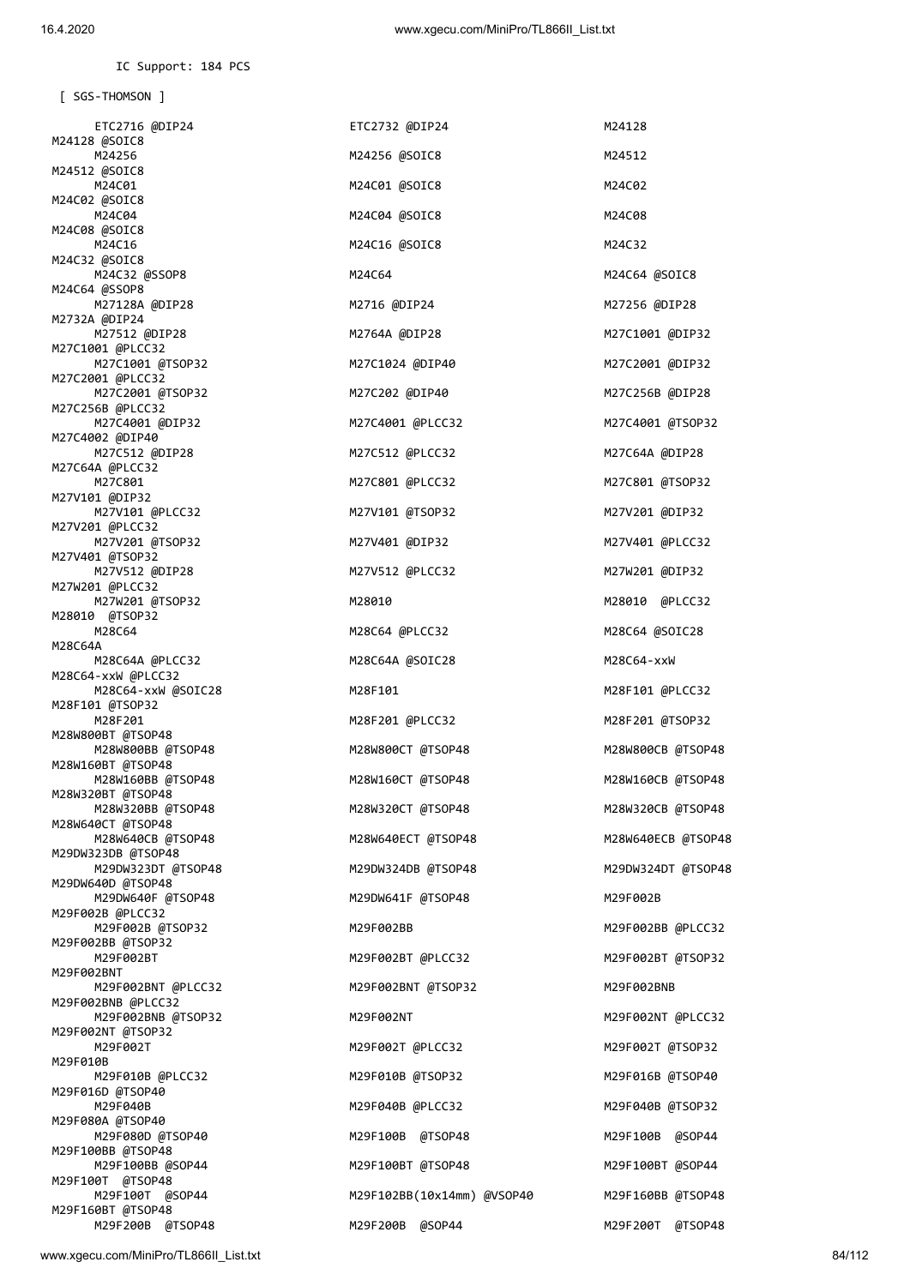IC Support: 184 PCS

 [ SGS-THOMSON ] ETC2716 @DIP24 ETC2732 @DIP24 M24128 M24128 @SOIC8 M24256 M24256 @SOIC8 M24512 M24512 @SOIC8 M24C01 M24C01 @SOIC8 M24C02 M24C02 @SOIC8 M24C04 M24C04 @SOIC8 M24C04 M24C08 M24C08 @SOIC8 M24C16 **M24C16** M24C16 @SOIC8 M24C16 M24C32 M24C32 @SOIC8 M24C32 @SSOP8 M24C64 M24C64 @SOIC8 M24C64 @SSOP8 M27128A @DIP28 M2716 @DIP24 M27256 @DIP28 M2732A @DIP24 M27512 @DIP28 M2764A @DIP28 M27C1001 @DIP32 M27C1001 @PLCC32 M27C1001 @TSOP32 M27C1024 @DIP40 M27C2001 @DIP32 M27C2001 @PLCC32 M27C2001 @TSOP32 M27C202 @DIP40 M27C256B @DIP28 M27C256B @PLCC32 M27C4001 @DIP32 M27C4001 @PLCC32 M27C4001 @TSOP32 M27C4002 @DIP40 M27C512 @DIP28 M27C512 @PLCC32 M27C64A @DIP28 M27C64A @PLCC32 M27C801 M27C801 @PLCC32 M27C801 @TSOP32 M27V101 @DIP32 M27V101 @PLCC32 M27V101 @TSOP32 M27V201 @DIP32 M27V201 @PLCC32 M27V201 @TSOP32 M27V401 @DIP32 M27V401 @PLCC32 M27V401 @TSOP32 M27V512 @DIP28 M27V512 @PLCC32 M27W201 @DIP32 M27W201 @PLCC32 M27W201 @TSOP32 M28010 M28010 @PLCC32 M28010 @TSOP32<br>M28C64 M28C64 @PLCC32 M28C64 @SOIC28 M28C64A<br>M28C64A @PLCC32 M28C64A @SOIC28 M28C64-xxW M28C64-xxW @PLCC32 M28C64-xxW @SOIC28 M28F101 M28F101 @PLCC32 M28F101 @TSOP32 M28F201 M28F201 @PLCC32 M28F201 @TSOP32 M28W800BT @TSOP48 M28W800BB @TSOP48 M28W800CT @TSOP48 M28W800CB @TSOP48 M28W160BT @TSOP48 M28W160BB @TSOP48 M28W160CT @TSOP48 M28W160CB @TSOP48 M28W320BT @TSOP48 M28W320BB @TSOP48 M28W320CT @TSOP48 M28W320CB @TSOP48 M28W640CT @TSOP48 M28W640CB @TSOP48 M28W640ECT @TSOP48 M28W640ECB @TSOP48 M29DW323DB @TSOP48 M29DW323DT @TSOP48 M29DW324DB @TSOP48 M29DW324DT @TSOP48 M29DW640D @TSOP48 M29DW640F @TSOP48 M29DW641F @TSOP48 M29F002B M29F002B @PLCC32 M29F002B @TSOP32 M29F002BB M29F002BB @PLCC32 M29F002BB @TSOP32 M29F002BT M29F002BT @PLCC32 M29F002BT @TSOP32 M29F002BNT M29F002BNT @PLCC32 M29F002BNT @TSOP32 M29F002BNB M29F002BNB @PLCC32 M29F002BNB @TSOP32 M29F002NT M29F002NT @PLCC32 M29F002NT @TSOP32<br>M29F002T M29F002T @PLCC32 M29F002T @TSOP32 M29F010B<br>M29F010B @PLCC32 M29F010B @TSOP32 M29F016B @TSOP40 M29F016D @TSOP40 M29F040B M29F040B @PLCC32 M29F040B @TSOP32 M29F080A @TSOP40 M29F080D @TSOP40 M29F100B @TSOP48 M29F100B @SOP44 M29F100BB @TSOP48 M29F100BB @SOP44 M29F100BT @TSOP48 M29F100BT @SOP44 M29F100T @TSOP48 M29F100T @SOP44 M29F102BB(10x14mm) @VSOP40 M29F160BB @TSOP48 M29F160BT @TSOP48 M29F200B @TSOP48 M29F200B @SOP44 M29F200T @TSOP48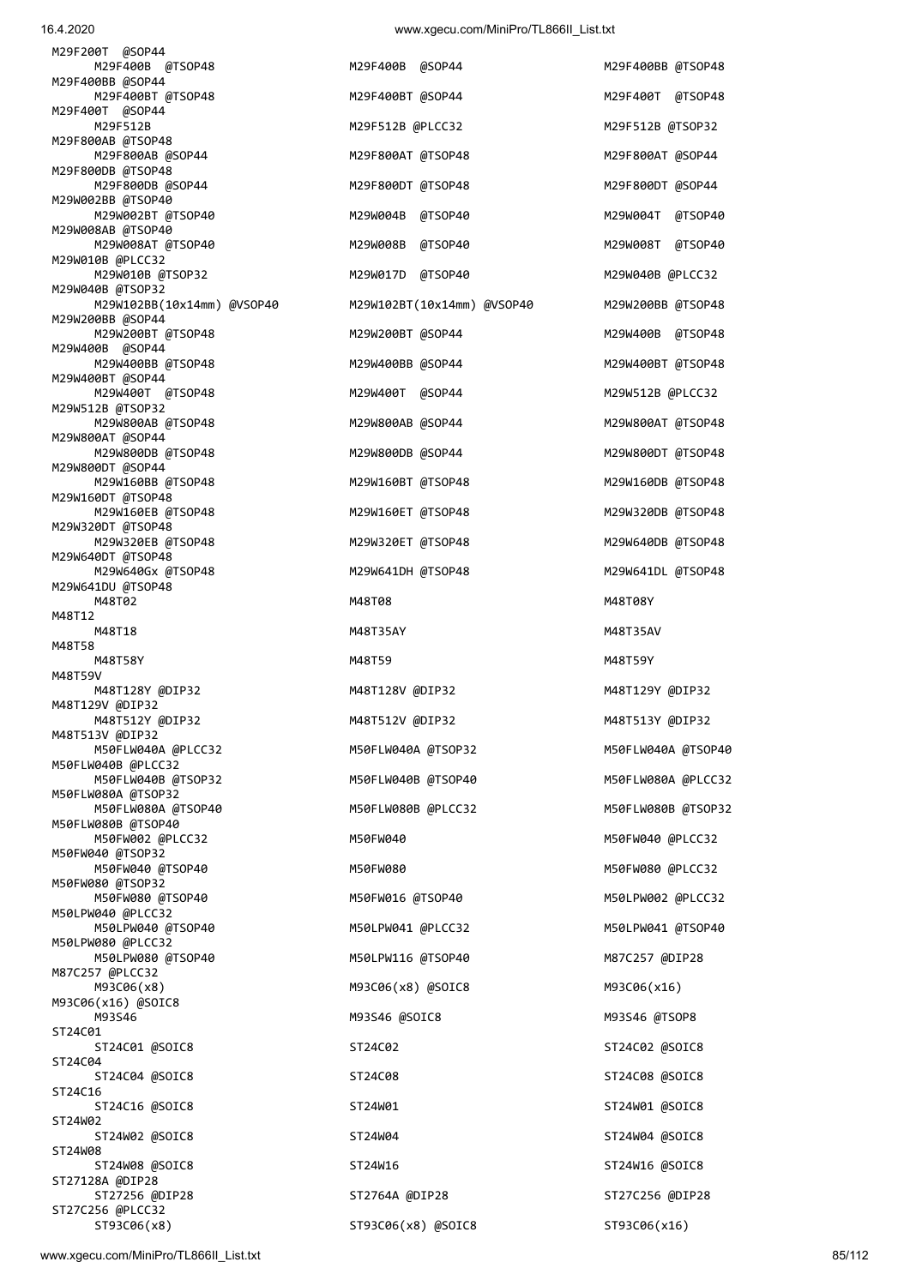| M29F200T @SOP44<br>M29F400B @TSOP48            | M29F400B @SOP44            | M29F400BB @TSOP48   |
|------------------------------------------------|----------------------------|---------------------|
| M29F400BB @SOP44<br>M29F400BT @TSOP48          | M29F400BT @SOP44           | M29F400T @TSOP48    |
| M29F400T @SOP44<br>M29F512B                    | M29F512B @PLCC32           | M29F512B @TSOP32    |
| M29F800AB @TSOP48<br>M29F800AB @SOP44          | M29F800AT @TSOP48          | M29F800AT @SOP44    |
| M29F800DB @TSOP48<br>M29F800DB @SOP44          | M29F800DT @TSOP48          | M29F800DT @SOP44    |
| M29W002BB @TSOP40<br>M29W002BT @TSOP40         | M29W004B @TSOP40           | M29W004T @TSOP40    |
| M29W008AB @TSOP40<br>M29W008AT @TSOP40         | M29W008B<br>@TSOP40        | M29W008T<br>@TSOP40 |
| M29W010B @PLCC32<br>M29W010B @TSOP32           |                            | M29W040B @PLCC32    |
| M29W040B @TSOP32                               | M29W017D @TSOP40           |                     |
| M29W102BB(10x14mm) @VSOP40<br>M29W200BB @SOP44 | M29W102BT(10x14mm) @VSOP40 | M29W200BB @TSOP48   |
| M29W200BT @TSOP48<br>M29W400B @SOP44           | M29W200BT @SOP44           | M29W400B @TSOP48    |
| M29W400BB @TSOP48<br>M29W400BT @SOP44          | M29W400BB @SOP44           | M29W400BT @TSOP48   |
| M29W400T @TSOP48<br>M29W512B @TSOP32           | M29W400T @SOP44            | M29W512B @PLCC32    |
| M29W800AB @TSOP48<br>M29W800AT @SOP44          | M29W800AB @SOP44           | M29W800AT @TSOP48   |
| M29W800DB @TSOP48<br>M29W800DT @SOP44          | M29W800DB @SOP44           | M29W800DT @TSOP48   |
| M29W160BB @TSOP48                              | M29W160BT @TSOP48          | M29W160DB @TSOP48   |
| M29W160DT @TSOP48<br>M29W160EB @TSOP48         | M29W160ET @TSOP48          | M29W320DB @TSOP48   |
| M29W320DT @TSOP48<br>M29W320EB @TSOP48         | M29W320ET @TSOP48          | M29W640DB @TSOP48   |
| M29W640DT @TSOP48<br>M29W640Gx @TSOP48         | M29W641DH @TSOP48          | M29W641DL @TSOP48   |
| M29W641DU @TSOP48<br>M48T02                    | M48T08                     | M48T08Y             |
| M48T12<br>M48T18                               | M48T35AY                   | M48T35AV            |
| M48T58<br>M48T58Y                              | M48T59                     | M48T59Y             |
| M48T59V<br>M48T128Y @DIP32                     | M48T128V @DIP32            | M48T129Y @DIP32     |
| M48T129V @DIP32<br>M48T512Y @DIP32             | M48T512V @DIP32            | M48T513Y @DIP32     |
| M48T513V @DIP32                                |                            |                     |
| M50FLW040A @PLCC32<br>M50FLW040B @PLCC32       | M50FLW040A @TSOP32         | M50FLW040A @TSOP40  |
| M50FLW040B @TSOP32<br>M50FLW080A @TSOP32       | M50FLW040B @TSOP40         | M50FLW080A @PLCC32  |
| M50FLW080A @TSOP40<br>M50FLW080B @TSOP40       | M50FLW080B @PLCC32         | M50FLW080B @TSOP32  |
| M50FW002 @PLCC32<br>M50FW040 @TSOP32           | M50FW040                   | M50FW040 @PLCC32    |
| M50FW040 @TSOP40<br>M50FW080 @TSOP32           | M50FW080                   | M50FW080 @PLCC32    |
| M50FW080 @TSOP40<br>M50LPW040 @PLCC32          | M50FW016 @TSOP40           | M50LPW002 @PLCC32   |
| M50LPW040 @TSOP40                              | M50LPW041 @PLCC32          | M50LPW041 @TSOP40   |
| M50LPW080 @PLCC32<br>M50LPW080 @TSOP40         | M50LPW116 @TSOP40          | M87C257 @DIP28      |
| M87C257 @PLCC32<br>M93C06(x8)                  | M93C06(x8) @SOIC8          | M93C06(x16)         |
| M93C06(x16) @SOIC8<br>M93S46                   | M93S46 @SOIC8              | M93S46 @TSOP8       |
| ST24C01<br>ST24C01 @SOIC8                      | ST24C02                    | ST24C02 @SOIC8      |
| ST24C04<br>ST24C04 @SOIC8                      | ST24C08                    | ST24C08 @SOIC8      |
| ST24C16<br>ST24C16 @SOIC8                      | ST24W01                    | ST24W01 @SOIC8      |
| ST24W02<br>ST24W02 @SOIC8                      | ST24W04                    | ST24W04 @SOIC8      |
| ST24W08<br>ST24W08 @SOIC8                      | ST24W16                    | ST24W16 @SOIC8      |
| ST27128A @DIP28                                |                            |                     |
| STORIA ANTROR                                  | STORAA ANTROR              | STORCOSS ANTROS     |

| MZ9FZ001 @SOP44                                |                            |                   |
|------------------------------------------------|----------------------------|-------------------|
| M29F400B @TSOP48                               | M29F400B @SOP44            | M29F400BB @TSOP48 |
| M29F400BB @SOP44<br>M29F400BT @TSOP48          | M29F400BT @SOP44           | M29F400T @TSOP48  |
| M29F400T @SOP44<br>M29F512B                    | M29F512B @PLCC32           | M29F512B @TSOP32  |
| M29F800AB @TSOP48<br>M29F800AB @SOP44          | M29F800AT @TSOP48          | M29F800AT @SOP44  |
| M29F800DB @TSOP48<br>M29F800DB @SOP44          | M29F800DT @TSOP48          | M29F800DT @SOP44  |
| M29W002BB @TSOP40<br>M29W002BT @TSOP40         | M29W004B @TSOP40           | M29W004T @TSOP40  |
| M29W008AB @TSOP40<br>M29W008AT @TSOP40         | M29W008B @TSOP40           | M29W008T @TSOP40  |
| M29W010B @PLCC32<br>M29W010B @TSOP32           | M29W017D @TSOP40           | M29W040B @PLCC32  |
| M29W040B @TSOP32<br>M29W102BB(10x14mm) @VSOP40 | M29W102BT(10x14mm) @VSOP40 | M29W200BB @TSOP48 |
| M29W200BB @SOP44                               |                            |                   |
| M29W200BT @TSOP48<br>M29W400B @SOP44           | M29W200BT @SOP44           | M29W400B @TSOP48  |
| M29W400BB @TSOP48<br>M29W400BT @SOP44          | M29W400BB @SOP44           | M29W400BT @TSOP48 |
| M29W400T @TSOP48<br>M29W512B @TSOP32           | M29W400T @SOP44            | M29W512B @PLCC32  |
| M29W800AB @TSOP48<br>M29W800AT @SOP44          | M29W800AB @SOP44           | M29W800AT @TSOP48 |
| M29W800DB @TSOP48<br>M29W800DT @SOP44          | M29W800DB @SOP44           | M29W800DT @TSOP48 |
| M29W160BB @TSOP48<br>M29W160DT @TSOP48         | M29W160BT @TSOP48          | M29W160DB @TSOP48 |
| M29W160EB @TSOP48<br>M29W320DT @TSOP48         | M29W160ET @TSOP48          | M29W320DB @TSOP48 |
| M29W320EB @TSOP48<br>M29W640DT @TSOP48         | M29W320ET @TSOP48          | M29W640DB @TSOP48 |
| M29W640Gx @TSOP48                              | M29W641DH @TSOP48          | M29W641DL @TSOP48 |
| M29W641DU @TSOP48<br>M48T02                    | M48T08                     | M48T08Y           |
| M48T12<br>M48T18                               | M48T35AY                   | M48T35AV          |
| M48T58<br>M48T58Y                              | M48T59                     | M48T59Y           |
| M48T59V<br>M48T128Y @DIP32                     | M48T128V @DIP32            | M48T129Y @DIP32   |
| M48T129V @DIP32<br>M48T512Y @DIP32             | M48T512V @DIP32            | M48T513Y @DIP32   |
| M48T513V @DIP32<br>M50FLW040A @PLCC32          | M50FLW040A @TSOP32         | M50FLW040A @TSOP4 |
| M50FLW040B @PLCC32<br>M50FLW040B @TSOP32       | M50FLW040B @TSOP40         | M50FLW080A @PLCC3 |
| M50FLW080A @TSOP32<br>M50FLW080A @TSOP40       | M50FLW080B @PLCC32         | M50FLW080B @TSOP3 |
| M50FLW080B @TSOP40<br>M50FW002 @PLCC32         | M50FW040                   | M50FW040 @PLCC32  |
| M50FW040 @TSOP32<br>M50FW040 @TSOP40           | M50FW080                   | M50FW080 @PLCC32  |
| M50FW080 @TSOP32                               |                            |                   |
| M50FW080 @TSOP40<br>M50LPW040 @PLCC32          | M50FW016 @TSOP40           | M50LPW002 @PLCC32 |
| M50LPW040 @TSOP40<br>M50LPW080 @PLCC32         | M50LPW041 @PLCC32          | M50LPW041 @TSOP40 |
| M50LPW080 @TSOP40<br>M87C257 @PLCC32           | M50LPW116 @TSOP40          | M87C257 @DIP28    |
| M93C06(x8)<br>M93C06(x16) @SOIC8               | M93C06(x8) @SOIC8          | M93C06(x16)       |
| M93S46<br>ST24C01                              | M93S46 @SOIC8              | M93S46 @TSOP8     |
| ST24C01 @SOIC8<br>ST24C04                      | ST24C02                    | ST24C02 @SOIC8    |
| ST24C04 @SOIC8<br>ST24C16                      | ST24C08                    | ST24C08 @SOIC8    |
| ST24C16 @SOIC8<br>ST24W02                      | ST24W01                    | ST24W01 @SOIC8    |
| ST24W02 @SOIC8<br>ST24W08                      | ST24W04                    | ST24W04 @SOIC8    |
| ST24W08 @SOIC8                                 | ST24W16                    | ST24W16 @SOIC8    |
| ST27128A @DIP28<br>ST27256 @DIP28              |                            |                   |
| ST27C256 @PLCC32                               | ST2764A @DIP28             | ST27C256 @DIP28   |

| M29F400BB @TSOP48   |
|---------------------|
| M29F400T<br>@TSOP48 |
| M29F512B @TSOP32    |
| M29F800AT @SOP44    |
| M29F800DT @SOP44    |
| M29W004T<br>@TSOP40 |
| M29W008T<br>@TSOP40 |
| M29W040B @PLCC32    |
| M29W200BB @TSOP48   |
| M29W400B<br>@TSOP48 |
| M29W400BT @TSOP48   |
| M29W512B @PLCC32    |
| M29W800AT @TSOP48   |
| M29W800DT @TSOP48   |
| M29W160DB @TSOP48   |
| M29W320DB @TSOP48   |
| M29W640DB @TSOP48   |
| M29W641DL @TSOP48   |
| M48T08Y             |
| M48T35AV            |
| M48T59Y             |
| M48T129Y @DIP32     |
| M48T513Y @DIP32     |
| M50FLW040A @TSOP40  |
| M50FLW080A @PLCC32  |
| M50FLW080B @TSOP32  |
| M50FW040 @PLCC32    |
| M50FW080 @PLCC32    |
| M50LPW002 @PLCC32   |
| M50LPW041 @TSOP40   |
| M87C257 @DIP28      |
| M93C06(x16)         |
| M93S46 @TSOP8       |
| ST24C02 @SOIC8      |
| ST24C08 @SOIC8      |
| ST24W01 @SOIC8      |
| ST24W04 @SOIC8      |
| ST24W16 @SOIC8      |
| ST27C256 @DIP28     |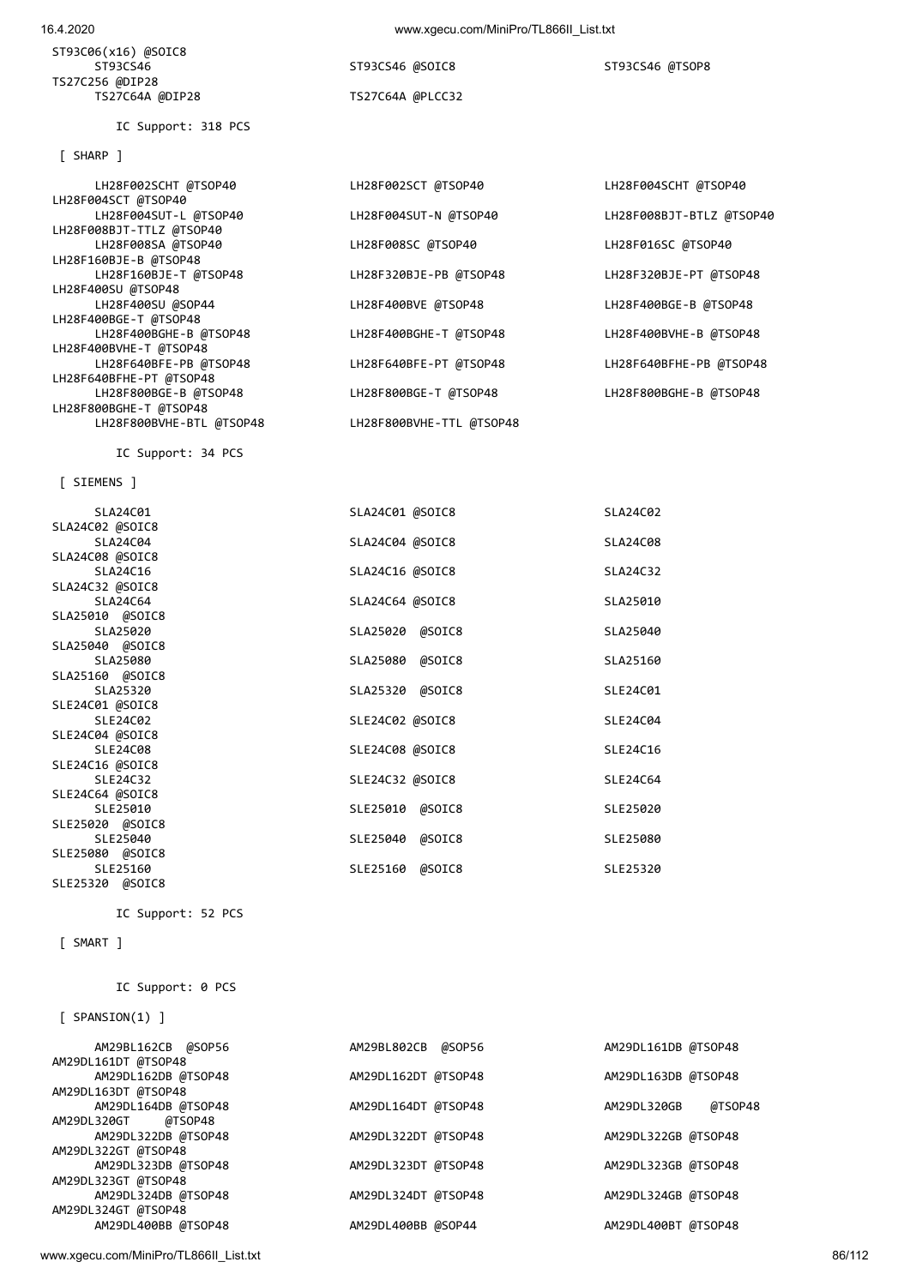| AM29BL162CB @SOP56     | AM29BL802CB @SOP56  | AM29DL161DB @TSOP48    |
|------------------------|---------------------|------------------------|
| AM29DL161DT @TSOP48    |                     |                        |
| AM29DL162DB @TSOP48    | AM29DL162DT @TSOP48 | AM29DL163DB @TSOP48    |
| AM29DL163DT @TSOP48    |                     |                        |
| AM29DL164DB @TSOP48    | AM29DL164DT @TSOP48 | @TSOP48<br>AM29DL320GB |
| AM29DL320GT<br>@TSOP48 |                     |                        |
| AM29DL322DB @TSOP48    | AM29DL322DT @TSOP48 | AM29DL322GB @TSOP48    |
| AM29DL322GT @TSOP48    |                     |                        |
| AM29DL323DB @TSOP48    | AM29DL323DT @TSOP48 | AM29DL323GB @TSOP48    |
| AM29DL323GT @TSOP48    |                     |                        |
| AM29DL324DB @TSOP48    | AM29DL324DT @TSOP48 | AM29DL324GB @TSOP48    |
| AM29DL324GT @TSOP48    |                     |                        |
| AM29DL400BB @TSOP48    | AM29DL400BB @SOP44  | AM29DL400BT @TSOP48    |
|                        |                     |                        |
|                        |                     |                        |

[ SMART ]

IC Support: 0 PCS

IC Support: 52 PCS

 $I$  SPAN

| SLA24C04        | SLA24C04 @SOIC8 | SLA24C08 |
|-----------------|-----------------|----------|
| SLA24C08 @SOIC8 |                 |          |
| SLA24C16        | SLA24C16 @SOIC8 | SLA24C32 |
| SLA24C32 @SOIC8 |                 |          |
| SLA24C64        | SLA24C64 @SOIC8 | SLA25010 |
| SLA25010 @SOIC8 |                 |          |
| SLA25020        | SLA25020 @SOIC8 | SLA25040 |
| SLA25040 @SOIC8 |                 |          |
| SLA25080        | SLA25080 @SOIC8 | SLA25160 |
| SLA25160 @SOIC8 |                 |          |
| SLA25320        | SLA25320 @SOIC8 | SLE24C01 |
| SLE24C01 @SOIC8 |                 |          |
| SLE24C02        | SLE24C02 @SOIC8 | SLE24C04 |
| SLE24C04 @SOIC8 |                 |          |
| SLE24C08        | SLE24C08 @SOIC8 | SLE24C16 |
| SLE24C16 @SOIC8 |                 |          |
| SLE24C32        | SLE24C32 @SOIC8 | SLE24C64 |
| SLE24C64 @SOIC8 |                 |          |
| SLE25010        | SLE25010 @SOIC8 | SLE25020 |
| SLE25020 @SOIC8 |                 |          |
| SLE25040        | SLE25040 @SOIC8 | SLE25080 |
| SLE25080 @SOIC8 |                 |          |
| SLE25160        | SLE25160 @SOIC8 | SLE25320 |
| SLE25320 @SOIC8 |                 |          |
|                 |                 |          |

[ SIEMENS ]

SLA24C02 @SOIC8

IC Support: 34 PCS

LH28F002SCHT @TSOP40 LH28F002SCT @TSOP40 LH28F004SCHT @TSOP40 LH28F004SCT @TSOP40<br>LH28F004SUT-L @TSOP40 LH28F008BJT-TTLZ @TSOP40 LH28F008SA @TSOP40 LH28F008SC @TSOP40 LH28F016SC @TSOP40 LH28F160BJE-B @TSOP48<br>LH28F160BJE-T @TSOP48 LH28F400SU @TSOP48 LH28F400BGE-T @TSOP48 LH28F400BGHE-B @TSOP48 LH28F400BGHE-T @TSOP48 LH28F400BVHE-B @TSOP48 LH28F400BVHE-T @TSOP48 LH28F640BFE-PB @TSOP48 LH28F640BFE-PT @TSOP48 LH28F640BFHE-PB @TSOP48 LH28F640BFHE-PT @TSOP48 LH28F800BGE-B @TSOP48 LH28F800BGE-T @TSOP48 LH28F800BGHE-B @TSOP48 LH28F800BGHE-T @TSOP48 LH28F800BVHE-BTL @TSOP48 LH28F800BVHE-TTL @TSOP48

[ SHARP ]

ST93C06(x16) @SOIC8

TS27C256 @DIP28

IC Support: 318 PCS

 ST93CS46 ST93CS46 @SOIC8 ST93CS46 @TSOP8 TS27C64A @PLCC32

LH28F320BJE-PB @TSOP48 LH28F320BJE-PT @TSOP48 LH28F400BVE @TSOP48 LH28F400BGE-B @TSOP48 SLA24C01 SLA24C01 @SOIC8 SLA24C02

LH28F004SUT-N @TSOP40 LH28F008BJT-BTLZ @TSOP40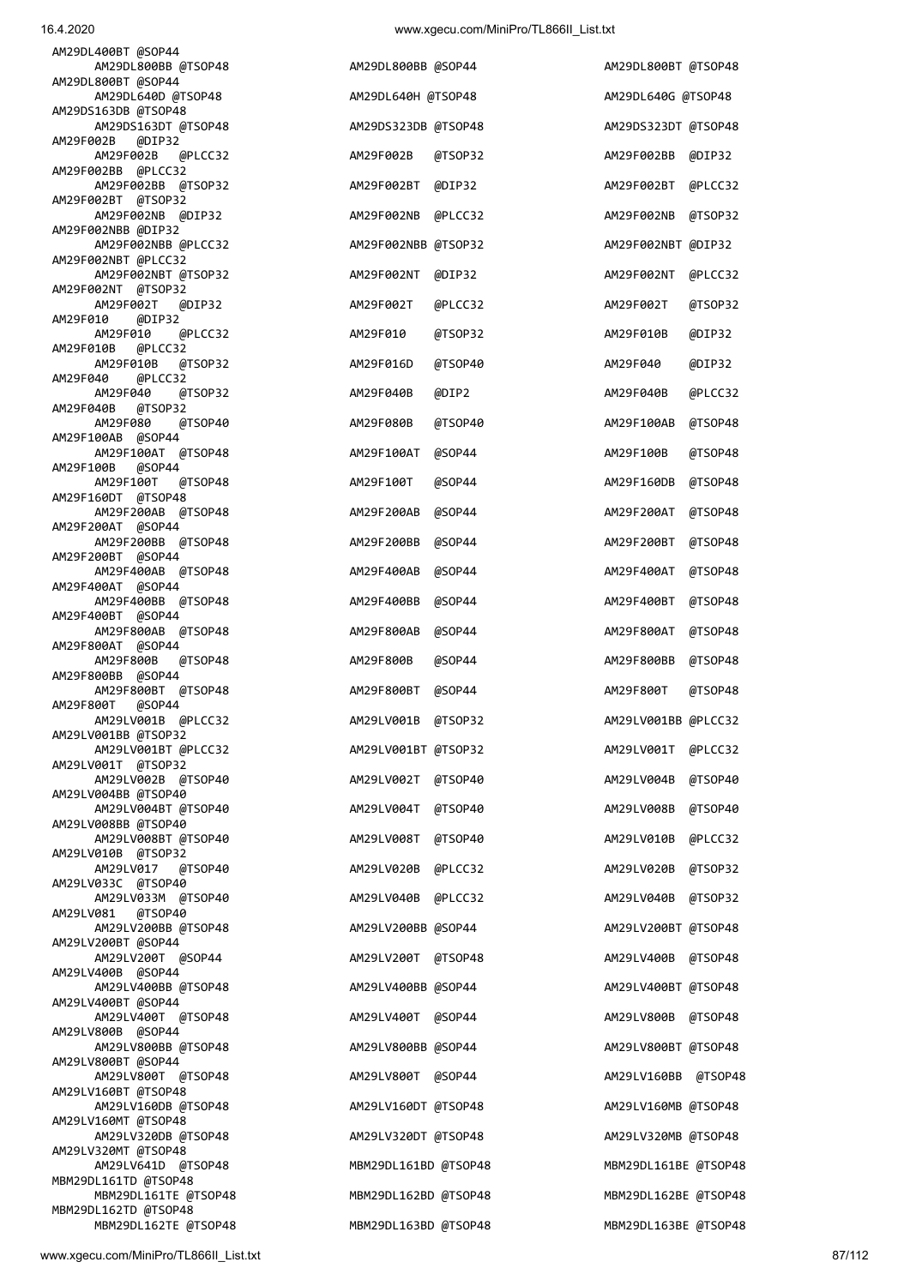| AM29DL800BT @SOP44                           |                      |         |                      |         |
|----------------------------------------------|----------------------|---------|----------------------|---------|
| AM29DL640D @TSOP48<br>AM29DS163DB @TSOP48    | AM29DL640H @TSOP48   |         | AM29DL640G @TSOP48   |         |
| AM29DS163DT @TSOP48                          | AM29DS323DB @TSOP48  |         | AM29DS323DT @TSOP48  |         |
| AM29F002B<br>@DIP32<br>AM29F002B<br>@PLCC32  | AM29F002B            | @TSOP32 | AM29F002BB           | @DIP32  |
| AM29F002BB @PLCC32<br>AM29F002BB @TSOP32     | AM29F002BT           | @DIP32  | AM29F002BT           | @PLCC32 |
| AM29F002BT @TSOP32                           |                      |         |                      |         |
| AM29F002NB @DIP32<br>AM29F002NBB @DIP32      | AM29F002NB           | @PLCC32 | AM29F002NB           | @TSOP32 |
| AM29F002NBB @PLCC32<br>AM29F002NBT @PLCC32   | AM29F002NBB @TSOP32  |         | AM29F002NBT @DIP32   |         |
| AM29F002NBT @TSOP32<br>AM29F002NT @TSOP32    | AM29F002NT           | @DIP32  | AM29F002NT           | @PLCC32 |
| AM29F002T<br>@DIP32                          | AM29F002T            | @PLCC32 | AM29F002T            | @TSOP32 |
| AM29F010<br>@DIP32<br>AM29F010<br>@PLCC32    | AM29F010             | @TSOP32 | AM29F010B            | @DIP32  |
| AM29F010B<br>@PLCC32<br>AM29F010B<br>@TSOP32 | AM29F016D            | @TSOP40 | AM29F040             | @DIP32  |
| @PLCC32<br>AM29F040<br>AM29F040<br>@TSOP32   | AM29F040B            | @DIP2   | AM29F040B            | @PLCC32 |
| AM29F040B<br>@TSOP32                         |                      |         |                      |         |
| AM29F080<br>@TSOP40<br>AM29F100AB @SOP44     | AM29F080B            | @TSOP40 | AM29F100AB           | @TSOP48 |
| AM29F100AT @TSOP48<br>AM29F100B<br>@SOP44    | AM29F100AT           | @SOP44  | AM29F100B            | @TSOP48 |
| AM29F100T<br>@TSOP48<br>AM29F160DT @TSOP48   | AM29F100T            | @SOP44  | AM29F160DB           | @TSOP48 |
| AM29F200AB @TSOP48<br>AM29F200AT @SOP44      | AM29F200AB           | @SOP44  | AM29F200AT           | @TSOP48 |
| AM29F200BB @TSOP48                           | AM29F200BB           | @SOP44  | AM29F200BT           | @TSOP48 |
| AM29F200BT @SOP44<br>AM29F400AB @TSOP48      | AM29F400AB           | @SOP44  | AM29F400AT           | @TSOP48 |
| AM29F400AT @SOP44<br>AM29F400BB @TSOP48      | AM29F400BB           | @SOP44  | AM29F400BT           | @TSOP48 |
| AM29F400BT @SOP44<br>AM29F800AB @TSOP48      | AM29F800AB           | @SOP44  | AM29F800AT           | @TSOP48 |
| AM29F800AT @SOP44                            |                      |         |                      |         |
| AM29F800B<br>@TSOP48<br>AM29F800BB @SOP44    | AM29F800B            | @SOP44  | AM29F800BB           | @TSOP48 |
| AM29F800BT @TSOP48<br>AM29F800T<br>@SOP44    | AM29F800BT           | @SOP44  | AM29F800T            | @TSOP48 |
| AM29LV001B @PLCC32<br>AM29LV001BB @TSOP32    | AM29LV001B           | @TSOP32 | AM29LV001BB @PLCC32  |         |
| AM29LV001BT @PLCC32<br>AM29LV001T @TSOP32    | AM29LV001BT @TSOP32  |         | AM29LV001T           | @PLCC32 |
| AM29LV002B @TSOP40                           | AM29LV002T @TSOP40   |         | AM29LV004B           | @TSOP40 |
| AM29LV004BB @TSOP40<br>AM29LV004BT @TSOP40   | AM29LV004T @TSOP40   |         | AM29LV008B           | @TSOP40 |
| AM29LV008BB @TSOP40<br>AM29LV008BT @TSOP40   | AM29LV008T           | @TSOP40 | AM29LV010B           | @PLCC32 |
| AM29LV010B @TSOP32<br>AM29LV017 @TSOP40      | AM29LV020B @PLCC32   |         | AM29LV020B           | @TSOP32 |
| AM29LV033C @TSOP40<br>AM29LV033M @TSOP40     | AM29LV040B @PLCC32   |         | AM29LV040B           | @TSOP32 |
| AM29LV081<br>@TSOP40                         |                      |         |                      |         |
| AM29LV200BB @TSOP48<br>AM29LV200BT @SOP44    | AM29LV200BB @SOP44   |         | AM29LV200BT @TSOP48  |         |
| AM29LV200T @SOP44<br>AM29LV400B @SOP44       | AM29LV200T @TSOP48   |         | AM29LV400B @TSOP48   |         |
| AM29LV400BB @TSOP48<br>AM29LV400BT @SOP44    | AM29LV400BB @SOP44   |         | AM29LV400BT @TSOP48  |         |
| AM29LV400T @TSOP48<br>AM29LV800B @SOP44      | AM29LV400T @SOP44    |         | AM29LV800B @TSOP48   |         |
| AM29LV800BB @TSOP48                          | AM29LV800BB @SOP44   |         | AM29LV800BT @TSOP48  |         |
| AM29LV800BT @SOP44<br>AM29LV800T @TSOP48     | AM29LV800T @SOP44    |         | AM29LV160BB @TSOP48  |         |
| AM29LV160BT @TSOP48<br>AM29LV160DB @TSOP48   | AM29LV160DT @TSOP48  |         | AM29LV160MB @TSOP48  |         |
| AM29LV160MT @TSOP48<br>AM29LV320DB @TSOP48   | AM29LV320DT @TSOP48  |         | AM29LV320MB @TSOP48  |         |
| AM29LV320MT @TSOP48<br>AM29LV641D @TSOP48    | MBM29DL161BD @TSOP48 |         | MBM29DL161BE @TSOP48 |         |
| MBM29DL161TD @TSOP48                         |                      |         |                      |         |
| MBM29DL161TE @TSOP48<br>MBM29DL162TD @TSOP48 | MBM29DL162BD @TSOP48 |         | MBM29DL162BE @TSOP48 |         |
| MBM29DL162TE @TSOP48                         | MBM29DL163BD @TSOP48 |         | MBM29DL163BE @TSOP48 |         |

AM29DL400BT @SOP44

AM29DL800BB @TSOP48 AM29DL800BB @SOP44 AM29DL800BT @TSOP48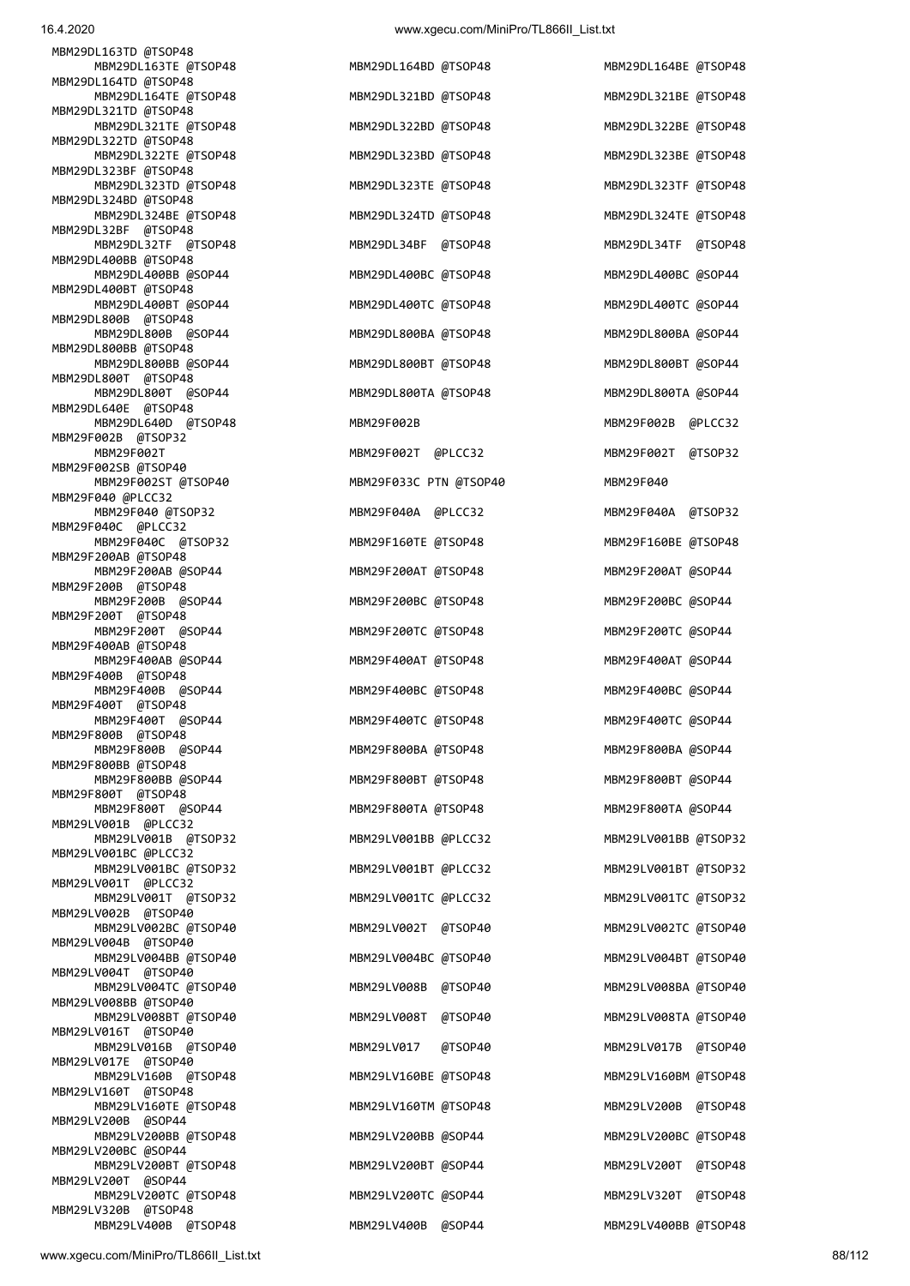| MBM29DL163TD @TSOP48                         |                        |                        |
|----------------------------------------------|------------------------|------------------------|
| MBM29DL163TE @TSOP48                         | MBM29DL164BD @TSOP48   | MBM29DL164BE @TSOP48   |
| MBM29DL164TD @TSOP48<br>MBM29DL164TE @TSOP48 | MBM29DL321BD @TSOP48   | MBM29DL321BE @TSOP48   |
| MBM29DL321TD @TSOP48                         |                        |                        |
| MBM29DL321TE @TSOP48<br>MBM29DL322TD @TSOP48 | MBM29DL322BD @TSOP48   | MBM29DL322BE @TSOP48   |
| MBM29DL322TE @TSOP48                         | MBM29DL323BD @TSOP48   | MBM29DL323BE @TSOP48   |
| MBM29DL323BF @TSOP48<br>MBM29DL323TD @TSOP48 | MBM29DL323TE @TSOP48   | MBM29DL323TF @TSOP48   |
| MBM29DL324BD @TSOP48                         |                        |                        |
| MBM29DL324BE @TSOP48<br>MBM29DL32BF @TSOP48  | MBM29DL324TD @TSOP48   | MBM29DL324TE @TSOP48   |
| MBM29DL32TF @TSOP48                          | MBM29DL34BF @TSOP48    | MBM29DL34TF @TSOP48    |
| MBM29DL400BB @TSOP48<br>MBM29DL400BB @SOP44  | MBM29DL400BC @TSOP48   | MBM29DL400BC @SOP44    |
| MBM29DL400BT @TSOP48                         |                        |                        |
| MBM29DL400BT @SOP44<br>MBM29DL800B @TSOP48   | MBM29DL400TC @TSOP48   | MBM29DL400TC @SOP44    |
| MBM29DL800B @SOP44                           | MBM29DL800BA @TSOP48   | MBM29DL800BA @SOP44    |
| MBM29DL800BB @TSOP48<br>MBM29DL800BB @SOP44  | MBM29DL800BT @TSOP48   | MBM29DL800BT @SOP44    |
| MBM29DL800T @TSOP48                          |                        |                        |
| MBM29DL800T @SOP44<br>MBM29DL640E @TSOP48    | MBM29DL800TA @TSOP48   | MBM29DL800TA @SOP44    |
| MBM29DL640D @TSOP48<br>MBM29F002B @TSOP32    | MBM29F002B             | MBM29F002B @PLCC32     |
| MBM29F002T                                   | MBM29F002T @PLCC32     | MBM29F002T @TSOP32     |
| MBM29F002SB @TSOP40<br>MBM29F002ST @TSOP40   | MBM29F033C PTN @TSOP40 | MBM29F040              |
| MBM29F040 @PLCC32                            |                        |                        |
| MBM29F040 @TSOP32<br>MBM29F040C @PLCC32      | MBM29F040A @PLCC32     | MBM29F040A @TSOP32     |
| MBM29F040C @TSOP32                           | MBM29F160TE @TSOP48    | MBM29F160BE @TSOP48    |
| MBM29F200AB @TSOP48<br>MBM29F200AB @SOP44    | MBM29F200AT @TSOP48    | MBM29F200AT @SOP44     |
| MBM29F200B @TSOP48                           |                        |                        |
| MBM29F200B @SOP44<br>MBM29F200T @TSOP48      | MBM29F200BC @TSOP48    | MBM29F200BC @SOP44     |
| MBM29F200T @SOP44                            | MBM29F200TC @TSOP48    | MBM29F200TC @SOP44     |
| MBM29F400AB @TSOP48<br>MBM29F400AB @SOP44    | MBM29F400AT @TSOP48    | MBM29F400AT @SOP44     |
| MBM29F400B @TSOP48<br>MBM29F400B @SOP44      | MBM29F400BC @TSOP48    | MBM29F400BC @SOP44     |
| MBM29F400T @TSOP48                           |                        |                        |
| MBM29F400T @SOP44<br>MBM29F800B @TSOP48      | MBM29F400TC @TSOP48    | MBM29F400TC @SOP44     |
| MBM29F800B @SOP44                            | MBM29F800BA @TSOP48    | MBM29F800BA @SOP44     |
| MBM29F800BB @TSOP48<br>MBM29F800BB @SOP44    | MBM29F800BT @TSOP48    | MBM29F800BT @SOP44     |
| MBM29F800T @TSOP48                           |                        |                        |
| MBM29F800T @SOP44<br>MBM29LV001B @PLCC32     | MBM29F800TA @TSOP48    | MBM29F800TA @SOP44     |
| MBM29LV001B @TSOP32<br>MBM29LV001BC @PLCC32  | MBM29LV001BB @PLCC32   | MBM29LV001BB @TSOP32   |
| MBM29LV001BC @TSOP32                         | MBM29LV001BT @PLCC32   | MBM29LV001BT @TSOP32   |
| MBM29LV001T @PLCC32<br>MBM29LV001T @TSOP32   | MBM29LV001TC @PLCC32   | MBM29LV001TC @TSOP32   |
| MBM29LV002B @TSOP40                          |                        |                        |
| MBM29LV002BC @TSOP40<br>MBM29LV004B @TSOP40  | MBM29LV002T @TSOP40    | MBM29LV002TC @TSOP40   |
| MBM29LV004BB @TSOP40                         | MBM29LV004BC @TSOP40   | MBM29LV004BT @TSOP40   |
| MBM29LV004T @TSOP40<br>MBM29LV004TC @TSOP40  | MBM29LV008B @TSOP40    | MBM29LV008BA @TSOP40   |
| MBM29LV008BB @TSOP40                         | MBM29LV008T @TSOP40    | MBM29LV008TA @TSOP40   |
| MBM29LV008BT @TSOP40<br>MBM29LV016T @TSOP40  |                        |                        |
| MBM29LV016B @TSOP40<br>MBM29LV017E @TSOP40   | MBM29LV017<br>@TSOP40  | MBM29LV017B @TSOP40    |
| MBM29LV160B @TSOP48                          | MBM29LV160BE @TSOP48   | MBM29LV160BM @TSOP48   |
| MBM29LV160T @TSOP48<br>MBM29LV160TE @TSOP48  | MBM29LV160TM @TSOP48   | MBM29LV200B @TSOP48    |
| MBM29LV200B @SOP44                           |                        |                        |
| MBM29LV200BB @TSOP48<br>MBM29LV200BC @SOP44  | MBM29LV200BB @SOP44    | MBM29LV200BC @TSOP48   |
| MBM29LV200BT @TSOP48                         | MBM29LV200BT @SOP44    | MBM29LV200T @TSOP48    |
| MBM29LV200T @SOP44<br>MBM29LV200TC @TSOP48   | MBM29LV200TC @SOP44    | MBM29LV320T<br>@TSOP48 |
| MBM29LV320B @TSOP48<br>MBM29LV400B @TSOP48   | MBM29LV400B @SOP44     | MBM29LV400BB @TSOP48   |
|                                              |                        |                        |

| MBM29DL321BD<br>@TSOP48<br>MBM29DL322BD @TSOP48<br>MBM29DL323BD @TSOP48<br>MBM29DL323TE<br>@TSOP48<br>MBM29DL324TD @TSOP48<br>MBM29DL34BF<br>@TSOP48<br>MBM29DL400BC<br>@TSOP48<br>MBM29DL400TC @TSOP48<br>MBM29DL800BA @TSOP48<br>MBM29DL800BT @TSOP48<br>MBM29DL800TA @TSOP48<br>MBM29F002B<br>MBM29F002T<br>@PLCC32<br>MBM29F033C PTN @TSOP40<br>MBM29F040A<br>@PLCC32<br>MBM29F160TE @TSOP48<br>MBM29F200AT<br>@TSOP48<br>MBM29F200BC<br>@TSOP48<br>MBM29F200TC @TSOP48<br>MBM29F400AT<br>@TSOP48<br>MBM29F400BC<br>@TSOP48<br>@TSOP48<br>MBM29F400TC<br>MBM29F800BA @TSOP48 |
|----------------------------------------------------------------------------------------------------------------------------------------------------------------------------------------------------------------------------------------------------------------------------------------------------------------------------------------------------------------------------------------------------------------------------------------------------------------------------------------------------------------------------------------------------------------------------------|
|                                                                                                                                                                                                                                                                                                                                                                                                                                                                                                                                                                                  |
|                                                                                                                                                                                                                                                                                                                                                                                                                                                                                                                                                                                  |
|                                                                                                                                                                                                                                                                                                                                                                                                                                                                                                                                                                                  |
|                                                                                                                                                                                                                                                                                                                                                                                                                                                                                                                                                                                  |
|                                                                                                                                                                                                                                                                                                                                                                                                                                                                                                                                                                                  |
|                                                                                                                                                                                                                                                                                                                                                                                                                                                                                                                                                                                  |
|                                                                                                                                                                                                                                                                                                                                                                                                                                                                                                                                                                                  |
|                                                                                                                                                                                                                                                                                                                                                                                                                                                                                                                                                                                  |
|                                                                                                                                                                                                                                                                                                                                                                                                                                                                                                                                                                                  |
|                                                                                                                                                                                                                                                                                                                                                                                                                                                                                                                                                                                  |
|                                                                                                                                                                                                                                                                                                                                                                                                                                                                                                                                                                                  |
|                                                                                                                                                                                                                                                                                                                                                                                                                                                                                                                                                                                  |
|                                                                                                                                                                                                                                                                                                                                                                                                                                                                                                                                                                                  |
|                                                                                                                                                                                                                                                                                                                                                                                                                                                                                                                                                                                  |
|                                                                                                                                                                                                                                                                                                                                                                                                                                                                                                                                                                                  |
|                                                                                                                                                                                                                                                                                                                                                                                                                                                                                                                                                                                  |
|                                                                                                                                                                                                                                                                                                                                                                                                                                                                                                                                                                                  |
|                                                                                                                                                                                                                                                                                                                                                                                                                                                                                                                                                                                  |
|                                                                                                                                                                                                                                                                                                                                                                                                                                                                                                                                                                                  |
|                                                                                                                                                                                                                                                                                                                                                                                                                                                                                                                                                                                  |
|                                                                                                                                                                                                                                                                                                                                                                                                                                                                                                                                                                                  |
|                                                                                                                                                                                                                                                                                                                                                                                                                                                                                                                                                                                  |
|                                                                                                                                                                                                                                                                                                                                                                                                                                                                                                                                                                                  |
| MBM29F800BT @TSOP48                                                                                                                                                                                                                                                                                                                                                                                                                                                                                                                                                              |
| MBM29F800TA @TSOP48                                                                                                                                                                                                                                                                                                                                                                                                                                                                                                                                                              |
| MBM29LV001BB @PLCC32                                                                                                                                                                                                                                                                                                                                                                                                                                                                                                                                                             |
| MBM29LV001BT @PLCC32                                                                                                                                                                                                                                                                                                                                                                                                                                                                                                                                                             |
| MBM29LV001TC @PLCC32                                                                                                                                                                                                                                                                                                                                                                                                                                                                                                                                                             |
| MBM29LV002T<br>@TSOP40                                                                                                                                                                                                                                                                                                                                                                                                                                                                                                                                                           |
| MBM29LV004BC @TSOP40                                                                                                                                                                                                                                                                                                                                                                                                                                                                                                                                                             |
| MBM29LV008B<br>@TSOP40                                                                                                                                                                                                                                                                                                                                                                                                                                                                                                                                                           |
| MBM29LV008T<br>@TSOP40                                                                                                                                                                                                                                                                                                                                                                                                                                                                                                                                                           |
| MBM29LV017<br>@TSOP40                                                                                                                                                                                                                                                                                                                                                                                                                                                                                                                                                            |
|                                                                                                                                                                                                                                                                                                                                                                                                                                                                                                                                                                                  |
| MBM29LV160BE<br>@TSOP48                                                                                                                                                                                                                                                                                                                                                                                                                                                                                                                                                          |
| MBM29LV160TM @TSOP48                                                                                                                                                                                                                                                                                                                                                                                                                                                                                                                                                             |
| MBM29LV200BB @SOP44                                                                                                                                                                                                                                                                                                                                                                                                                                                                                                                                                              |
| MBM29LV200BT @SOP44                                                                                                                                                                                                                                                                                                                                                                                                                                                                                                                                                              |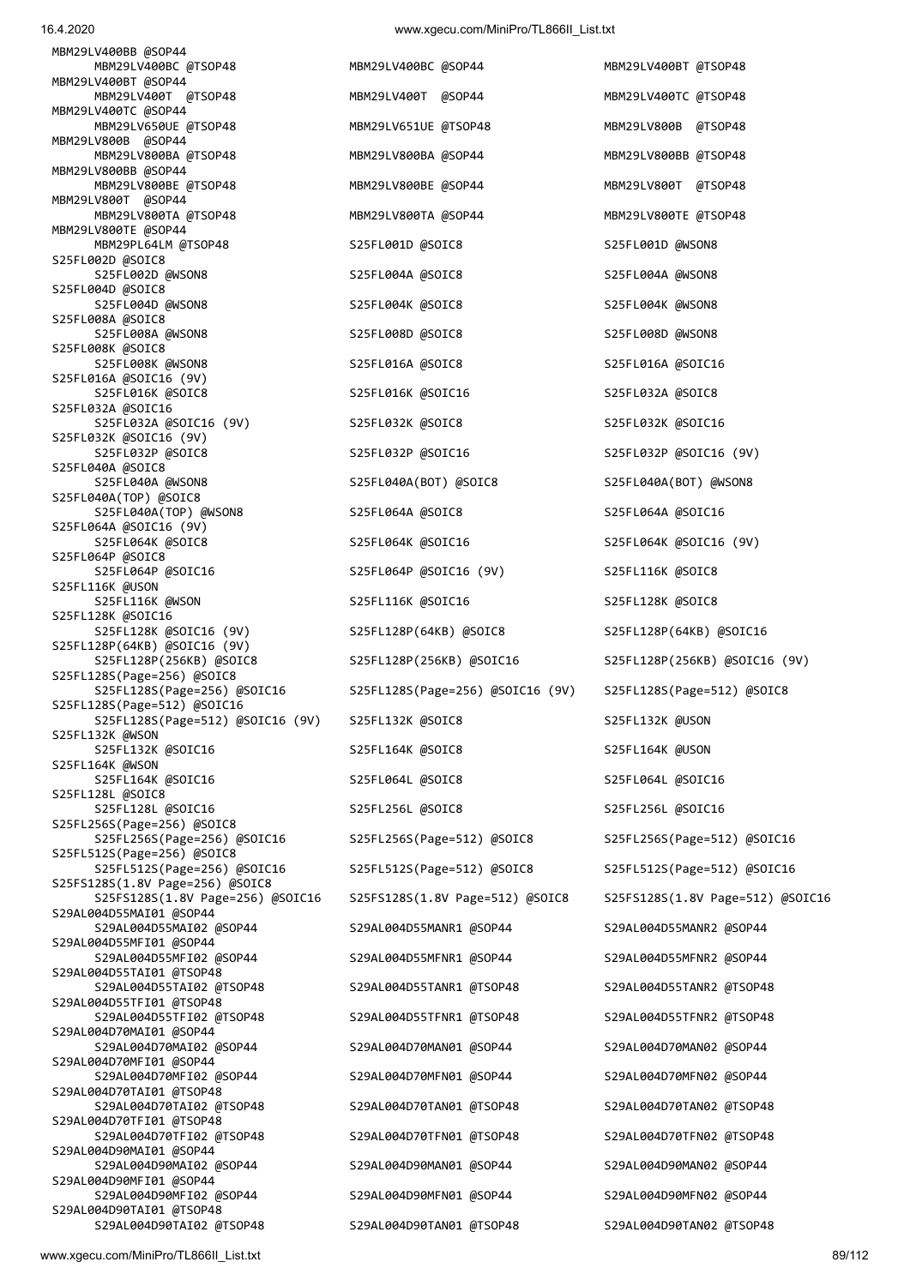MBM29LV800T @SOP44 MBM29LV800TA @TSOP48 MBM29LV800TA @SOP44 MBM29LV800TE @TSOP48 MBM29LV800TE @SOP44 MBM29PL64LM @TSOP48 S25FL001D @SOIC8 S25FL001D @SOIC8 S25FL002D @SOIC8 S25FL002D @WSON8 S25FL004A @SOIC8 S25FL004A @SOIC8 S25FL004D @SOIC8 S25FL004D @WSON8 S25FL004K @SOIC8 S25FL004K @WSON8 S25FL008A @SOIC8 S25FL008A @WSON8 S25FL008D @SOIC8 S25FL008D @SOIC8 S25FL008K @SOIC8 S25FL008K @WSON8 S25FL016A @SOIC8 S25FL016A @SOIC16 S25FL016A @SOIC16 (9V) S25FL016K @SOIC8 S25FL016K @SOIC16 S25FL032A @SOIC8 S25FL032A @SOIC16 S25FL032A @SOIC16 (9V) S25FL032K @SOIC8 S25FL032K @SOIC16 S25FL032K @SOIC16 (9V) S25FL032P @SOIC8 S25FL032P @SOIC16 S25FL032P @SOIC16 (9V) S25FL040A @SOIC8 S25FL040A @WSON8 S25FL040A(BOT) @SOIC8 S25FL040A(BOT) @WSON8 S25FL040A(TOP) @SOIC8 S25FL040A(TOP) @WSON8 S25FL064A @SOIC8 S25FL064A @SOIC16 S25FL064A @SOIC16 (9V) S25FL064K @SOIC8 S25FL064K @SOIC16 S25FL064K @SOIC16 (9V) S25FL064P @SOIC8<br>S25FL064P @SOIC16 S25FL116K @USON S25FL116K @WSON S25FL116K @SOIC16 S25FL116K @SOIC8 S25FL128K @SOIC16 S25FL128K @SOIC16 (9V) S25FL128P(64KB) @SOIC8 S25FL128P(64KB) @SOIC16 S25FL128P(64KB) @SOIC16 (9V) S25FL128S(Page=256) @SOIC8 S25FL128S(Page=256) @SOIC16 S25FL128S(Page=256) @SOIC16 (9V) S25FL128S(Page=512) @SOIC8 S25FL128S(Page=512) @SOIC16 S25FL128S(Page=512) @SOIC16 (9V) S25FL132K @SOIC8 S25FL132K @USON S25FL132K @WSON S25FL132K @SOIC16 S25FL164K @SOIC8 S25FL164K @USON S25FL164K @WSON S25FL164K @SOIC16 S25FL064L @SOIC8 S25FL064L @SOIC16 S25FL128L @SOIC8 S25FL128L @SOIC16 S25FL256L @SOIC8 S25FL256L @SOIC16 S25FL256S(Page=256) @SOIC8 S25FL256S(Page=256) @SOIC16 S25FL256S(Page=512) @SOIC8 S25FL256S(Page=512) @SOIC16 S25FL512S(Page=256) @SOIC8 S25FL512S(Page=256) @SOIC16 S25FL512S(Page=512) @SOIC8 S25FL512S(Page=512) @SOIC16 S25FS128S(1.8V Page=256) @SOIC8 S25FS128S(1.8V Page=256) @SOIC16 S25FS128S(1.8V Page=512) @SOIC8 S25FS128S(1.8V Page=512) @SOIC16 S29AL004D55MAI01 @SOP44 S29AL004D55MAI02 @SOP44 S29AL004D55MANR1 @SOP44 S29AL004D55MANR2 @SOP44 S29AL004D55MFI01 @SOP44 S29AL004D55MFI02 @SOP44 S29AL004D55MFNR1 @SOP44 S29AL004D55MFNR2 @SOP44 S29AL004D55TAI01 @TSOP48 S29AL004D55TAI02 @TSOP48 S29AL004D55TANR1 @TSOP48 S29AL004D55TANR2 @TSOP48 S29AL004D55TFI01 @TSOP48 S29AL004D55TFI02 @TSOP48 S29AL004D55TFNR1 @TSOP48 S29AL004D55TFNR2 @TSOP48 S29AL004D70MAI01 @SOP44 S29AL004D70MAI02 @SOP44 S29AL004D70MAN01 @SOP44 S29AL004D70MAN02 @SOP44 S29AL004D70MFI01 @SOP44 S29AL004D70TAI01 @TSOP48 S29AL004D70TAI02 @TSOP48 S29AL004D70TAN01 @TSOP48 S29AL004D70TAN02 @TSOP48 S29AL004D70TFI01 @TSOP48 S29AL004D70TFI02 @TSOP48 S29AL004D70TFN01 @TSOP48 S29AL004D70TFN02 @TSOP48 S29AL004D90MAI01 @SOP44 S29AL004D90MAI02 @SOP44 S29AL004D90MAN01 @SOP44 S29AL004D90MAN02 @SOP44 S29AL004D90MFI01 @SOP44 S29AL004D90MFI02 @SOP44 S29AL004D90MFN01 @SOP44 S29AL004D90MFN02 @SOP44 S29AL004D90TAI01 @TSOP48 S29AL004D90TAI02 @TSOP48 S29AL004D90TAN01 @TSOP48 S29AL004D90TAN02 @TSOP48

 MBM29LV400BC @TSOP48 MBM29LV400BC @SOP44 MBM29LV400BT @TSOP48 MBM29LV400T @TSOP48 MBM29LV400T @SOP44 MBM29LV400TC @TSOP48 MBM29LV650UE @TSOP48 MBM29LV651UE @TSOP48 MBM29LV800B @TSOP48 MBM29LV800BA @TSOP48 MBM29LV800BA @SOP44 MBM29LV800BB @TSOP48 MBM29LV800BE @TSOP48 MBM29LV800BE @SOP44 MBM29LV800T @TSOP48 S25FL064P @SOIC16 (9V) S25FL116K @SOIC8 S25FL128P(256KB) @SOIC16 S25FL128P(256KB) @SOIC16 (9V) S29AL004D70MFN01 @SOP44 S29AL004D70MFN02 @SOP44

MBM29LV400BB @SOP44

MBM29LV400BT @SOP44

MBM29LV400TC @SOP44

MBM29LV800B @SOP44

MBM29LV800BB @SOP44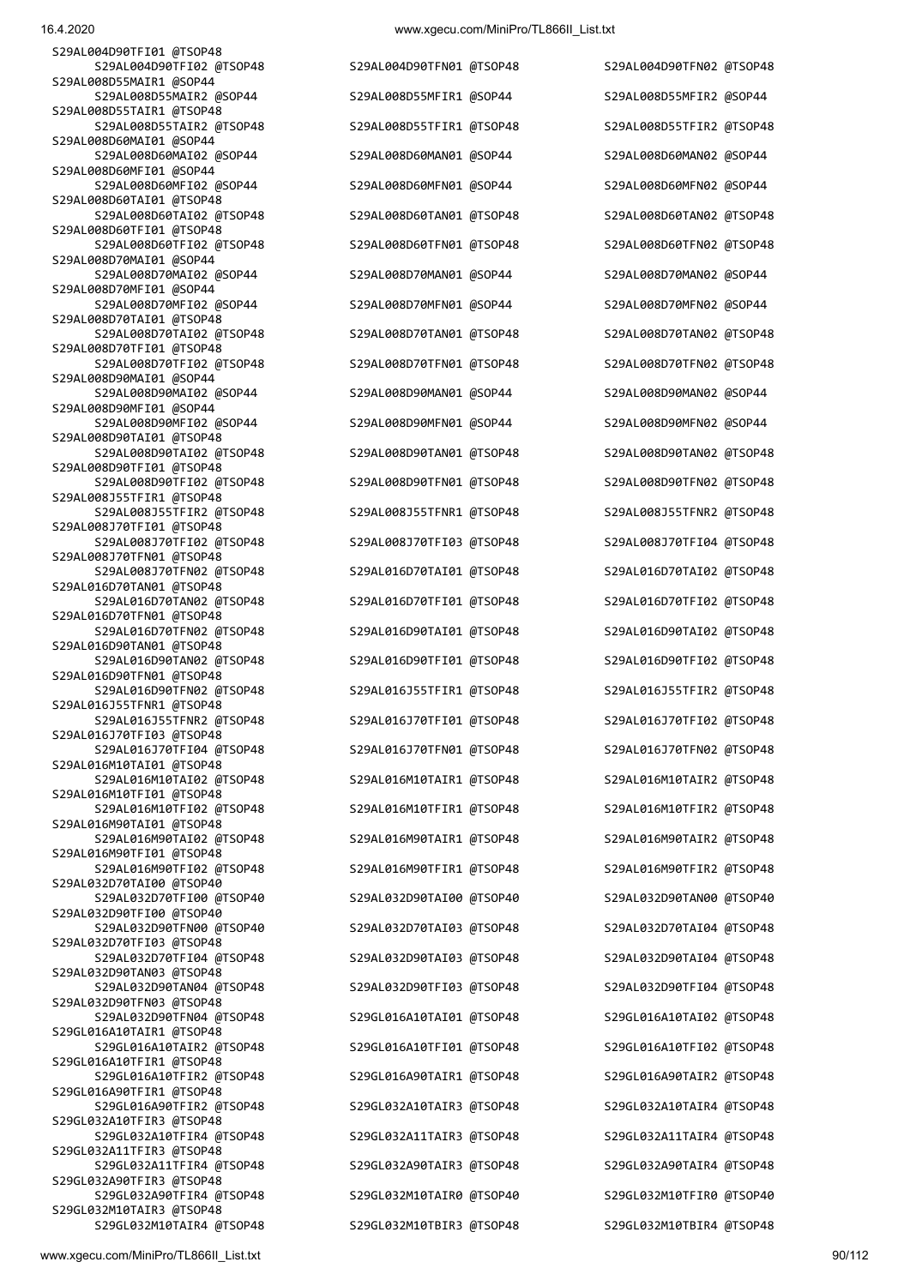S29AL004D90TFI01 @TSOP48 S29AL008D55MAIR1 @SOP44 S29AL008D55TAIR1 @TSOP48 S29AL008D60MAI01 @SOP44 S29AL008D60MFI01 @SOP44 S29AL008D60TAI01 @TSOP48 S29AL008D60TFI01 @TSOP48 S29AL008D70MAI01 @SOP44 S29AL008D70MFI01 @SOP44 S29AL008D70TAI01 @TSOP48 S29AL008D70TFI01 @TSOP48 S29AL008D90MAI01 @SOP44 S29AL008D90MFI01 @SOP44 S29AL008D90TAI01 @TSOP48 S29AL008D90TFI01 @TSOP48 S29AL008J55TFIR1 @TSOP48 S29AL008J70TFI01 @TSOP48 S29AL008J70TFN01 @TSOP48 S29AL016D70TAN01 @TSOP48 S29AL016D70TFN01 @TSOP48 S29AL016D90TAN01 @TSOP48 S29AL016D90TFN01 @TSOP48 S29AL016J55TFNR1 @TSOP48 S29AL016J70TFI03 @TSOP48 S29AL016M10TAI01 @TSOP48 S29AL016M10TFI01 @TSOP48 S29AL016M90TAI01 @TSOP48 S29AL016M90TFI01 @TSOP48 S29AL032D70TAI00 @TSOP40 S29AL032D90TFI00 @TSOP40 S29AL032D70TFI03 @TSOP48 S29AL032D90TAN03 @TSOP48 S29AL032D90TFN03 @TSOP48 S29GL016A10TAIR1 @TSOP48 S29GL016A10TFIR1 @TSOP48 S29GL016A90TFIR1 @TSOP48 S29GL032A10TFIR3 @TSOP48 S29GL032A11TFIR3 @TSOP48 S29GL032A90TFIR3 @TSOP48

16.4.2020 www.xgecu.com/MiniPro/TL866II\_List.txt

 S29AL004D90TFI02 @TSOP48 S29AL004D90TFN01 @TSOP48 S29AL004D90TFN02 @TSOP48 S29AL008D55MAIR2 @SOP44 S29AL008D55MFIR1 @SOP44 S29AL008D55MFIR2 @SOP44 S29AL008D55TAIR2 @TSOP48 S29AL008D55TFIR1 @TSOP48 S29AL008D55TFIR2 @TSOP48 S29AL008D60MAI02 @SOP44 S29AL008D60MAN01 @SOP44 S29AL008D60MAN02 @SOP44 S29AL008D60MFI02 @SOP44 S29AL008D60MFN01 @SOP44 S29AL008D60MFN02 @SOP44 S29AL008D60TAI02 @TSOP48 S29AL008D60TAN01 @TSOP48 S29AL008D60TAN02 @TSOP48 S29AL008D60TFI02 @TSOP48 S29AL008D60TFN01 @TSOP48 S29AL008D60TFN02 @TSOP48 S29AL008D70MAI02 @SOP44 S29AL008D70MAN01 @SOP44 S29AL008D70MAN02 @SOP44 S29AL008D70MFI02 @SOP44 S29AL008D70MFN01 @SOP44 S29AL008D70MFN02 @SOP44 S29AL008D70TAI02 @TSOP48 S29AL008D70TAN01 @TSOP48 S29AL008D70TAN02 @TSOP48 S29AL008D70TFI02 @TSOP48 S29AL008D70TFN01 @TSOP48 S29AL008D70TFN02 @TSOP48 S29AL008D90MAI02 @SOP44 S29AL008D90MAN01 @SOP44 S29AL008D90MAN02 @SOP44 S29AL008D90MFI02 @SOP44 S29AL008D90MFN01 @SOP44 S29AL008D90MFN02 @SOP44 S29AL008D90TAI02 @TSOP48 S29AL008D90TAN01 @TSOP48 S29AL008D90TAN02 @TSOP48 S29AL008D90TFI02 @TSOP48 S29AL008D90TFN01 @TSOP48 S29AL008D90TFN02 @TSOP48 S29AL008J55TFIR2 @TSOP48 S29AL008J55TFNR1 @TSOP48 S29AL008J55TFNR2 @TSOP48 S29AL008J70TFI02 @TSOP48 S29AL008J70TFI03 @TSOP48 S29AL008J70TFI04 @TSOP48 S29AL008J70TFN02 @TSOP48 S29AL016D70TAI01 @TSOP48 S29AL016D70TAI02 @TSOP48 S29AL016D70TAN02 @TSOP48 S29AL016D70TFI01 @TSOP48 S29AL016D70TFI02 @TSOP48 S29AL016D70TFN02 @TSOP48 S29AL016D90TAI01 @TSOP48 S29AL016D90TAI02 @TSOP48 S29AL016D90TAN02 @TSOP48 S29AL016D90TFI01 @TSOP48 S29AL016D90TFI02 @TSOP48 S29AL016D90TFN02 @TSOP48 S29AL016J55TFIR1 @TSOP48 S29AL016J55TFIR2 @TSOP48 S29AL016J55TFNR2 @TSOP48 S29AL016J70TFI01 @TSOP48 S29AL016J70TFI02 @TSOP48 S29AL016J70TFI04 @TSOP48 S29AL016J70TFN01 @TSOP48 S29AL016J70TFN02 @TSOP48 S29AL016M10TAI02 @TSOP48 S29AL016M10TAIR1 @TSOP48 S29AL016M10TAIR2 @TSOP48 S29AL016M10TFI02 @TSOP48 S29AL016M10TFIR1 @TSOP48 S29AL016M10TFIR2 @TSOP48 S29AL016M90TAI02 @TSOP48 S29AL016M90TAIR1 @TSOP48 S29AL016M90TAIR2 @TSOP48 S29AL016M90TFI02 @TSOP48 S29AL016M90TFIR1 @TSOP48 S29AL016M90TFIR2 @TSOP48 S29AL032D70TFI00 @TSOP40 S29AL032D90TAI00 @TSOP40 S29AL032D90TAN00 @TSOP40 S29AL032D90TFN00 @TSOP40 S29AL032D70TAI03 @TSOP48 S29AL032D70TAI04 @TSOP48 S29AL032D70TFI04 @TSOP48 S29AL032D90TAI03 @TSOP48 S29AL032D90TAI04 @TSOP48 S29AL032D90TAN04 @TSOP48 S29AL032D90TFI03 @TSOP48 S29AL032D90TFI04 @TSOP48 S29AL032D90TFN04 @TSOP48 S29GL016A10TAI01 @TSOP48 S29GL016A10TAI02 @TSOP48 S29GL016A10TAIR2 @TSOP48 S29GL016A10TFI01 @TSOP48 S29GL016A10TFI02 @TSOP48 S29GL016A10TFIR2 @TSOP48 S29GL016A90TAIR1 @TSOP48 S29GL016A90TAIR2 @TSOP48 S29GL016A90TFIR2 @TSOP48 S29GL032A10TAIR3 @TSOP48 S29GL032A10TAIR4 @TSOP48 S29GL032A10TFIR4 @TSOP48 S29GL032A11TAIR3 @TSOP48 S29GL032A11TAIR4 @TSOP48 S29GL032A11TFIR4 @TSOP48 S29GL032A90TAIR3 @TSOP48 S29GL032A90TAIR4 @TSOP48 S29GL032A90TFIR4 @TSOP48 S29GL032M10TAIR0 @TSOP40 S29GL032M10TFIR0 @TSOP40

S29GL032M10TAIR4 @TSOP48 S29GL032M10TBIR3 @TSOP48 S29GL032M10TBIR4 @TSOP48

S29GL032M10TAIR3 @TSOP48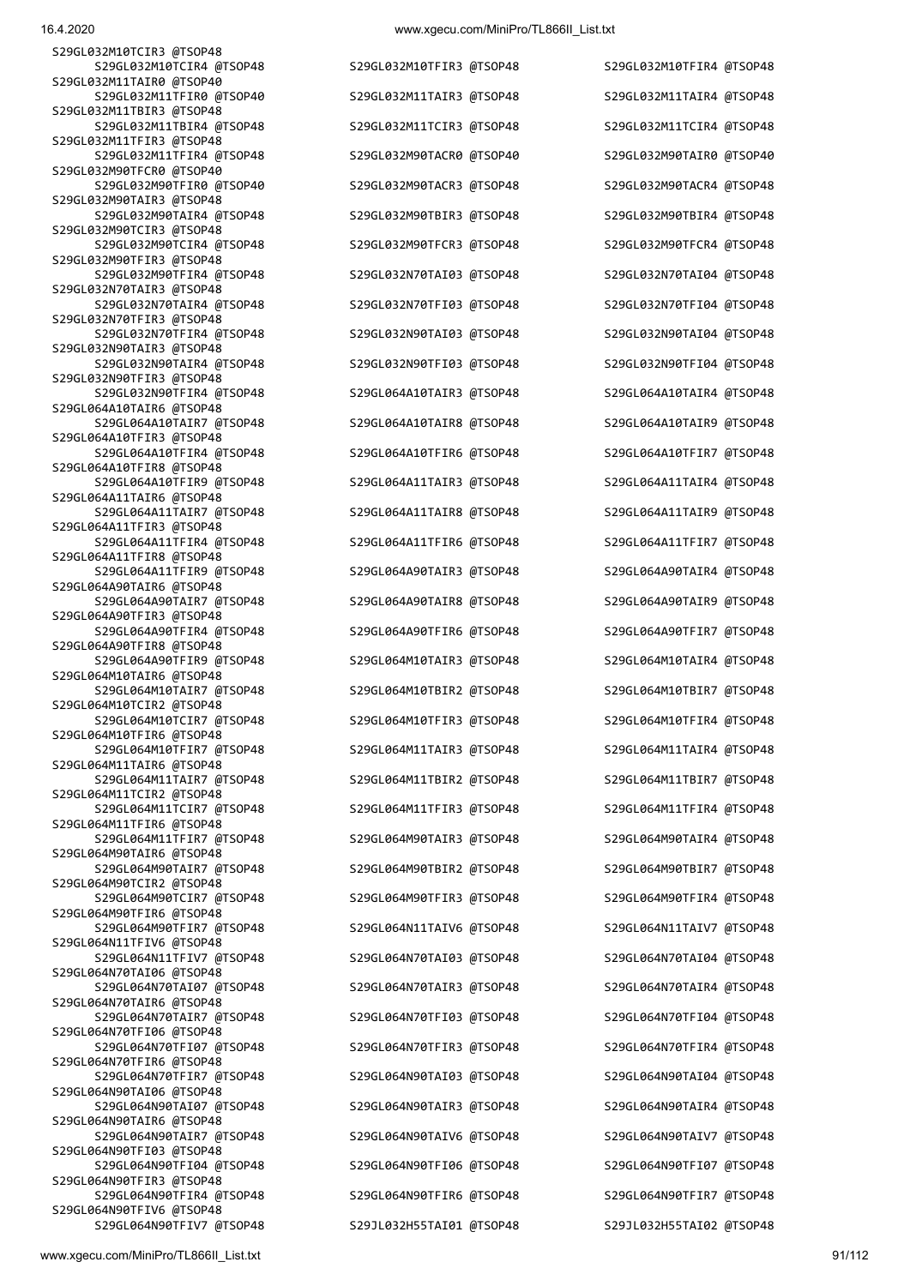S29GL032M10TCIR3 @TSOP48 S29GL032M10TCIR4 @TSOP48 S29GL032M10TFIR3 @TSOP48 S29GL032M10TFIR4 @TSOP48 S29GL032M11TAIR0 @TSOP40 S29GL032M11TBIR3 @TSOP48 S29GL032M11TFIR3 @TSOP48 S29GL032M90TFCR0 @TSOP40 S29GL032M90TAIR3 @TSOP48 S29GL032M90TCIR3 @TSOP48 S29GL032M90TFIR3 @TSOP48 S29GL032N70TAIR3 @TSOP48 S29GL032N70TFIR3 @TSOP48 S29GL032N90TAIR3 @TSOP48 S29GL032N90TFIR3 @TSOP48 S29GL064A10TAIR6 @TSOP48 S29GL064A10TFIR3 @TSOP48 S29GL064A10TFIR8 @TSOP48 S29GL064A11TAIR6 @TSOP48 S29GL064A11TFIR3 @TSOP48 S29GL064A11TFIR8 @TSOP48 S29GL064A90TAIR6 @TSOP48 S29GL064A90TFIR3 @TSOP48 S29GL064A90TFIR8 @TSOP48 S29GL064M10TAIR6 @TSOP48<br>S29GL064M10TAIR7 @TSOP48 S29GL064M10TCIR2 @TSOP48 S29GL064M10TFIR6 @TSOP48 S29GL064M11TAIR6 @TSOP48 S29GL064M11TCIR2 @TSOP48 S29GL064M11TFIR6 @TSOP48 S29GL064M90TAIR6 @TSOP48 S29GL064M90TCIR2 @TSOP48 S29GL064M90TFIR6 @TSOP48 S29GL064N11TFIV6 @TSOP48 S29GL064N70TAI06 @TSOP48 S29GL064N70TAIR6 @TSOP48 S29GL064N70TFI06 @TSOP48 S29GL064N70TFIR6 @TSOP48 S29GL064N90TAI06 @TSOP48 S29GL064N90TAIR6 @TSOP48 S29GL064N90TFI03 @TSOP48 S29GL064N90TFIR3 @TSOP48

 S29GL032M11TFIR0 @TSOP40 S29GL032M11TAIR3 @TSOP48 S29GL032M11TAIR4 @TSOP48 S29GL032M11TBIR4 @TSOP48 S29GL032M11TCIR3 @TSOP48 S29GL032M11TCIR4 @TSOP48 S29GL032M11TFIR4 @TSOP48 S29GL032M90TACR0 @TSOP40 S29GL032M90TAIR0 @TSOP40 S29GL032M90TFIR0 @TSOP40 S29GL032M90TACR3 @TSOP48 S29GL032M90TACR4 @TSOP48 S29GL032M90TAIR4 @TSOP48 S29GL032M90TBIR3 @TSOP48 S29GL032M90TBIR4 @TSOP48 S29GL032M90TCIR4 @TSOP48 S29GL032M90TFCR3 @TSOP48 S29GL032M90TFCR4 @TSOP48 S29GL032N70TAI03 @TSOP48 S29GL032N70TAI04 @TSOP48 S29GL032N70TAIR4 @TSOP48 S29GL032N70TFI03 @TSOP48 S29GL032N70TFI04 @TSOP48 S29GL032N70TFIR4 @TSOP48 S29GL032N90TAI03 @TSOP48 S29GL032N90TAI04 @TSOP48 S29GL032N90TAIR4 @TSOP48 S29GL032N90TFI03 @TSOP48 S29GL032N90TFI04 @TSOP48 S29GL032N90TFIR4 @TSOP48 S29GL064A10TAIR3 @TSOP48 S29GL064A10TAIR4 @TSOP48 S29GL064A10TAIR7 @TSOP48 S29GL064A10TAIR8 @TSOP48 S29GL064A10TAIR9 @TSOP48 S29GL064A10TFIR4 @TSOP48 S29GL064A10TFIR6 @TSOP48 S29GL064A10TFIR7 @TSOP48 S29GL064A10TFIR9 @TSOP48 S29GL064A11TAIR3 @TSOP48 S29GL064A11TAIR4 @TSOP48 S29GL064A11TAIR7 @TSOP48 S29GL064A11TAIR8 @TSOP48 S29GL064A11TAIR9 @TSOP48 S29GL064A11TFIR4 @TSOP48 S29GL064A11TFIR6 @TSOP48 S29GL064A11TFIR7 @TSOP48 S29GL064A11TFIR9 @TSOP48 S29GL064A90TAIR3 @TSOP48 S29GL064A90TAIR4 @TSOP48 S29GL064A90TAIR7 @TSOP48 S29GL064A90TAIR8 @TSOP48 S29GL064A90TAIR9 @TSOP48 S29GL064A90TFIR4 @TSOP48 S29GL064A90TFIR6 @TSOP48 S29GL064A90TFIR7 @TSOP48 S29GL064M10TAIR3 @TSOP48 S29GL064M10TAIR4 @TSOP48 S29GL064M10TBIR2 @TSOP48 S29GL064M10TBIR7 @TSOP48 S29GL064M10TCIR7 @TSOP48 S29GL064M10TFIR3 @TSOP48 S29GL064M10TFIR4 @TSOP48 S29GL064M10TFIR7 @TSOP48 S29GL064M11TAIR3 @TSOP48 S29GL064M11TAIR4 @TSOP48 S29GL064M11TAIR7 @TSOP48 S29GL064M11TBIR2 @TSOP48 S29GL064M11TBIR7 @TSOP48 S29GL064M11TCIR7 @TSOP48 S29GL064M11TFIR3 @TSOP48 S29GL064M11TFIR4 @TSOP48 S29GL064M11TFIR7 @TSOP48 S29GL064M90TAIR3 @TSOP48 S29GL064M90TAIR4 @TSOP48 S29GL064M90TAIR7 @TSOP48 S29GL064M90TBIR2 @TSOP48 S29GL064M90TBIR7 @TSOP48 S29GL064M90TCIR7 @TSOP48 S29GL064M90TFIR3 @TSOP48 S29GL064M90TFIR4 @TSOP48 S29GL064M90TFIR7 @TSOP48 S29GL064N11TAIV6 @TSOP48 S29GL064N11TAIV7 @TSOP48 S29GL064N11TFIV7 @TSOP48 S29GL064N70TAI03 @TSOP48 S29GL064N70TAI04 @TSOP48 S29GL064N70TAI07 @TSOP48 S29GL064N70TAIR3 @TSOP48 S29GL064N70TAIR4 @TSOP48 S29GL064N70TAIR7 @TSOP48 S29GL064N70TFI03 @TSOP48 S29GL064N70TFI04 @TSOP48 S29GL064N70TFI07 @TSOP48 S29GL064N70TFIR3 @TSOP48 S29GL064N70TFIR4 @TSOP48 S29GL064N70TFIR7 @TSOP48 S29GL064N90TAI03 @TSOP48 S29GL064N90TAI04 @TSOP48 S29GL064N90TAI07 @TSOP48 S29GL064N90TAIR3 @TSOP48 S29GL064N90TAIR4 @TSOP48 S29GL064N90TAIR7 @TSOP48 S29GL064N90TAIV6 @TSOP48 S29GL064N90TAIV7 @TSOP48 S29GL064N90TFI04 @TSOP48 S29GL064N90TFI06 @TSOP48 S29GL064N90TFI07 @TSOP48 S29GL064N90TFIR4 @TSOP48 S29GL064N90TFIR6 @TSOP48 S29GL064N90TFIR7 @TSOP48

S29GL064N90TFIV7 @TSOP48 S29JL032H55TAI01 @TSOP48 S29JL032H55TAI02 @TSOP48

S29GL064N90TFIV6 @TSOP48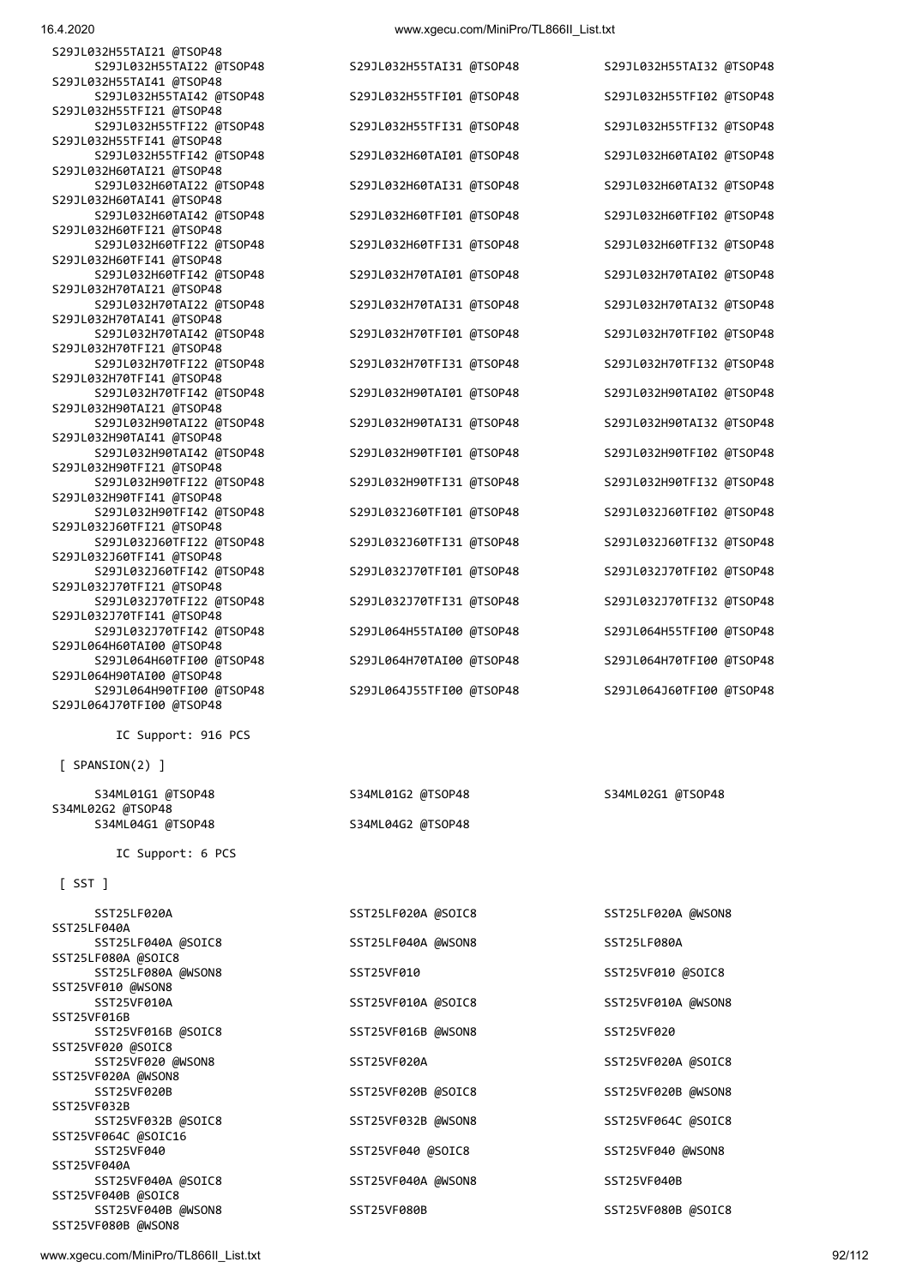S29JL032H55TAT21 @TSOP48

16.4.2020 www.xgecu.com/MiniPro/TL866II\_List.txt

| .                        |  |
|--------------------------|--|
| S29JL032H55TAI22 @TSOP48 |  |
| S29JL032H55TAI41 @TSOP48 |  |
| S29JL032H55TAI42 @TSOP48 |  |
| S29JL032H55TFI21 @TSOP48 |  |
| S29JL032H55TFI22 @TSOP48 |  |
| S29JL032H55TFI41 @TSOP48 |  |
| S29JL032H55TFI42 @TSOP48 |  |
| S29JL032H60TAI21 @TSOP48 |  |
| S29JL032H60TAI22 @TSOP48 |  |
| S29JL032H60TAI41 @TSOP48 |  |
| S29JL032H60TAI42 @TSOP48 |  |
| S29JL032H60TFI21 @TSOP48 |  |
| S29JL032H60TFI22 @TSOP48 |  |
| S29JL032H60TFI41 @TSOP48 |  |
| S29JL032H60TFI42 @TSOP48 |  |
| S29JL032H70TAI21 @TSOP48 |  |
| S29JL032H70TAI22 @TSOP48 |  |
| S29JL032H70TAI41 @TSOP48 |  |
| S29JL032H70TAI42 @TSOP48 |  |
| S29JL032H70TFI21 @TSOP48 |  |
| S29JL032H70TFI22 @TSOP48 |  |
| S29JL032H70TFI41 @TSOP48 |  |
| S29JL032H70TFI42 @TSOP48 |  |
| S29JL032H90TAI21 @TSOP48 |  |
| S29JL032H90TAI22 @TSOP48 |  |
| S29JL032H90TAI41 @TSOP48 |  |
| S29JL032H90TAI42 @TSOP48 |  |
| S29JL032H90TFI21 @TSOP48 |  |
| S29JL032H90TFI22 @TSOP48 |  |
| S29JL032H90TFI41 @TSOP48 |  |
| S29JL032H90TFI42 @TSOP48 |  |
| S29JL032J60TFI21 @TSOP48 |  |
| S29JL032J60TFI22 @TSOP48 |  |
| S29JL032J60TFI41 @TSOP48 |  |
| S29JL032J60TFI42 @TSOP48 |  |
| S29JL032J70TFI21 @TSOP48 |  |
| S29JL032J70TFI22 @TSOP48 |  |
| S29JL032J70TFI41 @TSOP48 |  |
| S29JL032J70TFI42 @TSOP48 |  |
| S29JL064H60TAI00 @TSOP48 |  |
| S29JL064H60TFI00 @TSOP48 |  |
| S29JL064H90TAI00 @TSOP48 |  |
| S29JL064H90TFI00 @TSOP48 |  |
| S29JL064J70TFI00 @TSOP48 |  |
|                          |  |

IC Support: 916 PCS

[ SPANSION(2) ]

S34ML02G2 @TSOP48 S34ML04G1 @TSOP48

IC Support: 6 PCS

#### $[$  SST  $]$

| SST25LF020A         | SST25LF020A @SOIC8 | SST25LF020A @WSON8 |
|---------------------|--------------------|--------------------|
| SST25LF040A         |                    |                    |
| SST25LF040A @SOIC8  | SST25LF040A @WSON8 | SST25LF080A        |
| SST25LF080A @SOIC8  |                    |                    |
| SST25LF080A @WSON8  | SST25VF010         | SST25VF010 @SOIC8  |
| SST25VF010 @WSON8   |                    |                    |
| SST25VF010A         | SST25VF010A @SOIC8 | SST25VF010A @WSON8 |
| SST25VF016B         |                    |                    |
| SST25VF016B @SOIC8  | SST25VF016B @WSON8 | SST25VF020         |
| SST25VF020 @SOIC8   |                    |                    |
| SST25VF020 @WSON8   | SST25VF020A        | SST25VF020A @SOIC8 |
| SST25VF020A @WSON8  |                    |                    |
| SST25VF020B         | SST25VF020B @SOIC8 | SST25VF020B @WSON8 |
| SST25VF032B         |                    |                    |
| SST25VF032B @SOIC8  | SST25VF032B @WSON8 | SST25VF064C @SOIC8 |
| SST25VF064C @SOIC16 |                    |                    |
| SST25VF040          | SST25VF040 @SOIC8  | SST25VF040 @WSON8  |
| SST25VF040A         |                    |                    |
| SST25VF040A @SOIC8  | SST25VF040A @WSON8 | SST25VF040B        |
| SST25VF040B @SOIC8  |                    |                    |
| SST25VF040B @WSON8  | SST25VF080B        | SST25VF080B @SOIC8 |
| SST25VF080B @WSON8  |                    |                    |
|                     |                    |                    |

S29JL032H55TAI31 @TSOP48 S29JL032H55TAI32 @TSOP48 S29JL032H55TFI01 @TSOP48 S29JL032H55TFI02 @TSOP48 S29JL032H55TFI31 @TSOP48 S29JL032H55TFI32 @TSOP48 S29JL032H60TAI01 @TSOP48 S29JL032H60TAI02 @TSOP48 S29JL032H60TAI31 @TSOP48 S29JL032H60TAI32 @TSOP48 S29JL032H60TFI01 @TSOP48 S29JL032H60TFI02 @TSOP48 S29JL032H60TFI31 @TSOP48 S29JL032H60TFI32 @TSOP48 S29JL032H70TAI01 @TSOP48 S29JL032H70TAI02 @TSOP48 S29JL032H70TAI31 @TSOP48 S29JL032H70TAI32 @TSOP48 S29JL032H70TFI01 @TSOP48 S29JL032H70TFI02 @TSOP48 S29JL032H70TFI31 @TSOP48 S29JL032H70TFI32 @TSOP48 S29JL032H90TAI01 @TSOP48 S29JL032H90TAI02 @TSOP48 S29JL032H90TAI31 @TSOP48 S29JL032H90TAI32 @TSOP48 S29JL032H90TFI01 @TSOP48 S29JL032H90TFI02 @TSOP48 S29JL032H90TFI31 @TSOP48 S29JL032H90TFI32 @TSOP48 S29JL032J60TFI01 @TSOP48 S29JL032J60TFI02 @TSOP48 S29JL032J60TFI31 @TSOP48 S29JL032J60TFI32 @TSOP48 S29JL032J70TFI01 @TSOP48 S29JL032J70TFI02 @TSOP48 S29JL032J70TFI31 @TSOP48 S29JL032J70TFI32 @TSOP48 S29JL064H55TAI00 @TSOP48 S29JL064H55TFI00 @TSOP48 S29JL064H70TAI00 @TSOP48 S29JL064H70TFI00 @TSOP48 S29JL064J55TFI00 @TSOP48 S29JL064J60TFI00 @TSOP48

| S34ML01G2 @TSOP48 |  |
|-------------------|--|
| S34ML04G2 @TSOP48 |  |

| <b>22172LLASA @20ICR</b> |
|--------------------------|
| SST25LF040A @WSON8       |
| SST25VF010               |
| SST25VF010A @SOIC8       |
| SST25VF016B @WSON8       |
| SST25VF020A              |
| SST25VF020B @SOIC8       |
| SST25VF032B @WSON8       |
| SST25VF040 @SOIC8        |
| SST25VF040A @WSON8       |
| 5725150000               |

S34ML01G1 @TSOP48 S34ML01G2 @TSOP48 S34ML02G1 @TSOP48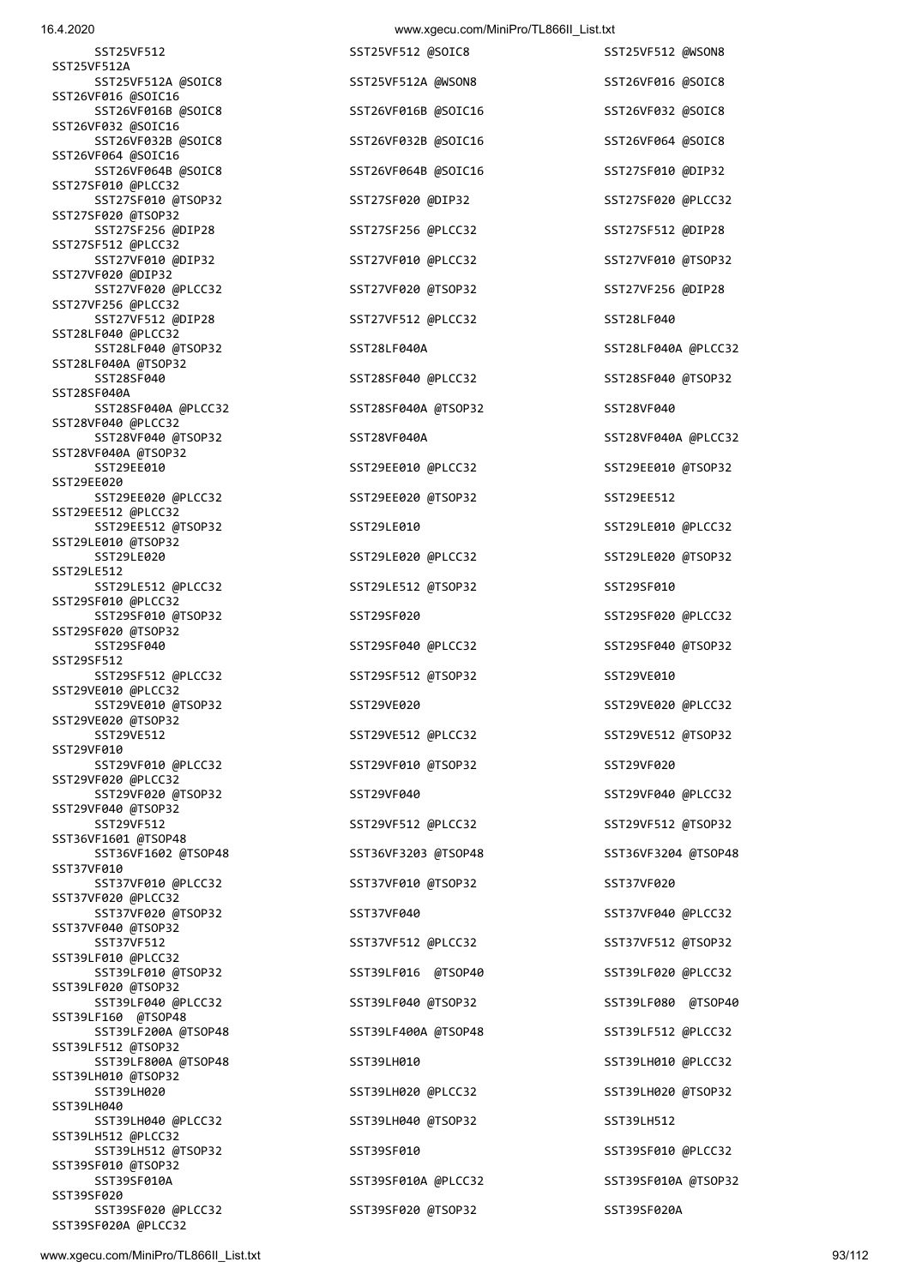| 16.4.2020                                  | www.xgecu.com/MiniPro/TL866II_List.txt |                     |
|--------------------------------------------|----------------------------------------|---------------------|
| SST25VF512                                 | SST25VF512 @SOIC8                      | SST25VF512 @WSON8   |
| SST25VF512A<br>SST25VF512A @SOIC8          | SST25VF512A @WSON8                     | SST26VF016 @SOIC8   |
| SST26VF016 @SOIC16<br>SST26VF016B @SOIC8   | SST26VF016B @SOIC16                    | SST26VF032 @SOIC8   |
| SST26VF032 @SOIC16<br>SST26VF032B @SOIC8   | SST26VF032B @SOIC16                    | SST26VF064 @SOIC8   |
| SST26VF064 @SOIC16<br>SST26VF064B @SOIC8   | SST26VF064B @SOIC16                    | SST27SF010 @DIP32   |
| SST27SF010 @PLCC32<br>SST27SF010 @TSOP32   | SST27SF020 @DIP32                      | SST27SF020 @PLCC32  |
| SST27SF020 @TSOP32<br>SST27SF256 @DIP28    | SST27SF256 @PLCC32                     | SST27SF512 @DIP28   |
| SST27SF512 @PLCC32<br>SST27VF010 @DIP32    | SST27VF010 @PLCC32                     | SST27VF010 @TSOP32  |
| SST27VF020 @DIP32<br>SST27VF020 @PLCC32    | SST27VF020 @TSOP32                     | SST27VF256 @DIP28   |
| SST27VF256 @PLCC32<br>SST27VF512 @DIP28    | SST27VF512 @PLCC32                     | SST28LF040          |
| SST28LF040 @PLCC32<br>SST28LF040 @TSOP32   | SST28LF040A                            | SST28LF040A @PLCC32 |
| SST28LF040A @TSOP32<br>SST28SF040          | SST28SF040 @PLCC32                     | SST28SF040 @TSOP32  |
| SST28SF040A                                |                                        |                     |
| SST28SF040A @PLCC32<br>SST28VF040 @PLCC32  | SST28SF040A @TSOP32                    | SST28VF040          |
| SST28VF040 @TSOP32<br>SST28VF040A @TSOP32  | SST28VF040A                            | SST28VF040A @PLCC32 |
| SST29EE010<br>SST29EE020                   | SST29EE010 @PLCC32                     | SST29EE010 @TSOP32  |
| SST29EE020 @PLCC32<br>SST29EE512 @PLCC32   | SST29EE020 @TSOP32                     | SST29EE512          |
| SST29EE512 @TSOP32<br>SST29LE010 @TSOP32   | SST29LE010                             | SST29LE010 @PLCC32  |
| SST29LE020<br>SST29LE512                   | SST29LE020 @PLCC32                     | SST29LE020 @TSOP32  |
| SST29LE512 @PLCC32                         | SST29LE512 @TSOP32                     | SST29SF010          |
| SST29SF010 @PLCC32<br>SST29SF010 @TSOP32   | SST29SF020                             | SST29SF020 @PLCC32  |
| SST29SF020 @TSOP32<br>SST29SF040           | SST29SF040 @PLCC32                     | SST29SF040 @TSOP32  |
| SST29SF512<br>SST29SF512 @PLCC32           | SST29SF512 @TSOP32                     | SST29VE010          |
| SST29VE010 @PLCC32<br>SST29VE010 @TSOP32   | SST29VE020                             | SST29VE020 @PLCC32  |
| SST29VE020 @TSOP32<br>SST29VE512           | SST29VE512 @PLCC32                     | SST29VE512 @TSOP32  |
| SST29VF010<br>SST29VF010 @PLCC32           | SST29VF010 @TSOP32                     | SST29VF020          |
| SST29VF020 @PLCC32<br>SST29VF020 @TSOP32   | SST29VF040                             | SST29VF040 @PLCC32  |
| SST29VF040 @TSOP32<br>SST29VF512           | SST29VF512 @PLCC32                     | SST29VF512 @TSOP32  |
| SST36VF1601 @TSOP48<br>SST36VF1602 @TSOP48 | SST36VF3203 @TSOP48                    | SST36VF3204 @TSOP48 |
| SST37VF010<br>SST37VF010 @PLCC32           | SST37VF010 @TSOP32                     | SST37VF020          |
| SST37VF020 @PLCC32<br>SST37VF020 @TSOP32   | SST37VF040                             | SST37VF040 @PLCC32  |
| SST37VF040 @TSOP32<br>SST37VF512           | SST37VF512 @PLCC32                     | SST37VF512 @TSOP32  |
| SST39LF010 @PLCC32<br>SST39LF010 @TSOP32   | SST39LF016 @TSOP40                     | SST39LF020 @PLCC32  |
| SST39LF020 @TSOP32<br>SST39LF040 @PLCC32   | SST39LF040 @TSOP32                     | SST39LF080 @TSOP40  |
| SST39LF160 @TSOP48<br>SST39LF200A @TSOP48  | SST39LF400A @TSOP48                    | SST39LF512 @PLCC32  |
| SST39LF512 @TSOP32<br>SST39LF800A @TSOP48  | SST39LH010                             | SST39LH010 @PLCC32  |
| SST39LH010 @TSOP32<br>SST39LH020           | SST39LH020 @PLCC32                     | SST39LH020 @TSOP32  |
| SST39LH040<br>SST39LH040 @PLCC32           | SST39LH040 @TSOP32                     | SST39LH512          |
| SST39LH512 @PLCC32<br>SST39LH512 @TSOP32   | SST39SF010                             | SST39SF010 @PLCC32  |
| SST39SF010 @TSOP32<br>SST39SF010A          | SST39SF010A @PLCC32                    | SST39SF010A @TSOP32 |
| SST39SF020<br>SST39SF020 @PLCC32           | SST39SF020 @TSOP32                     | SST39SF020A         |
| SST39SF020A @PLCC32                        |                                        |                     |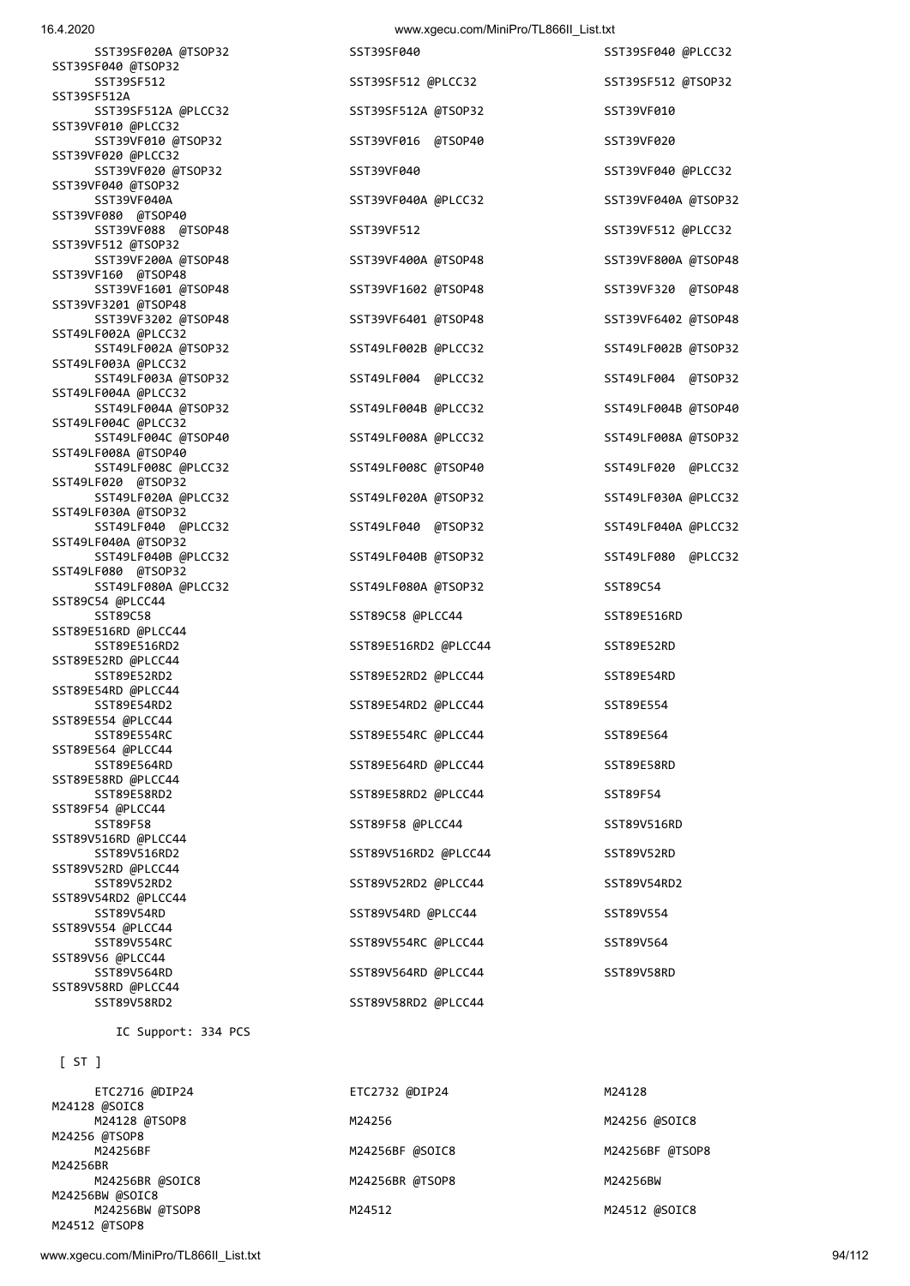### 16.4.2020 www.xgecu.com/MiniPro/TL866ILList.txt

| 1 U.T. LULU                                | www.xgcca.com/nimiii To/TE000ii_Eist.txt |                     |
|--------------------------------------------|------------------------------------------|---------------------|
| SST39SF020A @TSOP32                        | SST39SF040                               | SST39SF040 @PLCC32  |
| SST39SF040 @TSOP32<br>SST39SF512           | SST39SF512 @PLCC32                       | SST39SF512 @TSOP32  |
| SST39SF512A                                |                                          |                     |
| SST39SF512A @PLCC32<br>SST39VF010 @PLCC32  | SST39SF512A @TSOP32                      | SST39VF010          |
| SST39VF010 @TSOP32                         | SST39VF016 @TSOP40                       | SST39VF020          |
| SST39VF020 @PLCC32<br>SST39VF020 @TSOP32   | SST39VF040                               | SST39VF040 @PLCC32  |
| SST39VF040 @TSOP32                         |                                          |                     |
| SST39VF040A<br>SST39VF080 @TSOP40          | SST39VF040A @PLCC32                      | SST39VF040A @TSOP32 |
| SST39VF088 @TSOP48                         | SST39VF512                               | SST39VF512 @PLCC32  |
| SST39VF512 @TSOP32<br>SST39VF200A @TSOP48  | SST39VF400A @TSOP48                      | SST39VF800A @TSOP48 |
| SST39VF160 @TSOP48                         |                                          |                     |
| SST39VF1601 @TSOP48<br>SST39VF3201 @TSOP48 | SST39VF1602 @TSOP48                      | SST39VF320 @TSOP48  |
| SST39VF3202 @TSOP48                        | SST39VF6401 @TSOP48                      | SST39VF6402 @TSOP48 |
| SST49LF002A @PLCC32<br>SST49LF002A @TSOP32 | SST49LF002B @PLCC32                      |                     |
| SST49LF003A @PLCC32                        |                                          | SST49LF002B @TSOP32 |
| SST49LF003A @TSOP32                        | SST49LF004 @PLCC32                       | SST49LF004 @TSOP32  |
| SST49LF004A @PLCC32<br>SST49LF004A @TSOP32 | SST49LF004B @PLCC32                      | SST49LF004B @TSOP40 |
| SST49LF004C @PLCC32                        |                                          |                     |
| SST49LF004C @TSOP40<br>SST49LF008A @TSOP40 | SST49LF008A @PLCC32                      | SST49LF008A @TSOP32 |
| SST49LF008C @PLCC32                        | SST49LF008C @TSOP40                      | SST49LF020 @PLCC32  |
| SST49LF020 @TSOP32<br>SST49LF020A @PLCC32  | SST49LF020A @TSOP32                      | SST49LF030A @PLCC32 |
| SST49LF030A @TSOP32                        |                                          |                     |
| SST49LF040 @PLCC32<br>SST49LF040A @TSOP32  | SST49LF040 @TSOP32                       | SST49LF040A @PLCC32 |
| SST49LF040B @PLCC32                        | SST49LF040B @TSOP32                      | SST49LF080 @PLCC32  |
| SST49LF080 @TSOP32<br>SST49LF080A @PLCC32  | SST49LF080A @TSOP32                      | SST89C54            |
| SST89C54 @PLCC44                           |                                          |                     |
| SST89C58<br>SST89E516RD @PLCC44            | SST89C58 @PLCC44                         | SST89E516RD         |
| SST89E516RD2                               | SST89E516RD2 @PLCC44                     | SST89E52RD          |
| SST89E52RD @PLCC44<br>SST89E52RD2          | SST89E52RD2 @PLCC44                      | SST89E54RD          |
| SST89E54RD @PLCC44                         |                                          |                     |
| SST89E54RD2<br>SST89E554 @PLCC44           | SST89E54RD2 @PLCC44                      | SST89E554           |
| SST89E554RC                                | SST89E554RC @PLCC44                      | SST89E564           |
| SST89E564 @PLCC44<br>SST89E564RD           | SST89E564RD @PLCC44                      | SST89E58RD          |
| SST89E58RD @PLCC44                         |                                          |                     |
| SST89E58RD2<br>SST89F54 @PLCC44            | SST89E58RD2 @PLCC44                      | SST89F54            |
| SST89F58                                   | SST89F58 @PLCC44                         | SST89V516RD         |
| SST89V516RD @PLCC44<br>SST89V516RD2        | SST89V516RD2 @PLCC44                     | SST89V52RD          |
| SST89V52RD @PLCC44                         |                                          |                     |
| SST89V52RD2<br>SST89V54RD2 @PLCC44         | SST89V52RD2 @PLCC44                      | SST89V54RD2         |
| SST89V54RD                                 | SST89V54RD @PLCC44                       | SST89V554           |
| SST89V554 @PLCC44<br>SST89V554RC           | SST89V554RC @PLCC44                      | SST89V564           |
| SST89V56 @PLCC44                           |                                          |                     |
| SST89V564RD                                | SST89V564RD @PLCC44                      | SST89V58RD          |
| SST89V58RD @PLCC44<br>SST89V58RD2          | SST89V58RD2 @PLCC44                      |                     |
|                                            |                                          |                     |

#### IC Support: 334 PCS

[ ST ]

 ETC2716 @DIP24 ETC2732 @DIP24 M24128 M24128 @SOIC8 M24128 @TSOP8 M24256 M24256 @SOIC8 M24256 @TSOP8<br>M24256BF M24256BF M24256BF @SOIC8 M24256BF @TSOP8 M24256BR M24256BR @SOIC8 M24256BR @TSOP8 M24256BW M24256BW @SOIC8 M24256BW @TSOP8 M24512 M24512 @SOIC8 M24512 @TSOP8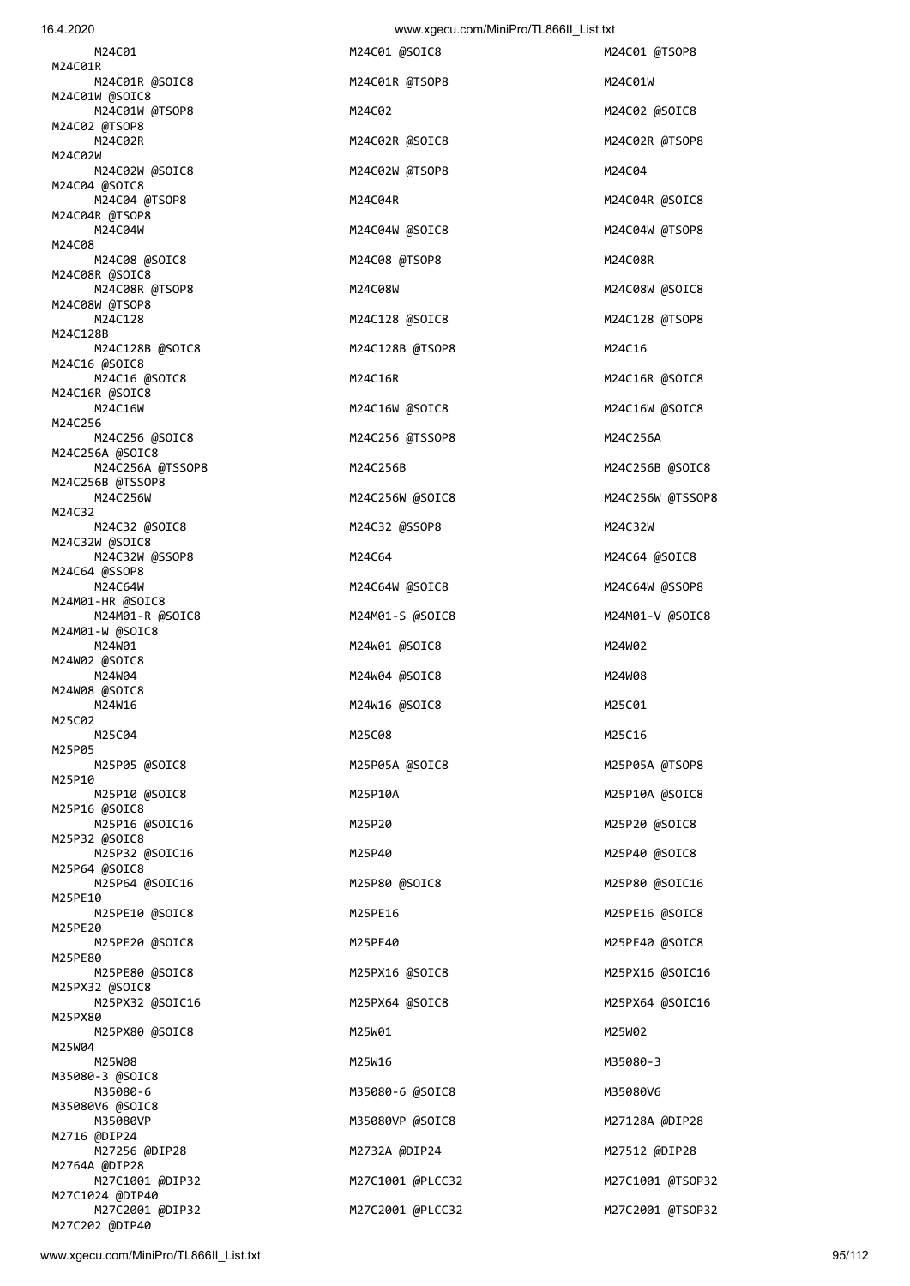| 16.4.2020                           | www.xgecu.com/MiniPro/TL866II_List.txt |            |
|-------------------------------------|----------------------------------------|------------|
| M24C01                              | M24C01 @SOIC8                          | M24C01 @TS |
| M24C01R<br>M24C01R @SOIC8           | M24C01R @TSOP8                         | M24C01W    |
| M24C01W @SOIC8<br>M24C01W @TSOP8    | M24C02                                 | M24C02 @SO |
| M24C02 @TSOP8<br>M24C02R            | M24C02R @SOIC8                         | M24C02R @1 |
| M24C02W<br>M24C02W @SOIC8           | M24C02W @TSOP8                         | M24C04     |
| M24C04 @SOIC8<br>M24C04 @TSOP8      | M24C04R                                | M24C04R @S |
| M24C04R @TSOP8<br>M24C04W           | M24C04W @SOIC8                         | M24C04W @1 |
| M24C08                              |                                        |            |
| M24C08 @SOIC8<br>M24C08R @SOIC8     | M24C08 @TSOP8                          | M24C08R    |
| M24C08R @TSOP8<br>M24C08W @TSOP8    | M24C08W                                | M24C08W @S |
| M24C128<br>M24C128B                 | M24C128 @SOIC8                         | M24C128 @T |
| M24C128B @SOIC8<br>M24C16 @SOIC8    | M24C128B @TSOP8                        | M24C16     |
| M24C16 @SOIC8<br>M24C16R @SOIC8     | M24C16R                                | M24C16R @S |
| M24C16W                             | M24C16W @SOIC8                         | M24C16W @S |
| M24C256<br>M24C256 @SOIC8           | M24C256 @TSSOP8                        | M24C256A   |
| M24C256A @SOIC8<br>M24C256A @TSSOP8 | M24C256B                               | M24C256B @ |
| M24C256B @TSSOP8<br>M24C256W        | M24C256W @SOIC8                        | M24C256W @ |
| M24C32<br>M24C32 @SOIC8             | M24C32 @SSOP8                          | M24C32W    |
| M24C32W @SOIC8<br>M24C32W @SSOP8    | M24C64                                 | M24C64 @SO |
| M24C64 @SSOP8<br>M24C64W            | M24C64W @SOIC8                         | M24C64W @S |
| M24M01-HR @SOIC8<br>M24M01-R @SOIC8 | M24M01-S @SOIC8                        | M24M01-V @ |
| M24M01-W @SOIC8<br>M24W01           | M24W01 @SOIC8                          | M24W02     |
| M24W02 @SOIC8                       |                                        |            |
| M24W04<br>M24W08 @SOIC8             | M24W04 @SOIC8                          | M24W08     |
| M24W16<br>M25C02                    | M24W16 @SOIC8                          | M25C01     |
| M25C04<br>M25P05                    | M25C08                                 | M25C16     |
| M25P05 @SOIC8<br>M25P10             | M25P05A @SOIC8                         | M25P05A @1 |
| M25P10 @SOIC8<br>M25P16 @SOIC8      | M25P10A                                | M25P10A @S |
| M25P16 @SOIC16<br>M25P32 @SOIC8     | M25P20                                 | M25P20 @SO |
| M25P32 @SOIC16<br>M25P64 @SOIC8     | M25P40                                 | M25P40 @SO |
| M25P64 @SOIC16                      | M25P80 @SOIC8                          | M25P80 @SC |
| M25PE10<br>M25PE10 @SOIC8           | M25PE16                                | M25PE16 @S |
| M25PE20<br>M25PE20 @SOIC8           | M25PE40                                | M25PE40 @S |
| M25PE80<br>M25PE80 @SOIC8           | M25PX16 @SOIC8                         | M25PX16 @S |
| M25PX32 @SOIC8<br>M25PX32 @SOIC16   | M25PX64 @SOIC8                         | M25PX64 @S |
| M25PX80<br>M25PX80 @SOIC8           | M25W01                                 | M25W02     |
| M25W04<br>M25W08                    | M25W16                                 | M35080-3   |
| M35080-3 @SOIC8<br>M35080-6         | M35080-6 @SOIC8                        | M35080V6   |
| M35080V6 @SOIC8                     |                                        |            |
| M35080VP<br>M2716 @DIP24            | M35080VP @SOIC8                        | M27128A @D |
| M27256 @DIP28<br>M2764A @DIP28      | M2732A @DIP24                          | M27512 @DI |
| M27C1001 @DIP32<br>M27C1024 @DIP40  | M27C1001 @PLCC32                       | M27C1001 @ |
| M27C2001 @DIP32                     | M27C2001 @PLCC32                       | M27C2001 @ |

M24C02 @SOIC8 M24C02R @TSOP8 M24C04R @SOIC8 M24C04W @TSOP8 M24C08W @SOIC8 M24C128 @TSOP8 M24C16R @SOIC8 M24C16W @SOIC8 M24C256B @SOIC8 M24C256W @TSSOP8 M24C64 @SOIC8 M24C64W @SSOP8 M24M01-V @SOIC8 M25P05A @TSOP8 M25P10A @SOIC8 M25P20 @SOIC8 M25P40 @SOIC8 M25P80 @SOIC16 M25PE16 @SOIC8 M25PE40 @SOIC8 M25PX16 @SOIC16 M25PX64 @SOIC16 M27128A @DIP28 M27512 @DIP28 M27C1001 @TSOP32 M27C2001 @TSOP32

M24C01 @TSOP8

M27C202 @DIP40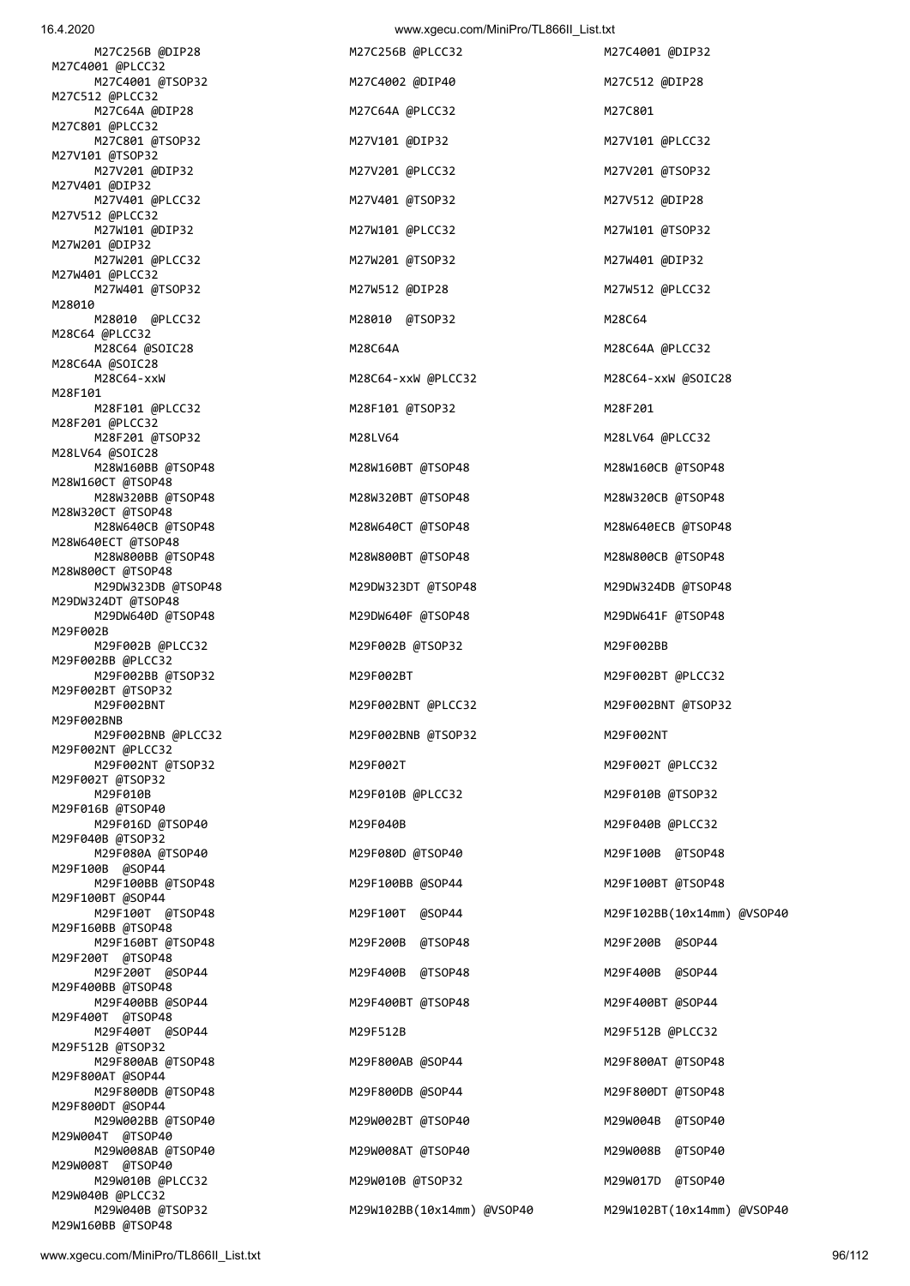16.4.2020 www.xgecu.com/MiniPro/TL866II\_List.txt

 M27C256B @DIP28 M27C256B @PLCC32 M27C4001 @DIP32 M27C4001 @PLCC32 M27C4001 @TSOP32 M27C4002 @DIP40 M27C512 @DIP28 M27C512 @PLCC32 M27C64A @DIP28 M27C64A @PLCC32 M27C801 M27C801 @PLCC32 M27C801 @TSOP32 M27V101 @DIP32 M27V101 @PLCC32 M27V101 @TSOP32 M27V201 @DIP32 M27V201 @PLCC32 M27V201 @TSOP32 M27V401 @DIP32 M27V401 @PLCC32 M27V401 @TSOP32 M27V512 @DIP28 M27V512 @PLCC32 M27W101 @DIP32 M27W101 @PLCC32 M27W101 @TSOP32 M27W201 @DIP32 M27W201 @PLCC32 M27W201 @TSOP32 M27W401 @DIP32 M27W401 @PLCC32 M27W401 @TSOP32 M27W512 @DIP28 M27W512 @PLCC32 M28010 M28010 @PLCC32 M28010 @TSOP32 M28C64 M28C64 @PLCC32 M28C64 @SOIC28 M28C64A M28C64A @PLCC32 M28C64A @SOIC28<br>M28C64-xxW M28F101 M28F101 @PLCC32 M28F101 @TSOP32 M28F201 M28F201 @PLCC32 M28F201 @TSOP32 M28LV64 M28LV64 @PLCC32 M28LV64 @SOIC28 M28W160BB @TSOP48 M28W160BT @TSOP48 M28W160CB @TSOP48 M28W160CT @TSOP48 M28W320BB @TSOP48 M28W320BT @TSOP48 M28W320CB @TSOP48 M28W320CT @TSOP48 M28W640CB @TSOP48 M28W640CT @TSOP48 M28W640ECB @TSOP48 M28W640ECT @TSOP48 M28W800BB @TSOP48 M28W800BT @TSOP48 M28W800CB @TSOP48 M28W800CT @TSOP48 M29DW323DB @TSOP48 M29DW323DT @TSOP48 M29DW324DB @TSOP48 M29DW324DT @TSOP48 M29DW640D @TSOP48 M29DW640F @TSOP48 M29DW641F @TSOP48 M29F002B M29F002B @PLCC32 M29F002B @TSOP32 M29F002BB M29F002BB @PLCC32 M29F002BB @TSOP32 M29F002BT M29F002BT @PLCC32 M29F002BT @TSOP32 M29F002BNT M29F002BNT @PLCC32 M29F002BNT @TSOP32 M29F002BNB M29F002BNB @PLCC32 M29F002BNB @TSOP32 M29F002NT M29F002NT @PLCC32 M29F002NT @TSOP32 M29F002T M29F002T @PLCC32 M29F002T @TSOP32<br>M29F010B M29F016B @TSOP40 M29F016D @TSOP40 M29F040B M29F040B @PLCC32 M29F040B @TSOP32 M29F080A @TSOP40 M29F080D @TSOP40 M29F100B @TSOP48 M29F100B @SOP44 M29F100BB @TSOP48 M29F100BB @SOP44 M29F100BT @TSOP48 M29F100BT @SOP44 M29F160BB @TSOP48 M29F160BT @TSOP48 M29F200B @TSOP48 M29F200B @SOP44 M29F200T @TSOP48 M29F200T @SOP44 M29F400B @TSOP48 M29F400B @SOP44 M29F400BB @TSOP48 M29F400BB @SOP44 M29F400BT @TSOP48 M29F400BT @SOP44 M29F400T @TSOP48 M29F400T @SOP44 M29F512B M29F512B @PLCC32 M29F512B @TSOP32 M29F800AB @TSOP48 M29F800AB @SOP44 M29F800AT @TSOP48 M29F800AT @SOP44 M29F800DB @TSOP48 M29F800DB @SOP44 M29F800DT @TSOP48 M29F800DT @SOP44 M29W002BB @TSOP40 M29W002BT @TSOP40 M29W004B @TSOP40 M29W004T @TSOP40 M29W008AB @TSOP40 M29W008AT @TSOP40 M29W008B @TSOP40 M29W008T @TSOP40 M29W010B @PLCC32 M29W010B @TSOP32 M29W017D @TSOP40 M29W040B @PLCC32

 M28C64-xxW M28C64-xxW @PLCC32 M28C64-xxW @SOIC28 M29F010B M29F010B @PLCC32 M29F010B @TSOP32 M29W040B @TSOP32 M29W102BB(10x14mm) @VSOP40 M29W102BT(10x14mm) @VSOP40

M29F100T @TSOP48 M29F100T @SOP44 M29F102BB(10x14mm) @VSOP40

M29W160BB @TSOP48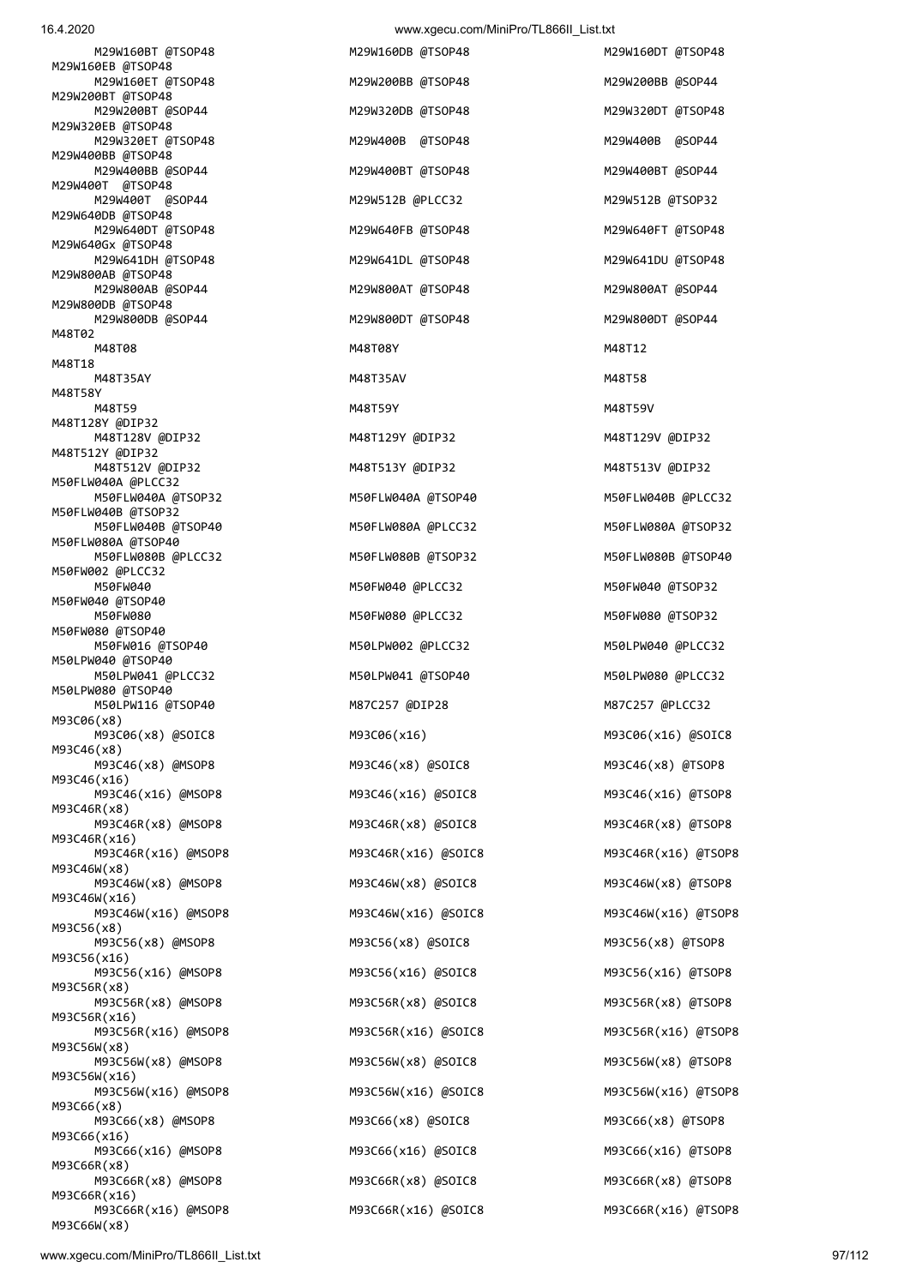16.4.2020 www.xgecu.com/MiniPro/TL866II\_List.txt M29W160BT @TSOP48 M29W160DB @TSOP48 M29W160DT @TSOP48 M29W160EB @TSOP48 M29W160ET @TSOP48 M29W200BB @TSOP48 M29W200BB @SOP44 M29W200BT @TSOP48 M29W200BT @SOP44 M29W320DB @TSOP48 M29W320DT @TSOP48 M29W320EB @TSOP48 M29W320ET @TSOP48 M29W400B @TSOP48 M29W400B @SOP44 M29W400BB @TSOP48 M29W400BB @SOP44 M29W400BT @TSOP48 M29W400BT @SOP44 M29W400T @TSOP48 M29W400T @SOP44 M29W512B @PLCC32 M29W512B @TSOP32 M29W640DB @TSOP48 M29W640DT @TSOP48 M29W640FB @TSOP48 M29W640FT @TSOP48 M29W640Gx @TSOP48 M29W641DH @TSOP48 M29W641DL @TSOP48 M29W641DU @TSOP48 M29W800AB @TSOP48 M29W800AB @SOP44 M29W800AT @TSOP48 M29W800AT @SOP44 M29W800DB @TSOP48 M29W800DB @SOP44 M29W800DT @TSOP48 M29W800DT @SOP44 M48T02 M48T08 M48T08Y M48T08Y M48T08Y M48T08Y M48T18 M48T35AY M48T35AV M48T58 M48T58Y M48T59 M48T59Y M48T59V M48T128Y @DIP32 M48T128V @DIP32 M48T129Y @DIP32 M48T129V @DIP32 M48T512Y @DIP32 M48T512V @DIP32 M48T513Y @DIP32 M48T513V @DIP32 M50FLW040A @PLCC32 M50FLW040A @TSOP32 M50FLW040A @TSOP40 M50FLW040B @PLCC32 M50FLW040B @TSOP32 M50FLW040B @TSOP40 M50FLW080A @PLCC32 M50FLW080A @TSOP32 M50FLW080A @TSOP40 M50FLW080B @PLCC32 M50FLW080B @TSOP32 M50FLW080B @TSOP40 M50FW002 @PLCC32 M50FW040 M50FW040 @PLCC32 M50FW040 @TSOP32 M50FW040 @TSOP40 M50FW080 M50FW080 @PLCC32 M50FW080 @TSOP32 M50FW080 @TSOP40 M50FW016 @TSOP40 M50LPW002 @PLCC32 M50LPW040 @PLCC32 M50LPW040 @TSOP40 M50LPW041 @PLCC32 M50LPW041 @TSOP40 M50LPW080 @PLCC32 M50LPW080 @TSOP40 M50LPW116 @TSOP40 M87C257 @DIP28 M87C257 @PLCC32 M93C06(x8) M93C06(x8) @SOIC8 M93C06(x16) M93C06(x16) @SOIC8 M93C46(x8) M93C46(x8) @MSOP8 M93C46(x8) @SOIC8 M93C46(x8) @TSOP8 M93C46(x16) M93C46(x16) @MSOP8 M93C46(x16) @SOIC8 M93C46(x16) @TSOP8 M93C46R(x8) M93C46R(x8) @MSOP8 M93C46R(x8) @SOIC8 M93C46R(x8) @TSOP8 M93C46R(x16) M93C46R(x16) @MSOP8 M93C46R(x16) @SOIC8 M93C46R(x16) @TSOP8 M93C46W(x8) M93C46W(x8) @MSOP8 M93C46W(x8) @SOIC8 M93C46W(x8) @TSOP8 M93C46W(x16) M93C46W(x16) @MSOP8 M93C46W(x16) @SOIC8 M93C46W(x16) @TSOP8 M93C56(x8) M93C56(x8) @MSOP8 M93C56(x8) @SOIC8 M93C56(x8) @TSOP8 M93C56(x16) M93C56(x16) @MSOP8 M93C56(x16) @SOIC8 M93C56(x16) @TSOP8 M93C56R(x8) M93C56R(x8) @MSOP8 M93C56R(x8) @SOIC8 M93C56R(x8) @TSOP8 M93C56R(x16) M93C56R(x16) @MSOP8 M93C56R(x16) @SOIC8 M93C56R(x16) @TSOP8 M93C56W(x8) M93C56W(x8) @MSOP8 M93C56W(x8) @SOIC8 M93C56W(x8) @TSOP8 M93C56W(x16) M93C56W(x16) @MSOP8 M93C56W(x16) @SOIC8 M93C56W(x16) @TSOP8 M93C66(x8) M93C66(x8) @MSOP8 M93C66(x8) @SOIC8 M93C66(x8) @TSOP8 M93C66(x16) M93C66(x16) @MSOP8 M93C66(x16) @SOIC8 M93C66(x16) @TSOP8 M93C66R(x8) M93C66R(x8) @MSOP8 M93C66R(x8) @SOIC8 M93C66R(x8) @TSOP8 M93C66R(x16)

M93C66R(x16) @MSOP8 M93C66R(x16) @SOIC8 M93C66R(x16) @TSOP8

M93C66W(x8)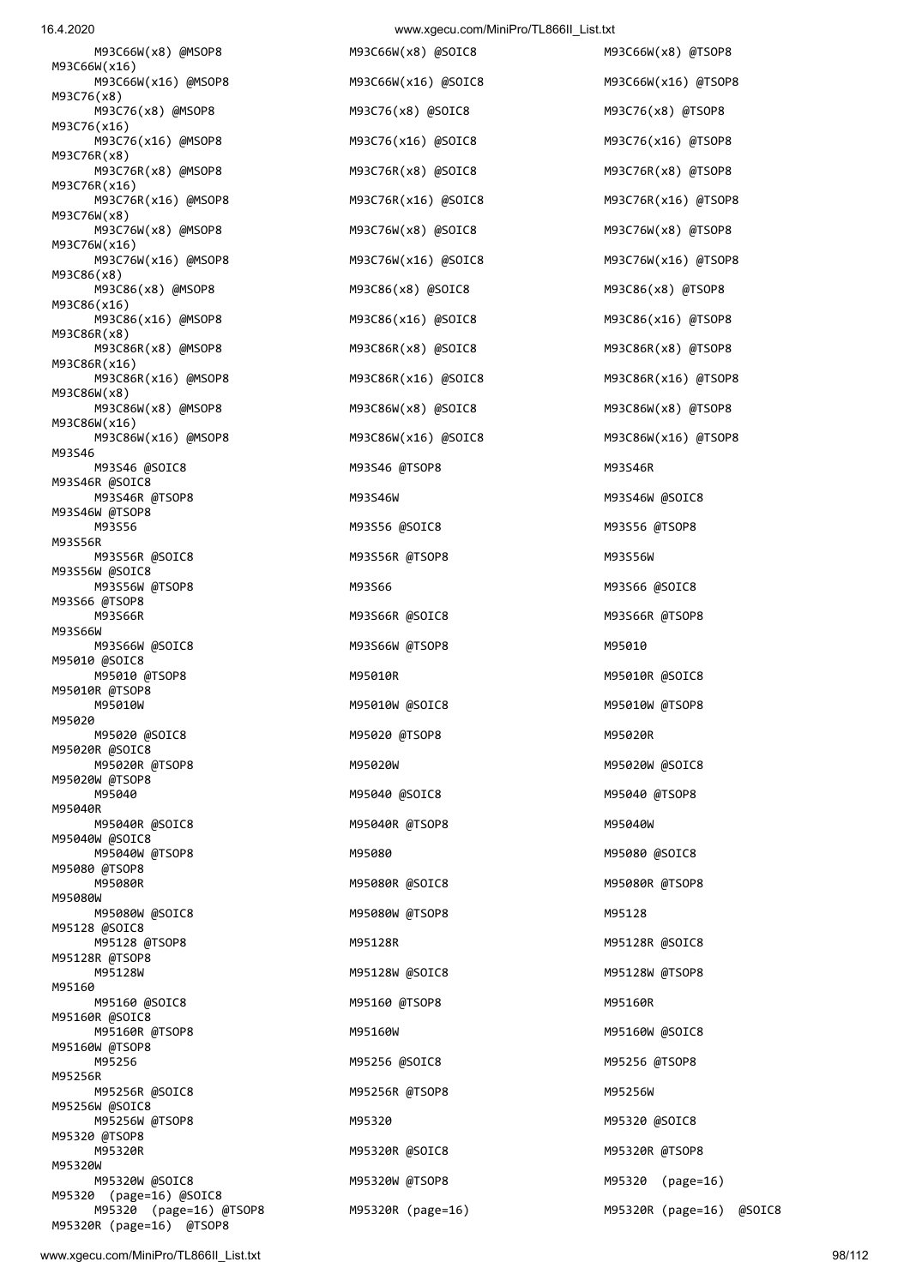M93C76(x16) M93C76(x16) @MSOP8 M93C76(x16) @SOIC8 M93C76(x16) @TSOP8 M93C76R(x8) M93C76R(x8) @MSOP8 M93C76R(x8) @SOIC8 M93C76R(x8) @TSOP8 M93C76R(x16) M93C76R(x16) @MSOP8 M93C76R(x16) @SOIC8 M93C76R(x16) @TSOP8 M93C76W(x8) M93C76W(x8) @MSOP8 M93C76W(x8) @SOIC8 M93C76W(x8) @TSOP8 M93C76W(x16) M93C76W(x16) @MSOP8 M93C76W(x16) @SOIC8 M93C76W(x16) @TSOP8 M93C86(x8) M93C86(x8) @MSOP8 M93C86(x8) @SOIC8 M93C86(x8) @TSOP8 M93C86(x16) M93C86(x16) @MSOP8 M93C86(x16) @SOIC8 M93C86(x16) @TSOP8 M93C86R(x8) M93C86R(x8) @MSOP8 M93C86R(x8) @SOIC8 M93C86R(x8) @TSOP8 M93C86R(x16) M93C86R(x16) @MSOP8 M93C86R(x16) @SOIC8 M93C86R(x16) @TSOP8 M93C86W(x8) M93C86W(x8) @MSOP8 M93C86W(x8) @SOIC8 M93C86W(x8) @TSOP8 M93C86W(x16) M93C86W(x16) @MSOP8 M93C86W(x16) @SOIC8 M93C86W(x16) @TSOP8 M93S46 M93S46 @SOIC8 M93S46 @TSOP8 M93S46R M93S46R @SOIC8 M93S46R @TSOP8 M93S46W M93S46W @SOIC8 M93S46W @TSOP8 M93S56 M93S56 @SOIC8 M93S56 @TSOP8 M93S56R M93S56R @SOIC8 M93S56R @TSOP8 M93S56W M93S56W @SOIC8 M93S56W @TSOP8 M93S66 M93S66 @SOIC8 M93S66 @TSOP8 M93S66R M93S66R @SOIC8 M93S66R @SOIC8 M93S66R @TSOP8 M93S66W M93S66W @SOIC8 M93S66W @TSOP8 M95010 M95010 @SOIC8 M95010 @TSOP8 M95010R M95010R @SOIC8 M95010R @TSOP8 M95010W M95010W @SOIC8 M95010W @TSOP8 M95020 M95020 @SOIC8 M95020 @TSOP8 M95020R M95020R @SOIC8 M95020R @TSOP8 M95020W M95020W @SOIC8 M95020W @TSOP8 M95040 M95040 @SOIC8 M95040 @TSOP8 M95040R M95040R @SOIC8 M95040R @TSOP8 M95040W M95040W @SOIC8 M95040W @TSOP8 M95080 M95080 @SOIC8 M95080 @TSOP8 M95080R M95080R @SOIC8 M95080R @SOIC8 M95080R @TSOP8 M95080W M95080W @SOIC8 M95080W @TSOP8 M95128 M95128 @SOIC8 M95128 @TSOP8 M95128R M95128R @SOIC8 M95128R @TSOP8 M95160 M95160 @SOIC8 M95160 @TSOP8 M95160R M95160R @SOIC8 M95160R @TSOP8 M95160W M95160W @SOIC8 M95160W @TSOP8 M95256 M95256 @SOIC8 M95256 @TSOP8 M95256R M95256R @SOIC8 M95256R @TSOP8 M95256W M95256W @SOIC8 M95256W @TSOP8 M95320 M95320 @SOIC8 M95320 @TSOP8 M95320R M95320R @SOIC8 M95320R @TSOP8 M95320W M95320W @SOIC8 M95320W @TSOP8 M95320 (page=16) M95320 (page=16) @SOIC8 M95320 (page=16) @TSOP8 M95320R (page=16) M95320R (page=16) @SOIC8 M95320R (page=16) @TSOP8

 M93C66W(x8) @MSOP8 M93C66W(x8) @SOIC8 M93C66W(x8) @TSOP8 M93C76(x8) @MSOP8 M93C76(x8) @SOIC8 M93C76(x8) @TSOP8 M95128W M95128W @SOIC8 M95128W @TSOP8

M93C66W(x16) @MSOP8 M93C66W(x16) @SOIC8 M93C66W(x16) @TSOP8

M93C66W(x16)

M93C76(x8)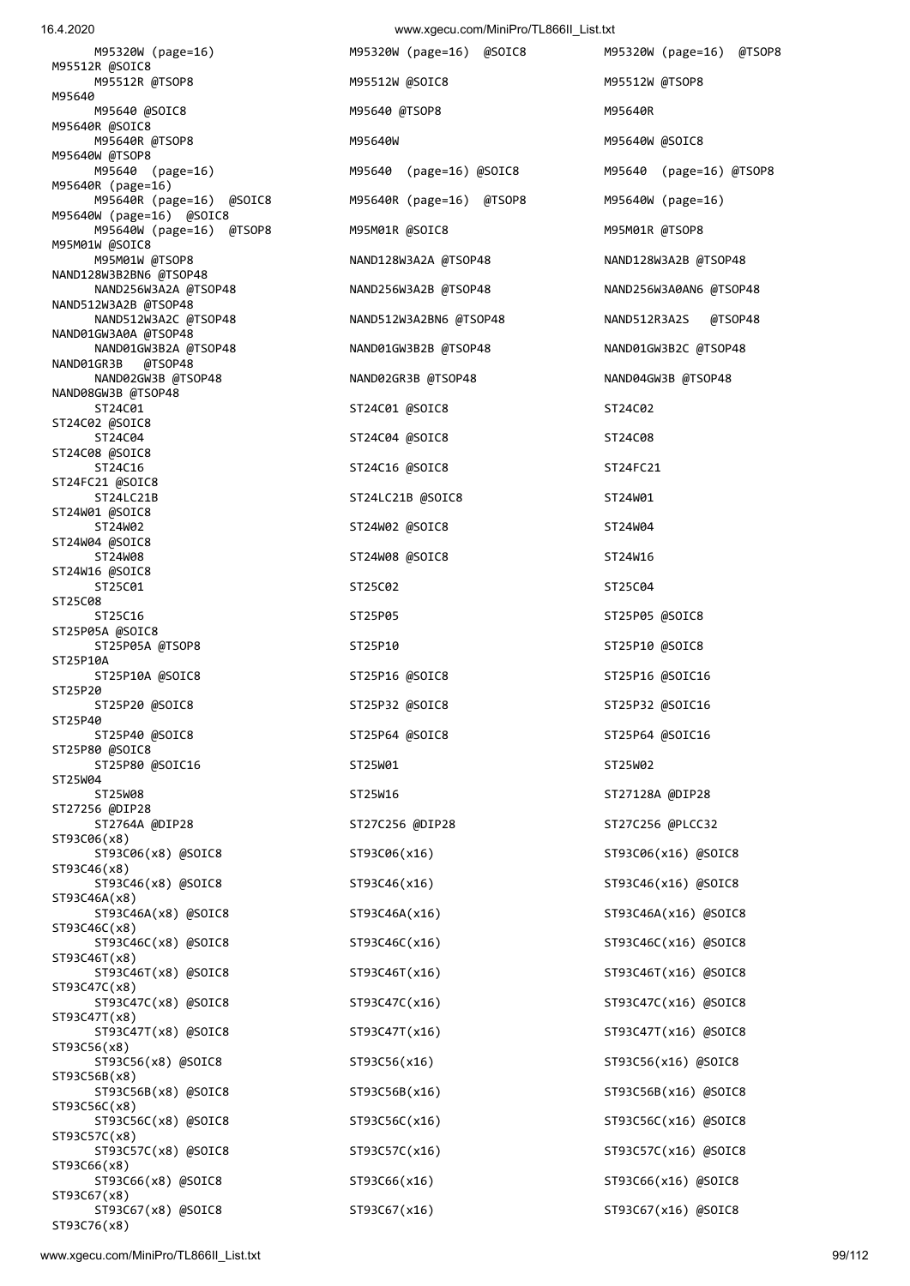16.4.2020 www.xgecu.com/MiniPro/TL866II\_List.txt

 M95320W (page=16) M95320W (page=16) @SOIC8 M95320W (page=16) @TSOP8 M95512R @SOIC8 M95512R @TSOP8 M95512W @SOIC8 M95512W @TSOP8 M95640 M95640 @SOIC8 M95640 M95640 @TSOP8 M95640 M95640R M95640R @SOIC8 M95640R @TSOP8 M95640W M95640W @SOIC8 M95640W @TSOP8 M95640 (page=16) M95640 (page=16) @SOIC8 M95640 (page=16) @TSOP8 M95640R (page=16) M95640R (page=16) @SOIC8 M95640R (page=16) @TSOP8 M95640W (page=16) M95640W (page=16) @SOIC8 M95640W (page=16) @TSOP8 M95M01R @SOIC8 M95M01R @TSOP8 M95M01W @SOIC8 M95M01W @TSOP8 NAND128W3A2A @TSOP48 NAND128W3A2B @TSOP48 NAND128W3B2BN6 @TSOP48 NAND256W3A2A @TSOP48 NAND256W3A2B @TSOP48 NAND256W3A0AN6 @TSOP48 NAND512W3A2B @TSOP48 NAND512W3A2C @TSOP48 NAND512W3A2BN6 @TSOP48 NAND512R3A2S @TSOP48 NAND01GW3A0A @TSOP48 NAND01GW3B2A @TSOP48 NAND01GW3B2B @TSOP48 NAND01GW3B2C @TSOP48 NAND01GR3B @TSOP48 NAND02GW3B @TSOP48 NAND02GR3B @TSOP48 NAND04GW3B @TSOP48 NAND08GW3B @TSOP48<br>ST24C01 ST24C02 @SOIC8 ST24C04 ST24C04 @SOIC8 ST24C08 ST24C08 @SOIC8 ST24C16 ST24C16 @SOIC8 ST24FC21 ST24FC21 @SOIC8 ST24LC21B ST24LC21B @SOIC8 ST24W01 ST24W01 @SOIC8 ST24W02 ST24W02 ST24W02 @SOIC8 ST24W04 ST24W04 @SOIC8 ST24W08 ST24W08 ST24W08 ST24W08 ST24W08 ST24W16 ST24W16 @SOIC8 ST25C01 ST25C02 ST25C02 ST25C02 ST25C01 ST25C01 ST<sub>25</sub>C<sub>08</sub> ST25C16 ST25P05 ST25P05 ST25P05 ST25P05 ST25P05 ASOIC8 ST25P05A @SOIC8 ST25P05A @TSOP8 ST25P10 ST25P10 @SOIC8 ST25P10A ST25P10A @SOIC8 ST25P16 @SOIC8 ST25P16 @SOIC16 ST25P20 ST25P20 @SOIC8 ST25P32 @SOIC8 ST25P32 @SOIC16 ST25P40 ST25P40 @SOIC8 ST25P64 @SOIC8 ST25P64 @SOIC16 ST25P80 @SOIC8 ST25P80 @SOIC16 ST25W01 ST25W01 ST25W02 ST25W04 ST27256 @DIP28 ST93C06(x8) ST93C06(x8) @SOIC8 ST93C06(x16) ST93C06(x16) @SOIC8 ST93C46(x8) ST93C46(x8) @SOIC8 ST93C46(x16) ST93C46(x16) @SOIC8 ST93C46A(x8) ST93C46A(x8) @SOIC8 ST93C46A(x16) ST93C46A(x16) @SOIC8 ST93C46C(x8)<br>ST93C46C(x8) @SOIC8 ST93C46T(x8) ST93C46T(x8) @SOIC8 ST93C46T(x16) ST93C46T(x16) @SOIC8 ST93C47C(x8) ST93C47C(x8) @SOIC8 ST93C47C(x16) ST93C47C(x16) ST93C47C(x16) ST93C47C(x16) ST93C47C(x16) ST93C47C(x16) ST93C47T(x8) ST93C47T(x8) @SOIC8 ST93C47T(x16) ST93C47T(x16) @SOIC8 ST93C56(x8) ST93C56(x8) @SOIC8 ST93C56(x16) ST93C56(x16) @SOIC8 ST93C56B(x8) ST93C56B(x8) @SOIC8 ST93C56B(x16) ST93C56B(x16) @SOIC8 ST93C56C(x8) ST93C56C(x8) @SOIC8 ST93C56C(x16) ST93C56C(x16) @SOIC8 ST93C57C(x8) ST93C57C(x8) @SOIC8 ST93C57C(x16) ST93C57C(x16) @SOIC8 ST93C66(x8) ST93C66(x8) @SOIC8 ST93C66(x16) ST93C66(x16) @SOIC8 ST93C67(x8)

 ST24C01 ST24C01 @SOIC8 ST24C02 ST25W08 ST25W16 ST27128A @DIP28 ST2764A @DIP28 ST27C256 @DIP28 ST27C256 @PLCC32 ST93C46C(x8) @SOIC8 ST93C46C(x16) ST93C46C(x16) @SOIC8

ST93C67(x8) @SOIC8 ST93C67(x16) ST93C67(x16) @SOIC8

ST93C76(x8)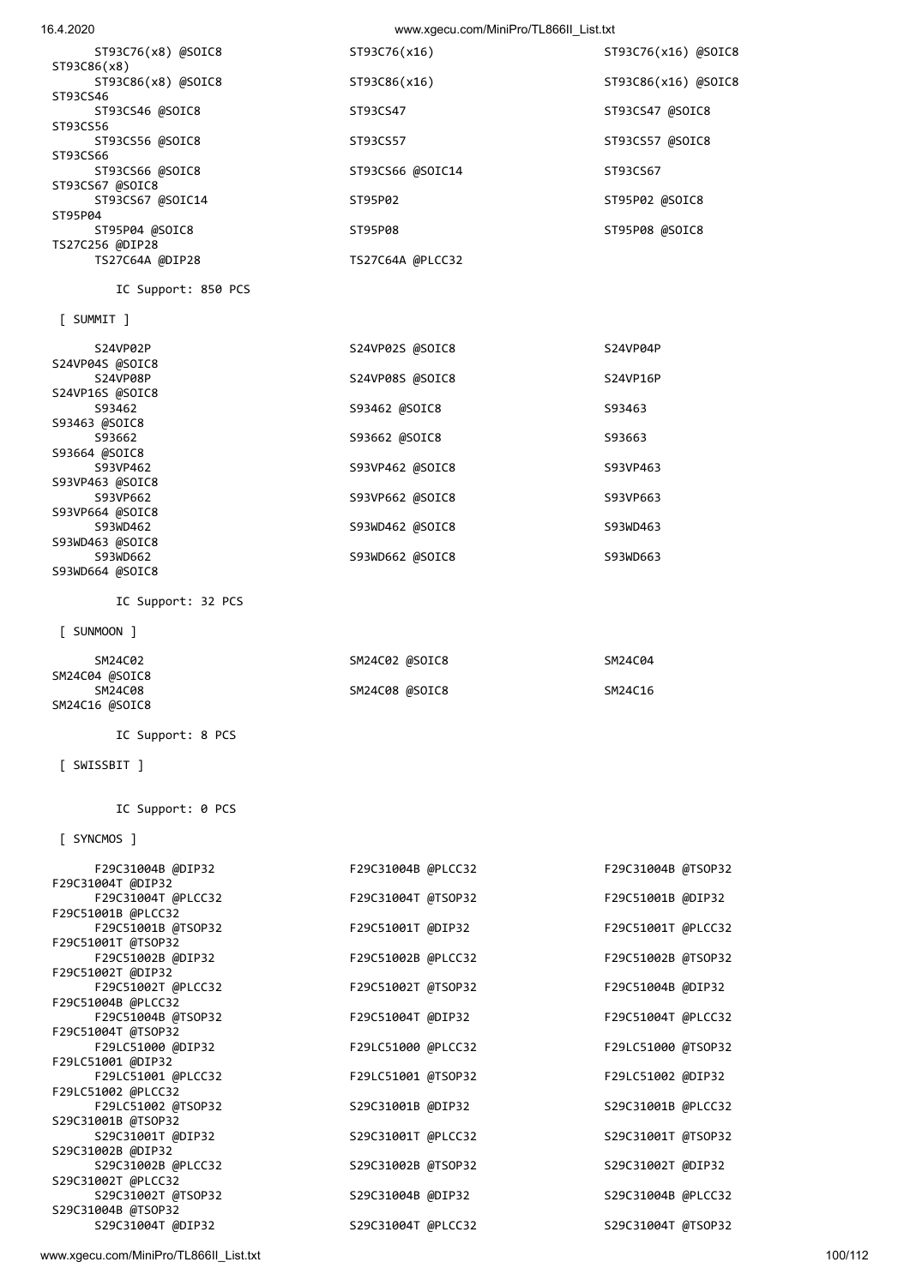www.xgecu.com/MiniPro/TL866II\_List.txt 100/112

| IL SUPPOPT: 0 PLS  |                    |                    |
|--------------------|--------------------|--------------------|
| [ SYNCMOS ]        |                    |                    |
| F29C31004B @DIP32  | F29C31004B @PLCC32 | F29C31004B @TSOP32 |
| F29C31004T @DIP32  |                    |                    |
| F29C31004T @PLCC32 | F29C31004T @TSOP32 | F29C51001B @DIP32  |
| F29C51001B @PLCC32 |                    |                    |
| F29C51001B @TSOP32 | F29C51001T @DIP32  | F29C51001T @PLCC32 |
| F29C51001T @TSOP32 |                    |                    |
| F29C51002B @DIP32  | F29C51002B @PLCC32 | F29C51002B @TSOP32 |
| F29C51002T @DIP32  |                    |                    |
| F29C51002T @PLCC32 | F29C51002T @TSOP32 | F29C51004B @DIP32  |
| F29C51004B @PLCC32 |                    |                    |
| F29C51004B @TSOP32 | F29C51004T @DIP32  | F29C51004T @PLCC32 |
| F29C51004T @TSOP32 |                    |                    |
| F29LC51000 @DIP32  | F29LC51000 @PLCC32 | F29LC51000 @TSOP32 |
| F29LC51001 @DIP32  |                    |                    |
| F29LC51001 @PLCC32 | F29LC51001 @TSOP32 | F29LC51002 @DIP32  |
| F29LC51002 @PLCC32 |                    |                    |
| F29LC51002 @TSOP32 | S29C31001B @DIP32  | S29C31001B @PLCC32 |
| S29C31001B @TSOP32 |                    |                    |
| S29C31001T @DIP32  | S29C31001T @PLCC32 | S29C31001T @TSOP32 |
| S29C31002B @DIP32  |                    |                    |
| S29C31002B @PLCC32 | S29C31002B @TSOP32 | S29C31002T @DIP32  |
| S29C31002T @PLCC32 |                    |                    |
| S29C31002T @TSOP32 | S29C31004B @DIP32  | S29C31004B @PLCC32 |
| S29C31004B @TSOP32 |                    |                    |
| S29C31004T @DIP32  | S29C31004T @PLCC32 | S29C31004T @TSOP32 |
|                    |                    |                    |

IC Support: 0 PCS

## [ SWISSBIT ]

IC Support: 8 PCS

# SM24C16 @SOIC8

| ___________    |                |         |
|----------------|----------------|---------|
| SM24C02        | SM24C02 @SOIC8 | SM24C04 |
| SM24C04 @SOIC8 |                |         |
| SM24C08        | SM24C08 @SOIC8 | SM24C16 |

#### [ SUNMOON ]

IC Support: 32 PCS

| [ SUMMIT ]      |                 |          |
|-----------------|-----------------|----------|
| S24VP02P        | S24VP02S @SOIC8 | S24VP04P |
| S24VP04S @SOIC8 |                 |          |
| S24VP08P        | S24VP08S @SOIC8 | S24VP16P |
| S24VP16S @SOIC8 |                 |          |
| S93462          | S93462 @SOIC8   | S93463   |
| S93463 @SOIC8   |                 |          |
| S93662          | S93662 @SOIC8   | S93663   |
| S93664 @SOIC8   |                 |          |
| S93VP462        | S93VP462 @SOIC8 | S93VP463 |
| S93VP463 @SOIC8 |                 |          |
| S93VP662        | S93VP662 @SOIC8 | S93VP663 |
| S93VP664 @SOIC8 |                 |          |
| S93WD462        | S93WD462 @SOIC8 | S93WD463 |
| S93WD463 @SOIC8 |                 |          |
| S93WD662        | S93WD662 @SOIC8 | S93WD663 |
| S93WD664 @SOIC8 |                 |          |

IC Support: 850 PCS

| ST93C76(x16)     | ST93C76(x16) @SOIC8 |
|------------------|---------------------|
|                  |                     |
| ST93C86(x16)     | ST93C86(x16) @SOIC8 |
|                  |                     |
| ST93CS47         | ST93CS47 @SOIC8     |
|                  |                     |
| ST93CS57         | ST93CS57 @SOIC8     |
|                  |                     |
| ST93CS66 @SOIC14 | ST93CS67            |
|                  |                     |
| ST95P02          | ST95P02 @SOIC8      |
|                  |                     |
| ST95P08          | ST95P08 @SOIC8      |
|                  |                     |
| TS27C64A @PLCC32 |                     |
|                  |                     |

16.4.2020 www.xgecu.com/MiniPro/TL866II\_List.txt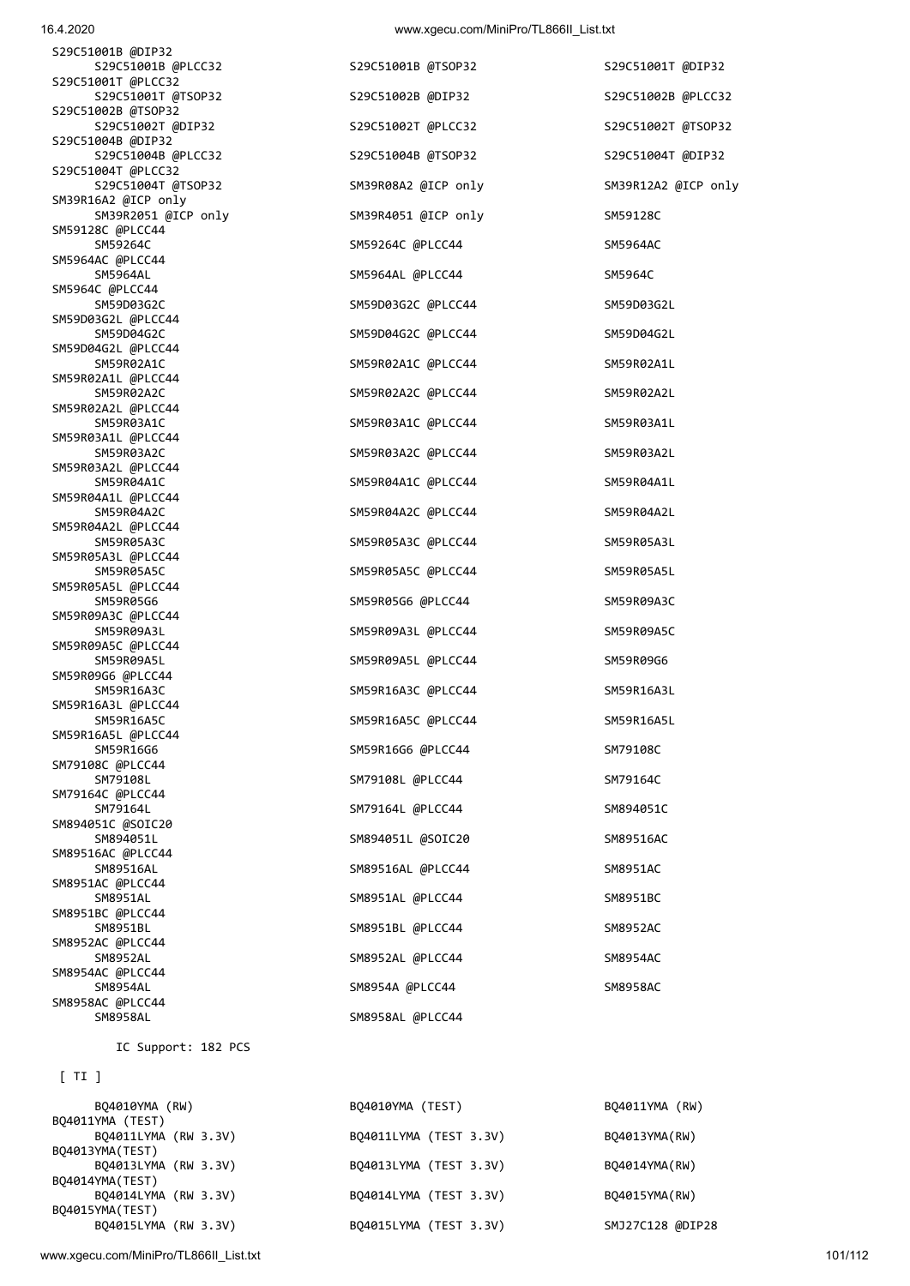www.xgecu.com/MiniPro/TL866II\_List.txt 101/112

| BQ4010YMA (RW)       | BQ4010YMA (TEST) |                        | BQ4011YMA (RW)   |
|----------------------|------------------|------------------------|------------------|
| BQ4011YMA (TEST)     |                  |                        |                  |
| BQ4011LYMA (RW 3.3V) |                  | BQ4011LYMA (TEST 3.3V) | BQ4013YMA(RW)    |
| BQ4013YMA(TEST)      |                  |                        |                  |
| BQ4013LYMA (RW 3.3V) |                  | B04013LYMA (TEST 3.3V) | B04014YMA(RW)    |
| BQ4014YMA(TEST)      |                  |                        |                  |
| BQ4014LYMA (RW 3.3V) |                  | BQ4014LYMA (TEST 3.3V) | B04015YMA(RW)    |
| B04015YMA(TEST)      |                  |                        |                  |
| BQ4015LYMA (RW 3.3V) |                  | BQ4015LYMA (TEST 3.3V) | SMJ27C128 @DIP28 |

## [ TI ]

IC Support: 182 PCS

| S29C51001B @DIP32                         |                     |                     |
|-------------------------------------------|---------------------|---------------------|
| S29C51001B @PLCC32                        | S29C51001B @TSOP32  | S29C51001T @DIP32   |
| S29C51001T @PLCC32<br>S29C51001T @TSOP32  | S29C51002B @DIP32   | S29C51002B @PLCC32  |
| S29C51002B @TSOP32                        |                     |                     |
| S29C51002T @DIP32<br>S29C51004B @DIP32    | S29C51002T @PLCC32  | S29C51002T @TSOP32  |
| S29C51004B @PLCC32                        | S29C51004B @TSOP32  | S29C51004T @DIP32   |
| S29C51004T @PLCC32                        |                     |                     |
| S29C51004T @TSOP32<br>SM39R16A2 @ICP only | SM39R08A2 @ICP only | SM39R12A2 @ICP only |
| SM39R2051 @ICP only                       | SM39R4051 @ICP only | SM59128C            |
| SM59128C @PLCC44<br>SM59264C              | SM59264C @PLCC44    | SM5964AC            |
| SM5964AC @PLCC44                          |                     |                     |
| SM5964AL                                  | SM5964AL @PLCC44    | SM5964C             |
| SM5964C @PLCC44<br>SM59D03G2C             | SM59D03G2C @PLCC44  | SM59D03G2L          |
| SM59D03G2L @PLCC44                        |                     |                     |
| SM59D04G2C<br>SM59D04G2L @PLCC44          | SM59D04G2C @PLCC44  | SM59D04G2L          |
| SM59R02A1C                                | SM59R02A1C @PLCC44  | SM59R02A1L          |
| SM59R02A1L @PLCC44                        |                     |                     |
| SM59R02A2C<br>SM59R02A2L @PLCC44          | SM59R02A2C @PLCC44  | SM59R02A2L          |
| SM59R03A1C                                | SM59R03A1C @PLCC44  | SM59R03A1L          |
| SM59R03A1L @PLCC44<br>SM59R03A2C          | SM59R03A2C @PLCC44  | SM59R03A2L          |
| SM59R03A2L @PLCC44                        |                     |                     |
| SM59R04A1C                                | SM59R04A1C @PLCC44  | SM59R04A1L          |
| SM59R04A1L @PLCC44<br>SM59R04A2C          | SM59R04A2C @PLCC44  | SM59R04A2L          |
| SM59R04A2L @PLCC44                        |                     |                     |
| SM59R05A3C<br>SM59R05A3L @PLCC44          | SM59R05A3C @PLCC44  | SM59R05A3L          |
| SM59R05A5C                                | SM59R05A5C @PLCC44  | SM59R05A5L          |
| SM59R05A5L @PLCC44                        |                     |                     |
| SM59R05G6<br>SM59R09A3C @PLCC44           | SM59R05G6 @PLCC44   | SM59R09A3C          |
| SM59R09A3L                                | SM59R09A3L @PLCC44  | SM59R09A5C          |
| SM59R09A5C @PLCC44<br>SM59R09A5L          | SM59R09A5L @PLCC44  | SM59R09G6           |
| SM59R09G6 @PLCC44                         |                     |                     |
| SM59R16A3C<br>SM59R16A3L @PLCC44          | SM59R16A3C @PLCC44  | SM59R16A3L          |
| SM59R16A5C                                | SM59R16A5C @PLCC44  | SM59R16A5L          |
| SM59R16A5L @PLCC44                        |                     |                     |
| SM59R16G6<br>SM79108C @PLCC44             | SM59R16G6 @PLCC44   | SM79108C            |
| SM79108L                                  | SM79108L @PLCC44    | SM79164C            |
| SM79164C @PLCC44<br>SM79164L              | SM79164L @PLCC44    | SM894051C           |
| SM894051C @SOIC20                         |                     |                     |
| SM894051L                                 | SM894051L @SOIC20   | SM89516AC           |
| SM89516AC @PLCC44<br>SM89516AL            | SM89516AL @PLCC44   | SM8951AC            |
| SM8951AC @PLCC44                          |                     |                     |
| SM8951AL<br>SM8951BC @PLCC44              | SM8951AL @PLCC44    | SM8951BC            |
| SM8951BL                                  | SM8951BL @PLCC44    | SM8952AC            |
| SM8952AC @PLCC44<br>SM8952AL              | SM8952AL @PLCC44    | SM8954AC            |
| SM8954AC @PLCC44                          |                     |                     |
| SM8954AL                                  | SM8954A @PLCC44     | SM8958AC            |
| SM8958AC @PLCC44<br>SM8958AL              | SM8958AL @PLCC44    |                     |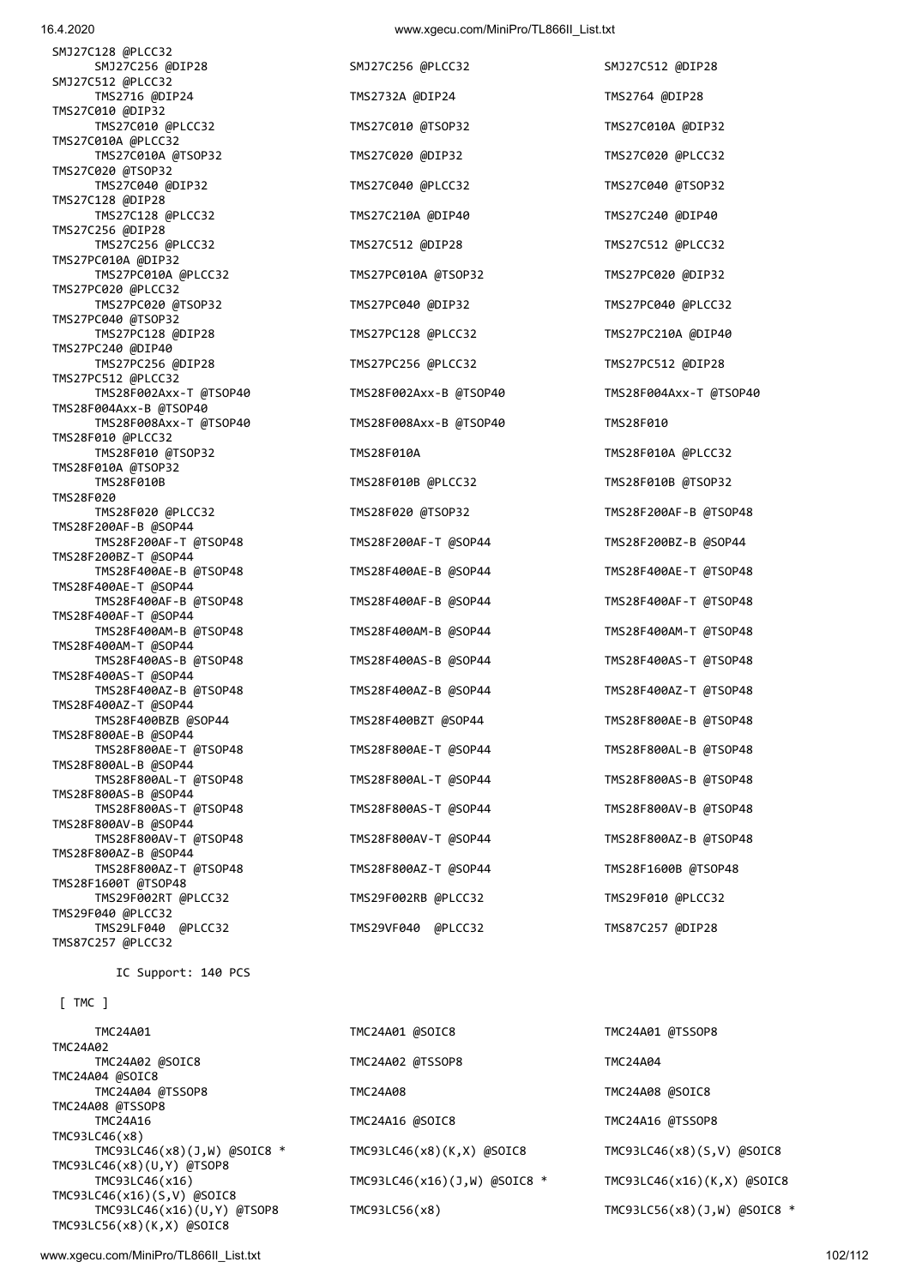SMJ27C128 @PLCC32 SMJ27C256 @DIP28 SMJ27C256 @PLCC32 SMJ27C512 @DIP28 SMJ27C512 @PLCC32 TMS2716 @DIP24 TMS2732A @DIP24 TMS2764 @DIP28 TMS27C010 @DIP32 TMS27C010 @PLCC32 TMS27C010 @TSOP32 TMS27C010A @DIP32 TMS27C010A @PLCC32 TMS27C010A @TSOP32 TMS27C020 @DIP32 TMS27C020 @PLCC32 TMS27C020 @TSOP32<br>TMS27C040 @DIP32 TMS27C128 @DIP28 TMS27C128 @PLCC32 TMS27C210A @DIP40 TMS27C240 @DIP40 TMS27C256 @DIP28 TMS27C256 @PLCC32 TMS27C512 @DIP28 TMS27C512 @PLCC32 TMS27PC010A @DIP32 TMS27PC010A @PLCC32 TMS27PC010A @TSOP32 TMS27PC020 @DIP32 TMS27PC020 @PLCC32 TMS27PC020 @TSOP32 TMS27PC040 @DIP32 TMS27PC040 @PLCC32 TMS27PC040 @TSOP32 TMS27PC128 @DIP28 TMS27PC128 @PLCC32 TMS27PC210A @DIP40 TMS27PC240 @DIP40 TMS27PC256 @DIP28 TMS27PC256 @PLCC32 TMS27PC512 @DIP28 TMS27PC512 @PLCC32 TMS28F002Axx-T @TSOP40 TMS28F002Axx-B @TSOP40 TMS28F004Axx-T @TSOP40 TMS28F004Axx-B @TSOP40 TMS28F008Axx-T @TSOP40 TMS28F008Axx-B @TSOP40 TMS28F010 TMS28F010 @PLCC32 TMS28F010 @TSOP32 TMS28F010A TMS28F010A @PLCC32 TMS28F010A @TSOP32 TMS28F010B TMS28F010B @PLCC32 TMS28F010B @TSOP32 TMS28F020 TMS28F020 @PLCC32 TMS28F020 @TSOP32 TMS28F200AF-B @TSOP48 TMS28F200AF-B @SOP44 TMS28F200AF-T @TSOP48 TMS28F200AF-T @SOP44 TMS28F200BZ-B @SOP44 TMS28F200BZ-T @SOP44 TMS28F400AE-B @TSOP48 TMS28F400AE-B @SOP44 TMS28F400AE-T @TSOP48 TMS28F400AE-T @SOP44 TMS28F400AF-B @TSOP48 TMS28F400AF-B @SOP44 TMS28F400AF-T @TSOP48 TMS28F400AF-T @SOP44 TMS28F400AM-B @TSOP48 TMS28F400AM-B @SOP44 TMS28F400AM-T @TSOP48 TMS28F400AM-T @SOP44 TMS28F400AS-B @TSOP48 TMS28F400AS-B @SOP44 TMS28F400AS-T @TSOP48 TMS28F400AS-T @SOP44 TMS28F400AZ-B @TSOP48 TMS28F400AZ-B @SOP44 TMS28F400AZ-T @TSOP48 TMS28F400AZ-T @SOP44 TMS28F400BZB @SOP44 TMS28F400BZT @SOP44 TMS28F800AE-B @TSOP48 TMS28F800AE-B @SOP44 TMS28F800AE-T @TSOP48 TMS28F800AE-T @SOP44 TMS28F800AL-B @TSOP48 TMS28F800AL-B @SOP44 TMS28F800AL-T @TSOP48 TMS28F800AL-T @SOP44 TMS28F800AS-B @TSOP48 TMS28F800AS-B @SOP44 TMS28F800AS-T @TSOP48 TMS28F800AS-T @SOP44 TMS28F800AV-B @TSOP48 TMS28F800AV-B @SOP44 TMS28F800AV-T @TSOP48 TMS28F800AV-T @SOP44 TMS28F800AZ-B @TSOP48 TMS28F800AZ-B @SOP44 TMS28F800AZ-T @TSOP48 TMS28F800AZ-T @SOP44 TMS28F1600B @TSOP48 TMS28F1600T @TSOP48 TMS29F002RT @PLCC32 TMS29F002RB @PLCC32 TMS29F010 @PLCC32 TMS29F040 @PLCC32 TMS29LF040 @PLCC32 TMS29VF040 @PLCC32 TMS87C257 @DIP28 TMS87C257 @PLCC32

IC Support: 140 PCS

[ TMC ]

TMC24A02 TMC24A04 @SOIC8 TMC24A08 @TSSOP8 TMC93LC46(x8) TMC93LC46(x8)(U,Y) @TSOP8 TMC93LC46(x16)(S,V) @SOIC8 TMC93LC56(x8)(K,X) @SOIC8

TMS27C040 @DIP32 TMS27C040 @PLCC32 TMS27C040 @TSOP32

 TMC24A01 TMC24A01 @SOIC8 TMC24A01 @TSSOP8 TMC24A02 @SOIC8 TMC24A02 @TSSOP8 TMC24A04 TMC24A04 @TSSOP8 TMC24A08 TMC24A08 @SOIC8 TMC24A16 TMC24A16 @SOIC8 TMC24A16 @TSSOP8 TMC93LC46(x8)(J,W) @SOIC8 \* TMC93LC46(x8)(K,X) @SOIC8 TMC93LC46(x8)(S,V) @SOIC8 TMC93LC46(x16) TMC93LC46(x16)(J,W) @SOIC8 \* TMC93LC46(x16)(K,X) @SOIC8 TMC93LC46(x16)(U,Y) @TSOP8 TMC93LC56(x8) TMC93LC56(x8)(J,W) @SOIC8 \*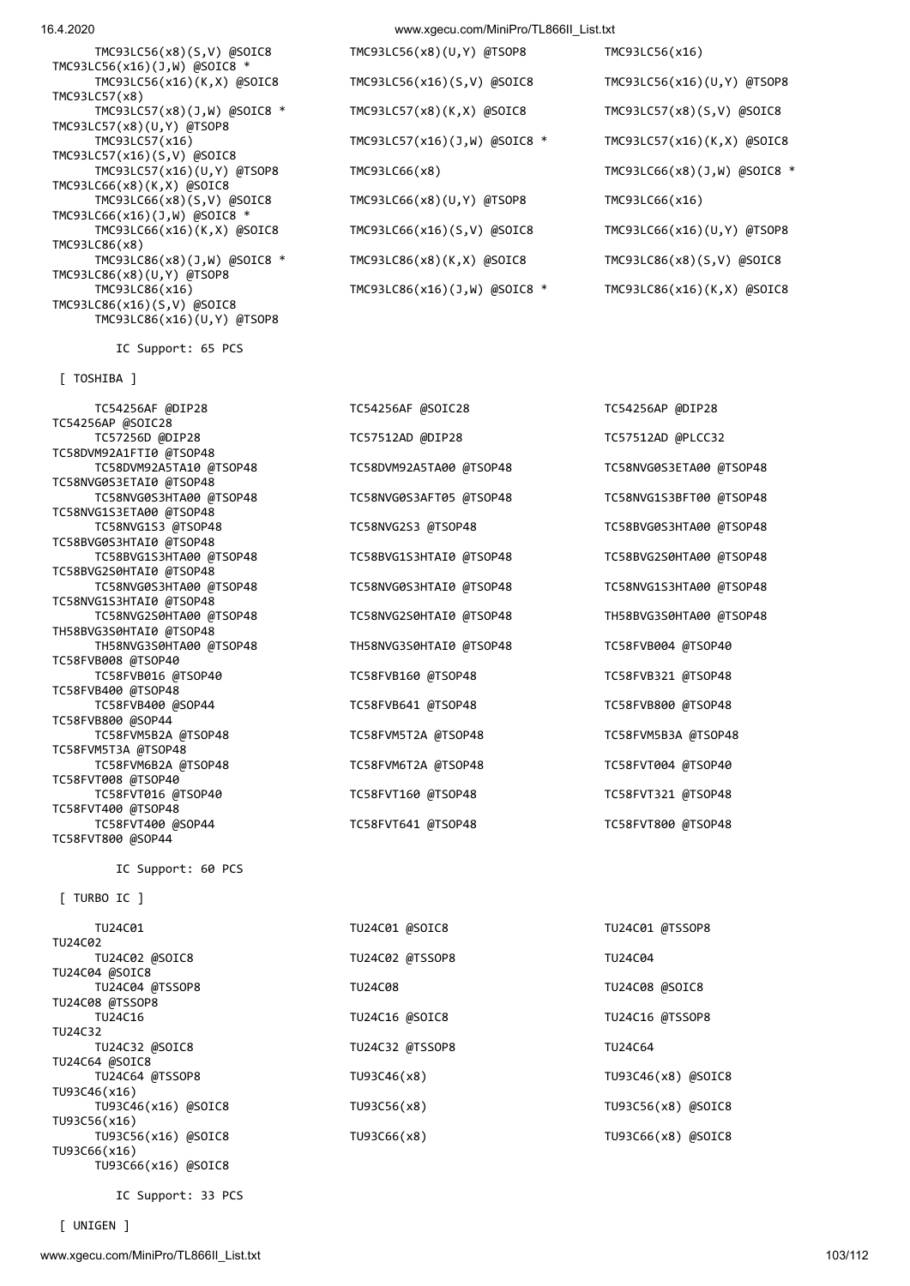TMC93LC56(x16)(J,W) @SOIC8 \* TMC93LC57(x8) TMC93LC57(x8)(U,Y) @TSOP8 TMC93LC57(x16)(S,V) @SOIC8 TMC93LC66(x8)(K,X) @SOIC8 TMC93LC66(x16)(J,W) @SOIC8 \* TMC93LC86(x8) TMC93LC86(x8)(U,Y) @TSOP8 TMC93LC86(x16) TMC93LC86(x16)(J,W) @SOIC8 \* TMC93LC86(x16)(K,X) @SOIC8 TMC93LC86(x16)(S,V) @SOIC8 TMC93LC86(x16)(U,Y) @TSOP8

IC Support: 65 PCS

[ TOSHIBA ]

 TC54256AF @DIP28 TC54256AF @SOIC28 TC54256AP @DIP28 TC54256AP @SOIC28 TC57256D @DIP28 TC57512AD @DIP28 TC57512AD @PLCC32 TC58DVM92A1FTI0 @TSOP48 TC58DVM92A5TA10 @TSOP48 TC58DVM92A5TA00 @TSOP48 TC58NVG0S3ETA00 @TSOP48 TC58NVG0S3ETAI0 @TSOP48 TC58NVG0S3HTA00 @TSOP48 TC58NVG0S3AFT05 @TSOP48 TC58NVG1S3BFT00 @TSOP48 TC58NVG1S3ETA00 @TSOP48 TC58NVG1S3 @TSOP48 TC58NVG2S3 @TSOP48 TC58BVG0S3HTA00 @TSOP48 TC58BVG0S3HTAI0 @TSOP48 TC58BVG1S3HTA00 @TSOP48 TC58BVG1S3HTAI0 @TSOP48 TC58BVG2S0HTA00 @TSOP48 TC58BVG2S0HTAI0 @TSOP48 TC58NVG0S3HTA00 @TSOP48 TC58NVG0S3HTAI0 @TSOP48 TC58NVG1S3HTA00 @TSOP48 TC58NVG1S3HTAI0 @TSOP48 TC58NVG2S0HTA00 @TSOP48 TC58NVG2S0HTAI0 @TSOP48 TH58BVG3S0HTA00 @TSOP48 TH58BVG3S0HTAI0 @TSOP48 TH58NVG3S0HTA00 @TSOP48 TH58NVG3S0HTAI0 @TSOP48 TC58FVB004 @TSOP40 TC58FVB008 @TSOP40 TC58FVB016 @TSOP40 TC58FVB160 @TSOP48 TC58FVB321 @TSOP48 TC58FVB400 @TSOP48 TC58FVB400 @SOP44 TC58FVB641 @TSOP48 TC58FVB800 @TSOP48 TC58FVB800 @SOP44 TC58FVM5B2A @TSOP48 TC58FVM5T2A @TSOP48 TC58FVM5B3A @TSOP48 TC58FVM5T3A @TSOP48 TC58FVM6B2A @TSOP48 TC58FVM6T2A @TSOP48 TC58FVT004 @TSOP40 TC58FVT008 @TSOP40 TC58FVT016 @TSOP40 TC58FVT160 @TSOP48 TC58FVT321 @TSOP48 TC58FVT400 @TSOP48 TC58FVT400 @SOP44 TC58FVT641 @TSOP48 TC58FVT800 @TSOP48 TC58FVT800 @SOP44

IC Support: 60 PCS

[ TURBO IC ]

 TU24C01 TU24C01 @SOIC8 TU24C01 @TSSOP8 TU24C02 TU24C02 @SOIC8 TU24C02 @TSSOP8 TU24C04 TU24C04 @SOIC8 TU24C04 @TSSOP8 TU24C08 TU24C08 @SOIC8 TU24C08 @TSSOP8 TU24C16 TU24C16 @SOIC8 TU24C16 @TSSOP8 TU24C32 TU24C32 @SOIC8 TU24C32 @TSSOP8 TU24C64 TU24C64 @SOIC8 TU24C64 @TSSOP8 TU93C46(x8) TU93C46(x8) @SOIC8 TU93C46(x16) TU93C46(x16) @SOIC8 TU93C56(x8) TU93C56(x8) @SOIC8 TU93C56(x16) TU93C56(x16) @SOIC8 TU93C66(x8) TU93C66(x8) @SOIC8 TU93C66(x16) TU93C66(x16) @SOIC8

IC Support: 33 PCS

16.4.2020 www.xgecu.com/MiniPro/TL866II\_List.txt

 TMC93LC56(x8)(S,V) @SOIC8 TMC93LC56(x8)(U,Y) @TSOP8 TMC93LC56(x16) TMC93LC56(x16)(K,X) @SOIC8 TMC93LC56(x16)(S,V) @SOIC8 TMC93LC56(x16)(U,Y) @TSOP8 TMC93LC57(x8)(J,W) @SOIC8 \* TMC93LC57(x8)(K,X) @SOIC8 TMC93LC57(x8)(S,V) @SOIC8 TMC93LC57(x16) TMC93LC57(x16)(J,W) @SOIC8 \* TMC93LC57(x16)(K,X) @SOIC8 TMC93LC57(x16)(U,Y) @TSOP8 TMC93LC66(x8) TMC93LC66(x8)(J,W) @SOIC8 \* TMC93LC66(x8)(S,V) @SOIC8 TMC93LC66(x8)(U,Y) @TSOP8 TMC93LC66(x16) TMC93LC66(x16)(K,X) @SOIC8 TMC93LC66(x16)(S,V) @SOIC8 TMC93LC66(x16)(U,Y) @TSOP8 TMC93LC86(x8)(J,W) @SOIC8 \* TMC93LC86(x8)(K,X) @SOIC8 TMC93LC86(x8)(S,V) @SOIC8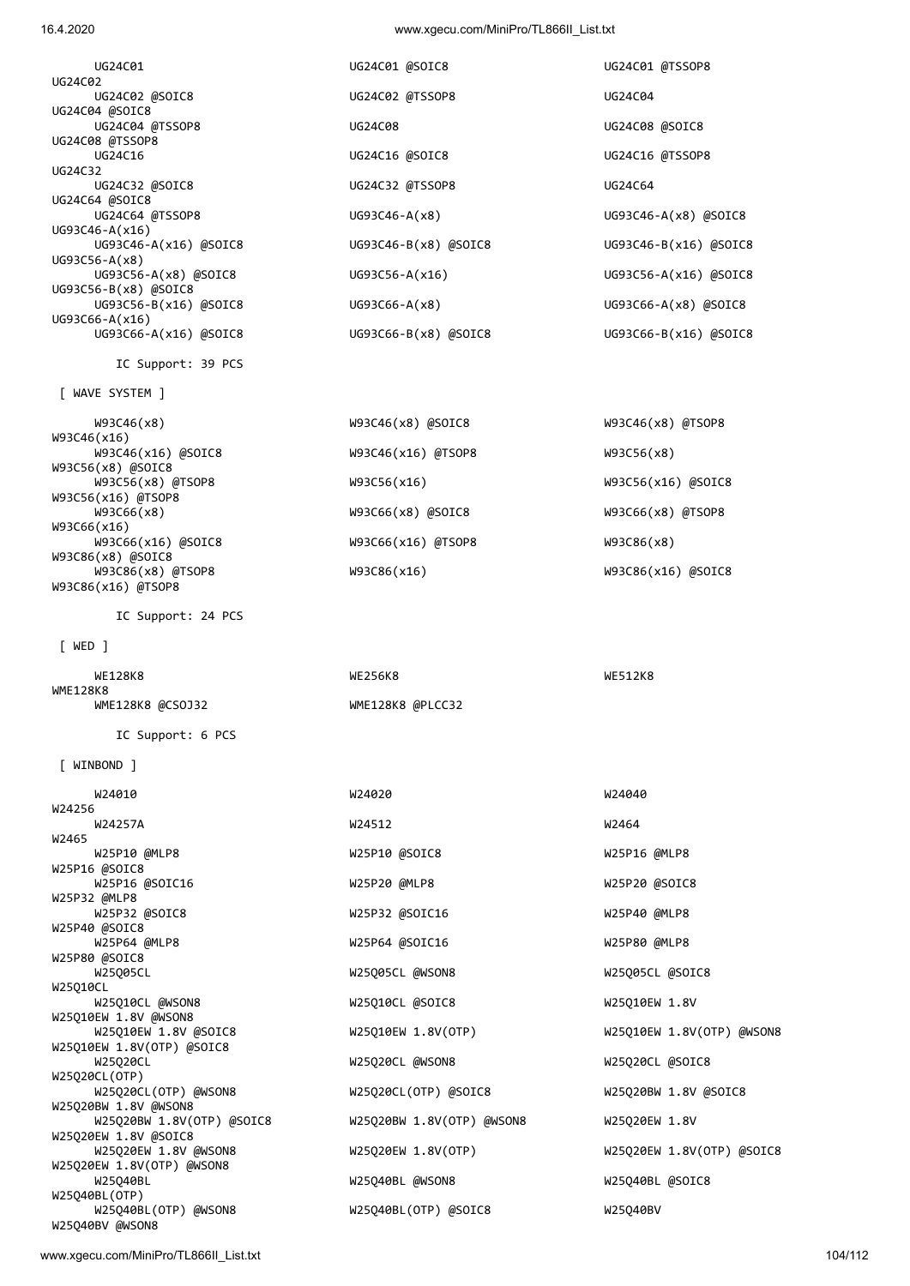| 104/112 |  |  |
|---------|--|--|

| W93C66(x16) @SOIC8<br>W93C86(x8) @SOIC8      | W93C66(x16) @TSOP8        | W93C86(x8)                |
|----------------------------------------------|---------------------------|---------------------------|
| W93C86(x8) @TSOP8<br>W93C86(x16) @TSOP8      | W93C86(x16)               | W93C86(x16) @SOIC8        |
| IC Support: 24 PCS                           |                           |                           |
| $[$ WED $]$                                  |                           |                           |
| WE128K8<br><b>WME128K8</b>                   | WE256K8                   | WE512K8                   |
| WME128K8 @CSOJ32                             | WME128K8 @PLCC32          |                           |
| IC Support: 6 PCS                            |                           |                           |
| $[$ WINBOND $]$                              |                           |                           |
| W24010                                       | W24020                    | W24040                    |
| W24256<br>W24257A                            | W24512                    | W2464                     |
| W2465<br>W25P10 @MLP8                        | W25P10 @SOIC8             | W25P16 @MLP8              |
| W25P16 @SOIC8                                |                           |                           |
| W25P16 @SOIC16<br>W25P32 @MLP8               | W25P20 @MLP8              | W25P20 @SOIC8             |
| W25P32 @SOIC8                                | W25P32 @SOIC16            | W25P40 @MLP8              |
| W25P40 @SOIC8<br>W25P64 @MLP8                | W25P64 @SOIC16            | W25P80 @MLP8              |
| W25P80 @SOIC8                                |                           |                           |
| W25Q05CL                                     | W25Q05CL @WSON8           | W25Q05CL @SOIC8           |
| W25010CL                                     |                           |                           |
| W25Q10CL @WSON8<br>W25Q10EW 1.8V @WSON8      | W25Q10CL @SOIC8           | W25Q10EW 1.8V             |
| W25Q10EW 1.8V @SOIC8                         | W25Q10EW 1.8V(OTP)        | W25Q10EW 1.8V(OTP) @WSON8 |
| W25Q10EW 1.8V(OTP) @SOIC8                    |                           |                           |
| W25Q20CL                                     | W25Q20CL @WSON8           | W25Q20CL @SOIC8           |
| W25Q20CL(OTP)                                |                           |                           |
| W25Q20CL(OTP) @WSON8<br>W25020BW 1.8V @WSON8 | W25Q20CL(OTP) @SOIC8      | W25Q20BW 1.8V @SOIC8      |
| W25Q20BW 1.8V(OTP) @SOIC8                    | W25Q20BW 1.8V(OTP) @WSON8 | W25Q20EW 1.8V             |
| W25Q20EW 1.8V @SOIC8                         |                           |                           |
| W25Q20EW 1.8V @WSON8                         | W25Q20EW 1.8V(OTP)        | W25Q20EW 1.8V(OTP) @SOIC8 |
| W25Q20EW 1.8V(OTP) @WSON8<br>W25Q40BL        | W25Q40BL @WSON8           | W25Q40BL @SOIC8           |
| W25Q40BL(OTP)                                |                           |                           |
| W25Q40BL(OTP) @WSON8                         | W25Q40BL(OTP) @SOIC8      | W25Q40BV                  |
| W25Q40BV @WSON8                              |                           |                           |

W93C46(x8) W93C46(x8) @SOIC8 W93C46(x8) @TSOP8

W93C46(x16) @SOIC8 W93C46(x16) @TSOP8 W93C56(x8)

[ WAVE SYSTEM ]

W93C56(x8) @SOIC8<br>W93C56(x8) @TSOP8

W93C56(x16) @TSOP8<br>W93C66(x8)

W93C46(x16)

W93C66(x16)

IC Support: 39 PCS

| UG24C02               |
|-----------------------|
| UG24C02 @SOIC8        |
| UG24C04 @SOIC8        |
| UG24C04 @TSSOP8       |
| UG24C08 @TSSOP8       |
| UG24C16               |
| UG24C32               |
| UG24C32 @SOIC8        |
| UG24C64 @SOIC8        |
| UG24C64 @TSSOP8       |
| UG93C46-A(x16)        |
| UG93C46-A(x16) @SOIC8 |
| UG93C56-A(x8)         |
| UG93C56-A(x8) @SOIC8  |
| UG93C56-B(x8) @SOIC8  |
| UG93C56-B(x16) @SOIC8 |
| UG93C66-A(x16)        |
| UG93C66-A(x16) @SOIC8 |
|                       |

 UG24C01 UG24C01 @SOIC8 UG24C01 @TSSOP8 UG24C02 @TSSOP8 UG24C04 UG24C04 @TSSOP8 UG24C08 UG24C08 @SOIC8 UG24C16 UG24C16 @SOIC8 UG24C16 @TSSOP8 UG24C32 @TSSOP8 UG24C64 UG93C46-A(x8) UG93C46-A(x8) @SOIC8 UG93C46-A(x16) @SOIC8 UG93C46-B(x8) @SOIC8 UG93C46-B(x16) @SOIC8 UG93C56-A(x16) UG93C56-A(x16) @SOIC8 UG93C66-A(x8) UG93C66-A(x8) @SOIC8 UG93C66-B(x8) @SOIC8 UG93C66-B(x16) @SOIC8

W93C56(x16) W93C56(x16) @SOIC8

W93C66(x8) W93C66(x8) @SOIC8 W93C66(x8) @TSOP8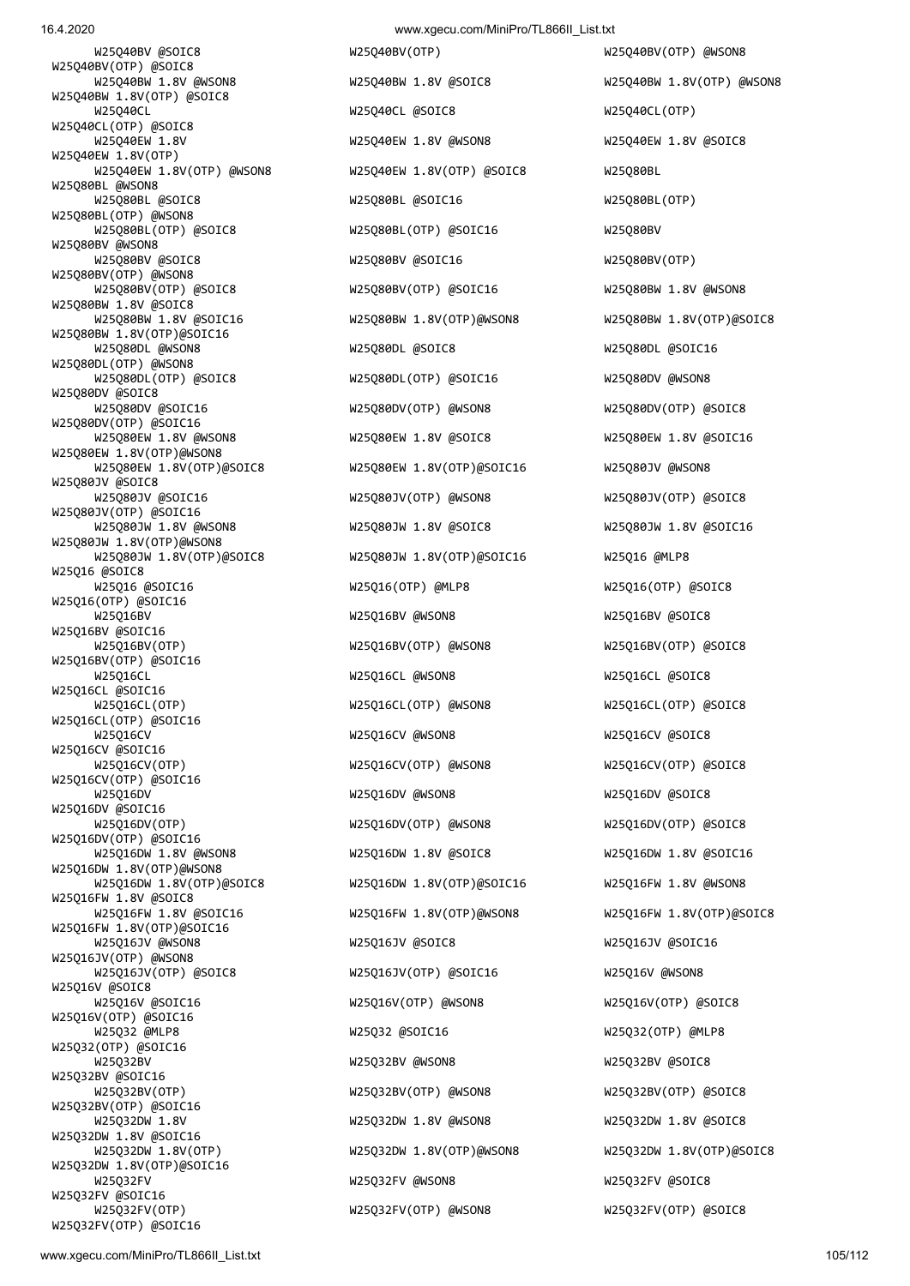W25Q40BV @SOIC8 W25Q40BV(OTP) W25Q40BV(OTP) @WSON8 W25Q40BV(OTP) @SOIC8 W25Q40BW 1.8V(OTP) @SOIC8 W25Q40CL(OTP) @SOIC8 W25Q40EW 1.8V(OTP) W25Q80BL @WSON8 W25Q80BL(OTP) @WSON8 W25Q80BV @WSON8 W25Q80BV(OTP) @WSON8<br>W25Q80BV(OTP) @SOIC8 W25Q80BW 1.8V @SOIC8 W25Q80BW 1.8V(OTP)@SOIC16 W25Q80DL(OTP) @WSON8<br>W25O80DL(OTP) @SOIC8 W25Q80DV @SOIC8<br>W25Q80DV @SOIC16 W25Q80DV(OTP) @SOIC16 W25Q80EW 1.8V(OTP)@WSON8 W25Q80JV @SOIC8 W25Q80JV(OTP) @SOIC16<br>W25Q80JW 1.8V @WSON8 W25Q80JW 1.8V(OTP)@WSON8 W25Q16 @SOIC8 W25Q16(OTP) @SOIC16 W25Q16BV @SOIC16 W25Q16BV(OTP) @SOIC16 W25Q16CL @SOIC16 W25Q16CL(OTP) @SOIC16 W25Q16CV @SOIC16 W25Q16CV(OTP) @SOIC16 W25Q16DV @SOIC16 W25Q16DV(OTP) @SOIC16 W25Q16DW 1.8V(OTP)@WSON8 W25Q16FW 1.8V @SOIC8 W25Q16FW 1.8V(OTP)@SOIC16 W25Q16JV(OTP) @WSON8 W25Q16V @SOIC8 W25Q16V(OTP) @SOIC16 W25Q32(OTP) @SOIC16 W25Q32BV @SOIC16 W25Q32BV(OTP) @SOIC16 W25Q32DW 1.8V @SOIC16 W25Q32DW 1.8V(OTP)@SOIC16 W25Q32FV @SOIC16 W25Q32FV(OTP) W25Q32FV(OTP) @WSON8 W25Q32FV(OTP) @SOIC8 W25Q32FV(OTP) @SOIC16

 W25Q40BW 1.8V @WSON8 W25Q40BW 1.8V @SOIC8 W25Q40BW 1.8V(OTP) @WSON8 W25Q40CL W25Q40CL @SOIC8 W25Q40CL(OTP) W25Q40EW 1.8V W25Q40EW 1.8V @WSON8 W25Q40EW 1.8V @SOIC8 W25Q40EW 1.8V(OTP) @WSON8 W25Q40EW 1.8V(OTP) @SOIC8 W25Q80BL W25Q80BL @SOIC8 W25Q80BL @SOIC16 W25Q80BL(OTP) W25Q80BL(OTP) @SOIC8 W25Q80BL(OTP) @SOIC16 W25Q80BV W25Q80BV @SOIC8 W25Q80BV @SOIC16 W25Q80BV(OTP) W25Q80BV(OTP) @SOIC16 W25Q80BW 1.8V @WSON8 W25Q80BW 1.8V @SOIC16 W25Q80BW 1.8V(OTP)@WSON8 W25Q80BW 1.8V(OTP)@SOIC8 W25Q80DL @WSON8 W25Q80DL @SOIC8 W25Q80DL @SOIC16 W25Q80DL(OTP) @SOIC16 W25Q80DV @WSON8 W25Q80DV(OTP) @WSON8 W25Q80DV(OTP) @SOIC8 W25Q80EW 1.8V @WSON8 W25Q80EW 1.8V @SOIC8 W25Q80EW 1.8V @SOIC16 W25Q80EW 1.8V(OTP)@SOIC8 W25Q80EW 1.8V(OTP)@SOIC16 W25Q80JV @WSON8 W25Q80JV @SOIC16 W25Q80JV(OTP) @WSON8 W25Q80JV(OTP) @SOIC8 W25Q80JW 1.8V @SOIC8 W25Q80JW 1.8V @SOIC16 W25Q80JW 1.8V(OTP)@SOIC8 W25Q80JW 1.8V(OTP)@SOIC16 W25Q16 @MLP8 W25Q16 @SOIC16 W25Q16(OTP) @MLP8 W25Q16(OTP) @SOIC8 W25Q16BV W25Q16BV @WSON8 W25Q16BV @SOIC8 W25Q16BV(OTP) W25Q16BV(OTP) @WSON8 W25Q16BV(OTP) @SOIC8 W25Q16CL W25Q16CL @WSON8 W25Q16CL @SOIC8 W25Q16CL(OTP) W25Q16CL(OTP) @WSON8 W25Q16CL(OTP) @SOIC8 W25Q16CV W25Q16CV @WSON8 W25Q16CV @SOIC8 W25Q16CV(OTP) W25Q16CV(OTP) @WSON8 W25Q16CV(OTP) @SOIC8 W25Q16DV W25Q16DV @WSON8 W25Q16DV @SOIC8 W25Q16DV(OTP) W25Q16DV(OTP) @WSON8 W25Q16DV(OTP) @SOIC8 W25Q16DW 1.8V @WSON8 W25Q16DW 1.8V @SOIC8 W25Q16DW 1.8V @SOIC16 W25Q16DW 1.8V(OTP)@SOIC8 W25Q16DW 1.8V(OTP)@SOIC16 W25Q16FW 1.8V @WSON8 W25Q16FW 1.8V @SOIC16 W25Q16FW 1.8V(OTP)@WSON8 W25Q16FW 1.8V(OTP)@SOIC8 W25Q16JV @WSON8 W25Q16JV @SOIC8 W25Q16JV @SOIC16 W25Q16JV(OTP) @SOIC8 W25Q16JV(OTP) @SOIC16 W25Q16V @WSON8 W25Q16V @SOIC16 W25Q16V(OTP) @WSON8 W25Q16V(OTP) @SOIC8 W25Q32 @MLP8 W25Q32 @SOIC16 W25Q32(OTP) @MLP8 W25Q32BV W25Q32BV @WSON8 W25Q32BV @SOIC8 W25Q32BV(OTP) W25Q32BV(OTP) @WSON8 W25Q32BV(OTP) @SOIC8 W25Q32DW 1.8V W25Q32DW 1.8V @WSON8 W25Q32DW 1.8V @SOIC8 W25Q32DW 1.8V(OTP) W25Q32DW 1.8V(OTP)@WSON8 W25Q32DW 1.8V(OTP)@SOIC8 W25Q32FV W25Q32FV @WSON8 W25Q32FV @SOIC8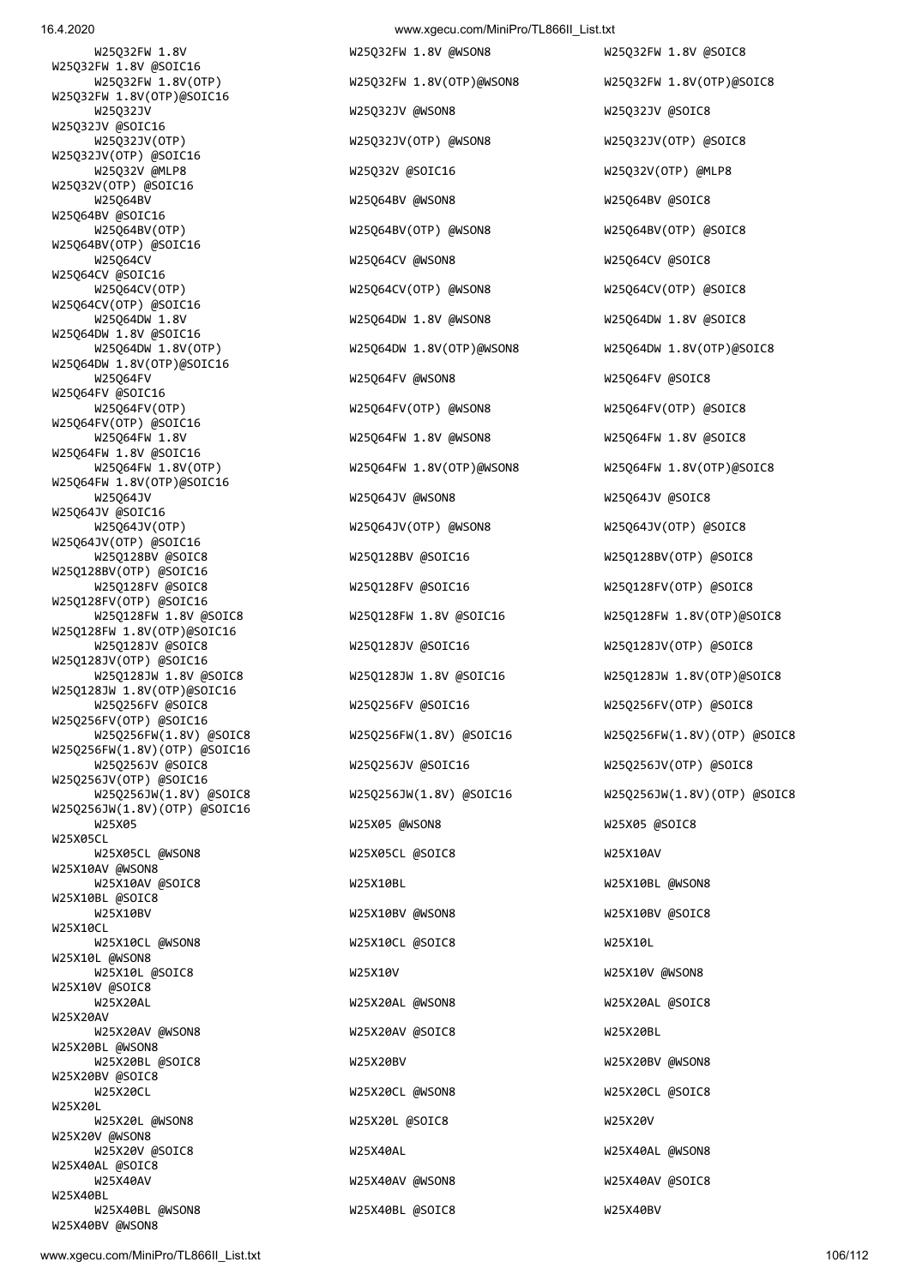16.4.2020 www.xgecu.com/MiniPro/TL866II\_List.txt

W25O32FW 1.8V W25O32FW 1.8V @WSON8 W25O32FW 1.8V @SOIC8 W25Q32FW 1.8V @SOIC16 W25Q32FW 1.8V(OTP)@SOIC16<br>W25Q32JV W25Q32JV @SOIC16<br>W25Q32JV(OTP) W25Q32JV(OTP) @SOIC16 W25Q32V(OTP) @SOIC16 W25Q64BV @SOIC16 W25Q64BV(OTP) @SOIC16 W25Q64CV @SOIC16 W25Q64CV(OTP) @SOIC16<br>W25Q64DW 1.8V W25Q64DW 1.8V @SOIC16<br>W25O64DW 1.8V(OTP) W25Q64DW 1.8V(OTP)@SOIC16 W25Q64FV @SOIC16<br>W25O64FV(OTP) W25Q64FV(OTP) @SOIC16 W25Q64FW 1.8V @SOIC16 W25Q64FW 1.8V(OTP)@SOIC16 W25Q64JV @SOIC16 W25Q64JV(OTP) @SOIC16 W25Q128BV(OTP) @SOIC16 W25Q128FV(OTP) @SOIC16 W25Q128FW 1.8V(OTP)@SOIC16 W25Q128JV(OTP) @SOIC16 W25Q128JW 1.8V(OTP)@SOIC16 W25Q256FV(OTP) @SOIC16 W25Q256FW(1.8V)(OTP) @SOIC16 W25Q256JV(OTP) @SOIC16<br>W25Q256JW(1.8V) @SOIC8 W25Q256JW(1.8V)(OTP) @SOIC16 W25X05CL W25X10AV @WSON8 W25X10BL @SOIC8 W<sub>25</sub>X<sub>10CL</sub> W25X10L @WSON8 W25X10V @SOIC8 W25X20AV W25X20BL @WSON8 W25X20BV @SOIC8 W25X20L W25X20V @WSON8 W25X40AL @SOIC8 W25X40BL W25X40BL @WSON8 W25X40BL @SOIC8 W25X40BV

 W25Q32JV W25Q32JV @WSON8 W25Q32JV @SOIC8 W25Q32JV(OTP) @WSON8 W25Q32JV(OTP) @SOIC8 W25Q32V @MLP8 W25Q32V @SOIC16 W25Q32V(OTP) @MLP8 W25Q64BV W25Q64BV @WSON8 W25Q64BV @SOIC8 W25Q64BV(OTP) W25Q64BV(OTP) @WSON8 W25Q64BV(OTP) @SOIC8 W25Q64CV W25Q64CV @WSON8 W25Q64CV @SOIC8 W25Q64CV(OTP) W25Q64CV(OTP) @WSON8 W25Q64CV(OTP) @SOIC8 W25064DW 1.8V @WSON8 W25064DW 1.8V @SOIC8 W25Q64FV W25Q64FV @WSON8 W25Q64FV @SOIC8 W25Q64FV(OTP) @WSON8 W25Q64FV(OTP) @SOIC8 W25Q64FW 1.8V W25Q64FW 1.8V @WSON8 W25Q64FW 1.8V @SOIC8 W25Q64JV W25Q64JV @WSON8 W25Q64JV @SOIC8 W25Q64JV(OTP) W25Q64JV(OTP) @WSON8 W25Q64JV(OTP) @SOIC8 W25Q128BV @SOIC8 W25Q128BV @SOIC16 W25Q128BV(OTP) @SOIC8 W25Q128FV @SOIC8 W25Q128FV @SOIC16 W25Q128FV(OTP) @SOIC8 W25Q128JV @SOIC8 W25Q128JV @SOIC16 W25Q128JV(OTP) @SOIC8 W25Q256FV @SOIC8 W25Q256FV @SOIC16 W25Q256FV(OTP) @SOIC8 W25Q256JV @SOIC8 W25Q256JV @SOIC16 W25Q256JV(OTP) @SOIC8 W25X05 W25X05 @WSON8 W25X05 @SOIC8 W25X05CL @WSON8 W25X05CL @SOIC8 W25X10AV W25X10AV @SOIC8 W25X10BL W25X10BL @WSON8 W25X10BV W25X10BV @WSON8 W25X10BV @SOIC8 W25X10CL @WSON8 W25X10CL @SOIC8 W25X10L W25X10L @SOIC8 W25X10V W25X10V @WSON8 W25X20AL W25X20AL @W25X20AL @WSON8 W25X20AL @SOIC8 W25X20AV @WSON8 W25X20AV @SOIC8 W25X20BL W25X20BL @SOIC8 W25X20BV W25X20BV @WSON8 W25X20CL W25X20CL @W25X20CL @WSON8 W25X20CL @SOIC8 W25X20L @WSON8 W25X20L @SOIC8 W25X20V W25X20V @SOIC8 W25X40AL W25X40AL @WSON8 W25X40AV W25X40AV W25X40AV @WSON8 W25X40AV @SOIC8

 W25Q32FW 1.8V(OTP) W25Q32FW 1.8V(OTP)@WSON8 W25Q32FW 1.8V(OTP)@SOIC8 W25Q64DW 1.8V(OTP)@WSON8 W25Q64DW 1.8V(OTP)@SOIC8 W25Q64FW 1.8V(OTP) W25Q64FW 1.8V(OTP)@WSON8 W25Q64FW 1.8V(OTP)@SOIC8 W25Q128FW 1.8V @SOIC8 W25Q128FW 1.8V @SOIC16 W25Q128FW 1.8V(OTP)@SOIC8 W25Q128JW 1.8V @SOIC8 W25Q128JW 1.8V @SOIC16 W25Q128JW 1.8V(OTP)@SOIC8 W25Q256FW(1.8V) @SOIC8 W25Q256FW(1.8V) @SOIC16 W25Q256FW(1.8V)(OTP) @SOIC8 W25Q256JW(1.8V) @SOIC16 W25Q256JW(1.8V)(OTP) @SOIC8

W25X40BV @WSON8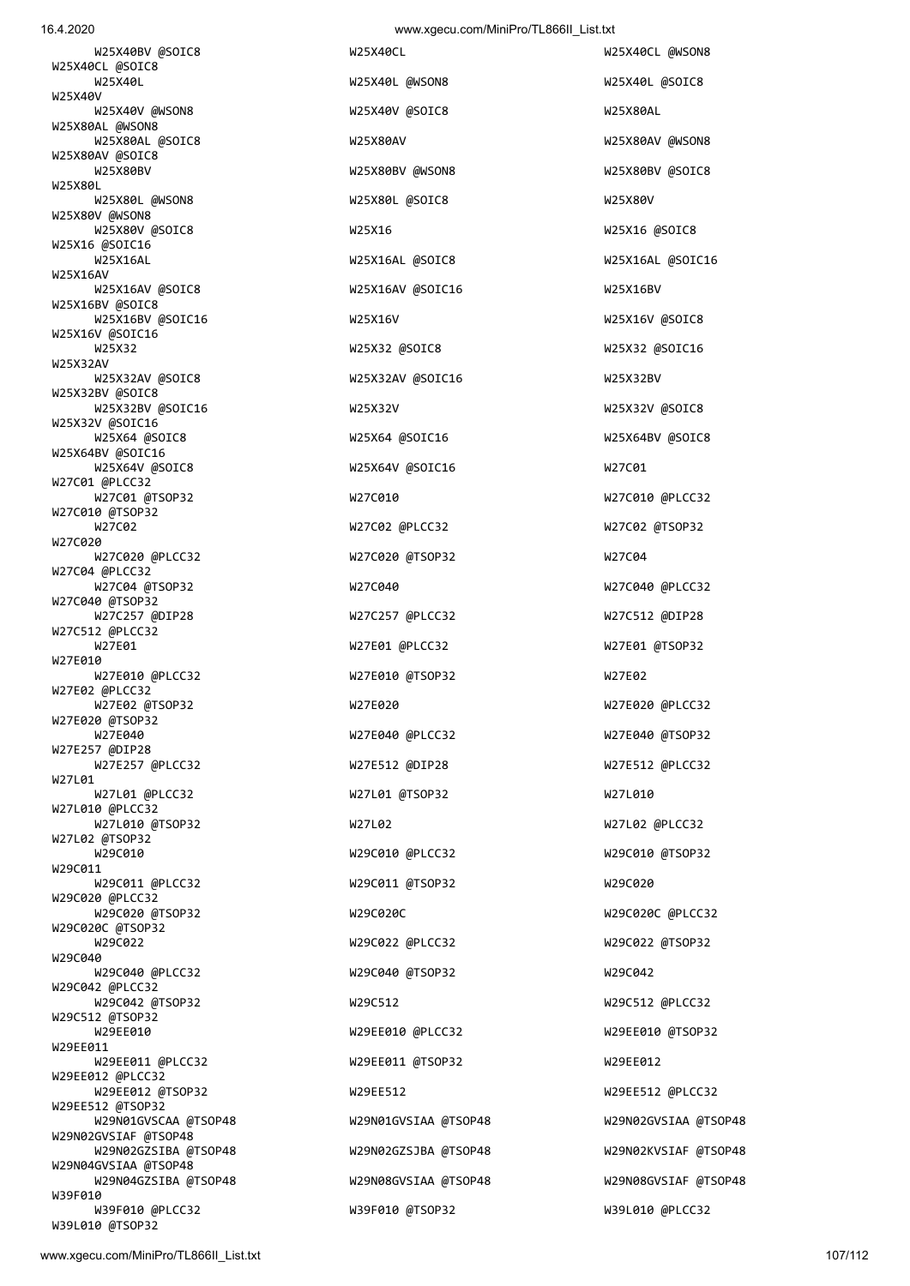W39L010 @TSOP32

W25X80L W25X80L @WSON8 W25X80L @SOIC8 W25X80V W25X80V @WSON8 W25X80V @SOIC8 W25X16 W25X16 @SOIC8 W25X16 @SOIC16 W25X16AL W25X16AL @SOIC8 W25X16AL @SOIC16 W25X16AV<br>W25X16AV @SOIC8 W25X16BV @SOIC8 W25X16BV @SOIC16 W25X16V W25X16V W25X16V W25X16V @SOIC8 W25X16V @SOIC16 W25X32 W25X32 @SOIC8 W25X32 @SOIC16 W25X32AV<br>W25X32AV @SOIC8 W25X32BV @SOIC8 W25X32BV @SOIC16 W25X32V W25X32V @SOIC8 W25X32V @SOIC16 W25X64 @SOIC8 W25X64 @SOIC16 W25X64BV @SOIC8 W25X64BV @SOIC16 W25X64V @SOIC8 W25X64V @SOIC16 W27C01 W27C01 @PLCC32 W27C01 @TSOP32 W27C010 W27C010 @PLCC32 W27C010 @TSOP32<br>W27C02 W27C020 W27C020 @PLCC32 W27C020 @TSOP32 W27C04 W27C04 @PLCC32 W27C04 @TSOP32 W27C040 W27C040 @PLCC32 W27C040 @TSOP32 W27C257 @DIP28 W27C257 @PLCC32 W27C512 @DIP28 W27C512 @PLCC32 W27E01 W27E01 @PLCC32 W22TE01 @PLCC32 W27E01 @TSOP32 W27E010 W27E010 @PLCC32 W27E010 @TSOP32 W27E02 W27E02 @PLCC32 W27E02 @TSOP32 W27E020 W27E020 @PLCC32 W27E020 @TSOP32 W27E040 W27E040 @PLCC32 W27E040 @TSOP32 W27E257 @DIP28 W27E257 @PLCC32 W27E512 @DIP28 W27E512 @PLCC32 W27L01<br>W27L01 @PLCC32 W27L010 @PLCC32 W27L010 @TSOP32 W27L02 W27L02 @PLCC32 W27L02 @TSOP32 W29C010 W29C010 @PLCC32 W29C010 @TSOP32 W29C011 W29C011 @PLCC32 W29C011 @TSOP32 W29C020 W29C020 @PLCC32<br>W29C020 @TSOP32 W29C020C @TSOP32<br>W29C022 W29C040 W29C040 @PLCC32 W29C040 @TSOP32 W29C042 W29C042 @PLCC32 W29C042 @TSOP32 W29C512 W29C512 @PLCC32 W29C512 @TSOP32 W29EE010 W29EE010 @PLCC32 W29EE010 @TSOP32 W29EE011 W29EE011 @PLCC32 W29EE011 @TSOP32 W29EE012 W29EE012 @PLCC32 W29EE012 @TSOP32 W29EE512 W29EE512 @PLCC32 W29EE512 @TSOP32 W29N02GVSIAF @TSOP48 W29N04GVSIAA @TSOP48 W39F010

W25X40L @WSON8 W25X40L @SOIC8 W25X40V @WSON8 W25X40V @SOIC8 W25X80AL W25X80AL @SOIC8 W25X80AV W25X80AV @WSON8 W25X80BV W25X80BV @WSON8 W25X80BV @SOIC8 W25X16AV @SOIC16 W25X16BV W25X32AV @SOIC16 W25X32BV W27C02 @PLCC32 W27C02 @TSOP32 W27L01 @TSOP32 W27L010 W29C020C W29C020C @PLCC32 W29C022 W29C022 @PLCC32 W29C022 @TSOP32 W39F010 @PLCC32 W39F010 @TSOP32 W39L010 @PLCC32

 W25X40BV @SOIC8 W25X40CL W25X40CL @WSON8 W29N01GVSCAA @TSOP48 W29N01GVSIAA @TSOP48 W29N01GVSIAA @TSOP48 W29N02GZSIBA @TSOP48 W29N02GZSJBA @TSOP48 W29N02KVSIAF @TSOP48 W29N04GZSIBA @TSOP48 W29N08GVSIAA @TSOP48 W29N08GVSIAF @TSOP48

W25X40V

W25X40CL @SOIC8<br>W25X40L

W25X80AL @WSON8

W25X80AV @SOIC8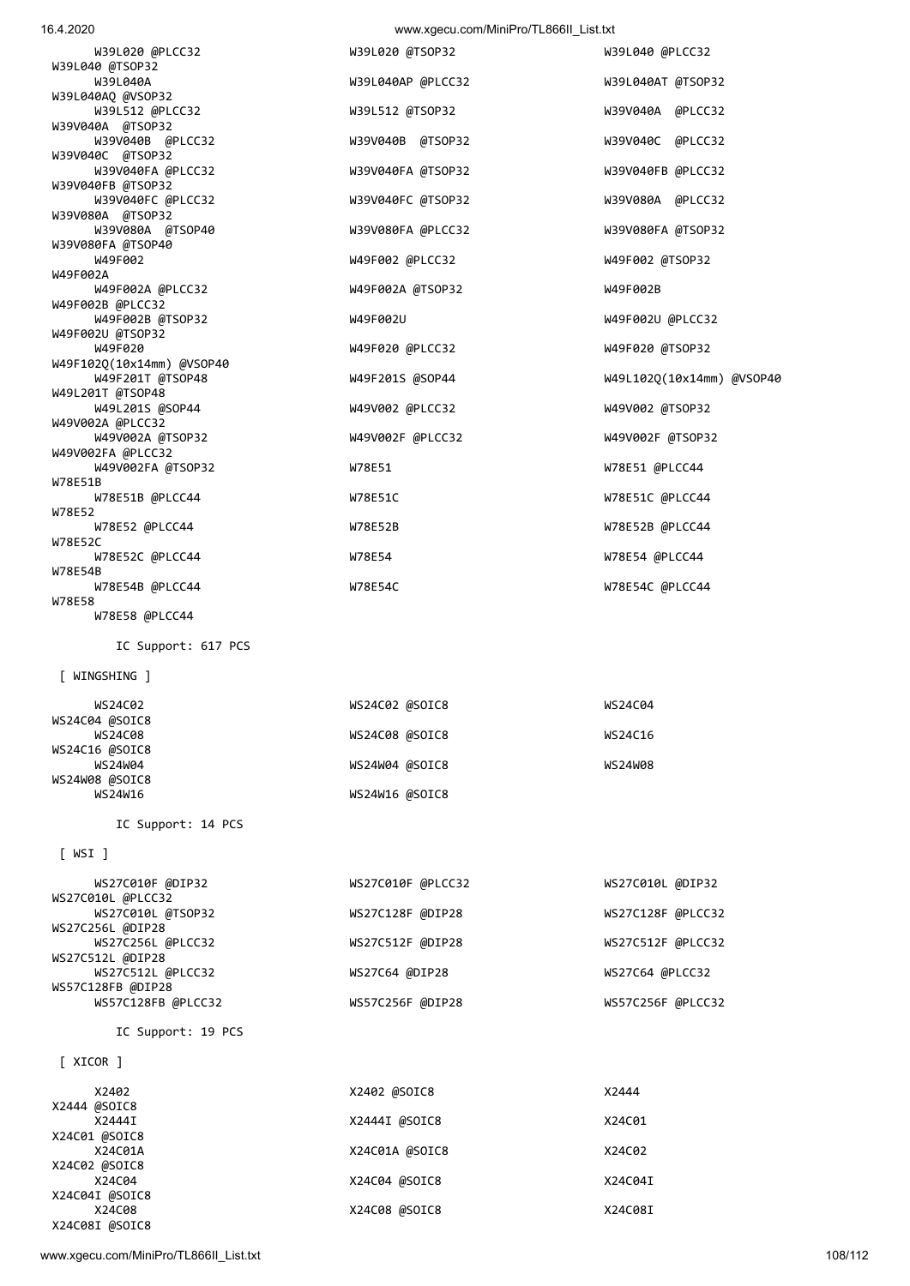[ XICOR ]

X2444 @SOIC8

X24C01 @SOIC8

X24C02 @SOIC8

X24C04I @SOIC8

X24C08I @SOIC8

| WINGSHING          |                   |                   |
|--------------------|-------------------|-------------------|
| WS24C02            | WS24C02 @SOIC8    | WS24C04           |
| WS24C04 @SOIC8     |                   |                   |
| <b>WS24C08</b>     | WS24C08 @SOIC8    | WS24C16           |
| WS24C16 @SOIC8     |                   |                   |
| <b>WS24W04</b>     | WS24W04 @SOIC8    | <b>WS24W08</b>    |
| WS24W08 @SOIC8     |                   |                   |
| WS24W16            | WS24W16 @SOIC8    |                   |
| IC Support: 14 PCS |                   |                   |
| $[$ WSI $]$        |                   |                   |
| WS27C010F @DIP32   | WS27C010F @PLCC32 | WS27C010L @DIP32  |
| WS27C010L @PLCC32  |                   |                   |
| WS27C010L @TSOP32  | WS27C128F @DIP28  | WS27C128F @PLCC32 |
| WS27C256L @DIP28   |                   |                   |
| WS27C256L @PLCC32  | WS27C512F @DIP28  | WS27C512F @PLCC32 |
| WS27C512L @DIP28   |                   |                   |
| WS27C512L @PLCC32  | WS27C64 @DIP28    | WS27C64 @PLCC32   |
| WS57C128FB @DIP28  |                   |                   |
| WS57C128FB @PLCC32 | WS57C256F @DIP28  | WS57C256F @PLCC32 |
| IC Support: 19 PCS |                   |                   |

X2402 X2402 @SOIC8 X2444

X2444I X2444I @SOIC8 X24C01

X24C01A X24C01A @SOIC8 X24C02

X24C04 X24C04 @SOIC8 X24C04 X24C04I

X24C08 X24C08 @SOIC8 X24C08I

| IC Support: 617 PCS                                       |                |               |
|-----------------------------------------------------------|----------------|---------------|
| [ WINGSHING ]                                             |                |               |
| WS24C02<br>WS24C04 @SOIC8                                 | WS24C02 @SOIC8 | WS24CC        |
| <b>WS24C08</b>                                            | WS24C08 @SOIC8 | <b>WS24C1</b> |
| WS24C16 @SOIC8<br><b>WS24W04</b><br><b>UCABIOO OCOTCO</b> | WS24W04 @SOIC8 | WS24WG        |

 W39L020 @PLCC32 W39L020 @TSOP32 W39L040 @PLCC32 W39L040 @TSOP32 W39L040A W39L040AP @PLCC32 W39L040AT @TSOP32 W39L040AQ @VSOP32 W39L512 @PLCC32 W39L512 @TSOP32 W39V040A @PLCC32 W39V040A @TSOP32 W39V040B @PLCC32 W39V040B @TSOP32 W39V040C @PLCC32 W39V040C @TSOP32 W39V040FA @PLCC32 W39V040FA @TSOP32 W39V040FB @PLCC32 W39V040FB @TSOP32 W39V040FC @PLCC32 W39V040FC @TSOP32 W39V080A @PLCC32 W39V080A @TSOP32 W39V080A @TSOP40 W39V080FA @PLCC32 W39V080FA @TSOP32 W39V080FA @TSOP40 W49F002 W49F002 @PLCC32 W49F002 @TSOP32 W49F002A W49F002A @PLCC32 W49F002A @TSOP32 W49F002B W49F002B @PLCC32 W49F002B @TSOP32 W49F002U W49F002U @PLCC32 W49F002U @TSOP32 W49F020 @PLCC32 W49F020 @TSOP32 W49F102Q(10x14mm) @VSOP40 W49F201S @SOP44 W49L102Q(10x14mm) @VSOP40 W49L201T @TSOP48 W49V002 @PLCC32 W49V002 @TSOP32 W49V002A @PLCC32 W49V002A @TSOP32 W49V002F @PLCC32 W49V002F @TSOP32 W49V002FA @PLCC32 W49V002FA @TSOP32 W78E51 W78E51 @PLCC44 W78E51B W78E51B @PLCC44 W78E51C W78E51C @PLCC44 W78E52<br>W78E52 @PLCC44 W78E52 @PLCC44 W78E52B W78E52B @PLCC44 W78E52C W78E52C @PLCC44 W78E54 W78E54 @PLCC44 W78E54B W78E54B @PLCC44 W78E54C W78E54C @PLCC44 W78E58 W78E58 @PLCC44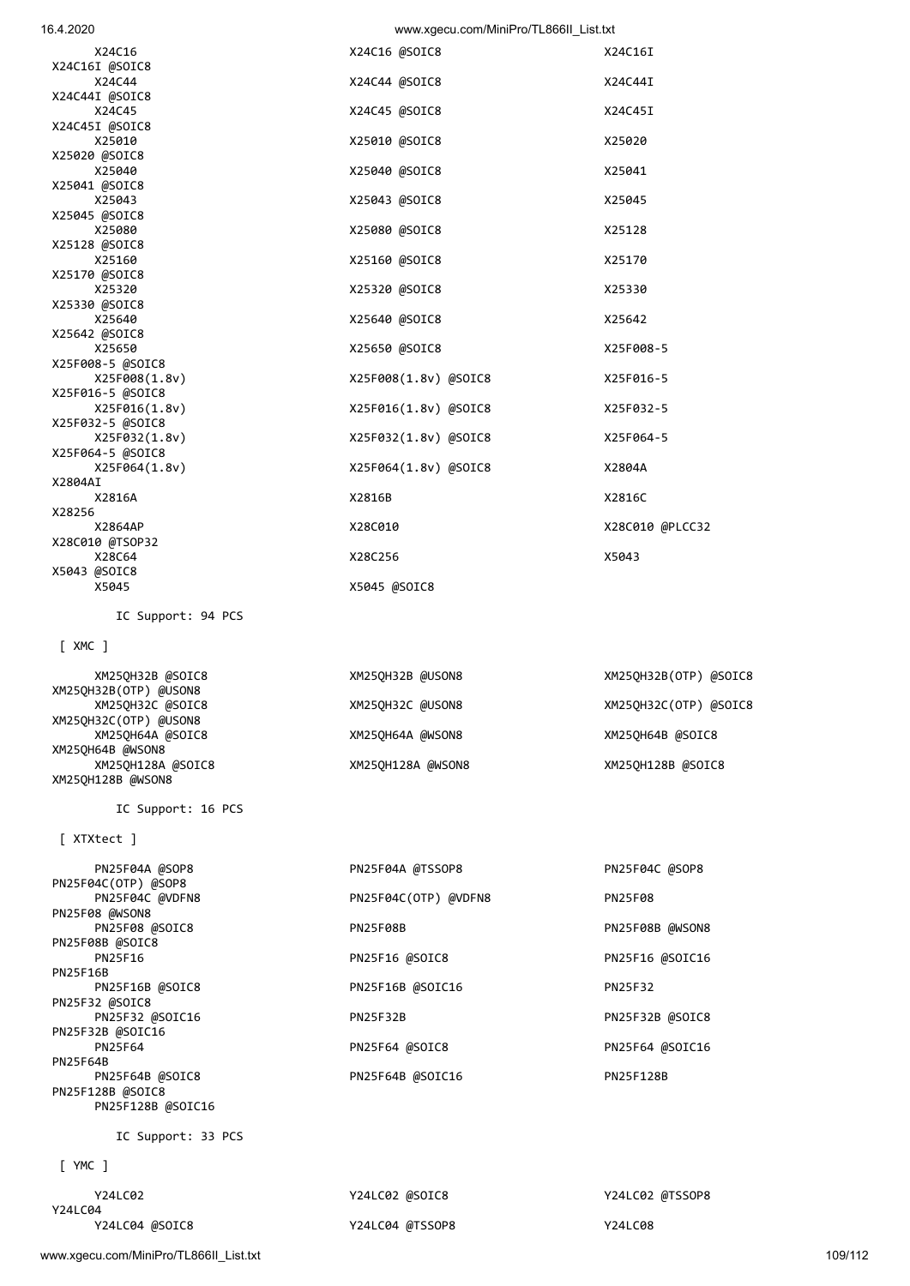www.xgecu.com/MiniPro/TL866II\_List.txt 109/112

 Y24LC02 Y24LC02 @SOIC8 Y24LC02 @TSSOP8 Y24LC04<br>Y24LC04 @SOIC8

[ YMC ]

IC Support: 33 PCS

| . <i>.</i> .         |                      |                 |
|----------------------|----------------------|-----------------|
| PN25F04A @SOP8       | PN25F04A @TSSOP8     | PN25F04C @SOP8  |
| PN25F04C(OTP) @SOP8  |                      |                 |
| PN25F04C @VDFN8      | PN25F04C(OTP) @VDFN8 | <b>PN25F08</b>  |
| PN25F08 @WSON8       |                      |                 |
| PN25F08 @SOIC8       | PN25F08B             | PN25F08B @WSON8 |
| PN25F08B @SOIC8      |                      |                 |
| PN25F16              | PN25F16 @SOIC8       | PN25F16 @SOIC16 |
| <b>PN25F16B</b>      |                      |                 |
| PN25F16B @SOIC8      | PN25F16B @SOIC16     | <b>PN25F32</b>  |
| PN25F32 @SOIC8       |                      |                 |
| PN25F32 @SOIC16      | <b>PN25F32B</b>      | PN25F32B @SOIC8 |
| PN25F32B @SOIC16     |                      |                 |
| <b>PN25F64</b>       | PN25F64 @SOIC8       | PN25F64 @SOIC16 |
| PN25F64B             |                      |                 |
| PN25F64B @SOIC8      | PN25F64B @SOIC16     | PN25F128B       |
| PN25F128B @SOIC8     |                      |                 |
| PN25F128B @SOIC16    |                      |                 |
| $TC$ Sunnort: 33 DCS |                      |                 |

[ XTXtect ]

IC Support: 16 PCS

 XM25QH32B @SOIC8 XM25QH32B @USON8 XM25QH32B(OTP) @SOIC8 XM25QH32B(OTP) @USON8 XM25QH32C @SOIC8 XM25QH32C @USON8 XM25QH32C(OTP) @SOIC8 XM25QH32C(OTP) @USON8 XM25QH64A @SOIC8 XM25QH64A @WSON8 XM25QH64B @SOIC8 XM25QH64B @WSON8 XM25QH128A @SOIC8 XM25QH128A @WSON8 XM25QH128B @SOIC8 XM25QH128B @WSON8

[ XMC ]

IC Support: 94 PCS

| 16.4.2020        | www.xgecu.com/MiniPro/TL866II_List.txt |                 |
|------------------|----------------------------------------|-----------------|
| X24C16           | X24C16 @SOIC8                          | X24C16I         |
| X24C16I @SOIC8   |                                        |                 |
| X24C44           | X24C44 @SOIC8                          | X24C44I         |
| X24C44I @SOIC8   |                                        |                 |
| X24C45           | X24C45 @SOIC8                          | X24C45I         |
| X24C45I @SOIC8   |                                        |                 |
| X25010           | X25010 @SOIC8                          | X25020          |
| X25020 @SOIC8    |                                        |                 |
| X25040           | X25040 @SOIC8                          | X25041          |
| X25041 @SOIC8    |                                        |                 |
| X25043           | X25043 @SOIC8                          | X25045          |
| X25045 @SOIC8    |                                        |                 |
| X25080           | X25080 @SOIC8                          | X25128          |
| X25128 @SOIC8    |                                        |                 |
| X25160           | X25160 @SOIC8                          | X25170          |
| X25170 @SOIC8    |                                        |                 |
| X25320           | X25320 @SOIC8                          | X25330          |
| X25330 @SOIC8    |                                        |                 |
| X25640           | X25640 @SOIC8                          | X25642          |
| X25642 @SOIC8    |                                        |                 |
| X25650           | X25650 @SOIC8                          | X25F008-5       |
| X25F008-5 @SOIC8 |                                        |                 |
| X25F008(1.8v)    | X25F008(1.8v) @SOIC8                   | X25F016-5       |
| X25F016-5 @SOIC8 |                                        |                 |
| X25F016(1.8v)    | X25F016(1.8v) @SOIC8                   | X25F032-5       |
| X25F032-5 @SOIC8 |                                        |                 |
| X25F032(1.8v)    | X25F032(1.8v) @SOIC8                   | X25F064-5       |
| X25F064-5 @SOIC8 |                                        |                 |
| X25F064(1.8v)    | X25F064(1.8v) @SOIC8                   | X2804A          |
| X2804AI          |                                        |                 |
| X2816A           | X2816B                                 | X2816C          |
| X28256           |                                        |                 |
| X2864AP          | X28C010                                | X28C010 @PLCC32 |
| X28C010 @TSOP32  |                                        |                 |
| X28C64           | X28C256                                | X5043           |
| X5043 @SOIC8     |                                        |                 |
| X5045            | X5045 @SOIC8                           |                 |

Y24LC04 @TSSOP8 Y24LC08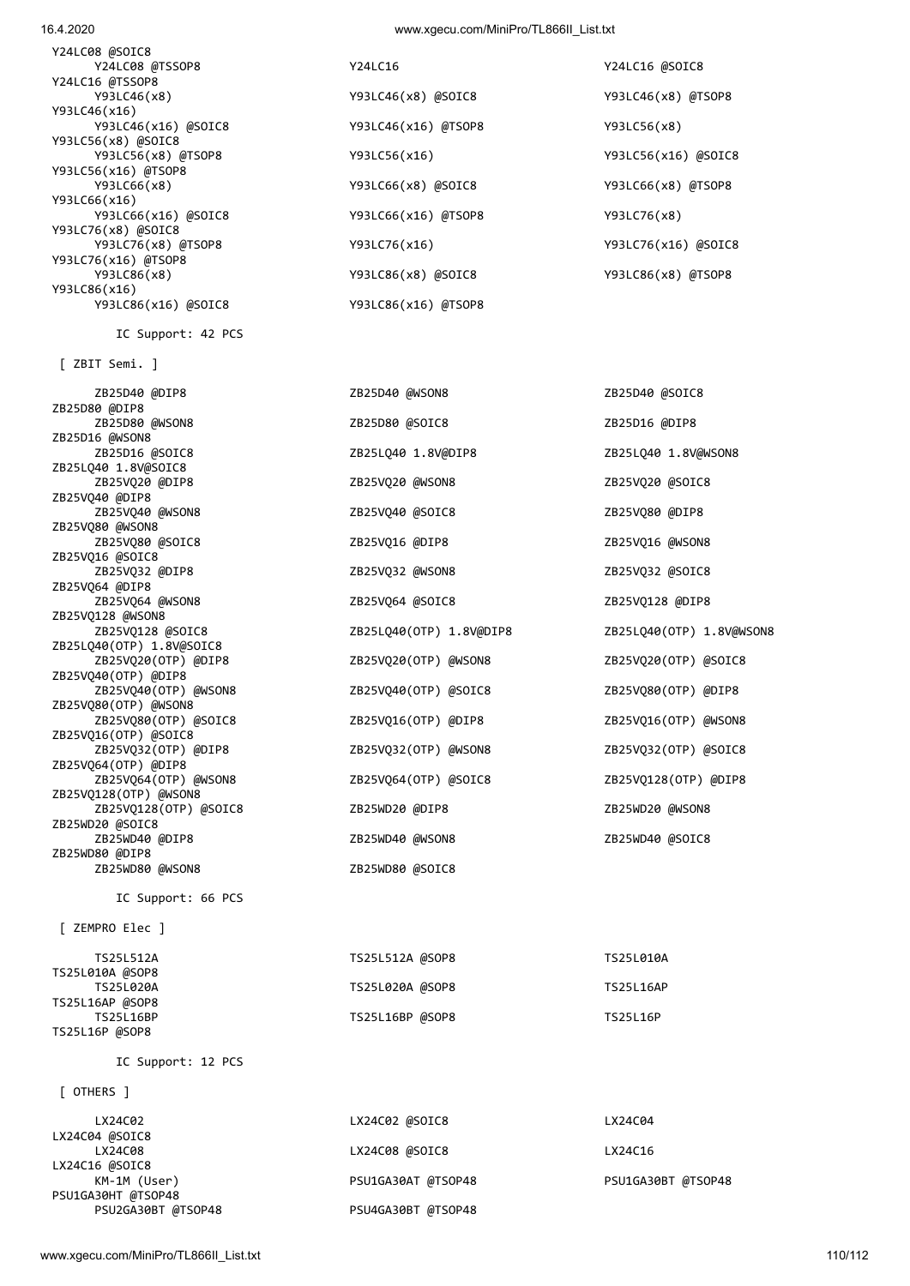| [ OTHERS ]                |                    |                    |
|---------------------------|--------------------|--------------------|
| LX24C02                   | LX24C02 @SOIC8     | LX24C04            |
| LX24C04 @SOIC8<br>LX24C08 | LX24C08 @SOIC8     | LX24C16            |
| LX24C16 @SOIC8            |                    |                    |
| KM-1M (User)              | PSU1GA30AT @TSOP48 | PSU1GA30BT @TSOP48 |
| PSU1GA30HT @TSOP48        |                    |                    |
| PSU2GA30BT @TSOP48        | PSU4GA30BT @TSOP48 |                    |

## IC Support: 12 PCS

| TS25L512A        | TS25L512A @SOP8 | TS25L010A        |
|------------------|-----------------|------------------|
| TS25L010A @SOP8  |                 |                  |
| TS25L020A        | TS25L020A @SOP8 | <b>TS25L16AP</b> |
| TS25L16AP @SOP8  |                 |                  |
| <b>TS25L16BP</b> | TS25L16BP @SOP8 | <b>TS25L16P</b>  |
| TS25L16P @SOP8   |                 |                  |

| TS25L512A                          | TS25L512A @SOP8 | TS25L010A        |
|------------------------------------|-----------------|------------------|
| TS25L010A @SOP8<br>TS25L020A       | TS25L020A @SOP8 | <b>TS25L16AP</b> |
| TS25L16AP @SOP8                    |                 |                  |
| TS25L16BP<br><b>TOOLLACD ACODO</b> | TS25L16BP @SOP8 | <b>TS25L16P</b>  |

| ZEMPRO Elec ]                       |                 |                  |
|-------------------------------------|-----------------|------------------|
| TS25L512A                           | TS25L512A @SOP8 | TS25L010A        |
| TS25L010A @SOP8<br><b>TS25L020A</b> | TS25L020A @SOP8 | <b>TS25L16AP</b> |
| TS25L16AP @SOP8<br>TS25L16BP        | TS25L16BP @SOP8 | TS25L16P         |

| [ ZEMPRO Elec ]              |                 |                  |
|------------------------------|-----------------|------------------|
| TS25L512A<br>TS25L010A @SOP8 | TS25L512A @SOP8 | TS25L010A        |
| TS25L020A                    | TS25L020A @SOP8 | <b>TS25L16AP</b> |
| TS25L16AP @SOP8<br>TS25L16BP | TS25L16BP @SOP8 | TS25L16P         |

| ZB25VQ80(OTP) @WSON8  |                      |                   |
|-----------------------|----------------------|-------------------|
| ZB25V080(OTP) @SOIC8  | ZB25VQ16(OTP) @DIP8  | ZB <sub>2</sub> ! |
| ZB25VQ16(OTP) @SOIC8  |                      |                   |
| ZB25VQ32(OTP) @DIP8   | ZB25VQ32(OTP) @WSON8 | ZB <sub>2</sub>   |
| ZB25VQ64(OTP) @DIP8   |                      |                   |
| ZB25VQ64(OTP) @WSON8  | ZB25VQ64(OTP) @SOIC8 | ZB <sub>2</sub> ! |
| ZB25VQ128(OTP) @WSON8 |                      |                   |
| ZB25V0128(OTP) @SOIC8 | ZB25WD20 @DIP8       | ZB2!              |
| ZB25WD20 @SOIC8       |                      |                   |
| ZB25WD40 @DIP8        | ZB25WD40 @WSON8      | ZB <sub>2</sub>   |
| ZB25WD80 @DIP8        |                      |                   |
| ZB25WD80 @WSON8       | ZB25WD80 @SOIC8      |                   |
| IC Support: 66 PCS    |                      |                   |
|                       |                      |                   |
| ZEMPRO Elec ]         |                      |                   |
|                       |                      |                   |

## ZB25D80 @WSON8 ZB25D80 @SOIC8 ZB25D16 @DIP8 ZB25D16 @SOIC8 ZB25LQ40 1.8V@DIP8 ZB25LQ40 1.8V@WSON8 ZB25VQ20 @DIP8 ZB25VQ20 @WSON8 ZB25VQ20 @SOIC8 ZB25VQ40 @WSON8 ZB25VQ40 @SOIC8 ZB25VQ80 @DIP8 ZB25VQ80 @SOIC8 ZB25VQ16 @DIP8 ZB25VQ16 @WSON8 ZB25VQ32 @DIP8 ZB25VQ32 @WSON8 ZB25VQ32 @SOIC8 ZB25VQ64 @WSON8 ZB25VQ64 @SOIC8 ZB25VQ128 @DIP8 ZB25LQ40(OTP) 1.8V@DIP8 ZB25LQ40(OTP) 1.8V@WSON8 ZB25VQ20(OTP) @WSON8 ZB25VQ20(OTP) @SOIC8 ZB25VQ40(OTP) @WSON8 ZB25VQ40(OTP) @SOIC8 ZB25VQ80(OTP) @DIP8 5VQ16(OTP) @WSON8 ZB25VQ32(OTP) @DIP8 ZB25VQ32(OTP) @WSON8 ZB25VQ32(OTP) @SOIC8 5VQ128(OTP) @DIP8 SWD20 @WSON8 5WD40 @SOIC8

## [ ZBIT Semi. ]

ZB25D80 @DIP8

ZB25D16 @WSON8

ZB25VQ40 @DIP8

ZB25VQ80 @WSON8

ZB25VQ16 @SOIC8

ZB25VQ64 @DIP8

ZB25VQ128 @WSON8

ZB25VQ40(OTP) @DIP8

ZB25LQ40(OTP) 1.8V@SOIC8

ZB25LQ40 1.8V@SOIC8

IC Support: 42 PCS

Y24LC08 @SOIC8 Y24LC08 @TSSOP8 Y24LC16 Y24LC16 Y24LC16 Y24LC16 Y24LC16 Y24LC16 Y24LC16 Y24LC16 Y24LC16 Y24LC16 Y24LC16 Y24LC16 Y24LC16 Y24LC16 Y24LC16 Y24LC16 Y24LC16 Y24LC16 Y24LC16 Y24LC16 Y24LC16 Y24LC16 Y24LC16 Y24LC16 @TSSOP8 Y93LC46(x16) Y93LC56(x8) @SOIC8<br>Y93LC56(x8) @TSOP8 Y93LC56(x16) @TSOP8 Y93LC66(x16) Y93LC76(x8) @SOIC8<br>Y93LC76(x8) @TSOP8 Y93LC76(x16) @TSOP8 Y93LC86(x16) Y93LC86(x16) @SOIC8 Y93LC86(x16) @TSOP8

 Y93LC46(x8) Y93LC46(x8) @SOIC8 Y93LC46(x8) @TSOP8 Y93LC46(x16) @SOIC8 Y93LC46(x16) @TSOP8 Y93LC56(x8) Y93LC56(x8) @TSOP8 Y93LC56(x16) Y93LC56(x16) @SOIC8 Y93LC66(x8) Y93LC66(x8) @SOIC8 Y93LC66(x8) @TSOP8 Y93LC66(x16) @SOIC8 Y93LC66(x16) @TSOP8 Y93LC76(x8) Y93LC76(x16) <br> Y93LC76(x16) Y93LC76(x16) @SOIC8 Y93LC86(x8) Y93LC86(x8) @SOIC8 Y93LC86(x8) @TSOP8

ZB25D40 @DIP8 ZB25D40 @WSON8 ZB25D40 @SOIC8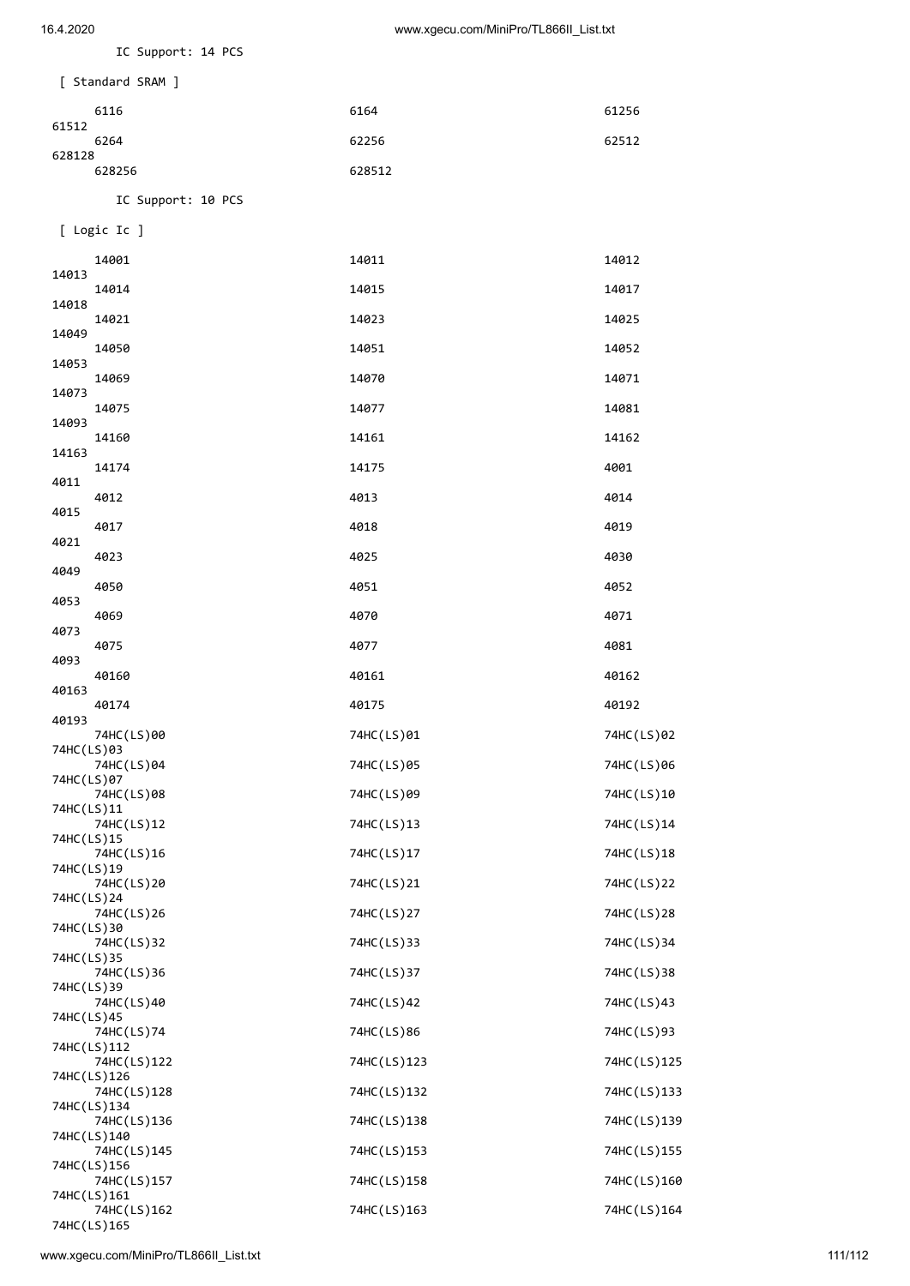16.4.2020 www.xgecu.com/MiniPro/TL866II\_List.txt

IC Support: 14 PCS

| [ Standard SRAM ] |        |       |
|-------------------|--------|-------|
| 6116<br>61512     | 6164   | 61256 |
| 6264              | 62256  | 62512 |
| 628128<br>628256  | 628512 |       |
|                   |        |       |

IC Support: 10 PCS

[ Logic Ic ]

| 14015<br>14014<br>14017<br>14018<br>14023<br>14025<br>14021<br>14049<br>14052<br>14051<br>14050<br>14053<br>14070<br>14071<br>14069<br>14073<br>14077<br>14081<br>14075<br>14093<br>14161<br>14162<br>14160<br>14163<br>14175<br>4001<br>14174<br>4011<br>4013<br>4014<br>4012<br>4015<br>4018<br>4019<br>4017<br>4021<br>4025<br>4030<br>4023<br>4049<br>4051<br>4052<br>4050<br>4053<br>4070<br>4071<br>4069<br>4073<br>4077<br>4081<br>4075<br>4093<br>40160<br>40161<br>40162<br>40163<br>40192<br>40174<br>40175<br>40193<br>74HC(LS)01<br>74HC(LS)02<br>74HC(LS)00<br>74HC(LS)03<br>74HC(LS)04<br>74HC(LS)05<br>74HC(LS)06<br>74HC(LS)07<br>74HC(LS)08<br>74HC(LS)09<br>74HC(LS)10<br>74HC(LS)11<br>74HC(LS)12<br>74HC(LS)13<br>74HC(LS)14<br>74HC(LS)15<br>74HC(LS)16<br>74HC(LS)17<br>74HC(LS)18<br>74HC(LS)19<br>74HC(LS)20<br>74HC(LS)21<br>74HC(LS)22<br>74HC (LS) 24<br>74HC(LS)26<br>74HC(LS)27<br>74HC(LS)28<br>74HC(LS)30<br>74HC(LS)33<br>74HC(LS)34<br>74HC(LS)32<br>74HC(LS)35<br>74HC(LS)37<br>74HC(LS)38<br>74HC(LS)36<br>74HC(LS)39<br>74HC(LS)42<br>74HC(LS)43<br>74HC(LS)40<br>74HC(LS)45<br>74HC(LS)86<br>74HC(LS)93<br>74HC(LS)74<br>74HC(LS)112<br>74HC(LS)122<br>74HC(LS)123<br>74HC(LS)125<br>74HC(LS)126<br>74HC(LS)132<br>74HC(LS)133<br>74HC(LS)128<br>74HC(LS)134<br>74HC(LS)138<br>74HC(LS)139<br>74HC(LS)136<br>74HC(LS)140<br>74HC(LS)153<br>74HC(LS)155<br>74HC(LS)145<br>74HC(LS)156<br>74HC(LS)158<br>74HC(LS)160<br>74HC(LS)157<br>74HC(LS)161<br>74HC(LS)163<br>74HC(LS)164<br>74HC(LS)162 | 14001       | 14011 | 14012 |
|------------------------------------------------------------------------------------------------------------------------------------------------------------------------------------------------------------------------------------------------------------------------------------------------------------------------------------------------------------------------------------------------------------------------------------------------------------------------------------------------------------------------------------------------------------------------------------------------------------------------------------------------------------------------------------------------------------------------------------------------------------------------------------------------------------------------------------------------------------------------------------------------------------------------------------------------------------------------------------------------------------------------------------------------------------------------------------------------------------------------------------------------------------------------------------------------------------------------------------------------------------------------------------------------------------------------------------------------------------------------------------------------------------------------------------------------------------------------------------------------------------------------------------|-------------|-------|-------|
|                                                                                                                                                                                                                                                                                                                                                                                                                                                                                                                                                                                                                                                                                                                                                                                                                                                                                                                                                                                                                                                                                                                                                                                                                                                                                                                                                                                                                                                                                                                                    | 14013       |       |       |
|                                                                                                                                                                                                                                                                                                                                                                                                                                                                                                                                                                                                                                                                                                                                                                                                                                                                                                                                                                                                                                                                                                                                                                                                                                                                                                                                                                                                                                                                                                                                    |             |       |       |
|                                                                                                                                                                                                                                                                                                                                                                                                                                                                                                                                                                                                                                                                                                                                                                                                                                                                                                                                                                                                                                                                                                                                                                                                                                                                                                                                                                                                                                                                                                                                    |             |       |       |
|                                                                                                                                                                                                                                                                                                                                                                                                                                                                                                                                                                                                                                                                                                                                                                                                                                                                                                                                                                                                                                                                                                                                                                                                                                                                                                                                                                                                                                                                                                                                    |             |       |       |
|                                                                                                                                                                                                                                                                                                                                                                                                                                                                                                                                                                                                                                                                                                                                                                                                                                                                                                                                                                                                                                                                                                                                                                                                                                                                                                                                                                                                                                                                                                                                    |             |       |       |
|                                                                                                                                                                                                                                                                                                                                                                                                                                                                                                                                                                                                                                                                                                                                                                                                                                                                                                                                                                                                                                                                                                                                                                                                                                                                                                                                                                                                                                                                                                                                    |             |       |       |
|                                                                                                                                                                                                                                                                                                                                                                                                                                                                                                                                                                                                                                                                                                                                                                                                                                                                                                                                                                                                                                                                                                                                                                                                                                                                                                                                                                                                                                                                                                                                    |             |       |       |
|                                                                                                                                                                                                                                                                                                                                                                                                                                                                                                                                                                                                                                                                                                                                                                                                                                                                                                                                                                                                                                                                                                                                                                                                                                                                                                                                                                                                                                                                                                                                    |             |       |       |
|                                                                                                                                                                                                                                                                                                                                                                                                                                                                                                                                                                                                                                                                                                                                                                                                                                                                                                                                                                                                                                                                                                                                                                                                                                                                                                                                                                                                                                                                                                                                    |             |       |       |
|                                                                                                                                                                                                                                                                                                                                                                                                                                                                                                                                                                                                                                                                                                                                                                                                                                                                                                                                                                                                                                                                                                                                                                                                                                                                                                                                                                                                                                                                                                                                    |             |       |       |
|                                                                                                                                                                                                                                                                                                                                                                                                                                                                                                                                                                                                                                                                                                                                                                                                                                                                                                                                                                                                                                                                                                                                                                                                                                                                                                                                                                                                                                                                                                                                    |             |       |       |
|                                                                                                                                                                                                                                                                                                                                                                                                                                                                                                                                                                                                                                                                                                                                                                                                                                                                                                                                                                                                                                                                                                                                                                                                                                                                                                                                                                                                                                                                                                                                    |             |       |       |
|                                                                                                                                                                                                                                                                                                                                                                                                                                                                                                                                                                                                                                                                                                                                                                                                                                                                                                                                                                                                                                                                                                                                                                                                                                                                                                                                                                                                                                                                                                                                    |             |       |       |
|                                                                                                                                                                                                                                                                                                                                                                                                                                                                                                                                                                                                                                                                                                                                                                                                                                                                                                                                                                                                                                                                                                                                                                                                                                                                                                                                                                                                                                                                                                                                    |             |       |       |
|                                                                                                                                                                                                                                                                                                                                                                                                                                                                                                                                                                                                                                                                                                                                                                                                                                                                                                                                                                                                                                                                                                                                                                                                                                                                                                                                                                                                                                                                                                                                    |             |       |       |
|                                                                                                                                                                                                                                                                                                                                                                                                                                                                                                                                                                                                                                                                                                                                                                                                                                                                                                                                                                                                                                                                                                                                                                                                                                                                                                                                                                                                                                                                                                                                    |             |       |       |
|                                                                                                                                                                                                                                                                                                                                                                                                                                                                                                                                                                                                                                                                                                                                                                                                                                                                                                                                                                                                                                                                                                                                                                                                                                                                                                                                                                                                                                                                                                                                    |             |       |       |
|                                                                                                                                                                                                                                                                                                                                                                                                                                                                                                                                                                                                                                                                                                                                                                                                                                                                                                                                                                                                                                                                                                                                                                                                                                                                                                                                                                                                                                                                                                                                    |             |       |       |
|                                                                                                                                                                                                                                                                                                                                                                                                                                                                                                                                                                                                                                                                                                                                                                                                                                                                                                                                                                                                                                                                                                                                                                                                                                                                                                                                                                                                                                                                                                                                    |             |       |       |
|                                                                                                                                                                                                                                                                                                                                                                                                                                                                                                                                                                                                                                                                                                                                                                                                                                                                                                                                                                                                                                                                                                                                                                                                                                                                                                                                                                                                                                                                                                                                    |             |       |       |
|                                                                                                                                                                                                                                                                                                                                                                                                                                                                                                                                                                                                                                                                                                                                                                                                                                                                                                                                                                                                                                                                                                                                                                                                                                                                                                                                                                                                                                                                                                                                    |             |       |       |
|                                                                                                                                                                                                                                                                                                                                                                                                                                                                                                                                                                                                                                                                                                                                                                                                                                                                                                                                                                                                                                                                                                                                                                                                                                                                                                                                                                                                                                                                                                                                    |             |       |       |
|                                                                                                                                                                                                                                                                                                                                                                                                                                                                                                                                                                                                                                                                                                                                                                                                                                                                                                                                                                                                                                                                                                                                                                                                                                                                                                                                                                                                                                                                                                                                    |             |       |       |
|                                                                                                                                                                                                                                                                                                                                                                                                                                                                                                                                                                                                                                                                                                                                                                                                                                                                                                                                                                                                                                                                                                                                                                                                                                                                                                                                                                                                                                                                                                                                    |             |       |       |
|                                                                                                                                                                                                                                                                                                                                                                                                                                                                                                                                                                                                                                                                                                                                                                                                                                                                                                                                                                                                                                                                                                                                                                                                                                                                                                                                                                                                                                                                                                                                    |             |       |       |
|                                                                                                                                                                                                                                                                                                                                                                                                                                                                                                                                                                                                                                                                                                                                                                                                                                                                                                                                                                                                                                                                                                                                                                                                                                                                                                                                                                                                                                                                                                                                    |             |       |       |
|                                                                                                                                                                                                                                                                                                                                                                                                                                                                                                                                                                                                                                                                                                                                                                                                                                                                                                                                                                                                                                                                                                                                                                                                                                                                                                                                                                                                                                                                                                                                    |             |       |       |
|                                                                                                                                                                                                                                                                                                                                                                                                                                                                                                                                                                                                                                                                                                                                                                                                                                                                                                                                                                                                                                                                                                                                                                                                                                                                                                                                                                                                                                                                                                                                    |             |       |       |
|                                                                                                                                                                                                                                                                                                                                                                                                                                                                                                                                                                                                                                                                                                                                                                                                                                                                                                                                                                                                                                                                                                                                                                                                                                                                                                                                                                                                                                                                                                                                    |             |       |       |
|                                                                                                                                                                                                                                                                                                                                                                                                                                                                                                                                                                                                                                                                                                                                                                                                                                                                                                                                                                                                                                                                                                                                                                                                                                                                                                                                                                                                                                                                                                                                    |             |       |       |
|                                                                                                                                                                                                                                                                                                                                                                                                                                                                                                                                                                                                                                                                                                                                                                                                                                                                                                                                                                                                                                                                                                                                                                                                                                                                                                                                                                                                                                                                                                                                    |             |       |       |
|                                                                                                                                                                                                                                                                                                                                                                                                                                                                                                                                                                                                                                                                                                                                                                                                                                                                                                                                                                                                                                                                                                                                                                                                                                                                                                                                                                                                                                                                                                                                    |             |       |       |
|                                                                                                                                                                                                                                                                                                                                                                                                                                                                                                                                                                                                                                                                                                                                                                                                                                                                                                                                                                                                                                                                                                                                                                                                                                                                                                                                                                                                                                                                                                                                    | 74HC(LS)165 |       |       |

www.xgecu.com/MiniPro/TL866II\_List.txt 111/112